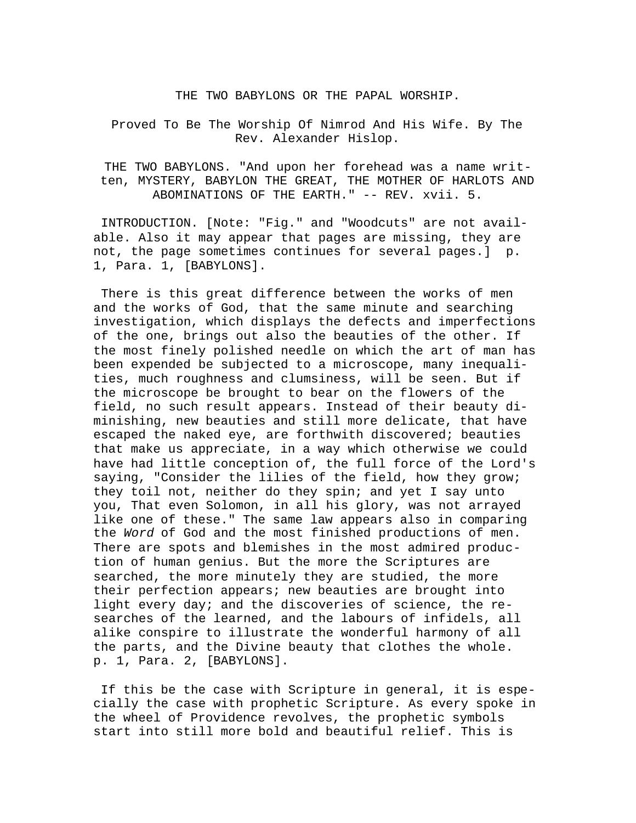## THE TWO BABYLONS OR THE PAPAL WORSHIP.

## Proved To Be The Worship Of Nimrod And His Wife. By The Rev. Alexander Hislop.

THE TWO BABYLONS. "And upon her forehead was a name written, MYSTERY, BABYLON THE GREAT, THE MOTHER OF HARLOTS AND ABOMINATIONS OF THE EARTH." -- REV. xvii. 5.

 INTRODUCTION. [Note: "Fig." and "Woodcuts" are not available. Also it may appear that pages are missing, they are not, the page sometimes continues for several pages.] p. 1, Para. 1, [BABYLONS].

 There is this great difference between the works of men and the works of God, that the same minute and searching investigation, which displays the defects and imperfections of the one, brings out also the beauties of the other. If the most finely polished needle on which the art of man has been expended be subjected to a microscope, many inequalities, much roughness and clumsiness, will be seen. But if the microscope be brought to bear on the flowers of the field, no such result appears. Instead of their beauty diminishing, new beauties and still more delicate, that have escaped the naked eye, are forthwith discovered; beauties that make us appreciate, in a way which otherwise we could have had little conception of, the full force of the Lord's saying, "Consider the lilies of the field, how they grow; they toil not, neither do they spin; and yet I say unto you, That even Solomon, in all his glory, was not arrayed like one of these." The same law appears also in comparing the *Word* of God and the most finished productions of men. There are spots and blemishes in the most admired production of human genius. But the more the Scriptures are searched, the more minutely they are studied, the more their perfection appears; new beauties are brought into light every day; and the discoveries of science, the researches of the learned, and the labours of infidels, all alike conspire to illustrate the wonderful harmony of all the parts, and the Divine beauty that clothes the whole. p. 1, Para. 2, [BABYLONS].

 If this be the case with Scripture in general, it is especially the case with prophetic Scripture. As every spoke in the wheel of Providence revolves, the prophetic symbols start into still more bold and beautiful relief. This is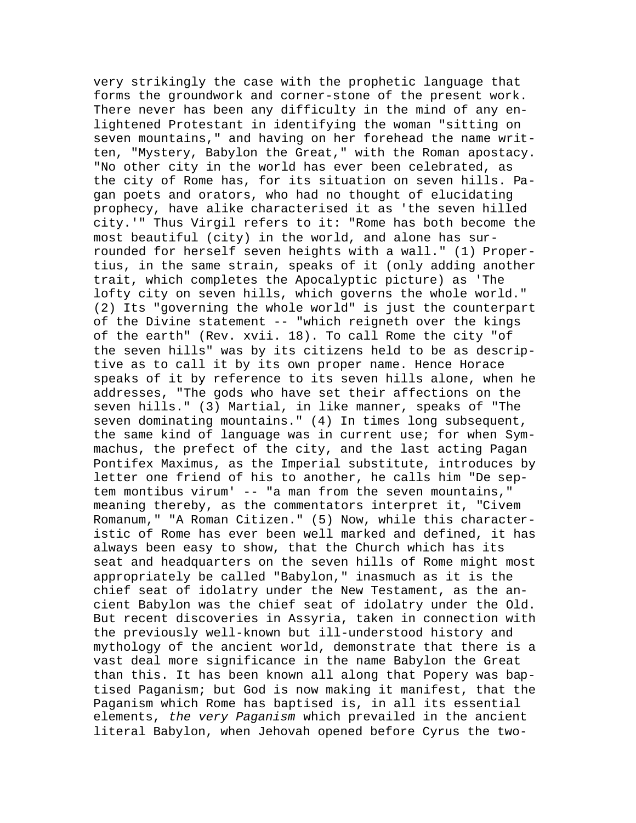very strikingly the case with the prophetic language that forms the groundwork and corner-stone of the present work. There never has been any difficulty in the mind of any enlightened Protestant in identifying the woman "sitting on seven mountains," and having on her forehead the name written, "Mystery, Babylon the Great," with the Roman apostacy. "No other city in the world has ever been celebrated, as the city of Rome has, for its situation on seven hills. Pagan poets and orators, who had no thought of elucidating prophecy, have alike characterised it as 'the seven hilled city.'" Thus Virgil refers to it: "Rome has both become the most beautiful (city) in the world, and alone has surrounded for herself seven heights with a wall." (1) Propertius, in the same strain, speaks of it (only adding another trait, which completes the Apocalyptic picture) as 'The lofty city on seven hills, which governs the whole world." (2) Its "governing the whole world" is just the counterpart of the Divine statement -- "which reigneth over the kings of the earth" (Rev. xvii. 18). To call Rome the city "of the seven hills" was by its citizens held to be as descriptive as to call it by its own proper name. Hence Horace speaks of it by reference to its seven hills alone, when he addresses, "The gods who have set their affections on the seven hills." (3) Martial, in like manner, speaks of "The seven dominating mountains." (4) In times long subsequent, the same kind of language was in current use; for when Symmachus, the prefect of the city, and the last acting Pagan Pontifex Maximus, as the Imperial substitute, introduces by letter one friend of his to another, he calls him "De septem montibus virum' -- "a man from the seven mountains," meaning thereby, as the commentators interpret it, "Civem Romanum," "A Roman Citizen." (5) Now, while this characteristic of Rome has ever been well marked and defined, it has always been easy to show, that the Church which has its seat and headquarters on the seven hills of Rome might most appropriately be called "Babylon," inasmuch as it is the chief seat of idolatry under the New Testament, as the ancient Babylon was the chief seat of idolatry under the Old. But recent discoveries in Assyria, taken in connection with the previously well-known but ill-understood history and mythology of the ancient world, demonstrate that there is a vast deal more significance in the name Babylon the Great than this. It has been known all along that Popery was baptised Paganism; but God is now making it manifest, that the Paganism which Rome has baptised is, in all its essential elements, *the very Paganism* which prevailed in the ancient literal Babylon, when Jehovah opened before Cyrus the two-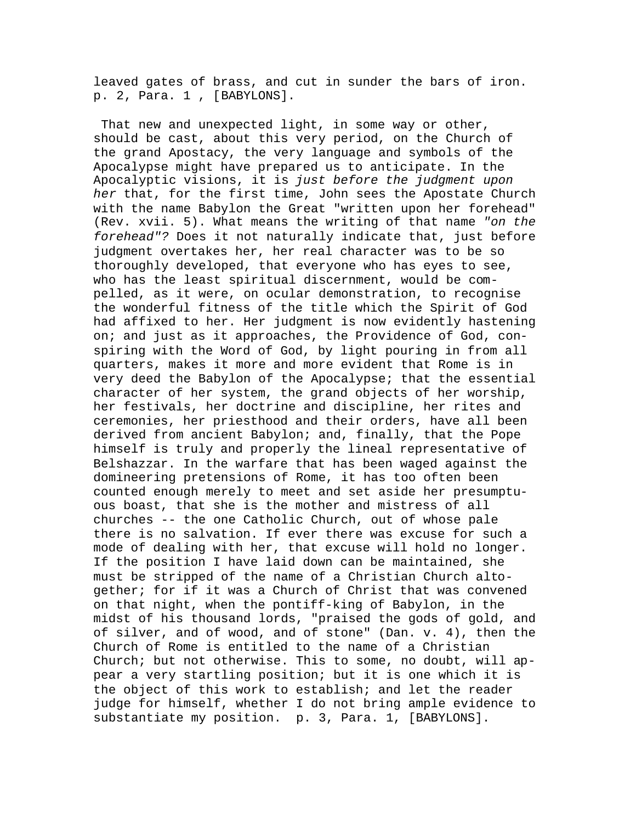leaved gates of brass, and cut in sunder the bars of iron. p. 2, Para. 1 , [BABYLONS].

 That new and unexpected light, in some way or other, should be cast, about this very period, on the Church of the grand Apostacy, the very language and symbols of the Apocalypse might have prepared us to anticipate. In the Apocalyptic visions, it is *just before the judgment upon her* that, for the first time, John sees the Apostate Church with the name Babylon the Great "written upon her forehead" (Rev. xvii. 5). What means the writing of that name *"on the forehead"?* Does it not naturally indicate that, just before judgment overtakes her, her real character was to be so thoroughly developed, that everyone who has eyes to see, who has the least spiritual discernment, would be compelled, as it were, on ocular demonstration, to recognise the wonderful fitness of the title which the Spirit of God had affixed to her. Her judgment is now evidently hastening on; and just as it approaches, the Providence of God, conspiring with the Word of God, by light pouring in from all quarters, makes it more and more evident that Rome is in very deed the Babylon of the Apocalypse; that the essential character of her system, the grand objects of her worship, her festivals, her doctrine and discipline, her rites and ceremonies, her priesthood and their orders, have all been derived from ancient Babylon; and, finally, that the Pope himself is truly and properly the lineal representative of Belshazzar. In the warfare that has been waged against the domineering pretensions of Rome, it has too often been counted enough merely to meet and set aside her presumptuous boast, that she is the mother and mistress of all churches -- the one Catholic Church, out of whose pale there is no salvation. If ever there was excuse for such a mode of dealing with her, that excuse will hold no longer. If the position I have laid down can be maintained, she must be stripped of the name of a Christian Church altogether; for if it was a Church of Christ that was convened on that night, when the pontiff-king of Babylon, in the midst of his thousand lords, "praised the gods of gold, and of silver, and of wood, and of stone" (Dan. v. 4), then the Church of Rome is entitled to the name of a Christian Church; but not otherwise. This to some, no doubt, will appear a very startling position; but it is one which it is the object of this work to establish; and let the reader judge for himself, whether I do not bring ample evidence to substantiate my position. p. 3, Para. 1, [BABYLONS].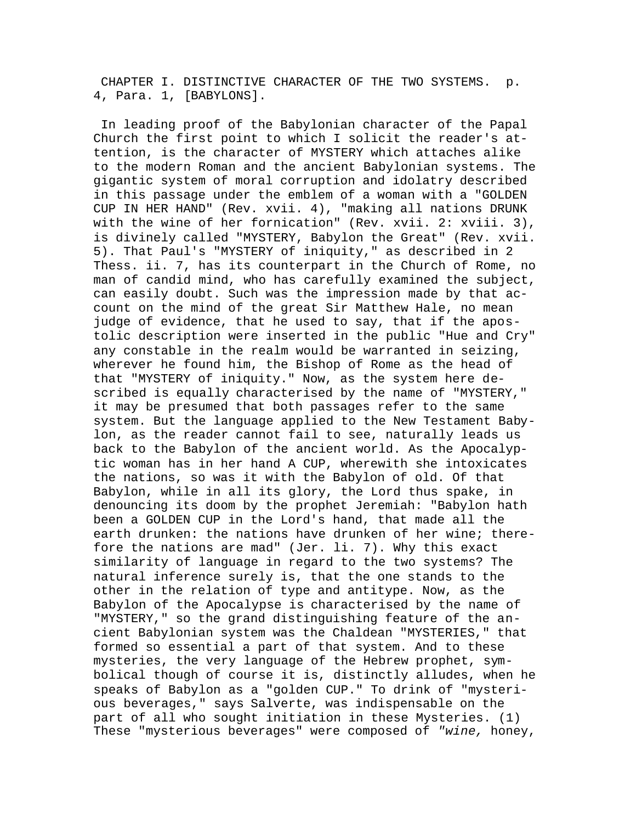CHAPTER I. DISTINCTIVE CHARACTER OF THE TWO SYSTEMS. p. 4, Para. 1, [BABYLONS].

 In leading proof of the Babylonian character of the Papal Church the first point to which I solicit the reader's attention, is the character of MYSTERY which attaches alike to the modern Roman and the ancient Babylonian systems. The gigantic system of moral corruption and idolatry described in this passage under the emblem of a woman with a "GOLDEN CUP IN HER HAND" (Rev. xvii. 4), "making all nations DRUNK with the wine of her fornication" (Rev. xvii. 2: xviii. 3), is divinely called "MYSTERY, Babylon the Great" (Rev. xvii. 5). That Paul's "MYSTERY of iniquity," as described in 2 Thess. ii. 7, has its counterpart in the Church of Rome, no man of candid mind, who has carefully examined the subject, can easily doubt. Such was the impression made by that account on the mind of the great Sir Matthew Hale, no mean judge of evidence, that he used to say, that if the apostolic description were inserted in the public "Hue and Cry" any constable in the realm would be warranted in seizing, wherever he found him, the Bishop of Rome as the head of that "MYSTERY of iniquity." Now, as the system here described is equally characterised by the name of "MYSTERY," it may be presumed that both passages refer to the same system. But the language applied to the New Testament Babylon, as the reader cannot fail to see, naturally leads us back to the Babylon of the ancient world. As the Apocalyptic woman has in her hand A CUP, wherewith she intoxicates the nations, so was it with the Babylon of old. Of that Babylon, while in all its glory, the Lord thus spake, in denouncing its doom by the prophet Jeremiah: "Babylon hath been a GOLDEN CUP in the Lord's hand, that made all the earth drunken: the nations have drunken of her wine; therefore the nations are mad" (Jer. li. 7). Why this exact similarity of language in regard to the two systems? The natural inference surely is, that the one stands to the other in the relation of type and antitype. Now, as the Babylon of the Apocalypse is characterised by the name of "MYSTERY," so the grand distinguishing feature of the ancient Babylonian system was the Chaldean "MYSTERIES," that formed so essential a part of that system. And to these mysteries, the very language of the Hebrew prophet, symbolical though of course it is, distinctly alludes, when he speaks of Babylon as a "golden CUP." To drink of "mysterious beverages," says Salverte, was indispensable on the part of all who sought initiation in these Mysteries. (1) These "mysterious beverages" were composed of *"wine,* honey,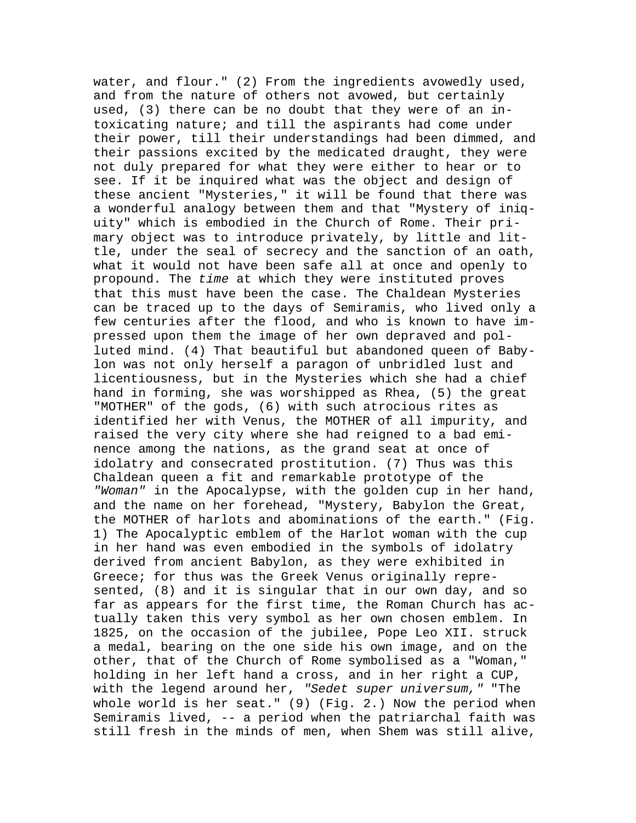water, and flour." (2) From the ingredients avowedly used, and from the nature of others not avowed, but certainly used, (3) there can be no doubt that they were of an intoxicating nature; and till the aspirants had come under their power, till their understandings had been dimmed, and their passions excited by the medicated draught, they were not duly prepared for what they were either to hear or to see. If it be inquired what was the object and design of these ancient "Mysteries," it will be found that there was a wonderful analogy between them and that "Mystery of iniquity" which is embodied in the Church of Rome. Their primary object was to introduce privately, by little and little, under the seal of secrecy and the sanction of an oath, what it would not have been safe all at once and openly to propound. The *time* at which they were instituted proves that this must have been the case. The Chaldean Mysteries can be traced up to the days of Semiramis, who lived only a few centuries after the flood, and who is known to have impressed upon them the image of her own depraved and polluted mind. (4) That beautiful but abandoned queen of Babylon was not only herself a paragon of unbridled lust and licentiousness, but in the Mysteries which she had a chief hand in forming, she was worshipped as Rhea, (5) the great "MOTHER" of the gods, (6) with such atrocious rites as identified her with Venus, the MOTHER of all impurity, and raised the very city where she had reigned to a bad eminence among the nations, as the grand seat at once of idolatry and consecrated prostitution. (7) Thus was this Chaldean queen a fit and remarkable prototype of the *"Woman"* in the Apocalypse, with the golden cup in her hand, and the name on her forehead, "Mystery, Babylon the Great, the MOTHER of harlots and abominations of the earth." (Fig. 1) The Apocalyptic emblem of the Harlot woman with the cup in her hand was even embodied in the symbols of idolatry derived from ancient Babylon, as they were exhibited in Greece; for thus was the Greek Venus originally represented, (8) and it is singular that in our own day, and so far as appears for the first time, the Roman Church has actually taken this very symbol as her own chosen emblem. In 1825, on the occasion of the jubilee, Pope Leo XII. struck a medal, bearing on the one side his own image, and on the other, that of the Church of Rome symbolised as a "Woman," holding in her left hand a cross, and in her right a CUP, with the legend around her, *"Sedet super universum,"* "The whole world is her seat." (9) (Fig. 2.) Now the period when Semiramis lived, -- a period when the patriarchal faith was still fresh in the minds of men, when Shem was still alive,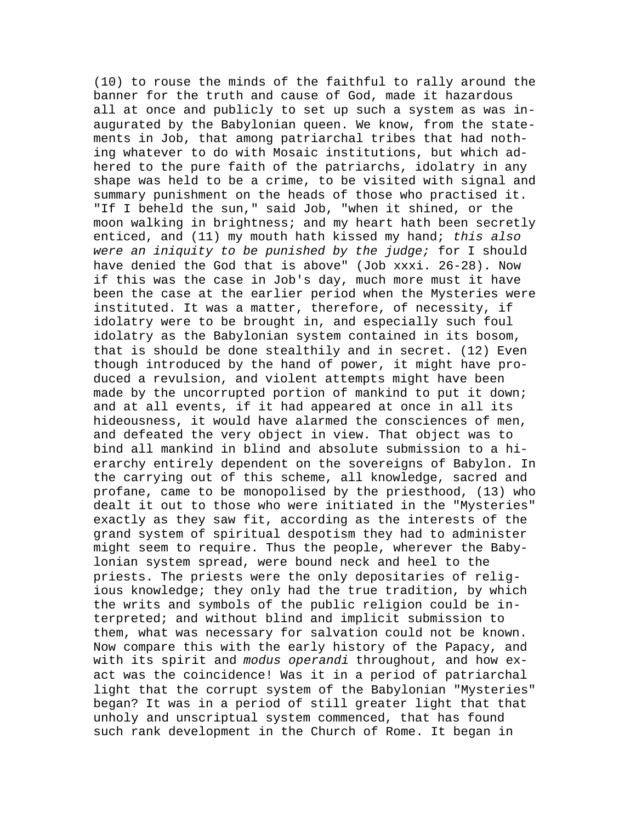(10) to rouse the minds of the faithful to rally around the banner for the truth and cause of God, made it hazardous all at once and publicly to set up such a system as was inaugurated by the Babylonian queen. We know, from the statements in Job, that among patriarchal tribes that had nothing whatever to do with Mosaic institutions, but which adhered to the pure faith of the patriarchs, idolatry in any shape was held to be a crime, to be visited with signal and summary punishment on the heads of those who practised it. "If I beheld the sun," said Job, "when it shined, or the moon walking in brightness; and my heart hath been secretly enticed, and (11) my mouth hath kissed my hand; *this also were an iniquity to be punished by the judge;* for I should have denied the God that is above" (Job xxxi. 26-28). Now if this was the case in Job's day, much more must it have been the case at the earlier period when the Mysteries were instituted. It was a matter, therefore, of necessity, if idolatry were to be brought in, and especially such foul idolatry as the Babylonian system contained in its bosom, that is should be done stealthily and in secret. (12) Even though introduced by the hand of power, it might have produced a revulsion, and violent attempts might have been made by the uncorrupted portion of mankind to put it down; and at all events, if it had appeared at once in all its hideousness, it would have alarmed the consciences of men, and defeated the very object in view. That object was to bind all mankind in blind and absolute submission to a hierarchy entirely dependent on the sovereigns of Babylon. In the carrying out of this scheme, all knowledge, sacred and profane, came to be monopolised by the priesthood, (13) who dealt it out to those who were initiated in the "Mysteries" exactly as they saw fit, according as the interests of the grand system of spiritual despotism they had to administer might seem to require. Thus the people, wherever the Babylonian system spread, were bound neck and heel to the priests. The priests were the only depositaries of religious knowledge; they only had the true tradition, by which the writs and symbols of the public religion could be interpreted; and without blind and implicit submission to them, what was necessary for salvation could not be known. Now compare this with the early history of the Papacy, and with its spirit and *modus operandi* throughout, and how exact was the coincidence! Was it in a period of patriarchal light that the corrupt system of the Babylonian "Mysteries" began? It was in a period of still greater light that that unholy and unscriptual system commenced, that has found such rank development in the Church of Rome. It began in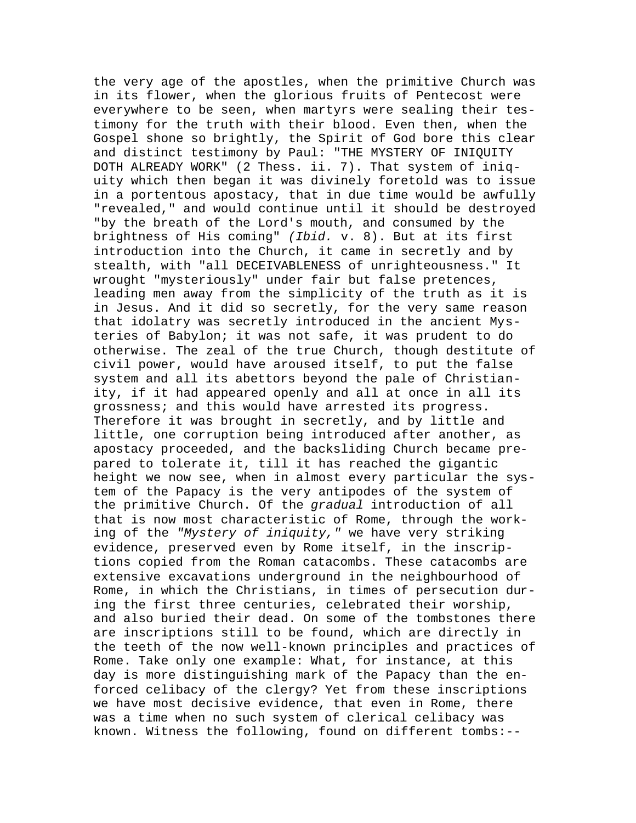the very age of the apostles, when the primitive Church was in its flower, when the glorious fruits of Pentecost were everywhere to be seen, when martyrs were sealing their testimony for the truth with their blood. Even then, when the Gospel shone so brightly, the Spirit of God bore this clear and distinct testimony by Paul: "THE MYSTERY OF INIQUITY DOTH ALREADY WORK" (2 Thess. ii. 7). That system of iniquity which then began it was divinely foretold was to issue in a portentous apostacy, that in due time would be awfully "revealed," and would continue until it should be destroyed "by the breath of the Lord's mouth, and consumed by the brightness of His coming" *(Ibid.* v. 8). But at its first introduction into the Church, it came in secretly and by stealth, with "all DECEIVABLENESS of unrighteousness." It wrought "mysteriously" under fair but false pretences, leading men away from the simplicity of the truth as it is in Jesus. And it did so secretly, for the very same reason that idolatry was secretly introduced in the ancient Mysteries of Babylon; it was not safe, it was prudent to do otherwise. The zeal of the true Church, though destitute of civil power, would have aroused itself, to put the false system and all its abettors beyond the pale of Christianity, if it had appeared openly and all at once in all its grossness; and this would have arrested its progress. Therefore it was brought in secretly, and by little and little, one corruption being introduced after another, as apostacy proceeded, and the backsliding Church became prepared to tolerate it, till it has reached the gigantic height we now see, when in almost every particular the system of the Papacy is the very antipodes of the system of the primitive Church. Of the *gradual* introduction of all that is now most characteristic of Rome, through the working of the *"Mystery of iniquity,"* we have very striking evidence, preserved even by Rome itself, in the inscriptions copied from the Roman catacombs. These catacombs are extensive excavations underground in the neighbourhood of Rome, in which the Christians, in times of persecution during the first three centuries, celebrated their worship, and also buried their dead. On some of the tombstones there are inscriptions still to be found, which are directly in the teeth of the now well-known principles and practices of Rome. Take only one example: What, for instance, at this day is more distinguishing mark of the Papacy than the enforced celibacy of the clergy? Yet from these inscriptions we have most decisive evidence, that even in Rome, there was a time when no such system of clerical celibacy was known. Witness the following, found on different tombs:--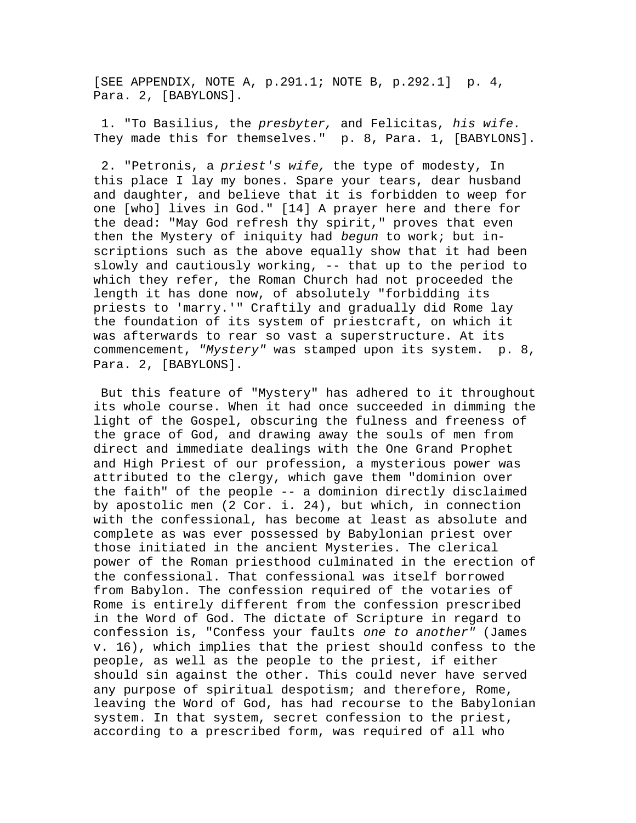[SEE APPENDIX, NOTE A, p.291.1; NOTE B, p.292.1] p. 4, Para. 2, [BABYLONS].

 1. "To Basilius, the *presbyter,* and Felicitas, *his wife.* They made this for themselves." p. 8, Para. 1, [BABYLONS].

 2. "Petronis, a *priest's wife,* the type of modesty, In this place I lay my bones. Spare your tears, dear husband and daughter, and believe that it is forbidden to weep for one [who] lives in God." [14] A prayer here and there for the dead: "May God refresh thy spirit," proves that even then the Mystery of iniquity had *begun* to work; but inscriptions such as the above equally show that it had been slowly and cautiously working, -- that up to the period to which they refer, the Roman Church had not proceeded the length it has done now, of absolutely "forbidding its priests to 'marry.'" Craftily and gradually did Rome lay the foundation of its system of priestcraft, on which it was afterwards to rear so vast a superstructure. At its commencement, *"Mystery"* was stamped upon its system. p. 8, Para. 2, [BABYLONS].

 But this feature of "Mystery" has adhered to it throughout its whole course. When it had once succeeded in dimming the light of the Gospel, obscuring the fulness and freeness of the grace of God, and drawing away the souls of men from direct and immediate dealings with the One Grand Prophet and High Priest of our profession, a mysterious power was attributed to the clergy, which gave them "dominion over the faith" of the people -- a dominion directly disclaimed by apostolic men (2 Cor. i. 24), but which, in connection with the confessional, has become at least as absolute and complete as was ever possessed by Babylonian priest over those initiated in the ancient Mysteries. The clerical power of the Roman priesthood culminated in the erection of the confessional. That confessional was itself borrowed from Babylon. The confession required of the votaries of Rome is entirely different from the confession prescribed in the Word of God. The dictate of Scripture in regard to confession is, "Confess your faults *one to another"* (James v. 16), which implies that the priest should confess to the people, as well as the people to the priest, if either should sin against the other. This could never have served any purpose of spiritual despotism; and therefore, Rome, leaving the Word of God, has had recourse to the Babylonian system. In that system, secret confession to the priest, according to a prescribed form, was required of all who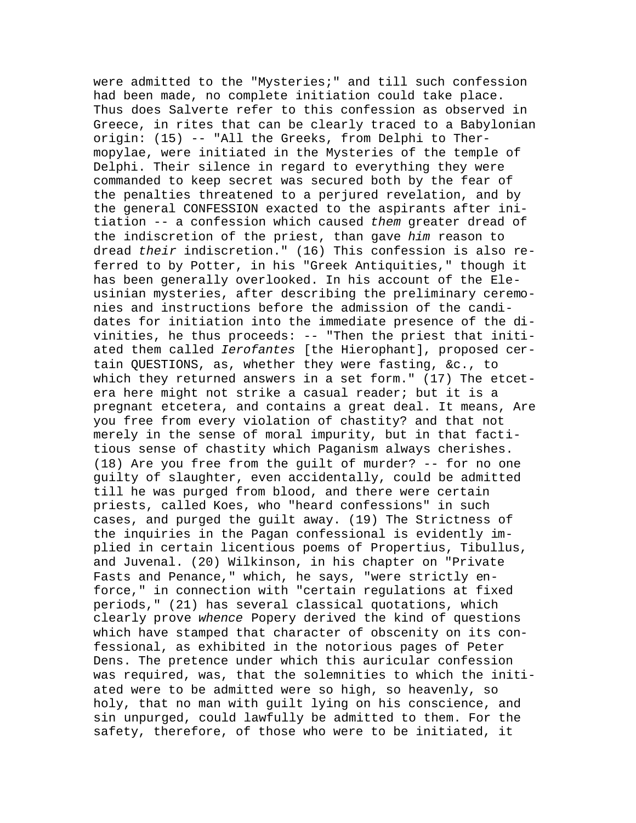were admitted to the "Mysteries;" and till such confession had been made, no complete initiation could take place. Thus does Salverte refer to this confession as observed in Greece, in rites that can be clearly traced to a Babylonian origin: (15) -- "All the Greeks, from Delphi to Thermopylae, were initiated in the Mysteries of the temple of Delphi. Their silence in regard to everything they were commanded to keep secret was secured both by the fear of the penalties threatened to a perjured revelation, and by the general CONFESSION exacted to the aspirants after initiation -- a confession which caused *them* greater dread of the indiscretion of the priest, than gave *him* reason to dread *their* indiscretion." (16) This confession is also referred to by Potter, in his "Greek Antiquities," though it has been generally overlooked. In his account of the Eleusinian mysteries, after describing the preliminary ceremonies and instructions before the admission of the candidates for initiation into the immediate presence of the divinities, he thus proceeds: -- "Then the priest that initiated them called *Ierofantes* [the Hierophant], proposed certain QUESTIONS, as, whether they were fasting, &c., to which they returned answers in a set form." (17) The etcetera here might not strike a casual reader; but it is a pregnant etcetera, and contains a great deal. It means, Are you free from every violation of chastity? and that not merely in the sense of moral impurity, but in that factitious sense of chastity which Paganism always cherishes. (18) Are you free from the guilt of murder? -- for no one guilty of slaughter, even accidentally, could be admitted till he was purged from blood, and there were certain priests, called Koes, who "heard confessions" in such cases, and purged the guilt away. (19) The Strictness of the inquiries in the Pagan confessional is evidently implied in certain licentious poems of Propertius, Tibullus, and Juvenal. (20) Wilkinson, in his chapter on "Private Fasts and Penance," which, he says, "were strictly enforce," in connection with "certain regulations at fixed periods," (21) has several classical quotations, which clearly prove *whence* Popery derived the kind of questions which have stamped that character of obscenity on its confessional, as exhibited in the notorious pages of Peter Dens. The pretence under which this auricular confession was required, was, that the solemnities to which the initiated were to be admitted were so high, so heavenly, so holy, that no man with guilt lying on his conscience, and sin unpurged, could lawfully be admitted to them. For the safety, therefore, of those who were to be initiated, it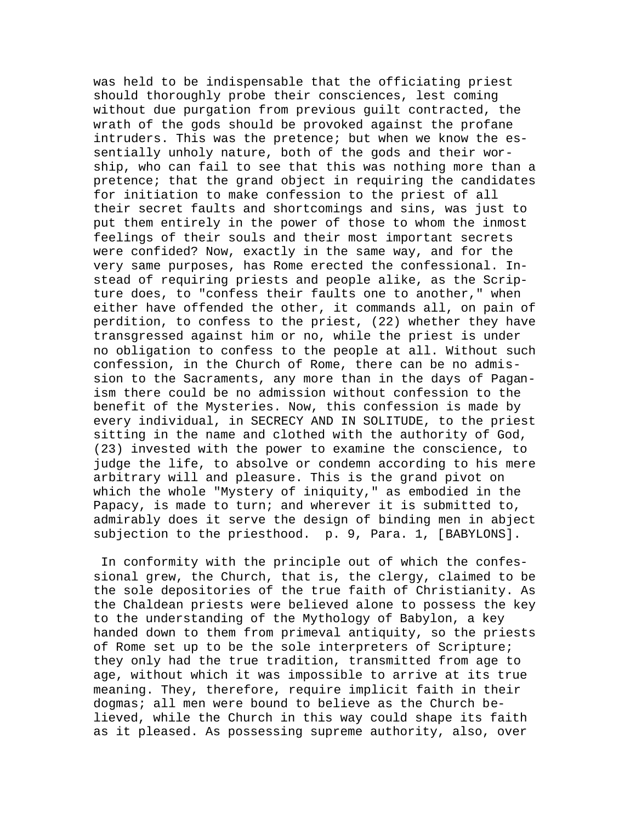was held to be indispensable that the officiating priest should thoroughly probe their consciences, lest coming without due purgation from previous guilt contracted, the wrath of the gods should be provoked against the profane intruders. This was the pretence; but when we know the essentially unholy nature, both of the gods and their worship, who can fail to see that this was nothing more than a pretence; that the grand object in requiring the candidates for initiation to make confession to the priest of all their secret faults and shortcomings and sins, was just to put them entirely in the power of those to whom the inmost feelings of their souls and their most important secrets were confided? Now, exactly in the same way, and for the very same purposes, has Rome erected the confessional. Instead of requiring priests and people alike, as the Scripture does, to "confess their faults one to another," when either have offended the other, it commands all, on pain of perdition, to confess to the priest, (22) whether they have transgressed against him or no, while the priest is under no obligation to confess to the people at all. Without such confession, in the Church of Rome, there can be no admission to the Sacraments, any more than in the days of Paganism there could be no admission without confession to the benefit of the Mysteries. Now, this confession is made by every individual, in SECRECY AND IN SOLITUDE, to the priest sitting in the name and clothed with the authority of God, (23) invested with the power to examine the conscience, to judge the life, to absolve or condemn according to his mere arbitrary will and pleasure. This is the grand pivot on which the whole "Mystery of iniquity," as embodied in the Papacy, is made to turn; and wherever it is submitted to, admirably does it serve the design of binding men in abject subjection to the priesthood. p. 9, Para. 1, [BABYLONS].

 In conformity with the principle out of which the confessional grew, the Church, that is, the clergy, claimed to be the sole depositories of the true faith of Christianity. As the Chaldean priests were believed alone to possess the key to the understanding of the Mythology of Babylon, a key handed down to them from primeval antiquity, so the priests of Rome set up to be the sole interpreters of Scripture; they only had the true tradition, transmitted from age to age, without which it was impossible to arrive at its true meaning. They, therefore, require implicit faith in their dogmas; all men were bound to believe as the Church believed, while the Church in this way could shape its faith as it pleased. As possessing supreme authority, also, over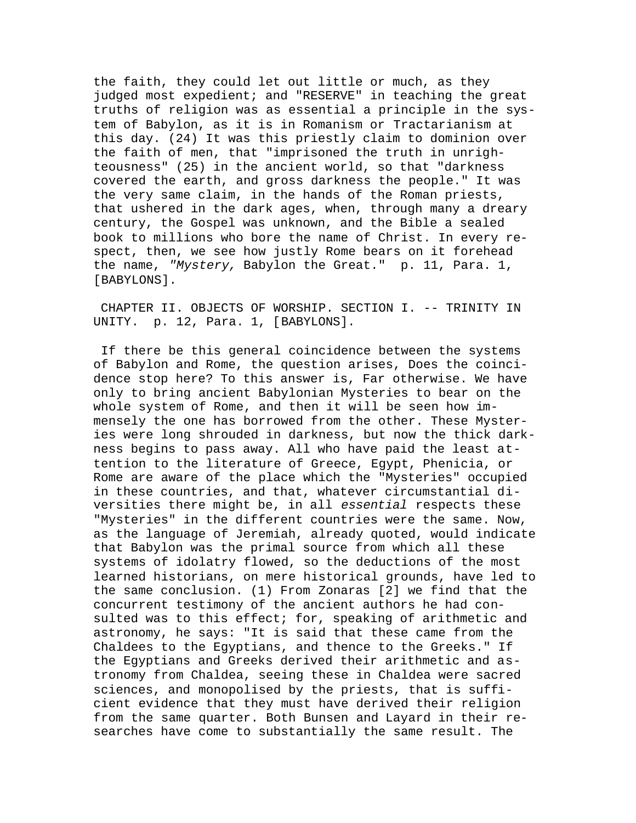the faith, they could let out little or much, as they judged most expedient; and "RESERVE" in teaching the great truths of religion was as essential a principle in the system of Babylon, as it is in Romanism or Tractarianism at this day. (24) It was this priestly claim to dominion over the faith of men, that "imprisoned the truth in unrighteousness" (25) in the ancient world, so that "darkness covered the earth, and gross darkness the people." It was the very same claim, in the hands of the Roman priests, that ushered in the dark ages, when, through many a dreary century, the Gospel was unknown, and the Bible a sealed book to millions who bore the name of Christ. In every respect, then, we see how justly Rome bears on it forehead the name, *"Mystery,* Babylon the Great." p. 11, Para. 1, [BABYLONS].

 CHAPTER II. OBJECTS OF WORSHIP. SECTION I. -- TRINITY IN UNITY. p. 12, Para. 1, [BABYLONS].

 If there be this general coincidence between the systems of Babylon and Rome, the question arises, Does the coincidence stop here? To this answer is, Far otherwise. We have only to bring ancient Babylonian Mysteries to bear on the whole system of Rome, and then it will be seen how immensely the one has borrowed from the other. These Mysteries were long shrouded in darkness, but now the thick darkness begins to pass away. All who have paid the least attention to the literature of Greece, Egypt, Phenicia, or Rome are aware of the place which the "Mysteries" occupied in these countries, and that, whatever circumstantial diversities there might be, in all *essential* respects these "Mysteries" in the different countries were the same. Now, as the language of Jeremiah, already quoted, would indicate that Babylon was the primal source from which all these systems of idolatry flowed, so the deductions of the most learned historians, on mere historical grounds, have led to the same conclusion. (1) From Zonaras [2] we find that the concurrent testimony of the ancient authors he had consulted was to this effect; for, speaking of arithmetic and astronomy, he says: "It is said that these came from the Chaldees to the Egyptians, and thence to the Greeks." If the Egyptians and Greeks derived their arithmetic and astronomy from Chaldea, seeing these in Chaldea were sacred sciences, and monopolised by the priests, that is sufficient evidence that they must have derived their religion from the same quarter. Both Bunsen and Layard in their researches have come to substantially the same result. The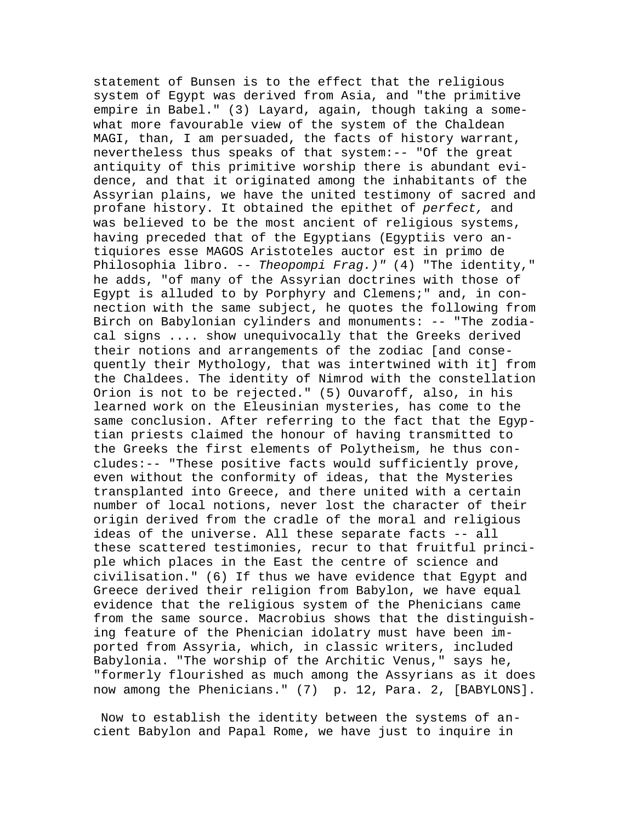statement of Bunsen is to the effect that the religious system of Egypt was derived from Asia, and "the primitive empire in Babel." (3) Layard, again, though taking a somewhat more favourable view of the system of the Chaldean MAGI, than, I am persuaded, the facts of history warrant, nevertheless thus speaks of that system:-- "Of the great antiquity of this primitive worship there is abundant evidence, and that it originated among the inhabitants of the Assyrian plains, we have the united testimony of sacred and profane history. It obtained the epithet of *perfect,* and was believed to be the most ancient of religious systems, having preceded that of the Egyptians (Egyptiis vero antiquiores esse MAGOS Aristoteles auctor est in primo de Philosophia libro. -- *Theopompi Frag.)"* (4) "The identity," he adds, "of many of the Assyrian doctrines with those of Egypt is alluded to by Porphyry and Clemens;" and, in connection with the same subject, he quotes the following from Birch on Babylonian cylinders and monuments: -- "The zodiacal signs .... show unequivocally that the Greeks derived their notions and arrangements of the zodiac [and consequently their Mythology, that was intertwined with it] from the Chaldees. The identity of Nimrod with the constellation Orion is not to be rejected." (5) Ouvaroff, also, in his learned work on the Eleusinian mysteries, has come to the same conclusion. After referring to the fact that the Egyptian priests claimed the honour of having transmitted to the Greeks the first elements of Polytheism, he thus concludes:-- "These positive facts would sufficiently prove, even without the conformity of ideas, that the Mysteries transplanted into Greece, and there united with a certain number of local notions, never lost the character of their origin derived from the cradle of the moral and religious ideas of the universe. All these separate facts -- all these scattered testimonies, recur to that fruitful principle which places in the East the centre of science and civilisation." (6) If thus we have evidence that Egypt and Greece derived their religion from Babylon, we have equal evidence that the religious system of the Phenicians came from the same source. Macrobius shows that the distinguishing feature of the Phenician idolatry must have been imported from Assyria, which, in classic writers, included Babylonia. "The worship of the Architic Venus," says he, "formerly flourished as much among the Assyrians as it does now among the Phenicians." (7) p. 12, Para. 2, [BABYLONS].

 Now to establish the identity between the systems of ancient Babylon and Papal Rome, we have just to inquire in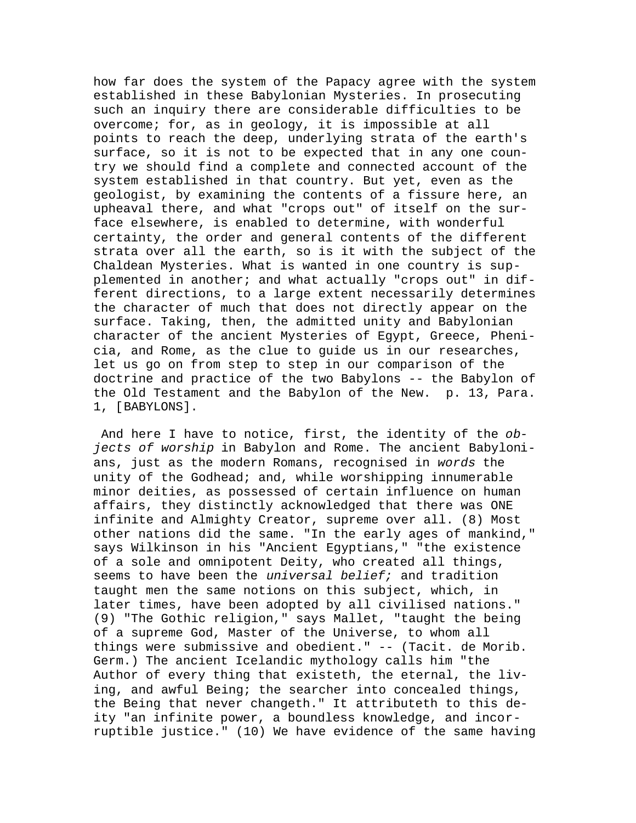how far does the system of the Papacy agree with the system established in these Babylonian Mysteries. In prosecuting such an inquiry there are considerable difficulties to be overcome; for, as in geology, it is impossible at all points to reach the deep, underlying strata of the earth's surface, so it is not to be expected that in any one country we should find a complete and connected account of the system established in that country. But yet, even as the geologist, by examining the contents of a fissure here, an upheaval there, and what "crops out" of itself on the surface elsewhere, is enabled to determine, with wonderful certainty, the order and general contents of the different strata over all the earth, so is it with the subject of the Chaldean Mysteries. What is wanted in one country is supplemented in another; and what actually "crops out" in different directions, to a large extent necessarily determines the character of much that does not directly appear on the surface. Taking, then, the admitted unity and Babylonian character of the ancient Mysteries of Egypt, Greece, Phenicia, and Rome, as the clue to guide us in our researches, let us go on from step to step in our comparison of the doctrine and practice of the two Babylons -- the Babylon of the Old Testament and the Babylon of the New. p. 13, Para. 1, [BABYLONS].

 And here I have to notice, first, the identity of the *objects of worship* in Babylon and Rome. The ancient Babylonians, just as the modern Romans, recognised in *words* the unity of the Godhead; and, while worshipping innumerable minor deities, as possessed of certain influence on human affairs, they distinctly acknowledged that there was ONE infinite and Almighty Creator, supreme over all. (8) Most other nations did the same. "In the early ages of mankind," says Wilkinson in his "Ancient Egyptians," "the existence of a sole and omnipotent Deity, who created all things, seems to have been the *universal belief;* and tradition taught men the same notions on this subject, which, in later times, have been adopted by all civilised nations." (9) "The Gothic religion," says Mallet, "taught the being of a supreme God, Master of the Universe, to whom all things were submissive and obedient." -- (Tacit. de Morib. Germ.) The ancient Icelandic mythology calls him "the Author of every thing that existeth, the eternal, the living, and awful Being; the searcher into concealed things, the Being that never changeth." It attributeth to this deity "an infinite power, a boundless knowledge, and incorruptible justice." (10) We have evidence of the same having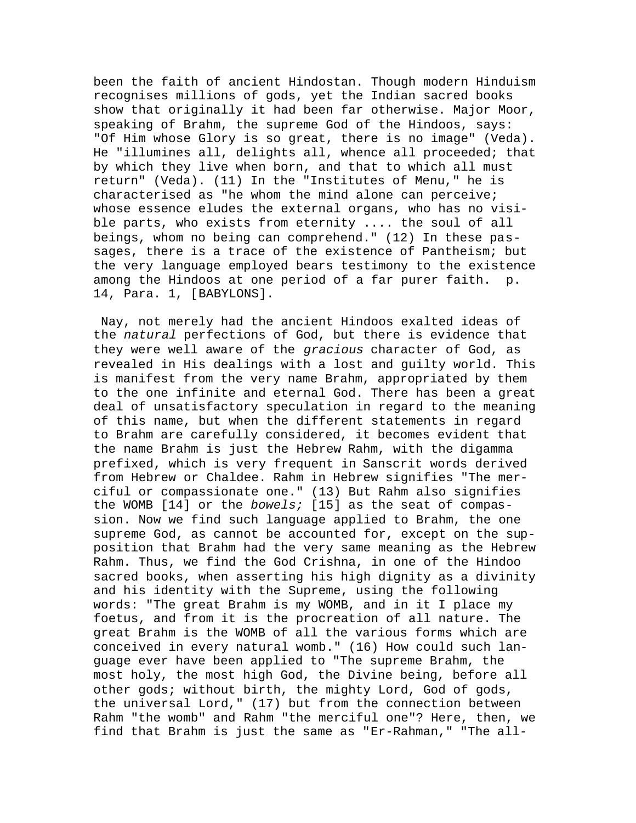been the faith of ancient Hindostan. Though modern Hinduism recognises millions of gods, yet the Indian sacred books show that originally it had been far otherwise. Major Moor, speaking of Brahm, the supreme God of the Hindoos, says: "Of Him whose Glory is so great, there is no image" (Veda). He "illumines all, delights all, whence all proceeded; that by which they live when born, and that to which all must return" (Veda). (11) In the "Institutes of Menu," he is characterised as "he whom the mind alone can perceive; whose essence eludes the external organs, who has no visible parts, who exists from eternity .... the soul of all beings, whom no being can comprehend." (12) In these passages, there is a trace of the existence of Pantheism; but the very language employed bears testimony to the existence among the Hindoos at one period of a far purer faith. p. 14, Para. 1, [BABYLONS].

 Nay, not merely had the ancient Hindoos exalted ideas of the *natural* perfections of God, but there is evidence that they were well aware of the *gracious* character of God, as revealed in His dealings with a lost and guilty world. This is manifest from the very name Brahm, appropriated by them to the one infinite and eternal God. There has been a great deal of unsatisfactory speculation in regard to the meaning of this name, but when the different statements in regard to Brahm are carefully considered, it becomes evident that the name Brahm is just the Hebrew Rahm, with the digamma prefixed, which is very frequent in Sanscrit words derived from Hebrew or Chaldee. Rahm in Hebrew signifies "The merciful or compassionate one." (13) But Rahm also signifies the WOMB [14] or the *bowels;* [15] as the seat of compassion. Now we find such language applied to Brahm, the one supreme God, as cannot be accounted for, except on the supposition that Brahm had the very same meaning as the Hebrew Rahm. Thus, we find the God Crishna, in one of the Hindoo sacred books, when asserting his high dignity as a divinity and his identity with the Supreme, using the following words: "The great Brahm is my WOMB, and in it I place my foetus, and from it is the procreation of all nature. The great Brahm is the WOMB of all the various forms which are conceived in every natural womb." (16) How could such language ever have been applied to "The supreme Brahm, the most holy, the most high God, the Divine being, before all other gods; without birth, the mighty Lord, God of gods, the universal Lord," (17) but from the connection between Rahm "the womb" and Rahm "the merciful one"? Here, then, we find that Brahm is just the same as "Er-Rahman," "The all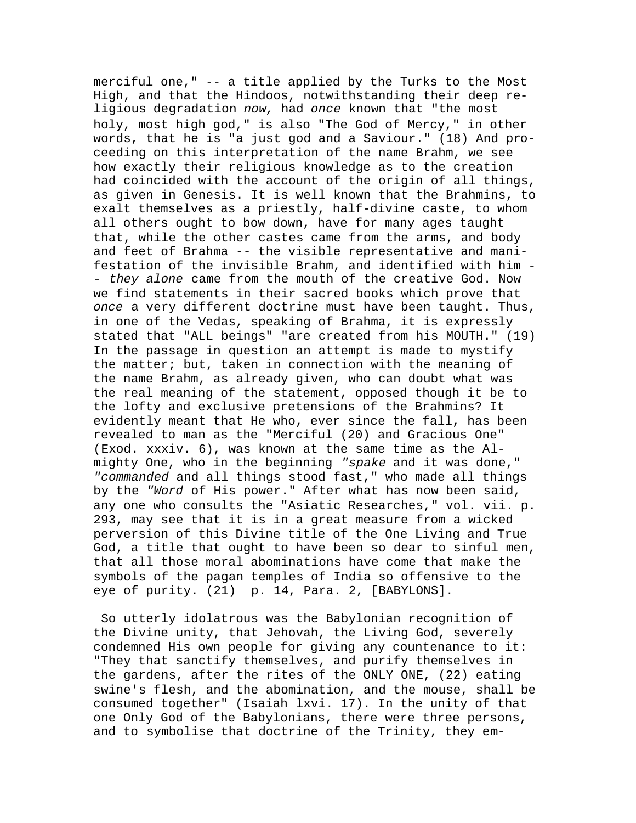merciful one," -- a title applied by the Turks to the Most High, and that the Hindoos, notwithstanding their deep religious degradation *now,* had *once* known that "the most holy, most high god," is also "The God of Mercy," in other words, that he is "a just god and a Saviour." (18) And proceeding on this interpretation of the name Brahm, we see how exactly their religious knowledge as to the creation had coincided with the account of the origin of all things, as given in Genesis. It is well known that the Brahmins, to exalt themselves as a priestly, half-divine caste, to whom all others ought to bow down, have for many ages taught that, while the other castes came from the arms, and body and feet of Brahma -- the visible representative and manifestation of the invisible Brahm, and identified with him - - *they alone* came from the mouth of the creative God. Now we find statements in their sacred books which prove that *once* a very different doctrine must have been taught. Thus, in one of the Vedas, speaking of Brahma, it is expressly stated that "ALL beings" "are created from his MOUTH." (19) In the passage in question an attempt is made to mystify the matter; but, taken in connection with the meaning of the name Brahm, as already given, who can doubt what was the real meaning of the statement, opposed though it be to the lofty and exclusive pretensions of the Brahmins? It evidently meant that He who, ever since the fall, has been revealed to man as the "Merciful (20) and Gracious One" (Exod. xxxiv. 6), was known at the same time as the Almighty One, who in the beginning *"spake* and it was done," *"commanded* and all things stood fast," who made all things by the *"Word* of His power." After what has now been said, any one who consults the "Asiatic Researches," vol. vii. p. 293, may see that it is in a great measure from a wicked perversion of this Divine title of the One Living and True God, a title that ought to have been so dear to sinful men, that all those moral abominations have come that make the symbols of the pagan temples of India so offensive to the eye of purity. (21) p. 14, Para. 2, [BABYLONS].

 So utterly idolatrous was the Babylonian recognition of the Divine unity, that Jehovah, the Living God, severely condemned His own people for giving any countenance to it: "They that sanctify themselves, and purify themselves in the gardens, after the rites of the ONLY ONE, (22) eating swine's flesh, and the abomination, and the mouse, shall be consumed together" (Isaiah lxvi. 17). In the unity of that one Only God of the Babylonians, there were three persons, and to symbolise that doctrine of the Trinity, they em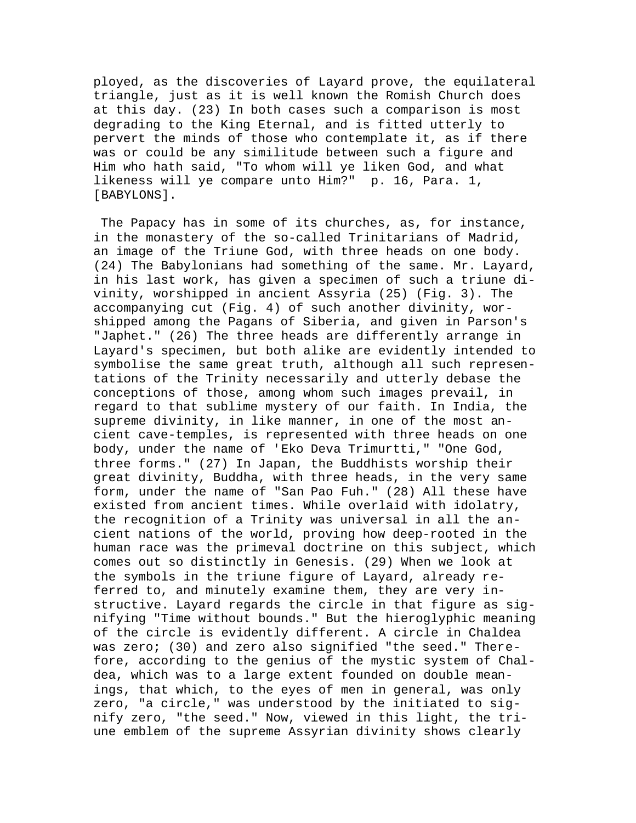ployed, as the discoveries of Layard prove, the equilateral triangle, just as it is well known the Romish Church does at this day. (23) In both cases such a comparison is most degrading to the King Eternal, and is fitted utterly to pervert the minds of those who contemplate it, as if there was or could be any similitude between such a figure and Him who hath said, "To whom will ye liken God, and what likeness will ye compare unto Him?" p. 16, Para. 1, [BABYLONS].

 The Papacy has in some of its churches, as, for instance, in the monastery of the so-called Trinitarians of Madrid, an image of the Triune God, with three heads on one body. (24) The Babylonians had something of the same. Mr. Layard, in his last work, has given a specimen of such a triune divinity, worshipped in ancient Assyria (25) (Fig. 3). The accompanying cut (Fig. 4) of such another divinity, worshipped among the Pagans of Siberia, and given in Parson's "Japhet." (26) The three heads are differently arrange in Layard's specimen, but both alike are evidently intended to symbolise the same great truth, although all such representations of the Trinity necessarily and utterly debase the conceptions of those, among whom such images prevail, in regard to that sublime mystery of our faith. In India, the supreme divinity, in like manner, in one of the most ancient cave-temples, is represented with three heads on one body, under the name of 'Eko Deva Trimurtti," "One God, three forms." (27) In Japan, the Buddhists worship their great divinity, Buddha, with three heads, in the very same form, under the name of "San Pao Fuh." (28) All these have existed from ancient times. While overlaid with idolatry, the recognition of a Trinity was universal in all the ancient nations of the world, proving how deep-rooted in the human race was the primeval doctrine on this subject, which comes out so distinctly in Genesis. (29) When we look at the symbols in the triune figure of Layard, already referred to, and minutely examine them, they are very instructive. Layard regards the circle in that figure as signifying "Time without bounds." But the hieroglyphic meaning of the circle is evidently different. A circle in Chaldea was zero; (30) and zero also signified "the seed." Therefore, according to the genius of the mystic system of Chaldea, which was to a large extent founded on double meanings, that which, to the eyes of men in general, was only zero, "a circle," was understood by the initiated to signify zero, "the seed." Now, viewed in this light, the triune emblem of the supreme Assyrian divinity shows clearly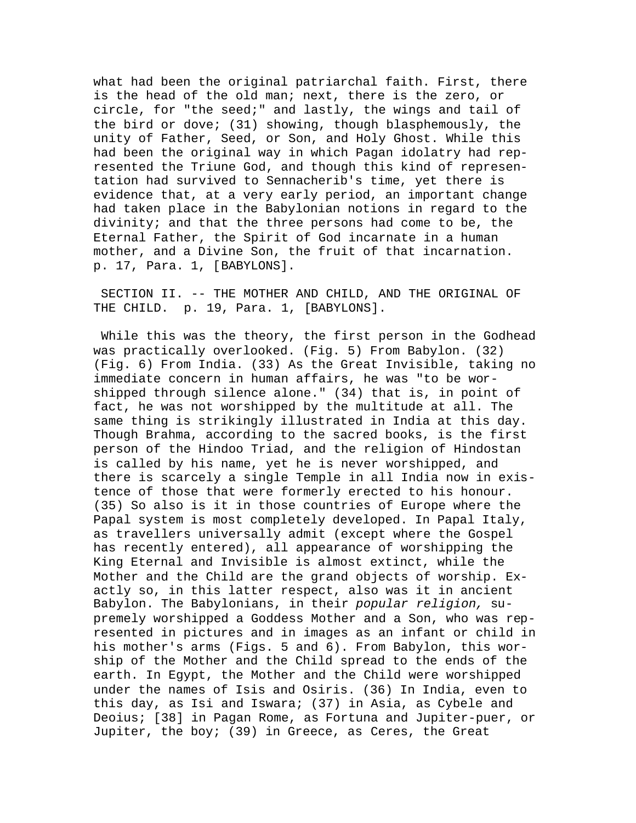what had been the original patriarchal faith. First, there is the head of the old man; next, there is the zero, or circle, for "the seed;" and lastly, the wings and tail of the bird or dove; (31) showing, though blasphemously, the unity of Father, Seed, or Son, and Holy Ghost. While this had been the original way in which Pagan idolatry had represented the Triune God, and though this kind of representation had survived to Sennacherib's time, yet there is evidence that, at a very early period, an important change had taken place in the Babylonian notions in regard to the divinity; and that the three persons had come to be, the Eternal Father, the Spirit of God incarnate in a human mother, and a Divine Son, the fruit of that incarnation. p. 17, Para. 1, [BABYLONS].

 SECTION II. -- THE MOTHER AND CHILD, AND THE ORIGINAL OF THE CHILD. p. 19, Para. 1, [BABYLONS].

 While this was the theory, the first person in the Godhead was practically overlooked. (Fig. 5) From Babylon. (32) (Fig. 6) From India. (33) As the Great Invisible, taking no immediate concern in human affairs, he was "to be worshipped through silence alone." (34) that is, in point of fact, he was not worshipped by the multitude at all. The same thing is strikingly illustrated in India at this day. Though Brahma, according to the sacred books, is the first person of the Hindoo Triad, and the religion of Hindostan is called by his name, yet he is never worshipped, and there is scarcely a single Temple in all India now in existence of those that were formerly erected to his honour. (35) So also is it in those countries of Europe where the Papal system is most completely developed. In Papal Italy, as travellers universally admit (except where the Gospel has recently entered), all appearance of worshipping the King Eternal and Invisible is almost extinct, while the Mother and the Child are the grand objects of worship. Exactly so, in this latter respect, also was it in ancient Babylon. The Babylonians, in their *popular religion,* supremely worshipped a Goddess Mother and a Son, who was represented in pictures and in images as an infant or child in his mother's arms (Figs. 5 and 6). From Babylon, this worship of the Mother and the Child spread to the ends of the earth. In Egypt, the Mother and the Child were worshipped under the names of Isis and Osiris. (36) In India, even to this day, as Isi and Iswara; (37) in Asia, as Cybele and Deoius; [38] in Pagan Rome, as Fortuna and Jupiter-puer, or Jupiter, the boy; (39) in Greece, as Ceres, the Great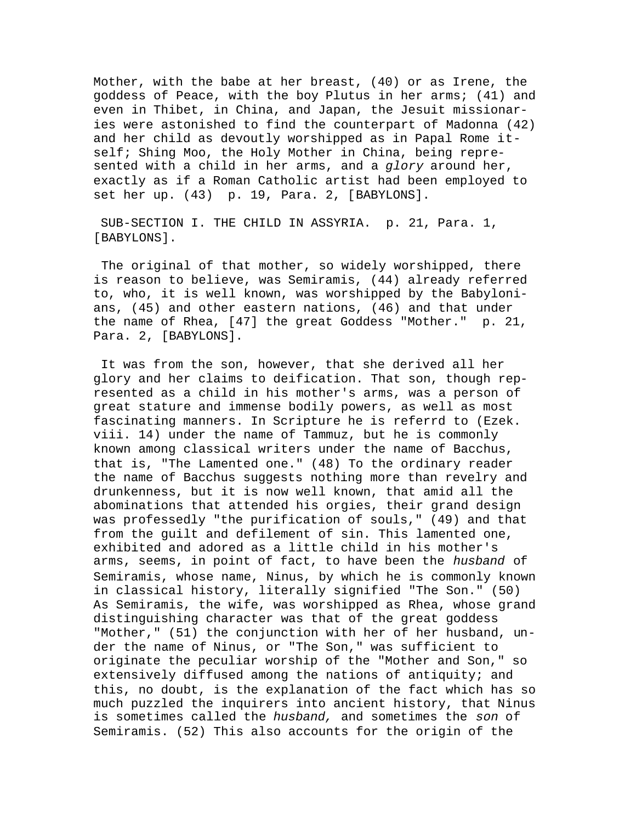Mother, with the babe at her breast, (40) or as Irene, the goddess of Peace, with the boy Plutus in her arms; (41) and even in Thibet, in China, and Japan, the Jesuit missionaries were astonished to find the counterpart of Madonna (42) and her child as devoutly worshipped as in Papal Rome itself; Shing Moo, the Holy Mother in China, being represented with a child in her arms, and a *glory* around her, exactly as if a Roman Catholic artist had been employed to set her up. (43) p. 19, Para. 2, [BABYLONS].

 SUB-SECTION I. THE CHILD IN ASSYRIA. p. 21, Para. 1, [BABYLONS].

 The original of that mother, so widely worshipped, there is reason to believe, was Semiramis, (44) already referred to, who, it is well known, was worshipped by the Babylonians, (45) and other eastern nations, (46) and that under the name of Rhea, [47] the great Goddess "Mother." p. 21, Para. 2, [BABYLONS].

 It was from the son, however, that she derived all her glory and her claims to deification. That son, though represented as a child in his mother's arms, was a person of great stature and immense bodily powers, as well as most fascinating manners. In Scripture he is referrd to (Ezek. viii. 14) under the name of Tammuz, but he is commonly known among classical writers under the name of Bacchus, that is, "The Lamented one." (48) To the ordinary reader the name of Bacchus suggests nothing more than revelry and drunkenness, but it is now well known, that amid all the abominations that attended his orgies, their grand design was professedly "the purification of souls," (49) and that from the guilt and defilement of sin. This lamented one, exhibited and adored as a little child in his mother's arms, seems, in point of fact, to have been the *husband* of Semiramis, whose name, Ninus, by which he is commonly known in classical history, literally signified "The Son." (50) As Semiramis, the wife, was worshipped as Rhea, whose grand distinguishing character was that of the great goddess "Mother," (51) the conjunction with her of her husband, under the name of Ninus, or "The Son," was sufficient to originate the peculiar worship of the "Mother and Son," so extensively diffused among the nations of antiquity; and this, no doubt, is the explanation of the fact which has so much puzzled the inquirers into ancient history, that Ninus is sometimes called the *husband,* and sometimes the *son* of Semiramis. (52) This also accounts for the origin of the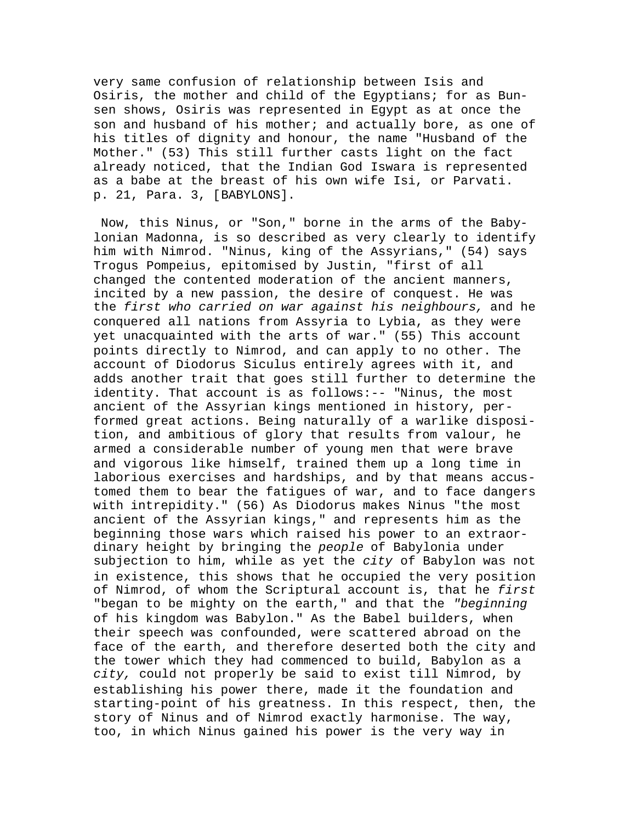very same confusion of relationship between Isis and Osiris, the mother and child of the Egyptians; for as Bunsen shows, Osiris was represented in Egypt as at once the son and husband of his mother; and actually bore, as one of his titles of dignity and honour, the name "Husband of the Mother." (53) This still further casts light on the fact already noticed, that the Indian God Iswara is represented as a babe at the breast of his own wife Isi, or Parvati. p. 21, Para. 3, [BABYLONS].

 Now, this Ninus, or "Son," borne in the arms of the Babylonian Madonna, is so described as very clearly to identify him with Nimrod. "Ninus, king of the Assyrians," (54) says Trogus Pompeius, epitomised by Justin, "first of all changed the contented moderation of the ancient manners, incited by a new passion, the desire of conquest. He was the *first who carried on war against his neighbours,* and he conquered all nations from Assyria to Lybia, as they were yet unacquainted with the arts of war." (55) This account points directly to Nimrod, and can apply to no other. The account of Diodorus Siculus entirely agrees with it, and adds another trait that goes still further to determine the identity. That account is as follows:-- "Ninus, the most ancient of the Assyrian kings mentioned in history, performed great actions. Being naturally of a warlike disposition, and ambitious of glory that results from valour, he armed a considerable number of young men that were brave and vigorous like himself, trained them up a long time in laborious exercises and hardships, and by that means accustomed them to bear the fatigues of war, and to face dangers with intrepidity." (56) As Diodorus makes Ninus "the most ancient of the Assyrian kings," and represents him as the beginning those wars which raised his power to an extraordinary height by bringing the *people* of Babylonia under subjection to him, while as yet the *city* of Babylon was not in existence, this shows that he occupied the very position of Nimrod, of whom the Scriptural account is, that he *first* "began to be mighty on the earth," and that the *"beginning* of his kingdom was Babylon." As the Babel builders, when their speech was confounded, were scattered abroad on the face of the earth, and therefore deserted both the city and the tower which they had commenced to build, Babylon as a *city,* could not properly be said to exist till Nimrod, by establishing his power there, made it the foundation and starting-point of his greatness. In this respect, then, the story of Ninus and of Nimrod exactly harmonise. The way, too, in which Ninus gained his power is the very way in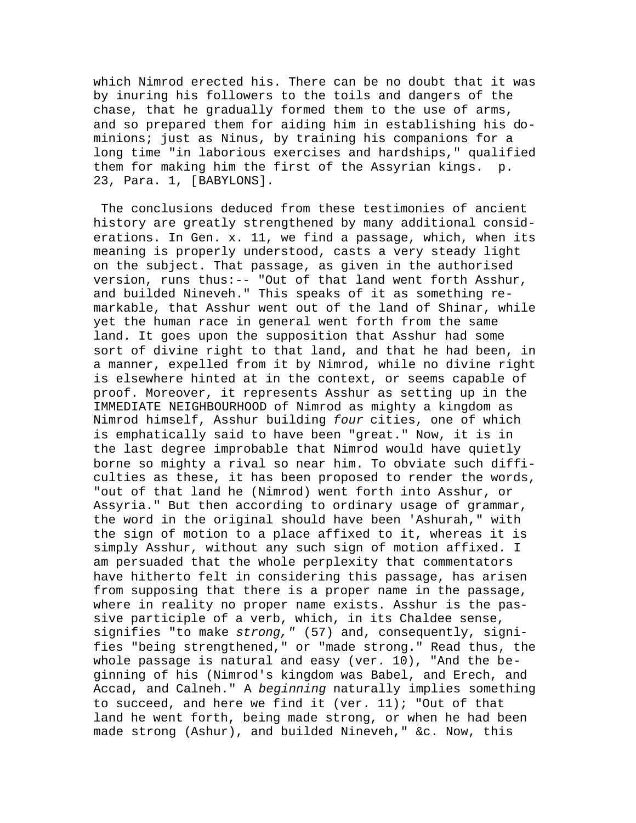which Nimrod erected his. There can be no doubt that it was by inuring his followers to the toils and dangers of the chase, that he gradually formed them to the use of arms, and so prepared them for aiding him in establishing his dominions; just as Ninus, by training his companions for a long time "in laborious exercises and hardships," qualified them for making him the first of the Assyrian kings. p. 23, Para. 1, [BABYLONS].

 The conclusions deduced from these testimonies of ancient history are greatly strengthened by many additional considerations. In Gen. x. 11, we find a passage, which, when its meaning is properly understood, casts a very steady light on the subject. That passage, as given in the authorised version, runs thus:-- "Out of that land went forth Asshur, and builded Nineveh." This speaks of it as something remarkable, that Asshur went out of the land of Shinar, while yet the human race in general went forth from the same land. It goes upon the supposition that Asshur had some sort of divine right to that land, and that he had been, in a manner, expelled from it by Nimrod, while no divine right is elsewhere hinted at in the context, or seems capable of proof. Moreover, it represents Asshur as setting up in the IMMEDIATE NEIGHBOURHOOD of Nimrod as mighty a kingdom as Nimrod himself, Asshur building *four* cities, one of which is emphatically said to have been "great." Now, it is in the last degree improbable that Nimrod would have quietly borne so mighty a rival so near him. To obviate such difficulties as these, it has been proposed to render the words, "out of that land he (Nimrod) went forth into Asshur, or Assyria." But then according to ordinary usage of grammar, the word in the original should have been 'Ashurah," with the sign of motion to a place affixed to it, whereas it is simply Asshur, without any such sign of motion affixed. I am persuaded that the whole perplexity that commentators have hitherto felt in considering this passage, has arisen from supposing that there is a proper name in the passage, where in reality no proper name exists. Asshur is the passive participle of a verb, which, in its Chaldee sense, signifies "to make *strong,"* (57) and, consequently, signifies "being strengthened," or "made strong." Read thus, the whole passage is natural and easy (ver. 10), "And the beginning of his (Nimrod's kingdom was Babel, and Erech, and Accad, and Calneh." A *beginning* naturally implies something to succeed, and here we find it (ver. 11); "Out of that land he went forth, being made strong, or when he had been made strong (Ashur), and builded Nineveh," &c. Now, this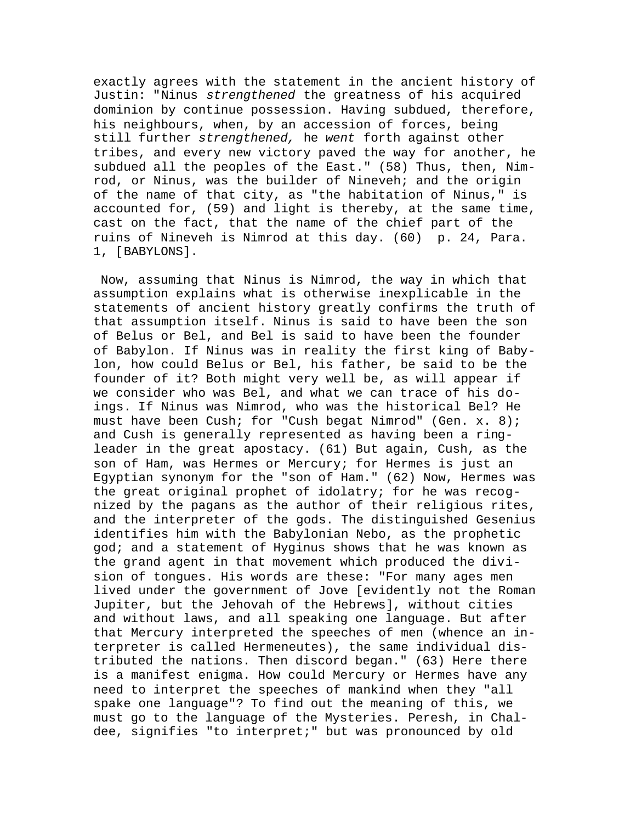exactly agrees with the statement in the ancient history of Justin: "Ninus *strengthened* the greatness of his acquired dominion by continue possession. Having subdued, therefore, his neighbours, when, by an accession of forces, being still further *strengthened,* he *went* forth against other tribes, and every new victory paved the way for another, he subdued all the peoples of the East." (58) Thus, then, Nimrod, or Ninus, was the builder of Nineveh; and the origin of the name of that city, as "the habitation of Ninus," is accounted for, (59) and light is thereby, at the same time, cast on the fact, that the name of the chief part of the ruins of Nineveh is Nimrod at this day. (60) p. 24, Para. 1, [BABYLONS].

 Now, assuming that Ninus is Nimrod, the way in which that assumption explains what is otherwise inexplicable in the statements of ancient history greatly confirms the truth of that assumption itself. Ninus is said to have been the son of Belus or Bel, and Bel is said to have been the founder of Babylon. If Ninus was in reality the first king of Babylon, how could Belus or Bel, his father, be said to be the founder of it? Both might very well be, as will appear if we consider who was Bel, and what we can trace of his doings. If Ninus was Nimrod, who was the historical Bel? He must have been Cush; for "Cush begat Nimrod" (Gen. x. 8); and Cush is generally represented as having been a ringleader in the great apostacy. (61) But again, Cush, as the son of Ham, was Hermes or Mercury; for Hermes is just an Egyptian synonym for the "son of Ham." (62) Now, Hermes was the great original prophet of idolatry; for he was recognized by the pagans as the author of their religious rites, and the interpreter of the gods. The distinguished Gesenius identifies him with the Babylonian Nebo, as the prophetic god; and a statement of Hyginus shows that he was known as the grand agent in that movement which produced the division of tongues. His words are these: "For many ages men lived under the government of Jove [evidently not the Roman Jupiter, but the Jehovah of the Hebrews], without cities and without laws, and all speaking one language. But after that Mercury interpreted the speeches of men (whence an interpreter is called Hermeneutes), the same individual distributed the nations. Then discord began." (63) Here there is a manifest enigma. How could Mercury or Hermes have any need to interpret the speeches of mankind when they "all spake one language"? To find out the meaning of this, we must go to the language of the Mysteries. Peresh, in Chaldee, signifies "to interpret;" but was pronounced by old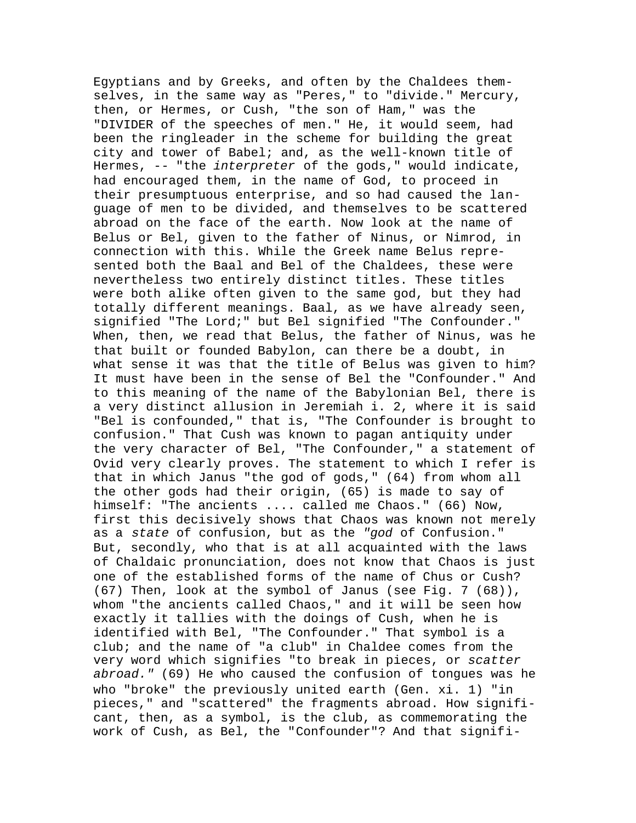Egyptians and by Greeks, and often by the Chaldees themselves, in the same way as "Peres," to "divide." Mercury, then, or Hermes, or Cush, "the son of Ham," was the "DIVIDER of the speeches of men." He, it would seem, had been the ringleader in the scheme for building the great city and tower of Babel; and, as the well-known title of Hermes, -- "the *interpreter* of the gods," would indicate, had encouraged them, in the name of God, to proceed in their presumptuous enterprise, and so had caused the language of men to be divided, and themselves to be scattered abroad on the face of the earth. Now look at the name of Belus or Bel, given to the father of Ninus, or Nimrod, in connection with this. While the Greek name Belus represented both the Baal and Bel of the Chaldees, these were nevertheless two entirely distinct titles. These titles were both alike often given to the same god, but they had totally different meanings. Baal, as we have already seen, signified "The Lord;" but Bel signified "The Confounder." When, then, we read that Belus, the father of Ninus, was he that built or founded Babylon, can there be a doubt, in what sense it was that the title of Belus was given to him? It must have been in the sense of Bel the "Confounder." And to this meaning of the name of the Babylonian Bel, there is a very distinct allusion in Jeremiah i. 2, where it is said "Bel is confounded," that is, "The Confounder is brought to confusion." That Cush was known to pagan antiquity under the very character of Bel, "The Confounder," a statement of Ovid very clearly proves. The statement to which I refer is that in which Janus "the god of gods," (64) from whom all the other gods had their origin, (65) is made to say of himself: "The ancients .... called me Chaos." (66) Now, first this decisively shows that Chaos was known not merely as a *state* of confusion, but as the *"god* of Confusion." But, secondly, who that is at all acquainted with the laws of Chaldaic pronunciation, does not know that Chaos is just one of the established forms of the name of Chus or Cush? (67) Then, look at the symbol of Janus (see Fig. 7 (68)), whom "the ancients called Chaos," and it will be seen how exactly it tallies with the doings of Cush, when he is identified with Bel, "The Confounder." That symbol is a club; and the name of "a club" in Chaldee comes from the very word which signifies "to break in pieces, or *scatter abroad."* (69) He who caused the confusion of tongues was he who "broke" the previously united earth (Gen. xi. 1) "in pieces," and "scattered" the fragments abroad. How significant, then, as a symbol, is the club, as commemorating the work of Cush, as Bel, the "Confounder"? And that signifi-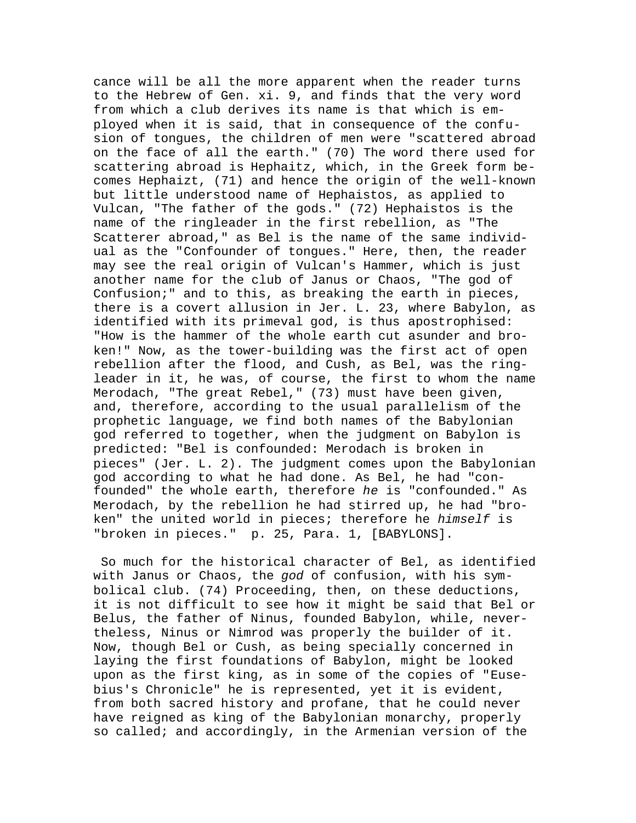cance will be all the more apparent when the reader turns to the Hebrew of Gen. xi. 9, and finds that the very word from which a club derives its name is that which is employed when it is said, that in consequence of the confusion of tongues, the children of men were "scattered abroad on the face of all the earth." (70) The word there used for scattering abroad is Hephaitz, which, in the Greek form becomes Hephaizt, (71) and hence the origin of the well-known but little understood name of Hephaistos, as applied to Vulcan, "The father of the gods." (72) Hephaistos is the name of the ringleader in the first rebellion, as "The Scatterer abroad," as Bel is the name of the same individual as the "Confounder of tongues." Here, then, the reader may see the real origin of Vulcan's Hammer, which is just another name for the club of Janus or Chaos, "The god of Confusion;" and to this, as breaking the earth in pieces, there is a covert allusion in Jer. L. 23, where Babylon, as identified with its primeval god, is thus apostrophised: "How is the hammer of the whole earth cut asunder and broken!" Now, as the tower-building was the first act of open rebellion after the flood, and Cush, as Bel, was the ringleader in it, he was, of course, the first to whom the name Merodach, "The great Rebel," (73) must have been given, and, therefore, according to the usual parallelism of the prophetic language, we find both names of the Babylonian god referred to together, when the judgment on Babylon is predicted: "Bel is confounded: Merodach is broken in pieces" (Jer. L. 2). The judgment comes upon the Babylonian god according to what he had done. As Bel, he had "confounded" the whole earth, therefore *he* is "confounded." As Merodach, by the rebellion he had stirred up, he had "broken" the united world in pieces; therefore he *himself* is "broken in pieces." p. 25, Para. 1, [BABYLONS].

 So much for the historical character of Bel, as identified with Janus or Chaos, the *god* of confusion, with his symbolical club. (74) Proceeding, then, on these deductions, it is not difficult to see how it might be said that Bel or Belus, the father of Ninus, founded Babylon, while, nevertheless, Ninus or Nimrod was properly the builder of it. Now, though Bel or Cush, as being specially concerned in laying the first foundations of Babylon, might be looked upon as the first king, as in some of the copies of "Eusebius's Chronicle" he is represented, yet it is evident, from both sacred history and profane, that he could never have reigned as king of the Babylonian monarchy, properly so called; and accordingly, in the Armenian version of the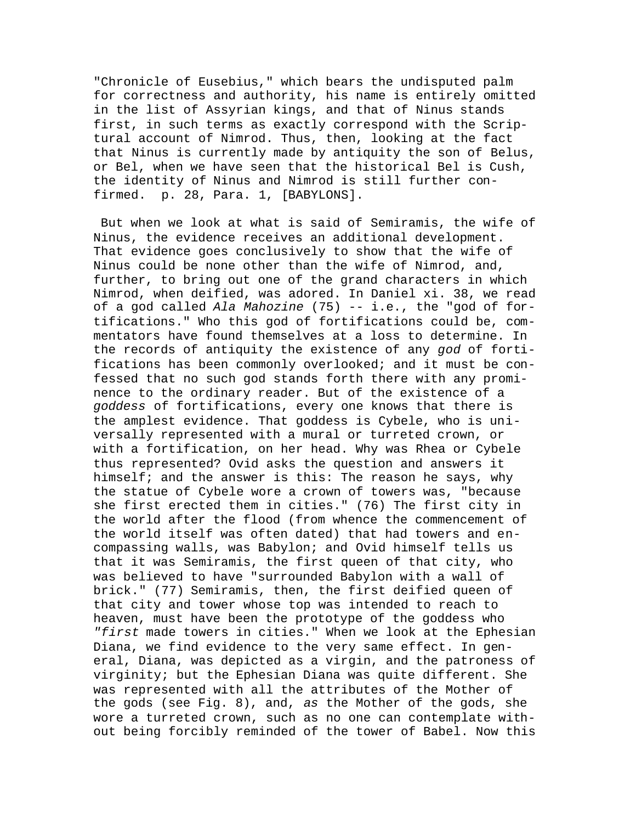"Chronicle of Eusebius," which bears the undisputed palm for correctness and authority, his name is entirely omitted in the list of Assyrian kings, and that of Ninus stands first, in such terms as exactly correspond with the Scriptural account of Nimrod. Thus, then, looking at the fact that Ninus is currently made by antiquity the son of Belus, or Bel, when we have seen that the historical Bel is Cush, the identity of Ninus and Nimrod is still further confirmed. p. 28, Para. 1, [BABYLONS].

 But when we look at what is said of Semiramis, the wife of Ninus, the evidence receives an additional development. That evidence goes conclusively to show that the wife of Ninus could be none other than the wife of Nimrod, and, further, to bring out one of the grand characters in which Nimrod, when deified, was adored. In Daniel xi. 38, we read of a god called *Ala Mahozine* (75) -- i.e., the "god of fortifications." Who this god of fortifications could be, commentators have found themselves at a loss to determine. In the records of antiquity the existence of any *god* of fortifications has been commonly overlooked; and it must be confessed that no such god stands forth there with any prominence to the ordinary reader. But of the existence of a *goddess* of fortifications, every one knows that there is the amplest evidence. That goddess is Cybele, who is universally represented with a mural or turreted crown, or with a fortification, on her head. Why was Rhea or Cybele thus represented? Ovid asks the question and answers it himself; and the answer is this: The reason he says, why the statue of Cybele wore a crown of towers was, "because she first erected them in cities." (76) The first city in the world after the flood (from whence the commencement of the world itself was often dated) that had towers and encompassing walls, was Babylon; and Ovid himself tells us that it was Semiramis, the first queen of that city, who was believed to have "surrounded Babylon with a wall of brick." (77) Semiramis, then, the first deified queen of that city and tower whose top was intended to reach to heaven, must have been the prototype of the goddess who *"first* made towers in cities." When we look at the Ephesian Diana, we find evidence to the very same effect. In general, Diana, was depicted as a virgin, and the patroness of virginity; but the Ephesian Diana was quite different. She was represented with all the attributes of the Mother of the gods (see Fig. 8), and, *as* the Mother of the gods, she wore a turreted crown, such as no one can contemplate without being forcibly reminded of the tower of Babel. Now this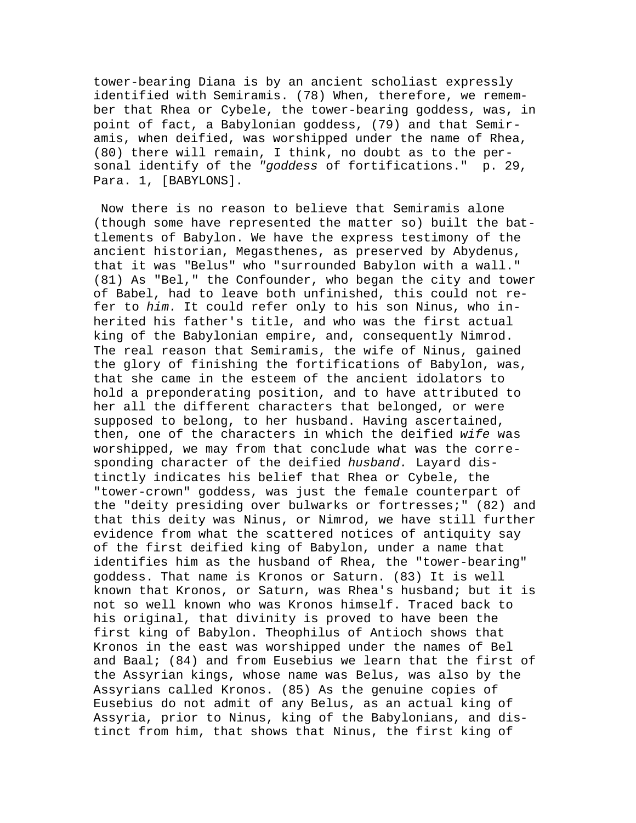tower-bearing Diana is by an ancient scholiast expressly identified with Semiramis. (78) When, therefore, we remember that Rhea or Cybele, the tower-bearing goddess, was, in point of fact, a Babylonian goddess, (79) and that Semiramis, when deified, was worshipped under the name of Rhea, (80) there will remain, I think, no doubt as to the personal identify of the *"goddess* of fortifications." p. 29, Para. 1, [BABYLONS].

 Now there is no reason to believe that Semiramis alone (though some have represented the matter so) built the battlements of Babylon. We have the express testimony of the ancient historian, Megasthenes, as preserved by Abydenus, that it was "Belus" who "surrounded Babylon with a wall." (81) As "Bel," the Confounder, who began the city and tower of Babel, had to leave both unfinished, this could not refer to *him.* It could refer only to his son Ninus, who inherited his father's title, and who was the first actual king of the Babylonian empire, and, consequently Nimrod. The real reason that Semiramis, the wife of Ninus, gained the glory of finishing the fortifications of Babylon, was, that she came in the esteem of the ancient idolators to hold a preponderating position, and to have attributed to her all the different characters that belonged, or were supposed to belong, to her husband. Having ascertained, then, one of the characters in which the deified *wife* was worshipped, we may from that conclude what was the corresponding character of the deified *husband.* Layard distinctly indicates his belief that Rhea or Cybele, the "tower-crown" goddess, was just the female counterpart of the "deity presiding over bulwarks or fortresses;" (82) and that this deity was Ninus, or Nimrod, we have still further evidence from what the scattered notices of antiquity say of the first deified king of Babylon, under a name that identifies him as the husband of Rhea, the "tower-bearing" goddess. That name is Kronos or Saturn. (83) It is well known that Kronos, or Saturn, was Rhea's husband; but it is not so well known who was Kronos himself. Traced back to his original, that divinity is proved to have been the first king of Babylon. Theophilus of Antioch shows that Kronos in the east was worshipped under the names of Bel and Baal; (84) and from Eusebius we learn that the first of the Assyrian kings, whose name was Belus, was also by the Assyrians called Kronos. (85) As the genuine copies of Eusebius do not admit of any Belus, as an actual king of Assyria, prior to Ninus, king of the Babylonians, and distinct from him, that shows that Ninus, the first king of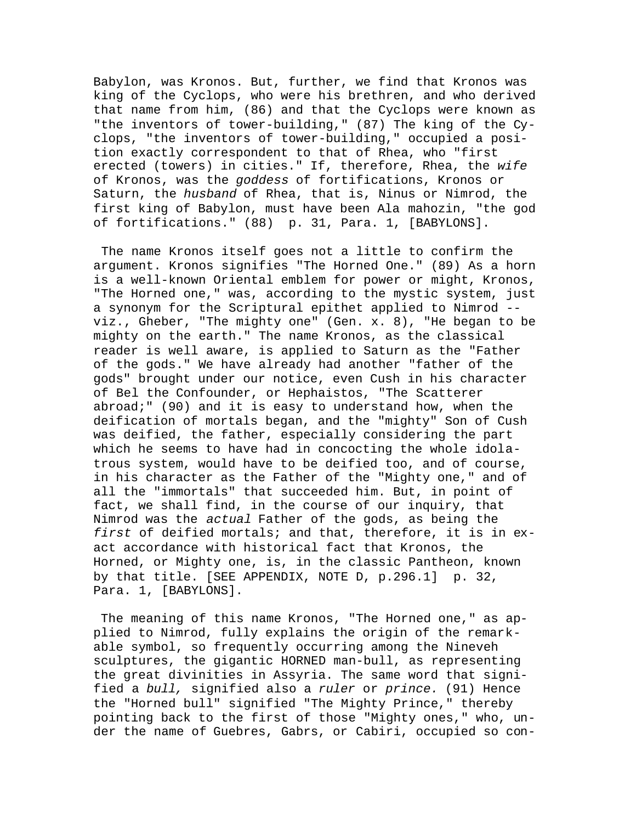Babylon, was Kronos. But, further, we find that Kronos was king of the Cyclops, who were his brethren, and who derived that name from him, (86) and that the Cyclops were known as "the inventors of tower-building," (87) The king of the Cyclops, "the inventors of tower-building," occupied a position exactly correspondent to that of Rhea, who "first erected (towers) in cities." If, therefore, Rhea, the *wife* of Kronos, was the *goddess* of fortifications, Kronos or Saturn, the *husband* of Rhea, that is, Ninus or Nimrod, the first king of Babylon, must have been Ala mahozin, "the god of fortifications." (88) p. 31, Para. 1, [BABYLONS].

 The name Kronos itself goes not a little to confirm the argument. Kronos signifies "The Horned One." (89) As a horn is a well-known Oriental emblem for power or might, Kronos, "The Horned one," was, according to the mystic system, just a synonym for the Scriptural epithet applied to Nimrod - viz., Gheber, "The mighty one" (Gen. x. 8), "He began to be mighty on the earth." The name Kronos, as the classical reader is well aware, is applied to Saturn as the "Father of the gods." We have already had another "father of the gods" brought under our notice, even Cush in his character of Bel the Confounder, or Hephaistos, "The Scatterer abroad;" (90) and it is easy to understand how, when the deification of mortals began, and the "mighty" Son of Cush was deified, the father, especially considering the part which he seems to have had in concocting the whole idolatrous system, would have to be deified too, and of course, in his character as the Father of the "Mighty one," and of all the "immortals" that succeeded him. But, in point of fact, we shall find, in the course of our inquiry, that Nimrod was the *actual* Father of the gods, as being the *first* of deified mortals; and that, therefore, it is in exact accordance with historical fact that Kronos, the Horned, or Mighty one, is, in the classic Pantheon, known by that title. [SEE APPENDIX, NOTE D, p.296.1] p. 32, Para. 1, [BABYLONS].

 The meaning of this name Kronos, "The Horned one," as applied to Nimrod, fully explains the origin of the remarkable symbol, so frequently occurring among the Nineveh sculptures, the gigantic HORNED man-bull, as representing the great divinities in Assyria. The same word that signified a *bull,* signified also a *ruler* or *prince.* (91) Hence the "Horned bull" signified "The Mighty Prince," thereby pointing back to the first of those "Mighty ones," who, under the name of Guebres, Gabrs, or Cabiri, occupied so con-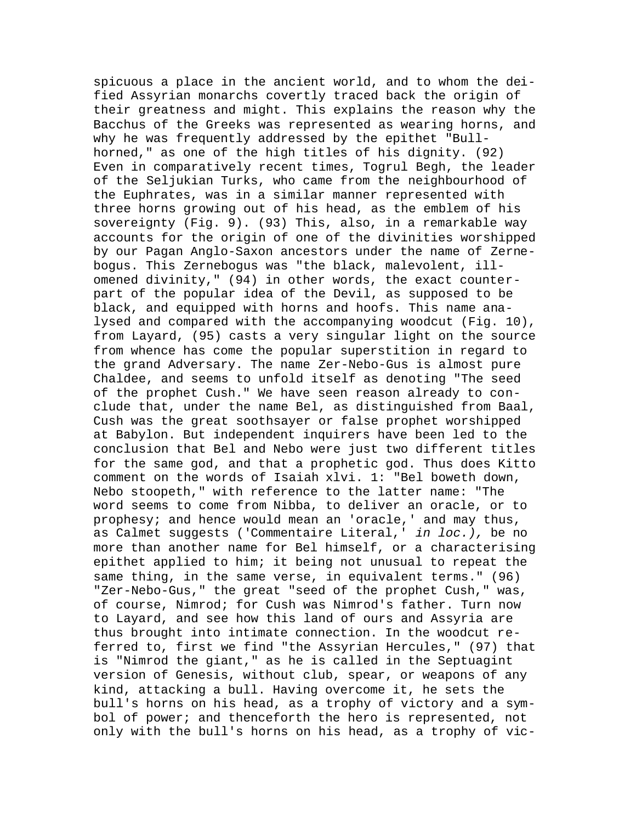spicuous a place in the ancient world, and to whom the deified Assyrian monarchs covertly traced back the origin of their greatness and might. This explains the reason why the Bacchus of the Greeks was represented as wearing horns, and why he was frequently addressed by the epithet "Bullhorned," as one of the high titles of his dignity. (92) Even in comparatively recent times, Togrul Begh, the leader of the Seljukian Turks, who came from the neighbourhood of the Euphrates, was in a similar manner represented with three horns growing out of his head, as the emblem of his sovereignty (Fig. 9). (93) This, also, in a remarkable way accounts for the origin of one of the divinities worshipped by our Pagan Anglo-Saxon ancestors under the name of Zernebogus. This Zernebogus was "the black, malevolent, illomened divinity," (94) in other words, the exact counterpart of the popular idea of the Devil, as supposed to be black, and equipped with horns and hoofs. This name analysed and compared with the accompanying woodcut (Fig. 10), from Layard, (95) casts a very singular light on the source from whence has come the popular superstition in regard to the grand Adversary. The name Zer-Nebo-Gus is almost pure Chaldee, and seems to unfold itself as denoting "The seed of the prophet Cush." We have seen reason already to conclude that, under the name Bel, as distinguished from Baal, Cush was the great soothsayer or false prophet worshipped at Babylon. But independent inquirers have been led to the conclusion that Bel and Nebo were just two different titles for the same god, and that a prophetic god. Thus does Kitto comment on the words of Isaiah xlvi. 1: "Bel boweth down, Nebo stoopeth," with reference to the latter name: "The word seems to come from Nibba, to deliver an oracle, or to prophesy; and hence would mean an 'oracle,' and may thus, as Calmet suggests ('Commentaire Literal,' *in loc.),* be no more than another name for Bel himself, or a characterising epithet applied to him; it being not unusual to repeat the same thing, in the same verse, in equivalent terms." (96) "Zer-Nebo-Gus," the great "seed of the prophet Cush," was, of course, Nimrod; for Cush was Nimrod's father. Turn now to Layard, and see how this land of ours and Assyria are thus brought into intimate connection. In the woodcut referred to, first we find "the Assyrian Hercules," (97) that is "Nimrod the giant," as he is called in the Septuagint version of Genesis, without club, spear, or weapons of any kind, attacking a bull. Having overcome it, he sets the bull's horns on his head, as a trophy of victory and a symbol of power; and thenceforth the hero is represented, not only with the bull's horns on his head, as a trophy of vic-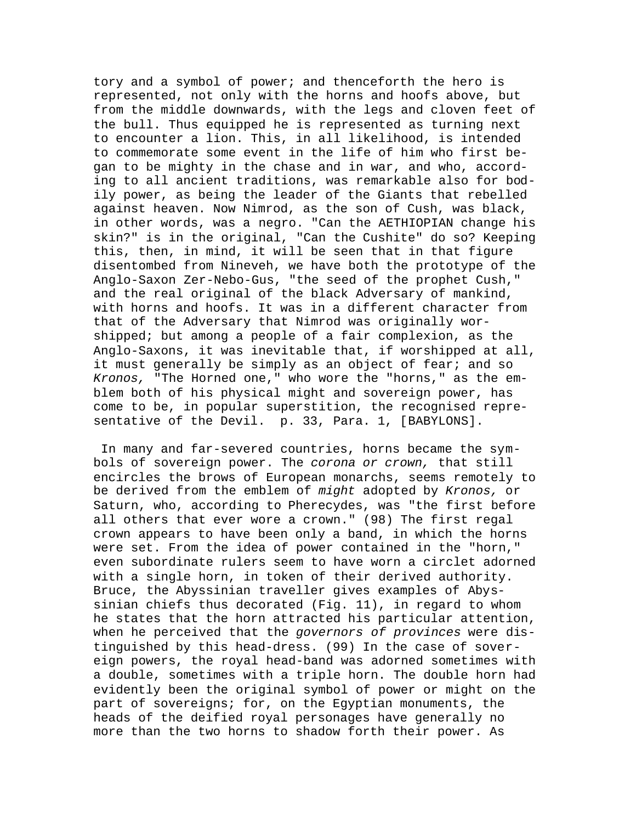tory and a symbol of power; and thenceforth the hero is represented, not only with the horns and hoofs above, but from the middle downwards, with the legs and cloven feet of the bull. Thus equipped he is represented as turning next to encounter a lion. This, in all likelihood, is intended to commemorate some event in the life of him who first began to be mighty in the chase and in war, and who, according to all ancient traditions, was remarkable also for bodily power, as being the leader of the Giants that rebelled against heaven. Now Nimrod, as the son of Cush, was black, in other words, was a negro. "Can the AETHIOPIAN change his skin?" is in the original, "Can the Cushite" do so? Keeping this, then, in mind, it will be seen that in that figure disentombed from Nineveh, we have both the prototype of the Anglo-Saxon Zer-Nebo-Gus, "the seed of the prophet Cush," and the real original of the black Adversary of mankind, with horns and hoofs. It was in a different character from that of the Adversary that Nimrod was originally worshipped; but among a people of a fair complexion, as the Anglo-Saxons, it was inevitable that, if worshipped at all, it must generally be simply as an object of fear; and so *Kronos,* "The Horned one," who wore the "horns," as the emblem both of his physical might and sovereign power, has come to be, in popular superstition, the recognised representative of the Devil. p. 33, Para. 1, [BABYLONS].

 In many and far-severed countries, horns became the symbols of sovereign power. The *corona or crown,* that still encircles the brows of European monarchs, seems remotely to be derived from the emblem of *might* adopted by *Kronos,* or Saturn, who, according to Pherecydes, was "the first before all others that ever wore a crown." (98) The first regal crown appears to have been only a band, in which the horns were set. From the idea of power contained in the "horn," even subordinate rulers seem to have worn a circlet adorned with a single horn, in token of their derived authority. Bruce, the Abyssinian traveller gives examples of Abyssinian chiefs thus decorated (Fig. 11), in regard to whom he states that the horn attracted his particular attention, when he perceived that the *governors of provinces* were distinguished by this head-dress. (99) In the case of sovereign powers, the royal head-band was adorned sometimes with a double, sometimes with a triple horn. The double horn had evidently been the original symbol of power or might on the part of sovereigns; for, on the Egyptian monuments, the heads of the deified royal personages have generally no more than the two horns to shadow forth their power. As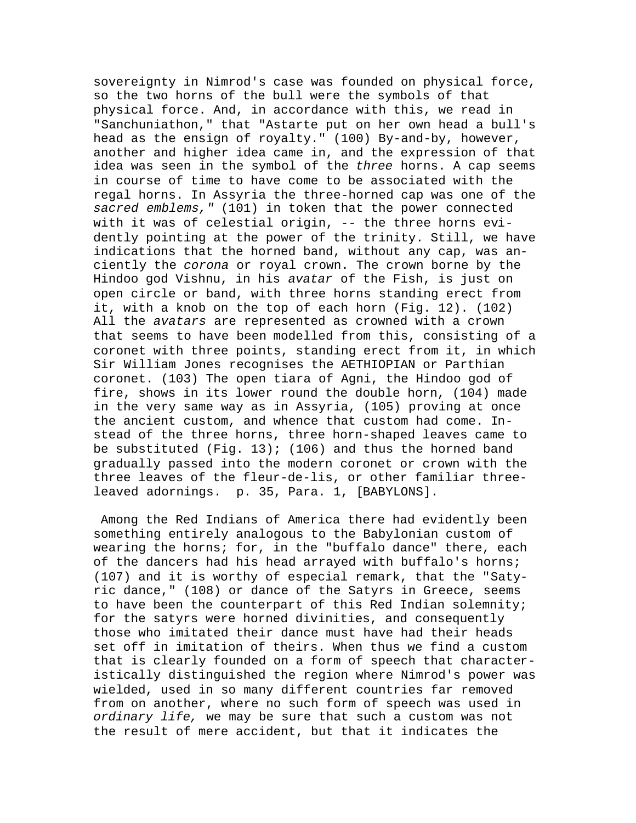sovereignty in Nimrod's case was founded on physical force, so the two horns of the bull were the symbols of that physical force. And, in accordance with this, we read in "Sanchuniathon," that "Astarte put on her own head a bull's head as the ensign of royalty." (100) By-and-by, however, another and higher idea came in, and the expression of that idea was seen in the symbol of the *three* horns. A cap seems in course of time to have come to be associated with the regal horns. In Assyria the three-horned cap was one of the *sacred emblems,"* (101) in token that the power connected with it was of celestial origin, -- the three horns evidently pointing at the power of the trinity. Still, we have indications that the horned band, without any cap, was anciently the *corona* or royal crown. The crown borne by the Hindoo god Vishnu, in his *avatar* of the Fish, is just on open circle or band, with three horns standing erect from it, with a knob on the top of each horn (Fig. 12). (102) All the *avatars* are represented as crowned with a crown that seems to have been modelled from this, consisting of a coronet with three points, standing erect from it, in which Sir William Jones recognises the AETHIOPIAN or Parthian coronet. (103) The open tiara of Agni, the Hindoo god of fire, shows in its lower round the double horn, (104) made in the very same way as in Assyria, (105) proving at once the ancient custom, and whence that custom had come. Instead of the three horns, three horn-shaped leaves came to be substituted (Fig.  $13$ ); (106) and thus the horned band gradually passed into the modern coronet or crown with the three leaves of the fleur-de-lis, or other familiar threeleaved adornings. p. 35, Para. 1, [BABYLONS].

 Among the Red Indians of America there had evidently been something entirely analogous to the Babylonian custom of wearing the horns; for, in the "buffalo dance" there, each of the dancers had his head arrayed with buffalo's horns; (107) and it is worthy of especial remark, that the "Satyric dance," (108) or dance of the Satyrs in Greece, seems to have been the counterpart of this Red Indian solemnity; for the satyrs were horned divinities, and consequently those who imitated their dance must have had their heads set off in imitation of theirs. When thus we find a custom that is clearly founded on a form of speech that characteristically distinguished the region where Nimrod's power was wielded, used in so many different countries far removed from on another, where no such form of speech was used in *ordinary life,* we may be sure that such a custom was not the result of mere accident, but that it indicates the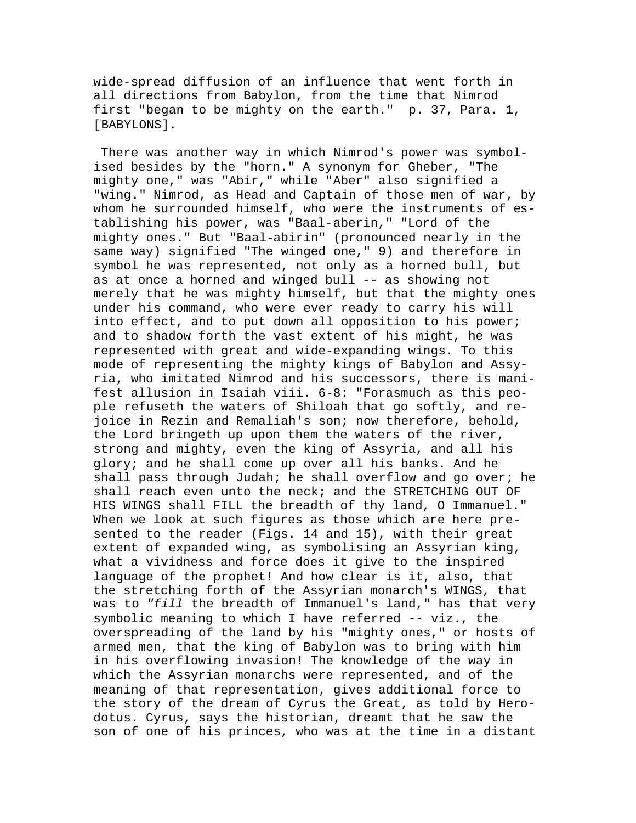wide-spread diffusion of an influence that went forth in all directions from Babylon, from the time that Nimrod first "began to be mighty on the earth." p. 37, Para. 1, [BABYLONS].

 There was another way in which Nimrod's power was symbolised besides by the "horn." A synonym for Gheber, "The mighty one," was "Abir," while "Aber" also signified a "wing." Nimrod, as Head and Captain of those men of war, by whom he surrounded himself, who were the instruments of establishing his power, was "Baal-aberin," "Lord of the mighty ones." But "Baal-abirin" (pronounced nearly in the same way) signified "The winged one," 9) and therefore in symbol he was represented, not only as a horned bull, but as at once a horned and winged bull -- as showing not merely that he was mighty himself, but that the mighty ones under his command, who were ever ready to carry his will into effect, and to put down all opposition to his power; and to shadow forth the vast extent of his might, he was represented with great and wide-expanding wings. To this mode of representing the mighty kings of Babylon and Assyria, who imitated Nimrod and his successors, there is manifest allusion in Isaiah viii. 6-8: "Forasmuch as this people refuseth the waters of Shiloah that go softly, and rejoice in Rezin and Remaliah's son; now therefore, behold, the Lord bringeth up upon them the waters of the river, strong and mighty, even the king of Assyria, and all his glory; and he shall come up over all his banks. And he shall pass through Judah; he shall overflow and go over; he shall reach even unto the neck; and the STRETCHING OUT OF HIS WINGS shall FILL the breadth of thy land, O Immanuel." When we look at such figures as those which are here presented to the reader (Figs. 14 and 15), with their great extent of expanded wing, as symbolising an Assyrian king, what a vividness and force does it give to the inspired language of the prophet! And how clear is it, also, that the stretching forth of the Assyrian monarch's WINGS, that was to *"fill* the breadth of Immanuel's land," has that very symbolic meaning to which I have referred -- viz., the overspreading of the land by his "mighty ones," or hosts of armed men, that the king of Babylon was to bring with him in his overflowing invasion! The knowledge of the way in which the Assyrian monarchs were represented, and of the meaning of that representation, gives additional force to the story of the dream of Cyrus the Great, as told by Herodotus. Cyrus, says the historian, dreamt that he saw the son of one of his princes, who was at the time in a distant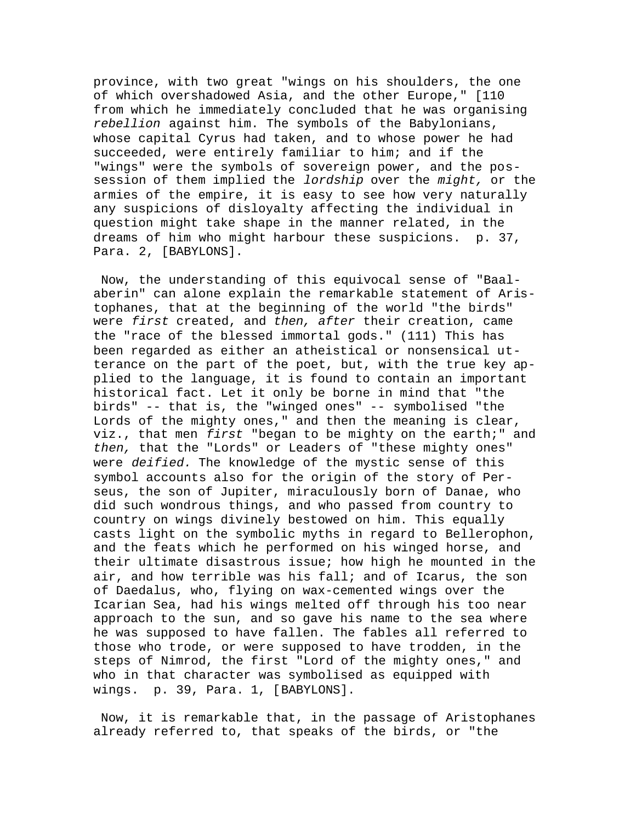province, with two great "wings on his shoulders, the one of which overshadowed Asia, and the other Europe," [110 from which he immediately concluded that he was organising *rebellion* against him. The symbols of the Babylonians, whose capital Cyrus had taken, and to whose power he had succeeded, were entirely familiar to him; and if the "wings" were the symbols of sovereign power, and the possession of them implied the *lordship* over the *might,* or the armies of the empire, it is easy to see how very naturally any suspicions of disloyalty affecting the individual in question might take shape in the manner related, in the dreams of him who might harbour these suspicions. p. 37, Para. 2, [BABYLONS].

 Now, the understanding of this equivocal sense of "Baalaberin" can alone explain the remarkable statement of Aristophanes, that at the beginning of the world "the birds" were *first* created, and *then, after* their creation, came the "race of the blessed immortal gods." (111) This has been regarded as either an atheistical or nonsensical utterance on the part of the poet, but, with the true key applied to the language, it is found to contain an important historical fact. Let it only be borne in mind that "the birds" -- that is, the "winged ones" -- symbolised "the Lords of the mighty ones," and then the meaning is clear, viz., that men *first* "began to be mighty on the earth;" and *then,* that the "Lords" or Leaders of "these mighty ones" were *deified.* The knowledge of the mystic sense of this symbol accounts also for the origin of the story of Perseus, the son of Jupiter, miraculously born of Danae, who did such wondrous things, and who passed from country to country on wings divinely bestowed on him. This equally casts light on the symbolic myths in regard to Bellerophon, and the feats which he performed on his winged horse, and their ultimate disastrous issue; how high he mounted in the air, and how terrible was his fall; and of Icarus, the son of Daedalus, who, flying on wax-cemented wings over the Icarian Sea, had his wings melted off through his too near approach to the sun, and so gave his name to the sea where he was supposed to have fallen. The fables all referred to those who trode, or were supposed to have trodden, in the steps of Nimrod, the first "Lord of the mighty ones," and who in that character was symbolised as equipped with wings. p. 39, Para. 1, [BABYLONS].

 Now, it is remarkable that, in the passage of Aristophanes already referred to, that speaks of the birds, or "the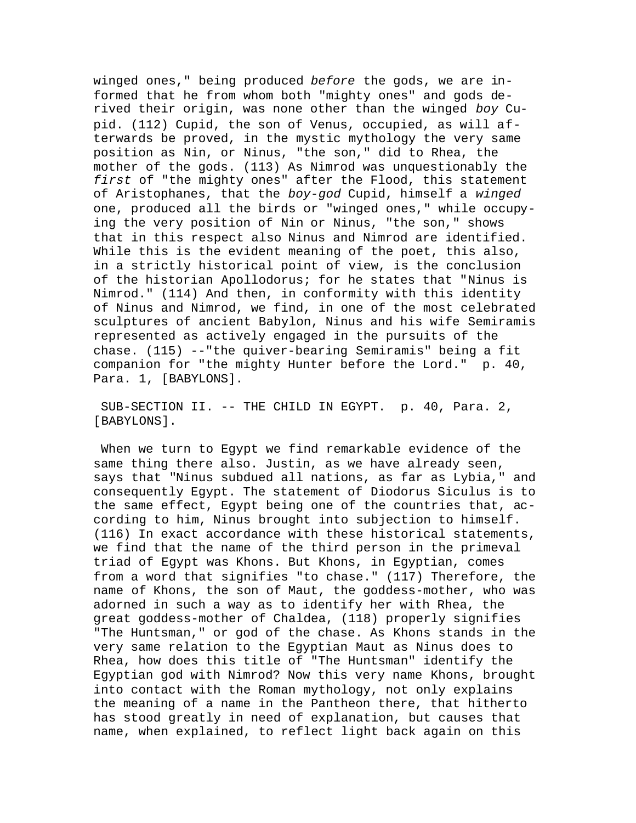winged ones," being produced *before* the gods, we are informed that he from whom both "mighty ones" and gods derived their origin, was none other than the winged *boy* Cupid. (112) Cupid, the son of Venus, occupied, as will afterwards be proved, in the mystic mythology the very same position as Nin, or Ninus, "the son," did to Rhea, the mother of the gods. (113) As Nimrod was unquestionably the *first* of "the mighty ones" after the Flood, this statement of Aristophanes, that the *boy-god* Cupid, himself a *winged* one, produced all the birds or "winged ones," while occupying the very position of Nin or Ninus, "the son," shows that in this respect also Ninus and Nimrod are identified. While this is the evident meaning of the poet, this also, in a strictly historical point of view, is the conclusion of the historian Apollodorus; for he states that "Ninus is Nimrod." (114) And then, in conformity with this identity of Ninus and Nimrod, we find, in one of the most celebrated sculptures of ancient Babylon, Ninus and his wife Semiramis represented as actively engaged in the pursuits of the chase. (115) --"the quiver-bearing Semiramis" being a fit companion for "the mighty Hunter before the Lord." p. 40, Para. 1, [BABYLONS].

 SUB-SECTION II. -- THE CHILD IN EGYPT. p. 40, Para. 2, [BABYLONS].

 When we turn to Egypt we find remarkable evidence of the same thing there also. Justin, as we have already seen, says that "Ninus subdued all nations, as far as Lybia," and consequently Egypt. The statement of Diodorus Siculus is to the same effect, Egypt being one of the countries that, according to him, Ninus brought into subjection to himself. (116) In exact accordance with these historical statements, we find that the name of the third person in the primeval triad of Egypt was Khons. But Khons, in Egyptian, comes from a word that signifies "to chase." (117) Therefore, the name of Khons, the son of Maut, the goddess-mother, who was adorned in such a way as to identify her with Rhea, the great goddess-mother of Chaldea, (118) properly signifies "The Huntsman," or god of the chase. As Khons stands in the very same relation to the Egyptian Maut as Ninus does to Rhea, how does this title of "The Huntsman" identify the Egyptian god with Nimrod? Now this very name Khons, brought into contact with the Roman mythology, not only explains the meaning of a name in the Pantheon there, that hitherto has stood greatly in need of explanation, but causes that name, when explained, to reflect light back again on this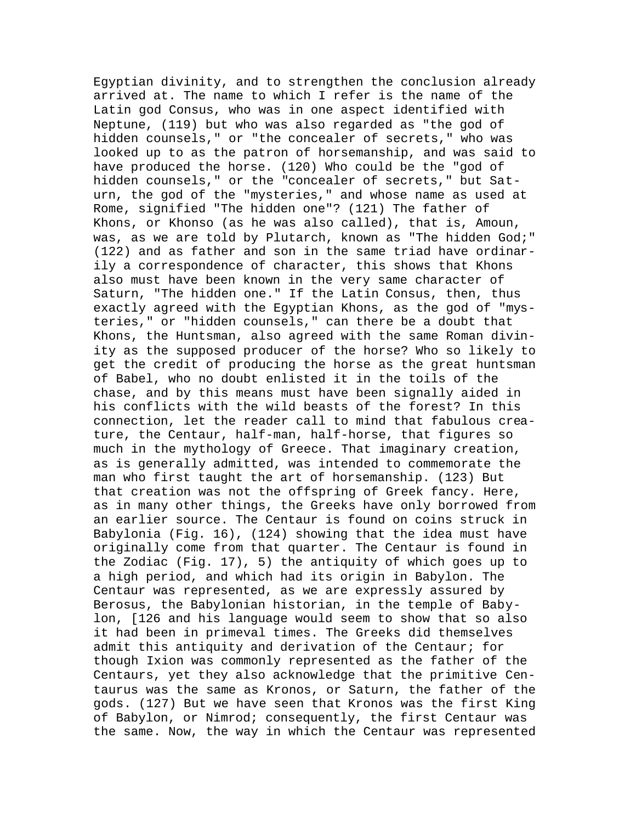Egyptian divinity, and to strengthen the conclusion already arrived at. The name to which I refer is the name of the Latin god Consus, who was in one aspect identified with Neptune, (119) but who was also regarded as "the god of hidden counsels," or "the concealer of secrets," who was looked up to as the patron of horsemanship, and was said to have produced the horse. (120) Who could be the "god of hidden counsels," or the "concealer of secrets," but Saturn, the god of the "mysteries," and whose name as used at Rome, signified "The hidden one"? (121) The father of Khons, or Khonso (as he was also called), that is, Amoun, was, as we are told by Plutarch, known as "The hidden God;" (122) and as father and son in the same triad have ordinarily a correspondence of character, this shows that Khons also must have been known in the very same character of Saturn, "The hidden one." If the Latin Consus, then, thus exactly agreed with the Egyptian Khons, as the god of "mysteries," or "hidden counsels," can there be a doubt that Khons, the Huntsman, also agreed with the same Roman divinity as the supposed producer of the horse? Who so likely to get the credit of producing the horse as the great huntsman of Babel, who no doubt enlisted it in the toils of the chase, and by this means must have been signally aided in his conflicts with the wild beasts of the forest? In this connection, let the reader call to mind that fabulous creature, the Centaur, half-man, half-horse, that figures so much in the mythology of Greece. That imaginary creation, as is generally admitted, was intended to commemorate the man who first taught the art of horsemanship. (123) But that creation was not the offspring of Greek fancy. Here, as in many other things, the Greeks have only borrowed from an earlier source. The Centaur is found on coins struck in Babylonia (Fig. 16), (124) showing that the idea must have originally come from that quarter. The Centaur is found in the Zodiac (Fig. 17), 5) the antiquity of which goes up to a high period, and which had its origin in Babylon. The Centaur was represented, as we are expressly assured by Berosus, the Babylonian historian, in the temple of Babylon, [126 and his language would seem to show that so also it had been in primeval times. The Greeks did themselves admit this antiquity and derivation of the Centaur; for though Ixion was commonly represented as the father of the Centaurs, yet they also acknowledge that the primitive Centaurus was the same as Kronos, or Saturn, the father of the gods. (127) But we have seen that Kronos was the first King of Babylon, or Nimrod; consequently, the first Centaur was the same. Now, the way in which the Centaur was represented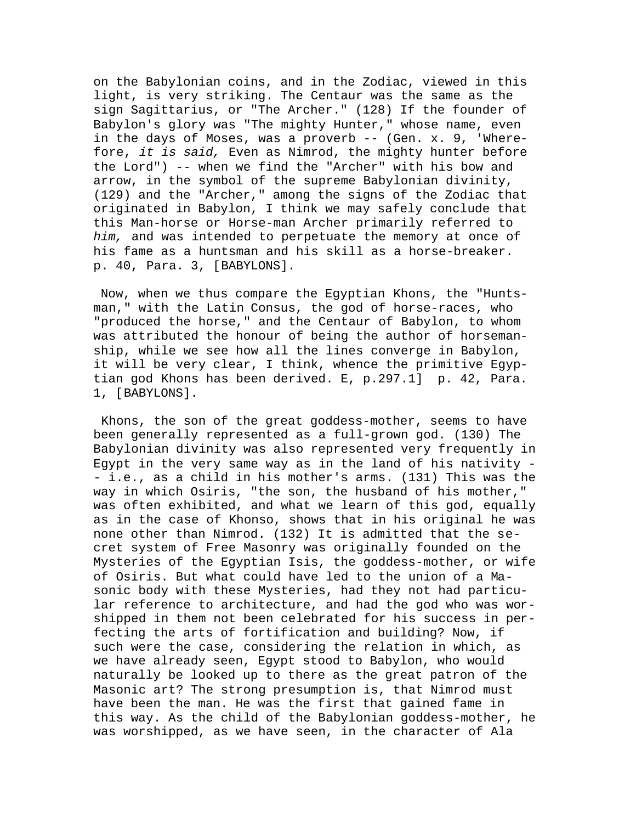on the Babylonian coins, and in the Zodiac, viewed in this light, is very striking. The Centaur was the same as the sign Sagittarius, or "The Archer." (128) If the founder of Babylon's glory was "The mighty Hunter," whose name, even in the days of Moses, was a proverb -- (Gen. x. 9, 'Wherefore, *it is said,* Even as Nimrod, the mighty hunter before the Lord") -- when we find the "Archer" with his bow and arrow, in the symbol of the supreme Babylonian divinity, (129) and the "Archer," among the signs of the Zodiac that originated in Babylon, I think we may safely conclude that this Man-horse or Horse-man Archer primarily referred to *him,* and was intended to perpetuate the memory at once of his fame as a huntsman and his skill as a horse-breaker. p. 40, Para. 3, [BABYLONS].

 Now, when we thus compare the Egyptian Khons, the "Huntsman," with the Latin Consus, the god of horse-races, who "produced the horse," and the Centaur of Babylon, to whom was attributed the honour of being the author of horsemanship, while we see how all the lines converge in Babylon, it will be very clear, I think, whence the primitive Egyptian god Khons has been derived. E, p.297.1] p. 42, Para. 1, [BABYLONS].

Khons, the son of the great goddess-mother, seems to have been generally represented as a full-grown god. (130) The Babylonian divinity was also represented very frequently in Egypt in the very same way as in the land of his nativity - - i.e., as a child in his mother's arms. (131) This was the way in which Osiris, "the son, the husband of his mother," was often exhibited, and what we learn of this god, equally as in the case of Khonso, shows that in his original he was none other than Nimrod. (132) It is admitted that the secret system of Free Masonry was originally founded on the Mysteries of the Egyptian Isis, the goddess-mother, or wife of Osiris. But what could have led to the union of a Masonic body with these Mysteries, had they not had particular reference to architecture, and had the god who was worshipped in them not been celebrated for his success in perfecting the arts of fortification and building? Now, if such were the case, considering the relation in which, as we have already seen, Egypt stood to Babylon, who would naturally be looked up to there as the great patron of the Masonic art? The strong presumption is, that Nimrod must have been the man. He was the first that gained fame in this way. As the child of the Babylonian goddess-mother, he was worshipped, as we have seen, in the character of Ala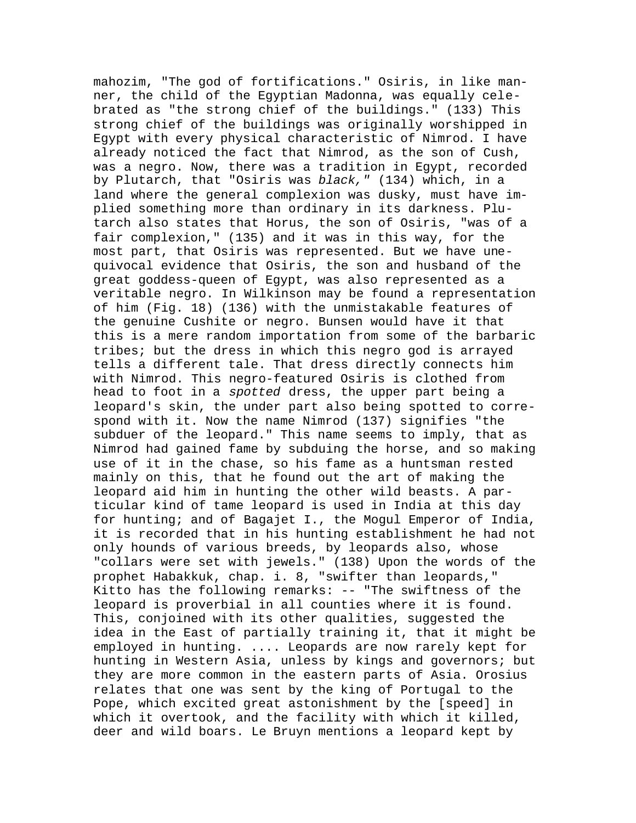mahozim, "The god of fortifications." Osiris, in like manner, the child of the Egyptian Madonna, was equally celebrated as "the strong chief of the buildings." (133) This strong chief of the buildings was originally worshipped in Egypt with every physical characteristic of Nimrod. I have already noticed the fact that Nimrod, as the son of Cush, was a negro. Now, there was a tradition in Egypt, recorded by Plutarch, that "Osiris was *black,"* (134) which, in a land where the general complexion was dusky, must have implied something more than ordinary in its darkness. Plutarch also states that Horus, the son of Osiris, "was of a fair complexion," (135) and it was in this way, for the most part, that Osiris was represented. But we have unequivocal evidence that Osiris, the son and husband of the great goddess-queen of Egypt, was also represented as a veritable negro. In Wilkinson may be found a representation of him (Fig. 18) (136) with the unmistakable features of the genuine Cushite or negro. Bunsen would have it that this is a mere random importation from some of the barbaric tribes; but the dress in which this negro god is arrayed tells a different tale. That dress directly connects him with Nimrod. This negro-featured Osiris is clothed from head to foot in a *spotted* dress, the upper part being a leopard's skin, the under part also being spotted to correspond with it. Now the name Nimrod (137) signifies "the subduer of the leopard." This name seems to imply, that as Nimrod had gained fame by subduing the horse, and so making use of it in the chase, so his fame as a huntsman rested mainly on this, that he found out the art of making the leopard aid him in hunting the other wild beasts. A particular kind of tame leopard is used in India at this day for hunting; and of Bagajet I., the Mogul Emperor of India, it is recorded that in his hunting establishment he had not only hounds of various breeds, by leopards also, whose "collars were set with jewels." (138) Upon the words of the prophet Habakkuk, chap. i. 8, "swifter than leopards," Kitto has the following remarks: -- "The swiftness of the leopard is proverbial in all counties where it is found. This, conjoined with its other qualities, suggested the idea in the East of partially training it, that it might be employed in hunting. .... Leopards are now rarely kept for hunting in Western Asia, unless by kings and governors; but they are more common in the eastern parts of Asia. Orosius relates that one was sent by the king of Portugal to the Pope, which excited great astonishment by the [speed] in which it overtook, and the facility with which it killed, deer and wild boars. Le Bruyn mentions a leopard kept by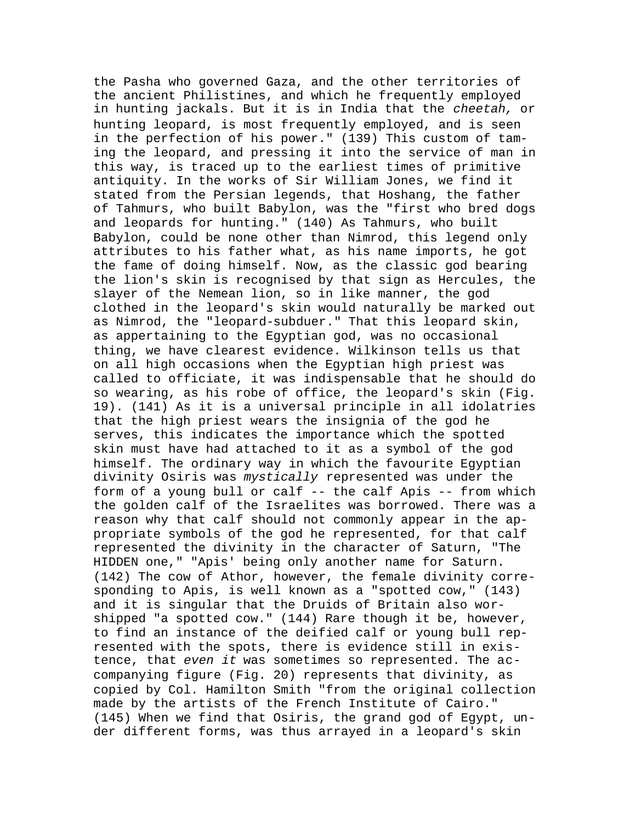the Pasha who governed Gaza, and the other territories of the ancient Philistines, and which he frequently employed in hunting jackals. But it is in India that the *cheetah,* or hunting leopard, is most frequently employed, and is seen in the perfection of his power." (139) This custom of taming the leopard, and pressing it into the service of man in this way, is traced up to the earliest times of primitive antiquity. In the works of Sir William Jones, we find it stated from the Persian legends, that Hoshang, the father of Tahmurs, who built Babylon, was the "first who bred dogs and leopards for hunting." (140) As Tahmurs, who built Babylon, could be none other than Nimrod, this legend only attributes to his father what, as his name imports, he got the fame of doing himself. Now, as the classic god bearing the lion's skin is recognised by that sign as Hercules, the slayer of the Nemean lion, so in like manner, the god clothed in the leopard's skin would naturally be marked out as Nimrod, the "leopard-subduer." That this leopard skin, as appertaining to the Egyptian god, was no occasional thing, we have clearest evidence. Wilkinson tells us that on all high occasions when the Egyptian high priest was called to officiate, it was indispensable that he should do so wearing, as his robe of office, the leopard's skin (Fig. 19). (141) As it is a universal principle in all idolatries that the high priest wears the insignia of the god he serves, this indicates the importance which the spotted skin must have had attached to it as a symbol of the god himself. The ordinary way in which the favourite Egyptian divinity Osiris was *mystically* represented was under the form of a young bull or calf -- the calf Apis -- from which the golden calf of the Israelites was borrowed. There was a reason why that calf should not commonly appear in the appropriate symbols of the god he represented, for that calf represented the divinity in the character of Saturn, "The HIDDEN one," "Apis' being only another name for Saturn. (142) The cow of Athor, however, the female divinity corresponding to Apis, is well known as a "spotted cow," (143) and it is singular that the Druids of Britain also worshipped "a spotted cow." (144) Rare though it be, however, to find an instance of the deified calf or young bull represented with the spots, there is evidence still in existence, that *even it* was sometimes so represented. The accompanying figure (Fig. 20) represents that divinity, as copied by Col. Hamilton Smith "from the original collection made by the artists of the French Institute of Cairo." (145) When we find that Osiris, the grand god of Egypt, under different forms, was thus arrayed in a leopard's skin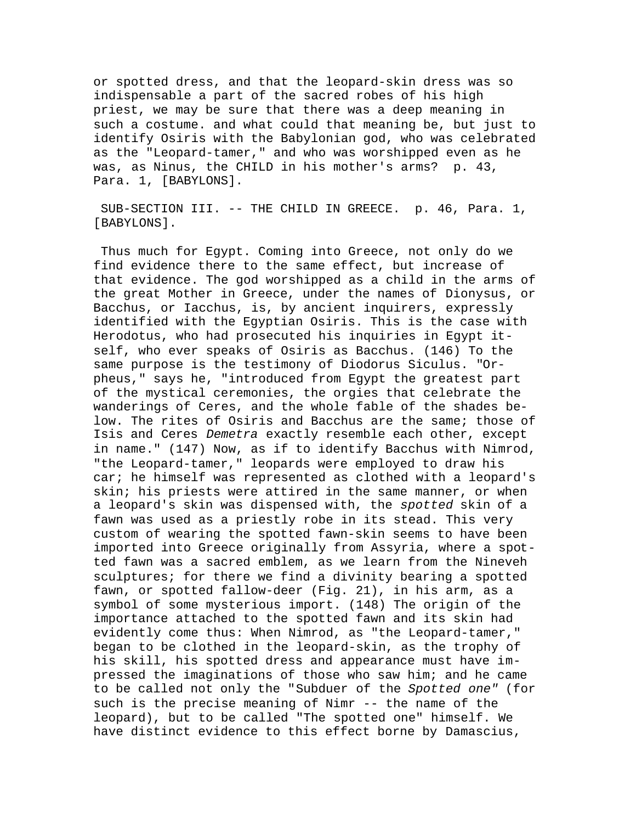or spotted dress, and that the leopard-skin dress was so indispensable a part of the sacred robes of his high priest, we may be sure that there was a deep meaning in such a costume. and what could that meaning be, but just to identify Osiris with the Babylonian god, who was celebrated as the "Leopard-tamer," and who was worshipped even as he was, as Ninus, the CHILD in his mother's arms? p. 43, Para. 1, [BABYLONS].

 SUB-SECTION III. -- THE CHILD IN GREECE. p. 46, Para. 1, [BABYLONS].

 Thus much for Egypt. Coming into Greece, not only do we find evidence there to the same effect, but increase of that evidence. The god worshipped as a child in the arms of the great Mother in Greece, under the names of Dionysus, or Bacchus, or Iacchus, is, by ancient inquirers, expressly identified with the Egyptian Osiris. This is the case with Herodotus, who had prosecuted his inquiries in Egypt itself, who ever speaks of Osiris as Bacchus. (146) To the same purpose is the testimony of Diodorus Siculus. "Orpheus," says he, "introduced from Egypt the greatest part of the mystical ceremonies, the orgies that celebrate the wanderings of Ceres, and the whole fable of the shades below. The rites of Osiris and Bacchus are the same; those of Isis and Ceres *Demetra* exactly resemble each other, except in name." (147) Now, as if to identify Bacchus with Nimrod, "the Leopard-tamer," leopards were employed to draw his car; he himself was represented as clothed with a leopard's skin; his priests were attired in the same manner, or when a leopard's skin was dispensed with, the *spotted* skin of a fawn was used as a priestly robe in its stead. This very custom of wearing the spotted fawn-skin seems to have been imported into Greece originally from Assyria, where a spotted fawn was a sacred emblem, as we learn from the Nineveh sculptures; for there we find a divinity bearing a spotted fawn, or spotted fallow-deer (Fig. 21), in his arm, as a symbol of some mysterious import. (148) The origin of the importance attached to the spotted fawn and its skin had evidently come thus: When Nimrod, as "the Leopard-tamer," began to be clothed in the leopard-skin, as the trophy of his skill, his spotted dress and appearance must have impressed the imaginations of those who saw him; and he came to be called not only the "Subduer of the *Spotted one"* (for such is the precise meaning of Nimr -- the name of the leopard), but to be called "The spotted one" himself. We have distinct evidence to this effect borne by Damascius,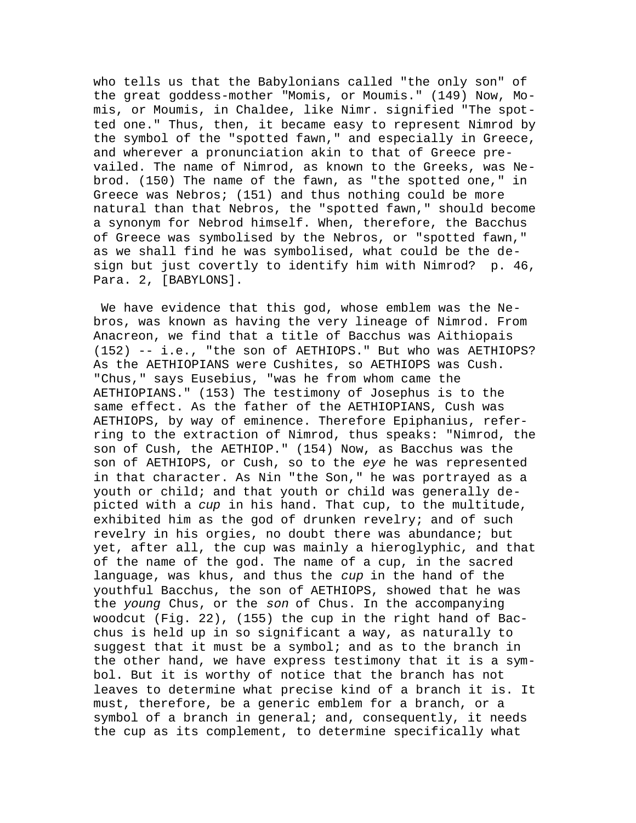who tells us that the Babylonians called "the only son" of the great goddess-mother "Momis, or Moumis." (149) Now, Momis, or Moumis, in Chaldee, like Nimr. signified "The spotted one." Thus, then, it became easy to represent Nimrod by the symbol of the "spotted fawn," and especially in Greece, and wherever a pronunciation akin to that of Greece prevailed. The name of Nimrod, as known to the Greeks, was Nebrod. (150) The name of the fawn, as "the spotted one," in Greece was Nebros; (151) and thus nothing could be more natural than that Nebros, the "spotted fawn," should become a synonym for Nebrod himself. When, therefore, the Bacchus of Greece was symbolised by the Nebros, or "spotted fawn," as we shall find he was symbolised, what could be the design but just covertly to identify him with Nimrod? p. 46, Para. 2, [BABYLONS].

We have evidence that this god, whose emblem was the Nebros, was known as having the very lineage of Nimrod. From Anacreon, we find that a title of Bacchus was Aithiopais (152) -- i.e., "the son of AETHIOPS." But who was AETHIOPS? As the AETHIOPIANS were Cushites, so AETHIOPS was Cush. "Chus," says Eusebius, "was he from whom came the AETHIOPIANS." (153) The testimony of Josephus is to the same effect. As the father of the AETHIOPIANS, Cush was AETHIOPS, by way of eminence. Therefore Epiphanius, referring to the extraction of Nimrod, thus speaks: "Nimrod, the son of Cush, the AETHIOP." (154) Now, as Bacchus was the son of AETHIOPS, or Cush, so to the *eye* he was represented in that character. As Nin "the Son," he was portrayed as a youth or child; and that youth or child was generally depicted with a *cup* in his hand. That cup, to the multitude, exhibited him as the god of drunken revelry; and of such revelry in his orgies, no doubt there was abundance; but yet, after all, the cup was mainly a hieroglyphic, and that of the name of the god. The name of a cup, in the sacred language, was khus, and thus the *cup* in the hand of the youthful Bacchus, the son of AETHIOPS, showed that he was the *young* Chus, or the *son* of Chus. In the accompanying woodcut (Fig. 22), (155) the cup in the right hand of Bacchus is held up in so significant a way, as naturally to suggest that it must be a symbol; and as to the branch in the other hand, we have express testimony that it is a symbol. But it is worthy of notice that the branch has not leaves to determine what precise kind of a branch it is. It must, therefore, be a generic emblem for a branch, or a symbol of a branch in general; and, consequently, it needs the cup as its complement, to determine specifically what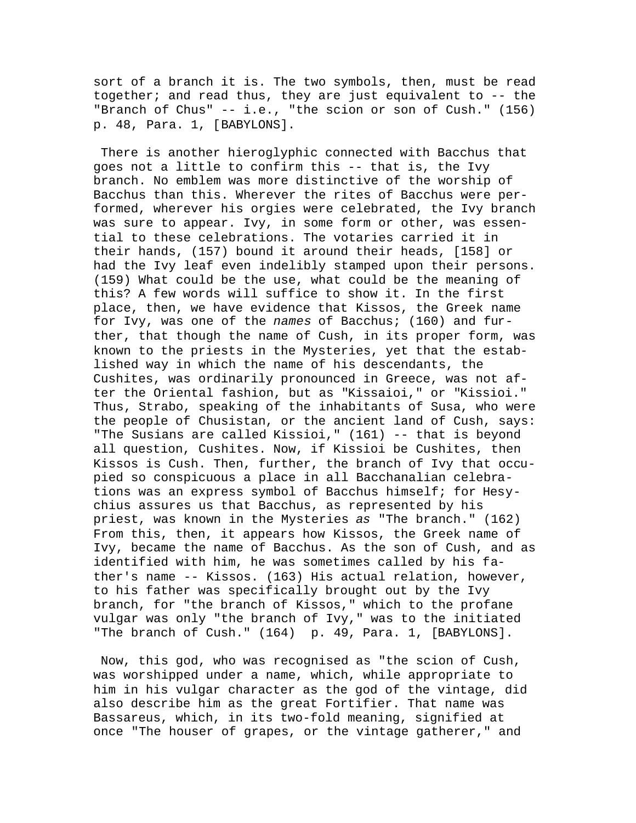sort of a branch it is. The two symbols, then, must be read together; and read thus, they are just equivalent to  $-$ - the "Branch of Chus" -- i.e., "the scion or son of Cush." (156) p. 48, Para. 1, [BABYLONS].

 There is another hieroglyphic connected with Bacchus that goes not a little to confirm this -- that is, the Ivy branch. No emblem was more distinctive of the worship of Bacchus than this. Wherever the rites of Bacchus were performed, wherever his orgies were celebrated, the Ivy branch was sure to appear. Ivy, in some form or other, was essential to these celebrations. The votaries carried it in their hands, (157) bound it around their heads, [158] or had the Ivy leaf even indelibly stamped upon their persons. (159) What could be the use, what could be the meaning of this? A few words will suffice to show it. In the first place, then, we have evidence that Kissos, the Greek name for Ivy, was one of the *names* of Bacchus; (160) and further, that though the name of Cush, in its proper form, was known to the priests in the Mysteries, yet that the established way in which the name of his descendants, the Cushites, was ordinarily pronounced in Greece, was not after the Oriental fashion, but as "Kissaioi," or "Kissioi." Thus, Strabo, speaking of the inhabitants of Susa, who were the people of Chusistan, or the ancient land of Cush, says: "The Susians are called Kissioi," (161) -- that is beyond all question, Cushites. Now, if Kissioi be Cushites, then Kissos is Cush. Then, further, the branch of Ivy that occupied so conspicuous a place in all Bacchanalian celebrations was an express symbol of Bacchus himself; for Hesychius assures us that Bacchus, as represented by his priest, was known in the Mysteries *as* "The branch." (162) From this, then, it appears how Kissos, the Greek name of Ivy, became the name of Bacchus. As the son of Cush, and as identified with him, he was sometimes called by his father's name -- Kissos. (163) His actual relation, however, to his father was specifically brought out by the Ivy branch, for "the branch of Kissos," which to the profane vulgar was only "the branch of Ivy," was to the initiated "The branch of Cush." (164) p. 49, Para. 1, [BABYLONS].

 Now, this god, who was recognised as "the scion of Cush, was worshipped under a name, which, while appropriate to him in his vulgar character as the god of the vintage, did also describe him as the great Fortifier. That name was Bassareus, which, in its two-fold meaning, signified at once "The houser of grapes, or the vintage gatherer," and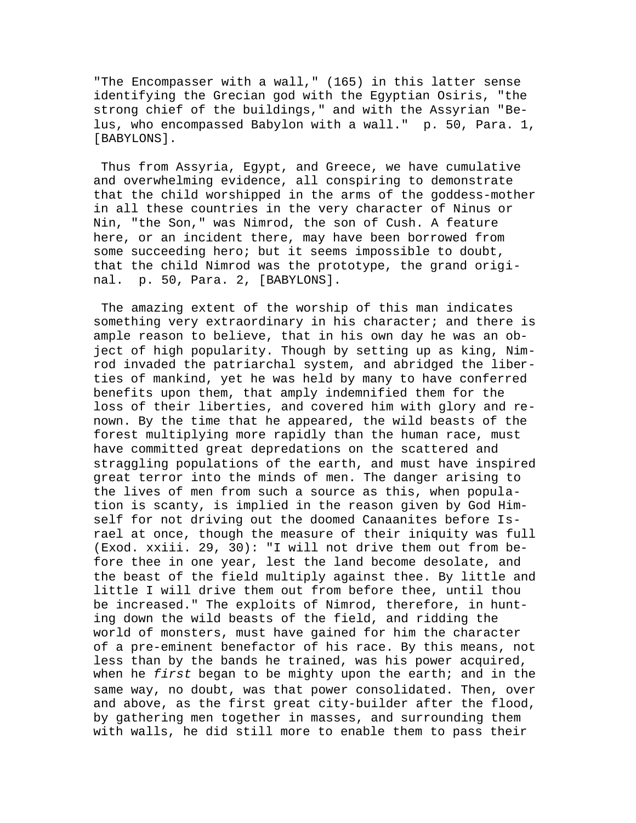"The Encompasser with a wall," (165) in this latter sense identifying the Grecian god with the Egyptian Osiris, "the strong chief of the buildings," and with the Assyrian "Belus, who encompassed Babylon with a wall." p. 50, Para. 1, [BABYLONS].

 Thus from Assyria, Egypt, and Greece, we have cumulative and overwhelming evidence, all conspiring to demonstrate that the child worshipped in the arms of the goddess-mother in all these countries in the very character of Ninus or Nin, "the Son," was Nimrod, the son of Cush. A feature here, or an incident there, may have been borrowed from some succeeding hero; but it seems impossible to doubt, that the child Nimrod was the prototype, the grand original. p. 50, Para. 2, [BABYLONS].

 The amazing extent of the worship of this man indicates something very extraordinary in his character; and there is ample reason to believe, that in his own day he was an object of high popularity. Though by setting up as king, Nimrod invaded the patriarchal system, and abridged the liberties of mankind, yet he was held by many to have conferred benefits upon them, that amply indemnified them for the loss of their liberties, and covered him with glory and renown. By the time that he appeared, the wild beasts of the forest multiplying more rapidly than the human race, must have committed great depredations on the scattered and straggling populations of the earth, and must have inspired great terror into the minds of men. The danger arising to the lives of men from such a source as this, when population is scanty, is implied in the reason given by God Himself for not driving out the doomed Canaanites before Israel at once, though the measure of their iniquity was full (Exod. xxiii. 29, 30): "I will not drive them out from before thee in one year, lest the land become desolate, and the beast of the field multiply against thee. By little and little I will drive them out from before thee, until thou be increased." The exploits of Nimrod, therefore, in hunting down the wild beasts of the field, and ridding the world of monsters, must have gained for him the character of a pre-eminent benefactor of his race. By this means, not less than by the bands he trained, was his power acquired, when he *first* began to be mighty upon the earth; and in the same way, no doubt, was that power consolidated. Then, over and above, as the first great city-builder after the flood, by gathering men together in masses, and surrounding them with walls, he did still more to enable them to pass their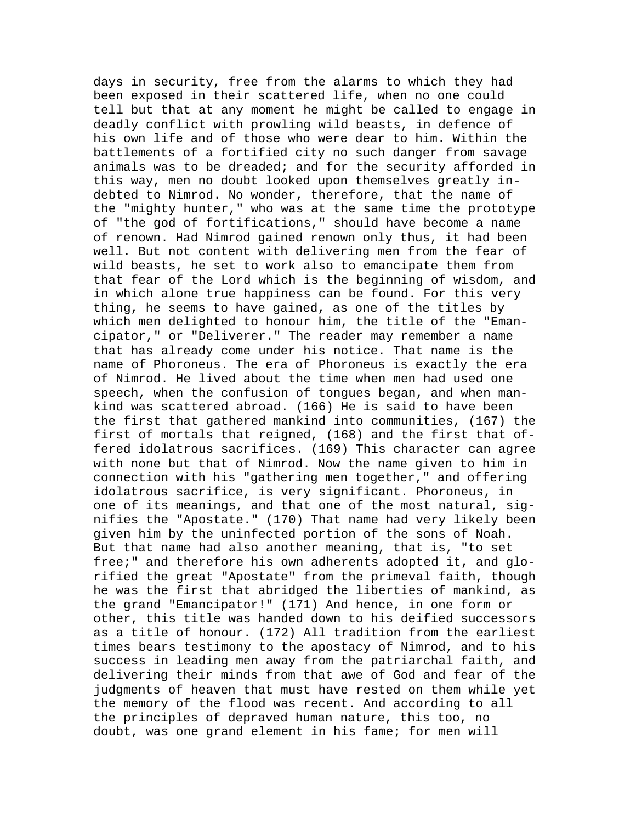days in security, free from the alarms to which they had been exposed in their scattered life, when no one could tell but that at any moment he might be called to engage in deadly conflict with prowling wild beasts, in defence of his own life and of those who were dear to him. Within the battlements of a fortified city no such danger from savage animals was to be dreaded; and for the security afforded in this way, men no doubt looked upon themselves greatly indebted to Nimrod. No wonder, therefore, that the name of the "mighty hunter," who was at the same time the prototype of "the god of fortifications," should have become a name of renown. Had Nimrod gained renown only thus, it had been well. But not content with delivering men from the fear of wild beasts, he set to work also to emancipate them from that fear of the Lord which is the beginning of wisdom, and in which alone true happiness can be found. For this very thing, he seems to have gained, as one of the titles by which men delighted to honour him, the title of the "Emancipator," or "Deliverer." The reader may remember a name that has already come under his notice. That name is the name of Phoroneus. The era of Phoroneus is exactly the era of Nimrod. He lived about the time when men had used one speech, when the confusion of tongues began, and when mankind was scattered abroad. (166) He is said to have been the first that gathered mankind into communities, (167) the first of mortals that reigned, (168) and the first that offered idolatrous sacrifices. (169) This character can agree with none but that of Nimrod. Now the name given to him in connection with his "gathering men together," and offering idolatrous sacrifice, is very significant. Phoroneus, in one of its meanings, and that one of the most natural, signifies the "Apostate." (170) That name had very likely been given him by the uninfected portion of the sons of Noah. But that name had also another meaning, that is, "to set free;" and therefore his own adherents adopted it, and glorified the great "Apostate" from the primeval faith, though he was the first that abridged the liberties of mankind, as the grand "Emancipator!" (171) And hence, in one form or other, this title was handed down to his deified successors as a title of honour. (172) All tradition from the earliest times bears testimony to the apostacy of Nimrod, and to his success in leading men away from the patriarchal faith, and delivering their minds from that awe of God and fear of the judgments of heaven that must have rested on them while yet the memory of the flood was recent. And according to all the principles of depraved human nature, this too, no doubt, was one grand element in his fame; for men will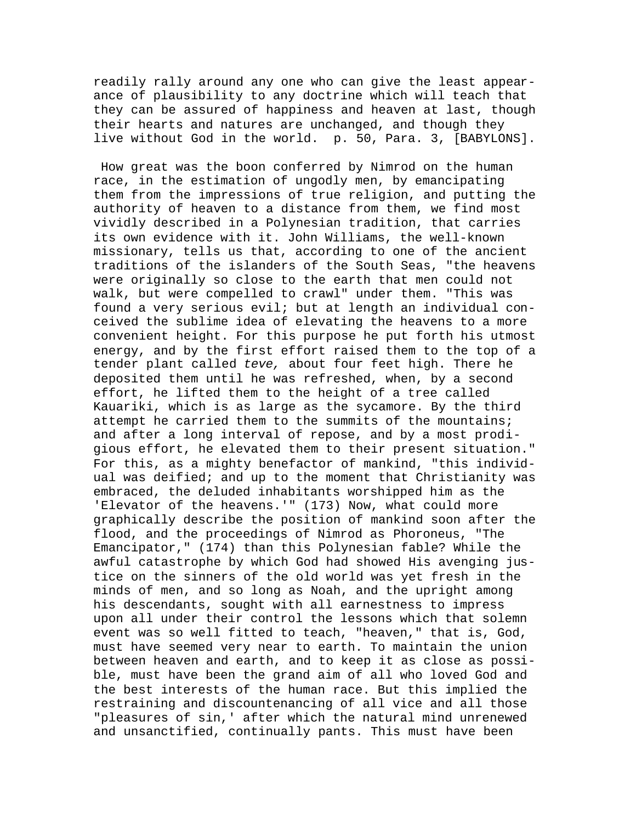readily rally around any one who can give the least appearance of plausibility to any doctrine which will teach that they can be assured of happiness and heaven at last, though their hearts and natures are unchanged, and though they live without God in the world. p. 50, Para. 3, [BABYLONS].

 How great was the boon conferred by Nimrod on the human race, in the estimation of ungodly men, by emancipating them from the impressions of true religion, and putting the authority of heaven to a distance from them, we find most vividly described in a Polynesian tradition, that carries its own evidence with it. John Williams, the well-known missionary, tells us that, according to one of the ancient traditions of the islanders of the South Seas, "the heavens were originally so close to the earth that men could not walk, but were compelled to crawl" under them. "This was found a very serious evil; but at length an individual conceived the sublime idea of elevating the heavens to a more convenient height. For this purpose he put forth his utmost energy, and by the first effort raised them to the top of a tender plant called *teve,* about four feet high. There he deposited them until he was refreshed, when, by a second effort, he lifted them to the height of a tree called Kauariki, which is as large as the sycamore. By the third attempt he carried them to the summits of the mountains; and after a long interval of repose, and by a most prodigious effort, he elevated them to their present situation." For this, as a mighty benefactor of mankind, "this individual was deified; and up to the moment that Christianity was embraced, the deluded inhabitants worshipped him as the 'Elevator of the heavens.'" (173) Now, what could more graphically describe the position of mankind soon after the flood, and the proceedings of Nimrod as Phoroneus, "The Emancipator," (174) than this Polynesian fable? While the awful catastrophe by which God had showed His avenging justice on the sinners of the old world was yet fresh in the minds of men, and so long as Noah, and the upright among his descendants, sought with all earnestness to impress upon all under their control the lessons which that solemn event was so well fitted to teach, "heaven," that is, God, must have seemed very near to earth. To maintain the union between heaven and earth, and to keep it as close as possible, must have been the grand aim of all who loved God and the best interests of the human race. But this implied the restraining and discountenancing of all vice and all those "pleasures of sin,' after which the natural mind unrenewed and unsanctified, continually pants. This must have been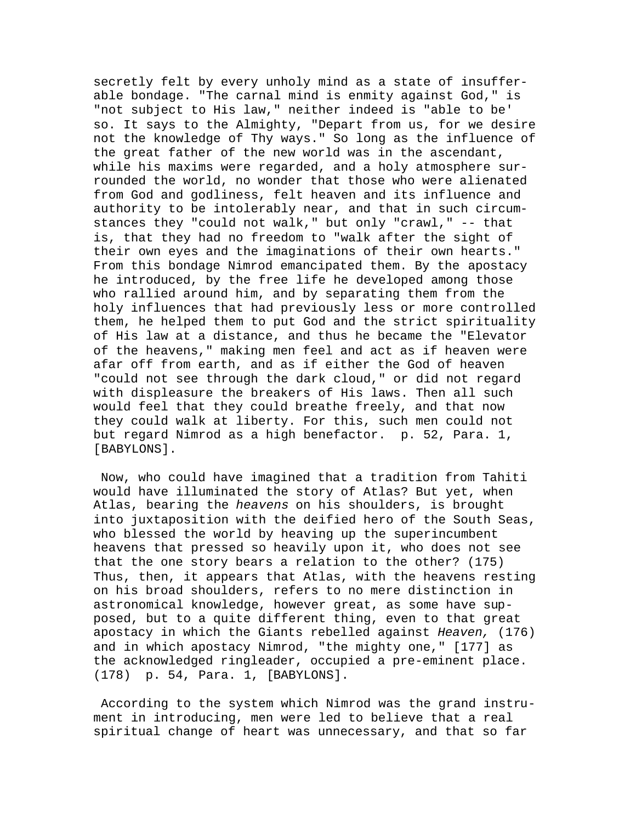secretly felt by every unholy mind as a state of insufferable bondage. "The carnal mind is enmity against God," is "not subject to His law," neither indeed is "able to be' so. It says to the Almighty, "Depart from us, for we desire not the knowledge of Thy ways." So long as the influence of the great father of the new world was in the ascendant, while his maxims were regarded, and a holy atmosphere surrounded the world, no wonder that those who were alienated from God and godliness, felt heaven and its influence and authority to be intolerably near, and that in such circumstances they "could not walk," but only "crawl," -- that is, that they had no freedom to "walk after the sight of their own eyes and the imaginations of their own hearts." From this bondage Nimrod emancipated them. By the apostacy he introduced, by the free life he developed among those who rallied around him, and by separating them from the holy influences that had previously less or more controlled them, he helped them to put God and the strict spirituality of His law at a distance, and thus he became the "Elevator of the heavens," making men feel and act as if heaven were afar off from earth, and as if either the God of heaven "could not see through the dark cloud," or did not regard with displeasure the breakers of His laws. Then all such would feel that they could breathe freely, and that now they could walk at liberty. For this, such men could not but regard Nimrod as a high benefactor. p. 52, Para. 1, [BABYLONS].

 Now, who could have imagined that a tradition from Tahiti would have illuminated the story of Atlas? But yet, when Atlas, bearing the *heavens* on his shoulders, is brought into juxtaposition with the deified hero of the South Seas, who blessed the world by heaving up the superincumbent heavens that pressed so heavily upon it, who does not see that the one story bears a relation to the other? (175) Thus, then, it appears that Atlas, with the heavens resting on his broad shoulders, refers to no mere distinction in astronomical knowledge, however great, as some have supposed, but to a quite different thing, even to that great apostacy in which the Giants rebelled against *Heaven,* (176) and in which apostacy Nimrod, "the mighty one," [177] as the acknowledged ringleader, occupied a pre-eminent place. (178) p. 54, Para. 1, [BABYLONS].

 According to the system which Nimrod was the grand instrument in introducing, men were led to believe that a real spiritual change of heart was unnecessary, and that so far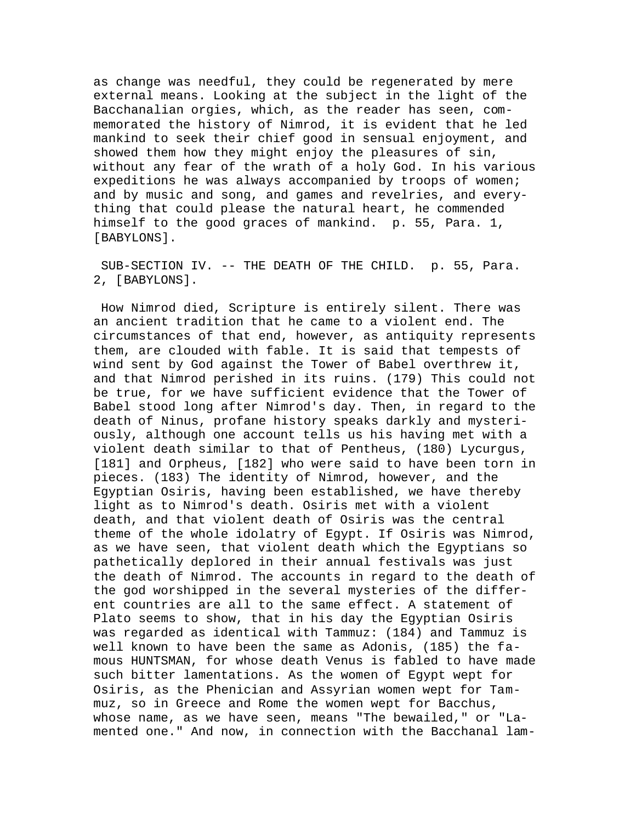as change was needful, they could be regenerated by mere external means. Looking at the subject in the light of the Bacchanalian orgies, which, as the reader has seen, commemorated the history of Nimrod, it is evident that he led mankind to seek their chief good in sensual enjoyment, and showed them how they might enjoy the pleasures of sin, without any fear of the wrath of a holy God. In his various expeditions he was always accompanied by troops of women; and by music and song, and games and revelries, and everything that could please the natural heart, he commended himself to the good graces of mankind. p. 55, Para. 1, [BABYLONS].

 SUB-SECTION IV. -- THE DEATH OF THE CHILD. p. 55, Para. 2, [BABYLONS].

 How Nimrod died, Scripture is entirely silent. There was an ancient tradition that he came to a violent end. The circumstances of that end, however, as antiquity represents them, are clouded with fable. It is said that tempests of wind sent by God against the Tower of Babel overthrew it, and that Nimrod perished in its ruins. (179) This could not be true, for we have sufficient evidence that the Tower of Babel stood long after Nimrod's day. Then, in regard to the death of Ninus, profane history speaks darkly and mysteriously, although one account tells us his having met with a violent death similar to that of Pentheus, (180) Lycurgus, [181] and Orpheus, [182] who were said to have been torn in pieces. (183) The identity of Nimrod, however, and the Egyptian Osiris, having been established, we have thereby light as to Nimrod's death. Osiris met with a violent death, and that violent death of Osiris was the central theme of the whole idolatry of Egypt. If Osiris was Nimrod, as we have seen, that violent death which the Egyptians so pathetically deplored in their annual festivals was just the death of Nimrod. The accounts in regard to the death of the god worshipped in the several mysteries of the different countries are all to the same effect. A statement of Plato seems to show, that in his day the Egyptian Osiris was regarded as identical with Tammuz: (184) and Tammuz is well known to have been the same as Adonis, (185) the famous HUNTSMAN, for whose death Venus is fabled to have made such bitter lamentations. As the women of Egypt wept for Osiris, as the Phenician and Assyrian women wept for Tammuz, so in Greece and Rome the women wept for Bacchus, whose name, as we have seen, means "The bewailed," or "Lamented one." And now, in connection with the Bacchanal lam-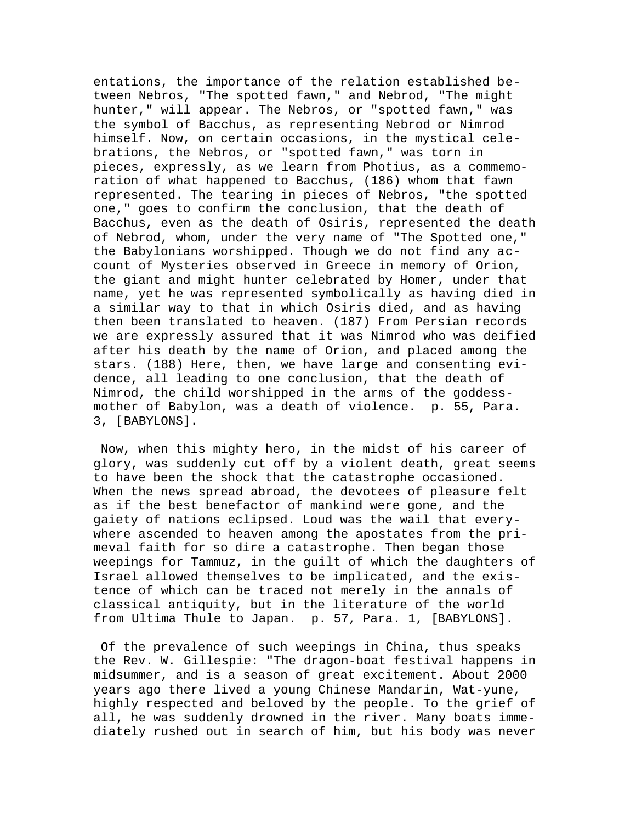entations, the importance of the relation established between Nebros, "The spotted fawn," and Nebrod, "The might hunter," will appear. The Nebros, or "spotted fawn," was the symbol of Bacchus, as representing Nebrod or Nimrod himself. Now, on certain occasions, in the mystical celebrations, the Nebros, or "spotted fawn," was torn in pieces, expressly, as we learn from Photius, as a commemoration of what happened to Bacchus, (186) whom that fawn represented. The tearing in pieces of Nebros, "the spotted one," goes to confirm the conclusion, that the death of Bacchus, even as the death of Osiris, represented the death of Nebrod, whom, under the very name of "The Spotted one," the Babylonians worshipped. Though we do not find any account of Mysteries observed in Greece in memory of Orion, the giant and might hunter celebrated by Homer, under that name, yet he was represented symbolically as having died in a similar way to that in which Osiris died, and as having then been translated to heaven. (187) From Persian records we are expressly assured that it was Nimrod who was deified after his death by the name of Orion, and placed among the stars. (188) Here, then, we have large and consenting evidence, all leading to one conclusion, that the death of Nimrod, the child worshipped in the arms of the goddessmother of Babylon, was a death of violence. p. 55, Para. 3, [BABYLONS].

 Now, when this mighty hero, in the midst of his career of glory, was suddenly cut off by a violent death, great seems to have been the shock that the catastrophe occasioned. When the news spread abroad, the devotees of pleasure felt as if the best benefactor of mankind were gone, and the gaiety of nations eclipsed. Loud was the wail that everywhere ascended to heaven among the apostates from the primeval faith for so dire a catastrophe. Then began those weepings for Tammuz, in the guilt of which the daughters of Israel allowed themselves to be implicated, and the existence of which can be traced not merely in the annals of classical antiquity, but in the literature of the world from Ultima Thule to Japan. p. 57, Para. 1, [BABYLONS].

 Of the prevalence of such weepings in China, thus speaks the Rev. W. Gillespie: "The dragon-boat festival happens in midsummer, and is a season of great excitement. About 2000 years ago there lived a young Chinese Mandarin, Wat-yune, highly respected and beloved by the people. To the grief of all, he was suddenly drowned in the river. Many boats immediately rushed out in search of him, but his body was never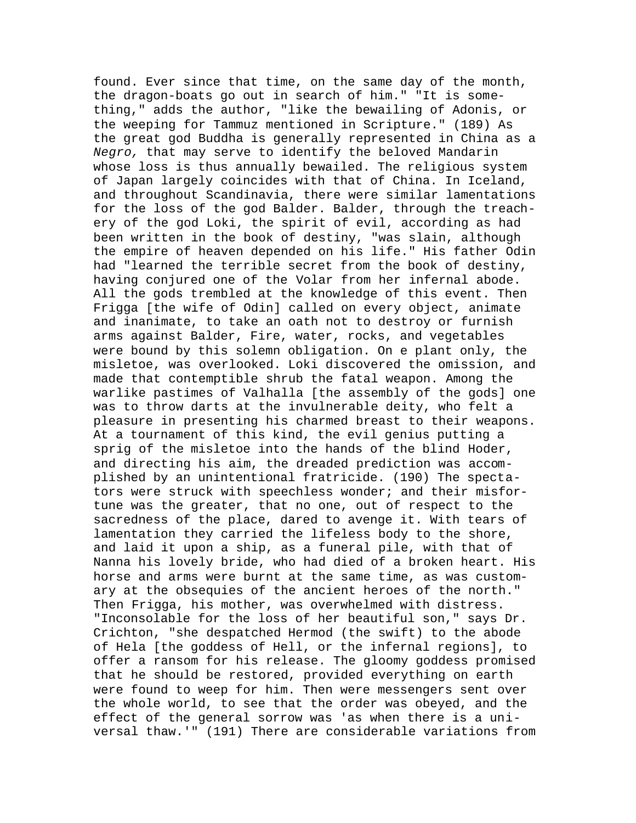found. Ever since that time, on the same day of the month, the dragon-boats go out in search of him." "It is something," adds the author, "like the bewailing of Adonis, or the weeping for Tammuz mentioned in Scripture." (189) As the great god Buddha is generally represented in China as a *Negro,* that may serve to identify the beloved Mandarin whose loss is thus annually bewailed. The religious system of Japan largely coincides with that of China. In Iceland, and throughout Scandinavia, there were similar lamentations for the loss of the god Balder. Balder, through the treachery of the god Loki, the spirit of evil, according as had been written in the book of destiny, "was slain, although the empire of heaven depended on his life." His father Odin had "learned the terrible secret from the book of destiny, having conjured one of the Volar from her infernal abode. All the gods trembled at the knowledge of this event. Then Frigga [the wife of Odin] called on every object, animate and inanimate, to take an oath not to destroy or furnish arms against Balder, Fire, water, rocks, and vegetables were bound by this solemn obligation. On e plant only, the misletoe, was overlooked. Loki discovered the omission, and made that contemptible shrub the fatal weapon. Among the warlike pastimes of Valhalla [the assembly of the gods] one was to throw darts at the invulnerable deity, who felt a pleasure in presenting his charmed breast to their weapons. At a tournament of this kind, the evil genius putting a sprig of the misletoe into the hands of the blind Hoder, and directing his aim, the dreaded prediction was accomplished by an unintentional fratricide. (190) The spectators were struck with speechless wonder; and their misfortune was the greater, that no one, out of respect to the sacredness of the place, dared to avenge it. With tears of lamentation they carried the lifeless body to the shore, and laid it upon a ship, as a funeral pile, with that of Nanna his lovely bride, who had died of a broken heart. His horse and arms were burnt at the same time, as was customary at the obsequies of the ancient heroes of the north." Then Frigga, his mother, was overwhelmed with distress. "Inconsolable for the loss of her beautiful son," says Dr. Crichton, "she despatched Hermod (the swift) to the abode of Hela [the goddess of Hell, or the infernal regions], to offer a ransom for his release. The gloomy goddess promised that he should be restored, provided everything on earth were found to weep for him. Then were messengers sent over the whole world, to see that the order was obeyed, and the effect of the general sorrow was 'as when there is a universal thaw.'" (191) There are considerable variations from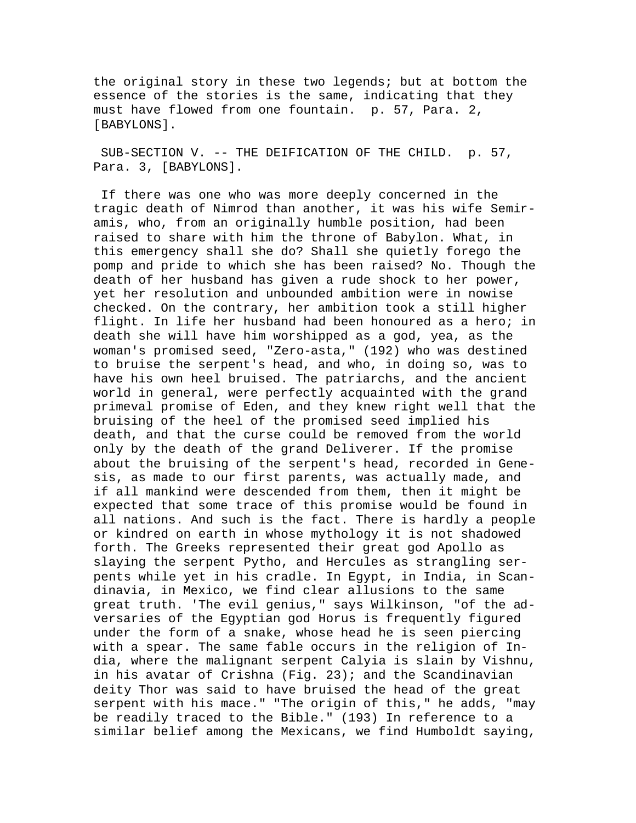the original story in these two legends; but at bottom the essence of the stories is the same, indicating that they must have flowed from one fountain. p. 57, Para. 2, [BABYLONS].

 SUB-SECTION V. -- THE DEIFICATION OF THE CHILD. p. 57, Para. 3, [BABYLONS].

 If there was one who was more deeply concerned in the tragic death of Nimrod than another, it was his wife Semiramis, who, from an originally humble position, had been raised to share with him the throne of Babylon. What, in this emergency shall she do? Shall she quietly forego the pomp and pride to which she has been raised? No. Though the death of her husband has given a rude shock to her power, yet her resolution and unbounded ambition were in nowise checked. On the contrary, her ambition took a still higher flight. In life her husband had been honoured as a hero; in death she will have him worshipped as a god, yea, as the woman's promised seed, "Zero-asta," (192) who was destined to bruise the serpent's head, and who, in doing so, was to have his own heel bruised. The patriarchs, and the ancient world in general, were perfectly acquainted with the grand primeval promise of Eden, and they knew right well that the bruising of the heel of the promised seed implied his death, and that the curse could be removed from the world only by the death of the grand Deliverer. If the promise about the bruising of the serpent's head, recorded in Genesis, as made to our first parents, was actually made, and if all mankind were descended from them, then it might be expected that some trace of this promise would be found in all nations. And such is the fact. There is hardly a people or kindred on earth in whose mythology it is not shadowed forth. The Greeks represented their great god Apollo as slaying the serpent Pytho, and Hercules as strangling serpents while yet in his cradle. In Egypt, in India, in Scandinavia, in Mexico, we find clear allusions to the same great truth. 'The evil genius," says Wilkinson, "of the adversaries of the Egyptian god Horus is frequently figured under the form of a snake, whose head he is seen piercing with a spear. The same fable occurs in the religion of India, where the malignant serpent Calyia is slain by Vishnu, in his avatar of Crishna (Fig. 23); and the Scandinavian deity Thor was said to have bruised the head of the great serpent with his mace." "The origin of this," he adds, "may be readily traced to the Bible." (193) In reference to a similar belief among the Mexicans, we find Humboldt saying,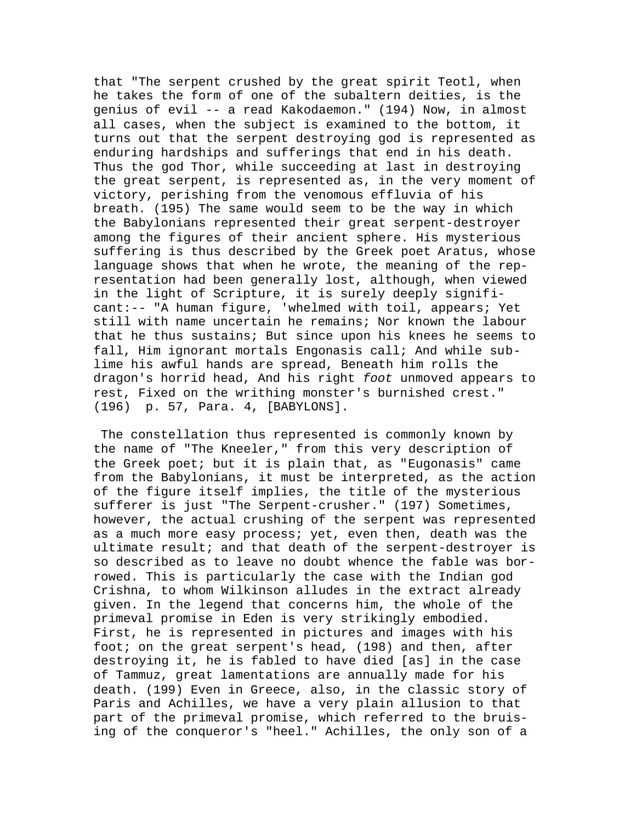that "The serpent crushed by the great spirit Teotl, when he takes the form of one of the subaltern deities, is the genius of evil -- a read Kakodaemon." (194) Now, in almost all cases, when the subject is examined to the bottom, it turns out that the serpent destroying god is represented as enduring hardships and sufferings that end in his death. Thus the god Thor, while succeeding at last in destroying the great serpent, is represented as, in the very moment of victory, perishing from the venomous effluvia of his breath. (195) The same would seem to be the way in which the Babylonians represented their great serpent-destroyer among the figures of their ancient sphere. His mysterious suffering is thus described by the Greek poet Aratus, whose language shows that when he wrote, the meaning of the representation had been generally lost, although, when viewed in the light of Scripture, it is surely deeply significant:-- "A human figure, 'whelmed with toil, appears; Yet still with name uncertain he remains; Nor known the labour that he thus sustains; But since upon his knees he seems to fall, Him ignorant mortals Engonasis call; And while sublime his awful hands are spread, Beneath him rolls the dragon's horrid head, And his right *foot* unmoved appears to rest, Fixed on the writhing monster's burnished crest." (196) p. 57, Para. 4, [BABYLONS].

 The constellation thus represented is commonly known by the name of "The Kneeler," from this very description of the Greek poet; but it is plain that, as "Eugonasis" came from the Babylonians, it must be interpreted, as the action of the figure itself implies, the title of the mysterious sufferer is just "The Serpent-crusher." (197) Sometimes, however, the actual crushing of the serpent was represented as a much more easy process; yet, even then, death was the ultimate result; and that death of the serpent-destroyer is so described as to leave no doubt whence the fable was borrowed. This is particularly the case with the Indian god Crishna, to whom Wilkinson alludes in the extract already given. In the legend that concerns him, the whole of the primeval promise in Eden is very strikingly embodied. First, he is represented in pictures and images with his foot; on the great serpent's head, (198) and then, after destroying it, he is fabled to have died [as] in the case of Tammuz, great lamentations are annually made for his death. (199) Even in Greece, also, in the classic story of Paris and Achilles, we have a very plain allusion to that part of the primeval promise, which referred to the bruising of the conqueror's "heel." Achilles, the only son of a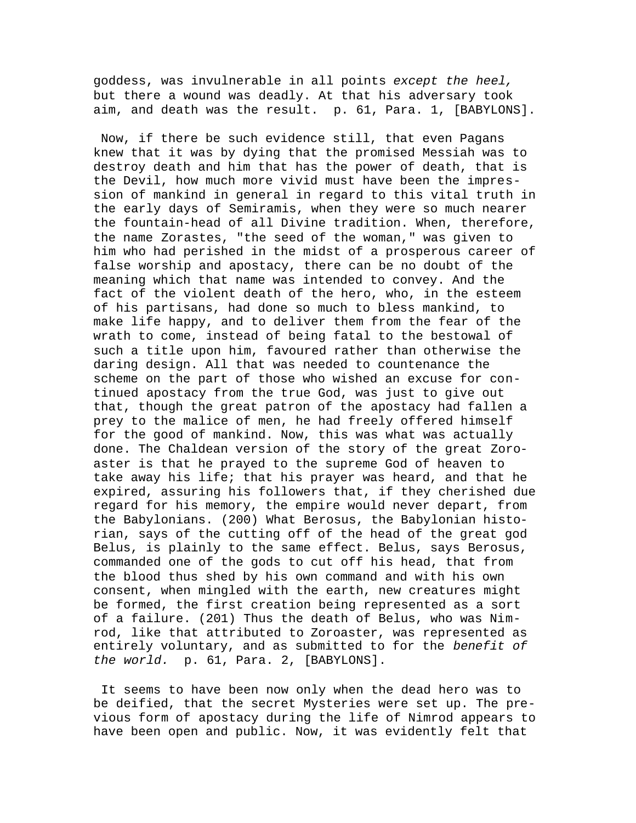goddess, was invulnerable in all points *except the heel,* but there a wound was deadly. At that his adversary took aim, and death was the result. p. 61, Para. 1, [BABYLONS].

 Now, if there be such evidence still, that even Pagans knew that it was by dying that the promised Messiah was to destroy death and him that has the power of death, that is the Devil, how much more vivid must have been the impression of mankind in general in regard to this vital truth in the early days of Semiramis, when they were so much nearer the fountain-head of all Divine tradition. When, therefore, the name Zorastes, "the seed of the woman," was given to him who had perished in the midst of a prosperous career of false worship and apostacy, there can be no doubt of the meaning which that name was intended to convey. And the fact of the violent death of the hero, who, in the esteem of his partisans, had done so much to bless mankind, to make life happy, and to deliver them from the fear of the wrath to come, instead of being fatal to the bestowal of such a title upon him, favoured rather than otherwise the daring design. All that was needed to countenance the scheme on the part of those who wished an excuse for continued apostacy from the true God, was just to give out that, though the great patron of the apostacy had fallen a prey to the malice of men, he had freely offered himself for the good of mankind. Now, this was what was actually done. The Chaldean version of the story of the great Zoroaster is that he prayed to the supreme God of heaven to take away his life; that his prayer was heard, and that he expired, assuring his followers that, if they cherished due regard for his memory, the empire would never depart, from the Babylonians. (200) What Berosus, the Babylonian historian, says of the cutting off of the head of the great god Belus, is plainly to the same effect. Belus, says Berosus, commanded one of the gods to cut off his head, that from the blood thus shed by his own command and with his own consent, when mingled with the earth, new creatures might be formed, the first creation being represented as a sort of a failure. (201) Thus the death of Belus, who was Nimrod, like that attributed to Zoroaster, was represented as entirely voluntary, and as submitted to for the *benefit of the world.* p. 61, Para. 2, [BABYLONS].

 It seems to have been now only when the dead hero was to be deified, that the secret Mysteries were set up. The previous form of apostacy during the life of Nimrod appears to have been open and public. Now, it was evidently felt that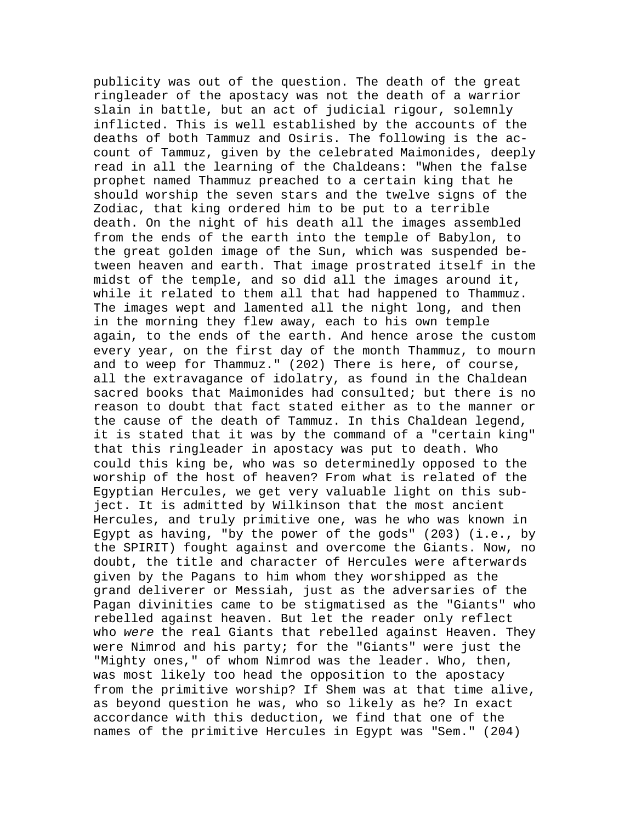publicity was out of the question. The death of the great ringleader of the apostacy was not the death of a warrior slain in battle, but an act of judicial rigour, solemnly inflicted. This is well established by the accounts of the deaths of both Tammuz and Osiris. The following is the account of Tammuz, given by the celebrated Maimonides, deeply read in all the learning of the Chaldeans: "When the false prophet named Thammuz preached to a certain king that he should worship the seven stars and the twelve signs of the Zodiac, that king ordered him to be put to a terrible death. On the night of his death all the images assembled from the ends of the earth into the temple of Babylon, to the great golden image of the Sun, which was suspended between heaven and earth. That image prostrated itself in the midst of the temple, and so did all the images around it, while it related to them all that had happened to Thammuz. The images wept and lamented all the night long, and then in the morning they flew away, each to his own temple again, to the ends of the earth. And hence arose the custom every year, on the first day of the month Thammuz, to mourn and to weep for Thammuz." (202) There is here, of course, all the extravagance of idolatry, as found in the Chaldean sacred books that Maimonides had consulted; but there is no reason to doubt that fact stated either as to the manner or the cause of the death of Tammuz. In this Chaldean legend, it is stated that it was by the command of a "certain king" that this ringleader in apostacy was put to death. Who could this king be, who was so determinedly opposed to the worship of the host of heaven? From what is related of the Egyptian Hercules, we get very valuable light on this subject. It is admitted by Wilkinson that the most ancient Hercules, and truly primitive one, was he who was known in Egypt as having, "by the power of the gods"  $(203)$   $(i.e., by$ the SPIRIT) fought against and overcome the Giants. Now, no doubt, the title and character of Hercules were afterwards given by the Pagans to him whom they worshipped as the grand deliverer or Messiah, just as the adversaries of the Pagan divinities came to be stigmatised as the "Giants" who rebelled against heaven. But let the reader only reflect who *were* the real Giants that rebelled against Heaven. They were Nimrod and his party; for the "Giants" were just the "Mighty ones," of whom Nimrod was the leader. Who, then, was most likely too head the opposition to the apostacy from the primitive worship? If Shem was at that time alive, as beyond question he was, who so likely as he? In exact accordance with this deduction, we find that one of the names of the primitive Hercules in Egypt was "Sem." (204)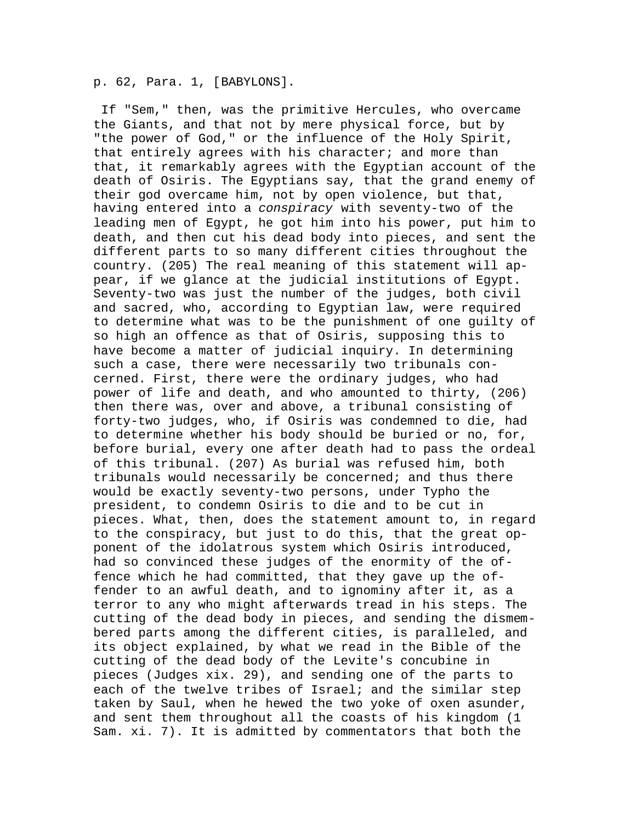p. 62, Para. 1, [BABYLONS].

 If "Sem," then, was the primitive Hercules, who overcame the Giants, and that not by mere physical force, but by "the power of God," or the influence of the Holy Spirit, that entirely agrees with his character; and more than that, it remarkably agrees with the Egyptian account of the death of Osiris. The Egyptians say, that the grand enemy of their god overcame him, not by open violence, but that, having entered into a *conspiracy* with seventy-two of the leading men of Egypt, he got him into his power, put him to death, and then cut his dead body into pieces, and sent the different parts to so many different cities throughout the country. (205) The real meaning of this statement will appear, if we glance at the judicial institutions of Egypt. Seventy-two was just the number of the judges, both civil and sacred, who, according to Egyptian law, were required to determine what was to be the punishment of one guilty of so high an offence as that of Osiris, supposing this to have become a matter of judicial inquiry. In determining such a case, there were necessarily two tribunals concerned. First, there were the ordinary judges, who had power of life and death, and who amounted to thirty, (206) then there was, over and above, a tribunal consisting of forty-two judges, who, if Osiris was condemned to die, had to determine whether his body should be buried or no, for, before burial, every one after death had to pass the ordeal of this tribunal. (207) As burial was refused him, both tribunals would necessarily be concerned; and thus there would be exactly seventy-two persons, under Typho the president, to condemn Osiris to die and to be cut in pieces. What, then, does the statement amount to, in regard to the conspiracy, but just to do this, that the great opponent of the idolatrous system which Osiris introduced, had so convinced these judges of the enormity of the offence which he had committed, that they gave up the offender to an awful death, and to ignominy after it, as a terror to any who might afterwards tread in his steps. The cutting of the dead body in pieces, and sending the dismembered parts among the different cities, is paralleled, and its object explained, by what we read in the Bible of the cutting of the dead body of the Levite's concubine in pieces (Judges xix. 29), and sending one of the parts to each of the twelve tribes of Israel; and the similar step taken by Saul, when he hewed the two yoke of oxen asunder, and sent them throughout all the coasts of his kingdom (1 Sam. xi. 7). It is admitted by commentators that both the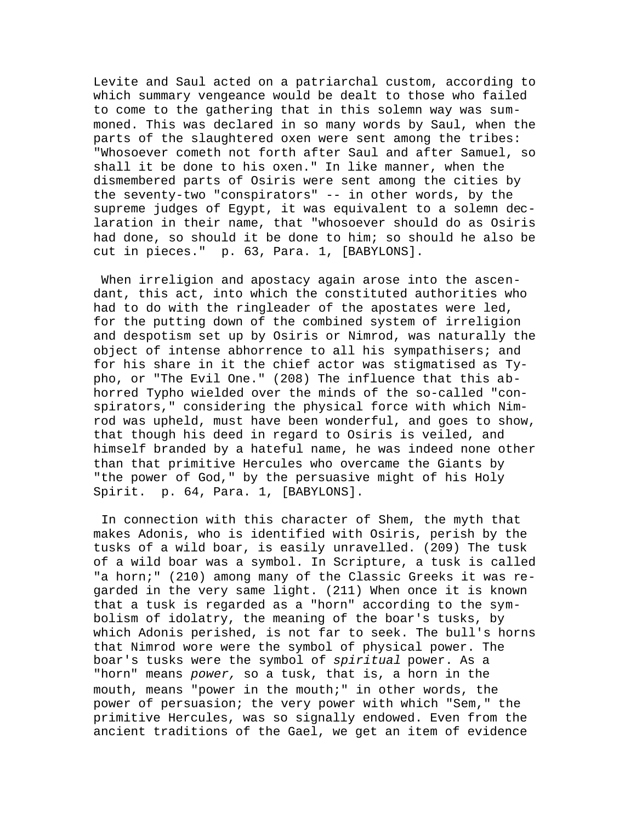Levite and Saul acted on a patriarchal custom, according to which summary vengeance would be dealt to those who failed to come to the gathering that in this solemn way was summoned. This was declared in so many words by Saul, when the parts of the slaughtered oxen were sent among the tribes: "Whosoever cometh not forth after Saul and after Samuel, so shall it be done to his oxen." In like manner, when the dismembered parts of Osiris were sent among the cities by the seventy-two "conspirators" -- in other words, by the supreme judges of Egypt, it was equivalent to a solemn declaration in their name, that "whosoever should do as Osiris had done, so should it be done to him; so should he also be cut in pieces." p. 63, Para. 1, [BABYLONS].

 When irreligion and apostacy again arose into the ascendant, this act, into which the constituted authorities who had to do with the ringleader of the apostates were led, for the putting down of the combined system of irreligion and despotism set up by Osiris or Nimrod, was naturally the object of intense abhorrence to all his sympathisers; and for his share in it the chief actor was stigmatised as Typho, or "The Evil One." (208) The influence that this abhorred Typho wielded over the minds of the so-called "conspirators," considering the physical force with which Nimrod was upheld, must have been wonderful, and goes to show, that though his deed in regard to Osiris is veiled, and himself branded by a hateful name, he was indeed none other than that primitive Hercules who overcame the Giants by "the power of God," by the persuasive might of his Holy Spirit. p. 64, Para. 1, [BABYLONS].

 In connection with this character of Shem, the myth that makes Adonis, who is identified with Osiris, perish by the tusks of a wild boar, is easily unravelled. (209) The tusk of a wild boar was a symbol. In Scripture, a tusk is called "a horn;" (210) among many of the Classic Greeks it was regarded in the very same light. (211) When once it is known that a tusk is regarded as a "horn" according to the symbolism of idolatry, the meaning of the boar's tusks, by which Adonis perished, is not far to seek. The bull's horns that Nimrod wore were the symbol of physical power. The boar's tusks were the symbol of *spiritual* power. As a "horn" means *power,* so a tusk, that is, a horn in the mouth, means "power in the mouth;" in other words, the power of persuasion; the very power with which "Sem," the primitive Hercules, was so signally endowed. Even from the ancient traditions of the Gael, we get an item of evidence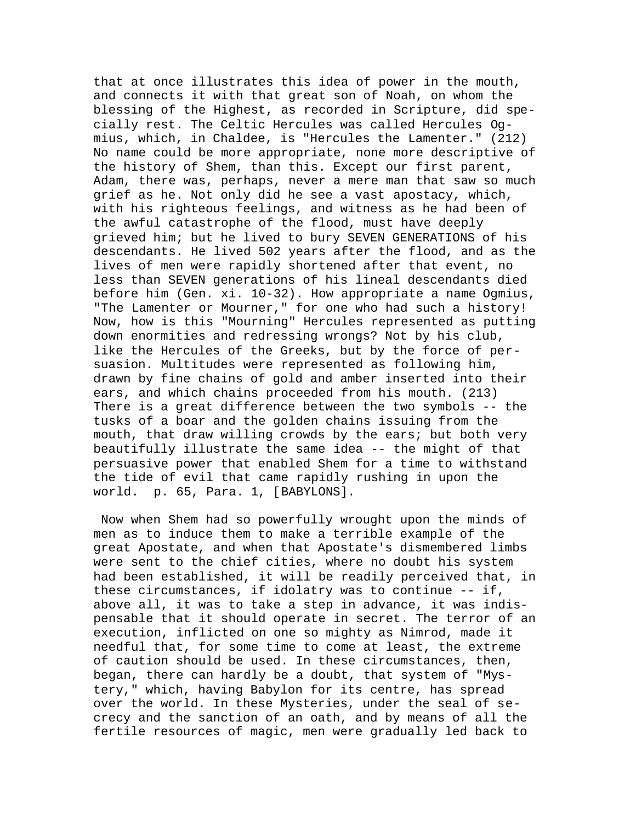that at once illustrates this idea of power in the mouth, and connects it with that great son of Noah, on whom the blessing of the Highest, as recorded in Scripture, did specially rest. The Celtic Hercules was called Hercules Ogmius, which, in Chaldee, is "Hercules the Lamenter." (212) No name could be more appropriate, none more descriptive of the history of Shem, than this. Except our first parent, Adam, there was, perhaps, never a mere man that saw so much grief as he. Not only did he see a vast apostacy, which, with his righteous feelings, and witness as he had been of the awful catastrophe of the flood, must have deeply grieved him; but he lived to bury SEVEN GENERATIONS of his descendants. He lived 502 years after the flood, and as the lives of men were rapidly shortened after that event, no less than SEVEN generations of his lineal descendants died before him (Gen. xi. 10-32). How appropriate a name Ogmius, "The Lamenter or Mourner," for one who had such a history! Now, how is this "Mourning" Hercules represented as putting down enormities and redressing wrongs? Not by his club, like the Hercules of the Greeks, but by the force of persuasion. Multitudes were represented as following him, drawn by fine chains of gold and amber inserted into their ears, and which chains proceeded from his mouth. (213) There is a great difference between the two symbols -- the tusks of a boar and the golden chains issuing from the mouth, that draw willing crowds by the ears; but both very beautifully illustrate the same idea -- the might of that persuasive power that enabled Shem for a time to withstand the tide of evil that came rapidly rushing in upon the world. p. 65, Para. 1, [BABYLONS].

 Now when Shem had so powerfully wrought upon the minds of men as to induce them to make a terrible example of the great Apostate, and when that Apostate's dismembered limbs were sent to the chief cities, where no doubt his system had been established, it will be readily perceived that, in these circumstances, if idolatry was to continue -- if, above all, it was to take a step in advance, it was indispensable that it should operate in secret. The terror of an execution, inflicted on one so mighty as Nimrod, made it needful that, for some time to come at least, the extreme of caution should be used. In these circumstances, then, began, there can hardly be a doubt, that system of "Mystery," which, having Babylon for its centre, has spread over the world. In these Mysteries, under the seal of secrecy and the sanction of an oath, and by means of all the fertile resources of magic, men were gradually led back to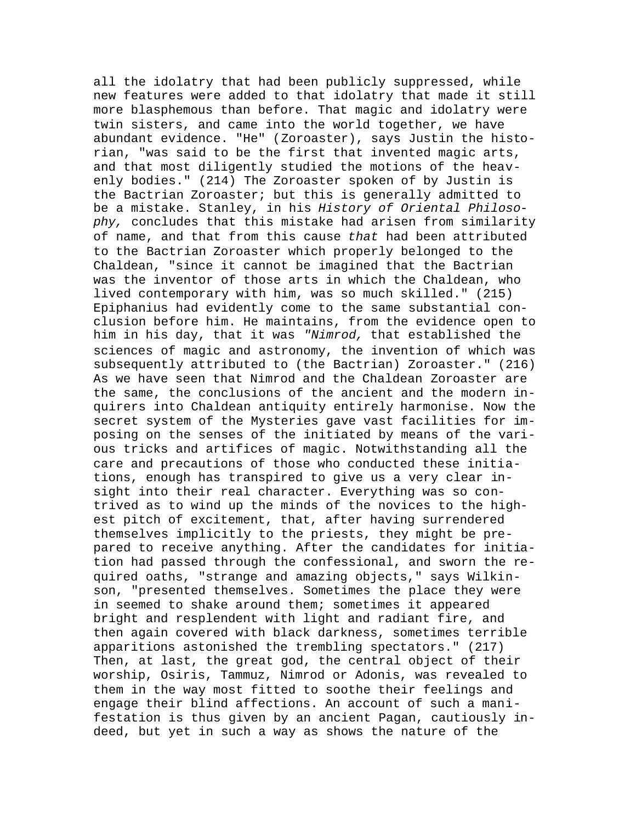all the idolatry that had been publicly suppressed, while new features were added to that idolatry that made it still more blasphemous than before. That magic and idolatry were twin sisters, and came into the world together, we have abundant evidence. "He" (Zoroaster), says Justin the historian, "was said to be the first that invented magic arts, and that most diligently studied the motions of the heavenly bodies." (214) The Zoroaster spoken of by Justin is the Bactrian Zoroaster; but this is generally admitted to be a mistake. Stanley, in his *History of Oriental Philosophy,* concludes that this mistake had arisen from similarity of name, and that from this cause *that* had been attributed to the Bactrian Zoroaster which properly belonged to the Chaldean, "since it cannot be imagined that the Bactrian was the inventor of those arts in which the Chaldean, who lived contemporary with him, was so much skilled." (215) Epiphanius had evidently come to the same substantial conclusion before him. He maintains, from the evidence open to him in his day, that it was *"Nimrod,* that established the sciences of magic and astronomy, the invention of which was subsequently attributed to (the Bactrian) Zoroaster." (216) As we have seen that Nimrod and the Chaldean Zoroaster are the same, the conclusions of the ancient and the modern inquirers into Chaldean antiquity entirely harmonise. Now the secret system of the Mysteries gave vast facilities for imposing on the senses of the initiated by means of the various tricks and artifices of magic. Notwithstanding all the care and precautions of those who conducted these initiations, enough has transpired to give us a very clear insight into their real character. Everything was so contrived as to wind up the minds of the novices to the highest pitch of excitement, that, after having surrendered themselves implicitly to the priests, they might be prepared to receive anything. After the candidates for initiation had passed through the confessional, and sworn the required oaths, "strange and amazing objects," says Wilkinson, "presented themselves. Sometimes the place they were in seemed to shake around them; sometimes it appeared bright and resplendent with light and radiant fire, and then again covered with black darkness, sometimes terrible apparitions astonished the trembling spectators." (217) Then, at last, the great god, the central object of their worship, Osiris, Tammuz, Nimrod or Adonis, was revealed to them in the way most fitted to soothe their feelings and engage their blind affections. An account of such a manifestation is thus given by an ancient Pagan, cautiously indeed, but yet in such a way as shows the nature of the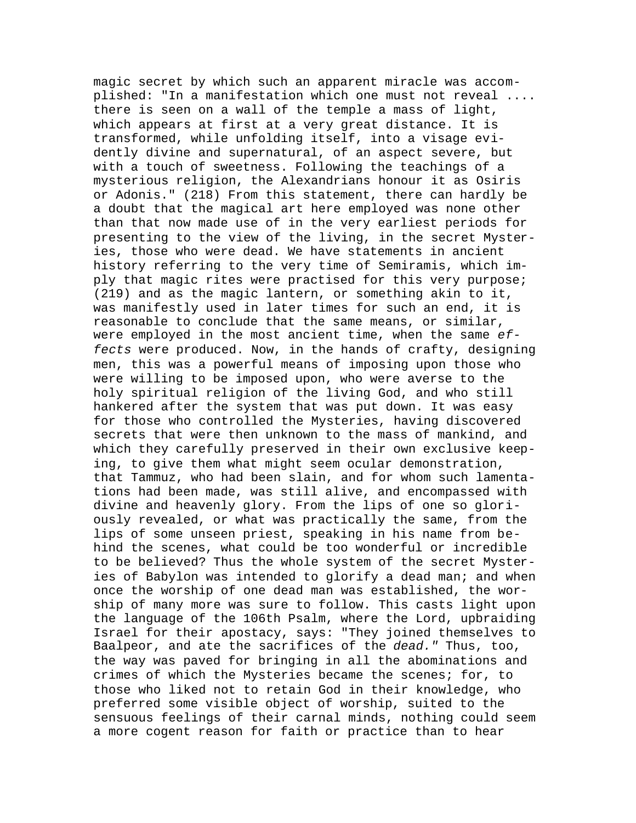magic secret by which such an apparent miracle was accomplished: "In a manifestation which one must not reveal .... there is seen on a wall of the temple a mass of light, which appears at first at a very great distance. It is transformed, while unfolding itself, into a visage evidently divine and supernatural, of an aspect severe, but with a touch of sweetness. Following the teachings of a mysterious religion, the Alexandrians honour it as Osiris or Adonis." (218) From this statement, there can hardly be a doubt that the magical art here employed was none other than that now made use of in the very earliest periods for presenting to the view of the living, in the secret Mysteries, those who were dead. We have statements in ancient history referring to the very time of Semiramis, which imply that magic rites were practised for this very purpose; (219) and as the magic lantern, or something akin to it, was manifestly used in later times for such an end, it is reasonable to conclude that the same means, or similar, were employed in the most ancient time, when the same *effects* were produced. Now, in the hands of crafty, designing men, this was a powerful means of imposing upon those who were willing to be imposed upon, who were averse to the holy spiritual religion of the living God, and who still hankered after the system that was put down. It was easy for those who controlled the Mysteries, having discovered secrets that were then unknown to the mass of mankind, and which they carefully preserved in their own exclusive keeping, to give them what might seem ocular demonstration, that Tammuz, who had been slain, and for whom such lamentations had been made, was still alive, and encompassed with divine and heavenly glory. From the lips of one so gloriously revealed, or what was practically the same, from the lips of some unseen priest, speaking in his name from behind the scenes, what could be too wonderful or incredible to be believed? Thus the whole system of the secret Mysteries of Babylon was intended to glorify a dead man; and when once the worship of one dead man was established, the worship of many more was sure to follow. This casts light upon the language of the 106th Psalm, where the Lord, upbraiding Israel for their apostacy, says: "They joined themselves to Baalpeor, and ate the sacrifices of the *dead."* Thus, too, the way was paved for bringing in all the abominations and crimes of which the Mysteries became the scenes; for, to those who liked not to retain God in their knowledge, who preferred some visible object of worship, suited to the sensuous feelings of their carnal minds, nothing could seem a more cogent reason for faith or practice than to hear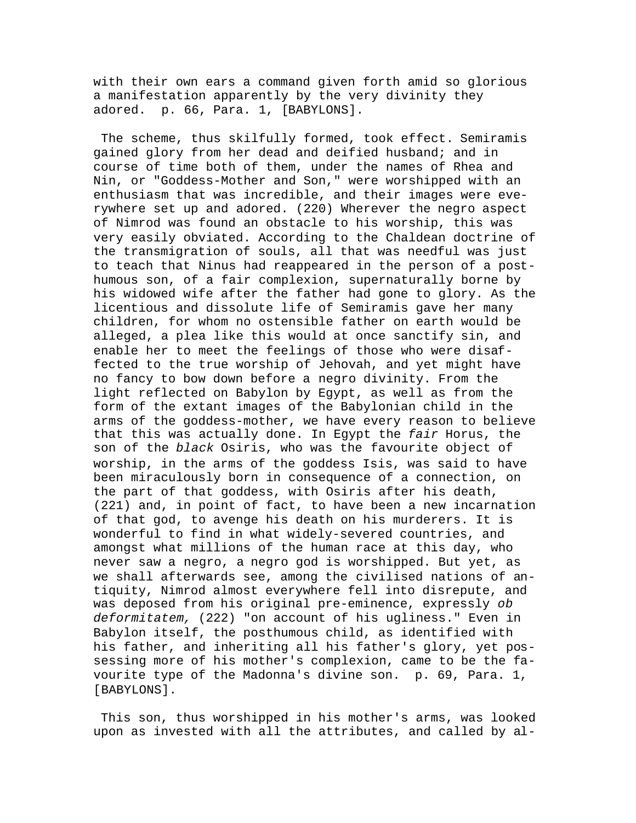with their own ears a command given forth amid so glorious a manifestation apparently by the very divinity they adored. p. 66, Para. 1, [BABYLONS].

 The scheme, thus skilfully formed, took effect. Semiramis gained glory from her dead and deified husband; and in course of time both of them, under the names of Rhea and Nin, or "Goddess-Mother and Son," were worshipped with an enthusiasm that was incredible, and their images were everywhere set up and adored. (220) Wherever the negro aspect of Nimrod was found an obstacle to his worship, this was very easily obviated. According to the Chaldean doctrine of the transmigration of souls, all that was needful was just to teach that Ninus had reappeared in the person of a posthumous son, of a fair complexion, supernaturally borne by his widowed wife after the father had gone to glory. As the licentious and dissolute life of Semiramis gave her many children, for whom no ostensible father on earth would be alleged, a plea like this would at once sanctify sin, and enable her to meet the feelings of those who were disaffected to the true worship of Jehovah, and yet might have no fancy to bow down before a negro divinity. From the light reflected on Babylon by Egypt, as well as from the form of the extant images of the Babylonian child in the arms of the goddess-mother, we have every reason to believe that this was actually done. In Egypt the *fair* Horus, the son of the *black* Osiris, who was the favourite object of worship, in the arms of the goddess Isis, was said to have been miraculously born in consequence of a connection, on the part of that goddess, with Osiris after his death, (221) and, in point of fact, to have been a new incarnation of that god, to avenge his death on his murderers. It is wonderful to find in what widely-severed countries, and amongst what millions of the human race at this day, who never saw a negro, a negro god is worshipped. But yet, as we shall afterwards see, among the civilised nations of antiquity, Nimrod almost everywhere fell into disrepute, and was deposed from his original pre-eminence, expressly *ob deformitatem,* (222) "on account of his ugliness." Even in Babylon itself, the posthumous child, as identified with his father, and inheriting all his father's glory, yet possessing more of his mother's complexion, came to be the favourite type of the Madonna's divine son. p. 69, Para. 1, [BABYLONS].

 This son, thus worshipped in his mother's arms, was looked upon as invested with all the attributes, and called by al-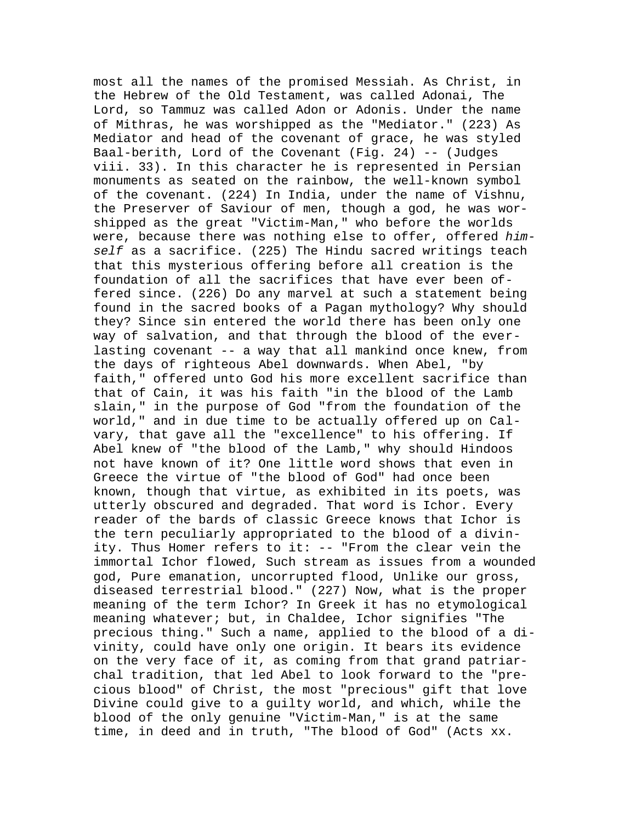most all the names of the promised Messiah. As Christ, in the Hebrew of the Old Testament, was called Adonai, The Lord, so Tammuz was called Adon or Adonis. Under the name of Mithras, he was worshipped as the "Mediator." (223) As Mediator and head of the covenant of grace, he was styled Baal-berith, Lord of the Covenant (Fig. 24) -- (Judges viii. 33). In this character he is represented in Persian monuments as seated on the rainbow, the well-known symbol of the covenant. (224) In India, under the name of Vishnu, the Preserver of Saviour of men, though a god, he was worshipped as the great "Victim-Man," who before the worlds were, because there was nothing else to offer, offered *himself* as a sacrifice. (225) The Hindu sacred writings teach that this mysterious offering before all creation is the foundation of all the sacrifices that have ever been offered since. (226) Do any marvel at such a statement being found in the sacred books of a Pagan mythology? Why should they? Since sin entered the world there has been only one way of salvation, and that through the blood of the everlasting covenant -- a way that all mankind once knew, from the days of righteous Abel downwards. When Abel, "by faith," offered unto God his more excellent sacrifice than that of Cain, it was his faith "in the blood of the Lamb slain," in the purpose of God "from the foundation of the world," and in due time to be actually offered up on Calvary, that gave all the "excellence" to his offering. If Abel knew of "the blood of the Lamb," why should Hindoos not have known of it? One little word shows that even in Greece the virtue of "the blood of God" had once been known, though that virtue, as exhibited in its poets, was utterly obscured and degraded. That word is Ichor. Every reader of the bards of classic Greece knows that Ichor is the tern peculiarly appropriated to the blood of a divinity. Thus Homer refers to it: -- "From the clear vein the immortal Ichor flowed, Such stream as issues from a wounded god, Pure emanation, uncorrupted flood, Unlike our gross, diseased terrestrial blood." (227) Now, what is the proper meaning of the term Ichor? In Greek it has no etymological meaning whatever; but, in Chaldee, Ichor signifies "The precious thing." Such a name, applied to the blood of a divinity, could have only one origin. It bears its evidence on the very face of it, as coming from that grand patriarchal tradition, that led Abel to look forward to the "precious blood" of Christ, the most "precious" gift that love Divine could give to a guilty world, and which, while the blood of the only genuine "Victim-Man," is at the same time, in deed and in truth, "The blood of God" (Acts xx.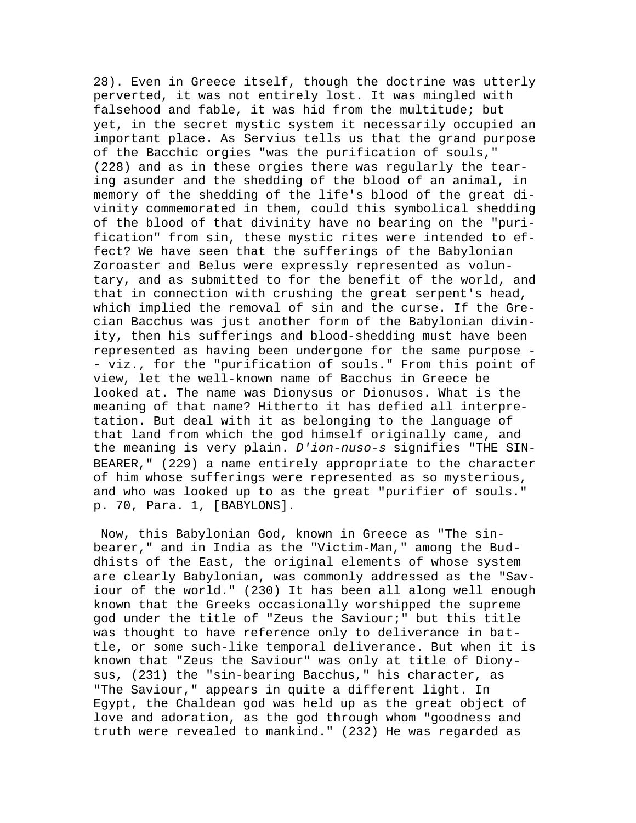28). Even in Greece itself, though the doctrine was utterly perverted, it was not entirely lost. It was mingled with falsehood and fable, it was hid from the multitude; but yet, in the secret mystic system it necessarily occupied an important place. As Servius tells us that the grand purpose of the Bacchic orgies "was the purification of souls," (228) and as in these orgies there was regularly the tearing asunder and the shedding of the blood of an animal, in memory of the shedding of the life's blood of the great divinity commemorated in them, could this symbolical shedding of the blood of that divinity have no bearing on the "purification" from sin, these mystic rites were intended to effect? We have seen that the sufferings of the Babylonian Zoroaster and Belus were expressly represented as voluntary, and as submitted to for the benefit of the world, and that in connection with crushing the great serpent's head, which implied the removal of sin and the curse. If the Grecian Bacchus was just another form of the Babylonian divinity, then his sufferings and blood-shedding must have been represented as having been undergone for the same purpose - - viz., for the "purification of souls." From this point of view, let the well-known name of Bacchus in Greece be looked at. The name was Dionysus or Dionusos. What is the meaning of that name? Hitherto it has defied all interpretation. But deal with it as belonging to the language of that land from which the god himself originally came, and the meaning is very plain. *D'ion-nuso-s* signifies "THE SIN-BEARER," (229) a name entirely appropriate to the character of him whose sufferings were represented as so mysterious, and who was looked up to as the great "purifier of souls." p. 70, Para. 1, [BABYLONS].

 Now, this Babylonian God, known in Greece as "The sinbearer," and in India as the "Victim-Man," among the Buddhists of the East, the original elements of whose system are clearly Babylonian, was commonly addressed as the "Saviour of the world." (230) It has been all along well enough known that the Greeks occasionally worshipped the supreme god under the title of "Zeus the Saviour;" but this title was thought to have reference only to deliverance in battle, or some such-like temporal deliverance. But when it is known that "Zeus the Saviour" was only at title of Dionysus, (231) the "sin-bearing Bacchus," his character, as "The Saviour," appears in quite a different light. In Egypt, the Chaldean god was held up as the great object of love and adoration, as the god through whom "goodness and truth were revealed to mankind." (232) He was regarded as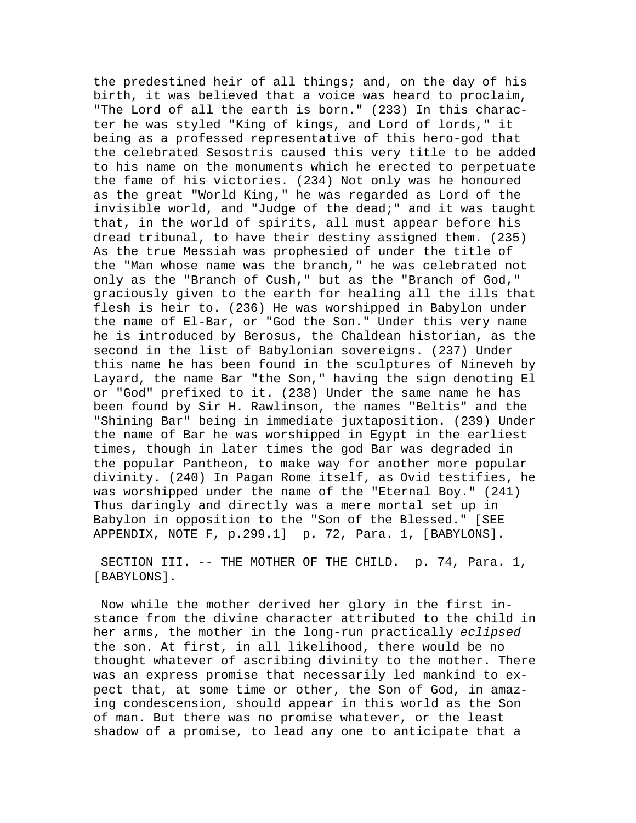the predestined heir of all things; and, on the day of his birth, it was believed that a voice was heard to proclaim, "The Lord of all the earth is born." (233) In this character he was styled "King of kings, and Lord of lords," it being as a professed representative of this hero-god that the celebrated Sesostris caused this very title to be added to his name on the monuments which he erected to perpetuate the fame of his victories. (234) Not only was he honoured as the great "World King," he was regarded as Lord of the invisible world, and "Judge of the dead;" and it was taught that, in the world of spirits, all must appear before his dread tribunal, to have their destiny assigned them. (235) As the true Messiah was prophesied of under the title of the "Man whose name was the branch," he was celebrated not only as the "Branch of Cush," but as the "Branch of God," graciously given to the earth for healing all the ills that flesh is heir to. (236) He was worshipped in Babylon under the name of El-Bar, or "God the Son." Under this very name he is introduced by Berosus, the Chaldean historian, as the second in the list of Babylonian sovereigns. (237) Under this name he has been found in the sculptures of Nineveh by Layard, the name Bar "the Son," having the sign denoting El or "God" prefixed to it. (238) Under the same name he has been found by Sir H. Rawlinson, the names "Beltis" and the "Shining Bar" being in immediate juxtaposition. (239) Under the name of Bar he was worshipped in Egypt in the earliest times, though in later times the god Bar was degraded in the popular Pantheon, to make way for another more popular divinity. (240) In Pagan Rome itself, as Ovid testifies, he was worshipped under the name of the "Eternal Boy." (241) Thus daringly and directly was a mere mortal set up in Babylon in opposition to the "Son of the Blessed." [SEE APPENDIX, NOTE F, p.299.1] p. 72, Para. 1, [BABYLONS].

 SECTION III. -- THE MOTHER OF THE CHILD. p. 74, Para. 1, [BABYLONS].

 Now while the mother derived her glory in the first instance from the divine character attributed to the child in her arms, the mother in the long-run practically *eclipsed* the son. At first, in all likelihood, there would be no thought whatever of ascribing divinity to the mother. There was an express promise that necessarily led mankind to expect that, at some time or other, the Son of God, in amazing condescension, should appear in this world as the Son of man. But there was no promise whatever, or the least shadow of a promise, to lead any one to anticipate that a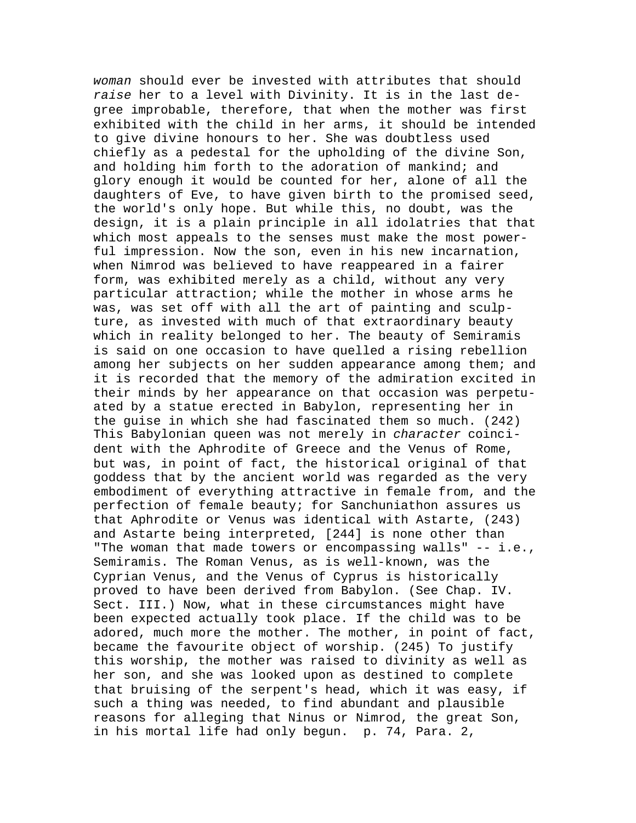*woman* should ever be invested with attributes that should *raise* her to a level with Divinity. It is in the last degree improbable, therefore, that when the mother was first exhibited with the child in her arms, it should be intended to give divine honours to her. She was doubtless used chiefly as a pedestal for the upholding of the divine Son, and holding him forth to the adoration of mankind; and glory enough it would be counted for her, alone of all the daughters of Eve, to have given birth to the promised seed, the world's only hope. But while this, no doubt, was the design, it is a plain principle in all idolatries that that which most appeals to the senses must make the most powerful impression. Now the son, even in his new incarnation, when Nimrod was believed to have reappeared in a fairer form, was exhibited merely as a child, without any very particular attraction; while the mother in whose arms he was, was set off with all the art of painting and sculpture, as invested with much of that extraordinary beauty which in reality belonged to her. The beauty of Semiramis is said on one occasion to have quelled a rising rebellion among her subjects on her sudden appearance among them; and it is recorded that the memory of the admiration excited in their minds by her appearance on that occasion was perpetuated by a statue erected in Babylon, representing her in the guise in which she had fascinated them so much. (242) This Babylonian queen was not merely in *character* coincident with the Aphrodite of Greece and the Venus of Rome, but was, in point of fact, the historical original of that goddess that by the ancient world was regarded as the very embodiment of everything attractive in female from, and the perfection of female beauty; for Sanchuniathon assures us that Aphrodite or Venus was identical with Astarte, (243) and Astarte being interpreted, [244] is none other than "The woman that made towers or encompassing walls" -- i.e., Semiramis. The Roman Venus, as is well-known, was the Cyprian Venus, and the Venus of Cyprus is historically proved to have been derived from Babylon. (See Chap. IV. Sect. III.) Now, what in these circumstances might have been expected actually took place. If the child was to be adored, much more the mother. The mother, in point of fact, became the favourite object of worship. (245) To justify this worship, the mother was raised to divinity as well as her son, and she was looked upon as destined to complete that bruising of the serpent's head, which it was easy, if such a thing was needed, to find abundant and plausible reasons for alleging that Ninus or Nimrod, the great Son, in his mortal life had only begun. p. 74, Para. 2,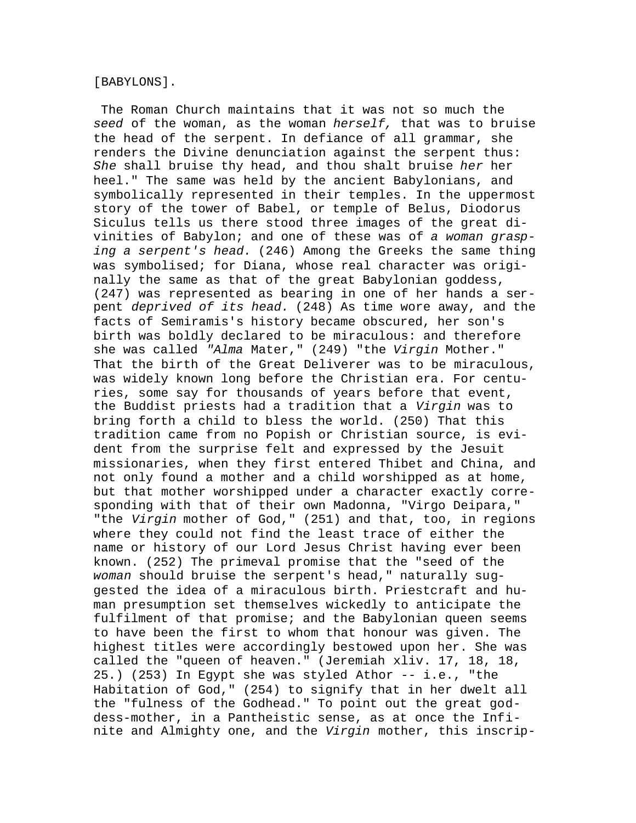## [BABYLONS].

 The Roman Church maintains that it was not so much the *seed* of the woman, as the woman *herself,* that was to bruise the head of the serpent. In defiance of all grammar, she renders the Divine denunciation against the serpent thus: *She* shall bruise thy head, and thou shalt bruise *her* her heel." The same was held by the ancient Babylonians, and symbolically represented in their temples. In the uppermost story of the tower of Babel, or temple of Belus, Diodorus Siculus tells us there stood three images of the great divinities of Babylon; and one of these was of *a woman grasping a serpent's head.* (246) Among the Greeks the same thing was symbolised; for Diana, whose real character was originally the same as that of the great Babylonian goddess, (247) was represented as bearing in one of her hands a serpent *deprived of its head.* (248) As time wore away, and the facts of Semiramis's history became obscured, her son's birth was boldly declared to be miraculous: and therefore she was called *"Alma* Mater," (249) "the *Virgin* Mother." That the birth of the Great Deliverer was to be miraculous, was widely known long before the Christian era. For centuries, some say for thousands of years before that event, the Buddist priests had a tradition that a *Virgin* was to bring forth a child to bless the world. (250) That this tradition came from no Popish or Christian source, is evident from the surprise felt and expressed by the Jesuit missionaries, when they first entered Thibet and China, and not only found a mother and a child worshipped as at home, but that mother worshipped under a character exactly corresponding with that of their own Madonna, "Virgo Deipara," "the *Virgin* mother of God," (251) and that, too, in regions where they could not find the least trace of either the name or history of our Lord Jesus Christ having ever been known. (252) The primeval promise that the "seed of the *woman* should bruise the serpent's head," naturally suggested the idea of a miraculous birth. Priestcraft and human presumption set themselves wickedly to anticipate the fulfilment of that promise; and the Babylonian queen seems to have been the first to whom that honour was given. The highest titles were accordingly bestowed upon her. She was called the "queen of heaven." (Jeremiah xliv. 17, 18, 18, 25.) (253) In Egypt she was styled Athor -- i.e., "the Habitation of God," (254) to signify that in her dwelt all the "fulness of the Godhead." To point out the great goddess-mother, in a Pantheistic sense, as at once the Infinite and Almighty one, and the *Virgin* mother, this inscrip-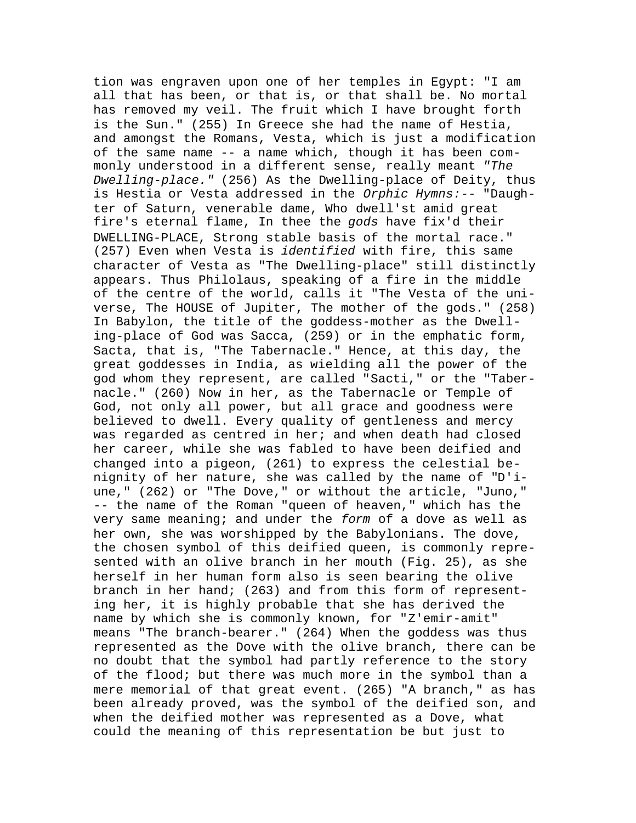tion was engraven upon one of her temples in Egypt: "I am all that has been, or that is, or that shall be. No mortal has removed my veil. The fruit which I have brought forth is the Sun." (255) In Greece she had the name of Hestia, and amongst the Romans, Vesta, which is just a modification of the same name -- a name which, though it has been commonly understood in a different sense, really meant *"The Dwelling-place."* (256) As the Dwelling-place of Deity, thus is Hestia or Vesta addressed in the *Orphic Hymns:--* "Daughter of Saturn, venerable dame, Who dwell'st amid great fire's eternal flame, In thee the *gods* have fix'd their DWELLING-PLACE, Strong stable basis of the mortal race." (257) Even when Vesta is *identified* with fire, this same character of Vesta as "The Dwelling-place" still distinctly appears. Thus Philolaus, speaking of a fire in the middle of the centre of the world, calls it "The Vesta of the universe, The HOUSE of Jupiter, The mother of the gods." (258) In Babylon, the title of the goddess-mother as the Dwelling-place of God was Sacca, (259) or in the emphatic form, Sacta, that is, "The Tabernacle." Hence, at this day, the great goddesses in India, as wielding all the power of the god whom they represent, are called "Sacti," or the "Tabernacle." (260) Now in her, as the Tabernacle or Temple of God, not only all power, but all grace and goodness were believed to dwell. Every quality of gentleness and mercy was regarded as centred in her; and when death had closed her career, while she was fabled to have been deified and changed into a pigeon, (261) to express the celestial benignity of her nature, she was called by the name of "D'iune," (262) or "The Dove," or without the article, "Juno," -- the name of the Roman "queen of heaven," which has the very same meaning; and under the *form* of a dove as well as her own, she was worshipped by the Babylonians. The dove, the chosen symbol of this deified queen, is commonly represented with an olive branch in her mouth (Fig. 25), as she herself in her human form also is seen bearing the olive branch in her hand; (263) and from this form of representing her, it is highly probable that she has derived the name by which she is commonly known, for "Z'emir-amit" means "The branch-bearer." (264) When the goddess was thus represented as the Dove with the olive branch, there can be no doubt that the symbol had partly reference to the story of the flood; but there was much more in the symbol than a mere memorial of that great event. (265) "A branch," as has been already proved, was the symbol of the deified son, and when the deified mother was represented as a Dove, what could the meaning of this representation be but just to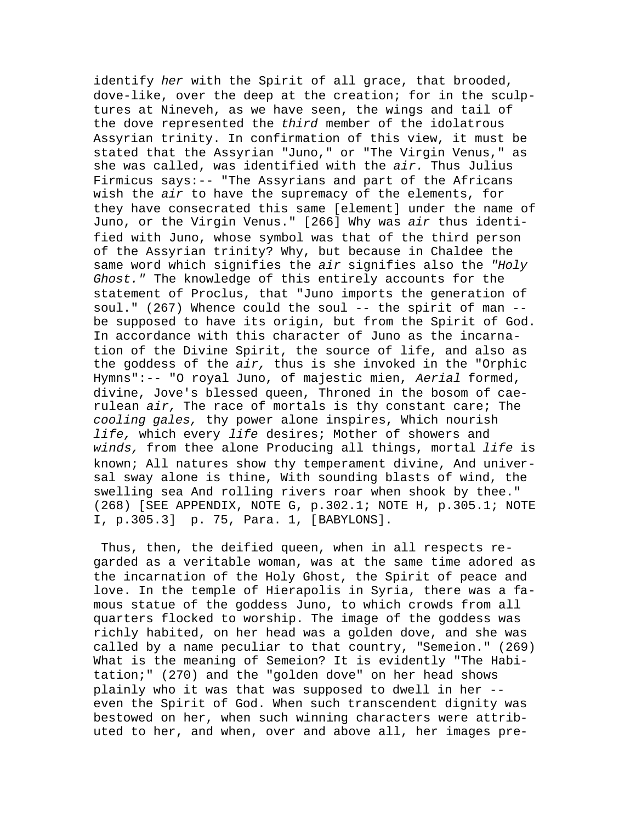identify *her* with the Spirit of all grace, that brooded, dove-like, over the deep at the creation; for in the sculptures at Nineveh, as we have seen, the wings and tail of the dove represented the *third* member of the idolatrous Assyrian trinity. In confirmation of this view, it must be stated that the Assyrian "Juno," or "The Virgin Venus," as she was called, was identified with the *air.* Thus Julius Firmicus says:-- "The Assyrians and part of the Africans wish the *air* to have the supremacy of the elements, for they have consecrated this same [element] under the name of Juno, or the Virgin Venus." [266] Why was *air* thus identified with Juno, whose symbol was that of the third person of the Assyrian trinity? Why, but because in Chaldee the same word which signifies the *air* signifies also the *"Holy Ghost."* The knowledge of this entirely accounts for the statement of Proclus, that "Juno imports the generation of soul." (267) Whence could the soul -- the spirit of man - be supposed to have its origin, but from the Spirit of God. In accordance with this character of Juno as the incarnation of the Divine Spirit, the source of life, and also as the goddess of the *air,* thus is she invoked in the "Orphic Hymns":-- "O royal Juno, of majestic mien, *Aerial* formed, divine, Jove's blessed queen, Throned in the bosom of caerulean *air,* The race of mortals is thy constant care; The *cooling gales,* thy power alone inspires, Which nourish *life,* which every *life* desires; Mother of showers and *winds,* from thee alone Producing all things, mortal *life* is known; All natures show thy temperament divine, And universal sway alone is thine, With sounding blasts of wind, the swelling sea And rolling rivers roar when shook by thee." (268) [SEE APPENDIX, NOTE G, p.302.1; NOTE H, p.305.1; NOTE I, p.305.3] p. 75, Para. 1, [BABYLONS].

 Thus, then, the deified queen, when in all respects regarded as a veritable woman, was at the same time adored as the incarnation of the Holy Ghost, the Spirit of peace and love. In the temple of Hierapolis in Syria, there was a famous statue of the goddess Juno, to which crowds from all quarters flocked to worship. The image of the goddess was richly habited, on her head was a golden dove, and she was called by a name peculiar to that country, "Semeion." (269) What is the meaning of Semeion? It is evidently "The Habitation;" (270) and the "golden dove" on her head shows plainly who it was that was supposed to dwell in her - even the Spirit of God. When such transcendent dignity was bestowed on her, when such winning characters were attributed to her, and when, over and above all, her images pre-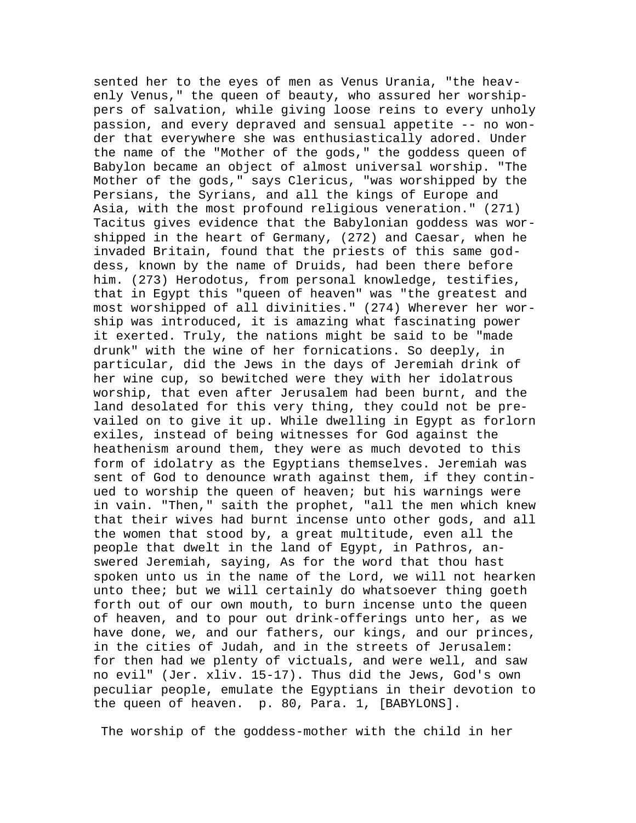sented her to the eyes of men as Venus Urania, "the heavenly Venus," the queen of beauty, who assured her worshippers of salvation, while giving loose reins to every unholy passion, and every depraved and sensual appetite -- no wonder that everywhere she was enthusiastically adored. Under the name of the "Mother of the gods," the goddess queen of Babylon became an object of almost universal worship. "The Mother of the gods," says Clericus, "was worshipped by the Persians, the Syrians, and all the kings of Europe and Asia, with the most profound religious veneration." (271) Tacitus gives evidence that the Babylonian goddess was worshipped in the heart of Germany, (272) and Caesar, when he invaded Britain, found that the priests of this same goddess, known by the name of Druids, had been there before him. (273) Herodotus, from personal knowledge, testifies, that in Egypt this "queen of heaven" was "the greatest and most worshipped of all divinities." (274) Wherever her worship was introduced, it is amazing what fascinating power it exerted. Truly, the nations might be said to be "made drunk" with the wine of her fornications. So deeply, in particular, did the Jews in the days of Jeremiah drink of her wine cup, so bewitched were they with her idolatrous worship, that even after Jerusalem had been burnt, and the land desolated for this very thing, they could not be prevailed on to give it up. While dwelling in Egypt as forlorn exiles, instead of being witnesses for God against the heathenism around them, they were as much devoted to this form of idolatry as the Egyptians themselves. Jeremiah was sent of God to denounce wrath against them, if they continued to worship the queen of heaven; but his warnings were in vain. "Then," saith the prophet, "all the men which knew that their wives had burnt incense unto other gods, and all the women that stood by, a great multitude, even all the people that dwelt in the land of Egypt, in Pathros, answered Jeremiah, saying, As for the word that thou hast spoken unto us in the name of the Lord, we will not hearken unto thee; but we will certainly do whatsoever thing goeth forth out of our own mouth, to burn incense unto the queen of heaven, and to pour out drink-offerings unto her, as we have done, we, and our fathers, our kings, and our princes, in the cities of Judah, and in the streets of Jerusalem: for then had we plenty of victuals, and were well, and saw no evil" (Jer. xliv. 15-17). Thus did the Jews, God's own peculiar people, emulate the Egyptians in their devotion to the queen of heaven. p. 80, Para. 1, [BABYLONS].

The worship of the goddess-mother with the child in her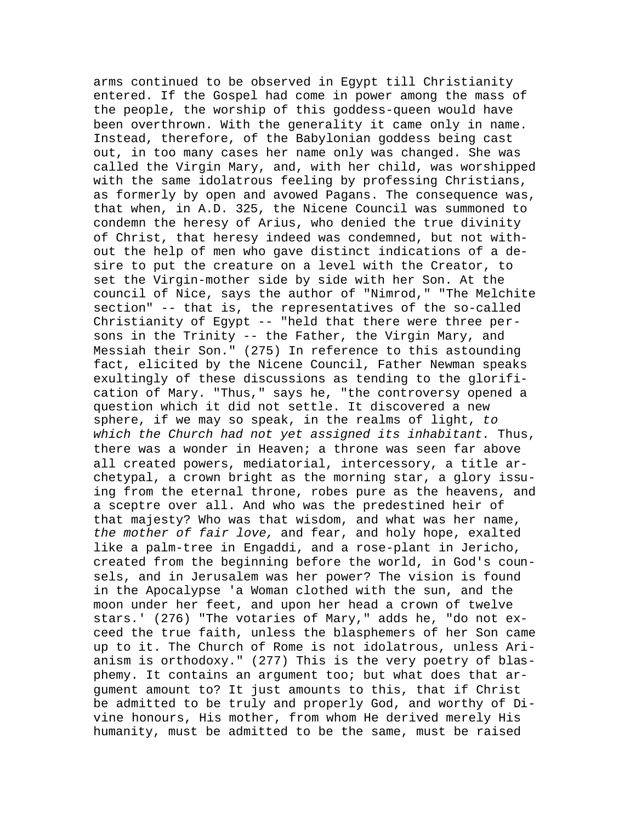arms continued to be observed in Egypt till Christianity entered. If the Gospel had come in power among the mass of the people, the worship of this goddess-queen would have been overthrown. With the generality it came only in name. Instead, therefore, of the Babylonian goddess being cast out, in too many cases her name only was changed. She was called the Virgin Mary, and, with her child, was worshipped with the same idolatrous feeling by professing Christians, as formerly by open and avowed Pagans. The consequence was, that when, in A.D. 325, the Nicene Council was summoned to condemn the heresy of Arius, who denied the true divinity of Christ, that heresy indeed was condemned, but not without the help of men who gave distinct indications of a desire to put the creature on a level with the Creator, to set the Virgin-mother side by side with her Son. At the council of Nice, says the author of "Nimrod," "The Melchite section" -- that is, the representatives of the so-called Christianity of Egypt -- "held that there were three persons in the Trinity -- the Father, the Virgin Mary, and Messiah their Son." (275) In reference to this astounding fact, elicited by the Nicene Council, Father Newman speaks exultingly of these discussions as tending to the glorification of Mary. "Thus," says he, "the controversy opened a question which it did not settle. It discovered a new sphere, if we may so speak, in the realms of light, *to which the Church had not yet assigned its inhabitant.* Thus, there was a wonder in Heaven; a throne was seen far above all created powers, mediatorial, intercessory, a title archetypal, a crown bright as the morning star, a glory issuing from the eternal throne, robes pure as the heavens, and a sceptre over all. And who was the predestined heir of that majesty? Who was that wisdom, and what was her name, *the mother of fair love,* and fear, and holy hope, exalted like a palm-tree in Engaddi, and a rose-plant in Jericho, created from the beginning before the world, in God's counsels, and in Jerusalem was her power? The vision is found in the Apocalypse 'a Woman clothed with the sun, and the moon under her feet, and upon her head a crown of twelve stars.' (276) "The votaries of Mary," adds he, "do not exceed the true faith, unless the blasphemers of her Son came up to it. The Church of Rome is not idolatrous, unless Arianism is orthodoxy." (277) This is the very poetry of blasphemy. It contains an argument too; but what does that argument amount to? It just amounts to this, that if Christ be admitted to be truly and properly God, and worthy of Divine honours, His mother, from whom He derived merely His humanity, must be admitted to be the same, must be raised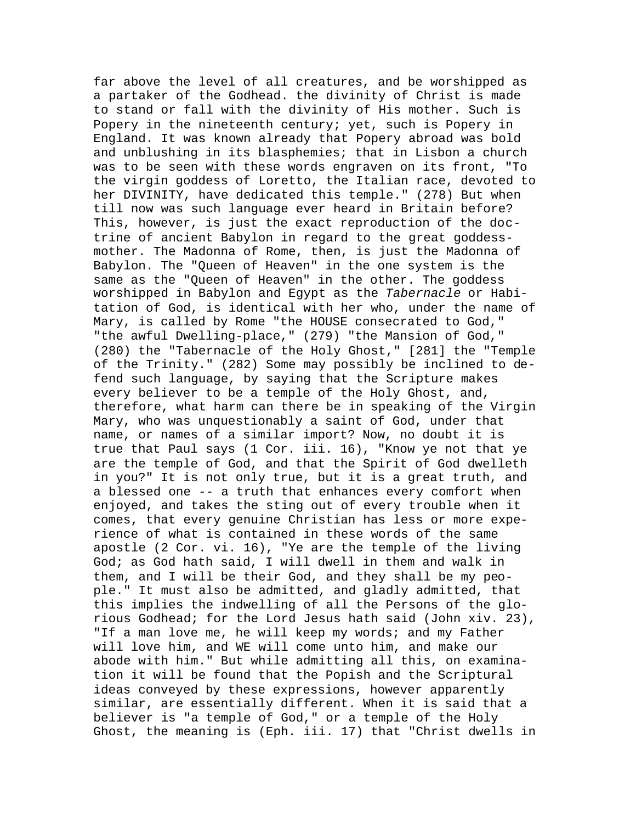far above the level of all creatures, and be worshipped as a partaker of the Godhead. the divinity of Christ is made to stand or fall with the divinity of His mother. Such is Popery in the nineteenth century; yet, such is Popery in England. It was known already that Popery abroad was bold and unblushing in its blasphemies; that in Lisbon a church was to be seen with these words engraven on its front, "To the virgin goddess of Loretto, the Italian race, devoted to her DIVINITY, have dedicated this temple." (278) But when till now was such language ever heard in Britain before? This, however, is just the exact reproduction of the doctrine of ancient Babylon in regard to the great goddessmother. The Madonna of Rome, then, is just the Madonna of Babylon. The "Queen of Heaven" in the one system is the same as the "Queen of Heaven" in the other. The goddess worshipped in Babylon and Egypt as the *Tabernacle* or Habitation of God, is identical with her who, under the name of Mary, is called by Rome "the HOUSE consecrated to God," "the awful Dwelling-place," (279) "the Mansion of God," (280) the "Tabernacle of the Holy Ghost," [281] the "Temple of the Trinity." (282) Some may possibly be inclined to defend such language, by saying that the Scripture makes every believer to be a temple of the Holy Ghost, and, therefore, what harm can there be in speaking of the Virgin Mary, who was unquestionably a saint of God, under that name, or names of a similar import? Now, no doubt it is true that Paul says (1 Cor. iii. 16), "Know ye not that ye are the temple of God, and that the Spirit of God dwelleth in you?" It is not only true, but it is a great truth, and a blessed one -- a truth that enhances every comfort when enjoyed, and takes the sting out of every trouble when it comes, that every genuine Christian has less or more experience of what is contained in these words of the same apostle (2 Cor. vi. 16), "Ye are the temple of the living God; as God hath said, I will dwell in them and walk in them, and I will be their God, and they shall be my people." It must also be admitted, and gladly admitted, that this implies the indwelling of all the Persons of the glorious Godhead; for the Lord Jesus hath said (John xiv. 23), "If a man love me, he will keep my words; and my Father will love him, and WE will come unto him, and make our abode with him." But while admitting all this, on examination it will be found that the Popish and the Scriptural ideas conveyed by these expressions, however apparently similar, are essentially different. When it is said that a believer is "a temple of God," or a temple of the Holy Ghost, the meaning is (Eph. iii. 17) that "Christ dwells in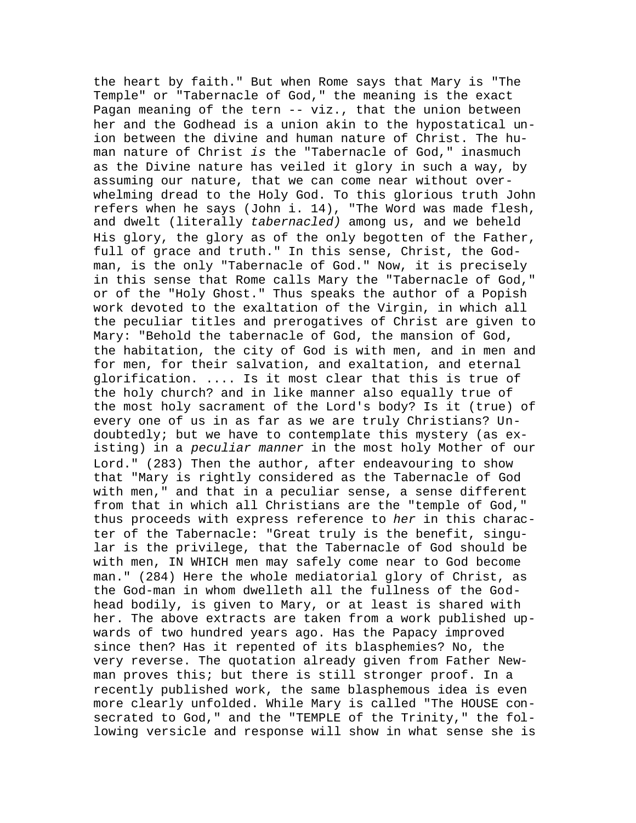the heart by faith." But when Rome says that Mary is "The Temple" or "Tabernacle of God," the meaning is the exact Pagan meaning of the tern -- viz., that the union between her and the Godhead is a union akin to the hypostatical union between the divine and human nature of Christ. The human nature of Christ *is* the "Tabernacle of God," inasmuch as the Divine nature has veiled it glory in such a way, by assuming our nature, that we can come near without overwhelming dread to the Holy God. To this glorious truth John refers when he says (John i. 14), "The Word was made flesh, and dwelt (literally *tabernacled)* among us, and we beheld His glory, the glory as of the only begotten of the Father, full of grace and truth." In this sense, Christ, the Godman, is the only "Tabernacle of God." Now, it is precisely in this sense that Rome calls Mary the "Tabernacle of God," or of the "Holy Ghost." Thus speaks the author of a Popish work devoted to the exaltation of the Virgin, in which all the peculiar titles and prerogatives of Christ are given to Mary: "Behold the tabernacle of God, the mansion of God, the habitation, the city of God is with men, and in men and for men, for their salvation, and exaltation, and eternal glorification. .... Is it most clear that this is true of the holy church? and in like manner also equally true of the most holy sacrament of the Lord's body? Is it (true) of every one of us in as far as we are truly Christians? Undoubtedly; but we have to contemplate this mystery (as existing) in a *peculiar manner* in the most holy Mother of our Lord." (283) Then the author, after endeavouring to show that "Mary is rightly considered as the Tabernacle of God with men," and that in a peculiar sense, a sense different from that in which all Christians are the "temple of God," thus proceeds with express reference to *her* in this character of the Tabernacle: "Great truly is the benefit, singular is the privilege, that the Tabernacle of God should be with men, IN WHICH men may safely come near to God become man." (284) Here the whole mediatorial glory of Christ, as the God-man in whom dwelleth all the fullness of the Godhead bodily, is given to Mary, or at least is shared with her. The above extracts are taken from a work published upwards of two hundred years ago. Has the Papacy improved since then? Has it repented of its blasphemies? No, the very reverse. The quotation already given from Father Newman proves this; but there is still stronger proof. In a recently published work, the same blasphemous idea is even more clearly unfolded. While Mary is called "The HOUSE consecrated to God," and the "TEMPLE of the Trinity," the following versicle and response will show in what sense she is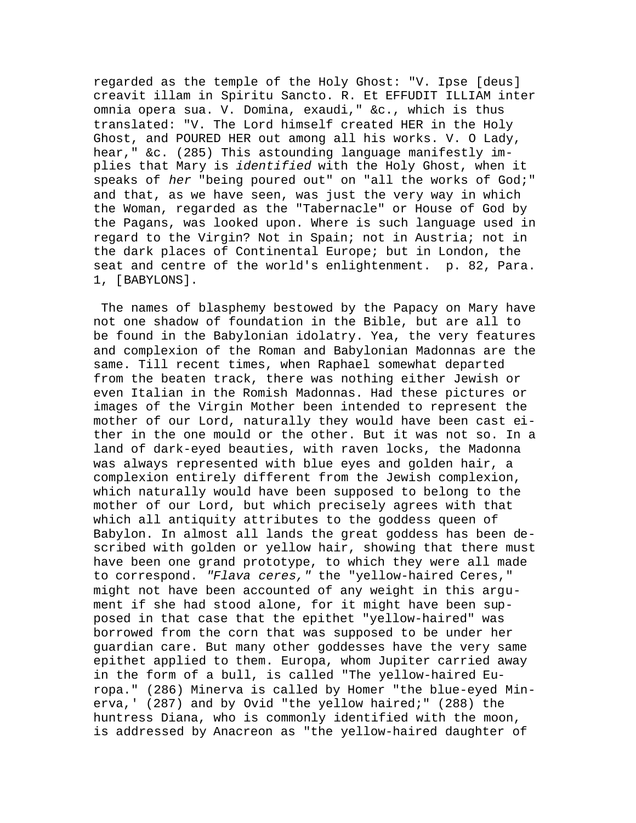regarded as the temple of the Holy Ghost: "V. Ipse [deus] creavit illam in Spiritu Sancto. R. Et EFFUDIT ILLIAM inter omnia opera sua. V. Domina, exaudi," &c., which is thus translated: "V. The Lord himself created HER in the Holy Ghost, and POURED HER out among all his works. V. O Lady, hear," &c. (285) This astounding language manifestly implies that Mary is *identified* with the Holy Ghost, when it speaks of *her* "being poured out" on "all the works of God;" and that, as we have seen, was just the very way in which the Woman, regarded as the "Tabernacle" or House of God by the Pagans, was looked upon. Where is such language used in regard to the Virgin? Not in Spain; not in Austria; not in the dark places of Continental Europe; but in London, the seat and centre of the world's enlightenment. p. 82, Para. 1, [BABYLONS].

 The names of blasphemy bestowed by the Papacy on Mary have not one shadow of foundation in the Bible, but are all to be found in the Babylonian idolatry. Yea, the very features and complexion of the Roman and Babylonian Madonnas are the same. Till recent times, when Raphael somewhat departed from the beaten track, there was nothing either Jewish or even Italian in the Romish Madonnas. Had these pictures or images of the Virgin Mother been intended to represent the mother of our Lord, naturally they would have been cast either in the one mould or the other. But it was not so. In a land of dark-eyed beauties, with raven locks, the Madonna was always represented with blue eyes and golden hair, a complexion entirely different from the Jewish complexion, which naturally would have been supposed to belong to the mother of our Lord, but which precisely agrees with that which all antiquity attributes to the goddess queen of Babylon. In almost all lands the great goddess has been described with golden or yellow hair, showing that there must have been one grand prototype, to which they were all made to correspond. *"Flava ceres,"* the "yellow-haired Ceres," might not have been accounted of any weight in this argument if she had stood alone, for it might have been supposed in that case that the epithet "yellow-haired" was borrowed from the corn that was supposed to be under her guardian care. But many other goddesses have the very same epithet applied to them. Europa, whom Jupiter carried away in the form of a bull, is called "The yellow-haired Europa." (286) Minerva is called by Homer "the blue-eyed Minerva,' (287) and by Ovid "the yellow haired;" (288) the huntress Diana, who is commonly identified with the moon, is addressed by Anacreon as "the yellow-haired daughter of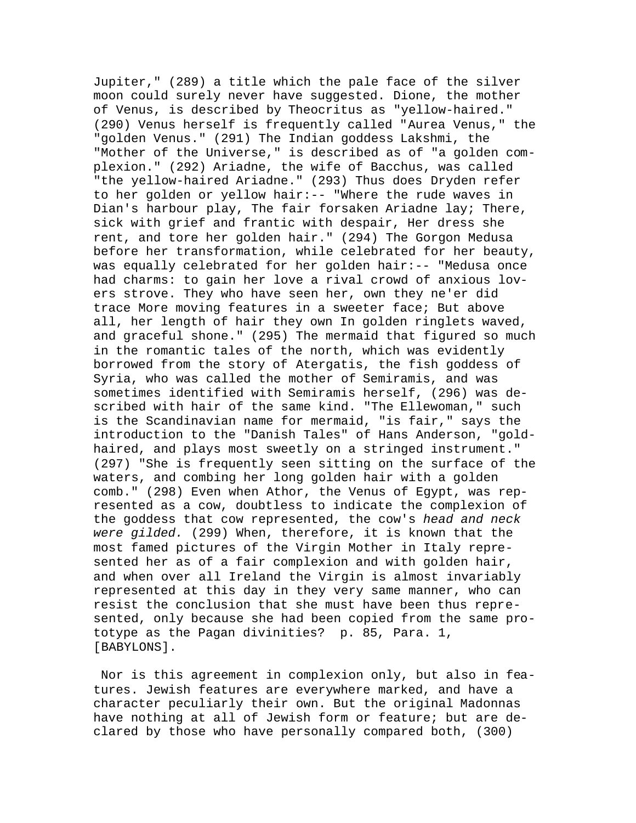Jupiter," (289) a title which the pale face of the silver moon could surely never have suggested. Dione, the mother of Venus, is described by Theocritus as "yellow-haired." (290) Venus herself is frequently called "Aurea Venus," the "golden Venus." (291) The Indian goddess Lakshmi, the "Mother of the Universe," is described as of "a golden complexion." (292) Ariadne, the wife of Bacchus, was called "the yellow-haired Ariadne." (293) Thus does Dryden refer to her golden or yellow hair:-- "Where the rude waves in Dian's harbour play, The fair forsaken Ariadne lay; There, sick with grief and frantic with despair, Her dress she rent, and tore her golden hair." (294) The Gorgon Medusa before her transformation, while celebrated for her beauty, was equally celebrated for her golden hair:-- "Medusa once had charms: to gain her love a rival crowd of anxious lovers strove. They who have seen her, own they ne'er did trace More moving features in a sweeter face; But above all, her length of hair they own In golden ringlets waved, and graceful shone." (295) The mermaid that figured so much in the romantic tales of the north, which was evidently borrowed from the story of Atergatis, the fish goddess of Syria, who was called the mother of Semiramis, and was sometimes identified with Semiramis herself, (296) was described with hair of the same kind. "The Ellewoman," such is the Scandinavian name for mermaid, "is fair," says the introduction to the "Danish Tales" of Hans Anderson, "goldhaired, and plays most sweetly on a stringed instrument." (297) "She is frequently seen sitting on the surface of the waters, and combing her long golden hair with a golden comb." (298) Even when Athor, the Venus of Egypt, was represented as a cow, doubtless to indicate the complexion of the goddess that cow represented, the cow's *head and neck were gilded.* (299) When, therefore, it is known that the most famed pictures of the Virgin Mother in Italy represented her as of a fair complexion and with golden hair, and when over all Ireland the Virgin is almost invariably represented at this day in they very same manner, who can resist the conclusion that she must have been thus represented, only because she had been copied from the same prototype as the Pagan divinities? p. 85, Para. 1, [BABYLONS].

 Nor is this agreement in complexion only, but also in features. Jewish features are everywhere marked, and have a character peculiarly their own. But the original Madonnas have nothing at all of Jewish form or feature; but are declared by those who have personally compared both, (300)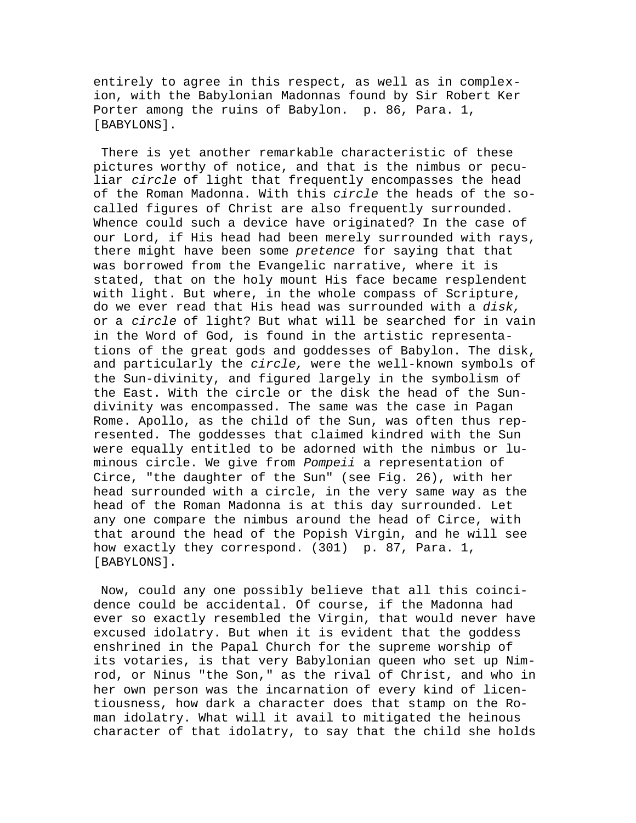entirely to agree in this respect, as well as in complexion, with the Babylonian Madonnas found by Sir Robert Ker Porter among the ruins of Babylon. p. 86, Para. 1, [BABYLONS].

 There is yet another remarkable characteristic of these pictures worthy of notice, and that is the nimbus or peculiar *circle* of light that frequently encompasses the head of the Roman Madonna. With this *circle* the heads of the socalled figures of Christ are also frequently surrounded. Whence could such a device have originated? In the case of our Lord, if His head had been merely surrounded with rays, there might have been some *pretence* for saying that that was borrowed from the Evangelic narrative, where it is stated, that on the holy mount His face became resplendent with light. But where, in the whole compass of Scripture, do we ever read that His head was surrounded with a *disk,* or a *circle* of light? But what will be searched for in vain in the Word of God, is found in the artistic representations of the great gods and goddesses of Babylon. The disk, and particularly the *circle,* were the well-known symbols of the Sun-divinity, and figured largely in the symbolism of the East. With the circle or the disk the head of the Sundivinity was encompassed. The same was the case in Pagan Rome. Apollo, as the child of the Sun, was often thus represented. The goddesses that claimed kindred with the Sun were equally entitled to be adorned with the nimbus or luminous circle. We give from *Pompeii* a representation of Circe, "the daughter of the Sun" (see Fig. 26), with her head surrounded with a circle, in the very same way as the head of the Roman Madonna is at this day surrounded. Let any one compare the nimbus around the head of Circe, with that around the head of the Popish Virgin, and he will see how exactly they correspond. (301) p. 87, Para. 1, [BABYLONS].

 Now, could any one possibly believe that all this coincidence could be accidental. Of course, if the Madonna had ever so exactly resembled the Virgin, that would never have excused idolatry. But when it is evident that the goddess enshrined in the Papal Church for the supreme worship of its votaries, is that very Babylonian queen who set up Nimrod, or Ninus "the Son," as the rival of Christ, and who in her own person was the incarnation of every kind of licentiousness, how dark a character does that stamp on the Roman idolatry. What will it avail to mitigated the heinous character of that idolatry, to say that the child she holds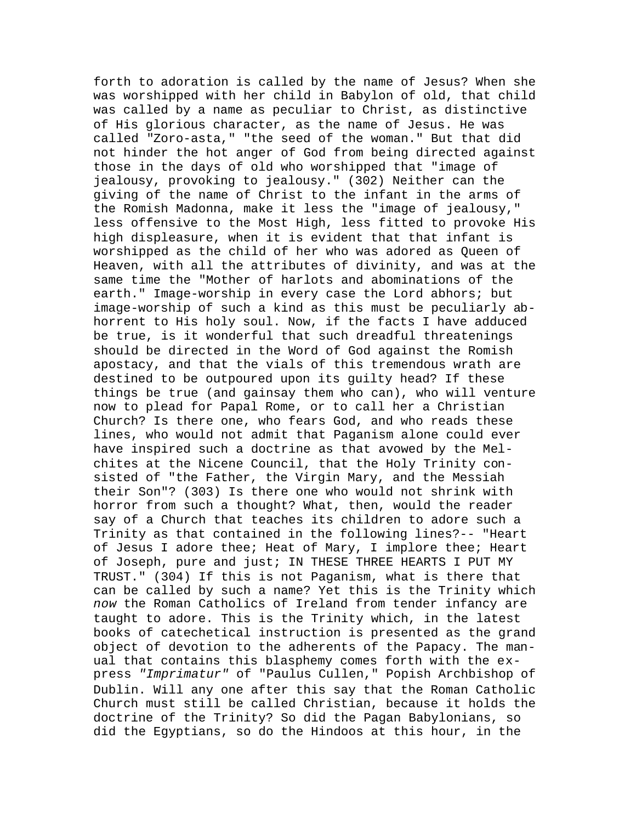forth to adoration is called by the name of Jesus? When she was worshipped with her child in Babylon of old, that child was called by a name as peculiar to Christ, as distinctive of His glorious character, as the name of Jesus. He was called "Zoro-asta," "the seed of the woman." But that did not hinder the hot anger of God from being directed against those in the days of old who worshipped that "image of jealousy, provoking to jealousy." (302) Neither can the giving of the name of Christ to the infant in the arms of the Romish Madonna, make it less the "image of jealousy," less offensive to the Most High, less fitted to provoke His high displeasure, when it is evident that that infant is worshipped as the child of her who was adored as Queen of Heaven, with all the attributes of divinity, and was at the same time the "Mother of harlots and abominations of the earth." Image-worship in every case the Lord abhors; but image-worship of such a kind as this must be peculiarly abhorrent to His holy soul. Now, if the facts I have adduced be true, is it wonderful that such dreadful threatenings should be directed in the Word of God against the Romish apostacy, and that the vials of this tremendous wrath are destined to be outpoured upon its guilty head? If these things be true (and gainsay them who can), who will venture now to plead for Papal Rome, or to call her a Christian Church? Is there one, who fears God, and who reads these lines, who would not admit that Paganism alone could ever have inspired such a doctrine as that avowed by the Melchites at the Nicene Council, that the Holy Trinity consisted of "the Father, the Virgin Mary, and the Messiah their Son"? (303) Is there one who would not shrink with horror from such a thought? What, then, would the reader say of a Church that teaches its children to adore such a Trinity as that contained in the following lines?-- "Heart of Jesus I adore thee; Heat of Mary, I implore thee; Heart of Joseph, pure and just; IN THESE THREE HEARTS I PUT MY TRUST." (304) If this is not Paganism, what is there that can be called by such a name? Yet this is the Trinity which *now* the Roman Catholics of Ireland from tender infancy are taught to adore. This is the Trinity which, in the latest books of catechetical instruction is presented as the grand object of devotion to the adherents of the Papacy. The manual that contains this blasphemy comes forth with the express *"Imprimatur"* of "Paulus Cullen," Popish Archbishop of Dublin. Will any one after this say that the Roman Catholic Church must still be called Christian, because it holds the doctrine of the Trinity? So did the Pagan Babylonians, so did the Egyptians, so do the Hindoos at this hour, in the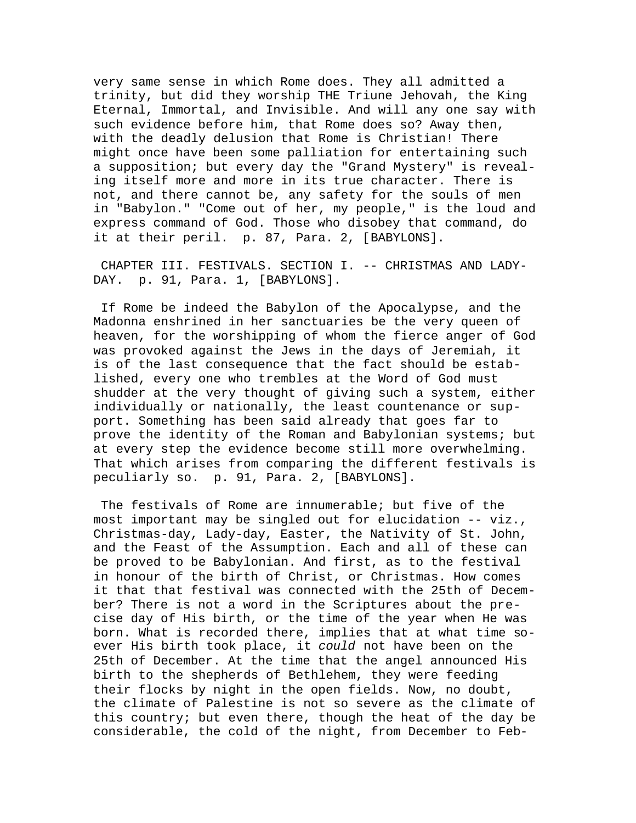very same sense in which Rome does. They all admitted a trinity, but did they worship THE Triune Jehovah, the King Eternal, Immortal, and Invisible. And will any one say with such evidence before him, that Rome does so? Away then, with the deadly delusion that Rome is Christian! There might once have been some palliation for entertaining such a supposition; but every day the "Grand Mystery" is revealing itself more and more in its true character. There is not, and there cannot be, any safety for the souls of men in "Babylon." "Come out of her, my people," is the loud and express command of God. Those who disobey that command, do it at their peril. p. 87, Para. 2, [BABYLONS].

 CHAPTER III. FESTIVALS. SECTION I. -- CHRISTMAS AND LADY-DAY. p. 91, Para. 1, [BABYLONS].

 If Rome be indeed the Babylon of the Apocalypse, and the Madonna enshrined in her sanctuaries be the very queen of heaven, for the worshipping of whom the fierce anger of God was provoked against the Jews in the days of Jeremiah, it is of the last consequence that the fact should be established, every one who trembles at the Word of God must shudder at the very thought of giving such a system, either individually or nationally, the least countenance or support. Something has been said already that goes far to prove the identity of the Roman and Babylonian systems; but at every step the evidence become still more overwhelming. That which arises from comparing the different festivals is peculiarly so. p. 91, Para. 2, [BABYLONS].

 The festivals of Rome are innumerable; but five of the most important may be singled out for elucidation -- viz., Christmas-day, Lady-day, Easter, the Nativity of St. John, and the Feast of the Assumption. Each and all of these can be proved to be Babylonian. And first, as to the festival in honour of the birth of Christ, or Christmas. How comes it that that festival was connected with the 25th of December? There is not a word in the Scriptures about the precise day of His birth, or the time of the year when He was born. What is recorded there, implies that at what time soever His birth took place, it *could* not have been on the 25th of December. At the time that the angel announced His birth to the shepherds of Bethlehem, they were feeding their flocks by night in the open fields. Now, no doubt, the climate of Palestine is not so severe as the climate of this country; but even there, though the heat of the day be considerable, the cold of the night, from December to Feb-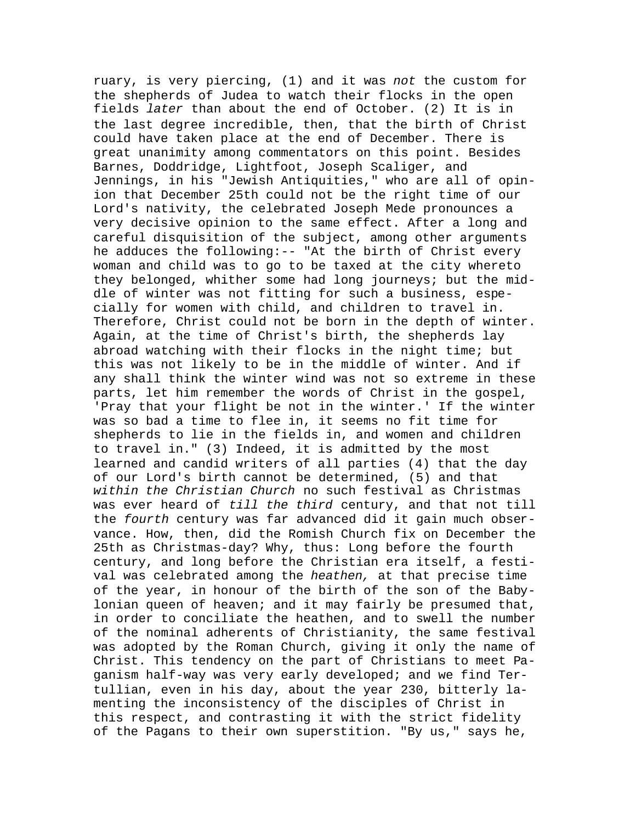ruary, is very piercing, (1) and it was *not* the custom for the shepherds of Judea to watch their flocks in the open fields *later* than about the end of October. (2) It is in the last degree incredible, then, that the birth of Christ could have taken place at the end of December. There is great unanimity among commentators on this point. Besides Barnes, Doddridge, Lightfoot, Joseph Scaliger, and Jennings, in his "Jewish Antiquities," who are all of opinion that December 25th could not be the right time of our Lord's nativity, the celebrated Joseph Mede pronounces a very decisive opinion to the same effect. After a long and careful disquisition of the subject, among other arguments he adduces the following:-- "At the birth of Christ every woman and child was to go to be taxed at the city whereto they belonged, whither some had long journeys; but the middle of winter was not fitting for such a business, especially for women with child, and children to travel in. Therefore, Christ could not be born in the depth of winter. Again, at the time of Christ's birth, the shepherds lay abroad watching with their flocks in the night time; but this was not likely to be in the middle of winter. And if any shall think the winter wind was not so extreme in these parts, let him remember the words of Christ in the gospel, 'Pray that your flight be not in the winter.' If the winter was so bad a time to flee in, it seems no fit time for shepherds to lie in the fields in, and women and children to travel in." (3) Indeed, it is admitted by the most learned and candid writers of all parties (4) that the day of our Lord's birth cannot be determined, (5) and that *within the Christian Church* no such festival as Christmas was ever heard of *till the third* century, and that not till the *fourth* century was far advanced did it gain much observance. How, then, did the Romish Church fix on December the 25th as Christmas-day? Why, thus: Long before the fourth century, and long before the Christian era itself, a festival was celebrated among the *heathen,* at that precise time of the year, in honour of the birth of the son of the Babylonian queen of heaven; and it may fairly be presumed that, in order to conciliate the heathen, and to swell the number of the nominal adherents of Christianity, the same festival was adopted by the Roman Church, giving it only the name of Christ. This tendency on the part of Christians to meet Paganism half-way was very early developed; and we find Tertullian, even in his day, about the year 230, bitterly lamenting the inconsistency of the disciples of Christ in this respect, and contrasting it with the strict fidelity of the Pagans to their own superstition. "By us," says he,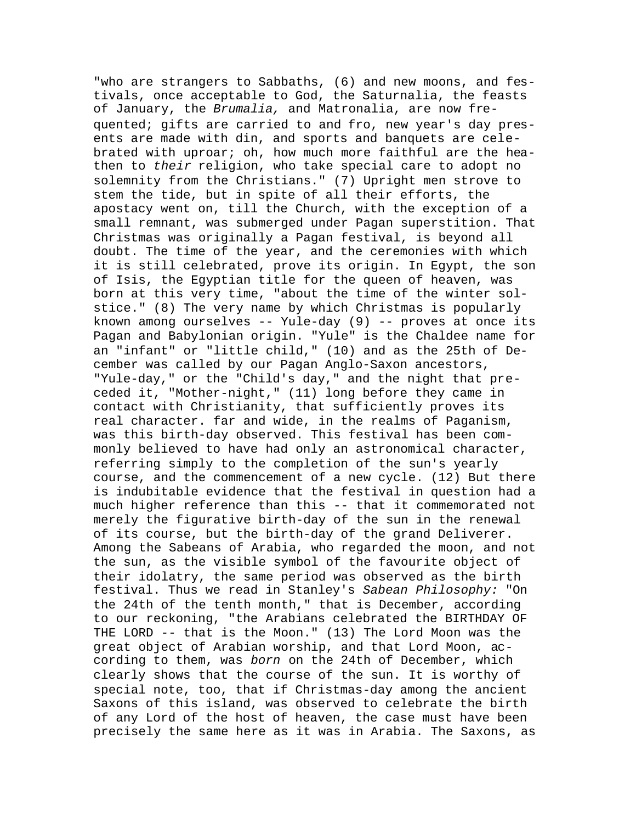"who are strangers to Sabbaths, (6) and new moons, and festivals, once acceptable to God, the Saturnalia, the feasts of January, the *Brumalia,* and Matronalia, are now frequented; gifts are carried to and fro, new year's day presents are made with din, and sports and banquets are celebrated with uproar; oh, how much more faithful are the heathen to *their* religion, who take special care to adopt no solemnity from the Christians." (7) Upright men strove to stem the tide, but in spite of all their efforts, the apostacy went on, till the Church, with the exception of a small remnant, was submerged under Pagan superstition. That Christmas was originally a Pagan festival, is beyond all doubt. The time of the year, and the ceremonies with which it is still celebrated, prove its origin. In Egypt, the son of Isis, the Egyptian title for the queen of heaven, was born at this very time, "about the time of the winter solstice." (8) The very name by which Christmas is popularly known among ourselves -- Yule-day (9) -- proves at once its Pagan and Babylonian origin. "Yule" is the Chaldee name for an "infant" or "little child," (10) and as the 25th of December was called by our Pagan Anglo-Saxon ancestors, "Yule-day," or the "Child's day," and the night that preceded it, "Mother-night," (11) long before they came in contact with Christianity, that sufficiently proves its real character. far and wide, in the realms of Paganism, was this birth-day observed. This festival has been commonly believed to have had only an astronomical character, referring simply to the completion of the sun's yearly course, and the commencement of a new cycle. (12) But there is indubitable evidence that the festival in question had a much higher reference than this -- that it commemorated not merely the figurative birth-day of the sun in the renewal of its course, but the birth-day of the grand Deliverer. Among the Sabeans of Arabia, who regarded the moon, and not the sun, as the visible symbol of the favourite object of their idolatry, the same period was observed as the birth festival. Thus we read in Stanley's *Sabean Philosophy:* "On the 24th of the tenth month," that is December, according to our reckoning, "the Arabians celebrated the BIRTHDAY OF THE LORD -- that is the Moon." (13) The Lord Moon was the great object of Arabian worship, and that Lord Moon, according to them, was *born* on the 24th of December, which clearly shows that the course of the sun. It is worthy of special note, too, that if Christmas-day among the ancient Saxons of this island, was observed to celebrate the birth of any Lord of the host of heaven, the case must have been precisely the same here as it was in Arabia. The Saxons, as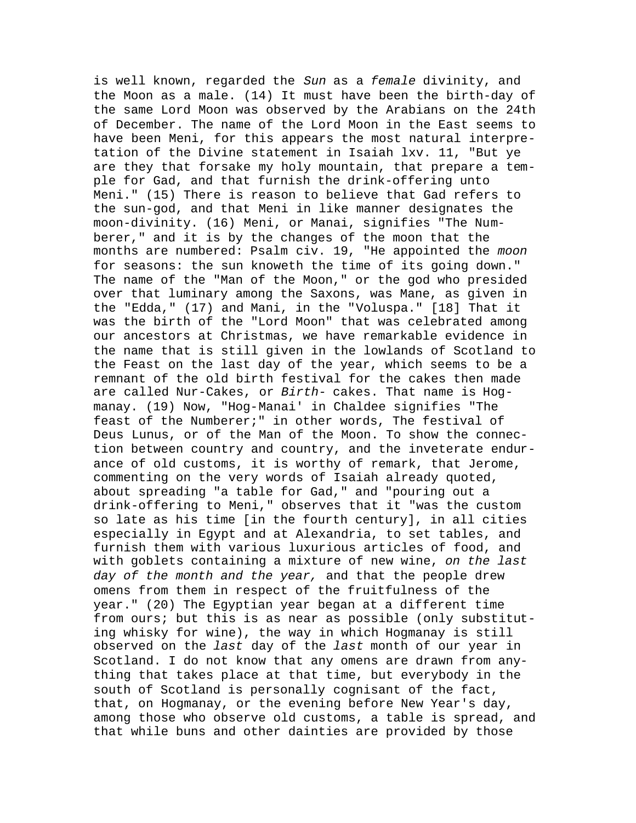is well known, regarded the *Sun* as a *female* divinity, and the Moon as a male. (14) It must have been the birth-day of the same Lord Moon was observed by the Arabians on the 24th of December. The name of the Lord Moon in the East seems to have been Meni, for this appears the most natural interpretation of the Divine statement in Isaiah lxv. 11, "But ye are they that forsake my holy mountain, that prepare a temple for Gad, and that furnish the drink-offering unto Meni." (15) There is reason to believe that Gad refers to the sun-god, and that Meni in like manner designates the moon-divinity. (16) Meni, or Manai, signifies "The Numberer," and it is by the changes of the moon that the months are numbered: Psalm civ. 19, "He appointed the *moon* for seasons: the sun knoweth the time of its going down." The name of the "Man of the Moon," or the god who presided over that luminary among the Saxons, was Mane, as given in the "Edda," (17) and Mani, in the "Voluspa." [18] That it was the birth of the "Lord Moon" that was celebrated among our ancestors at Christmas, we have remarkable evidence in the name that is still given in the lowlands of Scotland to the Feast on the last day of the year, which seems to be a remnant of the old birth festival for the cakes then made are called Nur-Cakes, or *Birth-* cakes. That name is Hogmanay. (19) Now, "Hog-Manai' in Chaldee signifies "The feast of the Numberer;" in other words, The festival of Deus Lunus, or of the Man of the Moon. To show the connection between country and country, and the inveterate endurance of old customs, it is worthy of remark, that Jerome, commenting on the very words of Isaiah already quoted, about spreading "a table for Gad," and "pouring out a drink-offering to Meni," observes that it "was the custom so late as his time [in the fourth century], in all cities especially in Egypt and at Alexandria, to set tables, and furnish them with various luxurious articles of food, and with goblets containing a mixture of new wine, *on the last day of the month and the year,* and that the people drew omens from them in respect of the fruitfulness of the year." (20) The Egyptian year began at a different time from ours; but this is as near as possible (only substituting whisky for wine), the way in which Hogmanay is still observed on the *last* day of the *last* month of our year in Scotland. I do not know that any omens are drawn from anything that takes place at that time, but everybody in the south of Scotland is personally cognisant of the fact, that, on Hogmanay, or the evening before New Year's day, among those who observe old customs, a table is spread, and that while buns and other dainties are provided by those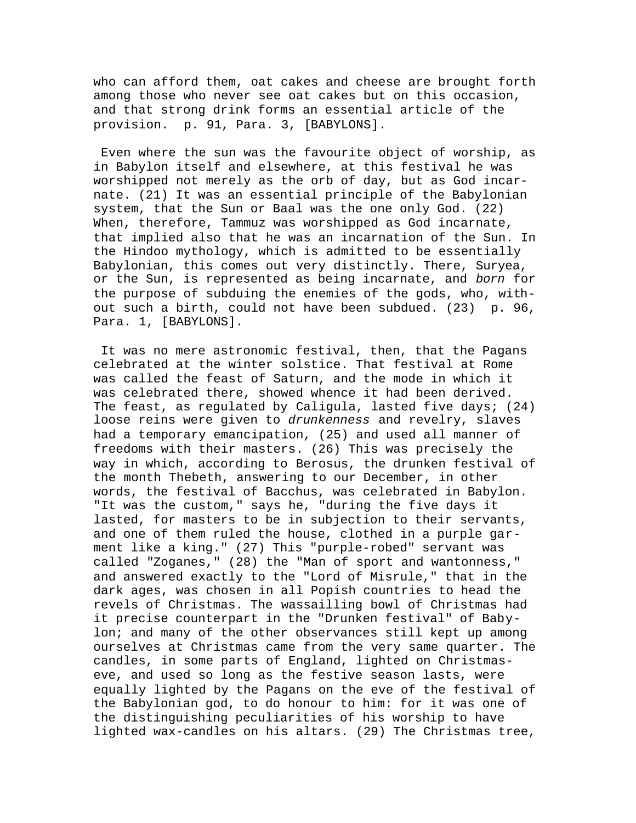who can afford them, oat cakes and cheese are brought forth among those who never see oat cakes but on this occasion, and that strong drink forms an essential article of the provision. p. 91, Para. 3, [BABYLONS].

 Even where the sun was the favourite object of worship, as in Babylon itself and elsewhere, at this festival he was worshipped not merely as the orb of day, but as God incarnate. (21) It was an essential principle of the Babylonian system, that the Sun or Baal was the one only God. (22) When, therefore, Tammuz was worshipped as God incarnate, that implied also that he was an incarnation of the Sun. In the Hindoo mythology, which is admitted to be essentially Babylonian, this comes out very distinctly. There, Suryea, or the Sun, is represented as being incarnate, and *born* for the purpose of subduing the enemies of the gods, who, without such a birth, could not have been subdued. (23) p. 96, Para. 1, [BABYLONS].

 It was no mere astronomic festival, then, that the Pagans celebrated at the winter solstice. That festival at Rome was called the feast of Saturn, and the mode in which it was celebrated there, showed whence it had been derived. The feast, as regulated by Caligula, lasted five days; (24) loose reins were given to *drunkenness* and revelry, slaves had a temporary emancipation, (25) and used all manner of freedoms with their masters. (26) This was precisely the way in which, according to Berosus, the drunken festival of the month Thebeth, answering to our December, in other words, the festival of Bacchus, was celebrated in Babylon. "It was the custom," says he, "during the five days it lasted, for masters to be in subjection to their servants, and one of them ruled the house, clothed in a purple garment like a king." (27) This "purple-robed" servant was called "Zoganes," (28) the "Man of sport and wantonness," and answered exactly to the "Lord of Misrule," that in the dark ages, was chosen in all Popish countries to head the revels of Christmas. The wassailling bowl of Christmas had it precise counterpart in the "Drunken festival" of Babylon; and many of the other observances still kept up among ourselves at Christmas came from the very same quarter. The candles, in some parts of England, lighted on Christmaseve, and used so long as the festive season lasts, were equally lighted by the Pagans on the eve of the festival of the Babylonian god, to do honour to him: for it was one of the distinguishing peculiarities of his worship to have lighted wax-candles on his altars. (29) The Christmas tree,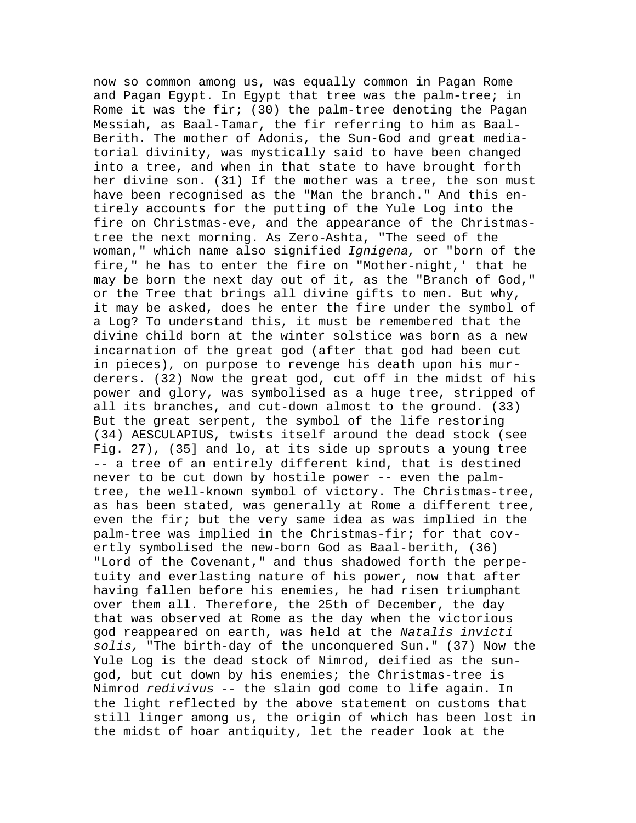now so common among us, was equally common in Pagan Rome and Pagan Egypt. In Egypt that tree was the palm-tree; in Rome it was the fir; (30) the palm-tree denoting the Pagan Messiah, as Baal-Tamar, the fir referring to him as Baal-Berith. The mother of Adonis, the Sun-God and great mediatorial divinity, was mystically said to have been changed into a tree, and when in that state to have brought forth her divine son. (31) If the mother was a tree, the son must have been recognised as the "Man the branch." And this entirely accounts for the putting of the Yule Log into the fire on Christmas-eve, and the appearance of the Christmastree the next morning. As Zero-Ashta, "The seed of the woman," which name also signified *Ignigena,* or "born of the fire," he has to enter the fire on "Mother-night,' that he may be born the next day out of it, as the "Branch of God," or the Tree that brings all divine gifts to men. But why, it may be asked, does he enter the fire under the symbol of a Log? To understand this, it must be remembered that the divine child born at the winter solstice was born as a new incarnation of the great god (after that god had been cut in pieces), on purpose to revenge his death upon his murderers. (32) Now the great god, cut off in the midst of his power and glory, was symbolised as a huge tree, stripped of all its branches, and cut-down almost to the ground. (33) But the great serpent, the symbol of the life restoring (34) AESCULAPIUS, twists itself around the dead stock (see Fig. 27), (35] and lo, at its side up sprouts a young tree -- a tree of an entirely different kind, that is destined never to be cut down by hostile power -- even the palmtree, the well-known symbol of victory. The Christmas-tree, as has been stated, was generally at Rome a different tree, even the fir; but the very same idea as was implied in the palm-tree was implied in the Christmas-fir; for that covertly symbolised the new-born God as Baal-berith, (36) "Lord of the Covenant," and thus shadowed forth the perpetuity and everlasting nature of his power, now that after having fallen before his enemies, he had risen triumphant over them all. Therefore, the 25th of December, the day that was observed at Rome as the day when the victorious god reappeared on earth, was held at the *Natalis invicti solis,* "The birth-day of the unconquered Sun." (37) Now the Yule Log is the dead stock of Nimrod, deified as the sungod, but cut down by his enemies; the Christmas-tree is Nimrod *redivivus* -- the slain god come to life again. In the light reflected by the above statement on customs that still linger among us, the origin of which has been lost in the midst of hoar antiquity, let the reader look at the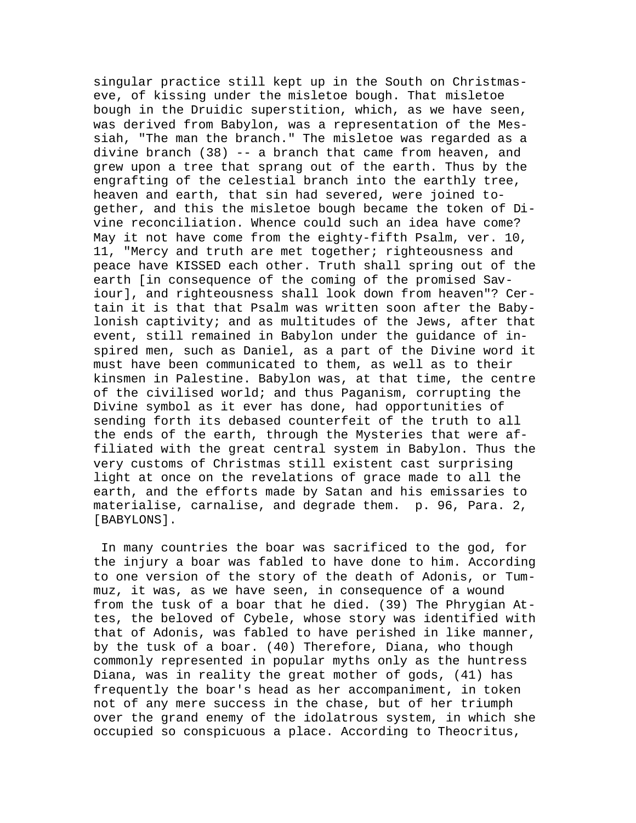singular practice still kept up in the South on Christmaseve, of kissing under the misletoe bough. That misletoe bough in the Druidic superstition, which, as we have seen, was derived from Babylon, was a representation of the Messiah, "The man the branch." The misletoe was regarded as a divine branch (38) -- a branch that came from heaven, and grew upon a tree that sprang out of the earth. Thus by the engrafting of the celestial branch into the earthly tree, heaven and earth, that sin had severed, were joined together, and this the misletoe bough became the token of Divine reconciliation. Whence could such an idea have come? May it not have come from the eighty-fifth Psalm, ver. 10, 11, "Mercy and truth are met together; righteousness and peace have KISSED each other. Truth shall spring out of the earth [in consequence of the coming of the promised Saviour], and righteousness shall look down from heaven"? Certain it is that that Psalm was written soon after the Babylonish captivity; and as multitudes of the Jews, after that event, still remained in Babylon under the guidance of inspired men, such as Daniel, as a part of the Divine word it must have been communicated to them, as well as to their kinsmen in Palestine. Babylon was, at that time, the centre of the civilised world; and thus Paganism, corrupting the Divine symbol as it ever has done, had opportunities of sending forth its debased counterfeit of the truth to all the ends of the earth, through the Mysteries that were affiliated with the great central system in Babylon. Thus the very customs of Christmas still existent cast surprising light at once on the revelations of grace made to all the earth, and the efforts made by Satan and his emissaries to materialise, carnalise, and degrade them. p. 96, Para. 2, [BABYLONS].

 In many countries the boar was sacrificed to the god, for the injury a boar was fabled to have done to him. According to one version of the story of the death of Adonis, or Tummuz, it was, as we have seen, in consequence of a wound from the tusk of a boar that he died. (39) The Phrygian Attes, the beloved of Cybele, whose story was identified with that of Adonis, was fabled to have perished in like manner, by the tusk of a boar. (40) Therefore, Diana, who though commonly represented in popular myths only as the huntress Diana, was in reality the great mother of gods, (41) has frequently the boar's head as her accompaniment, in token not of any mere success in the chase, but of her triumph over the grand enemy of the idolatrous system, in which she occupied so conspicuous a place. According to Theocritus,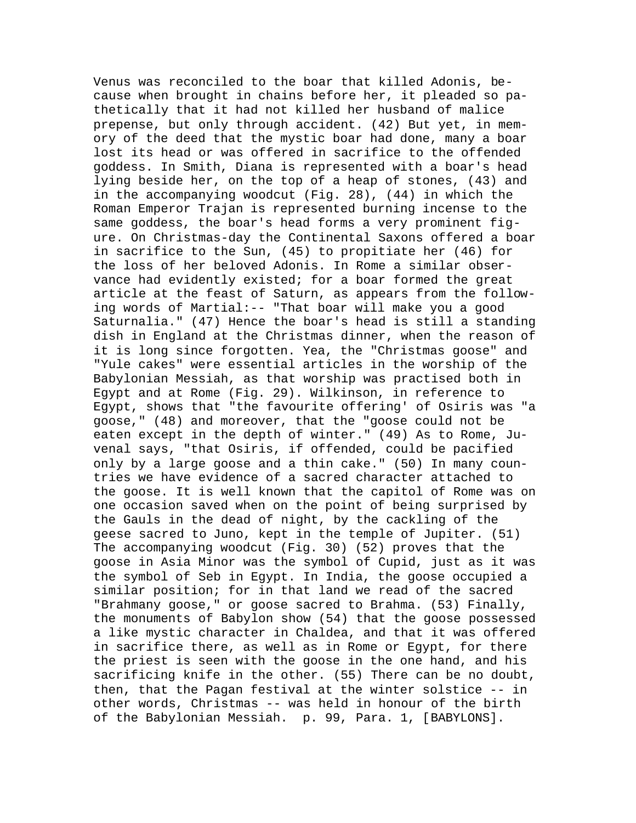Venus was reconciled to the boar that killed Adonis, because when brought in chains before her, it pleaded so pathetically that it had not killed her husband of malice prepense, but only through accident. (42) But yet, in memory of the deed that the mystic boar had done, many a boar lost its head or was offered in sacrifice to the offended goddess. In Smith, Diana is represented with a boar's head lying beside her, on the top of a heap of stones, (43) and in the accompanying woodcut (Fig. 28), (44) in which the Roman Emperor Trajan is represented burning incense to the same goddess, the boar's head forms a very prominent figure. On Christmas-day the Continental Saxons offered a boar in sacrifice to the Sun, (45) to propitiate her (46) for the loss of her beloved Adonis. In Rome a similar observance had evidently existed; for a boar formed the great article at the feast of Saturn, as appears from the following words of Martial:-- "That boar will make you a good Saturnalia." (47) Hence the boar's head is still a standing dish in England at the Christmas dinner, when the reason of it is long since forgotten. Yea, the "Christmas goose" and "Yule cakes" were essential articles in the worship of the Babylonian Messiah, as that worship was practised both in Egypt and at Rome (Fig. 29). Wilkinson, in reference to Egypt, shows that "the favourite offering' of Osiris was "a goose," (48) and moreover, that the "goose could not be eaten except in the depth of winter." (49) As to Rome, Juvenal says, "that Osiris, if offended, could be pacified only by a large goose and a thin cake." (50) In many countries we have evidence of a sacred character attached to the goose. It is well known that the capitol of Rome was on one occasion saved when on the point of being surprised by the Gauls in the dead of night, by the cackling of the geese sacred to Juno, kept in the temple of Jupiter. (51) The accompanying woodcut (Fig. 30) (52) proves that the goose in Asia Minor was the symbol of Cupid, just as it was the symbol of Seb in Egypt. In India, the goose occupied a similar position; for in that land we read of the sacred "Brahmany goose," or goose sacred to Brahma. (53) Finally, the monuments of Babylon show (54) that the goose possessed a like mystic character in Chaldea, and that it was offered in sacrifice there, as well as in Rome or Egypt, for there the priest is seen with the goose in the one hand, and his sacrificing knife in the other. (55) There can be no doubt, then, that the Pagan festival at the winter solstice -- in other words, Christmas -- was held in honour of the birth of the Babylonian Messiah. p. 99, Para. 1, [BABYLONS].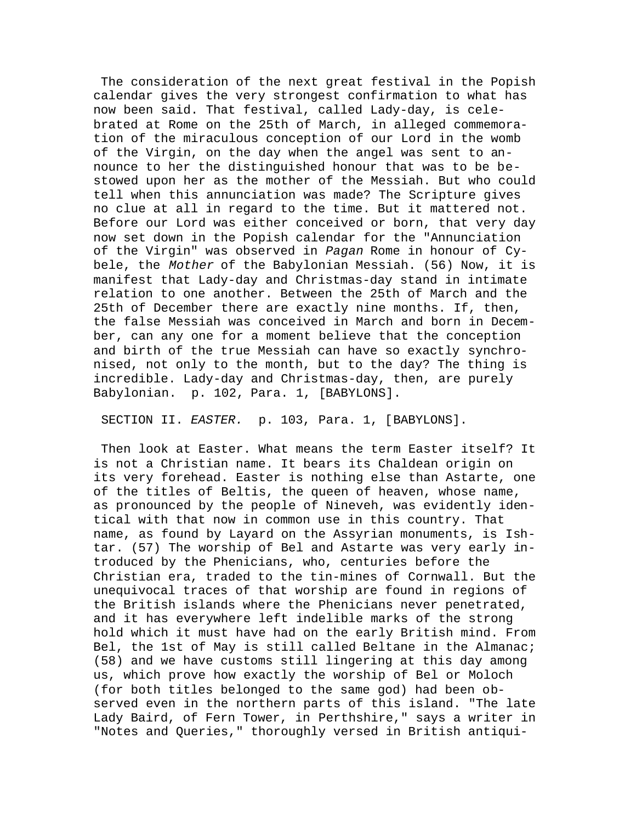The consideration of the next great festival in the Popish calendar gives the very strongest confirmation to what has now been said. That festival, called Lady-day, is celebrated at Rome on the 25th of March, in alleged commemoration of the miraculous conception of our Lord in the womb of the Virgin, on the day when the angel was sent to announce to her the distinguished honour that was to be bestowed upon her as the mother of the Messiah. But who could tell when this annunciation was made? The Scripture gives no clue at all in regard to the time. But it mattered not. Before our Lord was either conceived or born, that very day now set down in the Popish calendar for the "Annunciation of the Virgin" was observed in *Pagan* Rome in honour of Cybele, the *Mother* of the Babylonian Messiah. (56) Now, it is manifest that Lady-day and Christmas-day stand in intimate relation to one another. Between the 25th of March and the 25th of December there are exactly nine months. If, then, the false Messiah was conceived in March and born in December, can any one for a moment believe that the conception and birth of the true Messiah can have so exactly synchronised, not only to the month, but to the day? The thing is incredible. Lady-day and Christmas-day, then, are purely Babylonian. p. 102, Para. 1, [BABYLONS].

SECTION II. *EASTER.* p. 103, Para. 1, [BABYLONS].

 Then look at Easter. What means the term Easter itself? It is not a Christian name. It bears its Chaldean origin on its very forehead. Easter is nothing else than Astarte, one of the titles of Beltis, the queen of heaven, whose name, as pronounced by the people of Nineveh, was evidently identical with that now in common use in this country. That name, as found by Layard on the Assyrian monuments, is Ishtar. (57) The worship of Bel and Astarte was very early introduced by the Phenicians, who, centuries before the Christian era, traded to the tin-mines of Cornwall. But the unequivocal traces of that worship are found in regions of the British islands where the Phenicians never penetrated, and it has everywhere left indelible marks of the strong hold which it must have had on the early British mind. From Bel, the 1st of May is still called Beltane in the Almanac; (58) and we have customs still lingering at this day among us, which prove how exactly the worship of Bel or Moloch (for both titles belonged to the same god) had been observed even in the northern parts of this island. "The late Lady Baird, of Fern Tower, in Perthshire," says a writer in "Notes and Queries," thoroughly versed in British antiqui-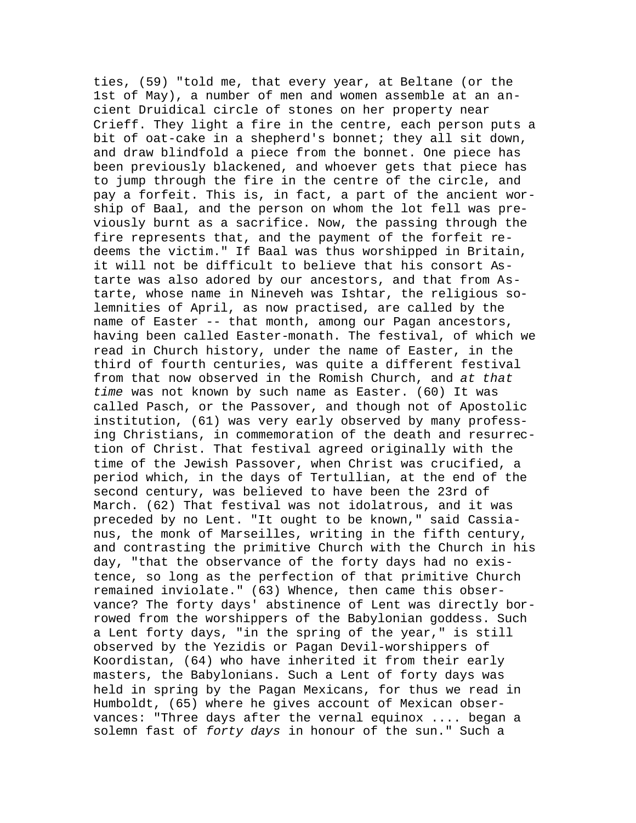ties, (59) "told me, that every year, at Beltane (or the 1st of May), a number of men and women assemble at an ancient Druidical circle of stones on her property near Crieff. They light a fire in the centre, each person puts a bit of oat-cake in a shepherd's bonnet; they all sit down, and draw blindfold a piece from the bonnet. One piece has been previously blackened, and whoever gets that piece has to jump through the fire in the centre of the circle, and pay a forfeit. This is, in fact, a part of the ancient worship of Baal, and the person on whom the lot fell was previously burnt as a sacrifice. Now, the passing through the fire represents that, and the payment of the forfeit redeems the victim." If Baal was thus worshipped in Britain, it will not be difficult to believe that his consort Astarte was also adored by our ancestors, and that from Astarte, whose name in Nineveh was Ishtar, the religious solemnities of April, as now practised, are called by the name of Easter -- that month, among our Pagan ancestors, having been called Easter-monath. The festival, of which we read in Church history, under the name of Easter, in the third of fourth centuries, was quite a different festival from that now observed in the Romish Church, and *at that time* was not known by such name as Easter. (60) It was called Pasch, or the Passover, and though not of Apostolic institution, (61) was very early observed by many professing Christians, in commemoration of the death and resurrection of Christ. That festival agreed originally with the time of the Jewish Passover, when Christ was crucified, a period which, in the days of Tertullian, at the end of the second century, was believed to have been the 23rd of March. (62) That festival was not idolatrous, and it was preceded by no Lent. "It ought to be known," said Cassianus, the monk of Marseilles, writing in the fifth century, and contrasting the primitive Church with the Church in his day, "that the observance of the forty days had no existence, so long as the perfection of that primitive Church remained inviolate." (63) Whence, then came this observance? The forty days' abstinence of Lent was directly borrowed from the worshippers of the Babylonian goddess. Such a Lent forty days, "in the spring of the year," is still observed by the Yezidis or Pagan Devil-worshippers of Koordistan, (64) who have inherited it from their early masters, the Babylonians. Such a Lent of forty days was held in spring by the Pagan Mexicans, for thus we read in Humboldt, (65) where he gives account of Mexican observances: "Three days after the vernal equinox .... began a solemn fast of *forty days* in honour of the sun." Such a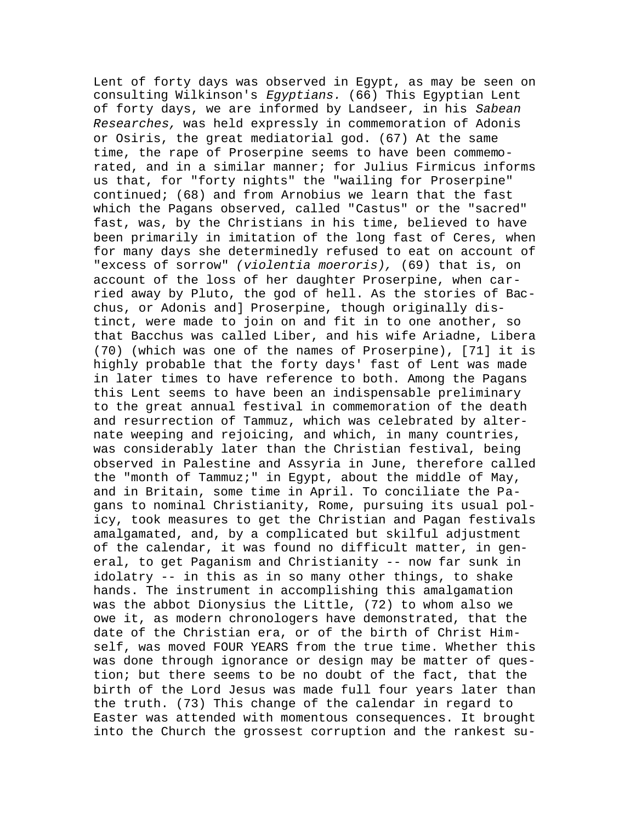Lent of forty days was observed in Egypt, as may be seen on consulting Wilkinson's *Egyptians.* (66) This Egyptian Lent of forty days, we are informed by Landseer, in his *Sabean Researches,* was held expressly in commemoration of Adonis or Osiris, the great mediatorial god. (67) At the same time, the rape of Proserpine seems to have been commemorated, and in a similar manner; for Julius Firmicus informs us that, for "forty nights" the "wailing for Proserpine" continued; (68) and from Arnobius we learn that the fast which the Pagans observed, called "Castus" or the "sacred" fast, was, by the Christians in his time, believed to have been primarily in imitation of the long fast of Ceres, when for many days she determinedly refused to eat on account of "excess of sorrow" *(violentia moeroris),* (69) that is, on account of the loss of her daughter Proserpine, when carried away by Pluto, the god of hell. As the stories of Bacchus, or Adonis and] Proserpine, though originally distinct, were made to join on and fit in to one another, so that Bacchus was called Liber, and his wife Ariadne, Libera (70) (which was one of the names of Proserpine), [71] it is highly probable that the forty days' fast of Lent was made in later times to have reference to both. Among the Pagans this Lent seems to have been an indispensable preliminary to the great annual festival in commemoration of the death and resurrection of Tammuz, which was celebrated by alternate weeping and rejoicing, and which, in many countries, was considerably later than the Christian festival, being observed in Palestine and Assyria in June, therefore called the "month of Tammuz;" in Egypt, about the middle of May, and in Britain, some time in April. To conciliate the Pagans to nominal Christianity, Rome, pursuing its usual policy, took measures to get the Christian and Pagan festivals amalgamated, and, by a complicated but skilful adjustment of the calendar, it was found no difficult matter, in general, to get Paganism and Christianity -- now far sunk in idolatry -- in this as in so many other things, to shake hands. The instrument in accomplishing this amalgamation was the abbot Dionysius the Little, (72) to whom also we owe it, as modern chronologers have demonstrated, that the date of the Christian era, or of the birth of Christ Himself, was moved FOUR YEARS from the true time. Whether this was done through ignorance or design may be matter of question; but there seems to be no doubt of the fact, that the birth of the Lord Jesus was made full four years later than the truth. (73) This change of the calendar in regard to Easter was attended with momentous consequences. It brought into the Church the grossest corruption and the rankest su-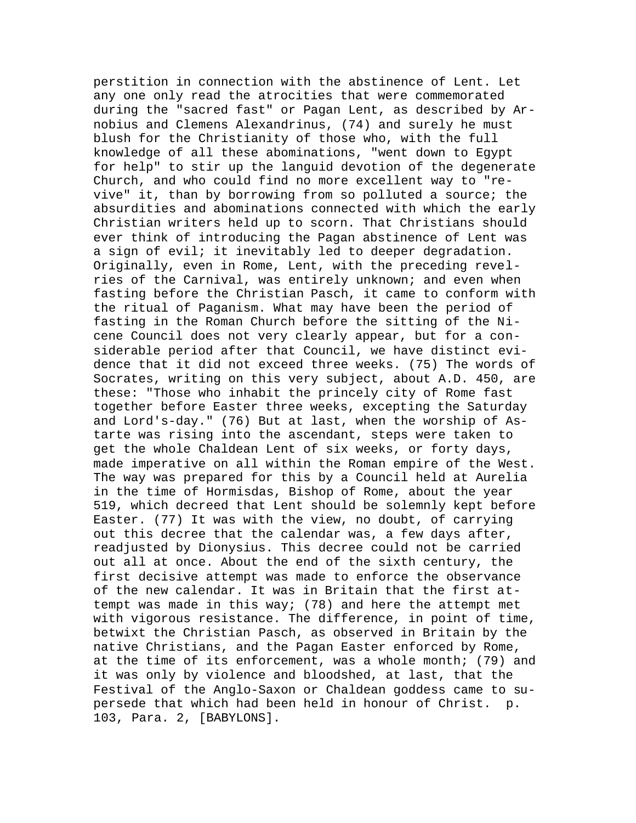perstition in connection with the abstinence of Lent. Let any one only read the atrocities that were commemorated during the "sacred fast" or Pagan Lent, as described by Arnobius and Clemens Alexandrinus, (74) and surely he must blush for the Christianity of those who, with the full knowledge of all these abominations, "went down to Egypt for help" to stir up the languid devotion of the degenerate Church, and who could find no more excellent way to "revive" it, than by borrowing from so polluted a source; the absurdities and abominations connected with which the early Christian writers held up to scorn. That Christians should ever think of introducing the Pagan abstinence of Lent was a sign of evil; it inevitably led to deeper degradation. Originally, even in Rome, Lent, with the preceding revelries of the Carnival, was entirely unknown; and even when fasting before the Christian Pasch, it came to conform with the ritual of Paganism. What may have been the period of fasting in the Roman Church before the sitting of the Nicene Council does not very clearly appear, but for a considerable period after that Council, we have distinct evidence that it did not exceed three weeks. (75) The words of Socrates, writing on this very subject, about A.D. 450, are these: "Those who inhabit the princely city of Rome fast together before Easter three weeks, excepting the Saturday and Lord's-day." (76) But at last, when the worship of Astarte was rising into the ascendant, steps were taken to get the whole Chaldean Lent of six weeks, or forty days, made imperative on all within the Roman empire of the West. The way was prepared for this by a Council held at Aurelia in the time of Hormisdas, Bishop of Rome, about the year 519, which decreed that Lent should be solemnly kept before Easter. (77) It was with the view, no doubt, of carrying out this decree that the calendar was, a few days after, readjusted by Dionysius. This decree could not be carried out all at once. About the end of the sixth century, the first decisive attempt was made to enforce the observance of the new calendar. It was in Britain that the first attempt was made in this way; (78) and here the attempt met with vigorous resistance. The difference, in point of time, betwixt the Christian Pasch, as observed in Britain by the native Christians, and the Pagan Easter enforced by Rome, at the time of its enforcement, was a whole month; (79) and it was only by violence and bloodshed, at last, that the Festival of the Anglo-Saxon or Chaldean goddess came to supersede that which had been held in honour of Christ. p. 103, Para. 2, [BABYLONS].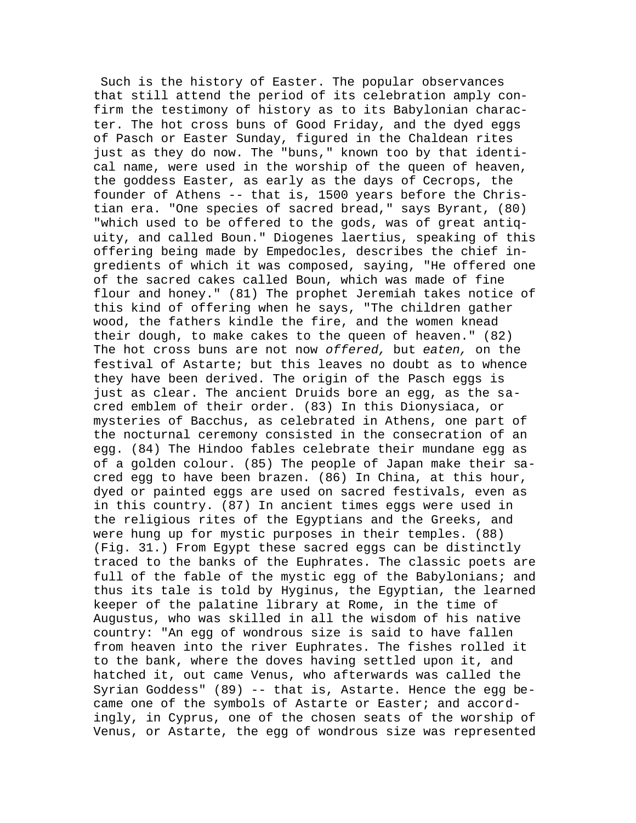Such is the history of Easter. The popular observances that still attend the period of its celebration amply confirm the testimony of history as to its Babylonian character. The hot cross buns of Good Friday, and the dyed eggs of Pasch or Easter Sunday, figured in the Chaldean rites just as they do now. The "buns," known too by that identical name, were used in the worship of the queen of heaven, the goddess Easter, as early as the days of Cecrops, the founder of Athens -- that is, 1500 years before the Christian era. "One species of sacred bread," says Byrant, (80) "which used to be offered to the gods, was of great antiquity, and called Boun." Diogenes laertius, speaking of this offering being made by Empedocles, describes the chief ingredients of which it was composed, saying, "He offered one of the sacred cakes called Boun, which was made of fine flour and honey." (81) The prophet Jeremiah takes notice of this kind of offering when he says, "The children gather wood, the fathers kindle the fire, and the women knead their dough, to make cakes to the queen of heaven." (82) The hot cross buns are not now *offered,* but *eaten,* on the festival of Astarte; but this leaves no doubt as to whence they have been derived. The origin of the Pasch eggs is just as clear. The ancient Druids bore an egg, as the sacred emblem of their order. (83) In this Dionysiaca, or mysteries of Bacchus, as celebrated in Athens, one part of the nocturnal ceremony consisted in the consecration of an egg. (84) The Hindoo fables celebrate their mundane egg as of a golden colour. (85) The people of Japan make their sacred egg to have been brazen. (86) In China, at this hour, dyed or painted eggs are used on sacred festivals, even as in this country. (87) In ancient times eggs were used in the religious rites of the Egyptians and the Greeks, and were hung up for mystic purposes in their temples. (88) (Fig. 31.) From Egypt these sacred eggs can be distinctly traced to the banks of the Euphrates. The classic poets are full of the fable of the mystic egg of the Babylonians; and thus its tale is told by Hyginus, the Egyptian, the learned keeper of the palatine library at Rome, in the time of Augustus, who was skilled in all the wisdom of his native country: "An egg of wondrous size is said to have fallen from heaven into the river Euphrates. The fishes rolled it to the bank, where the doves having settled upon it, and hatched it, out came Venus, who afterwards was called the Syrian Goddess" (89) -- that is, Astarte. Hence the egg became one of the symbols of Astarte or Easter; and accordingly, in Cyprus, one of the chosen seats of the worship of Venus, or Astarte, the egg of wondrous size was represented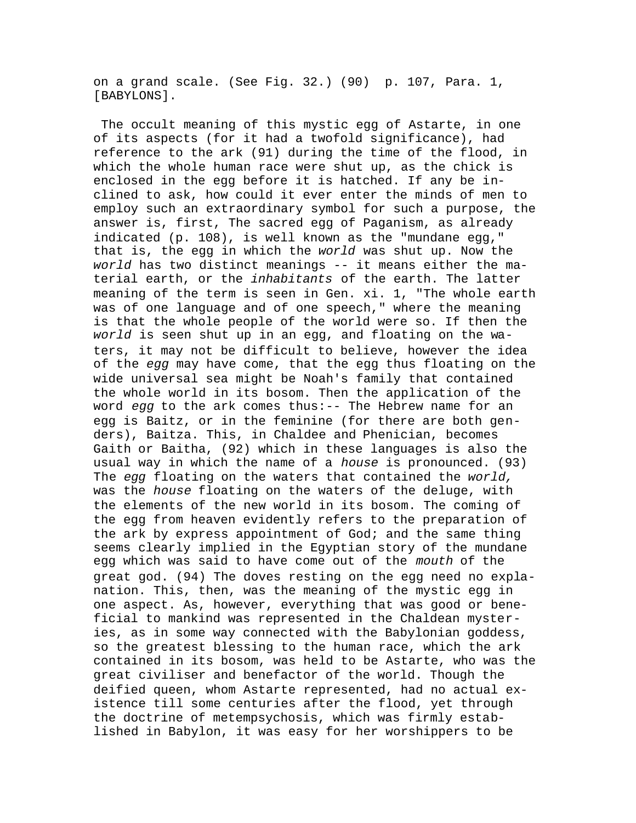on a grand scale. (See Fig. 32.) (90) p. 107, Para. 1, [BABYLONS].

 The occult meaning of this mystic egg of Astarte, in one of its aspects (for it had a twofold significance), had reference to the ark (91) during the time of the flood, in which the whole human race were shut up, as the chick is enclosed in the egg before it is hatched. If any be inclined to ask, how could it ever enter the minds of men to employ such an extraordinary symbol for such a purpose, the answer is, first, The sacred egg of Paganism, as already indicated (p. 108), is well known as the "mundane egg," that is, the egg in which the *world* was shut up. Now the *world* has two distinct meanings -- it means either the material earth, or the *inhabitants* of the earth. The latter meaning of the term is seen in Gen. xi. 1, "The whole earth was of one language and of one speech," where the meaning is that the whole people of the world were so. If then the *world* is seen shut up in an egg, and floating on the waters, it may not be difficult to believe, however the idea of the *egg* may have come, that the egg thus floating on the wide universal sea might be Noah's family that contained the whole world in its bosom. Then the application of the word *egg* to the ark comes thus:-- The Hebrew name for an egg is Baitz, or in the feminine (for there are both genders), Baitza. This, in Chaldee and Phenician, becomes Gaith or Baitha, (92) which in these languages is also the usual way in which the name of a *house* is pronounced. (93) The *egg* floating on the waters that contained the *world,* was the *house* floating on the waters of the deluge, with the elements of the new world in its bosom. The coming of the egg from heaven evidently refers to the preparation of the ark by express appointment of God; and the same thing seems clearly implied in the Egyptian story of the mundane egg which was said to have come out of the *mouth* of the great god. (94) The doves resting on the egg need no explanation. This, then, was the meaning of the mystic egg in one aspect. As, however, everything that was good or beneficial to mankind was represented in the Chaldean mysteries, as in some way connected with the Babylonian goddess, so the greatest blessing to the human race, which the ark contained in its bosom, was held to be Astarte, who was the great civiliser and benefactor of the world. Though the deified queen, whom Astarte represented, had no actual existence till some centuries after the flood, yet through the doctrine of metempsychosis, which was firmly established in Babylon, it was easy for her worshippers to be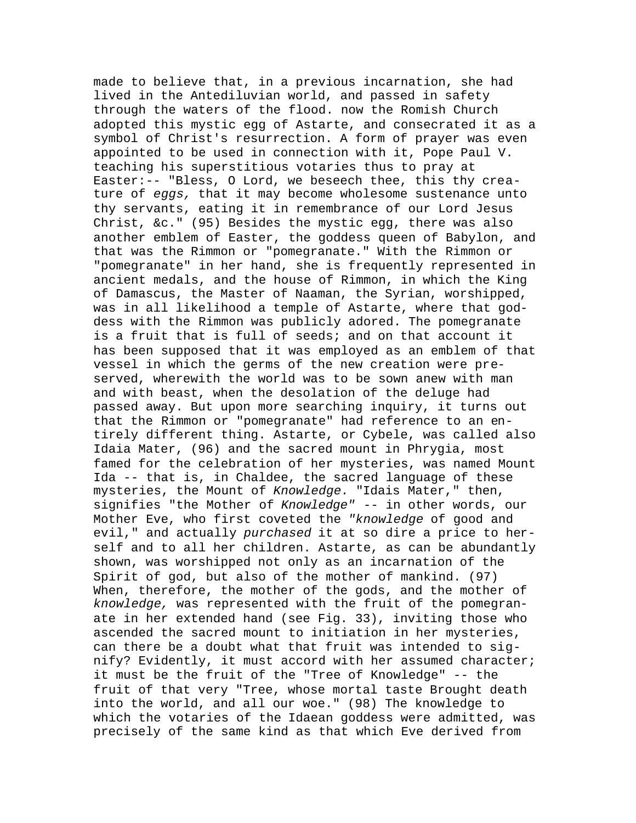made to believe that, in a previous incarnation, she had lived in the Antediluvian world, and passed in safety through the waters of the flood. now the Romish Church adopted this mystic egg of Astarte, and consecrated it as a symbol of Christ's resurrection. A form of prayer was even appointed to be used in connection with it, Pope Paul V. teaching his superstitious votaries thus to pray at Easter:-- "Bless, O Lord, we beseech thee, this thy creature of *eggs,* that it may become wholesome sustenance unto thy servants, eating it in remembrance of our Lord Jesus Christ, &c." (95) Besides the mystic egg, there was also another emblem of Easter, the goddess queen of Babylon, and that was the Rimmon or "pomegranate." With the Rimmon or "pomegranate" in her hand, she is frequently represented in ancient medals, and the house of Rimmon, in which the King of Damascus, the Master of Naaman, the Syrian, worshipped, was in all likelihood a temple of Astarte, where that goddess with the Rimmon was publicly adored. The pomegranate is a fruit that is full of seeds; and on that account it has been supposed that it was employed as an emblem of that vessel in which the germs of the new creation were preserved, wherewith the world was to be sown anew with man and with beast, when the desolation of the deluge had passed away. But upon more searching inquiry, it turns out that the Rimmon or "pomegranate" had reference to an entirely different thing. Astarte, or Cybele, was called also Idaia Mater, (96) and the sacred mount in Phrygia, most famed for the celebration of her mysteries, was named Mount Ida -- that is, in Chaldee, the sacred language of these mysteries, the Mount of *Knowledge.* "Idais Mater," then, signifies "the Mother of *Knowledge"* -- in other words, our Mother Eve, who first coveted the *"knowledge* of good and evil," and actually *purchased* it at so dire a price to herself and to all her children. Astarte, as can be abundantly shown, was worshipped not only as an incarnation of the Spirit of god, but also of the mother of mankind. (97) When, therefore, the mother of the gods, and the mother of *knowledge,* was represented with the fruit of the pomegranate in her extended hand (see Fig. 33), inviting those who ascended the sacred mount to initiation in her mysteries, can there be a doubt what that fruit was intended to signify? Evidently, it must accord with her assumed character; it must be the fruit of the "Tree of Knowledge" -- the fruit of that very "Tree, whose mortal taste Brought death into the world, and all our woe." (98) The knowledge to which the votaries of the Idaean goddess were admitted, was precisely of the same kind as that which Eve derived from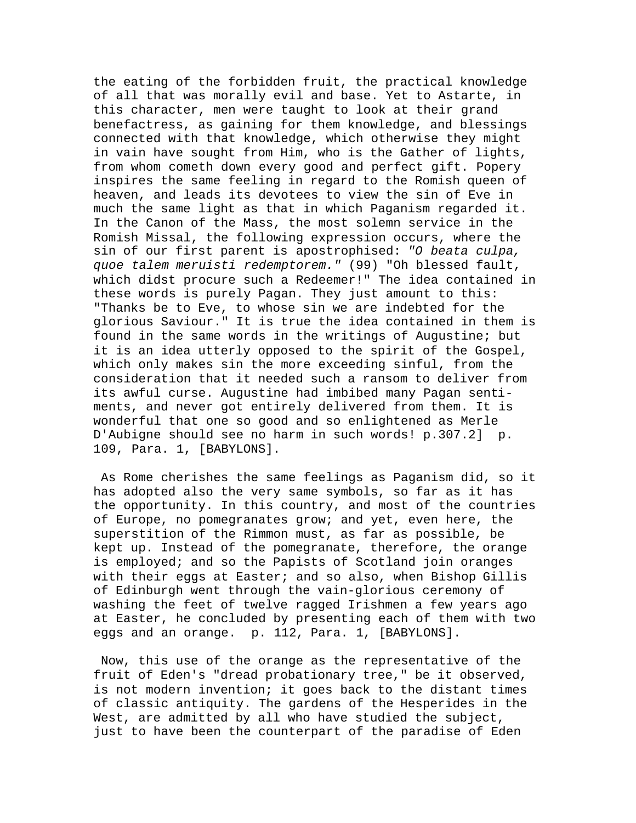the eating of the forbidden fruit, the practical knowledge of all that was morally evil and base. Yet to Astarte, in this character, men were taught to look at their grand benefactress, as gaining for them knowledge, and blessings connected with that knowledge, which otherwise they might in vain have sought from Him, who is the Gather of lights, from whom cometh down every good and perfect gift. Popery inspires the same feeling in regard to the Romish queen of heaven, and leads its devotees to view the sin of Eve in much the same light as that in which Paganism regarded it. In the Canon of the Mass, the most solemn service in the Romish Missal, the following expression occurs, where the sin of our first parent is apostrophised: *"O beata culpa, quoe talem meruisti redemptorem."* (99) "Oh blessed fault, which didst procure such a Redeemer!" The idea contained in these words is purely Pagan. They just amount to this: "Thanks be to Eve, to whose sin we are indebted for the glorious Saviour." It is true the idea contained in them is found in the same words in the writings of Augustine; but it is an idea utterly opposed to the spirit of the Gospel, which only makes sin the more exceeding sinful, from the consideration that it needed such a ransom to deliver from its awful curse. Augustine had imbibed many Pagan sentiments, and never got entirely delivered from them. It is wonderful that one so good and so enlightened as Merle D'Aubigne should see no harm in such words! p.307.2] p. 109, Para. 1, [BABYLONS].

 As Rome cherishes the same feelings as Paganism did, so it has adopted also the very same symbols, so far as it has the opportunity. In this country, and most of the countries of Europe, no pomegranates grow; and yet, even here, the superstition of the Rimmon must, as far as possible, be kept up. Instead of the pomegranate, therefore, the orange is employed; and so the Papists of Scotland join oranges with their eggs at Easter; and so also, when Bishop Gillis of Edinburgh went through the vain-glorious ceremony of washing the feet of twelve ragged Irishmen a few years ago at Easter, he concluded by presenting each of them with two eggs and an orange. p. 112, Para. 1, [BABYLONS].

 Now, this use of the orange as the representative of the fruit of Eden's "dread probationary tree," be it observed, is not modern invention; it goes back to the distant times of classic antiquity. The gardens of the Hesperides in the West, are admitted by all who have studied the subject, just to have been the counterpart of the paradise of Eden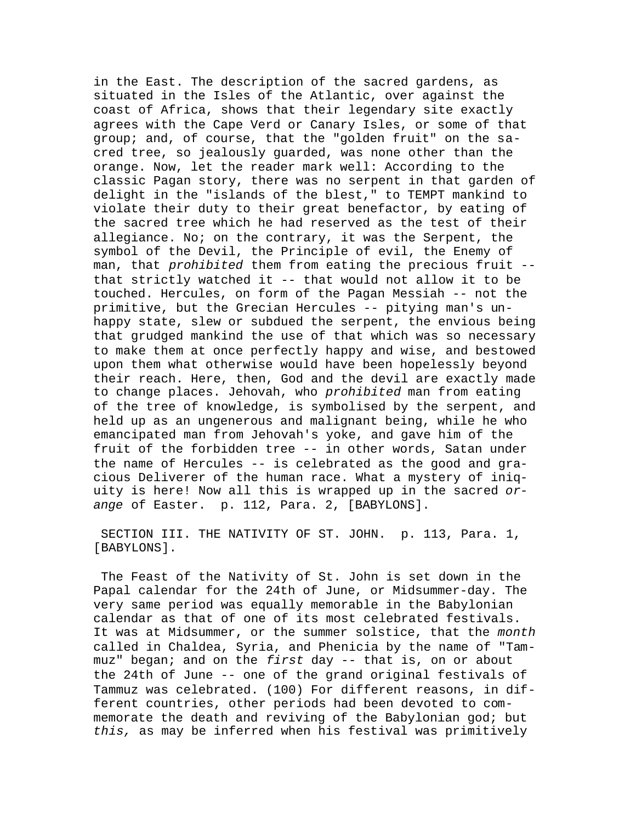in the East. The description of the sacred gardens, as situated in the Isles of the Atlantic, over against the coast of Africa, shows that their legendary site exactly agrees with the Cape Verd or Canary Isles, or some of that group; and, of course, that the "golden fruit" on the sacred tree, so jealously guarded, was none other than the orange. Now, let the reader mark well: According to the classic Pagan story, there was no serpent in that garden of delight in the "islands of the blest," to TEMPT mankind to violate their duty to their great benefactor, by eating of the sacred tree which he had reserved as the test of their allegiance. No; on the contrary, it was the Serpent, the symbol of the Devil, the Principle of evil, the Enemy of man, that *prohibited* them from eating the precious fruit - that strictly watched it -- that would not allow it to be touched. Hercules, on form of the Pagan Messiah -- not the primitive, but the Grecian Hercules -- pitying man's unhappy state, slew or subdued the serpent, the envious being that grudged mankind the use of that which was so necessary to make them at once perfectly happy and wise, and bestowed upon them what otherwise would have been hopelessly beyond their reach. Here, then, God and the devil are exactly made to change places. Jehovah, who *prohibited* man from eating of the tree of knowledge, is symbolised by the serpent, and held up as an ungenerous and malignant being, while he who emancipated man from Jehovah's yoke, and gave him of the fruit of the forbidden tree -- in other words, Satan under the name of Hercules -- is celebrated as the good and gracious Deliverer of the human race. What a mystery of iniquity is here! Now all this is wrapped up in the sacred *orange* of Easter. p. 112, Para. 2, [BABYLONS].

 SECTION III. THE NATIVITY OF ST. JOHN. p. 113, Para. 1, [BABYLONS].

 The Feast of the Nativity of St. John is set down in the Papal calendar for the 24th of June, or Midsummer-day. The very same period was equally memorable in the Babylonian calendar as that of one of its most celebrated festivals. It was at Midsummer, or the summer solstice, that the *month* called in Chaldea, Syria, and Phenicia by the name of "Tammuz" began; and on the *first* day -- that is, on or about the 24th of June -- one of the grand original festivals of Tammuz was celebrated. (100) For different reasons, in different countries, other periods had been devoted to commemorate the death and reviving of the Babylonian god; but *this,* as may be inferred when his festival was primitively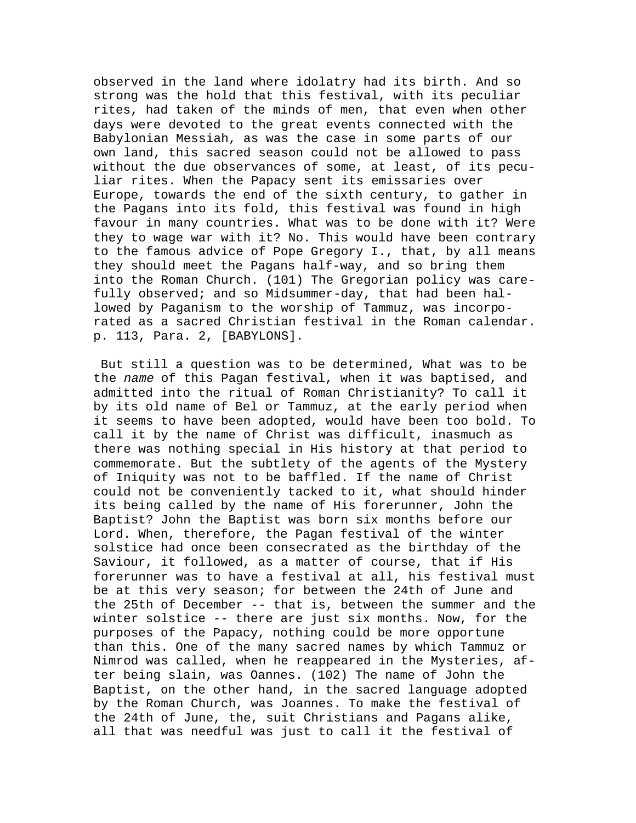observed in the land where idolatry had its birth. And so strong was the hold that this festival, with its peculiar rites, had taken of the minds of men, that even when other days were devoted to the great events connected with the Babylonian Messiah, as was the case in some parts of our own land, this sacred season could not be allowed to pass without the due observances of some, at least, of its peculiar rites. When the Papacy sent its emissaries over Europe, towards the end of the sixth century, to gather in the Pagans into its fold, this festival was found in high favour in many countries. What was to be done with it? Were they to wage war with it? No. This would have been contrary to the famous advice of Pope Gregory I., that, by all means they should meet the Pagans half-way, and so bring them into the Roman Church. (101) The Gregorian policy was carefully observed; and so Midsummer-day, that had been hallowed by Paganism to the worship of Tammuz, was incorporated as a sacred Christian festival in the Roman calendar. p. 113, Para. 2, [BABYLONS].

 But still a question was to be determined, What was to be the *name* of this Pagan festival, when it was baptised, and admitted into the ritual of Roman Christianity? To call it by its old name of Bel or Tammuz, at the early period when it seems to have been adopted, would have been too bold. To call it by the name of Christ was difficult, inasmuch as there was nothing special in His history at that period to commemorate. But the subtlety of the agents of the Mystery of Iniquity was not to be baffled. If the name of Christ could not be conveniently tacked to it, what should hinder its being called by the name of His forerunner, John the Baptist? John the Baptist was born six months before our Lord. When, therefore, the Pagan festival of the winter solstice had once been consecrated as the birthday of the Saviour, it followed, as a matter of course, that if His forerunner was to have a festival at all, his festival must be at this very season; for between the 24th of June and the 25th of December -- that is, between the summer and the winter solstice -- there are just six months. Now, for the purposes of the Papacy, nothing could be more opportune than this. One of the many sacred names by which Tammuz or Nimrod was called, when he reappeared in the Mysteries, after being slain, was Oannes. (102) The name of John the Baptist, on the other hand, in the sacred language adopted by the Roman Church, was Joannes. To make the festival of the 24th of June, the, suit Christians and Pagans alike, all that was needful was just to call it the festival of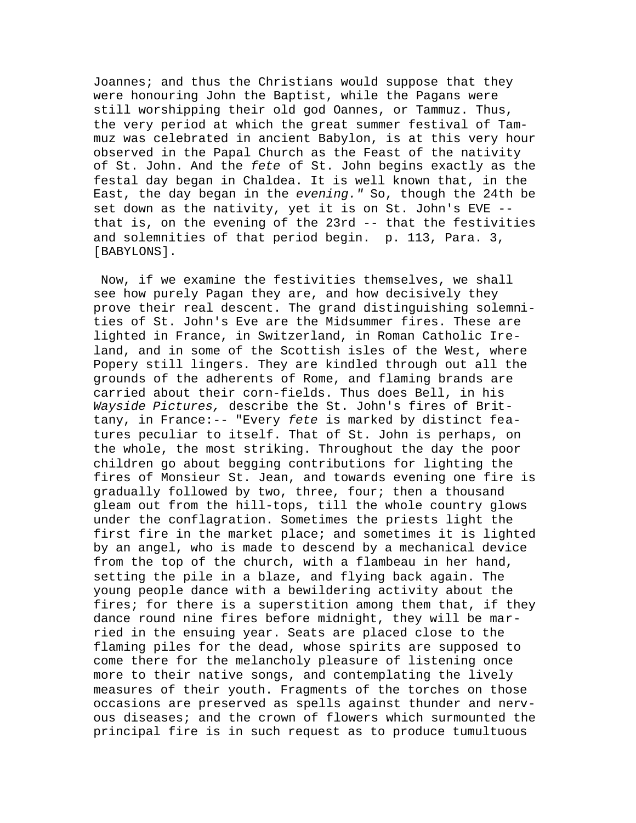Joannes; and thus the Christians would suppose that they were honouring John the Baptist, while the Pagans were still worshipping their old god Oannes, or Tammuz. Thus, the very period at which the great summer festival of Tammuz was celebrated in ancient Babylon, is at this very hour observed in the Papal Church as the Feast of the nativity of St. John. And the *fete* of St. John begins exactly as the festal day began in Chaldea. It is well known that, in the East, the day began in the *evening."* So, though the 24th be set down as the nativity, yet it is on St. John's EVE - that is, on the evening of the 23rd -- that the festivities and solemnities of that period begin. p. 113, Para. 3, [BABYLONS].

 Now, if we examine the festivities themselves, we shall see how purely Pagan they are, and how decisively they prove their real descent. The grand distinguishing solemnities of St. John's Eve are the Midsummer fires. These are lighted in France, in Switzerland, in Roman Catholic Ireland, and in some of the Scottish isles of the West, where Popery still lingers. They are kindled through out all the grounds of the adherents of Rome, and flaming brands are carried about their corn-fields. Thus does Bell, in his *Wayside Pictures,* describe the St. John's fires of Brittany, in France:-- "Every *fete* is marked by distinct features peculiar to itself. That of St. John is perhaps, on the whole, the most striking. Throughout the day the poor children go about begging contributions for lighting the fires of Monsieur St. Jean, and towards evening one fire is gradually followed by two, three, four; then a thousand gleam out from the hill-tops, till the whole country glows under the conflagration. Sometimes the priests light the first fire in the market place; and sometimes it is lighted by an angel, who is made to descend by a mechanical device from the top of the church, with a flambeau in her hand, setting the pile in a blaze, and flying back again. The young people dance with a bewildering activity about the fires; for there is a superstition among them that, if they dance round nine fires before midnight, they will be married in the ensuing year. Seats are placed close to the flaming piles for the dead, whose spirits are supposed to come there for the melancholy pleasure of listening once more to their native songs, and contemplating the lively measures of their youth. Fragments of the torches on those occasions are preserved as spells against thunder and nervous diseases; and the crown of flowers which surmounted the principal fire is in such request as to produce tumultuous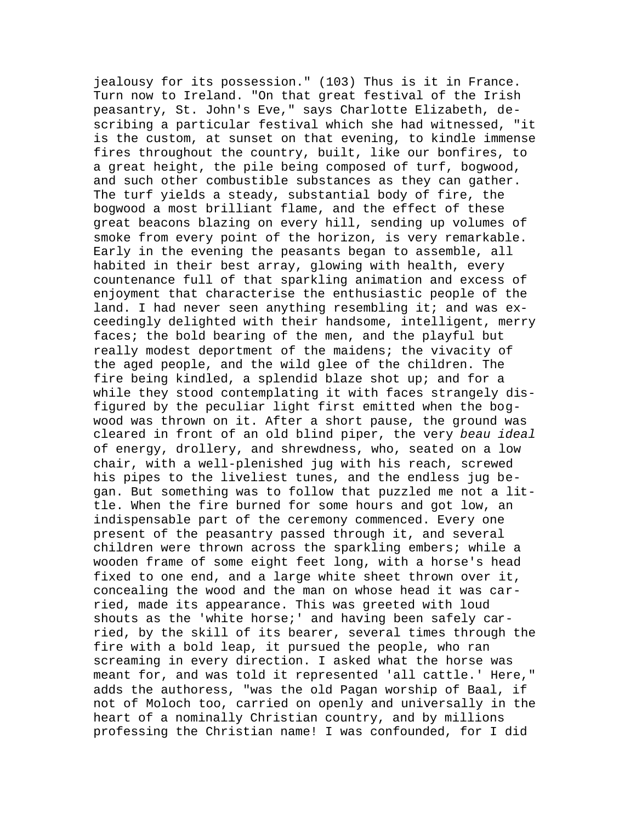jealousy for its possession." (103) Thus is it in France. Turn now to Ireland. "On that great festival of the Irish peasantry, St. John's Eve," says Charlotte Elizabeth, describing a particular festival which she had witnessed, "it is the custom, at sunset on that evening, to kindle immense fires throughout the country, built, like our bonfires, to a great height, the pile being composed of turf, bogwood, and such other combustible substances as they can gather. The turf yields a steady, substantial body of fire, the bogwood a most brilliant flame, and the effect of these great beacons blazing on every hill, sending up volumes of smoke from every point of the horizon, is very remarkable. Early in the evening the peasants began to assemble, all habited in their best array, glowing with health, every countenance full of that sparkling animation and excess of enjoyment that characterise the enthusiastic people of the land. I had never seen anything resembling it; and was exceedingly delighted with their handsome, intelligent, merry faces; the bold bearing of the men, and the playful but really modest deportment of the maidens; the vivacity of the aged people, and the wild glee of the children. The fire being kindled, a splendid blaze shot up; and for a while they stood contemplating it with faces strangely disfigured by the peculiar light first emitted when the bogwood was thrown on it. After a short pause, the ground was cleared in front of an old blind piper, the very *beau ideal* of energy, drollery, and shrewdness, who, seated on a low chair, with a well-plenished jug with his reach, screwed his pipes to the liveliest tunes, and the endless jug began. But something was to follow that puzzled me not a little. When the fire burned for some hours and got low, an indispensable part of the ceremony commenced. Every one present of the peasantry passed through it, and several children were thrown across the sparkling embers; while a wooden frame of some eight feet long, with a horse's head fixed to one end, and a large white sheet thrown over it, concealing the wood and the man on whose head it was carried, made its appearance. This was greeted with loud shouts as the 'white horse;' and having been safely carried, by the skill of its bearer, several times through the fire with a bold leap, it pursued the people, who ran screaming in every direction. I asked what the horse was meant for, and was told it represented 'all cattle.' Here," adds the authoress, "was the old Pagan worship of Baal, if not of Moloch too, carried on openly and universally in the heart of a nominally Christian country, and by millions professing the Christian name! I was confounded, for I did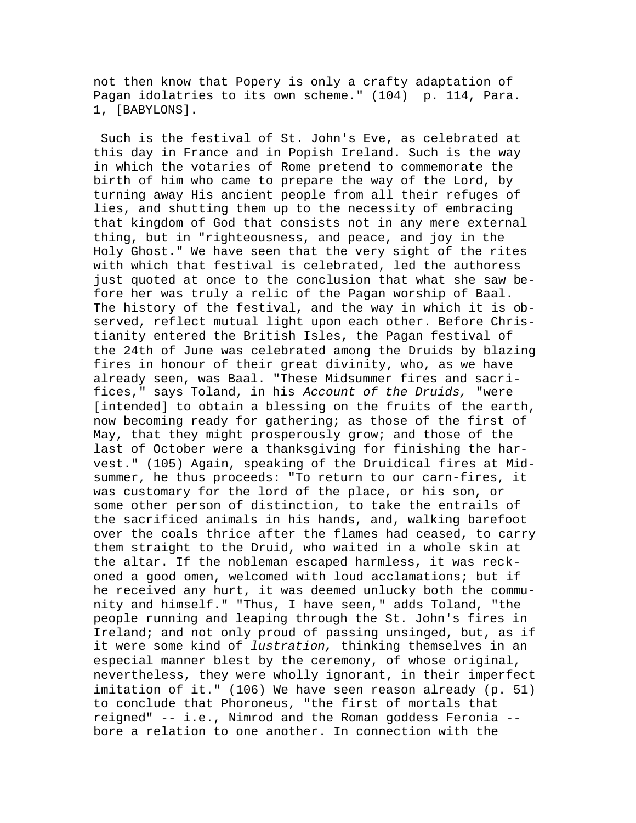not then know that Popery is only a crafty adaptation of Pagan idolatries to its own scheme." (104) p. 114, Para. 1, [BABYLONS].

 Such is the festival of St. John's Eve, as celebrated at this day in France and in Popish Ireland. Such is the way in which the votaries of Rome pretend to commemorate the birth of him who came to prepare the way of the Lord, by turning away His ancient people from all their refuges of lies, and shutting them up to the necessity of embracing that kingdom of God that consists not in any mere external thing, but in "righteousness, and peace, and joy in the Holy Ghost." We have seen that the very sight of the rites with which that festival is celebrated, led the authoress just quoted at once to the conclusion that what she saw before her was truly a relic of the Pagan worship of Baal. The history of the festival, and the way in which it is observed, reflect mutual light upon each other. Before Christianity entered the British Isles, the Pagan festival of the 24th of June was celebrated among the Druids by blazing fires in honour of their great divinity, who, as we have already seen, was Baal. "These Midsummer fires and sacrifices," says Toland, in his *Account of the Druids,* "were [intended] to obtain a blessing on the fruits of the earth, now becoming ready for gathering; as those of the first of May, that they might prosperously grow; and those of the last of October were a thanksgiving for finishing the harvest." (105) Again, speaking of the Druidical fires at Midsummer, he thus proceeds: "To return to our carn-fires, it was customary for the lord of the place, or his son, or some other person of distinction, to take the entrails of the sacrificed animals in his hands, and, walking barefoot over the coals thrice after the flames had ceased, to carry them straight to the Druid, who waited in a whole skin at the altar. If the nobleman escaped harmless, it was reckoned a good omen, welcomed with loud acclamations; but if he received any hurt, it was deemed unlucky both the community and himself." "Thus, I have seen," adds Toland, "the people running and leaping through the St. John's fires in Ireland; and not only proud of passing unsinged, but, as if it were some kind of *lustration,* thinking themselves in an especial manner blest by the ceremony, of whose original, nevertheless, they were wholly ignorant, in their imperfect imitation of it." (106) We have seen reason already (p. 51) to conclude that Phoroneus, "the first of mortals that reigned" -- i.e., Nimrod and the Roman goddess Feronia - bore a relation to one another. In connection with the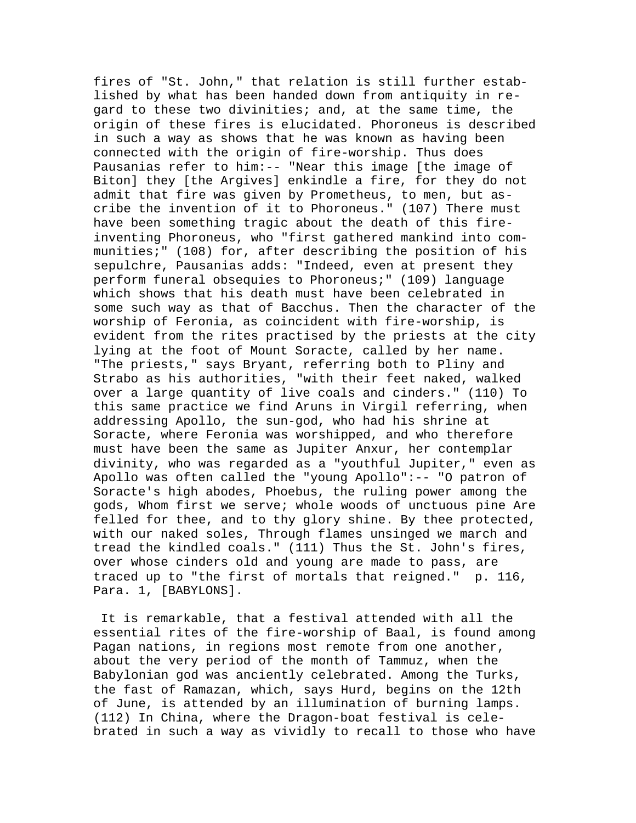fires of "St. John," that relation is still further established by what has been handed down from antiquity in regard to these two divinities; and, at the same time, the origin of these fires is elucidated. Phoroneus is described in such a way as shows that he was known as having been connected with the origin of fire-worship. Thus does Pausanias refer to him:-- "Near this image [the image of Biton] they [the Argives] enkindle a fire, for they do not admit that fire was given by Prometheus, to men, but ascribe the invention of it to Phoroneus." (107) There must have been something tragic about the death of this fireinventing Phoroneus, who "first gathered mankind into communities;" (108) for, after describing the position of his sepulchre, Pausanias adds: "Indeed, even at present they perform funeral obsequies to Phoroneus;" (109) language which shows that his death must have been celebrated in some such way as that of Bacchus. Then the character of the worship of Feronia, as coincident with fire-worship, is evident from the rites practised by the priests at the city lying at the foot of Mount Soracte, called by her name. "The priests," says Bryant, referring both to Pliny and Strabo as his authorities, "with their feet naked, walked over a large quantity of live coals and cinders." (110) To this same practice we find Aruns in Virgil referring, when addressing Apollo, the sun-god, who had his shrine at Soracte, where Feronia was worshipped, and who therefore must have been the same as Jupiter Anxur, her contemplar divinity, who was regarded as a "youthful Jupiter," even as Apollo was often called the "young Apollo":-- "O patron of Soracte's high abodes, Phoebus, the ruling power among the gods, Whom first we serve; whole woods of unctuous pine Are felled for thee, and to thy glory shine. By thee protected, with our naked soles, Through flames unsinged we march and tread the kindled coals." (111) Thus the St. John's fires, over whose cinders old and young are made to pass, are traced up to "the first of mortals that reigned." p. 116, Para. 1, [BABYLONS].

 It is remarkable, that a festival attended with all the essential rites of the fire-worship of Baal, is found among Pagan nations, in regions most remote from one another, about the very period of the month of Tammuz, when the Babylonian god was anciently celebrated. Among the Turks, the fast of Ramazan, which, says Hurd, begins on the 12th of June, is attended by an illumination of burning lamps. (112) In China, where the Dragon-boat festival is celebrated in such a way as vividly to recall to those who have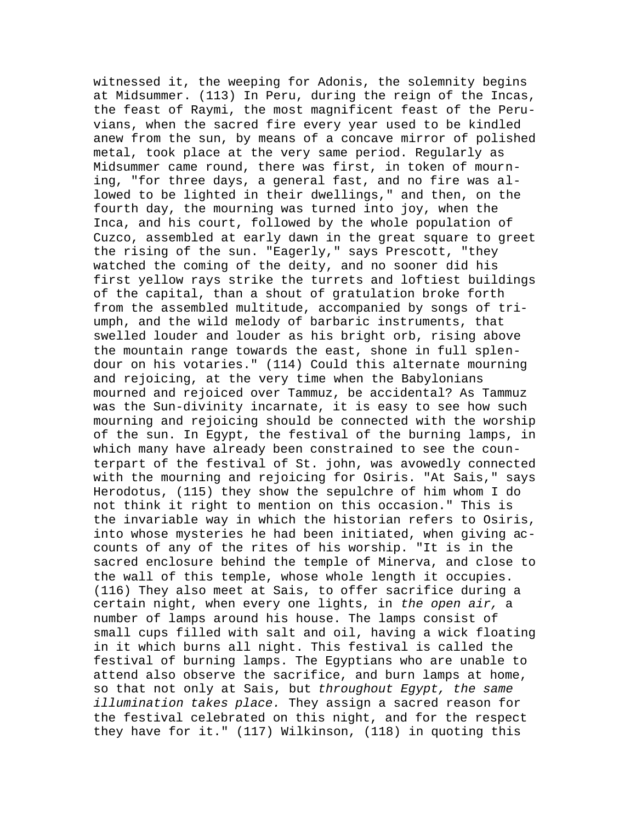witnessed it, the weeping for Adonis, the solemnity begins at Midsummer. (113) In Peru, during the reign of the Incas, the feast of Raymi, the most magnificent feast of the Peruvians, when the sacred fire every year used to be kindled anew from the sun, by means of a concave mirror of polished metal, took place at the very same period. Regularly as Midsummer came round, there was first, in token of mourning, "for three days, a general fast, and no fire was allowed to be lighted in their dwellings," and then, on the fourth day, the mourning was turned into joy, when the Inca, and his court, followed by the whole population of Cuzco, assembled at early dawn in the great square to greet the rising of the sun. "Eagerly," says Prescott, "they watched the coming of the deity, and no sooner did his first yellow rays strike the turrets and loftiest buildings of the capital, than a shout of gratulation broke forth from the assembled multitude, accompanied by songs of triumph, and the wild melody of barbaric instruments, that swelled louder and louder as his bright orb, rising above the mountain range towards the east, shone in full splendour on his votaries." (114) Could this alternate mourning and rejoicing, at the very time when the Babylonians mourned and rejoiced over Tammuz, be accidental? As Tammuz was the Sun-divinity incarnate, it is easy to see how such mourning and rejoicing should be connected with the worship of the sun. In Egypt, the festival of the burning lamps, in which many have already been constrained to see the counterpart of the festival of St. john, was avowedly connected with the mourning and rejoicing for Osiris. "At Sais," says Herodotus, (115) they show the sepulchre of him whom I do not think it right to mention on this occasion." This is the invariable way in which the historian refers to Osiris, into whose mysteries he had been initiated, when giving accounts of any of the rites of his worship. "It is in the sacred enclosure behind the temple of Minerva, and close to the wall of this temple, whose whole length it occupies. (116) They also meet at Sais, to offer sacrifice during a certain night, when every one lights, in *the open air,* a number of lamps around his house. The lamps consist of small cups filled with salt and oil, having a wick floating in it which burns all night. This festival is called the festival of burning lamps. The Egyptians who are unable to attend also observe the sacrifice, and burn lamps at home, so that not only at Sais, but *throughout Egypt, the same illumination takes place.* They assign a sacred reason for the festival celebrated on this night, and for the respect they have for it." (117) Wilkinson, (118) in quoting this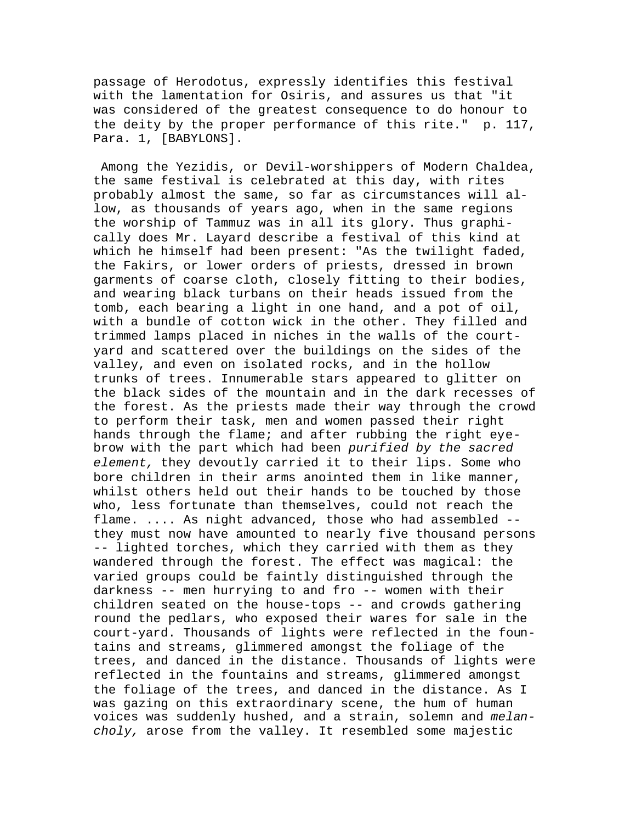passage of Herodotus, expressly identifies this festival with the lamentation for Osiris, and assures us that "it was considered of the greatest consequence to do honour to the deity by the proper performance of this rite." p. 117, Para. 1, [BABYLONS].

 Among the Yezidis, or Devil-worshippers of Modern Chaldea, the same festival is celebrated at this day, with rites probably almost the same, so far as circumstances will allow, as thousands of years ago, when in the same regions the worship of Tammuz was in all its glory. Thus graphically does Mr. Layard describe a festival of this kind at which he himself had been present: "As the twilight faded, the Fakirs, or lower orders of priests, dressed in brown garments of coarse cloth, closely fitting to their bodies, and wearing black turbans on their heads issued from the tomb, each bearing a light in one hand, and a pot of oil, with a bundle of cotton wick in the other. They filled and trimmed lamps placed in niches in the walls of the courtyard and scattered over the buildings on the sides of the valley, and even on isolated rocks, and in the hollow trunks of trees. Innumerable stars appeared to glitter on the black sides of the mountain and in the dark recesses of the forest. As the priests made their way through the crowd to perform their task, men and women passed their right hands through the flame; and after rubbing the right eyebrow with the part which had been *purified by the sacred element,* they devoutly carried it to their lips. Some who bore children in their arms anointed them in like manner, whilst others held out their hands to be touched by those who, less fortunate than themselves, could not reach the flame. .... As night advanced, those who had assembled - they must now have amounted to nearly five thousand persons -- lighted torches, which they carried with them as they wandered through the forest. The effect was magical: the varied groups could be faintly distinguished through the darkness -- men hurrying to and fro -- women with their children seated on the house-tops -- and crowds gathering round the pedlars, who exposed their wares for sale in the court-yard. Thousands of lights were reflected in the fountains and streams, glimmered amongst the foliage of the trees, and danced in the distance. Thousands of lights were reflected in the fountains and streams, glimmered amongst the foliage of the trees, and danced in the distance. As I was gazing on this extraordinary scene, the hum of human voices was suddenly hushed, and a strain, solemn and *melancholy,* arose from the valley. It resembled some majestic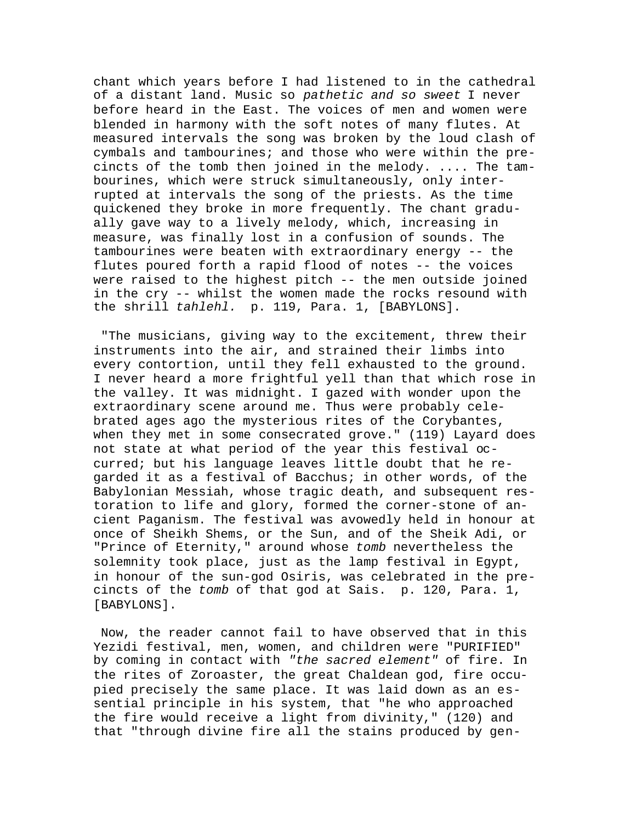chant which years before I had listened to in the cathedral of a distant land. Music so *pathetic and so sweet* I never before heard in the East. The voices of men and women were blended in harmony with the soft notes of many flutes. At measured intervals the song was broken by the loud clash of cymbals and tambourines; and those who were within the precincts of the tomb then joined in the melody. .... The tambourines, which were struck simultaneously, only interrupted at intervals the song of the priests. As the time quickened they broke in more frequently. The chant gradually gave way to a lively melody, which, increasing in measure, was finally lost in a confusion of sounds. The tambourines were beaten with extraordinary energy -- the flutes poured forth a rapid flood of notes -- the voices were raised to the highest pitch -- the men outside joined in the cry -- whilst the women made the rocks resound with the shrill *tahlehl.* p. 119, Para. 1, [BABYLONS].

 "The musicians, giving way to the excitement, threw their instruments into the air, and strained their limbs into every contortion, until they fell exhausted to the ground. I never heard a more frightful yell than that which rose in the valley. It was midnight. I gazed with wonder upon the extraordinary scene around me. Thus were probably celebrated ages ago the mysterious rites of the Corybantes, when they met in some consecrated grove." (119) Layard does not state at what period of the year this festival occurred; but his language leaves little doubt that he regarded it as a festival of Bacchus; in other words, of the Babylonian Messiah, whose tragic death, and subsequent restoration to life and glory, formed the corner-stone of ancient Paganism. The festival was avowedly held in honour at once of Sheikh Shems, or the Sun, and of the Sheik Adi, or "Prince of Eternity," around whose *tomb* nevertheless the solemnity took place, just as the lamp festival in Egypt, in honour of the sun-god Osiris, was celebrated in the precincts of the *tomb* of that god at Sais. p. 120, Para. 1, [BABYLONS].

 Now, the reader cannot fail to have observed that in this Yezidi festival, men, women, and children were "PURIFIED" by coming in contact with *"the sacred element"* of fire. In the rites of Zoroaster, the great Chaldean god, fire occupied precisely the same place. It was laid down as an essential principle in his system, that "he who approached the fire would receive a light from divinity," (120) and that "through divine fire all the stains produced by gen-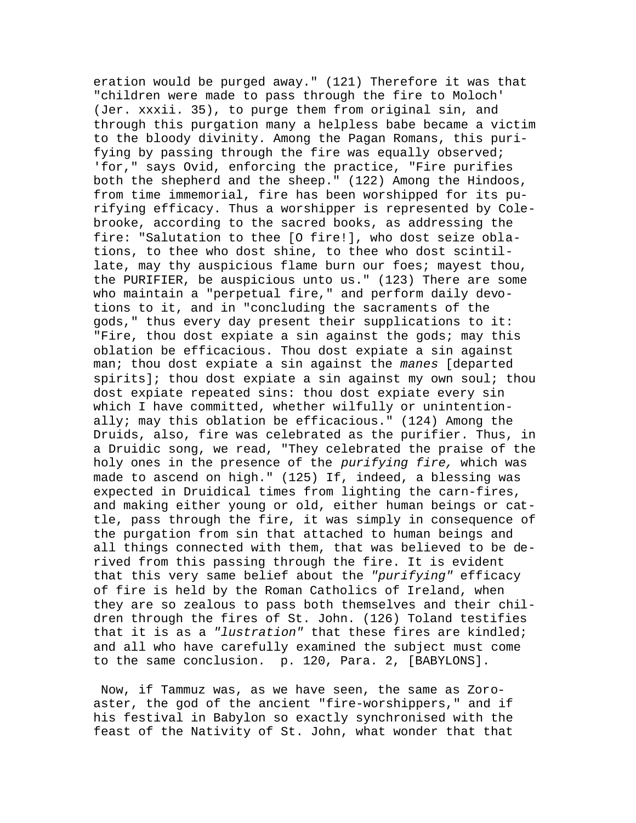eration would be purged away." (121) Therefore it was that "children were made to pass through the fire to Moloch' (Jer. xxxii. 35), to purge them from original sin, and through this purgation many a helpless babe became a victim to the bloody divinity. Among the Pagan Romans, this purifying by passing through the fire was equally observed; 'for," says Ovid, enforcing the practice, "Fire purifies both the shepherd and the sheep." (122) Among the Hindoos, from time immemorial, fire has been worshipped for its purifying efficacy. Thus a worshipper is represented by Colebrooke, according to the sacred books, as addressing the fire: "Salutation to thee [O fire!], who dost seize oblations, to thee who dost shine, to thee who dost scintillate, may thy auspicious flame burn our foes; mayest thou, the PURIFIER, be auspicious unto us." (123) There are some who maintain a "perpetual fire," and perform daily devotions to it, and in "concluding the sacraments of the gods," thus every day present their supplications to it: "Fire, thou dost expiate a sin against the gods; may this oblation be efficacious. Thou dost expiate a sin against man; thou dost expiate a sin against the *manes* [departed spirits]; thou dost expiate a sin against my own soul; thou dost expiate repeated sins: thou dost expiate every sin which I have committed, whether wilfully or unintentionally; may this oblation be efficacious." (124) Among the Druids, also, fire was celebrated as the purifier. Thus, in a Druidic song, we read, "They celebrated the praise of the holy ones in the presence of the *purifying fire,* which was made to ascend on high." (125) If, indeed, a blessing was expected in Druidical times from lighting the carn-fires, and making either young or old, either human beings or cattle, pass through the fire, it was simply in consequence of the purgation from sin that attached to human beings and all things connected with them, that was believed to be derived from this passing through the fire. It is evident that this very same belief about the *"purifying"* efficacy of fire is held by the Roman Catholics of Ireland, when they are so zealous to pass both themselves and their children through the fires of St. John. (126) Toland testifies that it is as a *"lustration"* that these fires are kindled; and all who have carefully examined the subject must come to the same conclusion. p. 120, Para. 2, [BABYLONS].

 Now, if Tammuz was, as we have seen, the same as Zoroaster, the god of the ancient "fire-worshippers," and if his festival in Babylon so exactly synchronised with the feast of the Nativity of St. John, what wonder that that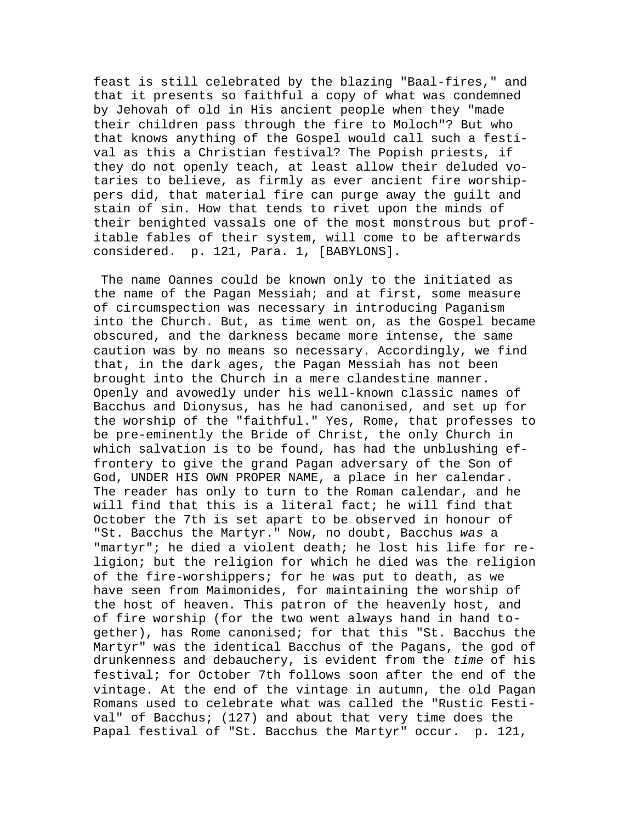feast is still celebrated by the blazing "Baal-fires," and that it presents so faithful a copy of what was condemned by Jehovah of old in His ancient people when they "made their children pass through the fire to Moloch"? But who that knows anything of the Gospel would call such a festival as this a Christian festival? The Popish priests, if they do not openly teach, at least allow their deluded votaries to believe, as firmly as ever ancient fire worshippers did, that material fire can purge away the guilt and stain of sin. How that tends to rivet upon the minds of their benighted vassals one of the most monstrous but profitable fables of their system, will come to be afterwards considered. p. 121, Para. 1, [BABYLONS].

 The name Oannes could be known only to the initiated as the name of the Pagan Messiah; and at first, some measure of circumspection was necessary in introducing Paganism into the Church. But, as time went on, as the Gospel became obscured, and the darkness became more intense, the same caution was by no means so necessary. Accordingly, we find that, in the dark ages, the Pagan Messiah has not been brought into the Church in a mere clandestine manner. Openly and avowedly under his well-known classic names of Bacchus and Dionysus, has he had canonised, and set up for the worship of the "faithful." Yes, Rome, that professes to be pre-eminently the Bride of Christ, the only Church in which salvation is to be found, has had the unblushing effrontery to give the grand Pagan adversary of the Son of God, UNDER HIS OWN PROPER NAME, a place in her calendar. The reader has only to turn to the Roman calendar, and he will find that this is a literal fact; he will find that October the 7th is set apart to be observed in honour of "St. Bacchus the Martyr." Now, no doubt, Bacchus *was* a "martyr"; he died a violent death; he lost his life for religion; but the religion for which he died was the religion of the fire-worshippers; for he was put to death, as we have seen from Maimonides, for maintaining the worship of the host of heaven. This patron of the heavenly host, and of fire worship (for the two went always hand in hand together), has Rome canonised; for that this "St. Bacchus the Martyr" was the identical Bacchus of the Pagans, the god of drunkenness and debauchery, is evident from the *time* of his festival; for October 7th follows soon after the end of the vintage. At the end of the vintage in autumn, the old Pagan Romans used to celebrate what was called the "Rustic Festival" of Bacchus; (127) and about that very time does the Papal festival of "St. Bacchus the Martyr" occur. p. 121,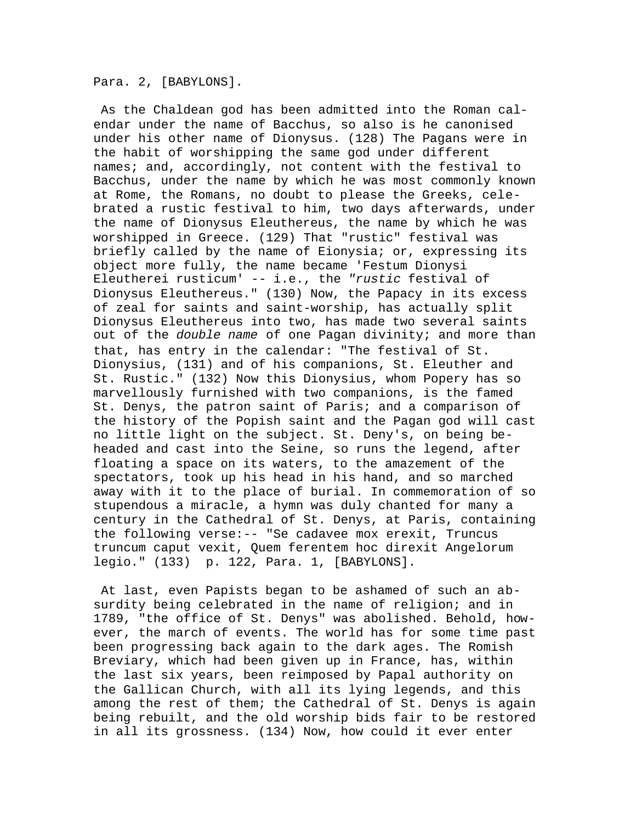Para. 2, [BABYLONS].

 As the Chaldean god has been admitted into the Roman calendar under the name of Bacchus, so also is he canonised under his other name of Dionysus. (128) The Pagans were in the habit of worshipping the same god under different names; and, accordingly, not content with the festival to Bacchus, under the name by which he was most commonly known at Rome, the Romans, no doubt to please the Greeks, celebrated a rustic festival to him, two days afterwards, under the name of Dionysus Eleuthereus, the name by which he was worshipped in Greece. (129) That "rustic" festival was briefly called by the name of Eionysia; or, expressing its object more fully, the name became 'Festum Dionysi Eleutherei rusticum' -- i.e., the *"rustic* festival of Dionysus Eleuthereus." (130) Now, the Papacy in its excess of zeal for saints and saint-worship, has actually split Dionysus Eleuthereus into two, has made two several saints out of the *double name* of one Pagan divinity; and more than that, has entry in the calendar: "The festival of St. Dionysius, (131) and of his companions, St. Eleuther and St. Rustic." (132) Now this Dionysius, whom Popery has so marvellously furnished with two companions, is the famed St. Denys, the patron saint of Paris; and a comparison of the history of the Popish saint and the Pagan god will cast no little light on the subject. St. Deny's, on being beheaded and cast into the Seine, so runs the legend, after floating a space on its waters, to the amazement of the spectators, took up his head in his hand, and so marched away with it to the place of burial. In commemoration of so stupendous a miracle, a hymn was duly chanted for many a century in the Cathedral of St. Denys, at Paris, containing the following verse:-- "Se cadavee mox erexit, Truncus truncum caput vexit, Quem ferentem hoc direxit Angelorum legio." (133) p. 122, Para. 1, [BABYLONS].

 At last, even Papists began to be ashamed of such an absurdity being celebrated in the name of religion; and in 1789, "the office of St. Denys" was abolished. Behold, however, the march of events. The world has for some time past been progressing back again to the dark ages. The Romish Breviary, which had been given up in France, has, within the last six years, been reimposed by Papal authority on the Gallican Church, with all its lying legends, and this among the rest of them; the Cathedral of St. Denys is again being rebuilt, and the old worship bids fair to be restored in all its grossness. (134) Now, how could it ever enter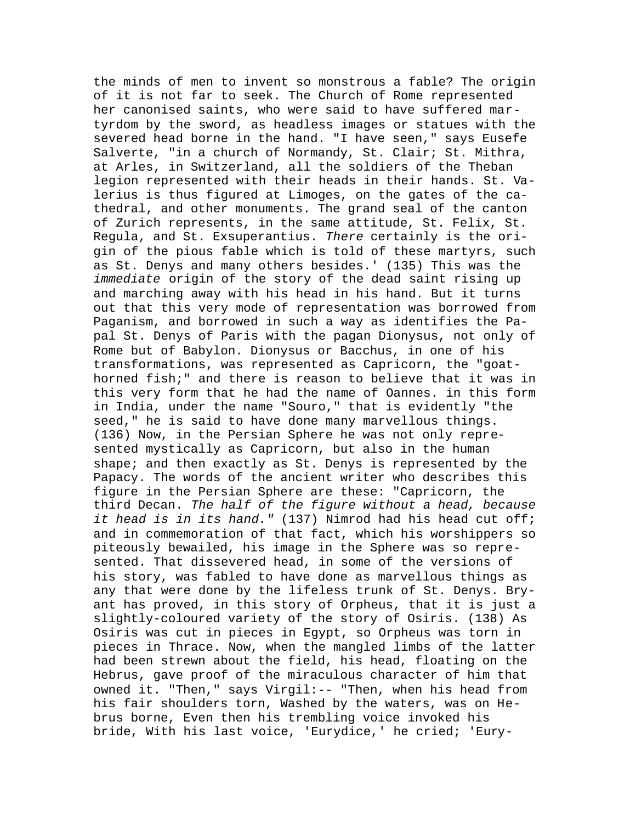the minds of men to invent so monstrous a fable? The origin of it is not far to seek. The Church of Rome represented her canonised saints, who were said to have suffered martyrdom by the sword, as headless images or statues with the severed head borne in the hand. "I have seen," says Eusefe Salverte, "in a church of Normandy, St. Clair; St. Mithra, at Arles, in Switzerland, all the soldiers of the Theban legion represented with their heads in their hands. St. Valerius is thus figured at Limoges, on the gates of the cathedral, and other monuments. The grand seal of the canton of Zurich represents, in the same attitude, St. Felix, St. Regula, and St. Exsuperantius. *There* certainly is the origin of the pious fable which is told of these martyrs, such as St. Denys and many others besides.' (135) This was the *immediate* origin of the story of the dead saint rising up and marching away with his head in his hand. But it turns out that this very mode of representation was borrowed from Paganism, and borrowed in such a way as identifies the Papal St. Denys of Paris with the pagan Dionysus, not only of Rome but of Babylon. Dionysus or Bacchus, in one of his transformations, was represented as Capricorn, the "goathorned fish;" and there is reason to believe that it was in this very form that he had the name of Oannes. in this form in India, under the name "Souro," that is evidently "the seed," he is said to have done many marvellous things. (136) Now, in the Persian Sphere he was not only represented mystically as Capricorn, but also in the human shape; and then exactly as St. Denys is represented by the Papacy. The words of the ancient writer who describes this figure in the Persian Sphere are these: "Capricorn, the third Decan. *The half of the figure without a head, because it head is in its hand."* (137) Nimrod had his head cut off; and in commemoration of that fact, which his worshippers so piteously bewailed, his image in the Sphere was so represented. That dissevered head, in some of the versions of his story, was fabled to have done as marvellous things as any that were done by the lifeless trunk of St. Denys. Bryant has proved, in this story of Orpheus, that it is just a slightly-coloured variety of the story of Osiris. (138) As Osiris was cut in pieces in Egypt, so Orpheus was torn in pieces in Thrace. Now, when the mangled limbs of the latter had been strewn about the field, his head, floating on the Hebrus, gave proof of the miraculous character of him that owned it. "Then," says Virgil:-- "Then, when his head from his fair shoulders torn, Washed by the waters, was on Hebrus borne, Even then his trembling voice invoked his bride, With his last voice, 'Eurydice,' he cried; 'Eury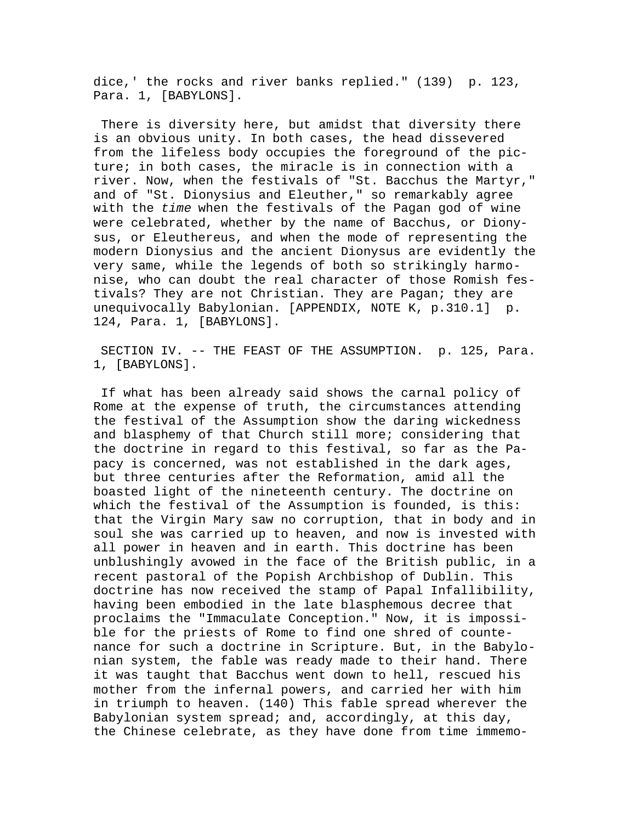dice,' the rocks and river banks replied." (139) p. 123, Para. 1, [BABYLONS].

 There is diversity here, but amidst that diversity there is an obvious unity. In both cases, the head dissevered from the lifeless body occupies the foreground of the picture; in both cases, the miracle is in connection with a river. Now, when the festivals of "St. Bacchus the Martyr," and of "St. Dionysius and Eleuther," so remarkably agree with the *time* when the festivals of the Pagan god of wine were celebrated, whether by the name of Bacchus, or Dionysus, or Eleuthereus, and when the mode of representing the modern Dionysius and the ancient Dionysus are evidently the very same, while the legends of both so strikingly harmonise, who can doubt the real character of those Romish festivals? They are not Christian. They are Pagan; they are unequivocally Babylonian. [APPENDIX, NOTE K, p.310.1] p. 124, Para. 1, [BABYLONS].

 SECTION IV. -- THE FEAST OF THE ASSUMPTION. p. 125, Para. 1, [BABYLONS].

 If what has been already said shows the carnal policy of Rome at the expense of truth, the circumstances attending the festival of the Assumption show the daring wickedness and blasphemy of that Church still more; considering that the doctrine in regard to this festival, so far as the Papacy is concerned, was not established in the dark ages, but three centuries after the Reformation, amid all the boasted light of the nineteenth century. The doctrine on which the festival of the Assumption is founded, is this: that the Virgin Mary saw no corruption, that in body and in soul she was carried up to heaven, and now is invested with all power in heaven and in earth. This doctrine has been unblushingly avowed in the face of the British public, in a recent pastoral of the Popish Archbishop of Dublin. This doctrine has now received the stamp of Papal Infallibility, having been embodied in the late blasphemous decree that proclaims the "Immaculate Conception." Now, it is impossible for the priests of Rome to find one shred of countenance for such a doctrine in Scripture. But, in the Babylonian system, the fable was ready made to their hand. There it was taught that Bacchus went down to hell, rescued his mother from the infernal powers, and carried her with him in triumph to heaven. (140) This fable spread wherever the Babylonian system spread; and, accordingly, at this day, the Chinese celebrate, as they have done from time immemo-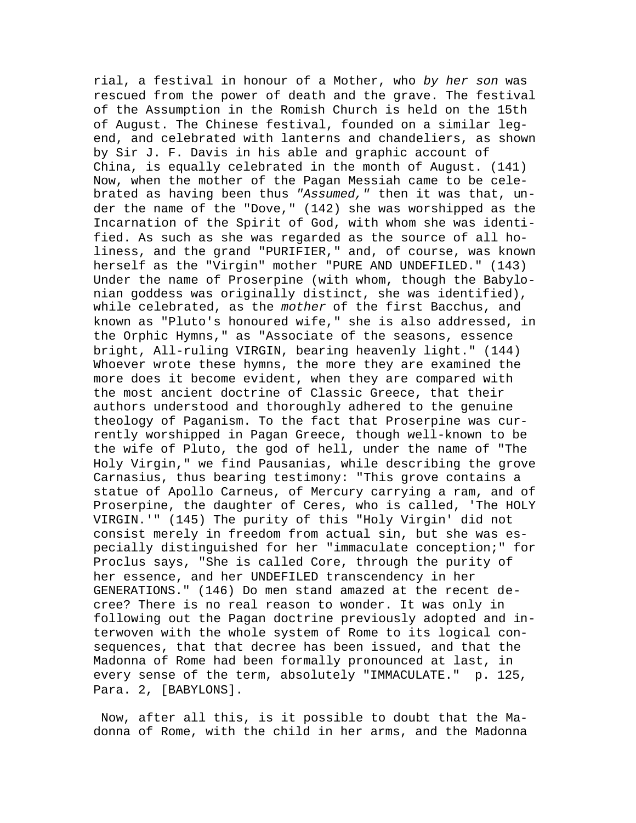rial, a festival in honour of a Mother, who *by her son* was rescued from the power of death and the grave. The festival of the Assumption in the Romish Church is held on the 15th of August. The Chinese festival, founded on a similar legend, and celebrated with lanterns and chandeliers, as shown by Sir J. F. Davis in his able and graphic account of China, is equally celebrated in the month of August. (141) Now, when the mother of the Pagan Messiah came to be celebrated as having been thus *"Assumed,"* then it was that, under the name of the "Dove," (142) she was worshipped as the Incarnation of the Spirit of God, with whom she was identified. As such as she was regarded as the source of all holiness, and the grand "PURIFIER," and, of course, was known herself as the "Virgin" mother "PURE AND UNDEFILED." (143) Under the name of Proserpine (with whom, though the Babylonian goddess was originally distinct, she was identified), while celebrated, as the *mother* of the first Bacchus, and known as "Pluto's honoured wife," she is also addressed, in the Orphic Hymns," as "Associate of the seasons, essence bright, All-ruling VIRGIN, bearing heavenly light." (144) Whoever wrote these hymns, the more they are examined the more does it become evident, when they are compared with the most ancient doctrine of Classic Greece, that their authors understood and thoroughly adhered to the genuine theology of Paganism. To the fact that Proserpine was currently worshipped in Pagan Greece, though well-known to be the wife of Pluto, the god of hell, under the name of "The Holy Virgin," we find Pausanias, while describing the grove Carnasius, thus bearing testimony: "This grove contains a statue of Apollo Carneus, of Mercury carrying a ram, and of Proserpine, the daughter of Ceres, who is called, 'The HOLY VIRGIN.'" (145) The purity of this "Holy Virgin' did not consist merely in freedom from actual sin, but she was especially distinguished for her "immaculate conception;" for Proclus says, "She is called Core, through the purity of her essence, and her UNDEFILED transcendency in her GENERATIONS." (146) Do men stand amazed at the recent decree? There is no real reason to wonder. It was only in following out the Pagan doctrine previously adopted and interwoven with the whole system of Rome to its logical consequences, that that decree has been issued, and that the Madonna of Rome had been formally pronounced at last, in every sense of the term, absolutely "IMMACULATE." p. 125, Para. 2, [BABYLONS].

 Now, after all this, is it possible to doubt that the Madonna of Rome, with the child in her arms, and the Madonna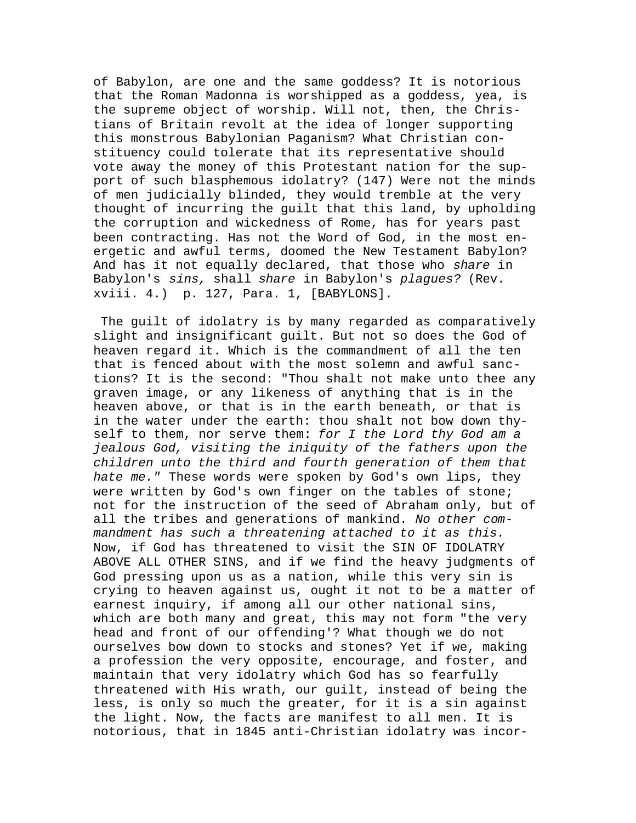of Babylon, are one and the same goddess? It is notorious that the Roman Madonna is worshipped as a goddess, yea, is the supreme object of worship. Will not, then, the Christians of Britain revolt at the idea of longer supporting this monstrous Babylonian Paganism? What Christian constituency could tolerate that its representative should vote away the money of this Protestant nation for the support of such blasphemous idolatry? (147) Were not the minds of men judicially blinded, they would tremble at the very thought of incurring the guilt that this land, by upholding the corruption and wickedness of Rome, has for years past been contracting. Has not the Word of God, in the most energetic and awful terms, doomed the New Testament Babylon? And has it not equally declared, that those who *share* in Babylon's *sins,* shall *share* in Babylon's *plagues?* (Rev. xviii. 4.) p. 127, Para. 1, [BABYLONS].

 The guilt of idolatry is by many regarded as comparatively slight and insignificant guilt. But not so does the God of heaven regard it. Which is the commandment of all the ten that is fenced about with the most solemn and awful sanctions? It is the second: "Thou shalt not make unto thee any graven image, or any likeness of anything that is in the heaven above, or that is in the earth beneath, or that is in the water under the earth: thou shalt not bow down thyself to them, nor serve them: *for I the Lord thy God am a jealous God, visiting the iniquity of the fathers upon the children unto the third and fourth generation of them that hate me."* These words were spoken by God's own lips, they were written by God's own finger on the tables of stone; not for the instruction of the seed of Abraham only, but of all the tribes and generations of mankind. *No other commandment has such a threatening attached to it as this.* Now, if God has threatened to visit the SIN OF IDOLATRY ABOVE ALL OTHER SINS, and if we find the heavy judgments of God pressing upon us as a nation, while this very sin is crying to heaven against us, ought it not to be a matter of earnest inquiry, if among all our other national sins, which are both many and great, this may not form "the very head and front of our offending'? What though we do not ourselves bow down to stocks and stones? Yet if we, making a profession the very opposite, encourage, and foster, and maintain that very idolatry which God has so fearfully threatened with His wrath, our guilt, instead of being the less, is only so much the greater, for it is a sin against the light. Now, the facts are manifest to all men. It is notorious, that in 1845 anti-Christian idolatry was incor-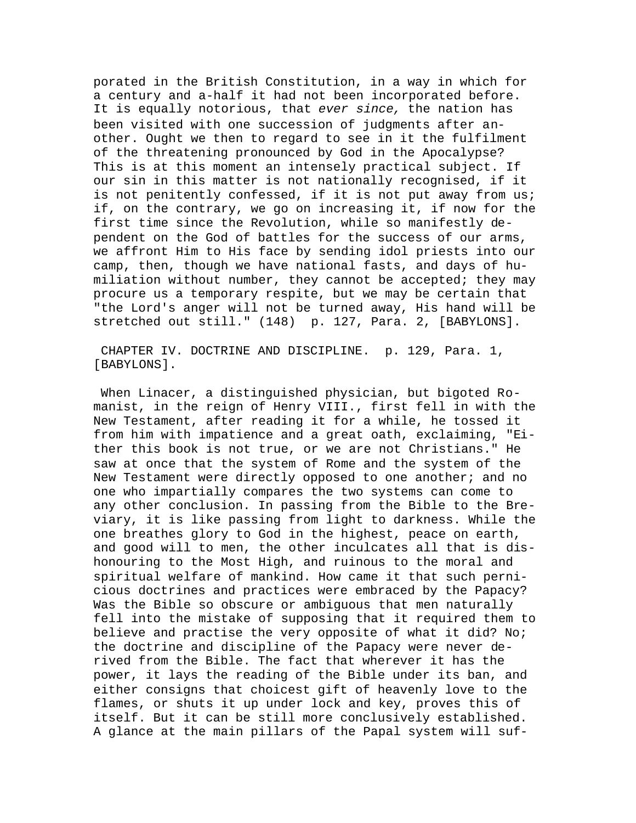porated in the British Constitution, in a way in which for a century and a-half it had not been incorporated before. It is equally notorious, that *ever since,* the nation has been visited with one succession of judgments after another. Ought we then to regard to see in it the fulfilment of the threatening pronounced by God in the Apocalypse? This is at this moment an intensely practical subject. If our sin in this matter is not nationally recognised, if it is not penitently confessed, if it is not put away from us; if, on the contrary, we go on increasing it, if now for the first time since the Revolution, while so manifestly dependent on the God of battles for the success of our arms, we affront Him to His face by sending idol priests into our camp, then, though we have national fasts, and days of humiliation without number, they cannot be accepted; they may procure us a temporary respite, but we may be certain that "the Lord's anger will not be turned away, His hand will be stretched out still." (148) p. 127, Para. 2, [BABYLONS].

 CHAPTER IV. DOCTRINE AND DISCIPLINE. p. 129, Para. 1, [BABYLONS].

 When Linacer, a distinguished physician, but bigoted Romanist, in the reign of Henry VIII., first fell in with the New Testament, after reading it for a while, he tossed it from him with impatience and a great oath, exclaiming, "Either this book is not true, or we are not Christians." He saw at once that the system of Rome and the system of the New Testament were directly opposed to one another; and no one who impartially compares the two systems can come to any other conclusion. In passing from the Bible to the Breviary, it is like passing from light to darkness. While the one breathes glory to God in the highest, peace on earth, and good will to men, the other inculcates all that is dishonouring to the Most High, and ruinous to the moral and spiritual welfare of mankind. How came it that such pernicious doctrines and practices were embraced by the Papacy? Was the Bible so obscure or ambiguous that men naturally fell into the mistake of supposing that it required them to believe and practise the very opposite of what it did? No; the doctrine and discipline of the Papacy were never derived from the Bible. The fact that wherever it has the power, it lays the reading of the Bible under its ban, and either consigns that choicest gift of heavenly love to the flames, or shuts it up under lock and key, proves this of itself. But it can be still more conclusively established. A glance at the main pillars of the Papal system will suf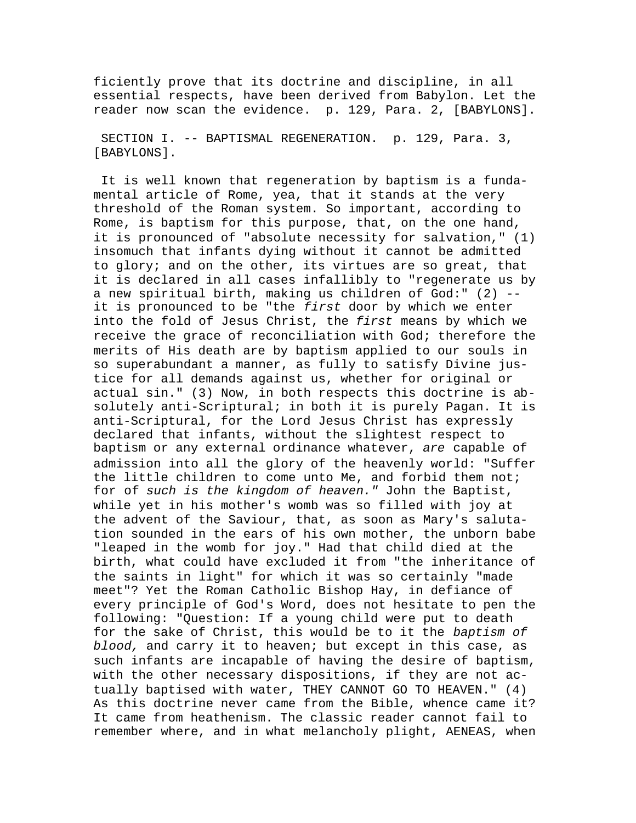ficiently prove that its doctrine and discipline, in all essential respects, have been derived from Babylon. Let the reader now scan the evidence. p. 129, Para. 2, [BABYLONS].

 SECTION I. -- BAPTISMAL REGENERATION. p. 129, Para. 3, [BABYLONS].

 It is well known that regeneration by baptism is a fundamental article of Rome, yea, that it stands at the very threshold of the Roman system. So important, according to Rome, is baptism for this purpose, that, on the one hand, it is pronounced of "absolute necessity for salvation," (1) insomuch that infants dying without it cannot be admitted to glory; and on the other, its virtues are so great, that it is declared in all cases infallibly to "regenerate us by a new spiritual birth, making us children of God:" (2) - it is pronounced to be "the *first* door by which we enter into the fold of Jesus Christ, the *first* means by which we receive the grace of reconciliation with God; therefore the merits of His death are by baptism applied to our souls in so superabundant a manner, as fully to satisfy Divine justice for all demands against us, whether for original or actual sin." (3) Now, in both respects this doctrine is absolutely anti-Scriptural; in both it is purely Pagan. It is anti-Scriptural, for the Lord Jesus Christ has expressly declared that infants, without the slightest respect to baptism or any external ordinance whatever, *are* capable of admission into all the glory of the heavenly world: "Suffer the little children to come unto Me, and forbid them not; for of *such is the kingdom of heaven."* John the Baptist, while yet in his mother's womb was so filled with joy at the advent of the Saviour, that, as soon as Mary's salutation sounded in the ears of his own mother, the unborn babe "leaped in the womb for joy." Had that child died at the birth, what could have excluded it from "the inheritance of the saints in light" for which it was so certainly "made meet"? Yet the Roman Catholic Bishop Hay, in defiance of every principle of God's Word, does not hesitate to pen the following: "Question: If a young child were put to death for the sake of Christ, this would be to it the *baptism of blood,* and carry it to heaven; but except in this case, as such infants are incapable of having the desire of baptism, with the other necessary dispositions, if they are not actually baptised with water, THEY CANNOT GO TO HEAVEN." (4) As this doctrine never came from the Bible, whence came it? It came from heathenism. The classic reader cannot fail to remember where, and in what melancholy plight, AENEAS, when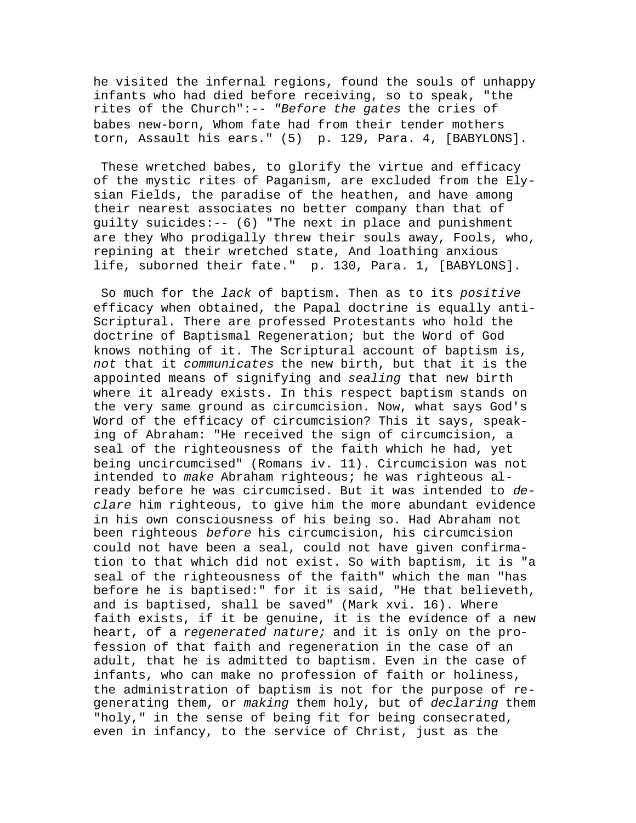he visited the infernal regions, found the souls of unhappy infants who had died before receiving, so to speak, "the rites of the Church":-- *"Before the gates* the cries of babes new-born, Whom fate had from their tender mothers torn, Assault his ears." (5) p. 129, Para. 4, [BABYLONS].

 These wretched babes, to glorify the virtue and efficacy of the mystic rites of Paganism, are excluded from the Elysian Fields, the paradise of the heathen, and have among their nearest associates no better company than that of guilty suicides:-- (6) "The next in place and punishment are they Who prodigally threw their souls away, Fools, who, repining at their wretched state, And loathing anxious life, suborned their fate." p. 130, Para. 1, [BABYLONS].

 So much for the *lack* of baptism. Then as to its *positive* efficacy when obtained, the Papal doctrine is equally anti-Scriptural. There are professed Protestants who hold the doctrine of Baptismal Regeneration; but the Word of God knows nothing of it. The Scriptural account of baptism is, *not* that it *communicates* the new birth, but that it is the appointed means of signifying and *sealing* that new birth where it already exists. In this respect baptism stands on the very same ground as circumcision. Now, what says God's Word of the efficacy of circumcision? This it says, speaking of Abraham: "He received the sign of circumcision, a seal of the righteousness of the faith which he had, yet being uncircumcised" (Romans iv. 11). Circumcision was not intended to *make* Abraham righteous; he was righteous already before he was circumcised. But it was intended to *declare* him righteous, to give him the more abundant evidence in his own consciousness of his being so. Had Abraham not been righteous *before* his circumcision, his circumcision could not have been a seal, could not have given confirmation to that which did not exist. So with baptism, it is "a seal of the righteousness of the faith" which the man "has before he is baptised:" for it is said, "He that believeth, and is baptised, shall be saved" (Mark xvi. 16). Where faith exists, if it be genuine, it is the evidence of a new heart, of a *regenerated nature;* and it is only on the profession of that faith and regeneration in the case of an adult, that he is admitted to baptism. Even in the case of infants, who can make no profession of faith or holiness, the administration of baptism is not for the purpose of regenerating them, or *making* them holy, but of *declaring* them "holy," in the sense of being fit for being consecrated, even in infancy, to the service of Christ, just as the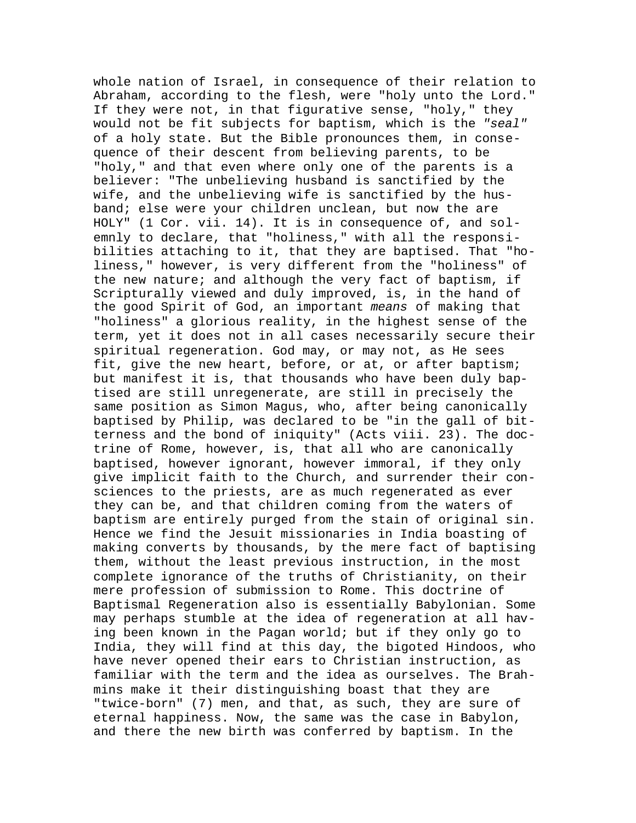whole nation of Israel, in consequence of their relation to Abraham, according to the flesh, were "holy unto the Lord." If they were not, in that figurative sense, "holy," they would not be fit subjects for baptism, which is the *"seal"* of a holy state. But the Bible pronounces them, in consequence of their descent from believing parents, to be "holy," and that even where only one of the parents is a believer: "The unbelieving husband is sanctified by the wife, and the unbelieving wife is sanctified by the husband; else were your children unclean, but now the are HOLY" (1 Cor. vii. 14). It is in consequence of, and solemnly to declare, that "holiness," with all the responsibilities attaching to it, that they are baptised. That "holiness," however, is very different from the "holiness" of the new nature; and although the very fact of baptism, if Scripturally viewed and duly improved, is, in the hand of the good Spirit of God, an important *means* of making that "holiness" a glorious reality, in the highest sense of the term, yet it does not in all cases necessarily secure their spiritual regeneration. God may, or may not, as He sees fit, give the new heart, before, or at, or after baptism; but manifest it is, that thousands who have been duly baptised are still unregenerate, are still in precisely the same position as Simon Magus, who, after being canonically baptised by Philip, was declared to be "in the gall of bitterness and the bond of iniquity" (Acts viii. 23). The doctrine of Rome, however, is, that all who are canonically baptised, however ignorant, however immoral, if they only give implicit faith to the Church, and surrender their consciences to the priests, are as much regenerated as ever they can be, and that children coming from the waters of baptism are entirely purged from the stain of original sin. Hence we find the Jesuit missionaries in India boasting of making converts by thousands, by the mere fact of baptising them, without the least previous instruction, in the most complete ignorance of the truths of Christianity, on their mere profession of submission to Rome. This doctrine of Baptismal Regeneration also is essentially Babylonian. Some may perhaps stumble at the idea of regeneration at all having been known in the Pagan world; but if they only go to India, they will find at this day, the bigoted Hindoos, who have never opened their ears to Christian instruction, as familiar with the term and the idea as ourselves. The Brahmins make it their distinguishing boast that they are "twice-born" (7) men, and that, as such, they are sure of eternal happiness. Now, the same was the case in Babylon, and there the new birth was conferred by baptism. In the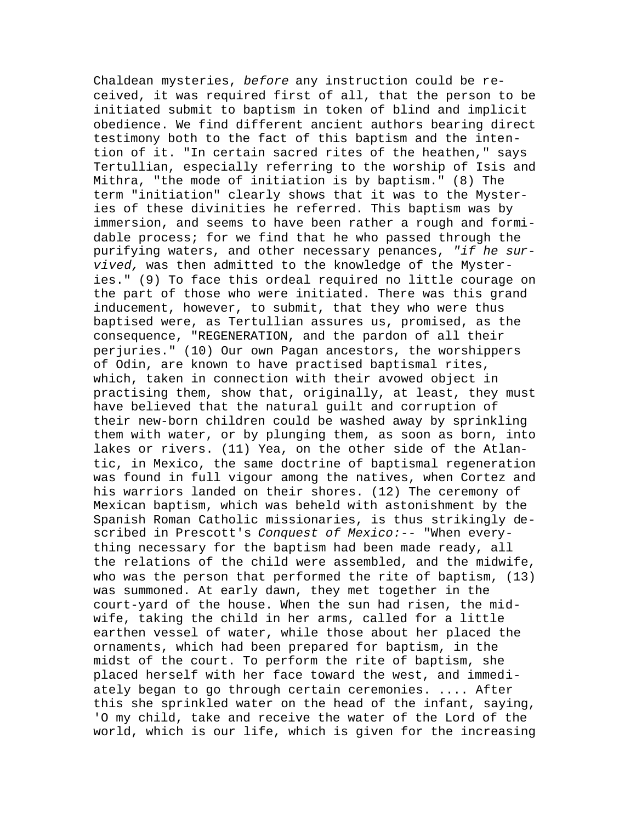Chaldean mysteries, *before* any instruction could be received, it was required first of all, that the person to be initiated submit to baptism in token of blind and implicit obedience. We find different ancient authors bearing direct testimony both to the fact of this baptism and the intention of it. "In certain sacred rites of the heathen," says Tertullian, especially referring to the worship of Isis and Mithra, "the mode of initiation is by baptism." (8) The term "initiation" clearly shows that it was to the Mysteries of these divinities he referred. This baptism was by immersion, and seems to have been rather a rough and formidable process; for we find that he who passed through the purifying waters, and other necessary penances, *"if he survived,* was then admitted to the knowledge of the Mysteries." (9) To face this ordeal required no little courage on the part of those who were initiated. There was this grand inducement, however, to submit, that they who were thus baptised were, as Tertullian assures us, promised, as the consequence, "REGENERATION, and the pardon of all their perjuries." (10) Our own Pagan ancestors, the worshippers of Odin, are known to have practised baptismal rites, which, taken in connection with their avowed object in practising them, show that, originally, at least, they must have believed that the natural guilt and corruption of their new-born children could be washed away by sprinkling them with water, or by plunging them, as soon as born, into lakes or rivers. (11) Yea, on the other side of the Atlantic, in Mexico, the same doctrine of baptismal regeneration was found in full vigour among the natives, when Cortez and his warriors landed on their shores. (12) The ceremony of Mexican baptism, which was beheld with astonishment by the Spanish Roman Catholic missionaries, is thus strikingly described in Prescott's *Conquest of Mexico:--* "When everything necessary for the baptism had been made ready, all the relations of the child were assembled, and the midwife, who was the person that performed the rite of baptism, (13) was summoned. At early dawn, they met together in the court-yard of the house. When the sun had risen, the midwife, taking the child in her arms, called for a little earthen vessel of water, while those about her placed the ornaments, which had been prepared for baptism, in the midst of the court. To perform the rite of baptism, she placed herself with her face toward the west, and immediately began to go through certain ceremonies. .... After this she sprinkled water on the head of the infant, saying, 'O my child, take and receive the water of the Lord of the world, which is our life, which is given for the increasing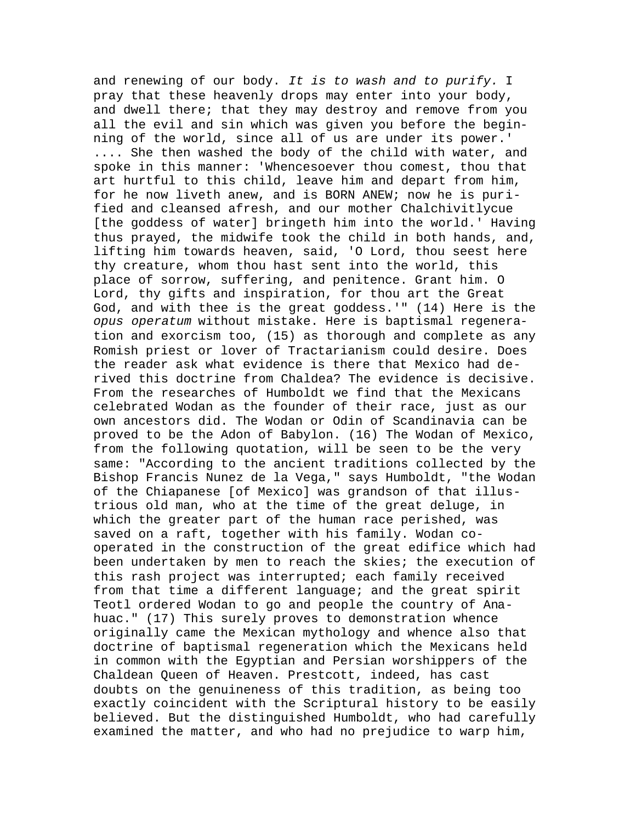and renewing of our body. *It is to wash and to purify.* I pray that these heavenly drops may enter into your body, and dwell there; that they may destroy and remove from you all the evil and sin which was given you before the beginning of the world, since all of us are under its power.' .... She then washed the body of the child with water, and spoke in this manner: 'Whencesoever thou comest, thou that art hurtful to this child, leave him and depart from him, for he now liveth anew, and is BORN ANEW; now he is purified and cleansed afresh, and our mother Chalchivitlycue [the goddess of water] bringeth him into the world.' Having thus prayed, the midwife took the child in both hands, and, lifting him towards heaven, said, 'O Lord, thou seest here thy creature, whom thou hast sent into the world, this place of sorrow, suffering, and penitence. Grant him. O Lord, thy gifts and inspiration, for thou art the Great God, and with thee is the great goddess.'" (14) Here is the *opus operatum* without mistake. Here is baptismal regeneration and exorcism too, (15) as thorough and complete as any Romish priest or lover of Tractarianism could desire. Does the reader ask what evidence is there that Mexico had derived this doctrine from Chaldea? The evidence is decisive. From the researches of Humboldt we find that the Mexicans celebrated Wodan as the founder of their race, just as our own ancestors did. The Wodan or Odin of Scandinavia can be proved to be the Adon of Babylon. (16) The Wodan of Mexico, from the following quotation, will be seen to be the very same: "According to the ancient traditions collected by the Bishop Francis Nunez de la Vega," says Humboldt, "the Wodan of the Chiapanese [of Mexico] was grandson of that illustrious old man, who at the time of the great deluge, in which the greater part of the human race perished, was saved on a raft, together with his family. Wodan cooperated in the construction of the great edifice which had been undertaken by men to reach the skies; the execution of this rash project was interrupted; each family received from that time a different language; and the great spirit Teotl ordered Wodan to go and people the country of Anahuac." (17) This surely proves to demonstration whence originally came the Mexican mythology and whence also that doctrine of baptismal regeneration which the Mexicans held in common with the Egyptian and Persian worshippers of the Chaldean Queen of Heaven. Prestcott, indeed, has cast doubts on the genuineness of this tradition, as being too exactly coincident with the Scriptural history to be easily believed. But the distinguished Humboldt, who had carefully examined the matter, and who had no prejudice to warp him,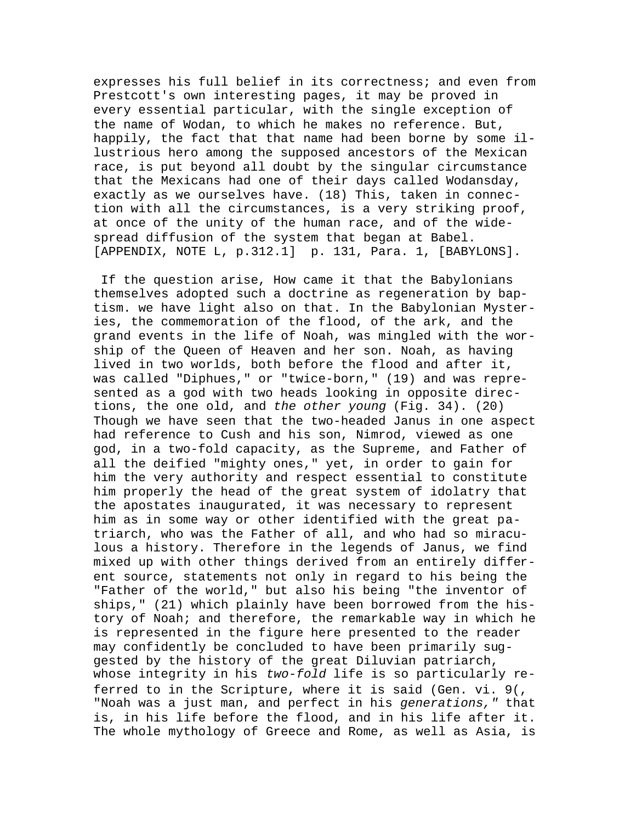expresses his full belief in its correctness; and even from Prestcott's own interesting pages, it may be proved in every essential particular, with the single exception of the name of Wodan, to which he makes no reference. But, happily, the fact that that name had been borne by some illustrious hero among the supposed ancestors of the Mexican race, is put beyond all doubt by the singular circumstance that the Mexicans had one of their days called Wodansday, exactly as we ourselves have. (18) This, taken in connection with all the circumstances, is a very striking proof, at once of the unity of the human race, and of the widespread diffusion of the system that began at Babel. [APPENDIX, NOTE L, p.312.1] p. 131, Para. 1, [BABYLONS].

 If the question arise, How came it that the Babylonians themselves adopted such a doctrine as regeneration by baptism. we have light also on that. In the Babylonian Mysteries, the commemoration of the flood, of the ark, and the grand events in the life of Noah, was mingled with the worship of the Queen of Heaven and her son. Noah, as having lived in two worlds, both before the flood and after it, was called "Diphues," or "twice-born," (19) and was represented as a god with two heads looking in opposite directions, the one old, and *the other young* (Fig. 34). (20) Though we have seen that the two-headed Janus in one aspect had reference to Cush and his son, Nimrod, viewed as one god, in a two-fold capacity, as the Supreme, and Father of all the deified "mighty ones," yet, in order to gain for him the very authority and respect essential to constitute him properly the head of the great system of idolatry that the apostates inaugurated, it was necessary to represent him as in some way or other identified with the great patriarch, who was the Father of all, and who had so miraculous a history. Therefore in the legends of Janus, we find mixed up with other things derived from an entirely different source, statements not only in regard to his being the "Father of the world," but also his being "the inventor of ships," (21) which plainly have been borrowed from the history of Noah; and therefore, the remarkable way in which he is represented in the figure here presented to the reader may confidently be concluded to have been primarily suggested by the history of the great Diluvian patriarch, whose integrity in his *two-fold* life is so particularly referred to in the Scripture, where it is said (Gen. vi. 9(, "Noah was a just man, and perfect in his *generations,"* that is, in his life before the flood, and in his life after it. The whole mythology of Greece and Rome, as well as Asia, is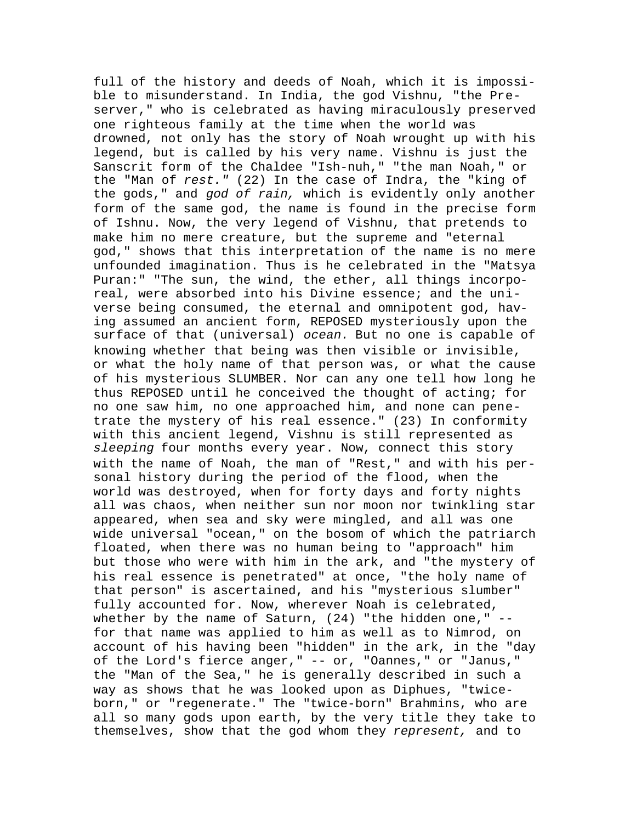full of the history and deeds of Noah, which it is impossible to misunderstand. In India, the god Vishnu, "the Preserver," who is celebrated as having miraculously preserved one righteous family at the time when the world was drowned, not only has the story of Noah wrought up with his legend, but is called by his very name. Vishnu is just the Sanscrit form of the Chaldee "Ish-nuh," "the man Noah," or the "Man of *rest."* (22) In the case of Indra, the "king of the gods," and *god of rain,* which is evidently only another form of the same god, the name is found in the precise form of Ishnu. Now, the very legend of Vishnu, that pretends to make him no mere creature, but the supreme and "eternal god," shows that this interpretation of the name is no mere unfounded imagination. Thus is he celebrated in the "Matsya Puran:" "The sun, the wind, the ether, all things incorporeal, were absorbed into his Divine essence; and the universe being consumed, the eternal and omnipotent god, having assumed an ancient form, REPOSED mysteriously upon the surface of that (universal) *ocean.* But no one is capable of knowing whether that being was then visible or invisible, or what the holy name of that person was, or what the cause of his mysterious SLUMBER. Nor can any one tell how long he thus REPOSED until he conceived the thought of acting; for no one saw him, no one approached him, and none can penetrate the mystery of his real essence." (23) In conformity with this ancient legend, Vishnu is still represented as *sleeping* four months every year. Now, connect this story with the name of Noah, the man of "Rest," and with his personal history during the period of the flood, when the world was destroyed, when for forty days and forty nights all was chaos, when neither sun nor moon nor twinkling star appeared, when sea and sky were mingled, and all was one wide universal "ocean," on the bosom of which the patriarch floated, when there was no human being to "approach" him but those who were with him in the ark, and "the mystery of his real essence is penetrated" at once, "the holy name of that person" is ascertained, and his "mysterious slumber" fully accounted for. Now, wherever Noah is celebrated, whether by the name of Saturn,  $(24)$  "the hidden one," -for that name was applied to him as well as to Nimrod, on account of his having been "hidden" in the ark, in the "day of the Lord's fierce anger," -- or, "Oannes," or "Janus," the "Man of the Sea," he is generally described in such a way as shows that he was looked upon as Diphues, "twiceborn," or "regenerate." The "twice-born" Brahmins, who are all so many gods upon earth, by the very title they take to themselves, show that the god whom they *represent,* and to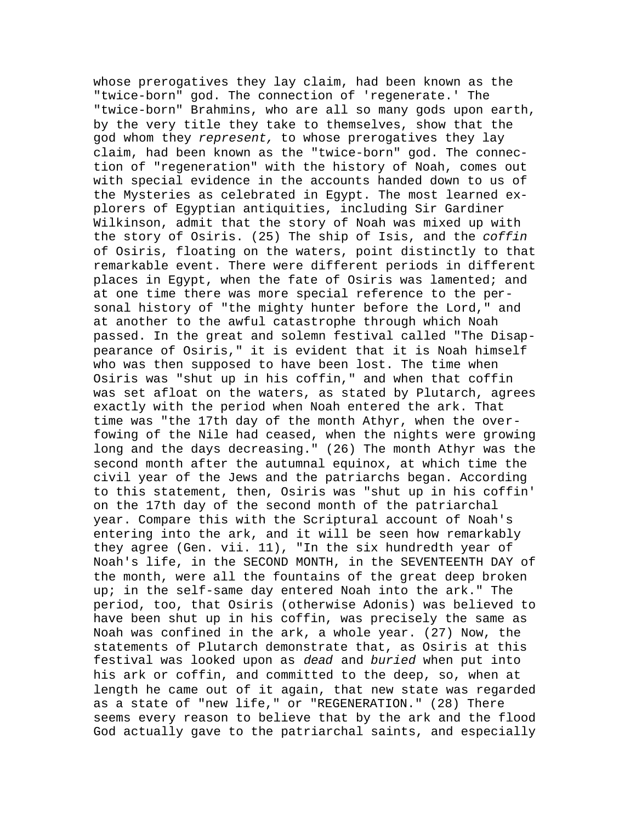whose prerogatives they lay claim, had been known as the "twice-born" god. The connection of 'regenerate.' The "twice-born" Brahmins, who are all so many gods upon earth, by the very title they take to themselves, show that the god whom they *represent,* to whose prerogatives they lay claim, had been known as the "twice-born" god. The connection of "regeneration" with the history of Noah, comes out with special evidence in the accounts handed down to us of the Mysteries as celebrated in Egypt. The most learned explorers of Egyptian antiquities, including Sir Gardiner Wilkinson, admit that the story of Noah was mixed up with the story of Osiris. (25) The ship of Isis, and the *coffin* of Osiris, floating on the waters, point distinctly to that remarkable event. There were different periods in different places in Egypt, when the fate of Osiris was lamented; and at one time there was more special reference to the personal history of "the mighty hunter before the Lord," and at another to the awful catastrophe through which Noah passed. In the great and solemn festival called "The Disappearance of Osiris," it is evident that it is Noah himself who was then supposed to have been lost. The time when Osiris was "shut up in his coffin," and when that coffin was set afloat on the waters, as stated by Plutarch, agrees exactly with the period when Noah entered the ark. That time was "the 17th day of the month Athyr, when the overfowing of the Nile had ceased, when the nights were growing long and the days decreasing." (26) The month Athyr was the second month after the autumnal equinox, at which time the civil year of the Jews and the patriarchs began. According to this statement, then, Osiris was "shut up in his coffin' on the 17th day of the second month of the patriarchal year. Compare this with the Scriptural account of Noah's entering into the ark, and it will be seen how remarkably they agree (Gen. vii. 11), "In the six hundredth year of Noah's life, in the SECOND MONTH, in the SEVENTEENTH DAY of the month, were all the fountains of the great deep broken up; in the self-same day entered Noah into the ark." The period, too, that Osiris (otherwise Adonis) was believed to have been shut up in his coffin, was precisely the same as Noah was confined in the ark, a whole year. (27) Now, the statements of Plutarch demonstrate that, as Osiris at this festival was looked upon as *dead* and *buried* when put into his ark or coffin, and committed to the deep, so, when at length he came out of it again, that new state was regarded as a state of "new life," or "REGENERATION." (28) There seems every reason to believe that by the ark and the flood God actually gave to the patriarchal saints, and especially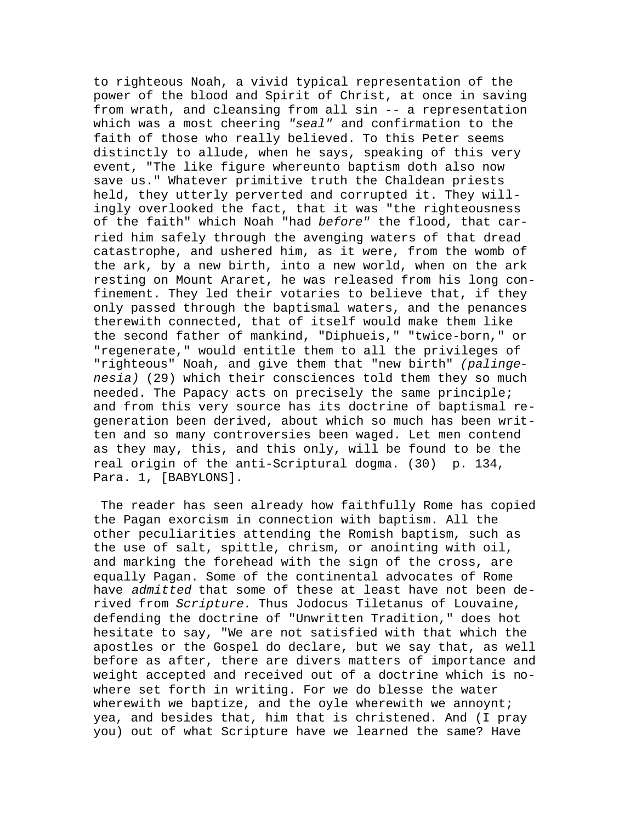to righteous Noah, a vivid typical representation of the power of the blood and Spirit of Christ, at once in saving from wrath, and cleansing from all sin -- a representation which was a most cheering *"seal"* and confirmation to the faith of those who really believed. To this Peter seems distinctly to allude, when he says, speaking of this very event, "The like figure whereunto baptism doth also now save us." Whatever primitive truth the Chaldean priests held, they utterly perverted and corrupted it. They willingly overlooked the fact, that it was "the righteousness of the faith" which Noah "had *before"* the flood, that carried him safely through the avenging waters of that dread catastrophe, and ushered him, as it were, from the womb of the ark, by a new birth, into a new world, when on the ark resting on Mount Araret, he was released from his long confinement. They led their votaries to believe that, if they only passed through the baptismal waters, and the penances therewith connected, that of itself would make them like the second father of mankind, "Diphueis," "twice-born," or "regenerate," would entitle them to all the privileges of "righteous" Noah, and give them that "new birth" *(palingenesia)* (29) which their consciences told them they so much needed. The Papacy acts on precisely the same principle; and from this very source has its doctrine of baptismal regeneration been derived, about which so much has been written and so many controversies been waged. Let men contend as they may, this, and this only, will be found to be the real origin of the anti-Scriptural dogma. (30) p. 134, Para. 1, [BABYLONS].

 The reader has seen already how faithfully Rome has copied the Pagan exorcism in connection with baptism. All the other peculiarities attending the Romish baptism, such as the use of salt, spittle, chrism, or anointing with oil, and marking the forehead with the sign of the cross, are equally Pagan. Some of the continental advocates of Rome have *admitted* that some of these at least have not been derived from *Scripture.* Thus Jodocus Tiletanus of Louvaine, defending the doctrine of "Unwritten Tradition," does hot hesitate to say, "We are not satisfied with that which the apostles or the Gospel do declare, but we say that, as well before as after, there are divers matters of importance and weight accepted and received out of a doctrine which is nowhere set forth in writing. For we do blesse the water wherewith we baptize, and the oyle wherewith we annoynt; yea, and besides that, him that is christened. And (I pray you) out of what Scripture have we learned the same? Have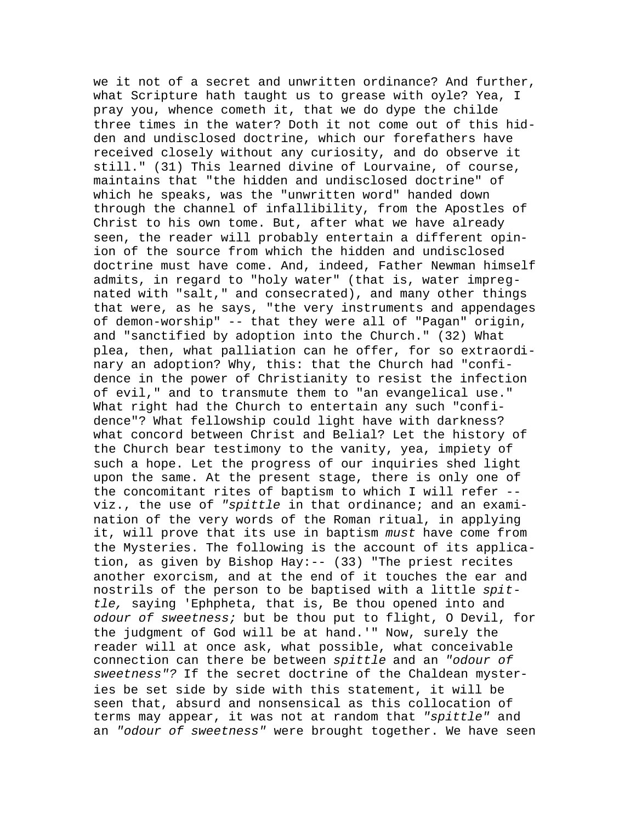we it not of a secret and unwritten ordinance? And further, what Scripture hath taught us to grease with oyle? Yea, I pray you, whence cometh it, that we do dype the childe three times in the water? Doth it not come out of this hidden and undisclosed doctrine, which our forefathers have received closely without any curiosity, and do observe it still." (31) This learned divine of Lourvaine, of course, maintains that "the hidden and undisclosed doctrine" of which he speaks, was the "unwritten word" handed down through the channel of infallibility, from the Apostles of Christ to his own tome. But, after what we have already seen, the reader will probably entertain a different opinion of the source from which the hidden and undisclosed doctrine must have come. And, indeed, Father Newman himself admits, in regard to "holy water" (that is, water impregnated with "salt," and consecrated), and many other things that were, as he says, "the very instruments and appendages of demon-worship" -- that they were all of "Pagan" origin, and "sanctified by adoption into the Church." (32) What plea, then, what palliation can he offer, for so extraordinary an adoption? Why, this: that the Church had "confidence in the power of Christianity to resist the infection of evil," and to transmute them to "an evangelical use." What right had the Church to entertain any such "confidence"? What fellowship could light have with darkness? what concord between Christ and Belial? Let the history of the Church bear testimony to the vanity, yea, impiety of such a hope. Let the progress of our inquiries shed light upon the same. At the present stage, there is only one of the concomitant rites of baptism to which I will refer - viz., the use of *"spittle* in that ordinance; and an examination of the very words of the Roman ritual, in applying it, will prove that its use in baptism *must* have come from the Mysteries. The following is the account of its application, as given by Bishop Hay:-- (33) "The priest recites another exorcism, and at the end of it touches the ear and nostrils of the person to be baptised with a little *spittle,* saying 'Ephpheta, that is, Be thou opened into and *odour of sweetness;* but be thou put to flight, O Devil, for the judgment of God will be at hand.'" Now, surely the reader will at once ask, what possible, what conceivable connection can there be between *spittle* and an *"odour of sweetness"?* If the secret doctrine of the Chaldean mysteries be set side by side with this statement, it will be seen that, absurd and nonsensical as this collocation of terms may appear, it was not at random that *"spittle"* and an *"odour of sweetness"* were brought together. We have seen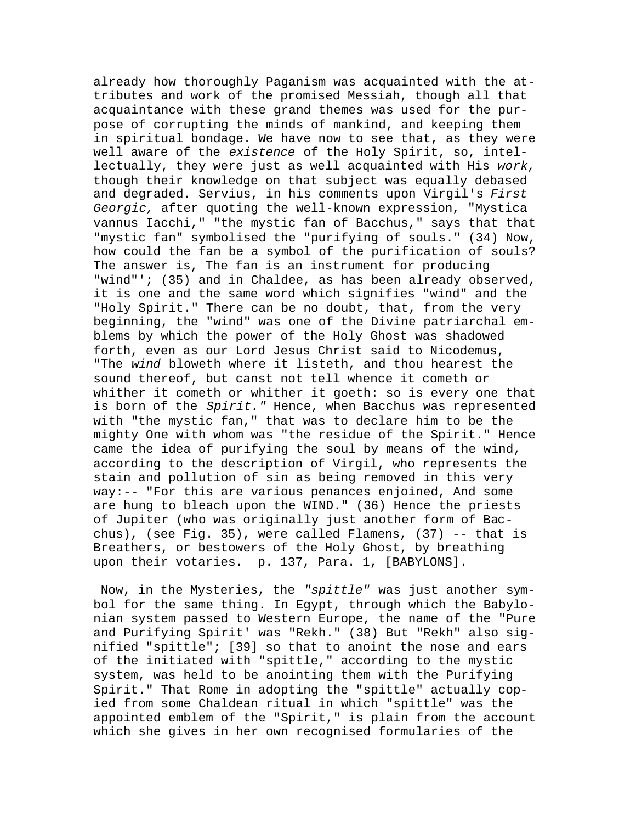already how thoroughly Paganism was acquainted with the attributes and work of the promised Messiah, though all that acquaintance with these grand themes was used for the purpose of corrupting the minds of mankind, and keeping them in spiritual bondage. We have now to see that, as they were well aware of the *existence* of the Holy Spirit, so, intellectually, they were just as well acquainted with His *work,* though their knowledge on that subject was equally debased and degraded. Servius, in his comments upon Virgil's *First Georgic,* after quoting the well-known expression, "Mystica vannus Iacchi," "the mystic fan of Bacchus," says that that "mystic fan" symbolised the "purifying of souls." (34) Now, how could the fan be a symbol of the purification of souls? The answer is, The fan is an instrument for producing "wind"'; (35) and in Chaldee, as has been already observed, it is one and the same word which signifies "wind" and the "Holy Spirit." There can be no doubt, that, from the very beginning, the "wind" was one of the Divine patriarchal emblems by which the power of the Holy Ghost was shadowed forth, even as our Lord Jesus Christ said to Nicodemus, "The *wind* bloweth where it listeth, and thou hearest the sound thereof, but canst not tell whence it cometh or whither it cometh or whither it goeth: so is every one that is born of the *Spirit."* Hence, when Bacchus was represented with "the mystic fan," that was to declare him to be the mighty One with whom was "the residue of the Spirit." Hence came the idea of purifying the soul by means of the wind, according to the description of Virgil, who represents the stain and pollution of sin as being removed in this very way:-- "For this are various penances enjoined, And some are hung to bleach upon the WIND." (36) Hence the priests of Jupiter (who was originally just another form of Bacchus), (see Fig. 35), were called Flamens,  $(37)$  -- that is Breathers, or bestowers of the Holy Ghost, by breathing upon their votaries. p. 137, Para. 1, [BABYLONS].

 Now, in the Mysteries, the *"spittle"* was just another symbol for the same thing. In Egypt, through which the Babylonian system passed to Western Europe, the name of the "Pure and Purifying Spirit' was "Rekh." (38) But "Rekh" also signified "spittle"; [39] so that to anoint the nose and ears of the initiated with "spittle," according to the mystic system, was held to be anointing them with the Purifying Spirit." That Rome in adopting the "spittle" actually copied from some Chaldean ritual in which "spittle" was the appointed emblem of the "Spirit," is plain from the account which she gives in her own recognised formularies of the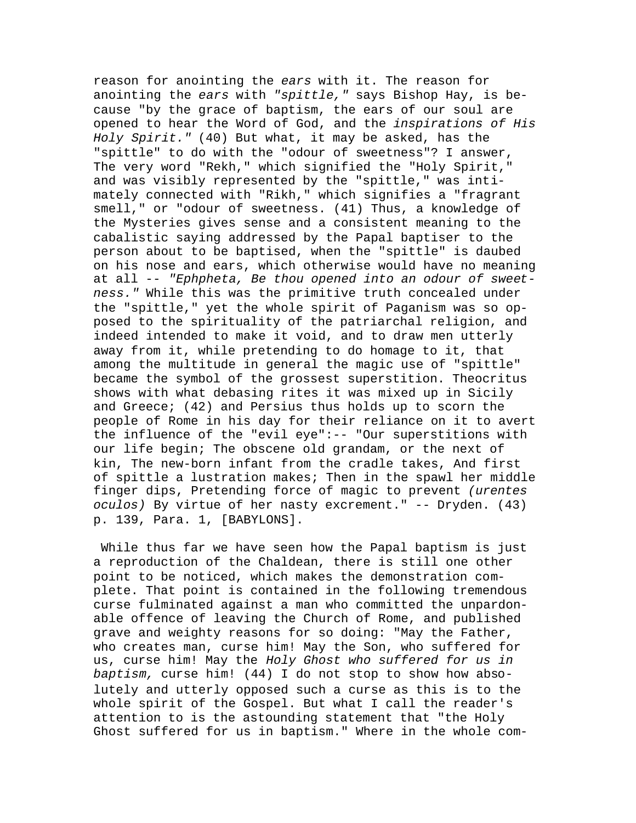reason for anointing the *ears* with it. The reason for anointing the *ears* with *"spittle,"* says Bishop Hay, is because "by the grace of baptism, the ears of our soul are opened to hear the Word of God, and the *inspirations of His Holy Spirit."* (40) But what, it may be asked, has the "spittle" to do with the "odour of sweetness"? I answer, The very word "Rekh," which signified the "Holy Spirit," and was visibly represented by the "spittle," was intimately connected with "Rikh," which signifies a "fragrant smell," or "odour of sweetness. (41) Thus, a knowledge of the Mysteries gives sense and a consistent meaning to the cabalistic saying addressed by the Papal baptiser to the person about to be baptised, when the "spittle" is daubed on his nose and ears, which otherwise would have no meaning at all -- *"Ephpheta, Be thou opened into an odour of sweetness."* While this was the primitive truth concealed under the "spittle," yet the whole spirit of Paganism was so opposed to the spirituality of the patriarchal religion, and indeed intended to make it void, and to draw men utterly away from it, while pretending to do homage to it, that among the multitude in general the magic use of "spittle" became the symbol of the grossest superstition. Theocritus shows with what debasing rites it was mixed up in Sicily and Greece; (42) and Persius thus holds up to scorn the people of Rome in his day for their reliance on it to avert the influence of the "evil eye":-- "Our superstitions with our life begin; The obscene old grandam, or the next of kin, The new-born infant from the cradle takes, And first of spittle a lustration makes; Then in the spawl her middle finger dips, Pretending force of magic to prevent *(urentes oculos)* By virtue of her nasty excrement." -- Dryden. (43) p. 139, Para. 1, [BABYLONS].

 While thus far we have seen how the Papal baptism is just a reproduction of the Chaldean, there is still one other point to be noticed, which makes the demonstration complete. That point is contained in the following tremendous curse fulminated against a man who committed the unpardonable offence of leaving the Church of Rome, and published grave and weighty reasons for so doing: "May the Father, who creates man, curse him! May the Son, who suffered for us, curse him! May the *Holy Ghost who suffered for us in baptism,* curse him! (44) I do not stop to show how absolutely and utterly opposed such a curse as this is to the whole spirit of the Gospel. But what I call the reader's attention to is the astounding statement that "the Holy Ghost suffered for us in baptism." Where in the whole com-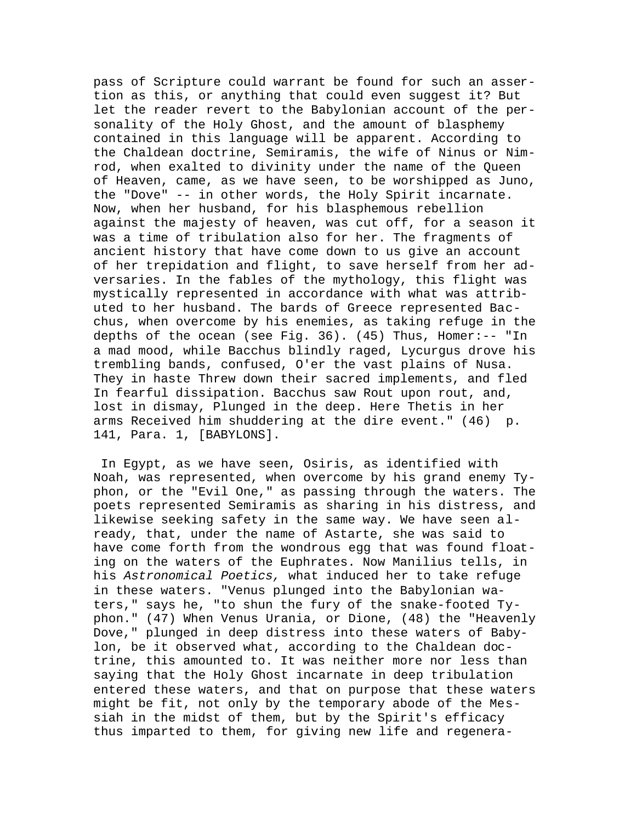pass of Scripture could warrant be found for such an assertion as this, or anything that could even suggest it? But let the reader revert to the Babylonian account of the personality of the Holy Ghost, and the amount of blasphemy contained in this language will be apparent. According to the Chaldean doctrine, Semiramis, the wife of Ninus or Nimrod, when exalted to divinity under the name of the Queen of Heaven, came, as we have seen, to be worshipped as Juno, the "Dove" -- in other words, the Holy Spirit incarnate. Now, when her husband, for his blasphemous rebellion against the majesty of heaven, was cut off, for a season it was a time of tribulation also for her. The fragments of ancient history that have come down to us give an account of her trepidation and flight, to save herself from her adversaries. In the fables of the mythology, this flight was mystically represented in accordance with what was attributed to her husband. The bards of Greece represented Bacchus, when overcome by his enemies, as taking refuge in the depths of the ocean (see Fig. 36). (45) Thus, Homer:-- "In a mad mood, while Bacchus blindly raged, Lycurgus drove his trembling bands, confused, O'er the vast plains of Nusa. They in haste Threw down their sacred implements, and fled In fearful dissipation. Bacchus saw Rout upon rout, and, lost in dismay, Plunged in the deep. Here Thetis in her arms Received him shuddering at the dire event." (46) p. 141, Para. 1, [BABYLONS].

 In Egypt, as we have seen, Osiris, as identified with Noah, was represented, when overcome by his grand enemy Typhon, or the "Evil One," as passing through the waters. The poets represented Semiramis as sharing in his distress, and likewise seeking safety in the same way. We have seen already, that, under the name of Astarte, she was said to have come forth from the wondrous egg that was found floating on the waters of the Euphrates. Now Manilius tells, in his *Astronomical Poetics,* what induced her to take refuge in these waters. "Venus plunged into the Babylonian waters," says he, "to shun the fury of the snake-footed Typhon." (47) When Venus Urania, or Dione, (48) the "Heavenly Dove," plunged in deep distress into these waters of Babylon, be it observed what, according to the Chaldean doctrine, this amounted to. It was neither more nor less than saying that the Holy Ghost incarnate in deep tribulation entered these waters, and that on purpose that these waters might be fit, not only by the temporary abode of the Messiah in the midst of them, but by the Spirit's efficacy thus imparted to them, for giving new life and regenera-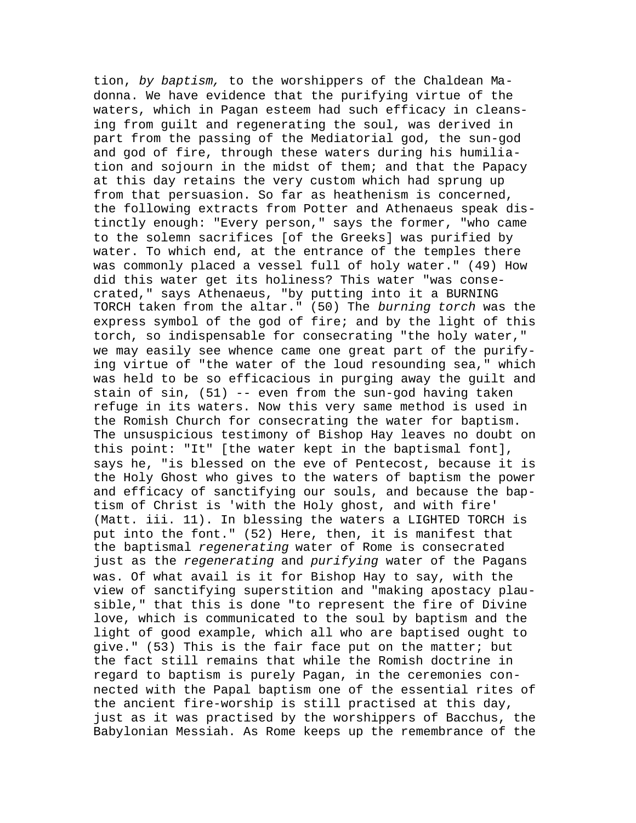tion, *by baptism,* to the worshippers of the Chaldean Madonna. We have evidence that the purifying virtue of the waters, which in Pagan esteem had such efficacy in cleansing from guilt and regenerating the soul, was derived in part from the passing of the Mediatorial god, the sun-god and god of fire, through these waters during his humiliation and sojourn in the midst of them; and that the Papacy at this day retains the very custom which had sprung up from that persuasion. So far as heathenism is concerned, the following extracts from Potter and Athenaeus speak distinctly enough: "Every person," says the former, "who came to the solemn sacrifices [of the Greeks] was purified by water. To which end, at the entrance of the temples there was commonly placed a vessel full of holy water." (49) How did this water get its holiness? This water "was consecrated," says Athenaeus, "by putting into it a BURNING TORCH taken from the altar." (50) The *burning torch* was the express symbol of the god of fire; and by the light of this torch, so indispensable for consecrating "the holy water," we may easily see whence came one great part of the purifying virtue of "the water of the loud resounding sea," which was held to be so efficacious in purging away the guilt and stain of sin, (51) -- even from the sun-god having taken refuge in its waters. Now this very same method is used in the Romish Church for consecrating the water for baptism. The unsuspicious testimony of Bishop Hay leaves no doubt on this point: "It" [the water kept in the baptismal font], says he, "is blessed on the eve of Pentecost, because it is the Holy Ghost who gives to the waters of baptism the power and efficacy of sanctifying our souls, and because the baptism of Christ is 'with the Holy ghost, and with fire' (Matt. iii. 11). In blessing the waters a LIGHTED TORCH is put into the font." (52) Here, then, it is manifest that the baptismal *regenerating* water of Rome is consecrated just as the *regenerating* and *purifying* water of the Pagans was. Of what avail is it for Bishop Hay to say, with the view of sanctifying superstition and "making apostacy plausible," that this is done "to represent the fire of Divine love, which is communicated to the soul by baptism and the light of good example, which all who are baptised ought to give." (53) This is the fair face put on the matter; but the fact still remains that while the Romish doctrine in regard to baptism is purely Pagan, in the ceremonies connected with the Papal baptism one of the essential rites of the ancient fire-worship is still practised at this day, just as it was practised by the worshippers of Bacchus, the Babylonian Messiah. As Rome keeps up the remembrance of the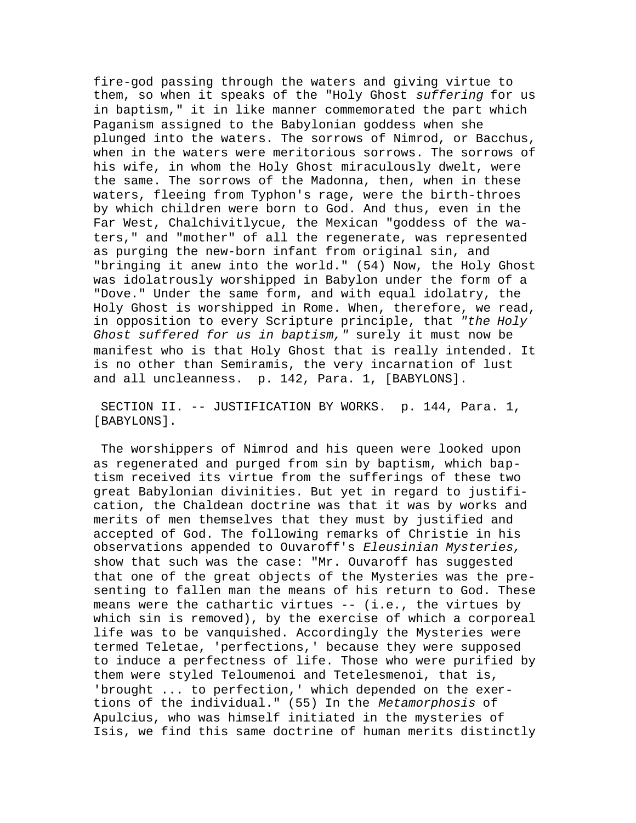fire-god passing through the waters and giving virtue to them, so when it speaks of the "Holy Ghost *suffering* for us in baptism," it in like manner commemorated the part which Paganism assigned to the Babylonian goddess when she plunged into the waters. The sorrows of Nimrod, or Bacchus, when in the waters were meritorious sorrows. The sorrows of his wife, in whom the Holy Ghost miraculously dwelt, were the same. The sorrows of the Madonna, then, when in these waters, fleeing from Typhon's rage, were the birth-throes by which children were born to God. And thus, even in the Far West, Chalchivitlycue, the Mexican "goddess of the waters," and "mother" of all the regenerate, was represented as purging the new-born infant from original sin, and "bringing it anew into the world." (54) Now, the Holy Ghost was idolatrously worshipped in Babylon under the form of a "Dove." Under the same form, and with equal idolatry, the Holy Ghost is worshipped in Rome. When, therefore, we read, in opposition to every Scripture principle, that *"the Holy Ghost suffered for us in baptism,"* surely it must now be manifest who is that Holy Ghost that is really intended. It is no other than Semiramis, the very incarnation of lust and all uncleanness. p. 142, Para. 1, [BABYLONS].

 SECTION II. -- JUSTIFICATION BY WORKS. p. 144, Para. 1, [BABYLONS].

 The worshippers of Nimrod and his queen were looked upon as regenerated and purged from sin by baptism, which baptism received its virtue from the sufferings of these two great Babylonian divinities. But yet in regard to justification, the Chaldean doctrine was that it was by works and merits of men themselves that they must by justified and accepted of God. The following remarks of Christie in his observations appended to Ouvaroff's *Eleusinian Mysteries,* show that such was the case: "Mr. Ouvaroff has suggested that one of the great objects of the Mysteries was the presenting to fallen man the means of his return to God. These means were the cathartic virtues -- (i.e., the virtues by which sin is removed), by the exercise of which a corporeal life was to be vanquished. Accordingly the Mysteries were termed Teletae, 'perfections,' because they were supposed to induce a perfectness of life. Those who were purified by them were styled Teloumenoi and Tetelesmenoi, that is, 'brought ... to perfection,' which depended on the exertions of the individual." (55) In the *Metamorphosis* of Apulcius, who was himself initiated in the mysteries of Isis, we find this same doctrine of human merits distinctly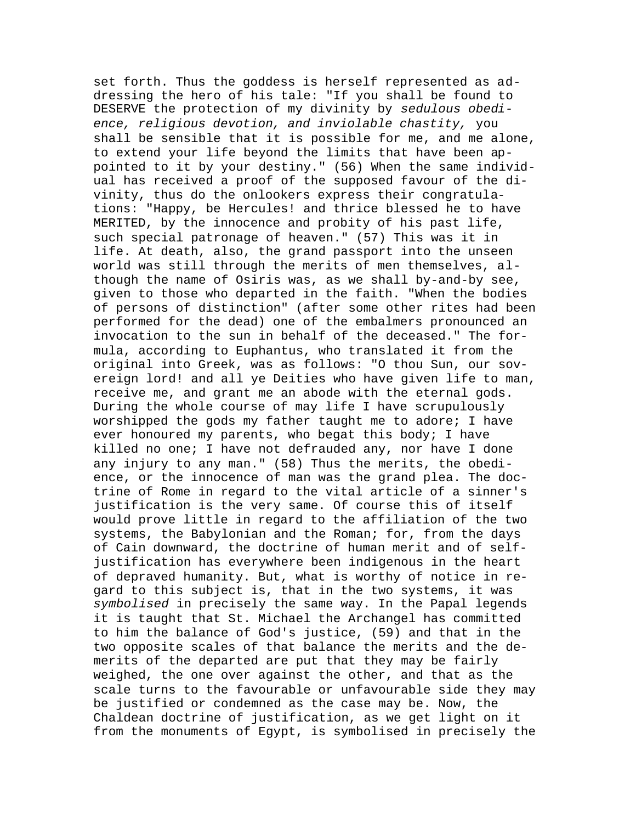set forth. Thus the goddess is herself represented as addressing the hero of his tale: "If you shall be found to DESERVE the protection of my divinity by *sedulous obedience, religious devotion, and inviolable chastity,* you shall be sensible that it is possible for me, and me alone, to extend your life beyond the limits that have been appointed to it by your destiny." (56) When the same individual has received a proof of the supposed favour of the divinity, thus do the onlookers express their congratulations: "Happy, be Hercules! and thrice blessed he to have MERITED, by the innocence and probity of his past life, such special patronage of heaven." (57) This was it in life. At death, also, the grand passport into the unseen world was still through the merits of men themselves, although the name of Osiris was, as we shall by-and-by see, given to those who departed in the faith. "When the bodies of persons of distinction" (after some other rites had been performed for the dead) one of the embalmers pronounced an invocation to the sun in behalf of the deceased." The formula, according to Euphantus, who translated it from the original into Greek, was as follows: "O thou Sun, our sovereign lord! and all ye Deities who have given life to man, receive me, and grant me an abode with the eternal gods. During the whole course of may life I have scrupulously worshipped the gods my father taught me to adore; I have ever honoured my parents, who begat this body; I have killed no one; I have not defrauded any, nor have I done any injury to any man." (58) Thus the merits, the obedience, or the innocence of man was the grand plea. The doctrine of Rome in regard to the vital article of a sinner's justification is the very same. Of course this of itself would prove little in regard to the affiliation of the two systems, the Babylonian and the Roman; for, from the days of Cain downward, the doctrine of human merit and of selfjustification has everywhere been indigenous in the heart of depraved humanity. But, what is worthy of notice in regard to this subject is, that in the two systems, it was *symbolised* in precisely the same way. In the Papal legends it is taught that St. Michael the Archangel has committed to him the balance of God's justice, (59) and that in the two opposite scales of that balance the merits and the demerits of the departed are put that they may be fairly weighed, the one over against the other, and that as the scale turns to the favourable or unfavourable side they may be justified or condemned as the case may be. Now, the Chaldean doctrine of justification, as we get light on it from the monuments of Egypt, is symbolised in precisely the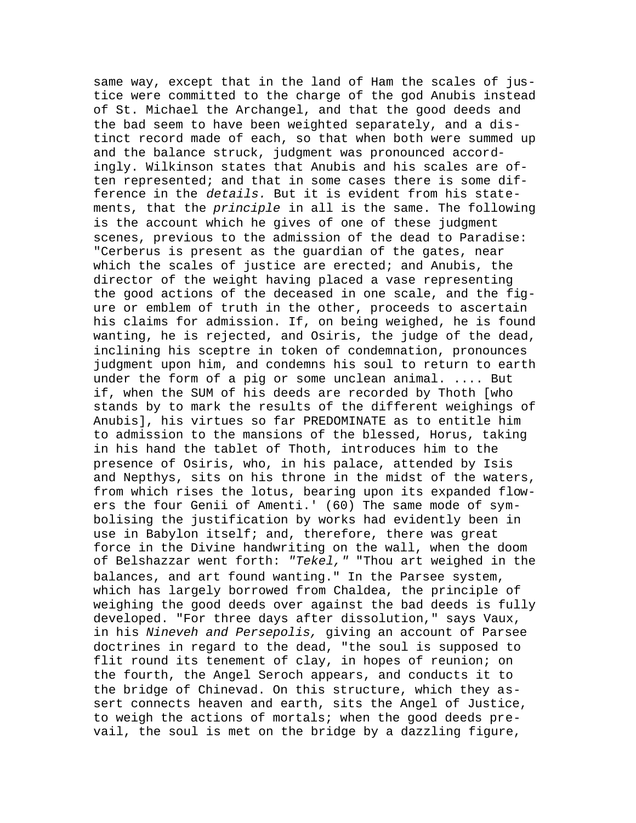same way, except that in the land of Ham the scales of justice were committed to the charge of the god Anubis instead of St. Michael the Archangel, and that the good deeds and the bad seem to have been weighted separately, and a distinct record made of each, so that when both were summed up and the balance struck, judgment was pronounced accordingly. Wilkinson states that Anubis and his scales are often represented; and that in some cases there is some difference in the *details.* But it is evident from his statements, that the *principle* in all is the same. The following is the account which he gives of one of these judgment scenes, previous to the admission of the dead to Paradise: "Cerberus is present as the guardian of the gates, near which the scales of justice are erected; and Anubis, the director of the weight having placed a vase representing the good actions of the deceased in one scale, and the figure or emblem of truth in the other, proceeds to ascertain his claims for admission. If, on being weighed, he is found wanting, he is rejected, and Osiris, the judge of the dead, inclining his sceptre in token of condemnation, pronounces judgment upon him, and condemns his soul to return to earth under the form of a pig or some unclean animal. .... But if, when the SUM of his deeds are recorded by Thoth [who stands by to mark the results of the different weighings of Anubis], his virtues so far PREDOMINATE as to entitle him to admission to the mansions of the blessed, Horus, taking in his hand the tablet of Thoth, introduces him to the presence of Osiris, who, in his palace, attended by Isis and Nepthys, sits on his throne in the midst of the waters, from which rises the lotus, bearing upon its expanded flowers the four Genii of Amenti.' (60) The same mode of symbolising the justification by works had evidently been in use in Babylon itself; and, therefore, there was great force in the Divine handwriting on the wall, when the doom of Belshazzar went forth: *"Tekel,"* "Thou art weighed in the balances, and art found wanting." In the Parsee system, which has largely borrowed from Chaldea, the principle of weighing the good deeds over against the bad deeds is fully developed. "For three days after dissolution," says Vaux, in his *Nineveh and Persepolis,* giving an account of Parsee doctrines in regard to the dead, "the soul is supposed to flit round its tenement of clay, in hopes of reunion; on the fourth, the Angel Seroch appears, and conducts it to the bridge of Chinevad. On this structure, which they assert connects heaven and earth, sits the Angel of Justice, to weigh the actions of mortals; when the good deeds prevail, the soul is met on the bridge by a dazzling figure,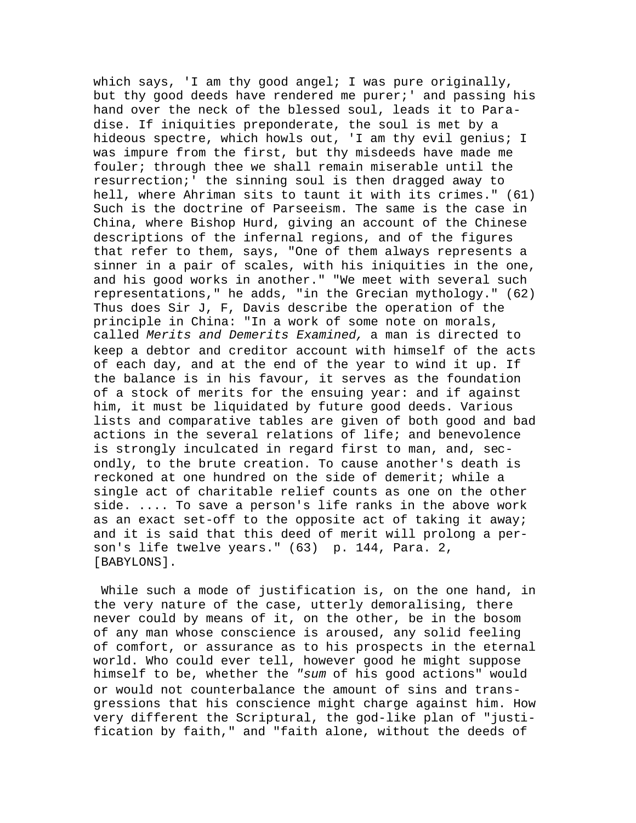which says, 'I am thy good angel; I was pure originally, but thy good deeds have rendered me purer;' and passing his hand over the neck of the blessed soul, leads it to Paradise. If iniquities preponderate, the soul is met by a hideous spectre, which howls out, 'I am thy evil genius; I was impure from the first, but thy misdeeds have made me fouler; through thee we shall remain miserable until the resurrection;' the sinning soul is then dragged away to hell, where Ahriman sits to taunt it with its crimes." (61) Such is the doctrine of Parseeism. The same is the case in China, where Bishop Hurd, giving an account of the Chinese descriptions of the infernal regions, and of the figures that refer to them, says, "One of them always represents a sinner in a pair of scales, with his iniquities in the one, and his good works in another." "We meet with several such representations," he adds, "in the Grecian mythology." (62) Thus does Sir J, F, Davis describe the operation of the principle in China: "In a work of some note on morals, called *Merits and Demerits Examined,* a man is directed to keep a debtor and creditor account with himself of the acts of each day, and at the end of the year to wind it up. If the balance is in his favour, it serves as the foundation of a stock of merits for the ensuing year: and if against him, it must be liquidated by future good deeds. Various lists and comparative tables are given of both good and bad actions in the several relations of life; and benevolence is strongly inculcated in regard first to man, and, secondly, to the brute creation. To cause another's death is reckoned at one hundred on the side of demerit; while a single act of charitable relief counts as one on the other side. .... To save a person's life ranks in the above work as an exact set-off to the opposite act of taking it away; and it is said that this deed of merit will prolong a person's life twelve years." (63) p. 144, Para. 2, [BABYLONS].

 While such a mode of justification is, on the one hand, in the very nature of the case, utterly demoralising, there never could by means of it, on the other, be in the bosom of any man whose conscience is aroused, any solid feeling of comfort, or assurance as to his prospects in the eternal world. Who could ever tell, however good he might suppose himself to be, whether the *"sum* of his good actions" would or would not counterbalance the amount of sins and transgressions that his conscience might charge against him. How very different the Scriptural, the god-like plan of "justification by faith," and "faith alone, without the deeds of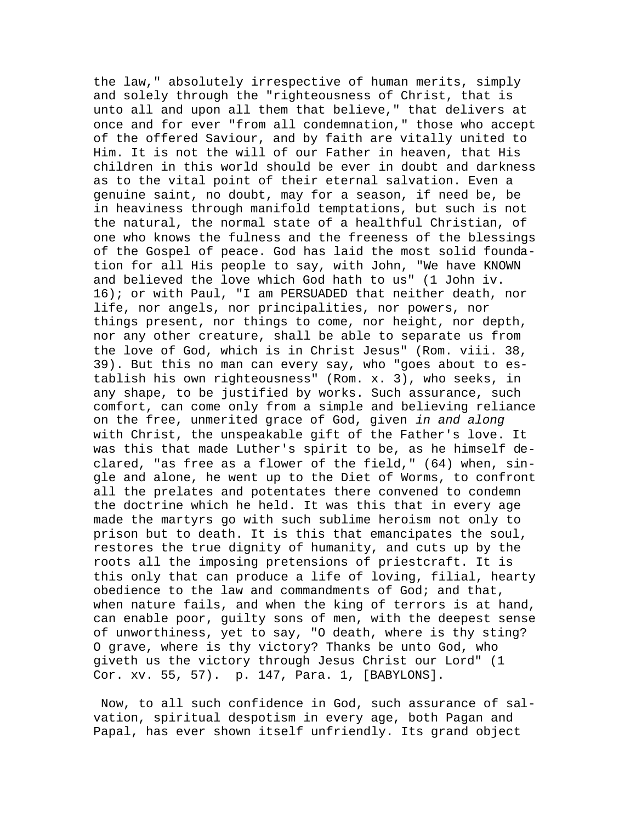the law," absolutely irrespective of human merits, simply and solely through the "righteousness of Christ, that is unto all and upon all them that believe," that delivers at once and for ever "from all condemnation," those who accept of the offered Saviour, and by faith are vitally united to Him. It is not the will of our Father in heaven, that His children in this world should be ever in doubt and darkness as to the vital point of their eternal salvation. Even a genuine saint, no doubt, may for a season, if need be, be in heaviness through manifold temptations, but such is not the natural, the normal state of a healthful Christian, of one who knows the fulness and the freeness of the blessings of the Gospel of peace. God has laid the most solid foundation for all His people to say, with John, "We have KNOWN and believed the love which God hath to us" (1 John iv. 16); or with Paul, "I am PERSUADED that neither death, nor life, nor angels, nor principalities, nor powers, nor things present, nor things to come, nor height, nor depth, nor any other creature, shall be able to separate us from the love of God, which is in Christ Jesus" (Rom. viii. 38, 39). But this no man can every say, who "goes about to establish his own righteousness" (Rom. x. 3), who seeks, in any shape, to be justified by works. Such assurance, such comfort, can come only from a simple and believing reliance on the free, unmerited grace of God, given *in and along* with Christ, the unspeakable gift of the Father's love. It was this that made Luther's spirit to be, as he himself declared, "as free as a flower of the field," (64) when, single and alone, he went up to the Diet of Worms, to confront all the prelates and potentates there convened to condemn the doctrine which he held. It was this that in every age made the martyrs go with such sublime heroism not only to prison but to death. It is this that emancipates the soul, restores the true dignity of humanity, and cuts up by the roots all the imposing pretensions of priestcraft. It is this only that can produce a life of loving, filial, hearty obedience to the law and commandments of God; and that, when nature fails, and when the king of terrors is at hand, can enable poor, guilty sons of men, with the deepest sense of unworthiness, yet to say, "O death, where is thy sting? O grave, where is thy victory? Thanks be unto God, who giveth us the victory through Jesus Christ our Lord" (1 Cor. xv. 55, 57). p. 147, Para. 1, [BABYLONS].

 Now, to all such confidence in God, such assurance of salvation, spiritual despotism in every age, both Pagan and Papal, has ever shown itself unfriendly. Its grand object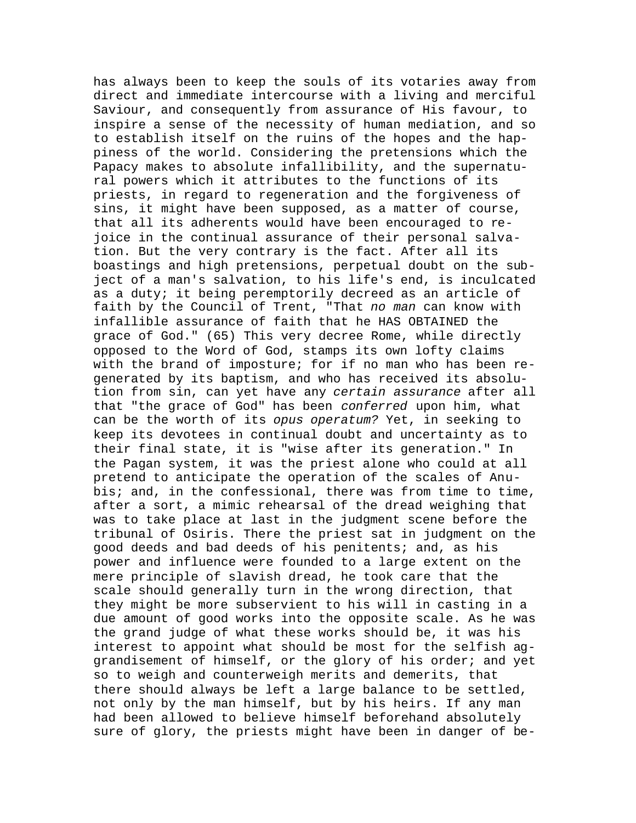has always been to keep the souls of its votaries away from direct and immediate intercourse with a living and merciful Saviour, and consequently from assurance of His favour, to inspire a sense of the necessity of human mediation, and so to establish itself on the ruins of the hopes and the happiness of the world. Considering the pretensions which the Papacy makes to absolute infallibility, and the supernatural powers which it attributes to the functions of its priests, in regard to regeneration and the forgiveness of sins, it might have been supposed, as a matter of course, that all its adherents would have been encouraged to rejoice in the continual assurance of their personal salvation. But the very contrary is the fact. After all its boastings and high pretensions, perpetual doubt on the subject of a man's salvation, to his life's end, is inculcated as a duty; it being peremptorily decreed as an article of faith by the Council of Trent, "That *no man* can know with infallible assurance of faith that he HAS OBTAINED the grace of God." (65) This very decree Rome, while directly opposed to the Word of God, stamps its own lofty claims with the brand of imposture; for if no man who has been regenerated by its baptism, and who has received its absolution from sin, can yet have any *certain assurance* after all that "the grace of God" has been *conferred* upon him, what can be the worth of its *opus operatum?* Yet, in seeking to keep its devotees in continual doubt and uncertainty as to their final state, it is "wise after its generation." In the Pagan system, it was the priest alone who could at all pretend to anticipate the operation of the scales of Anubis; and, in the confessional, there was from time to time, after a sort, a mimic rehearsal of the dread weighing that was to take place at last in the judgment scene before the tribunal of Osiris. There the priest sat in judgment on the good deeds and bad deeds of his penitents; and, as his power and influence were founded to a large extent on the mere principle of slavish dread, he took care that the scale should generally turn in the wrong direction, that they might be more subservient to his will in casting in a due amount of good works into the opposite scale. As he was the grand judge of what these works should be, it was his interest to appoint what should be most for the selfish aggrandisement of himself, or the glory of his order; and yet so to weigh and counterweigh merits and demerits, that there should always be left a large balance to be settled, not only by the man himself, but by his heirs. If any man had been allowed to believe himself beforehand absolutely sure of glory, the priests might have been in danger of be-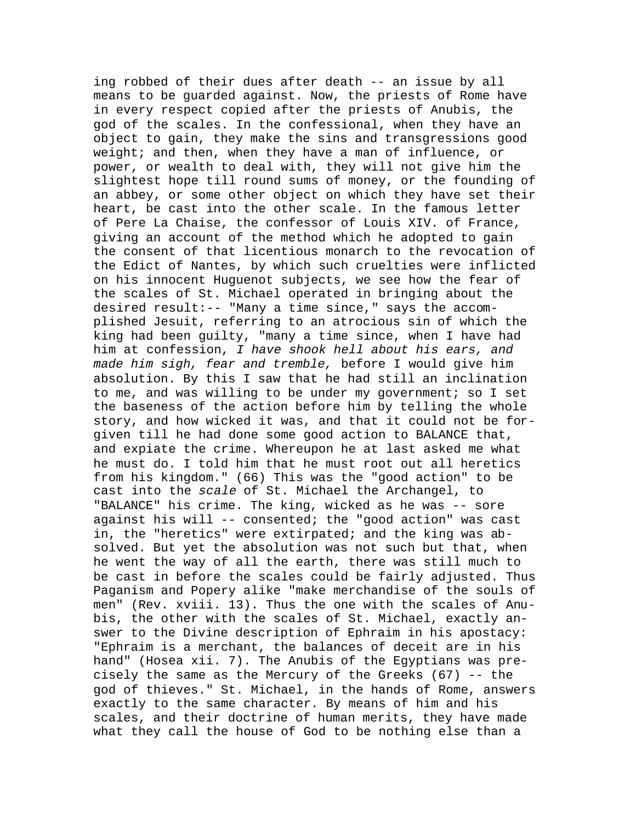ing robbed of their dues after death -- an issue by all means to be guarded against. Now, the priests of Rome have in every respect copied after the priests of Anubis, the god of the scales. In the confessional, when they have an object to gain, they make the sins and transgressions good weight; and then, when they have a man of influence, or power, or wealth to deal with, they will not give him the slightest hope till round sums of money, or the founding of an abbey, or some other object on which they have set their heart, be cast into the other scale. In the famous letter of Pere La Chaise, the confessor of Louis XIV. of France, giving an account of the method which he adopted to gain the consent of that licentious monarch to the revocation of the Edict of Nantes, by which such cruelties were inflicted on his innocent Huguenot subjects, we see how the fear of the scales of St. Michael operated in bringing about the desired result:-- "Many a time since," says the accomplished Jesuit, referring to an atrocious sin of which the king had been guilty, "many a time since, when I have had him at confession, *I have shook hell about his ears, and made him sigh, fear and tremble,* before I would give him absolution. By this I saw that he had still an inclination to me, and was willing to be under my government; so I set the baseness of the action before him by telling the whole story, and how wicked it was, and that it could not be forgiven till he had done some good action to BALANCE that, and expiate the crime. Whereupon he at last asked me what he must do. I told him that he must root out all heretics from his kingdom." (66) This was the "good action" to be cast into the *scale* of St. Michael the Archangel, to "BALANCE" his crime. The king, wicked as he was -- sore against his will -- consented; the "good action" was cast in, the "heretics" were extirpated; and the king was absolved. But yet the absolution was not such but that, when he went the way of all the earth, there was still much to be cast in before the scales could be fairly adjusted. Thus Paganism and Popery alike "make merchandise of the souls of men" (Rev. xviii. 13). Thus the one with the scales of Anubis, the other with the scales of St. Michael, exactly answer to the Divine description of Ephraim in his apostacy: "Ephraim is a merchant, the balances of deceit are in his hand" (Hosea xii. 7). The Anubis of the Egyptians was precisely the same as the Mercury of the Greeks  $(67)$  -- the god of thieves." St. Michael, in the hands of Rome, answers exactly to the same character. By means of him and his scales, and their doctrine of human merits, they have made what they call the house of God to be nothing else than a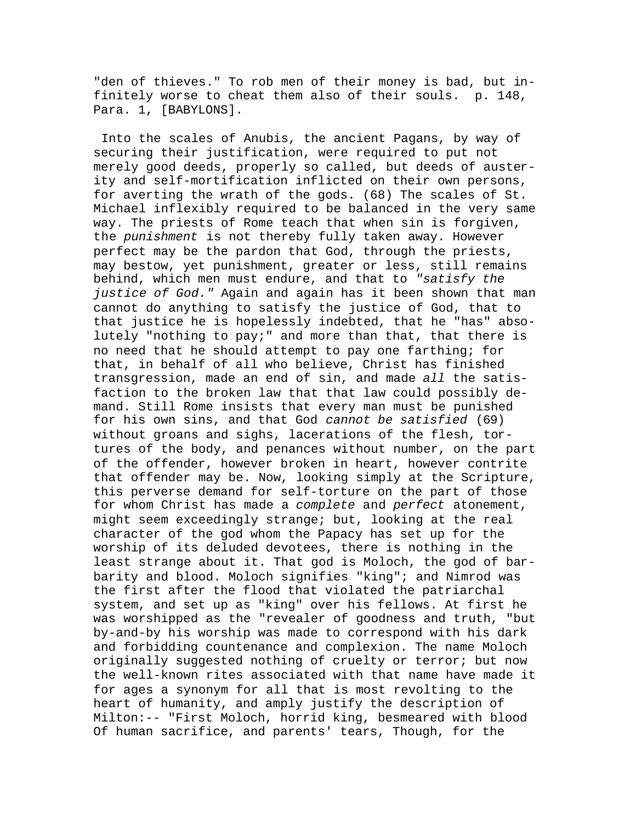"den of thieves." To rob men of their money is bad, but infinitely worse to cheat them also of their souls. p. 148, Para. 1, [BABYLONS].

 Into the scales of Anubis, the ancient Pagans, by way of securing their justification, were required to put not merely good deeds, properly so called, but deeds of austerity and self-mortification inflicted on their own persons, for averting the wrath of the gods. (68) The scales of St. Michael inflexibly required to be balanced in the very same way. The priests of Rome teach that when sin is forgiven, the *punishment* is not thereby fully taken away. However perfect may be the pardon that God, through the priests, may bestow, yet punishment, greater or less, still remains behind, which men must endure, and that to *"satisfy the justice of God."* Again and again has it been shown that man cannot do anything to satisfy the justice of God, that to that justice he is hopelessly indebted, that he "has" absolutely "nothing to pay;" and more than that, that there is no need that he should attempt to pay one farthing; for that, in behalf of all who believe, Christ has finished transgression, made an end of sin, and made *all* the satisfaction to the broken law that that law could possibly demand. Still Rome insists that every man must be punished for his own sins, and that God *cannot be satisfied* (69) without groans and sighs, lacerations of the flesh, tortures of the body, and penances without number, on the part of the offender, however broken in heart, however contrite that offender may be. Now, looking simply at the Scripture, this perverse demand for self-torture on the part of those for whom Christ has made a *complete* and *perfect* atonement, might seem exceedingly strange; but, looking at the real character of the god whom the Papacy has set up for the worship of its deluded devotees, there is nothing in the least strange about it. That god is Moloch, the god of barbarity and blood. Moloch signifies "king"; and Nimrod was the first after the flood that violated the patriarchal system, and set up as "king" over his fellows. At first he was worshipped as the "revealer of goodness and truth, "but by-and-by his worship was made to correspond with his dark and forbidding countenance and complexion. The name Moloch originally suggested nothing of cruelty or terror; but now the well-known rites associated with that name have made it for ages a synonym for all that is most revolting to the heart of humanity, and amply justify the description of Milton:-- "First Moloch, horrid king, besmeared with blood Of human sacrifice, and parents' tears, Though, for the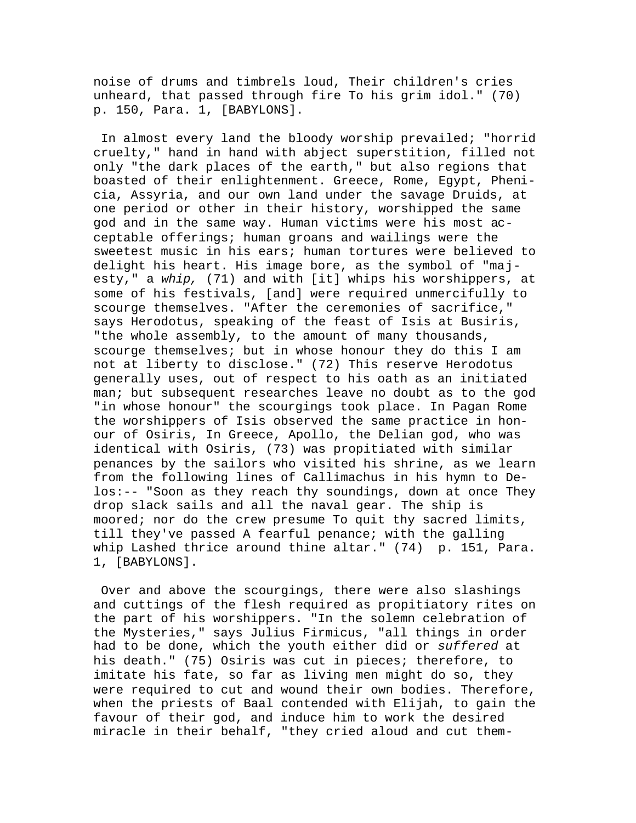noise of drums and timbrels loud, Their children's cries unheard, that passed through fire To his grim idol." (70) p. 150, Para. 1, [BABYLONS].

 In almost every land the bloody worship prevailed; "horrid cruelty," hand in hand with abject superstition, filled not only "the dark places of the earth," but also regions that boasted of their enlightenment. Greece, Rome, Egypt, Phenicia, Assyria, and our own land under the savage Druids, at one period or other in their history, worshipped the same god and in the same way. Human victims were his most acceptable offerings; human groans and wailings were the sweetest music in his ears; human tortures were believed to delight his heart. His image bore, as the symbol of "majesty," a *whip,* (71) and with [it] whips his worshippers, at some of his festivals, [and] were required unmercifully to scourge themselves. "After the ceremonies of sacrifice," says Herodotus, speaking of the feast of Isis at Busiris, "the whole assembly, to the amount of many thousands, scourge themselves; but in whose honour they do this I am not at liberty to disclose." (72) This reserve Herodotus generally uses, out of respect to his oath as an initiated man; but subsequent researches leave no doubt as to the god "in whose honour" the scourgings took place. In Pagan Rome the worshippers of Isis observed the same practice in honour of Osiris, In Greece, Apollo, the Delian god, who was identical with Osiris, (73) was propitiated with similar penances by the sailors who visited his shrine, as we learn from the following lines of Callimachus in his hymn to Delos:-- "Soon as they reach thy soundings, down at once They drop slack sails and all the naval gear. The ship is moored; nor do the crew presume To quit thy sacred limits, till they've passed A fearful penance; with the galling whip Lashed thrice around thine altar." (74) p. 151, Para. 1, [BABYLONS].

 Over and above the scourgings, there were also slashings and cuttings of the flesh required as propitiatory rites on the part of his worshippers. "In the solemn celebration of the Mysteries," says Julius Firmicus, "all things in order had to be done, which the youth either did or *suffered* at his death." (75) Osiris was cut in pieces; therefore, to imitate his fate, so far as living men might do so, they were required to cut and wound their own bodies. Therefore, when the priests of Baal contended with Elijah, to gain the favour of their god, and induce him to work the desired miracle in their behalf, "they cried aloud and cut them-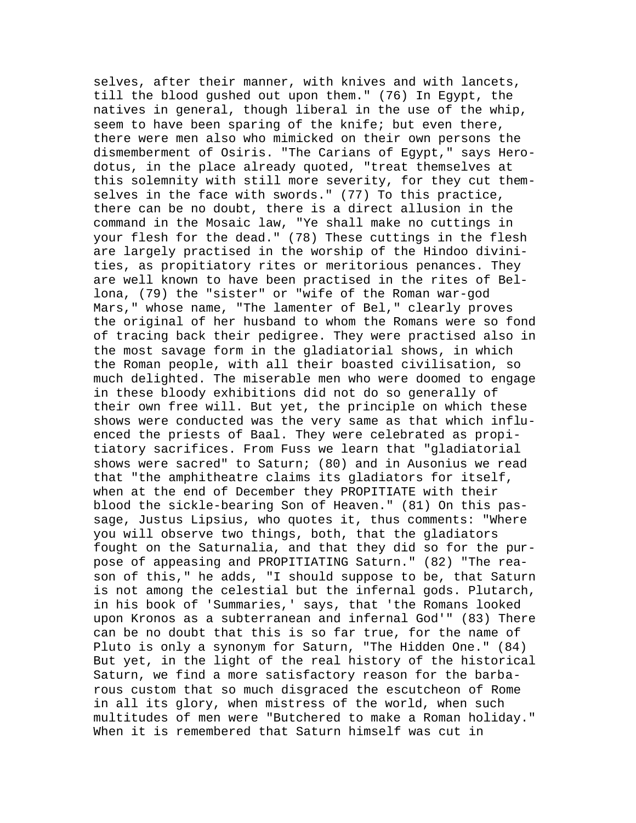selves, after their manner, with knives and with lancets, till the blood gushed out upon them." (76) In Egypt, the natives in general, though liberal in the use of the whip, seem to have been sparing of the knife; but even there, there were men also who mimicked on their own persons the dismemberment of Osiris. "The Carians of Egypt," says Herodotus, in the place already quoted, "treat themselves at this solemnity with still more severity, for they cut themselves in the face with swords." (77) To this practice, there can be no doubt, there is a direct allusion in the command in the Mosaic law, "Ye shall make no cuttings in your flesh for the dead." (78) These cuttings in the flesh are largely practised in the worship of the Hindoo divinities, as propitiatory rites or meritorious penances. They are well known to have been practised in the rites of Bellona, (79) the "sister" or "wife of the Roman war-god Mars," whose name, "The lamenter of Bel," clearly proves the original of her husband to whom the Romans were so fond of tracing back their pedigree. They were practised also in the most savage form in the gladiatorial shows, in which the Roman people, with all their boasted civilisation, so much delighted. The miserable men who were doomed to engage in these bloody exhibitions did not do so generally of their own free will. But yet, the principle on which these shows were conducted was the very same as that which influenced the priests of Baal. They were celebrated as propitiatory sacrifices. From Fuss we learn that "gladiatorial shows were sacred" to Saturn; (80) and in Ausonius we read that "the amphitheatre claims its gladiators for itself, when at the end of December they PROPITIATE with their blood the sickle-bearing Son of Heaven." (81) On this passage, Justus Lipsius, who quotes it, thus comments: "Where you will observe two things, both, that the gladiators fought on the Saturnalia, and that they did so for the purpose of appeasing and PROPITIATING Saturn." (82) "The reason of this," he adds, "I should suppose to be, that Saturn is not among the celestial but the infernal gods. Plutarch, in his book of 'Summaries,' says, that 'the Romans looked upon Kronos as a subterranean and infernal God'" (83) There can be no doubt that this is so far true, for the name of Pluto is only a synonym for Saturn, "The Hidden One." (84) But yet, in the light of the real history of the historical Saturn, we find a more satisfactory reason for the barbarous custom that so much disgraced the escutcheon of Rome in all its glory, when mistress of the world, when such multitudes of men were "Butchered to make a Roman holiday." When it is remembered that Saturn himself was cut in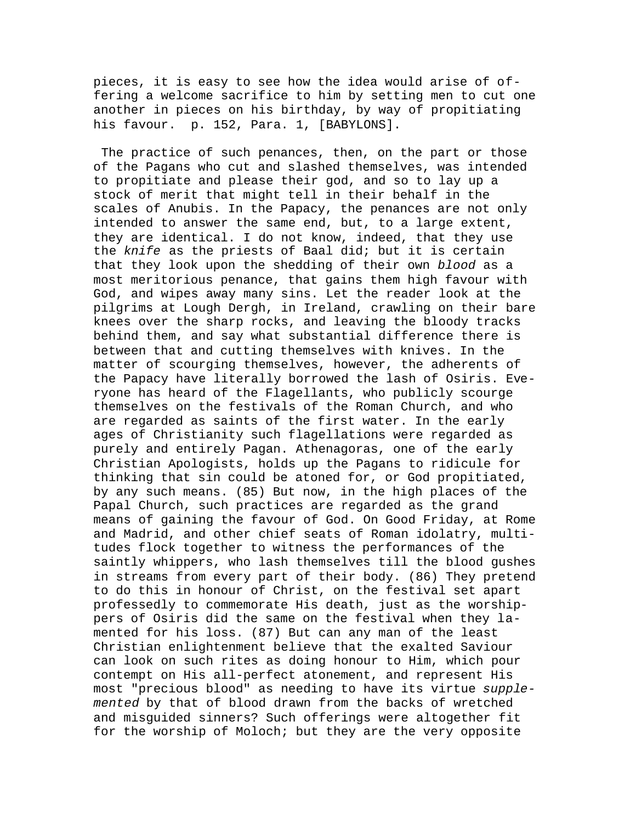pieces, it is easy to see how the idea would arise of offering a welcome sacrifice to him by setting men to cut one another in pieces on his birthday, by way of propitiating his favour. p. 152, Para. 1, [BABYLONS].

 The practice of such penances, then, on the part or those of the Pagans who cut and slashed themselves, was intended to propitiate and please their god, and so to lay up a stock of merit that might tell in their behalf in the scales of Anubis. In the Papacy, the penances are not only intended to answer the same end, but, to a large extent, they are identical. I do not know, indeed, that they use the *knife* as the priests of Baal did; but it is certain that they look upon the shedding of their own *blood* as a most meritorious penance, that gains them high favour with God, and wipes away many sins. Let the reader look at the pilgrims at Lough Dergh, in Ireland, crawling on their bare knees over the sharp rocks, and leaving the bloody tracks behind them, and say what substantial difference there is between that and cutting themselves with knives. In the matter of scourging themselves, however, the adherents of the Papacy have literally borrowed the lash of Osiris. Everyone has heard of the Flagellants, who publicly scourge themselves on the festivals of the Roman Church, and who are regarded as saints of the first water. In the early ages of Christianity such flagellations were regarded as purely and entirely Pagan. Athenagoras, one of the early Christian Apologists, holds up the Pagans to ridicule for thinking that sin could be atoned for, or God propitiated, by any such means. (85) But now, in the high places of the Papal Church, such practices are regarded as the grand means of gaining the favour of God. On Good Friday, at Rome and Madrid, and other chief seats of Roman idolatry, multitudes flock together to witness the performances of the saintly whippers, who lash themselves till the blood gushes in streams from every part of their body. (86) They pretend to do this in honour of Christ, on the festival set apart professedly to commemorate His death, just as the worshippers of Osiris did the same on the festival when they lamented for his loss. (87) But can any man of the least Christian enlightenment believe that the exalted Saviour can look on such rites as doing honour to Him, which pour contempt on His all-perfect atonement, and represent His most "precious blood" as needing to have its virtue *supplemented* by that of blood drawn from the backs of wretched and misguided sinners? Such offerings were altogether fit for the worship of Moloch; but they are the very opposite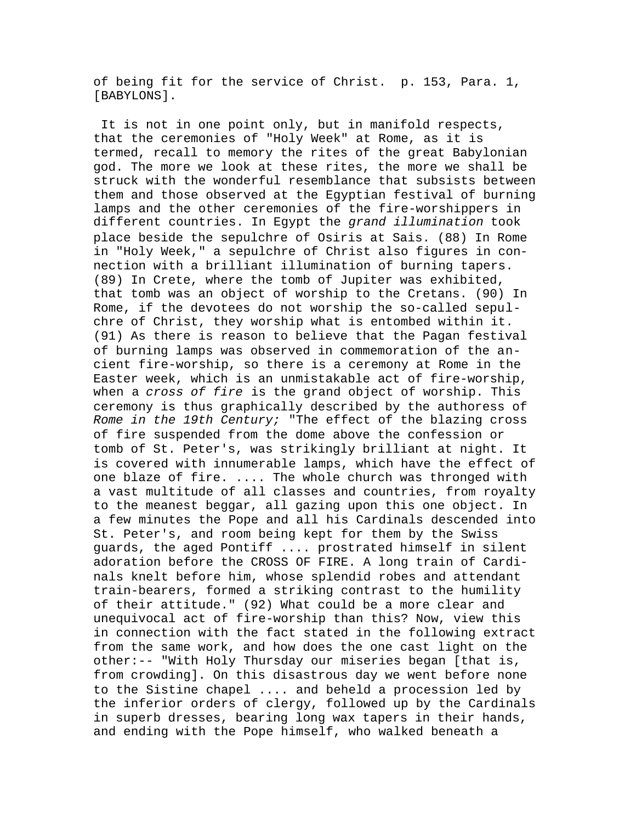of being fit for the service of Christ. p. 153, Para. 1, [BABYLONS].

 It is not in one point only, but in manifold respects, that the ceremonies of "Holy Week" at Rome, as it is termed, recall to memory the rites of the great Babylonian god. The more we look at these rites, the more we shall be struck with the wonderful resemblance that subsists between them and those observed at the Egyptian festival of burning lamps and the other ceremonies of the fire-worshippers in different countries. In Egypt the *grand illumination* took place beside the sepulchre of Osiris at Sais. (88) In Rome in "Holy Week," a sepulchre of Christ also figures in connection with a brilliant illumination of burning tapers. (89) In Crete, where the tomb of Jupiter was exhibited, that tomb was an object of worship to the Cretans. (90) In Rome, if the devotees do not worship the so-called sepulchre of Christ, they worship what is entombed within it. (91) As there is reason to believe that the Pagan festival of burning lamps was observed in commemoration of the ancient fire-worship, so there is a ceremony at Rome in the Easter week, which is an unmistakable act of fire-worship, when a *cross of fire* is the grand object of worship. This ceremony is thus graphically described by the authoress of *Rome in the 19th Century;* "The effect of the blazing cross of fire suspended from the dome above the confession or tomb of St. Peter's, was strikingly brilliant at night. It is covered with innumerable lamps, which have the effect of one blaze of fire. .... The whole church was thronged with a vast multitude of all classes and countries, from royalty to the meanest beggar, all gazing upon this one object. In a few minutes the Pope and all his Cardinals descended into St. Peter's, and room being kept for them by the Swiss guards, the aged Pontiff .... prostrated himself in silent adoration before the CROSS OF FIRE. A long train of Cardinals knelt before him, whose splendid robes and attendant train-bearers, formed a striking contrast to the humility of their attitude." (92) What could be a more clear and unequivocal act of fire-worship than this? Now, view this in connection with the fact stated in the following extract from the same work, and how does the one cast light on the other:-- "With Holy Thursday our miseries began [that is, from crowding]. On this disastrous day we went before none to the Sistine chapel .... and beheld a procession led by the inferior orders of clergy, followed up by the Cardinals in superb dresses, bearing long wax tapers in their hands, and ending with the Pope himself, who walked beneath a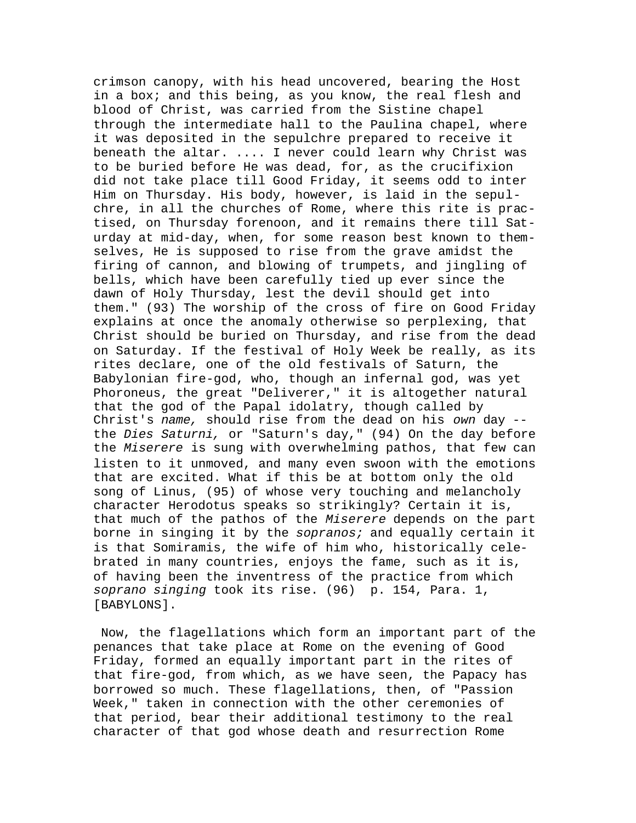crimson canopy, with his head uncovered, bearing the Host in a box; and this being, as you know, the real flesh and blood of Christ, was carried from the Sistine chapel through the intermediate hall to the Paulina chapel, where it was deposited in the sepulchre prepared to receive it beneath the altar. .... I never could learn why Christ was to be buried before He was dead, for, as the crucifixion did not take place till Good Friday, it seems odd to inter Him on Thursday. His body, however, is laid in the sepulchre, in all the churches of Rome, where this rite is practised, on Thursday forenoon, and it remains there till Saturday at mid-day, when, for some reason best known to themselves, He is supposed to rise from the grave amidst the firing of cannon, and blowing of trumpets, and jingling of bells, which have been carefully tied up ever since the dawn of Holy Thursday, lest the devil should get into them." (93) The worship of the cross of fire on Good Friday explains at once the anomaly otherwise so perplexing, that Christ should be buried on Thursday, and rise from the dead on Saturday. If the festival of Holy Week be really, as its rites declare, one of the old festivals of Saturn, the Babylonian fire-god, who, though an infernal god, was yet Phoroneus, the great "Deliverer," it is altogether natural that the god of the Papal idolatry, though called by Christ's *name,* should rise from the dead on his *own* day - the *Dies Saturni,* or "Saturn's day," (94) On the day before the *Miserere* is sung with overwhelming pathos, that few can listen to it unmoved, and many even swoon with the emotions that are excited. What if this be at bottom only the old song of Linus, (95) of whose very touching and melancholy character Herodotus speaks so strikingly? Certain it is, that much of the pathos of the *Miserere* depends on the part borne in singing it by the *sopranos;* and equally certain it is that Somiramis, the wife of him who, historically celebrated in many countries, enjoys the fame, such as it is, of having been the inventress of the practice from which *soprano singing* took its rise. (96) p. 154, Para. 1, [BABYLONS].

 Now, the flagellations which form an important part of the penances that take place at Rome on the evening of Good Friday, formed an equally important part in the rites of that fire-god, from which, as we have seen, the Papacy has borrowed so much. These flagellations, then, of "Passion Week," taken in connection with the other ceremonies of that period, bear their additional testimony to the real character of that god whose death and resurrection Rome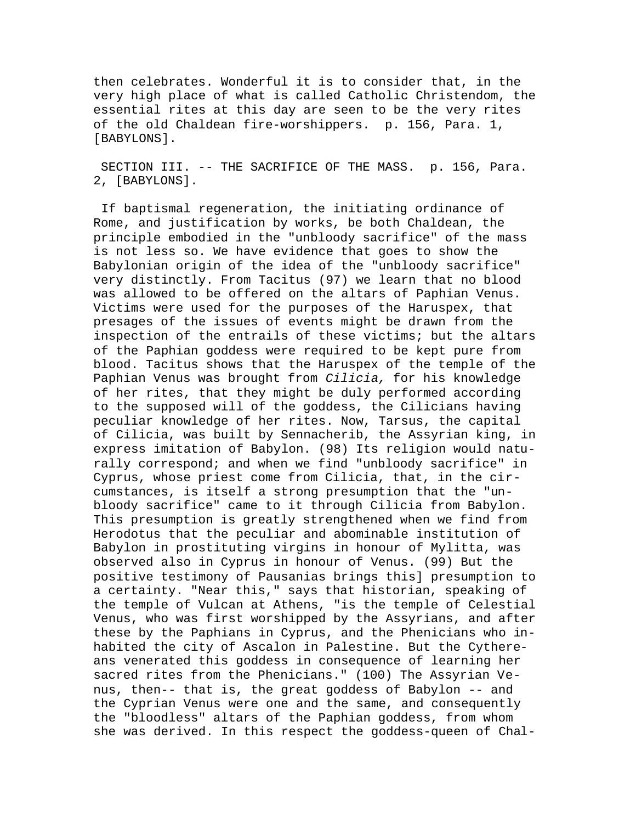then celebrates. Wonderful it is to consider that, in the very high place of what is called Catholic Christendom, the essential rites at this day are seen to be the very rites of the old Chaldean fire-worshippers. p. 156, Para. 1, [BABYLONS].

 SECTION III. -- THE SACRIFICE OF THE MASS. p. 156, Para. 2, [BABYLONS].

 If baptismal regeneration, the initiating ordinance of Rome, and justification by works, be both Chaldean, the principle embodied in the "unbloody sacrifice" of the mass is not less so. We have evidence that goes to show the Babylonian origin of the idea of the "unbloody sacrifice" very distinctly. From Tacitus (97) we learn that no blood was allowed to be offered on the altars of Paphian Venus. Victims were used for the purposes of the Haruspex, that presages of the issues of events might be drawn from the inspection of the entrails of these victims; but the altars of the Paphian goddess were required to be kept pure from blood. Tacitus shows that the Haruspex of the temple of the Paphian Venus was brought from *Cilicia,* for his knowledge of her rites, that they might be duly performed according to the supposed will of the goddess, the Cilicians having peculiar knowledge of her rites. Now, Tarsus, the capital of Cilicia, was built by Sennacherib, the Assyrian king, in express imitation of Babylon. (98) Its religion would naturally correspond; and when we find "unbloody sacrifice" in Cyprus, whose priest come from Cilicia, that, in the circumstances, is itself a strong presumption that the "unbloody sacrifice" came to it through Cilicia from Babylon. This presumption is greatly strengthened when we find from Herodotus that the peculiar and abominable institution of Babylon in prostituting virgins in honour of Mylitta, was observed also in Cyprus in honour of Venus. (99) But the positive testimony of Pausanias brings this] presumption to a certainty. "Near this," says that historian, speaking of the temple of Vulcan at Athens, "is the temple of Celestial Venus, who was first worshipped by the Assyrians, and after these by the Paphians in Cyprus, and the Phenicians who inhabited the city of Ascalon in Palestine. But the Cythereans venerated this goddess in consequence of learning her sacred rites from the Phenicians." (100) The Assyrian Venus, then-- that is, the great goddess of Babylon -- and the Cyprian Venus were one and the same, and consequently the "bloodless" altars of the Paphian goddess, from whom she was derived. In this respect the goddess-queen of Chal-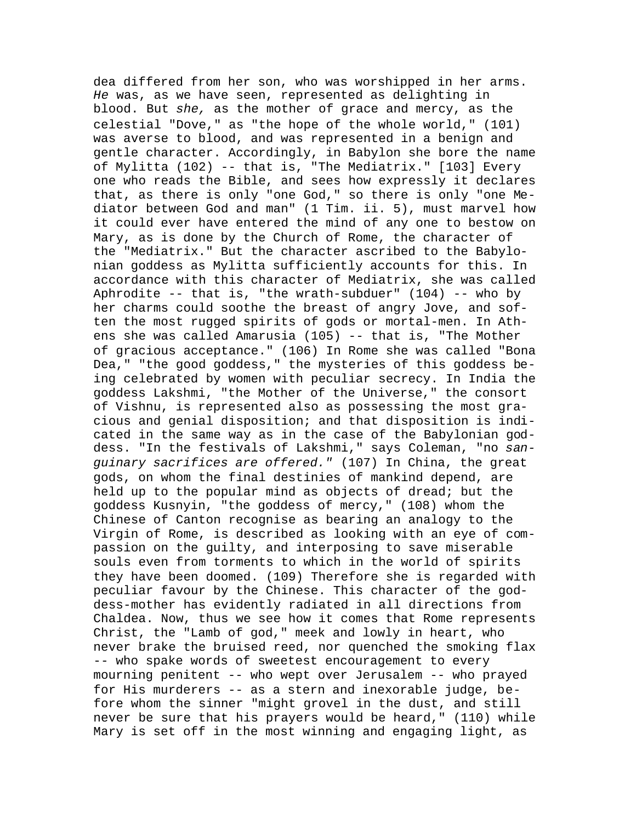dea differed from her son, who was worshipped in her arms. *He* was, as we have seen, represented as delighting in blood. But *she,* as the mother of grace and mercy, as the celestial "Dove," as "the hope of the whole world," (101) was averse to blood, and was represented in a benign and gentle character. Accordingly, in Babylon she bore the name of Mylitta (102) -- that is, "The Mediatrix." [103] Every one who reads the Bible, and sees how expressly it declares that, as there is only "one God," so there is only "one Mediator between God and man" (1 Tim. ii. 5), must marvel how it could ever have entered the mind of any one to bestow on Mary, as is done by the Church of Rome, the character of the "Mediatrix." But the character ascribed to the Babylonian goddess as Mylitta sufficiently accounts for this. In accordance with this character of Mediatrix, she was called Aphrodite  $--$  that is, "the wrath-subduer" (104)  $--$  who by her charms could soothe the breast of angry Jove, and soften the most rugged spirits of gods or mortal-men. In Athens she was called Amarusia (105) -- that is, "The Mother of gracious acceptance." (106) In Rome she was called "Bona Dea," "the good goddess," the mysteries of this goddess being celebrated by women with peculiar secrecy. In India the goddess Lakshmi, "the Mother of the Universe," the consort of Vishnu, is represented also as possessing the most gracious and genial disposition; and that disposition is indicated in the same way as in the case of the Babylonian goddess. "In the festivals of Lakshmi," says Coleman, "no *sanguinary sacrifices are offered."* (107) In China, the great gods, on whom the final destinies of mankind depend, are held up to the popular mind as objects of dread; but the goddess Kusnyin, "the goddess of mercy," (108) whom the Chinese of Canton recognise as bearing an analogy to the Virgin of Rome, is described as looking with an eye of compassion on the guilty, and interposing to save miserable souls even from torments to which in the world of spirits they have been doomed. (109) Therefore she is regarded with peculiar favour by the Chinese. This character of the goddess-mother has evidently radiated in all directions from Chaldea. Now, thus we see how it comes that Rome represents Christ, the "Lamb of god," meek and lowly in heart, who never brake the bruised reed, nor quenched the smoking flax -- who spake words of sweetest encouragement to every mourning penitent -- who wept over Jerusalem -- who prayed for His murderers -- as a stern and inexorable judge, before whom the sinner "might grovel in the dust, and still never be sure that his prayers would be heard," (110) while Mary is set off in the most winning and engaging light, as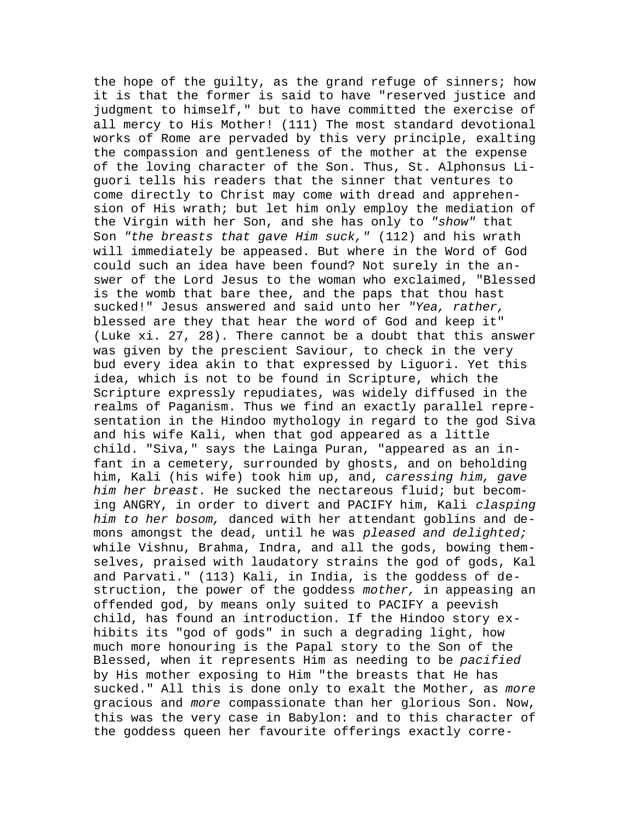the hope of the guilty, as the grand refuge of sinners; how it is that the former is said to have "reserved justice and judgment to himself," but to have committed the exercise of all mercy to His Mother! (111) The most standard devotional works of Rome are pervaded by this very principle, exalting the compassion and gentleness of the mother at the expense of the loving character of the Son. Thus, St. Alphonsus Liguori tells his readers that the sinner that ventures to come directly to Christ may come with dread and apprehension of His wrath; but let him only employ the mediation of the Virgin with her Son, and she has only to *"show"* that Son *"the breasts that gave Him suck,"* (112) and his wrath will immediately be appeased. But where in the Word of God could such an idea have been found? Not surely in the answer of the Lord Jesus to the woman who exclaimed, "Blessed is the womb that bare thee, and the paps that thou hast sucked!" Jesus answered and said unto her *"Yea, rather,* blessed are they that hear the word of God and keep it" (Luke xi. 27, 28). There cannot be a doubt that this answer was given by the prescient Saviour, to check in the very bud every idea akin to that expressed by Liguori. Yet this idea, which is not to be found in Scripture, which the Scripture expressly repudiates, was widely diffused in the realms of Paganism. Thus we find an exactly parallel representation in the Hindoo mythology in regard to the god Siva and his wife Kali, when that god appeared as a little child. "Siva," says the Lainga Puran, "appeared as an infant in a cemetery, surrounded by ghosts, and on beholding him, Kali (his wife) took him up, and, *caressing him, gave him her breast.* He sucked the nectareous fluid; but becoming ANGRY, in order to divert and PACIFY him, Kali *clasping him to her bosom,* danced with her attendant goblins and demons amongst the dead, until he was *pleased and delighted;* while Vishnu, Brahma, Indra, and all the gods, bowing themselves, praised with laudatory strains the god of gods, Kal and Parvati." (113) Kali, in India, is the goddess of destruction, the power of the goddess *mother,* in appeasing an offended god, by means only suited to PACIFY a peevish child, has found an introduction. If the Hindoo story exhibits its "god of gods" in such a degrading light, how much more honouring is the Papal story to the Son of the Blessed, when it represents Him as needing to be *pacified* by His mother exposing to Him "the breasts that He has sucked." All this is done only to exalt the Mother, as *more* gracious and *more* compassionate than her glorious Son. Now, this was the very case in Babylon: and to this character of the goddess queen her favourite offerings exactly corre-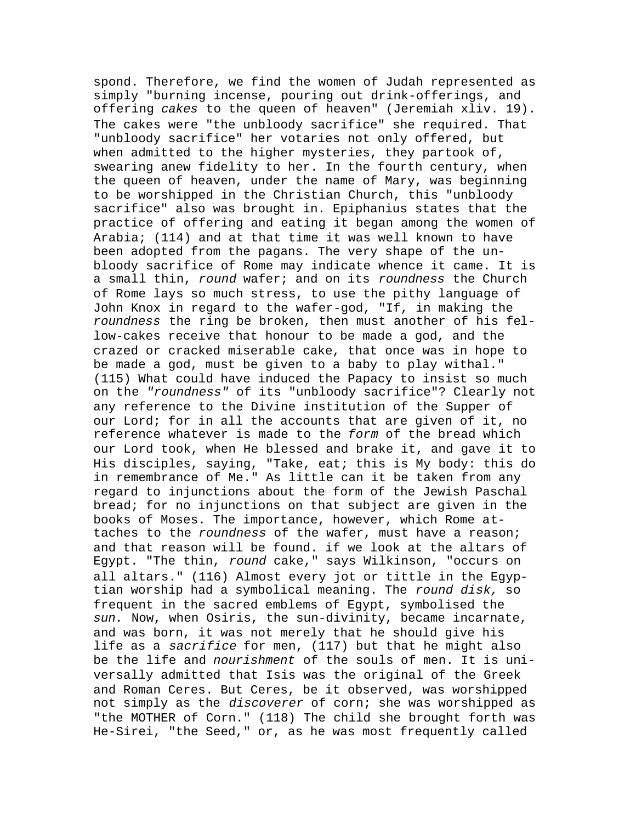spond. Therefore, we find the women of Judah represented as simply "burning incense, pouring out drink-offerings, and offering *cakes* to the queen of heaven" (Jeremiah xliv. 19). The cakes were "the unbloody sacrifice" she required. That "unbloody sacrifice" her votaries not only offered, but when admitted to the higher mysteries, they partook of, swearing anew fidelity to her. In the fourth century, when the queen of heaven, under the name of Mary, was beginning to be worshipped in the Christian Church, this "unbloody sacrifice" also was brought in. Epiphanius states that the practice of offering and eating it began among the women of Arabia; (114) and at that time it was well known to have been adopted from the pagans. The very shape of the unbloody sacrifice of Rome may indicate whence it came. It is a small thin, *round* wafer; and on its *roundness* the Church of Rome lays so much stress, to use the pithy language of John Knox in regard to the wafer-god, "If, in making the *roundness* the ring be broken, then must another of his fellow-cakes receive that honour to be made a god, and the crazed or cracked miserable cake, that once was in hope to be made a god, must be given to a baby to play withal." (115) What could have induced the Papacy to insist so much on the *"roundness"* of its "unbloody sacrifice"? Clearly not any reference to the Divine institution of the Supper of our Lord; for in all the accounts that are given of it, no reference whatever is made to the *form* of the bread which our Lord took, when He blessed and brake it, and gave it to His disciples, saying, "Take, eat; this is My body: this do in remembrance of Me." As little can it be taken from any regard to injunctions about the form of the Jewish Paschal bread; for no injunctions on that subject are given in the books of Moses. The importance, however, which Rome attaches to the *roundness* of the wafer, must have a reason; and that reason will be found. if we look at the altars of Egypt. "The thin, *round* cake," says Wilkinson, "occurs on all altars." (116) Almost every jot or tittle in the Egyptian worship had a symbolical meaning. The *round disk,* so frequent in the sacred emblems of Egypt, symbolised the *sun.* Now, when Osiris, the sun-divinity, became incarnate, and was born, it was not merely that he should give his life as a *sacrifice* for men, (117) but that he might also be the life and *nourishment* of the souls of men. It is universally admitted that Isis was the original of the Greek and Roman Ceres. But Ceres, be it observed, was worshipped not simply as the *discoverer* of corn; she was worshipped as "the MOTHER of Corn." (118) The child she brought forth was He-Sirei, "the Seed," or, as he was most frequently called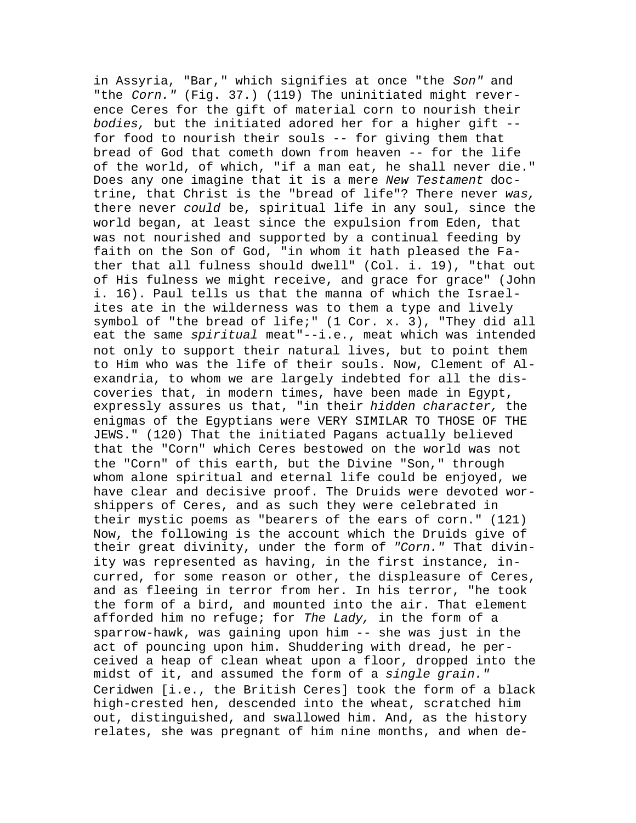in Assyria, "Bar," which signifies at once "the *Son"* and "the *Corn."* (Fig. 37.) (119) The uninitiated might reverence Ceres for the gift of material corn to nourish their *bodies,* but the initiated adored her for a higher gift - for food to nourish their souls -- for giving them that bread of God that cometh down from heaven -- for the life of the world, of which, "if a man eat, he shall never die." Does any one imagine that it is a mere *New Testament* doctrine, that Christ is the "bread of life"? There never *was,* there never *could* be, spiritual life in any soul, since the world began, at least since the expulsion from Eden, that was not nourished and supported by a continual feeding by faith on the Son of God, "in whom it hath pleased the Father that all fulness should dwell" (Col. i. 19), "that out of His fulness we might receive, and grace for grace" (John i. 16). Paul tells us that the manna of which the Israelites ate in the wilderness was to them a type and lively symbol of "the bread of life;" (1 Cor. x. 3), "They did all eat the same *spiritual* meat"--i.e., meat which was intended not only to support their natural lives, but to point them to Him who was the life of their souls. Now, Clement of Alexandria, to whom we are largely indebted for all the discoveries that, in modern times, have been made in Egypt, expressly assures us that, "in their *hidden character,* the enigmas of the Egyptians were VERY SIMILAR TO THOSE OF THE JEWS." (120) That the initiated Pagans actually believed that the "Corn" which Ceres bestowed on the world was not the "Corn" of this earth, but the Divine "Son," through whom alone spiritual and eternal life could be enjoyed, we have clear and decisive proof. The Druids were devoted worshippers of Ceres, and as such they were celebrated in their mystic poems as "bearers of the ears of corn." (121) Now, the following is the account which the Druids give of their great divinity, under the form of *"Corn."* That divinity was represented as having, in the first instance, incurred, for some reason or other, the displeasure of Ceres, and as fleeing in terror from her. In his terror, "he took the form of a bird, and mounted into the air. That element afforded him no refuge; for *The Lady,* in the form of a sparrow-hawk, was gaining upon him -- she was just in the act of pouncing upon him. Shuddering with dread, he perceived a heap of clean wheat upon a floor, dropped into the midst of it, and assumed the form of a *single grain."* Ceridwen [i.e., the British Ceres] took the form of a black high-crested hen, descended into the wheat, scratched him out, distinguished, and swallowed him. And, as the history relates, she was pregnant of him nine months, and when de-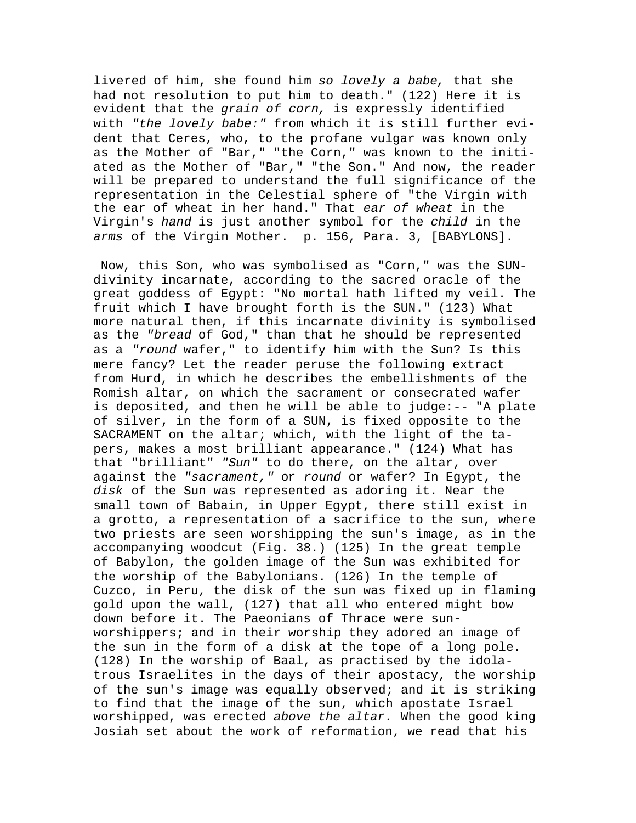livered of him, she found him *so lovely a babe,* that she had not resolution to put him to death." (122) Here it is evident that the *grain of corn,* is expressly identified with *"the lovely babe:"* from which it is still further evident that Ceres, who, to the profane vulgar was known only as the Mother of "Bar," "the Corn," was known to the initiated as the Mother of "Bar," "the Son." And now, the reader will be prepared to understand the full significance of the representation in the Celestial sphere of "the Virgin with the ear of wheat in her hand." That *ear of wheat* in the Virgin's *hand* is just another symbol for the *child* in the *arms* of the Virgin Mother. p. 156, Para. 3, [BABYLONS].

 Now, this Son, who was symbolised as "Corn," was the SUNdivinity incarnate, according to the sacred oracle of the great goddess of Egypt: "No mortal hath lifted my veil. The fruit which I have brought forth is the SUN." (123) What more natural then, if this incarnate divinity is symbolised as the *"bread* of God," than that he should be represented as a *"round* wafer," to identify him with the Sun? Is this mere fancy? Let the reader peruse the following extract from Hurd, in which he describes the embellishments of the Romish altar, on which the sacrament or consecrated wafer is deposited, and then he will be able to judge:-- "A plate of silver, in the form of a SUN, is fixed opposite to the SACRAMENT on the altar; which, with the light of the tapers, makes a most brilliant appearance." (124) What has that "brilliant" *"Sun"* to do there, on the altar, over against the *"sacrament,"* or *round* or wafer? In Egypt, the *disk* of the Sun was represented as adoring it. Near the small town of Babain, in Upper Egypt, there still exist in a grotto, a representation of a sacrifice to the sun, where two priests are seen worshipping the sun's image, as in the accompanying woodcut (Fig. 38.) (125) In the great temple of Babylon, the golden image of the Sun was exhibited for the worship of the Babylonians. (126) In the temple of Cuzco, in Peru, the disk of the sun was fixed up in flaming gold upon the wall, (127) that all who entered might bow down before it. The Paeonians of Thrace were sunworshippers; and in their worship they adored an image of the sun in the form of a disk at the tope of a long pole. (128) In the worship of Baal, as practised by the idolatrous Israelites in the days of their apostacy, the worship of the sun's image was equally observed; and it is striking to find that the image of the sun, which apostate Israel worshipped, was erected *above the altar.* When the good king Josiah set about the work of reformation, we read that his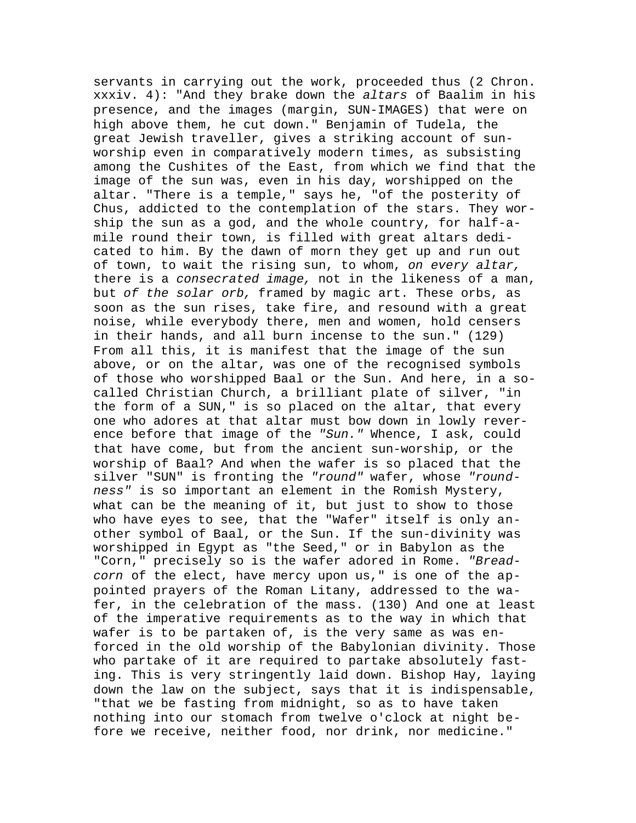servants in carrying out the work, proceeded thus (2 Chron. xxxiv. 4): "And they brake down the *altars* of Baalim in his presence, and the images (margin, SUN-IMAGES) that were on high above them, he cut down." Benjamin of Tudela, the great Jewish traveller, gives a striking account of sunworship even in comparatively modern times, as subsisting among the Cushites of the East, from which we find that the image of the sun was, even in his day, worshipped on the altar. "There is a temple," says he, "of the posterity of Chus, addicted to the contemplation of the stars. They worship the sun as a god, and the whole country, for half-amile round their town, is filled with great altars dedicated to him. By the dawn of morn they get up and run out of town, to wait the rising sun, to whom, *on every altar,* there is a *consecrated image,* not in the likeness of a man, but *of the solar orb,* framed by magic art. These orbs, as soon as the sun rises, take fire, and resound with a great noise, while everybody there, men and women, hold censers in their hands, and all burn incense to the sun." (129) From all this, it is manifest that the image of the sun above, or on the altar, was one of the recognised symbols of those who worshipped Baal or the Sun. And here, in a socalled Christian Church, a brilliant plate of silver, "in the form of a SUN," is so placed on the altar, that every one who adores at that altar must bow down in lowly reverence before that image of the *"Sun."* Whence, I ask, could that have come, but from the ancient sun-worship, or the worship of Baal? And when the wafer is so placed that the silver "SUN" is fronting the *"round"* wafer, whose *"roundness"* is so important an element in the Romish Mystery, what can be the meaning of it, but just to show to those who have eyes to see, that the "Wafer" itself is only another symbol of Baal, or the Sun. If the sun-divinity was worshipped in Egypt as "the Seed," or in Babylon as the "Corn," precisely so is the wafer adored in Rome. *"Breadcorn* of the elect, have mercy upon us," is one of the appointed prayers of the Roman Litany, addressed to the wafer, in the celebration of the mass. (130) And one at least of the imperative requirements as to the way in which that wafer is to be partaken of, is the very same as was enforced in the old worship of the Babylonian divinity. Those who partake of it are required to partake absolutely fasting. This is very stringently laid down. Bishop Hay, laying down the law on the subject, says that it is indispensable, "that we be fasting from midnight, so as to have taken nothing into our stomach from twelve o'clock at night before we receive, neither food, nor drink, nor medicine."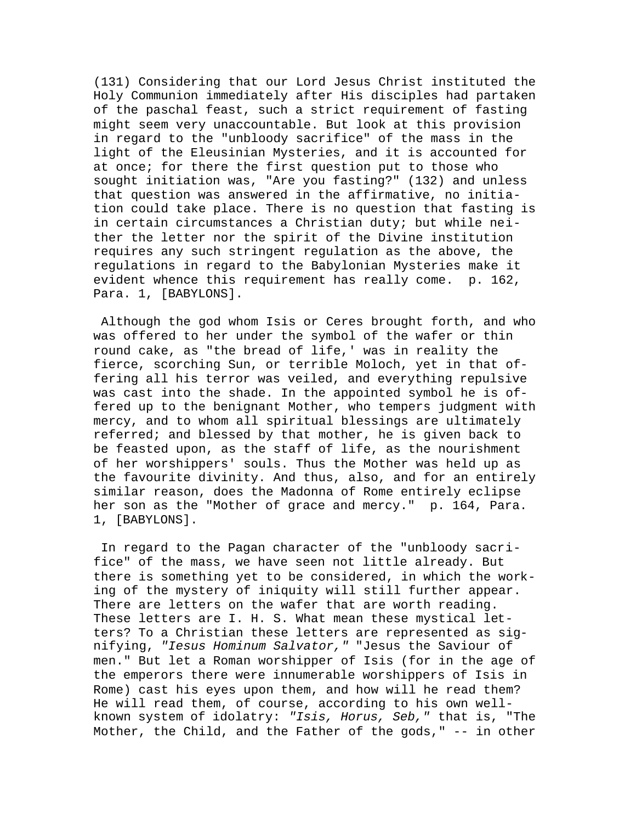(131) Considering that our Lord Jesus Christ instituted the Holy Communion immediately after His disciples had partaken of the paschal feast, such a strict requirement of fasting might seem very unaccountable. But look at this provision in regard to the "unbloody sacrifice" of the mass in the light of the Eleusinian Mysteries, and it is accounted for at once; for there the first question put to those who sought initiation was, "Are you fasting?" (132) and unless that question was answered in the affirmative, no initiation could take place. There is no question that fasting is in certain circumstances a Christian duty; but while neither the letter nor the spirit of the Divine institution requires any such stringent regulation as the above, the regulations in regard to the Babylonian Mysteries make it evident whence this requirement has really come. p. 162, Para. 1, [BABYLONS].

 Although the god whom Isis or Ceres brought forth, and who was offered to her under the symbol of the wafer or thin round cake, as "the bread of life,' was in reality the fierce, scorching Sun, or terrible Moloch, yet in that offering all his terror was veiled, and everything repulsive was cast into the shade. In the appointed symbol he is offered up to the benignant Mother, who tempers judgment with mercy, and to whom all spiritual blessings are ultimately referred; and blessed by that mother, he is given back to be feasted upon, as the staff of life, as the nourishment of her worshippers' souls. Thus the Mother was held up as the favourite divinity. And thus, also, and for an entirely similar reason, does the Madonna of Rome entirely eclipse her son as the "Mother of grace and mercy." p. 164, Para. 1, [BABYLONS].

 In regard to the Pagan character of the "unbloody sacrifice" of the mass, we have seen not little already. But there is something yet to be considered, in which the working of the mystery of iniquity will still further appear. There are letters on the wafer that are worth reading. These letters are I. H. S. What mean these mystical letters? To a Christian these letters are represented as signifying, *"Iesus Hominum Salvator,"* "Jesus the Saviour of men." But let a Roman worshipper of Isis (for in the age of the emperors there were innumerable worshippers of Isis in Rome) cast his eyes upon them, and how will he read them? He will read them, of course, according to his own wellknown system of idolatry: *"Isis, Horus, Seb,"* that is, "The Mother, the Child, and the Father of the gods," -- in other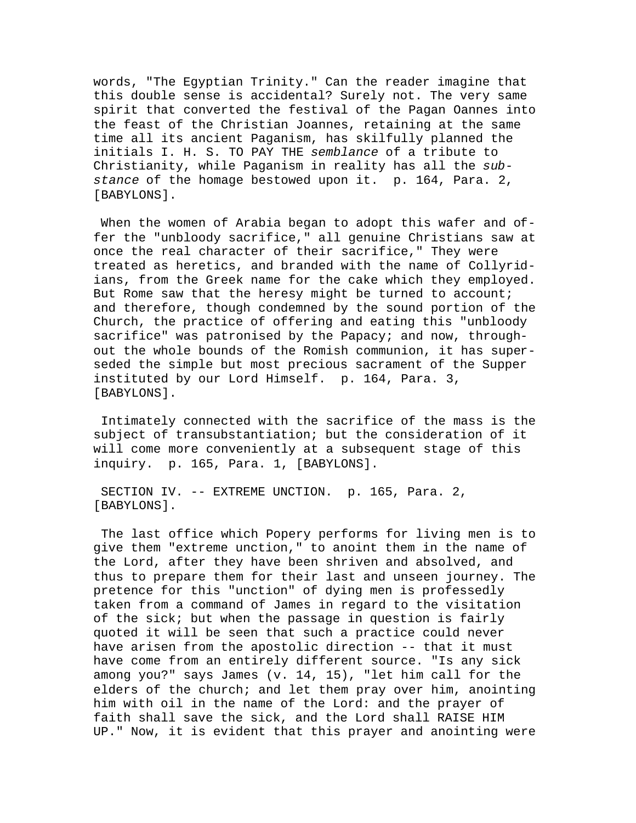words, "The Egyptian Trinity." Can the reader imagine that this double sense is accidental? Surely not. The very same spirit that converted the festival of the Pagan Oannes into the feast of the Christian Joannes, retaining at the same time all its ancient Paganism, has skilfully planned the initials I. H. S. TO PAY THE *semblance* of a tribute to Christianity, while Paganism in reality has all the *substance* of the homage bestowed upon it. p. 164, Para. 2, [BABYLONS].

When the women of Arabia began to adopt this wafer and offer the "unbloody sacrifice," all genuine Christians saw at once the real character of their sacrifice," They were treated as heretics, and branded with the name of Collyridians, from the Greek name for the cake which they employed. But Rome saw that the heresy might be turned to account; and therefore, though condemned by the sound portion of the Church, the practice of offering and eating this "unbloody sacrifice" was patronised by the Papacy; and now, throughout the whole bounds of the Romish communion, it has superseded the simple but most precious sacrament of the Supper instituted by our Lord Himself. p. 164, Para. 3, [BABYLONS].

 Intimately connected with the sacrifice of the mass is the subject of transubstantiation; but the consideration of it will come more conveniently at a subsequent stage of this inquiry. p. 165, Para. 1, [BABYLONS].

SECTION IV. -- EXTREME UNCTION. p. 165, Para. 2, [BABYLONS].

 The last office which Popery performs for living men is to give them "extreme unction," to anoint them in the name of the Lord, after they have been shriven and absolved, and thus to prepare them for their last and unseen journey. The pretence for this "unction" of dying men is professedly taken from a command of James in regard to the visitation of the sick; but when the passage in question is fairly quoted it will be seen that such a practice could never have arisen from the apostolic direction -- that it must have come from an entirely different source. "Is any sick among you?" says James (v. 14, 15), "let him call for the elders of the church; and let them pray over him, anointing him with oil in the name of the Lord: and the prayer of faith shall save the sick, and the Lord shall RAISE HIM UP." Now, it is evident that this prayer and anointing were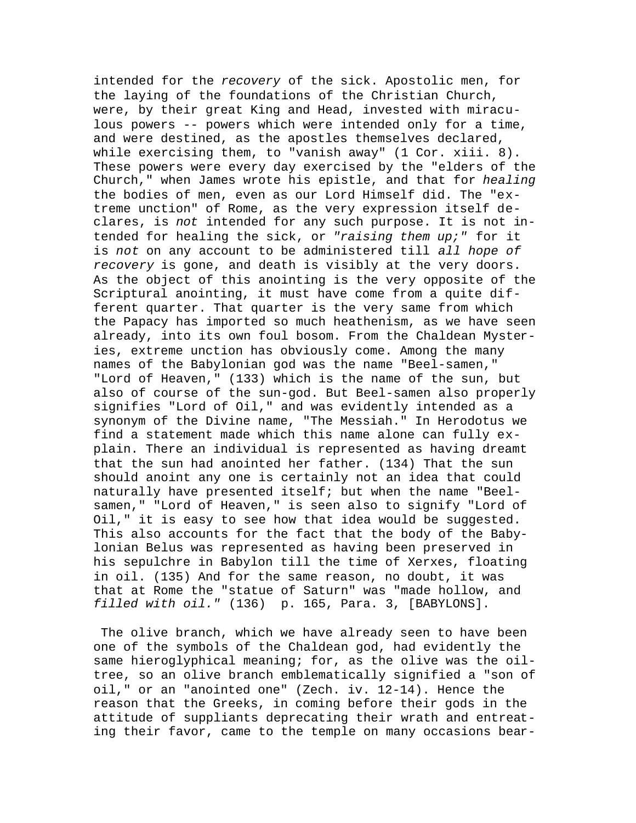intended for the *recovery* of the sick. Apostolic men, for the laying of the foundations of the Christian Church, were, by their great King and Head, invested with miraculous powers -- powers which were intended only for a time, and were destined, as the apostles themselves declared, while exercising them, to "vanish away" (1 Cor. xiii. 8). These powers were every day exercised by the "elders of the Church," when James wrote his epistle, and that for *healing* the bodies of men, even as our Lord Himself did. The "extreme unction" of Rome, as the very expression itself declares, is *not* intended for any such purpose. It is not intended for healing the sick, or *"raising them up;"* for it is *not* on any account to be administered till *all hope of recovery* is gone, and death is visibly at the very doors. As the object of this anointing is the very opposite of the Scriptural anointing, it must have come from a quite different quarter. That quarter is the very same from which the Papacy has imported so much heathenism, as we have seen already, into its own foul bosom. From the Chaldean Mysteries, extreme unction has obviously come. Among the many names of the Babylonian god was the name "Beel-samen," "Lord of Heaven," (133) which is the name of the sun, but also of course of the sun-god. But Beel-samen also properly signifies "Lord of Oil," and was evidently intended as a synonym of the Divine name, "The Messiah." In Herodotus we find a statement made which this name alone can fully explain. There an individual is represented as having dreamt that the sun had anointed her father. (134) That the sun should anoint any one is certainly not an idea that could naturally have presented itself; but when the name "Beelsamen," "Lord of Heaven," is seen also to signify "Lord of Oil," it is easy to see how that idea would be suggested. This also accounts for the fact that the body of the Babylonian Belus was represented as having been preserved in his sepulchre in Babylon till the time of Xerxes, floating in oil. (135) And for the same reason, no doubt, it was that at Rome the "statue of Saturn" was "made hollow, and *filled with oil."* (136) p. 165, Para. 3, [BABYLONS].

 The olive branch, which we have already seen to have been one of the symbols of the Chaldean god, had evidently the same hieroglyphical meaning; for, as the olive was the oiltree, so an olive branch emblematically signified a "son of oil," or an "anointed one" (Zech. iv. 12-14). Hence the reason that the Greeks, in coming before their gods in the attitude of suppliants deprecating their wrath and entreating their favor, came to the temple on many occasions bear-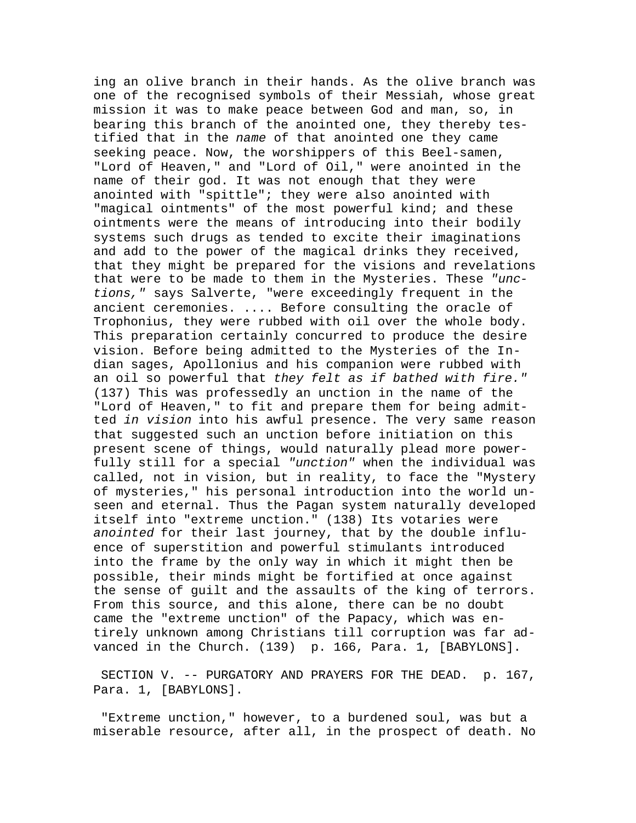ing an olive branch in their hands. As the olive branch was one of the recognised symbols of their Messiah, whose great mission it was to make peace between God and man, so, in bearing this branch of the anointed one, they thereby testified that in the *name* of that anointed one they came seeking peace. Now, the worshippers of this Beel-samen, "Lord of Heaven," and "Lord of Oil," were anointed in the name of their god. It was not enough that they were anointed with "spittle"; they were also anointed with "magical ointments" of the most powerful kind; and these ointments were the means of introducing into their bodily systems such drugs as tended to excite their imaginations and add to the power of the magical drinks they received, that they might be prepared for the visions and revelations that were to be made to them in the Mysteries. These *"unctions,"* says Salverte, "were exceedingly frequent in the ancient ceremonies. .... Before consulting the oracle of Trophonius, they were rubbed with oil over the whole body. This preparation certainly concurred to produce the desire vision. Before being admitted to the Mysteries of the Indian sages, Apollonius and his companion were rubbed with an oil so powerful that *they felt as if bathed with fire."* (137) This was professedly an unction in the name of the "Lord of Heaven," to fit and prepare them for being admitted *in vision* into his awful presence. The very same reason that suggested such an unction before initiation on this present scene of things, would naturally plead more powerfully still for a special *"unction"* when the individual was called, not in vision, but in reality, to face the "Mystery of mysteries," his personal introduction into the world unseen and eternal. Thus the Pagan system naturally developed itself into "extreme unction." (138) Its votaries were *anointed* for their last journey, that by the double influence of superstition and powerful stimulants introduced into the frame by the only way in which it might then be possible, their minds might be fortified at once against the sense of guilt and the assaults of the king of terrors. From this source, and this alone, there can be no doubt came the "extreme unction" of the Papacy, which was entirely unknown among Christians till corruption was far advanced in the Church. (139) p. 166, Para. 1, [BABYLONS].

 SECTION V. -- PURGATORY AND PRAYERS FOR THE DEAD. p. 167, Para. 1, [BABYLONS].

 "Extreme unction," however, to a burdened soul, was but a miserable resource, after all, in the prospect of death. No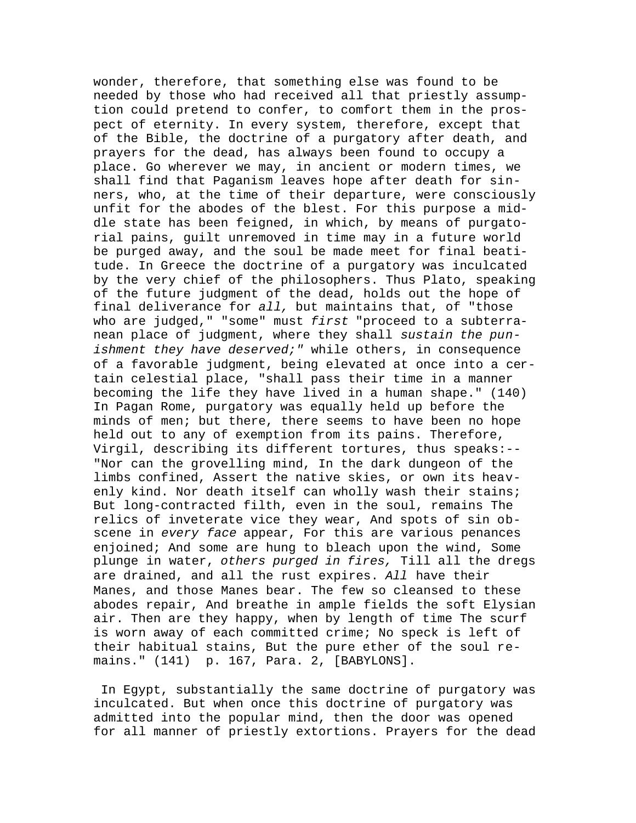wonder, therefore, that something else was found to be needed by those who had received all that priestly assumption could pretend to confer, to comfort them in the prospect of eternity. In every system, therefore, except that of the Bible, the doctrine of a purgatory after death, and prayers for the dead, has always been found to occupy a place. Go wherever we may, in ancient or modern times, we shall find that Paganism leaves hope after death for sinners, who, at the time of their departure, were consciously unfit for the abodes of the blest. For this purpose a middle state has been feigned, in which, by means of purgatorial pains, guilt unremoved in time may in a future world be purged away, and the soul be made meet for final beatitude. In Greece the doctrine of a purgatory was inculcated by the very chief of the philosophers. Thus Plato, speaking of the future judgment of the dead, holds out the hope of final deliverance for *all,* but maintains that, of "those who are judged," "some" must *first* "proceed to a subterranean place of judgment, where they shall *sustain the punishment they have deserved;"* while others, in consequence of a favorable judgment, being elevated at once into a certain celestial place, "shall pass their time in a manner becoming the life they have lived in a human shape." (140) In Pagan Rome, purgatory was equally held up before the minds of men; but there, there seems to have been no hope held out to any of exemption from its pains. Therefore, Virgil, describing its different tortures, thus speaks:-- "Nor can the grovelling mind, In the dark dungeon of the limbs confined, Assert the native skies, or own its heavenly kind. Nor death itself can wholly wash their stains; But long-contracted filth, even in the soul, remains The relics of inveterate vice they wear, And spots of sin obscene in *every face* appear, For this are various penances enjoined; And some are hung to bleach upon the wind, Some plunge in water, *others purged in fires,* Till all the dregs are drained, and all the rust expires. *All* have their Manes, and those Manes bear. The few so cleansed to these abodes repair, And breathe in ample fields the soft Elysian air. Then are they happy, when by length of time The scurf is worn away of each committed crime; No speck is left of their habitual stains, But the pure ether of the soul remains." (141) p. 167, Para. 2, [BABYLONS].

 In Egypt, substantially the same doctrine of purgatory was inculcated. But when once this doctrine of purgatory was admitted into the popular mind, then the door was opened for all manner of priestly extortions. Prayers for the dead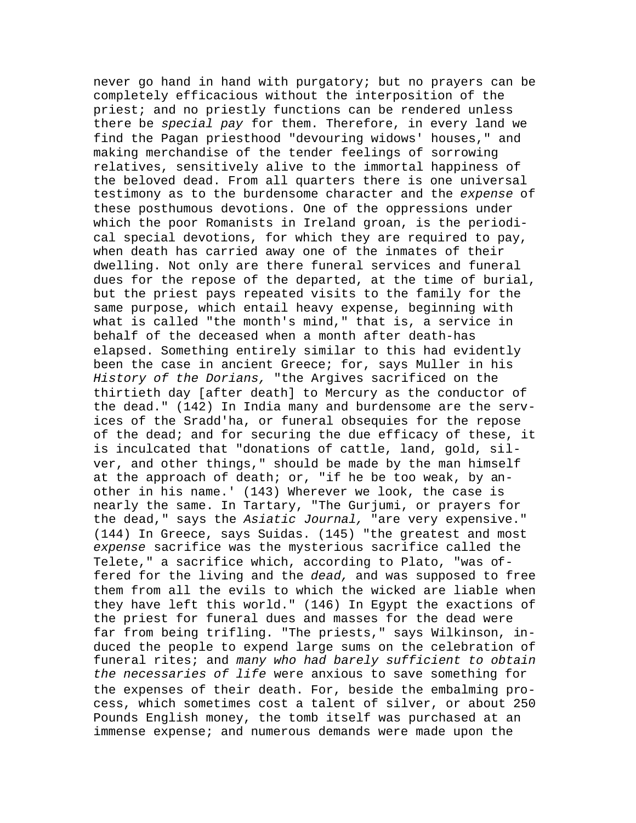never go hand in hand with purgatory; but no prayers can be completely efficacious without the interposition of the priest; and no priestly functions can be rendered unless there be *special pay* for them. Therefore, in every land we find the Pagan priesthood "devouring widows' houses," and making merchandise of the tender feelings of sorrowing relatives, sensitively alive to the immortal happiness of the beloved dead. From all quarters there is one universal testimony as to the burdensome character and the *expense* of these posthumous devotions. One of the oppressions under which the poor Romanists in Ireland groan, is the periodical special devotions, for which they are required to pay, when death has carried away one of the inmates of their dwelling. Not only are there funeral services and funeral dues for the repose of the departed, at the time of burial, but the priest pays repeated visits to the family for the same purpose, which entail heavy expense, beginning with what is called "the month's mind," that is, a service in behalf of the deceased when a month after death-has elapsed. Something entirely similar to this had evidently been the case in ancient Greece; for, says Muller in his *History of the Dorians,* "the Argives sacrificed on the thirtieth day [after death] to Mercury as the conductor of the dead." (142) In India many and burdensome are the services of the Sradd'ha, or funeral obsequies for the repose of the dead; and for securing the due efficacy of these, it is inculcated that "donations of cattle, land, gold, silver, and other things," should be made by the man himself at the approach of death; or, "if he be too weak, by another in his name.' (143) Wherever we look, the case is nearly the same. In Tartary, "The Gurjumi, or prayers for the dead," says the *Asiatic Journal,* "are very expensive." (144) In Greece, says Suidas. (145) "the greatest and most *expense* sacrifice was the mysterious sacrifice called the Telete," a sacrifice which, according to Plato, "was offered for the living and the *dead,* and was supposed to free them from all the evils to which the wicked are liable when they have left this world." (146) In Egypt the exactions of the priest for funeral dues and masses for the dead were far from being trifling. "The priests," says Wilkinson, induced the people to expend large sums on the celebration of funeral rites; and *many who had barely sufficient to obtain the necessaries of life* were anxious to save something for the expenses of their death. For, beside the embalming process, which sometimes cost a talent of silver, or about 250 Pounds English money, the tomb itself was purchased at an immense expense; and numerous demands were made upon the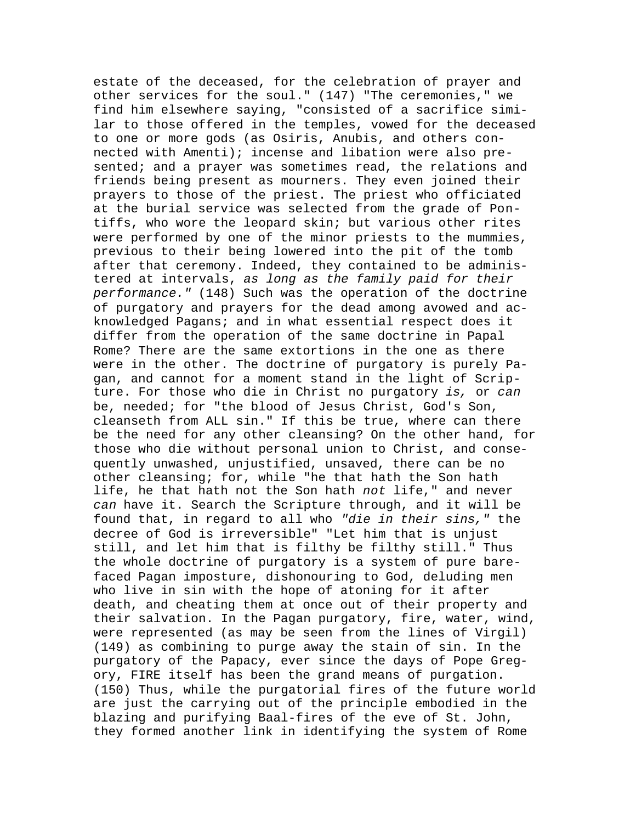estate of the deceased, for the celebration of prayer and other services for the soul." (147) "The ceremonies," we find him elsewhere saying, "consisted of a sacrifice similar to those offered in the temples, vowed for the deceased to one or more gods (as Osiris, Anubis, and others connected with Amenti); incense and libation were also presented; and a prayer was sometimes read, the relations and friends being present as mourners. They even joined their prayers to those of the priest. The priest who officiated at the burial service was selected from the grade of Pontiffs, who wore the leopard skin; but various other rites were performed by one of the minor priests to the mummies, previous to their being lowered into the pit of the tomb after that ceremony. Indeed, they contained to be administered at intervals, *as long as the family paid for their performance."* (148) Such was the operation of the doctrine of purgatory and prayers for the dead among avowed and acknowledged Pagans; and in what essential respect does it differ from the operation of the same doctrine in Papal Rome? There are the same extortions in the one as there were in the other. The doctrine of purgatory is purely Pagan, and cannot for a moment stand in the light of Scripture. For those who die in Christ no purgatory *is,* or *can* be, needed; for "the blood of Jesus Christ, God's Son, cleanseth from ALL sin." If this be true, where can there be the need for any other cleansing? On the other hand, for those who die without personal union to Christ, and consequently unwashed, unjustified, unsaved, there can be no other cleansing; for, while "he that hath the Son hath life, he that hath not the Son hath *not* life," and never *can* have it. Search the Scripture through, and it will be found that, in regard to all who *"die in their sins,"* the decree of God is irreversible" "Let him that is unjust still, and let him that is filthy be filthy still." Thus the whole doctrine of purgatory is a system of pure barefaced Pagan imposture, dishonouring to God, deluding men who live in sin with the hope of atoning for it after death, and cheating them at once out of their property and their salvation. In the Pagan purgatory, fire, water, wind, were represented (as may be seen from the lines of Virgil) (149) as combining to purge away the stain of sin. In the purgatory of the Papacy, ever since the days of Pope Gregory, FIRE itself has been the grand means of purgation. (150) Thus, while the purgatorial fires of the future world are just the carrying out of the principle embodied in the blazing and purifying Baal-fires of the eve of St. John, they formed another link in identifying the system of Rome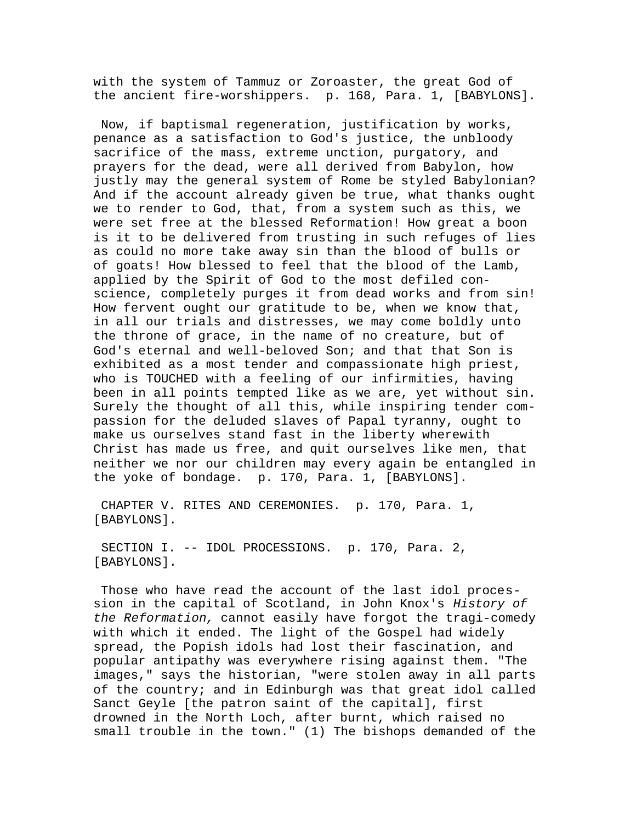with the system of Tammuz or Zoroaster, the great God of the ancient fire-worshippers. p. 168, Para. 1, [BABYLONS].

 Now, if baptismal regeneration, justification by works, penance as a satisfaction to God's justice, the unbloody sacrifice of the mass, extreme unction, purgatory, and prayers for the dead, were all derived from Babylon, how justly may the general system of Rome be styled Babylonian? And if the account already given be true, what thanks ought we to render to God, that, from a system such as this, we were set free at the blessed Reformation! How great a boon is it to be delivered from trusting in such refuges of lies as could no more take away sin than the blood of bulls or of goats! How blessed to feel that the blood of the Lamb, applied by the Spirit of God to the most defiled conscience, completely purges it from dead works and from sin! How fervent ought our gratitude to be, when we know that, in all our trials and distresses, we may come boldly unto the throne of grace, in the name of no creature, but of God's eternal and well-beloved Son; and that that Son is exhibited as a most tender and compassionate high priest, who is TOUCHED with a feeling of our infirmities, having been in all points tempted like as we are, yet without sin. Surely the thought of all this, while inspiring tender compassion for the deluded slaves of Papal tyranny, ought to make us ourselves stand fast in the liberty wherewith Christ has made us free, and quit ourselves like men, that neither we nor our children may every again be entangled in the yoke of bondage. p. 170, Para. 1, [BABYLONS].

 CHAPTER V. RITES AND CEREMONIES. p. 170, Para. 1, [BABYLONS].

 SECTION I. -- IDOL PROCESSIONS. p. 170, Para. 2, [BABYLONS].

 Those who have read the account of the last idol procession in the capital of Scotland, in John Knox's *History of the Reformation,* cannot easily have forgot the tragi-comedy with which it ended. The light of the Gospel had widely spread, the Popish idols had lost their fascination, and popular antipathy was everywhere rising against them. "The images," says the historian, "were stolen away in all parts of the country; and in Edinburgh was that great idol called Sanct Geyle [the patron saint of the capital], first drowned in the North Loch, after burnt, which raised no small trouble in the town." (1) The bishops demanded of the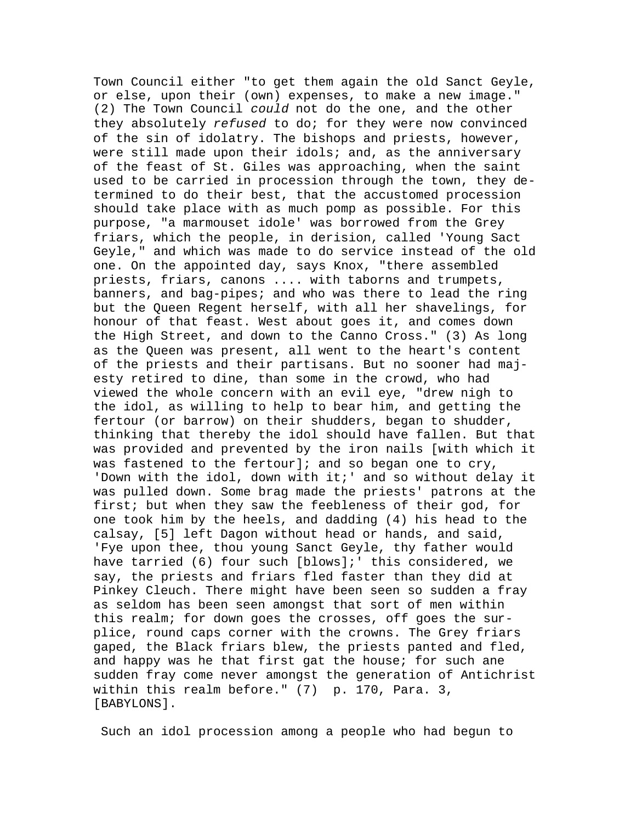Town Council either "to get them again the old Sanct Geyle, or else, upon their (own) expenses, to make a new image." (2) The Town Council *could* not do the one, and the other they absolutely *refused* to do; for they were now convinced of the sin of idolatry. The bishops and priests, however, were still made upon their idols; and, as the anniversary of the feast of St. Giles was approaching, when the saint used to be carried in procession through the town, they determined to do their best, that the accustomed procession should take place with as much pomp as possible. For this purpose, "a marmouset idole' was borrowed from the Grey friars, which the people, in derision, called 'Young Sact Geyle," and which was made to do service instead of the old one. On the appointed day, says Knox, "there assembled priests, friars, canons .... with taborns and trumpets, banners, and bag-pipes; and who was there to lead the ring but the Queen Regent herself, with all her shavelings, for honour of that feast. West about goes it, and comes down the High Street, and down to the Canno Cross." (3) As long as the Queen was present, all went to the heart's content of the priests and their partisans. But no sooner had majesty retired to dine, than some in the crowd, who had viewed the whole concern with an evil eye, "drew nigh to the idol, as willing to help to bear him, and getting the fertour (or barrow) on their shudders, began to shudder, thinking that thereby the idol should have fallen. But that was provided and prevented by the iron nails [with which it was fastened to the fertour]; and so began one to  $\text{cry},$ 'Down with the idol, down with it;' and so without delay it was pulled down. Some brag made the priests' patrons at the first; but when they saw the feebleness of their god, for one took him by the heels, and dadding (4) his head to the calsay, [5] left Dagon without head or hands, and said, 'Fye upon thee, thou young Sanct Geyle, thy father would have tarried (6) four such [blows];' this considered, we say, the priests and friars fled faster than they did at Pinkey Cleuch. There might have been seen so sudden a fray as seldom has been seen amongst that sort of men within this realm; for down goes the crosses, off goes the surplice, round caps corner with the crowns. The Grey friars gaped, the Black friars blew, the priests panted and fled, and happy was he that first gat the house; for such ane sudden fray come never amongst the generation of Antichrist within this realm before." (7) p. 170, Para. 3, [BABYLONS].

Such an idol procession among a people who had begun to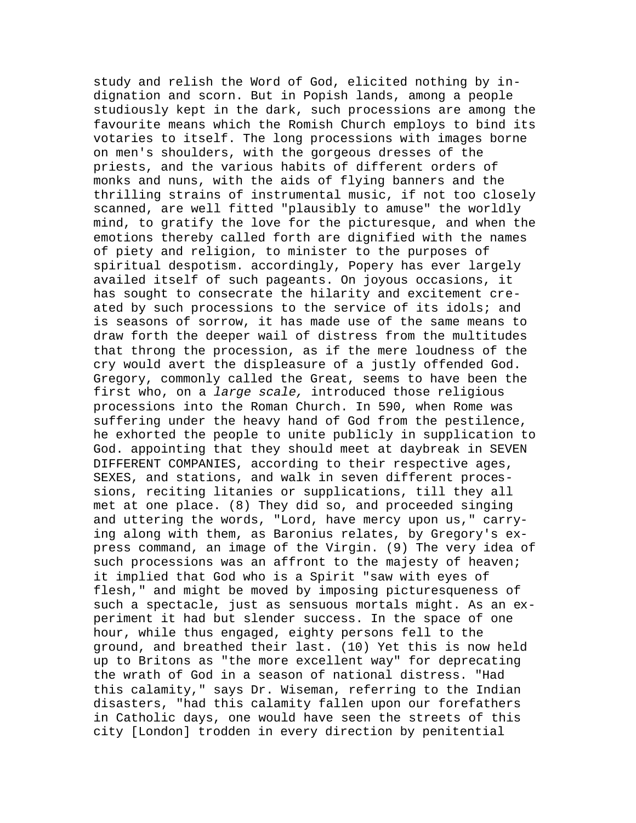study and relish the Word of God, elicited nothing by indignation and scorn. But in Popish lands, among a people studiously kept in the dark, such processions are among the favourite means which the Romish Church employs to bind its votaries to itself. The long processions with images borne on men's shoulders, with the gorgeous dresses of the priests, and the various habits of different orders of monks and nuns, with the aids of flying banners and the thrilling strains of instrumental music, if not too closely scanned, are well fitted "plausibly to amuse" the worldly mind, to gratify the love for the picturesque, and when the emotions thereby called forth are dignified with the names of piety and religion, to minister to the purposes of spiritual despotism. accordingly, Popery has ever largely availed itself of such pageants. On joyous occasions, it has sought to consecrate the hilarity and excitement created by such processions to the service of its idols; and is seasons of sorrow, it has made use of the same means to draw forth the deeper wail of distress from the multitudes that throng the procession, as if the mere loudness of the cry would avert the displeasure of a justly offended God. Gregory, commonly called the Great, seems to have been the first who, on a *large scale,* introduced those religious processions into the Roman Church. In 590, when Rome was suffering under the heavy hand of God from the pestilence, he exhorted the people to unite publicly in supplication to God. appointing that they should meet at daybreak in SEVEN DIFFERENT COMPANIES, according to their respective ages, SEXES, and stations, and walk in seven different processions, reciting litanies or supplications, till they all met at one place. (8) They did so, and proceeded singing and uttering the words, "Lord, have mercy upon us," carrying along with them, as Baronius relates, by Gregory's express command, an image of the Virgin. (9) The very idea of such processions was an affront to the majesty of heaven; it implied that God who is a Spirit "saw with eyes of flesh," and might be moved by imposing picturesqueness of such a spectacle, just as sensuous mortals might. As an experiment it had but slender success. In the space of one hour, while thus engaged, eighty persons fell to the ground, and breathed their last. (10) Yet this is now held up to Britons as "the more excellent way" for deprecating the wrath of God in a season of national distress. "Had this calamity," says Dr. Wiseman, referring to the Indian disasters, "had this calamity fallen upon our forefathers in Catholic days, one would have seen the streets of this city [London] trodden in every direction by penitential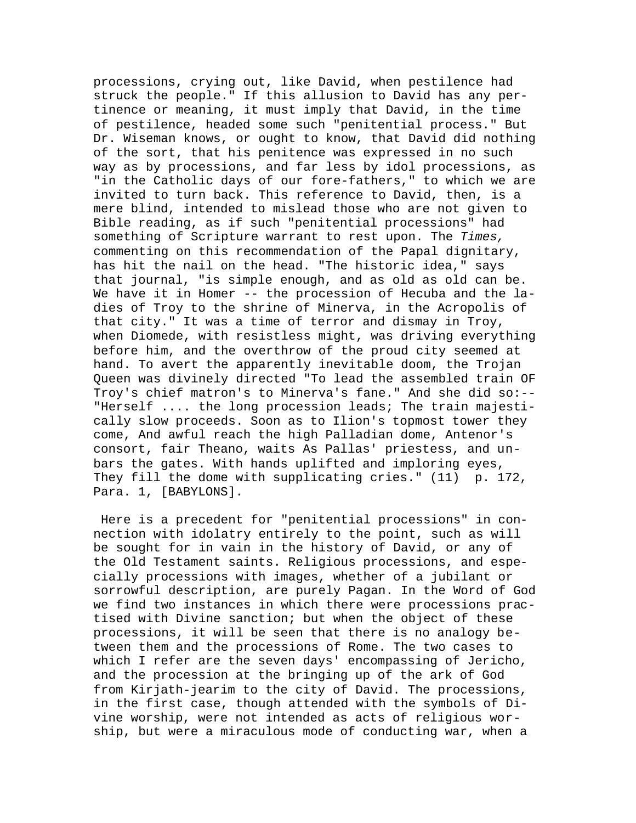processions, crying out, like David, when pestilence had struck the people." If this allusion to David has any pertinence or meaning, it must imply that David, in the time of pestilence, headed some such "penitential process." But Dr. Wiseman knows, or ought to know, that David did nothing of the sort, that his penitence was expressed in no such way as by processions, and far less by idol processions, as "in the Catholic days of our fore-fathers," to which we are invited to turn back. This reference to David, then, is a mere blind, intended to mislead those who are not given to Bible reading, as if such "penitential processions" had something of Scripture warrant to rest upon. The *Times,* commenting on this recommendation of the Papal dignitary, has hit the nail on the head. "The historic idea," says that journal, "is simple enough, and as old as old can be. We have it in Homer -- the procession of Hecuba and the ladies of Troy to the shrine of Minerva, in the Acropolis of that city." It was a time of terror and dismay in Troy, when Diomede, with resistless might, was driving everything before him, and the overthrow of the proud city seemed at hand. To avert the apparently inevitable doom, the Trojan Queen was divinely directed "To lead the assembled train OF Troy's chief matron's to Minerva's fane." And she did so:-- "Herself .... the long procession leads; The train majestically slow proceeds. Soon as to Ilion's topmost tower they come, And awful reach the high Palladian dome, Antenor's consort, fair Theano, waits As Pallas' priestess, and unbars the gates. With hands uplifted and imploring eyes, They fill the dome with supplicating cries." (11) p. 172, Para. 1, [BABYLONS].

 Here is a precedent for "penitential processions" in connection with idolatry entirely to the point, such as will be sought for in vain in the history of David, or any of the Old Testament saints. Religious processions, and especially processions with images, whether of a jubilant or sorrowful description, are purely Pagan. In the Word of God we find two instances in which there were processions practised with Divine sanction; but when the object of these processions, it will be seen that there is no analogy between them and the processions of Rome. The two cases to which I refer are the seven days' encompassing of Jericho, and the procession at the bringing up of the ark of God from Kirjath-jearim to the city of David. The processions, in the first case, though attended with the symbols of Divine worship, were not intended as acts of religious worship, but were a miraculous mode of conducting war, when a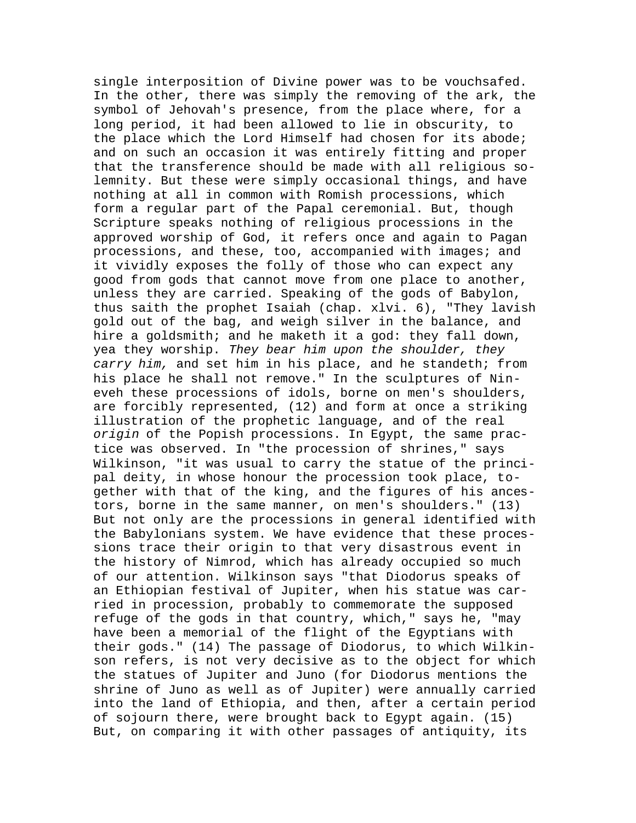single interposition of Divine power was to be vouchsafed. In the other, there was simply the removing of the ark, the symbol of Jehovah's presence, from the place where, for a long period, it had been allowed to lie in obscurity, to the place which the Lord Himself had chosen for its abode; and on such an occasion it was entirely fitting and proper that the transference should be made with all religious solemnity. But these were simply occasional things, and have nothing at all in common with Romish processions, which form a regular part of the Papal ceremonial. But, though Scripture speaks nothing of religious processions in the approved worship of God, it refers once and again to Pagan processions, and these, too, accompanied with images; and it vividly exposes the folly of those who can expect any good from gods that cannot move from one place to another, unless they are carried. Speaking of the gods of Babylon, thus saith the prophet Isaiah (chap. xlvi. 6), "They lavish gold out of the bag, and weigh silver in the balance, and hire a goldsmith; and he maketh it a god: they fall down, yea they worship. *They bear him upon the shoulder, they carry him,* and set him in his place, and he standeth; from his place he shall not remove." In the sculptures of Nineveh these processions of idols, borne on men's shoulders, are forcibly represented, (12) and form at once a striking illustration of the prophetic language, and of the real *origin* of the Popish processions. In Egypt, the same practice was observed. In "the procession of shrines," says Wilkinson, "it was usual to carry the statue of the principal deity, in whose honour the procession took place, together with that of the king, and the figures of his ancestors, borne in the same manner, on men's shoulders." (13) But not only are the processions in general identified with the Babylonians system. We have evidence that these processions trace their origin to that very disastrous event in the history of Nimrod, which has already occupied so much of our attention. Wilkinson says "that Diodorus speaks of an Ethiopian festival of Jupiter, when his statue was carried in procession, probably to commemorate the supposed refuge of the gods in that country, which," says he, "may have been a memorial of the flight of the Egyptians with their gods." (14) The passage of Diodorus, to which Wilkinson refers, is not very decisive as to the object for which the statues of Jupiter and Juno (for Diodorus mentions the shrine of Juno as well as of Jupiter) were annually carried into the land of Ethiopia, and then, after a certain period of sojourn there, were brought back to Egypt again. (15) But, on comparing it with other passages of antiquity, its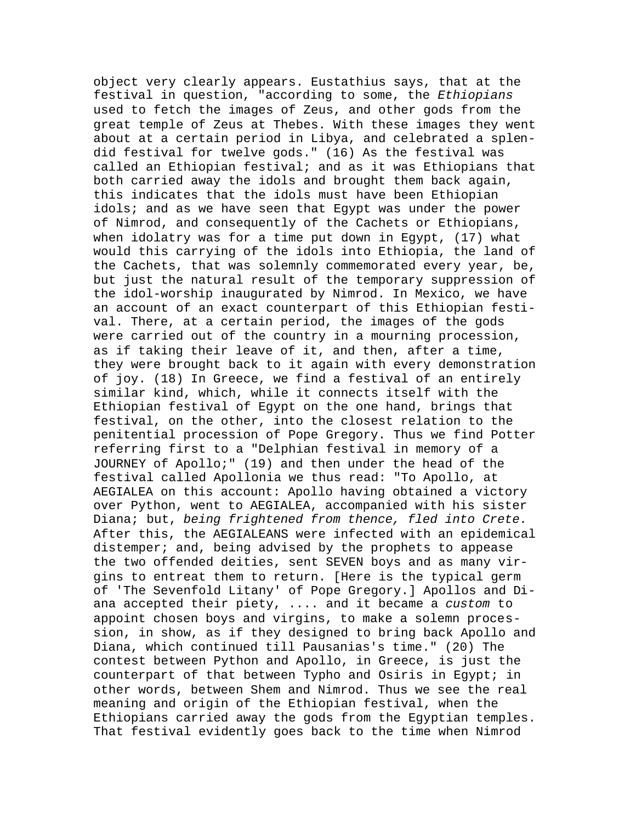object very clearly appears. Eustathius says, that at the festival in question, "according to some, the *Ethiopians* used to fetch the images of Zeus, and other gods from the great temple of Zeus at Thebes. With these images they went about at a certain period in Libya, and celebrated a splendid festival for twelve gods." (16) As the festival was called an Ethiopian festival; and as it was Ethiopians that both carried away the idols and brought them back again, this indicates that the idols must have been Ethiopian idols; and as we have seen that Egypt was under the power of Nimrod, and consequently of the Cachets or Ethiopians, when idolatry was for a time put down in Egypt, (17) what would this carrying of the idols into Ethiopia, the land of the Cachets, that was solemnly commemorated every year, be, but just the natural result of the temporary suppression of the idol-worship inaugurated by Nimrod. In Mexico, we have an account of an exact counterpart of this Ethiopian festival. There, at a certain period, the images of the gods were carried out of the country in a mourning procession, as if taking their leave of it, and then, after a time, they were brought back to it again with every demonstration of joy. (18) In Greece, we find a festival of an entirely similar kind, which, while it connects itself with the Ethiopian festival of Egypt on the one hand, brings that festival, on the other, into the closest relation to the penitential procession of Pope Gregory. Thus we find Potter referring first to a "Delphian festival in memory of a JOURNEY of Apollo;" (19) and then under the head of the festival called Apollonia we thus read: "To Apollo, at AEGIALEA on this account: Apollo having obtained a victory over Python, went to AEGIALEA, accompanied with his sister Diana; but, *being frightened from thence, fled into Crete.* After this, the AEGIALEANS were infected with an epidemical distemper; and, being advised by the prophets to appease the two offended deities, sent SEVEN boys and as many virgins to entreat them to return. [Here is the typical germ of 'The Sevenfold Litany' of Pope Gregory.] Apollos and Diana accepted their piety, .... and it became a *custom* to appoint chosen boys and virgins, to make a solemn procession, in show, as if they designed to bring back Apollo and Diana, which continued till Pausanias's time." (20) The contest between Python and Apollo, in Greece, is just the counterpart of that between Typho and Osiris in Egypt; in other words, between Shem and Nimrod. Thus we see the real meaning and origin of the Ethiopian festival, when the Ethiopians carried away the gods from the Egyptian temples. That festival evidently goes back to the time when Nimrod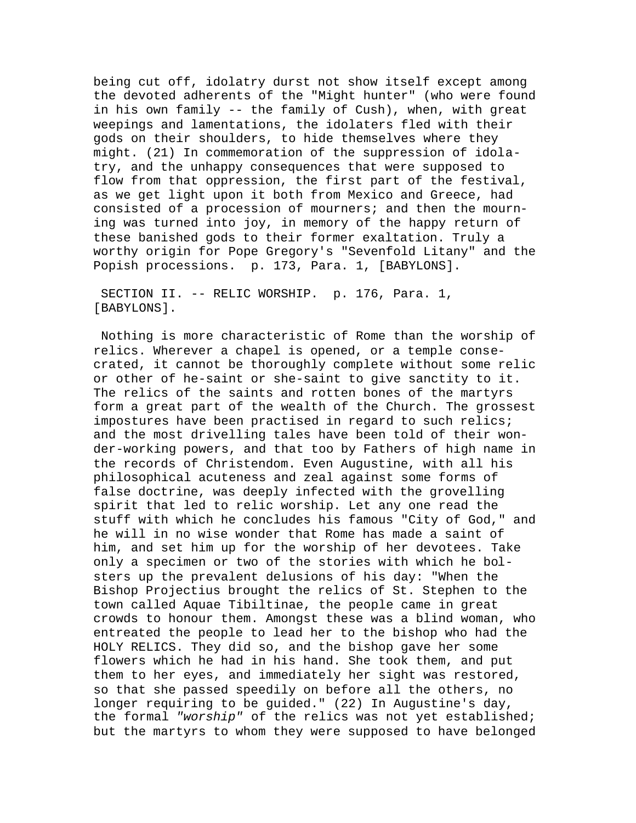being cut off, idolatry durst not show itself except among the devoted adherents of the "Might hunter" (who were found in his own family -- the family of Cush), when, with great weepings and lamentations, the idolaters fled with their gods on their shoulders, to hide themselves where they might. (21) In commemoration of the suppression of idolatry, and the unhappy consequences that were supposed to flow from that oppression, the first part of the festival, as we get light upon it both from Mexico and Greece, had consisted of a procession of mourners; and then the mourning was turned into joy, in memory of the happy return of these banished gods to their former exaltation. Truly a worthy origin for Pope Gregory's "Sevenfold Litany" and the Popish processions. p. 173, Para. 1, [BABYLONS].

 SECTION II. -- RELIC WORSHIP. p. 176, Para. 1, [BABYLONS].

 Nothing is more characteristic of Rome than the worship of relics. Wherever a chapel is opened, or a temple consecrated, it cannot be thoroughly complete without some relic or other of he-saint or she-saint to give sanctity to it. The relics of the saints and rotten bones of the martyrs form a great part of the wealth of the Church. The grossest impostures have been practised in regard to such relics; and the most drivelling tales have been told of their wonder-working powers, and that too by Fathers of high name in the records of Christendom. Even Augustine, with all his philosophical acuteness and zeal against some forms of false doctrine, was deeply infected with the grovelling spirit that led to relic worship. Let any one read the stuff with which he concludes his famous "City of God," and he will in no wise wonder that Rome has made a saint of him, and set him up for the worship of her devotees. Take only a specimen or two of the stories with which he bolsters up the prevalent delusions of his day: "When the Bishop Projectius brought the relics of St. Stephen to the town called Aquae Tibiltinae, the people came in great crowds to honour them. Amongst these was a blind woman, who entreated the people to lead her to the bishop who had the HOLY RELICS. They did so, and the bishop gave her some flowers which he had in his hand. She took them, and put them to her eyes, and immediately her sight was restored, so that she passed speedily on before all the others, no longer requiring to be guided." (22) In Augustine's day, the formal *"worship"* of the relics was not yet established; but the martyrs to whom they were supposed to have belonged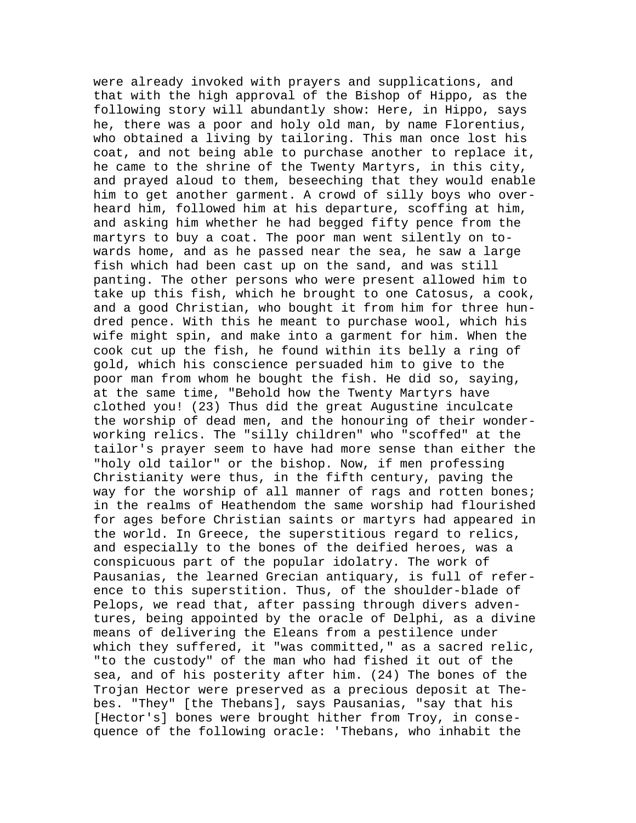were already invoked with prayers and supplications, and that with the high approval of the Bishop of Hippo, as the following story will abundantly show: Here, in Hippo, says he, there was a poor and holy old man, by name Florentius, who obtained a living by tailoring. This man once lost his coat, and not being able to purchase another to replace it, he came to the shrine of the Twenty Martyrs, in this city, and prayed aloud to them, beseeching that they would enable him to get another garment. A crowd of silly boys who overheard him, followed him at his departure, scoffing at him, and asking him whether he had begged fifty pence from the martyrs to buy a coat. The poor man went silently on towards home, and as he passed near the sea, he saw a large fish which had been cast up on the sand, and was still panting. The other persons who were present allowed him to take up this fish, which he brought to one Catosus, a cook, and a good Christian, who bought it from him for three hundred pence. With this he meant to purchase wool, which his wife might spin, and make into a garment for him. When the cook cut up the fish, he found within its belly a ring of gold, which his conscience persuaded him to give to the poor man from whom he bought the fish. He did so, saying, at the same time, "Behold how the Twenty Martyrs have clothed you! (23) Thus did the great Augustine inculcate the worship of dead men, and the honouring of their wonderworking relics. The "silly children" who "scoffed" at the tailor's prayer seem to have had more sense than either the "holy old tailor" or the bishop. Now, if men professing Christianity were thus, in the fifth century, paving the way for the worship of all manner of rags and rotten bones; in the realms of Heathendom the same worship had flourished for ages before Christian saints or martyrs had appeared in the world. In Greece, the superstitious regard to relics, and especially to the bones of the deified heroes, was a conspicuous part of the popular idolatry. The work of Pausanias, the learned Grecian antiquary, is full of reference to this superstition. Thus, of the shoulder-blade of Pelops, we read that, after passing through divers adventures, being appointed by the oracle of Delphi, as a divine means of delivering the Eleans from a pestilence under which they suffered, it "was committed," as a sacred relic, "to the custody" of the man who had fished it out of the sea, and of his posterity after him. (24) The bones of the Trojan Hector were preserved as a precious deposit at Thebes. "They" [the Thebans], says Pausanias, "say that his [Hector's] bones were brought hither from Troy, in consequence of the following oracle: 'Thebans, who inhabit the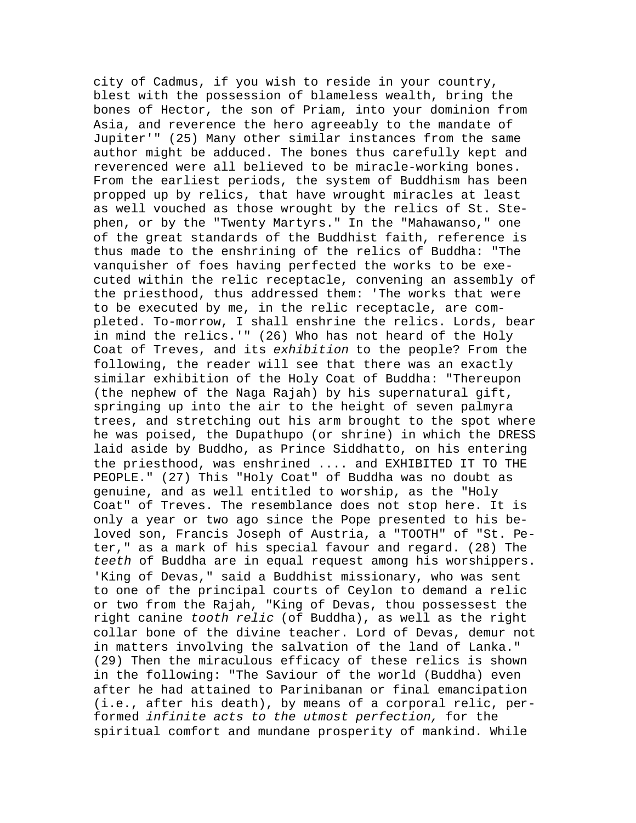city of Cadmus, if you wish to reside in your country, blest with the possession of blameless wealth, bring the bones of Hector, the son of Priam, into your dominion from Asia, and reverence the hero agreeably to the mandate of Jupiter'" (25) Many other similar instances from the same author might be adduced. The bones thus carefully kept and reverenced were all believed to be miracle-working bones. From the earliest periods, the system of Buddhism has been propped up by relics, that have wrought miracles at least as well vouched as those wrought by the relics of St. Stephen, or by the "Twenty Martyrs." In the "Mahawanso," one of the great standards of the Buddhist faith, reference is thus made to the enshrining of the relics of Buddha: "The vanquisher of foes having perfected the works to be executed within the relic receptacle, convening an assembly of the priesthood, thus addressed them: 'The works that were to be executed by me, in the relic receptacle, are completed. To-morrow, I shall enshrine the relics. Lords, bear in mind the relics.'" (26) Who has not heard of the Holy Coat of Treves, and its *exhibition* to the people? From the following, the reader will see that there was an exactly similar exhibition of the Holy Coat of Buddha: "Thereupon (the nephew of the Naga Rajah) by his supernatural gift, springing up into the air to the height of seven palmyra trees, and stretching out his arm brought to the spot where he was poised, the Dupathupo (or shrine) in which the DRESS laid aside by Buddho, as Prince Siddhatto, on his entering the priesthood, was enshrined .... and EXHIBITED IT TO THE PEOPLE." (27) This "Holy Coat" of Buddha was no doubt as genuine, and as well entitled to worship, as the "Holy Coat" of Treves. The resemblance does not stop here. It is only a year or two ago since the Pope presented to his beloved son, Francis Joseph of Austria, a "TOOTH" of "St. Peter," as a mark of his special favour and regard. (28) The *teeth* of Buddha are in equal request among his worshippers. 'King of Devas," said a Buddhist missionary, who was sent to one of the principal courts of Ceylon to demand a relic or two from the Rajah, "King of Devas, thou possessest the right canine *tooth relic* (of Buddha), as well as the right collar bone of the divine teacher. Lord of Devas, demur not in matters involving the salvation of the land of Lanka." (29) Then the miraculous efficacy of these relics is shown in the following: "The Saviour of the world (Buddha) even after he had attained to Parinibanan or final emancipation (i.e., after his death), by means of a corporal relic, performed *infinite acts to the utmost perfection,* for the spiritual comfort and mundane prosperity of mankind. While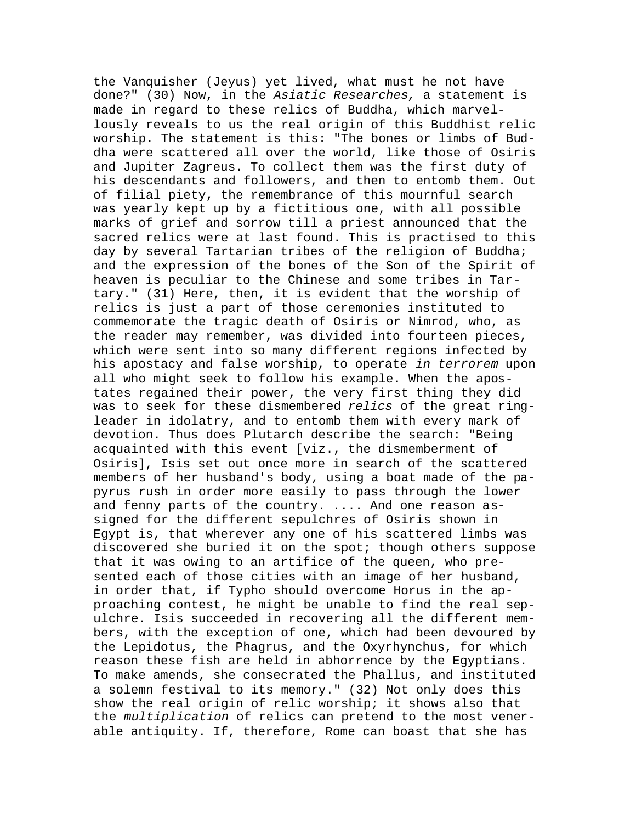the Vanquisher (Jeyus) yet lived, what must he not have done?" (30) Now, in the *Asiatic Researches,* a statement is made in regard to these relics of Buddha, which marvellously reveals to us the real origin of this Buddhist relic worship. The statement is this: "The bones or limbs of Buddha were scattered all over the world, like those of Osiris and Jupiter Zagreus. To collect them was the first duty of his descendants and followers, and then to entomb them. Out of filial piety, the remembrance of this mournful search was yearly kept up by a fictitious one, with all possible marks of grief and sorrow till a priest announced that the sacred relics were at last found. This is practised to this day by several Tartarian tribes of the religion of Buddha; and the expression of the bones of the Son of the Spirit of heaven is peculiar to the Chinese and some tribes in Tartary." (31) Here, then, it is evident that the worship of relics is just a part of those ceremonies instituted to commemorate the tragic death of Osiris or Nimrod, who, as the reader may remember, was divided into fourteen pieces, which were sent into so many different regions infected by his apostacy and false worship, to operate *in terrorem* upon all who might seek to follow his example. When the apostates regained their power, the very first thing they did was to seek for these dismembered *relics* of the great ringleader in idolatry, and to entomb them with every mark of devotion. Thus does Plutarch describe the search: "Being acquainted with this event [viz., the dismemberment of Osiris], Isis set out once more in search of the scattered members of her husband's body, using a boat made of the papyrus rush in order more easily to pass through the lower and fenny parts of the country. .... And one reason assigned for the different sepulchres of Osiris shown in Egypt is, that wherever any one of his scattered limbs was discovered she buried it on the spot; though others suppose that it was owing to an artifice of the queen, who presented each of those cities with an image of her husband, in order that, if Typho should overcome Horus in the approaching contest, he might be unable to find the real sepulchre. Isis succeeded in recovering all the different members, with the exception of one, which had been devoured by the Lepidotus, the Phagrus, and the Oxyrhynchus, for which reason these fish are held in abhorrence by the Egyptians. To make amends, she consecrated the Phallus, and instituted a solemn festival to its memory." (32) Not only does this show the real origin of relic worship; it shows also that the *multiplication* of relics can pretend to the most venerable antiquity. If, therefore, Rome can boast that she has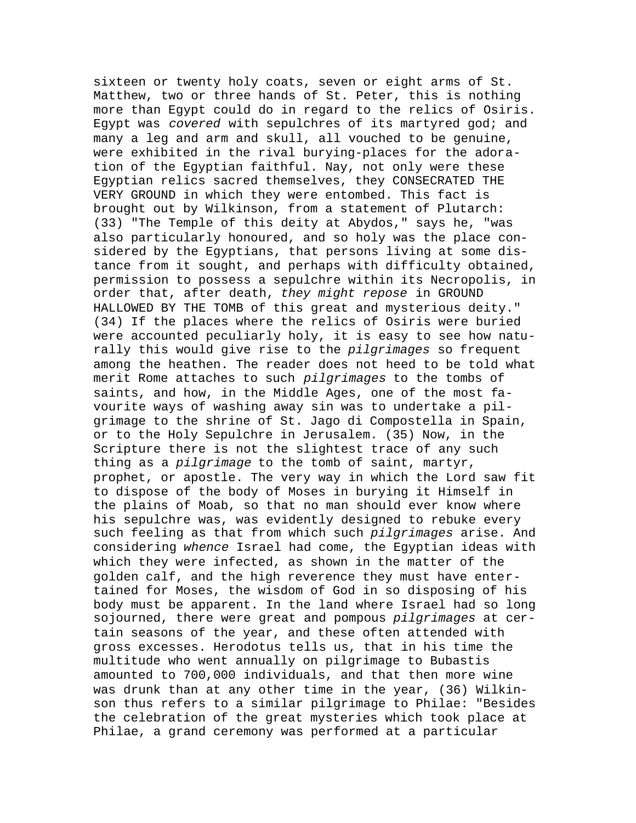sixteen or twenty holy coats, seven or eight arms of St. Matthew, two or three hands of St. Peter, this is nothing more than Egypt could do in regard to the relics of Osiris. Egypt was *covered* with sepulchres of its martyred god; and many a leg and arm and skull, all vouched to be genuine, were exhibited in the rival burying-places for the adoration of the Egyptian faithful. Nay, not only were these Egyptian relics sacred themselves, they CONSECRATED THE VERY GROUND in which they were entombed. This fact is brought out by Wilkinson, from a statement of Plutarch: (33) "The Temple of this deity at Abydos," says he, "was also particularly honoured, and so holy was the place considered by the Egyptians, that persons living at some distance from it sought, and perhaps with difficulty obtained, permission to possess a sepulchre within its Necropolis, in order that, after death, *they might repose* in GROUND HALLOWED BY THE TOMB of this great and mysterious deity." (34) If the places where the relics of Osiris were buried were accounted peculiarly holy, it is easy to see how naturally this would give rise to the *pilgrimages* so frequent among the heathen. The reader does not heed to be told what merit Rome attaches to such *pilgrimages* to the tombs of saints, and how, in the Middle Ages, one of the most favourite ways of washing away sin was to undertake a pilgrimage to the shrine of St. Jago di Compostella in Spain, or to the Holy Sepulchre in Jerusalem. (35) Now, in the Scripture there is not the slightest trace of any such thing as a *pilgrimage* to the tomb of saint, martyr, prophet, or apostle. The very way in which the Lord saw fit to dispose of the body of Moses in burying it Himself in the plains of Moab, so that no man should ever know where his sepulchre was, was evidently designed to rebuke every such feeling as that from which such *pilgrimages* arise. And considering *whence* Israel had come, the Egyptian ideas with which they were infected, as shown in the matter of the golden calf, and the high reverence they must have entertained for Moses, the wisdom of God in so disposing of his body must be apparent. In the land where Israel had so long sojourned, there were great and pompous *pilgrimages* at certain seasons of the year, and these often attended with gross excesses. Herodotus tells us, that in his time the multitude who went annually on pilgrimage to Bubastis amounted to 700,000 individuals, and that then more wine was drunk than at any other time in the year, (36) Wilkinson thus refers to a similar pilgrimage to Philae: "Besides the celebration of the great mysteries which took place at Philae, a grand ceremony was performed at a particular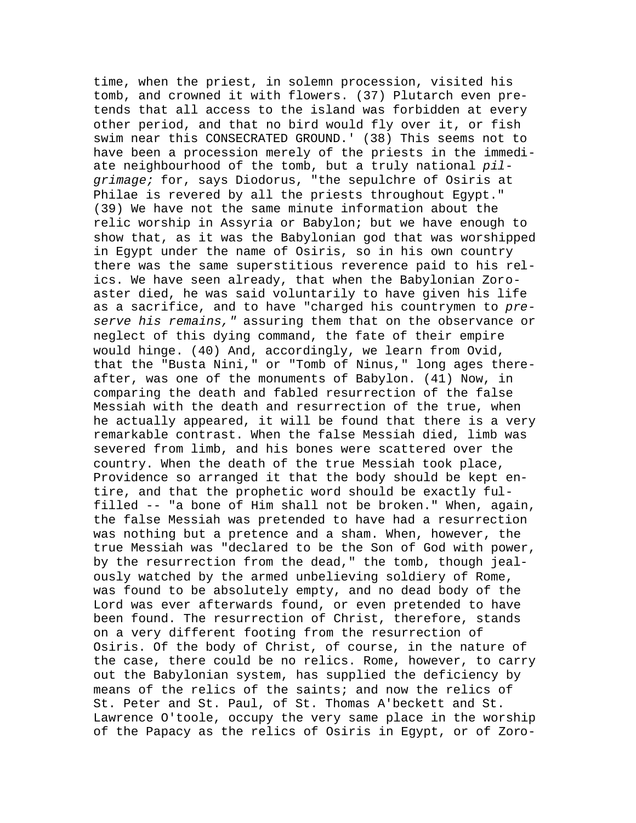time, when the priest, in solemn procession, visited his tomb, and crowned it with flowers. (37) Plutarch even pretends that all access to the island was forbidden at every other period, and that no bird would fly over it, or fish swim near this CONSECRATED GROUND.' (38) This seems not to have been a procession merely of the priests in the immediate neighbourhood of the tomb, but a truly national *pilgrimage;* for, says Diodorus, "the sepulchre of Osiris at Philae is revered by all the priests throughout Egypt." (39) We have not the same minute information about the relic worship in Assyria or Babylon; but we have enough to show that, as it was the Babylonian god that was worshipped in Egypt under the name of Osiris, so in his own country there was the same superstitious reverence paid to his relics. We have seen already, that when the Babylonian Zoroaster died, he was said voluntarily to have given his life as a sacrifice, and to have "charged his countrymen to *preserve his remains,"* assuring them that on the observance or neglect of this dying command, the fate of their empire would hinge. (40) And, accordingly, we learn from Ovid, that the "Busta Nini," or "Tomb of Ninus," long ages thereafter, was one of the monuments of Babylon. (41) Now, in comparing the death and fabled resurrection of the false Messiah with the death and resurrection of the true, when he actually appeared, it will be found that there is a very remarkable contrast. When the false Messiah died, limb was severed from limb, and his bones were scattered over the country. When the death of the true Messiah took place, Providence so arranged it that the body should be kept entire, and that the prophetic word should be exactly fulfilled -- "a bone of Him shall not be broken." When, again, the false Messiah was pretended to have had a resurrection was nothing but a pretence and a sham. When, however, the true Messiah was "declared to be the Son of God with power, by the resurrection from the dead," the tomb, though jealously watched by the armed unbelieving soldiery of Rome, was found to be absolutely empty, and no dead body of the Lord was ever afterwards found, or even pretended to have been found. The resurrection of Christ, therefore, stands on a very different footing from the resurrection of Osiris. Of the body of Christ, of course, in the nature of the case, there could be no relics. Rome, however, to carry out the Babylonian system, has supplied the deficiency by means of the relics of the saints; and now the relics of St. Peter and St. Paul, of St. Thomas A'beckett and St. Lawrence O'toole, occupy the very same place in the worship of the Papacy as the relics of Osiris in Egypt, or of Zoro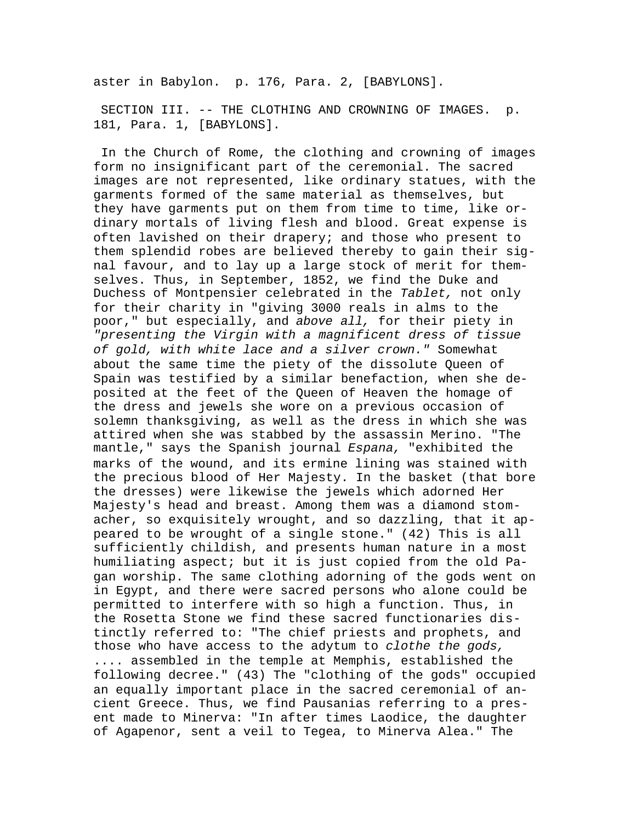aster in Babylon. p. 176, Para. 2, [BABYLONS].

 SECTION III. -- THE CLOTHING AND CROWNING OF IMAGES. p. 181, Para. 1, [BABYLONS].

 In the Church of Rome, the clothing and crowning of images form no insignificant part of the ceremonial. The sacred images are not represented, like ordinary statues, with the garments formed of the same material as themselves, but they have garments put on them from time to time, like ordinary mortals of living flesh and blood. Great expense is often lavished on their drapery; and those who present to them splendid robes are believed thereby to gain their signal favour, and to lay up a large stock of merit for themselves. Thus, in September, 1852, we find the Duke and Duchess of Montpensier celebrated in the *Tablet,* not only for their charity in "giving 3000 reals in alms to the poor," but especially, and *above all,* for their piety in *"presenting the Virgin with a magnificent dress of tissue of gold, with white lace and a silver crown."* Somewhat about the same time the piety of the dissolute Queen of Spain was testified by a similar benefaction, when she deposited at the feet of the Queen of Heaven the homage of the dress and jewels she wore on a previous occasion of solemn thanksgiving, as well as the dress in which she was attired when she was stabbed by the assassin Merino. "The mantle," says the Spanish journal *Espana,* "exhibited the marks of the wound, and its ermine lining was stained with the precious blood of Her Majesty. In the basket (that bore the dresses) were likewise the jewels which adorned Her Majesty's head and breast. Among them was a diamond stomacher, so exquisitely wrought, and so dazzling, that it appeared to be wrought of a single stone." (42) This is all sufficiently childish, and presents human nature in a most humiliating aspect; but it is just copied from the old Pagan worship. The same clothing adorning of the gods went on in Egypt, and there were sacred persons who alone could be permitted to interfere with so high a function. Thus, in the Rosetta Stone we find these sacred functionaries distinctly referred to: "The chief priests and prophets, and those who have access to the adytum to *clothe the gods,* .... assembled in the temple at Memphis, established the following decree." (43) The "clothing of the gods" occupied an equally important place in the sacred ceremonial of ancient Greece. Thus, we find Pausanias referring to a present made to Minerva: "In after times Laodice, the daughter of Agapenor, sent a veil to Tegea, to Minerva Alea." The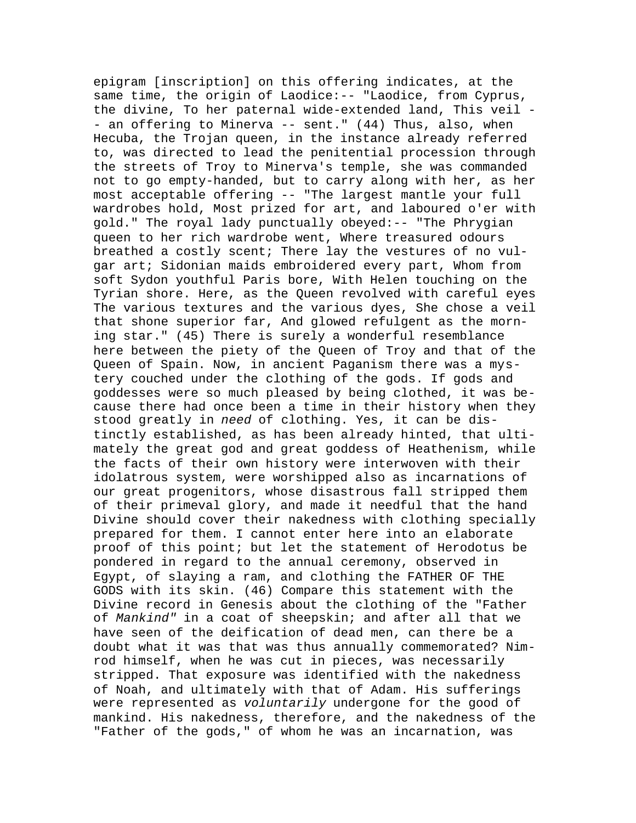epigram [inscription] on this offering indicates, at the same time, the origin of Laodice:-- "Laodice, from Cyprus, the divine, To her paternal wide-extended land, This veil - - an offering to Minerva -- sent." (44) Thus, also, when Hecuba, the Trojan queen, in the instance already referred to, was directed to lead the penitential procession through the streets of Troy to Minerva's temple, she was commanded not to go empty-handed, but to carry along with her, as her most acceptable offering -- "The largest mantle your full wardrobes hold, Most prized for art, and laboured o'er with gold." The royal lady punctually obeyed:-- "The Phrygian queen to her rich wardrobe went, Where treasured odours breathed a costly scent; There lay the vestures of no vulgar art; Sidonian maids embroidered every part, Whom from soft Sydon youthful Paris bore, With Helen touching on the Tyrian shore. Here, as the Queen revolved with careful eyes The various textures and the various dyes, She chose a veil that shone superior far, And glowed refulgent as the morning star." (45) There is surely a wonderful resemblance here between the piety of the Queen of Troy and that of the Queen of Spain. Now, in ancient Paganism there was a mystery couched under the clothing of the gods. If gods and goddesses were so much pleased by being clothed, it was because there had once been a time in their history when they stood greatly in *need* of clothing. Yes, it can be distinctly established, as has been already hinted, that ultimately the great god and great goddess of Heathenism, while the facts of their own history were interwoven with their idolatrous system, were worshipped also as incarnations of our great progenitors, whose disastrous fall stripped them of their primeval glory, and made it needful that the hand Divine should cover their nakedness with clothing specially prepared for them. I cannot enter here into an elaborate proof of this point; but let the statement of Herodotus be pondered in regard to the annual ceremony, observed in Egypt, of slaying a ram, and clothing the FATHER OF THE GODS with its skin. (46) Compare this statement with the Divine record in Genesis about the clothing of the "Father of *Mankind"* in a coat of sheepskin; and after all that we have seen of the deification of dead men, can there be a doubt what it was that was thus annually commemorated? Nimrod himself, when he was cut in pieces, was necessarily stripped. That exposure was identified with the nakedness of Noah, and ultimately with that of Adam. His sufferings were represented as *voluntarily* undergone for the good of mankind. His nakedness, therefore, and the nakedness of the "Father of the gods," of whom he was an incarnation, was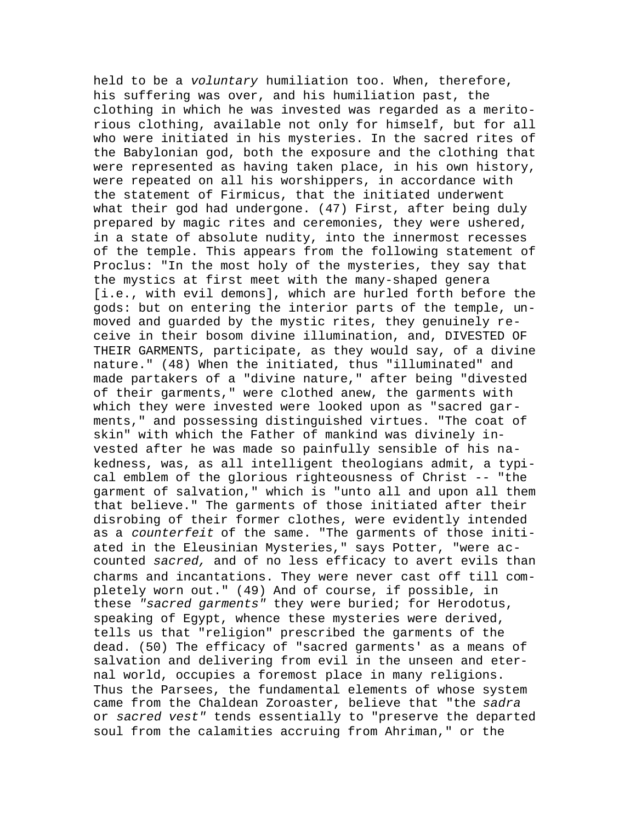held to be a *voluntary* humiliation too. When, therefore, his suffering was over, and his humiliation past, the clothing in which he was invested was regarded as a meritorious clothing, available not only for himself, but for all who were initiated in his mysteries. In the sacred rites of the Babylonian god, both the exposure and the clothing that were represented as having taken place, in his own history, were repeated on all his worshippers, in accordance with the statement of Firmicus, that the initiated underwent what their god had undergone. (47) First, after being duly prepared by magic rites and ceremonies, they were ushered, in a state of absolute nudity, into the innermost recesses of the temple. This appears from the following statement of Proclus: "In the most holy of the mysteries, they say that the mystics at first meet with the many-shaped genera [i.e., with evil demons], which are hurled forth before the gods: but on entering the interior parts of the temple, unmoved and guarded by the mystic rites, they genuinely receive in their bosom divine illumination, and, DIVESTED OF THEIR GARMENTS, participate, as they would say, of a divine nature." (48) When the initiated, thus "illuminated" and made partakers of a "divine nature," after being "divested of their garments," were clothed anew, the garments with which they were invested were looked upon as "sacred garments," and possessing distinguished virtues. "The coat of skin" with which the Father of mankind was divinely invested after he was made so painfully sensible of his nakedness, was, as all intelligent theologians admit, a typical emblem of the glorious righteousness of Christ -- "the garment of salvation," which is "unto all and upon all them that believe." The garments of those initiated after their disrobing of their former clothes, were evidently intended as a *counterfeit* of the same. "The garments of those initiated in the Eleusinian Mysteries," says Potter, "were accounted *sacred,* and of no less efficacy to avert evils than charms and incantations. They were never cast off till completely worn out." (49) And of course, if possible, in these *"sacred garments"* they were buried; for Herodotus, speaking of Egypt, whence these mysteries were derived, tells us that "religion" prescribed the garments of the dead. (50) The efficacy of "sacred garments' as a means of salvation and delivering from evil in the unseen and eternal world, occupies a foremost place in many religions. Thus the Parsees, the fundamental elements of whose system came from the Chaldean Zoroaster, believe that "the *sadra* or *sacred vest"* tends essentially to "preserve the departed soul from the calamities accruing from Ahriman," or the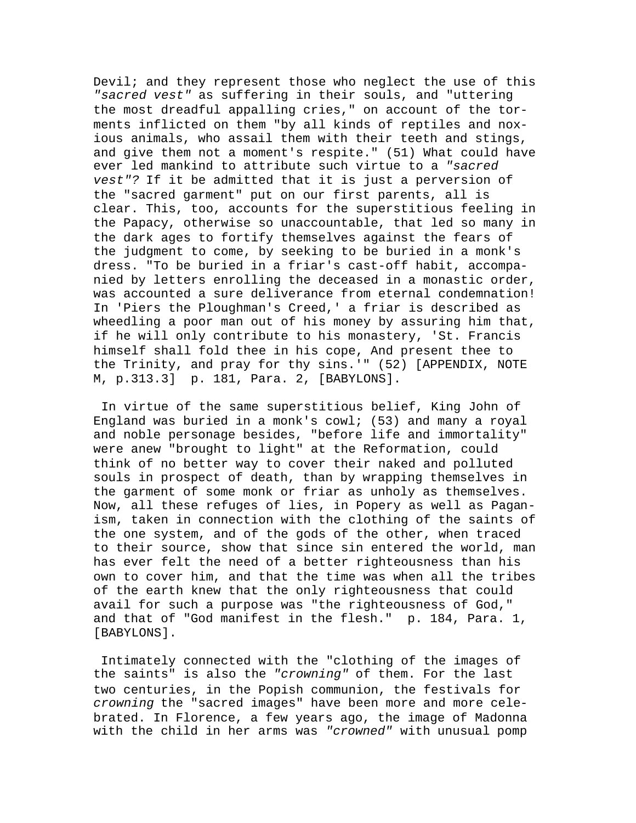Devil; and they represent those who neglect the use of this *"sacred vest"* as suffering in their souls, and "uttering the most dreadful appalling cries," on account of the torments inflicted on them "by all kinds of reptiles and noxious animals, who assail them with their teeth and stings, and give them not a moment's respite." (51) What could have ever led mankind to attribute such virtue to a *"sacred vest"?* If it be admitted that it is just a perversion of the "sacred garment" put on our first parents, all is clear. This, too, accounts for the superstitious feeling in the Papacy, otherwise so unaccountable, that led so many in the dark ages to fortify themselves against the fears of the judgment to come, by seeking to be buried in a monk's dress. "To be buried in a friar's cast-off habit, accompanied by letters enrolling the deceased in a monastic order, was accounted a sure deliverance from eternal condemnation! In 'Piers the Ploughman's Creed,' a friar is described as wheedling a poor man out of his money by assuring him that, if he will only contribute to his monastery, 'St. Francis himself shall fold thee in his cope, And present thee to the Trinity, and pray for thy sins.'" (52) [APPENDIX, NOTE M, p.313.3] p. 181, Para. 2, [BABYLONS].

 In virtue of the same superstitious belief, King John of England was buried in a monk's cowl; (53) and many a royal and noble personage besides, "before life and immortality" were anew "brought to light" at the Reformation, could think of no better way to cover their naked and polluted souls in prospect of death, than by wrapping themselves in the garment of some monk or friar as unholy as themselves. Now, all these refuges of lies, in Popery as well as Paganism, taken in connection with the clothing of the saints of the one system, and of the gods of the other, when traced to their source, show that since sin entered the world, man has ever felt the need of a better righteousness than his own to cover him, and that the time was when all the tribes of the earth knew that the only righteousness that could avail for such a purpose was "the righteousness of God," and that of "God manifest in the flesh." p. 184, Para. 1, [BABYLONS].

 Intimately connected with the "clothing of the images of the saints" is also the *"crowning"* of them. For the last two centuries, in the Popish communion, the festivals for *crowning* the "sacred images" have been more and more celebrated. In Florence, a few years ago, the image of Madonna with the child in her arms was *"crowned"* with unusual pomp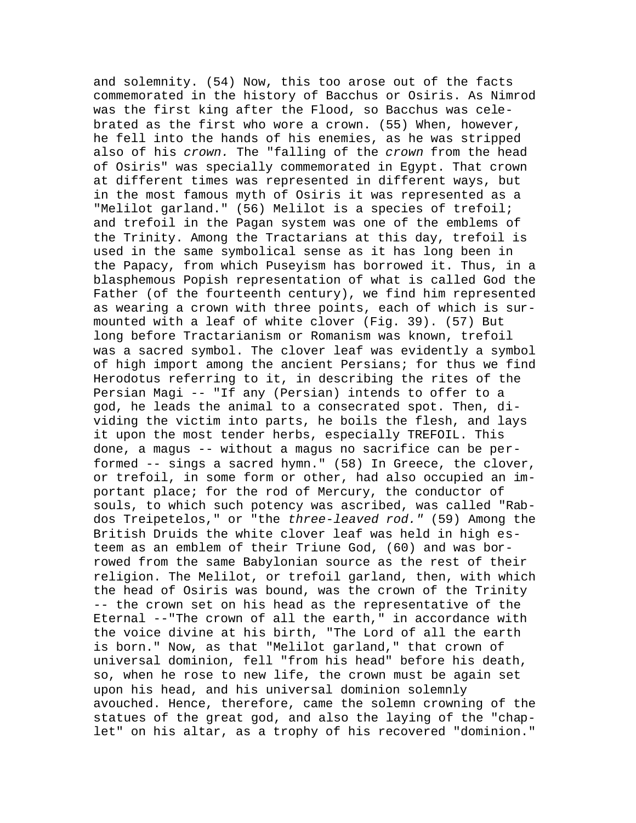and solemnity. (54) Now, this too arose out of the facts commemorated in the history of Bacchus or Osiris. As Nimrod was the first king after the Flood, so Bacchus was celebrated as the first who wore a crown. (55) When, however, he fell into the hands of his enemies, as he was stripped also of his *crown.* The "falling of the *crown* from the head of Osiris" was specially commemorated in Egypt. That crown at different times was represented in different ways, but in the most famous myth of Osiris it was represented as a "Melilot garland." (56) Melilot is a species of trefoil; and trefoil in the Pagan system was one of the emblems of the Trinity. Among the Tractarians at this day, trefoil is used in the same symbolical sense as it has long been in the Papacy, from which Puseyism has borrowed it. Thus, in a blasphemous Popish representation of what is called God the Father (of the fourteenth century), we find him represented as wearing a crown with three points, each of which is surmounted with a leaf of white clover (Fig. 39). (57) But long before Tractarianism or Romanism was known, trefoil was a sacred symbol. The clover leaf was evidently a symbol of high import among the ancient Persians; for thus we find Herodotus referring to it, in describing the rites of the Persian Magi -- "If any (Persian) intends to offer to a god, he leads the animal to a consecrated spot. Then, dividing the victim into parts, he boils the flesh, and lays it upon the most tender herbs, especially TREFOIL. This done, a magus -- without a magus no sacrifice can be performed -- sings a sacred hymn." (58) In Greece, the clover, or trefoil, in some form or other, had also occupied an important place; for the rod of Mercury, the conductor of souls, to which such potency was ascribed, was called "Rabdos Treipetelos," or "the *three-leaved rod."* (59) Among the British Druids the white clover leaf was held in high esteem as an emblem of their Triune God, (60) and was borrowed from the same Babylonian source as the rest of their religion. The Melilot, or trefoil garland, then, with which the head of Osiris was bound, was the crown of the Trinity -- the crown set on his head as the representative of the Eternal --"The crown of all the earth," in accordance with the voice divine at his birth, "The Lord of all the earth is born." Now, as that "Melilot garland," that crown of universal dominion, fell "from his head" before his death, so, when he rose to new life, the crown must be again set upon his head, and his universal dominion solemnly avouched. Hence, therefore, came the solemn crowning of the statues of the great god, and also the laying of the "chaplet" on his altar, as a trophy of his recovered "dominion."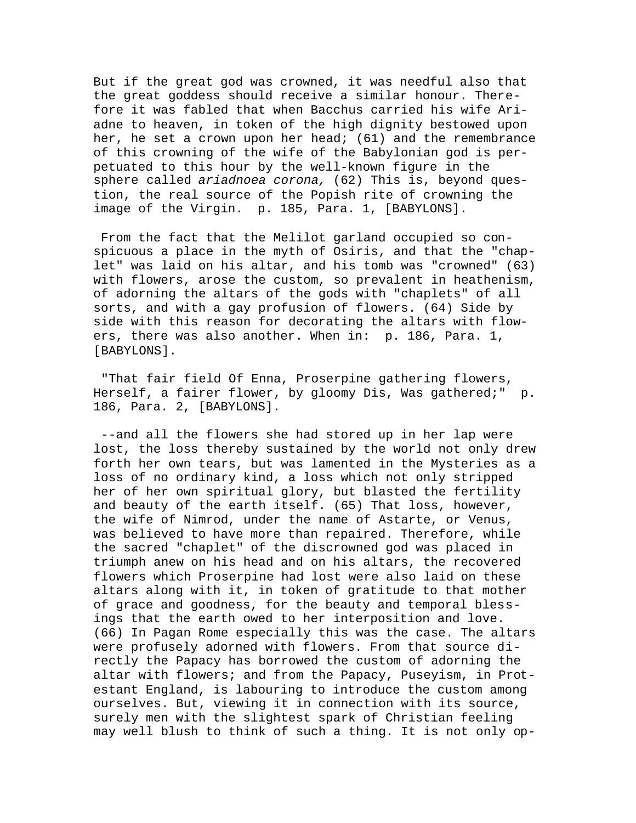But if the great god was crowned, it was needful also that the great goddess should receive a similar honour. Therefore it was fabled that when Bacchus carried his wife Ariadne to heaven, in token of the high dignity bestowed upon her, he set a crown upon her head; (61) and the remembrance of this crowning of the wife of the Babylonian god is perpetuated to this hour by the well-known figure in the sphere called *ariadnoea corona,* (62) This is, beyond question, the real source of the Popish rite of crowning the image of the Virgin. p. 185, Para. 1, [BABYLONS].

 From the fact that the Melilot garland occupied so conspicuous a place in the myth of Osiris, and that the "chaplet" was laid on his altar, and his tomb was "crowned" (63) with flowers, arose the custom, so prevalent in heathenism, of adorning the altars of the gods with "chaplets" of all sorts, and with a gay profusion of flowers. (64) Side by side with this reason for decorating the altars with flowers, there was also another. When in: p. 186, Para. 1, [BABYLONS].

 "That fair field Of Enna, Proserpine gathering flowers, Herself, a fairer flower, by gloomy Dis, Was gathered;" p. 186, Para. 2, [BABYLONS].

 --and all the flowers she had stored up in her lap were lost, the loss thereby sustained by the world not only drew forth her own tears, but was lamented in the Mysteries as a loss of no ordinary kind, a loss which not only stripped her of her own spiritual glory, but blasted the fertility and beauty of the earth itself. (65) That loss, however, the wife of Nimrod, under the name of Astarte, or Venus, was believed to have more than repaired. Therefore, while the sacred "chaplet" of the discrowned god was placed in triumph anew on his head and on his altars, the recovered flowers which Proserpine had lost were also laid on these altars along with it, in token of gratitude to that mother of grace and goodness, for the beauty and temporal blessings that the earth owed to her interposition and love. (66) In Pagan Rome especially this was the case. The altars were profusely adorned with flowers. From that source directly the Papacy has borrowed the custom of adorning the altar with flowers; and from the Papacy, Puseyism, in Protestant England, is labouring to introduce the custom among ourselves. But, viewing it in connection with its source, surely men with the slightest spark of Christian feeling may well blush to think of such a thing. It is not only op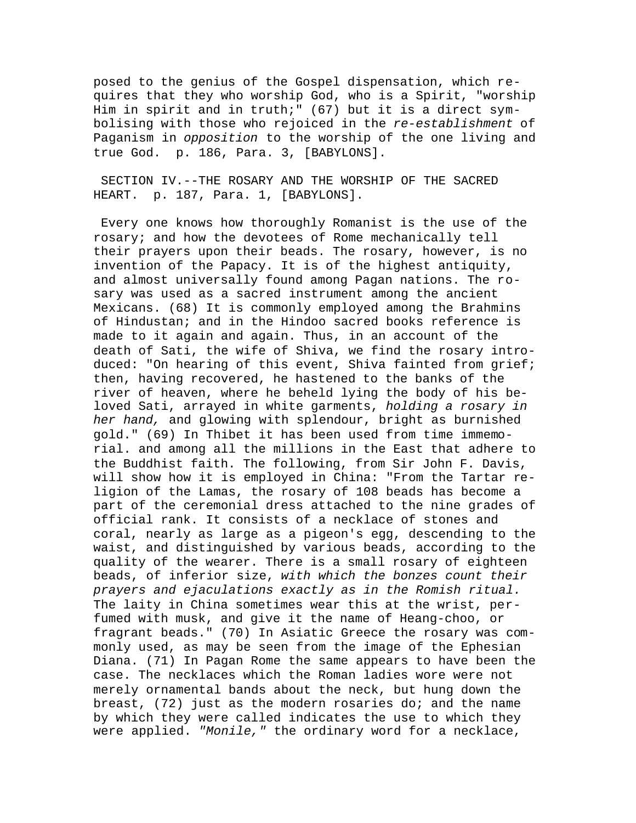posed to the genius of the Gospel dispensation, which requires that they who worship God, who is a Spirit, "worship Him in spirit and in truth;" (67) but it is a direct symbolising with those who rejoiced in the *re-establishment* of Paganism in *opposition* to the worship of the one living and true God. p. 186, Para. 3, [BABYLONS].

 SECTION IV.--THE ROSARY AND THE WORSHIP OF THE SACRED HEART. p. 187, Para. 1, [BABYLONS].

 Every one knows how thoroughly Romanist is the use of the rosary; and how the devotees of Rome mechanically tell their prayers upon their beads. The rosary, however, is no invention of the Papacy. It is of the highest antiquity, and almost universally found among Pagan nations. The rosary was used as a sacred instrument among the ancient Mexicans. (68) It is commonly employed among the Brahmins of Hindustan; and in the Hindoo sacred books reference is made to it again and again. Thus, in an account of the death of Sati, the wife of Shiva, we find the rosary introduced: "On hearing of this event, Shiva fainted from grief; then, having recovered, he hastened to the banks of the river of heaven, where he beheld lying the body of his beloved Sati, arrayed in white garments, *holding a rosary in her hand,* and glowing with splendour, bright as burnished gold." (69) In Thibet it has been used from time immemorial. and among all the millions in the East that adhere to the Buddhist faith. The following, from Sir John F. Davis, will show how it is employed in China: "From the Tartar religion of the Lamas, the rosary of 108 beads has become a part of the ceremonial dress attached to the nine grades of official rank. It consists of a necklace of stones and coral, nearly as large as a pigeon's egg, descending to the waist, and distinguished by various beads, according to the quality of the wearer. There is a small rosary of eighteen beads, of inferior size, *with which the bonzes count their prayers and ejaculations exactly as in the Romish ritual.* The laity in China sometimes wear this at the wrist, perfumed with musk, and give it the name of Heang-choo, or fragrant beads." (70) In Asiatic Greece the rosary was commonly used, as may be seen from the image of the Ephesian Diana. (71) In Pagan Rome the same appears to have been the case. The necklaces which the Roman ladies wore were not merely ornamental bands about the neck, but hung down the breast, (72) just as the modern rosaries do; and the name by which they were called indicates the use to which they were applied. *"Monile,"* the ordinary word for a necklace,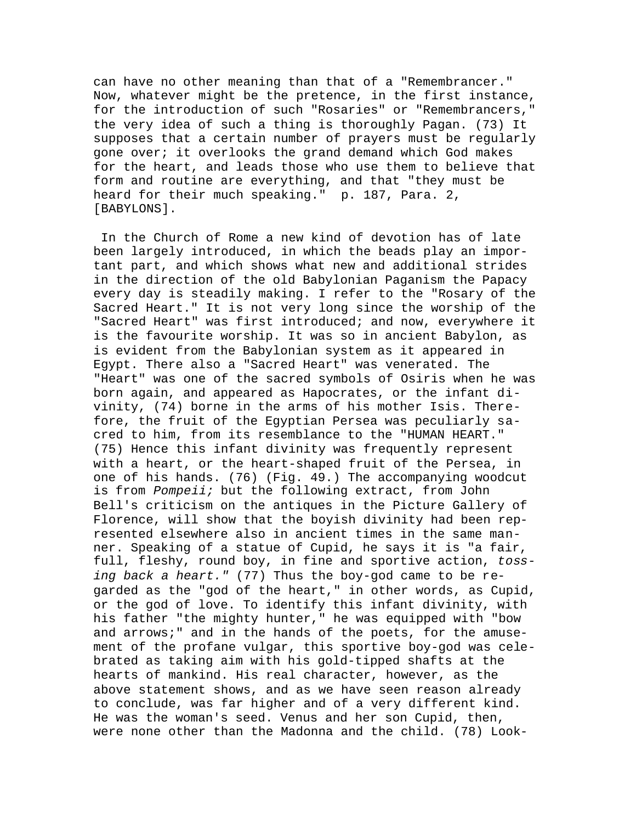can have no other meaning than that of a "Remembrancer." Now, whatever might be the pretence, in the first instance, for the introduction of such "Rosaries" or "Remembrancers," the very idea of such a thing is thoroughly Pagan. (73) It supposes that a certain number of prayers must be regularly gone over; it overlooks the grand demand which God makes for the heart, and leads those who use them to believe that form and routine are everything, and that "they must be heard for their much speaking." p. 187, Para. 2, [BABYLONS].

 In the Church of Rome a new kind of devotion has of late been largely introduced, in which the beads play an important part, and which shows what new and additional strides in the direction of the old Babylonian Paganism the Papacy every day is steadily making. I refer to the "Rosary of the Sacred Heart." It is not very long since the worship of the "Sacred Heart" was first introduced; and now, everywhere it is the favourite worship. It was so in ancient Babylon, as is evident from the Babylonian system as it appeared in Egypt. There also a "Sacred Heart" was venerated. The "Heart" was one of the sacred symbols of Osiris when he was born again, and appeared as Hapocrates, or the infant divinity, (74) borne in the arms of his mother Isis. Therefore, the fruit of the Egyptian Persea was peculiarly sacred to him, from its resemblance to the "HUMAN HEART." (75) Hence this infant divinity was frequently represent with a heart, or the heart-shaped fruit of the Persea, in one of his hands. (76) (Fig. 49.) The accompanying woodcut is from *Pompeii;* but the following extract, from John Bell's criticism on the antiques in the Picture Gallery of Florence, will show that the boyish divinity had been represented elsewhere also in ancient times in the same manner. Speaking of a statue of Cupid, he says it is "a fair, full, fleshy, round boy, in fine and sportive action, *tossing back a heart."* (77) Thus the boy-god came to be regarded as the "god of the heart," in other words, as Cupid, or the god of love. To identify this infant divinity, with his father "the mighty hunter," he was equipped with "bow and arrows;" and in the hands of the poets, for the amusement of the profane vulgar, this sportive boy-god was celebrated as taking aim with his gold-tipped shafts at the hearts of mankind. His real character, however, as the above statement shows, and as we have seen reason already to conclude, was far higher and of a very different kind. He was the woman's seed. Venus and her son Cupid, then, were none other than the Madonna and the child. (78) Look-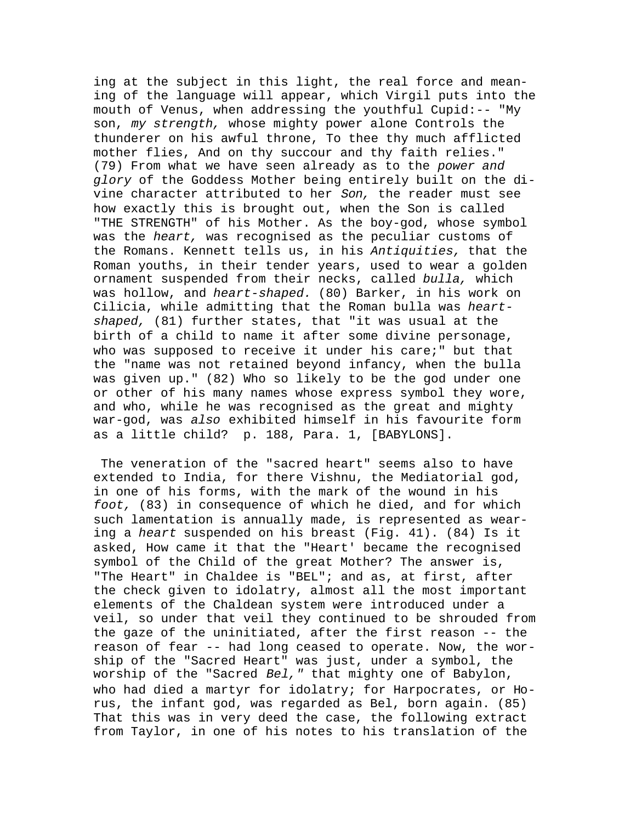ing at the subject in this light, the real force and meaning of the language will appear, which Virgil puts into the mouth of Venus, when addressing the youthful Cupid:-- "My son, *my strength,* whose mighty power alone Controls the thunderer on his awful throne, To thee thy much afflicted mother flies, And on thy succour and thy faith relies." (79) From what we have seen already as to the *power and glory* of the Goddess Mother being entirely built on the divine character attributed to her *Son,* the reader must see how exactly this is brought out, when the Son is called "THE STRENGTH" of his Mother. As the boy-god, whose symbol was the *heart,* was recognised as the peculiar customs of the Romans. Kennett tells us, in his *Antiquities,* that the Roman youths, in their tender years, used to wear a golden ornament suspended from their necks, called *bulla,* which was hollow, and *heart-shaped.* (80) Barker, in his work on Cilicia, while admitting that the Roman bulla was *heartshaped,* (81) further states, that "it was usual at the birth of a child to name it after some divine personage, who was supposed to receive it under his care;" but that the "name was not retained beyond infancy, when the bulla was given up." (82) Who so likely to be the god under one or other of his many names whose express symbol they wore, and who, while he was recognised as the great and mighty war-god, was *also* exhibited himself in his favourite form as a little child? p. 188, Para. 1, [BABYLONS].

 The veneration of the "sacred heart" seems also to have extended to India, for there Vishnu, the Mediatorial god, in one of his forms, with the mark of the wound in his *foot,* (83) in consequence of which he died, and for which such lamentation is annually made, is represented as wearing a *heart* suspended on his breast (Fig. 41). (84) Is it asked, How came it that the "Heart' became the recognised symbol of the Child of the great Mother? The answer is, "The Heart" in Chaldee is "BEL"; and as, at first, after the check given to idolatry, almost all the most important elements of the Chaldean system were introduced under a veil, so under that veil they continued to be shrouded from the gaze of the uninitiated, after the first reason -- the reason of fear -- had long ceased to operate. Now, the worship of the "Sacred Heart" was just, under a symbol, the worship of the "Sacred *Bel,"* that mighty one of Babylon, who had died a martyr for idolatry; for Harpocrates, or Horus, the infant god, was regarded as Bel, born again. (85) That this was in very deed the case, the following extract from Taylor, in one of his notes to his translation of the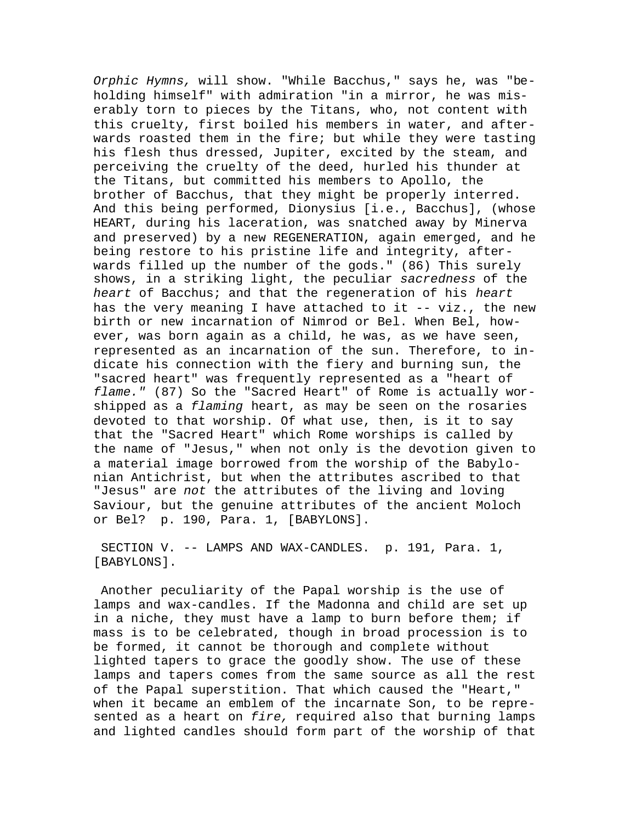*Orphic Hymns,* will show. "While Bacchus," says he, was "beholding himself" with admiration "in a mirror, he was miserably torn to pieces by the Titans, who, not content with this cruelty, first boiled his members in water, and afterwards roasted them in the fire; but while they were tasting his flesh thus dressed, Jupiter, excited by the steam, and perceiving the cruelty of the deed, hurled his thunder at the Titans, but committed his members to Apollo, the brother of Bacchus, that they might be properly interred. And this being performed, Dionysius [i.e., Bacchus], (whose HEART, during his laceration, was snatched away by Minerva and preserved) by a new REGENERATION, again emerged, and he being restore to his pristine life and integrity, afterwards filled up the number of the gods." (86) This surely shows, in a striking light, the peculiar *sacredness* of the *heart* of Bacchus; and that the regeneration of his *heart* has the very meaning I have attached to it  $-$ - viz., the new birth or new incarnation of Nimrod or Bel. When Bel, however, was born again as a child, he was, as we have seen, represented as an incarnation of the sun. Therefore, to indicate his connection with the fiery and burning sun, the "sacred heart" was frequently represented as a "heart of *flame."* (87) So the "Sacred Heart" of Rome is actually worshipped as a *flaming* heart, as may be seen on the rosaries devoted to that worship. Of what use, then, is it to say that the "Sacred Heart" which Rome worships is called by the name of "Jesus," when not only is the devotion given to a material image borrowed from the worship of the Babylonian Antichrist, but when the attributes ascribed to that "Jesus" are *not* the attributes of the living and loving Saviour, but the genuine attributes of the ancient Moloch or Bel? p. 190, Para. 1, [BABYLONS].

 SECTION V. -- LAMPS AND WAX-CANDLES. p. 191, Para. 1, [BABYLONS].

 Another peculiarity of the Papal worship is the use of lamps and wax-candles. If the Madonna and child are set up in a niche, they must have a lamp to burn before them; if mass is to be celebrated, though in broad procession is to be formed, it cannot be thorough and complete without lighted tapers to grace the goodly show. The use of these lamps and tapers comes from the same source as all the rest of the Papal superstition. That which caused the "Heart," when it became an emblem of the incarnate Son, to be represented as a heart on *fire,* required also that burning lamps and lighted candles should form part of the worship of that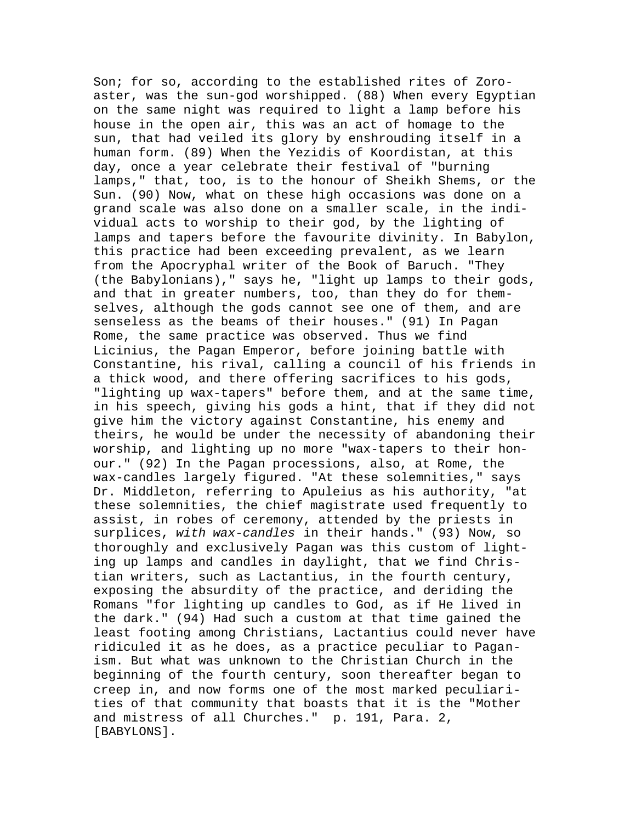Son; for so, according to the established rites of Zoroaster, was the sun-god worshipped. (88) When every Egyptian on the same night was required to light a lamp before his house in the open air, this was an act of homage to the sun, that had veiled its glory by enshrouding itself in a human form. (89) When the Yezidis of Koordistan, at this day, once a year celebrate their festival of "burning lamps," that, too, is to the honour of Sheikh Shems, or the Sun. (90) Now, what on these high occasions was done on a grand scale was also done on a smaller scale, in the individual acts to worship to their god, by the lighting of lamps and tapers before the favourite divinity. In Babylon, this practice had been exceeding prevalent, as we learn from the Apocryphal writer of the Book of Baruch. "They (the Babylonians)," says he, "light up lamps to their gods, and that in greater numbers, too, than they do for themselves, although the gods cannot see one of them, and are senseless as the beams of their houses." (91) In Pagan Rome, the same practice was observed. Thus we find Licinius, the Pagan Emperor, before joining battle with Constantine, his rival, calling a council of his friends in a thick wood, and there offering sacrifices to his gods, "lighting up wax-tapers" before them, and at the same time, in his speech, giving his gods a hint, that if they did not give him the victory against Constantine, his enemy and theirs, he would be under the necessity of abandoning their worship, and lighting up no more "wax-tapers to their honour." (92) In the Pagan processions, also, at Rome, the wax-candles largely figured. "At these solemnities," says Dr. Middleton, referring to Apuleius as his authority, "at these solemnities, the chief magistrate used frequently to assist, in robes of ceremony, attended by the priests in surplices, *with wax-candles* in their hands." (93) Now, so thoroughly and exclusively Pagan was this custom of lighting up lamps and candles in daylight, that we find Christian writers, such as Lactantius, in the fourth century, exposing the absurdity of the practice, and deriding the Romans "for lighting up candles to God, as if He lived in the dark." (94) Had such a custom at that time gained the least footing among Christians, Lactantius could never have ridiculed it as he does, as a practice peculiar to Paganism. But what was unknown to the Christian Church in the beginning of the fourth century, soon thereafter began to creep in, and now forms one of the most marked peculiarities of that community that boasts that it is the "Mother and mistress of all Churches." p. 191, Para. 2, [BABYLONS].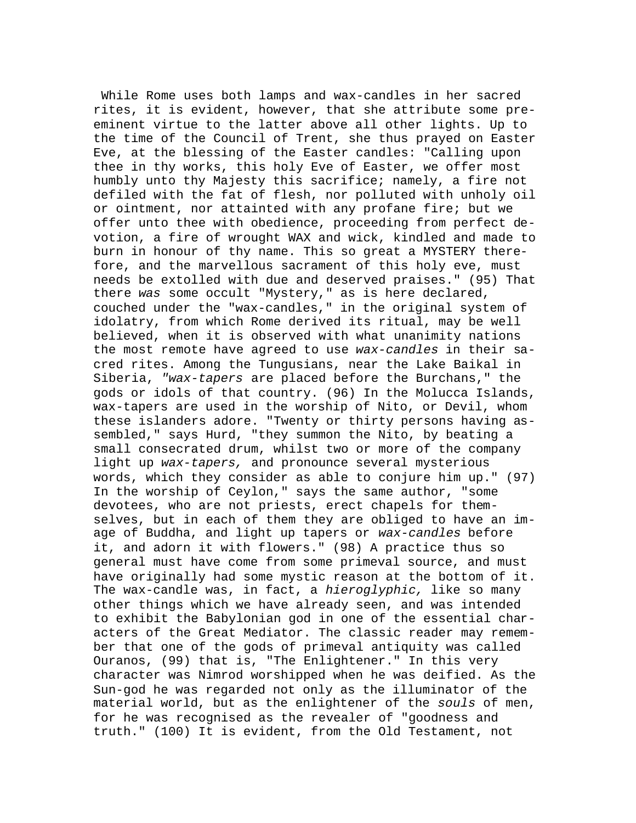While Rome uses both lamps and wax-candles in her sacred rites, it is evident, however, that she attribute some preeminent virtue to the latter above all other lights. Up to the time of the Council of Trent, she thus prayed on Easter Eve, at the blessing of the Easter candles: "Calling upon thee in thy works, this holy Eve of Easter, we offer most humbly unto thy Majesty this sacrifice; namely, a fire not defiled with the fat of flesh, nor polluted with unholy oil or ointment, nor attainted with any profane fire; but we offer unto thee with obedience, proceeding from perfect devotion, a fire of wrought WAX and wick, kindled and made to burn in honour of thy name. This so great a MYSTERY therefore, and the marvellous sacrament of this holy eve, must needs be extolled with due and deserved praises." (95) That there *was* some occult "Mystery," as is here declared, couched under the "wax-candles," in the original system of idolatry, from which Rome derived its ritual, may be well believed, when it is observed with what unanimity nations the most remote have agreed to use *wax-candles* in their sacred rites. Among the Tungusians, near the Lake Baikal in Siberia, *"wax-tapers* are placed before the Burchans," the gods or idols of that country. (96) In the Molucca Islands, wax-tapers are used in the worship of Nito, or Devil, whom these islanders adore. "Twenty or thirty persons having assembled," says Hurd, "they summon the Nito, by beating a small consecrated drum, whilst two or more of the company light up *wax-tapers,* and pronounce several mysterious words, which they consider as able to conjure him up." (97) In the worship of Ceylon," says the same author, "some devotees, who are not priests, erect chapels for themselves, but in each of them they are obliged to have an image of Buddha, and light up tapers or *wax-candles* before it, and adorn it with flowers." (98) A practice thus so general must have come from some primeval source, and must have originally had some mystic reason at the bottom of it. The wax-candle was, in fact, a *hieroglyphic,* like so many other things which we have already seen, and was intended to exhibit the Babylonian god in one of the essential characters of the Great Mediator. The classic reader may remember that one of the gods of primeval antiquity was called Ouranos, (99) that is, "The Enlightener." In this very character was Nimrod worshipped when he was deified. As the Sun-god he was regarded not only as the illuminator of the material world, but as the enlightener of the *souls* of men, for he was recognised as the revealer of "goodness and truth." (100) It is evident, from the Old Testament, not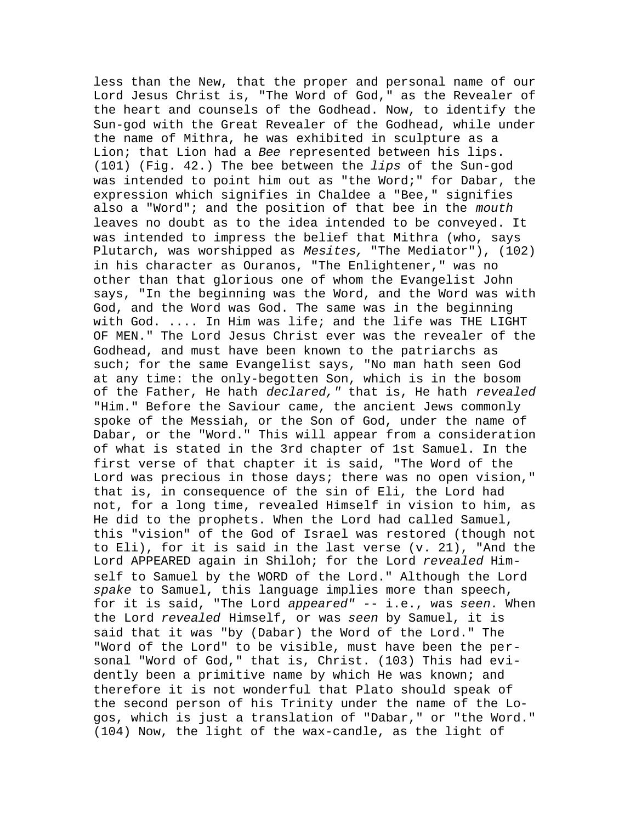less than the New, that the proper and personal name of our Lord Jesus Christ is, "The Word of God," as the Revealer of the heart and counsels of the Godhead. Now, to identify the Sun-god with the Great Revealer of the Godhead, while under the name of Mithra, he was exhibited in sculpture as a Lion; that Lion had a *Bee* represented between his lips. (101) (Fig. 42.) The bee between the *lips* of the Sun-god was intended to point him out as "the Word;" for Dabar, the expression which signifies in Chaldee a "Bee," signifies also a "Word"; and the position of that bee in the *mouth* leaves no doubt as to the idea intended to be conveyed. It was intended to impress the belief that Mithra (who, says Plutarch, was worshipped as *Mesites,* "The Mediator"), (102) in his character as Ouranos, "The Enlightener," was no other than that glorious one of whom the Evangelist John says, "In the beginning was the Word, and the Word was with God, and the Word was God. The same was in the beginning with God. .... In Him was life; and the life was THE LIGHT OF MEN." The Lord Jesus Christ ever was the revealer of the Godhead, and must have been known to the patriarchs as such; for the same Evangelist says, "No man hath seen God at any time: the only-begotten Son, which is in the bosom of the Father, He hath *declared,"* that is, He hath *revealed* "Him." Before the Saviour came, the ancient Jews commonly spoke of the Messiah, or the Son of God, under the name of Dabar, or the "Word." This will appear from a consideration of what is stated in the 3rd chapter of 1st Samuel. In the first verse of that chapter it is said, "The Word of the Lord was precious in those days; there was no open vision," that is, in consequence of the sin of Eli, the Lord had not, for a long time, revealed Himself in vision to him, as He did to the prophets. When the Lord had called Samuel, this "vision" of the God of Israel was restored (though not to Eli), for it is said in the last verse (v. 21), "And the Lord APPEARED again in Shiloh; for the Lord *revealed* Himself to Samuel by the WORD of the Lord." Although the Lord *spake* to Samuel, this language implies more than speech, for it is said, "The Lord *appeared"* -- i.e., was *seen.* When the Lord *revealed* Himself, or was *seen* by Samuel, it is said that it was "by (Dabar) the Word of the Lord." The "Word of the Lord" to be visible, must have been the personal "Word of God," that is, Christ. (103) This had evidently been a primitive name by which He was known; and therefore it is not wonderful that Plato should speak of the second person of his Trinity under the name of the Logos, which is just a translation of "Dabar," or "the Word." (104) Now, the light of the wax-candle, as the light of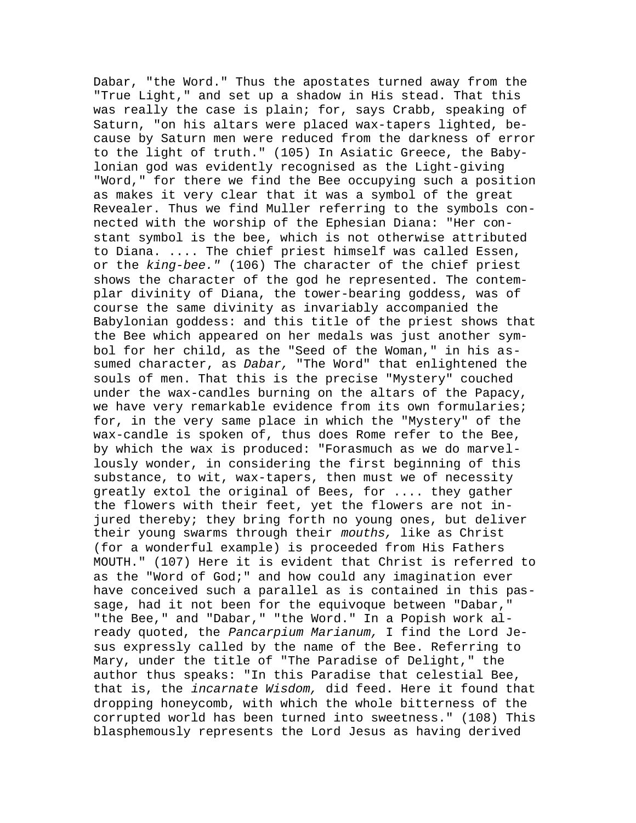Dabar, "the Word." Thus the apostates turned away from the "True Light," and set up a shadow in His stead. That this was really the case is plain; for, says Crabb, speaking of Saturn, "on his altars were placed wax-tapers lighted, because by Saturn men were reduced from the darkness of error to the light of truth." (105) In Asiatic Greece, the Babylonian god was evidently recognised as the Light-giving "Word," for there we find the Bee occupying such a position as makes it very clear that it was a symbol of the great Revealer. Thus we find Muller referring to the symbols connected with the worship of the Ephesian Diana: "Her constant symbol is the bee, which is not otherwise attributed to Diana. .... The chief priest himself was called Essen, or the *king-bee."* (106) The character of the chief priest shows the character of the god he represented. The contemplar divinity of Diana, the tower-bearing goddess, was of course the same divinity as invariably accompanied the Babylonian goddess: and this title of the priest shows that the Bee which appeared on her medals was just another symbol for her child, as the "Seed of the Woman," in his assumed character, as *Dabar,* "The Word" that enlightened the souls of men. That this is the precise "Mystery" couched under the wax-candles burning on the altars of the Papacy, we have very remarkable evidence from its own formularies; for, in the very same place in which the "Mystery" of the wax-candle is spoken of, thus does Rome refer to the Bee, by which the wax is produced: "Forasmuch as we do marvellously wonder, in considering the first beginning of this substance, to wit, wax-tapers, then must we of necessity greatly extol the original of Bees, for .... they gather the flowers with their feet, yet the flowers are not injured thereby; they bring forth no young ones, but deliver their young swarms through their *mouths,* like as Christ (for a wonderful example) is proceeded from His Fathers MOUTH." (107) Here it is evident that Christ is referred to as the "Word of God;" and how could any imagination ever have conceived such a parallel as is contained in this passage, had it not been for the equivoque between "Dabar," "the Bee," and "Dabar," "the Word." In a Popish work already quoted, the *Pancarpium Marianum,* I find the Lord Jesus expressly called by the name of the Bee. Referring to Mary, under the title of "The Paradise of Delight," the author thus speaks: "In this Paradise that celestial Bee, that is, the *incarnate Wisdom,* did feed. Here it found that dropping honeycomb, with which the whole bitterness of the corrupted world has been turned into sweetness." (108) This blasphemously represents the Lord Jesus as having derived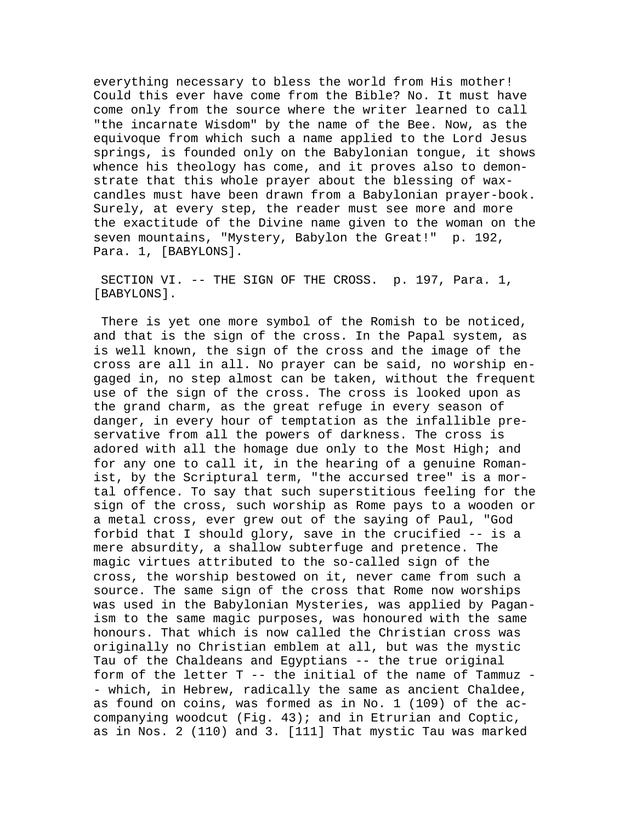everything necessary to bless the world from His mother! Could this ever have come from the Bible? No. It must have come only from the source where the writer learned to call "the incarnate Wisdom" by the name of the Bee. Now, as the equivoque from which such a name applied to the Lord Jesus springs, is founded only on the Babylonian tongue, it shows whence his theology has come, and it proves also to demonstrate that this whole prayer about the blessing of waxcandles must have been drawn from a Babylonian prayer-book. Surely, at every step, the reader must see more and more the exactitude of the Divine name given to the woman on the seven mountains, "Mystery, Babylon the Great!" p. 192, Para. 1, [BABYLONS].

 SECTION VI. -- THE SIGN OF THE CROSS. p. 197, Para. 1, [BABYLONS].

 There is yet one more symbol of the Romish to be noticed, and that is the sign of the cross. In the Papal system, as is well known, the sign of the cross and the image of the cross are all in all. No prayer can be said, no worship engaged in, no step almost can be taken, without the frequent use of the sign of the cross. The cross is looked upon as the grand charm, as the great refuge in every season of danger, in every hour of temptation as the infallible preservative from all the powers of darkness. The cross is adored with all the homage due only to the Most High; and for any one to call it, in the hearing of a genuine Romanist, by the Scriptural term, "the accursed tree" is a mortal offence. To say that such superstitious feeling for the sign of the cross, such worship as Rome pays to a wooden or a metal cross, ever grew out of the saying of Paul, "God forbid that I should glory, save in the crucified -- is a mere absurdity, a shallow subterfuge and pretence. The magic virtues attributed to the so-called sign of the cross, the worship bestowed on it, never came from such a source. The same sign of the cross that Rome now worships was used in the Babylonian Mysteries, was applied by Paganism to the same magic purposes, was honoured with the same honours. That which is now called the Christian cross was originally no Christian emblem at all, but was the mystic Tau of the Chaldeans and Egyptians -- the true original form of the letter T -- the initial of the name of Tammuz - - which, in Hebrew, radically the same as ancient Chaldee, as found on coins, was formed as in No. 1 (109) of the accompanying woodcut (Fig. 43); and in Etrurian and Coptic, as in Nos. 2 (110) and 3. [111] That mystic Tau was marked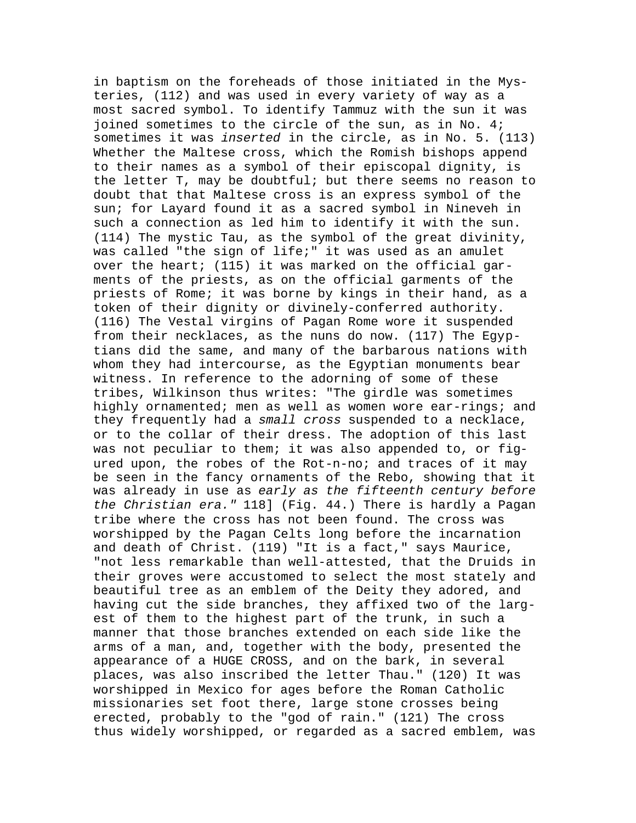in baptism on the foreheads of those initiated in the Mysteries, (112) and was used in every variety of way as a most sacred symbol. To identify Tammuz with the sun it was joined sometimes to the circle of the sun, as in No. 4; sometimes it was *inserted* in the circle, as in No. 5. (113) Whether the Maltese cross, which the Romish bishops append to their names as a symbol of their episcopal dignity, is the letter T, may be doubtful; but there seems no reason to doubt that that Maltese cross is an express symbol of the sun; for Layard found it as a sacred symbol in Nineveh in such a connection as led him to identify it with the sun. (114) The mystic Tau, as the symbol of the great divinity, was called "the sign of life;" it was used as an amulet over the heart; (115) it was marked on the official garments of the priests, as on the official garments of the priests of Rome; it was borne by kings in their hand, as a token of their dignity or divinely-conferred authority. (116) The Vestal virgins of Pagan Rome wore it suspended from their necklaces, as the nuns do now. (117) The Egyptians did the same, and many of the barbarous nations with whom they had intercourse, as the Egyptian monuments bear witness. In reference to the adorning of some of these tribes, Wilkinson thus writes: "The girdle was sometimes highly ornamented; men as well as women wore ear-rings; and they frequently had a *small cross* suspended to a necklace, or to the collar of their dress. The adoption of this last was not peculiar to them; it was also appended to, or figured upon, the robes of the Rot-n-no; and traces of it may be seen in the fancy ornaments of the Rebo, showing that it was already in use as *early as the fifteenth century before the Christian era."* 118] (Fig. 44.) There is hardly a Pagan tribe where the cross has not been found. The cross was worshipped by the Pagan Celts long before the incarnation and death of Christ. (119) "It is a fact," says Maurice, "not less remarkable than well-attested, that the Druids in their groves were accustomed to select the most stately and beautiful tree as an emblem of the Deity they adored, and having cut the side branches, they affixed two of the largest of them to the highest part of the trunk, in such a manner that those branches extended on each side like the arms of a man, and, together with the body, presented the appearance of a HUGE CROSS, and on the bark, in several places, was also inscribed the letter Thau." (120) It was worshipped in Mexico for ages before the Roman Catholic missionaries set foot there, large stone crosses being erected, probably to the "god of rain." (121) The cross thus widely worshipped, or regarded as a sacred emblem, was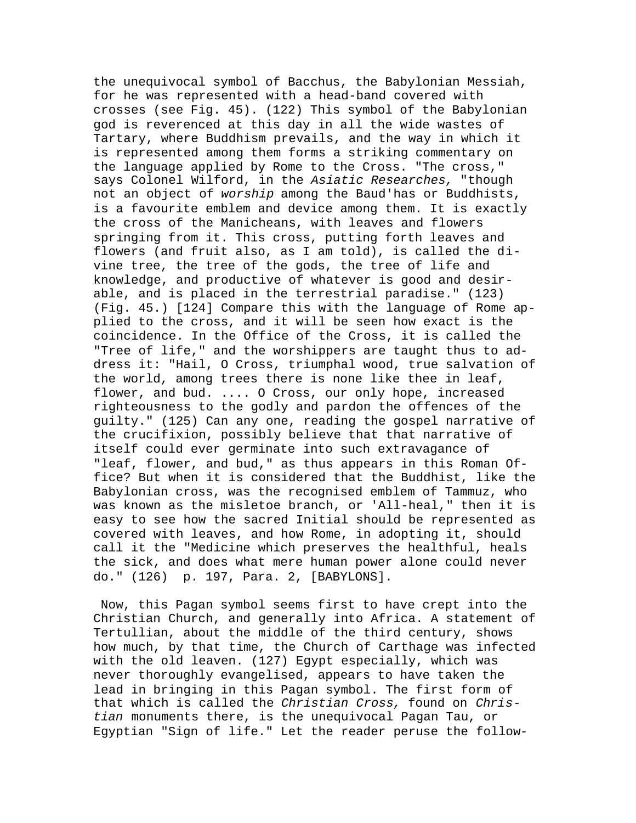the unequivocal symbol of Bacchus, the Babylonian Messiah, for he was represented with a head-band covered with crosses (see Fig. 45). (122) This symbol of the Babylonian god is reverenced at this day in all the wide wastes of Tartary, where Buddhism prevails, and the way in which it is represented among them forms a striking commentary on the language applied by Rome to the Cross. "The cross," says Colonel Wilford, in the *Asiatic Researches,* "though not an object of *worship* among the Baud'has or Buddhists, is a favourite emblem and device among them. It is exactly the cross of the Manicheans, with leaves and flowers springing from it. This cross, putting forth leaves and flowers (and fruit also, as I am told), is called the divine tree, the tree of the gods, the tree of life and knowledge, and productive of whatever is good and desirable, and is placed in the terrestrial paradise." (123) (Fig. 45.) [124] Compare this with the language of Rome applied to the cross, and it will be seen how exact is the coincidence. In the Office of the Cross, it is called the "Tree of life," and the worshippers are taught thus to address it: "Hail, O Cross, triumphal wood, true salvation of the world, among trees there is none like thee in leaf, flower, and bud. .... O Cross, our only hope, increased righteousness to the godly and pardon the offences of the guilty." (125) Can any one, reading the gospel narrative of the crucifixion, possibly believe that that narrative of itself could ever germinate into such extravagance of "leaf, flower, and bud," as thus appears in this Roman Office? But when it is considered that the Buddhist, like the Babylonian cross, was the recognised emblem of Tammuz, who was known as the misletoe branch, or 'All-heal," then it is easy to see how the sacred Initial should be represented as covered with leaves, and how Rome, in adopting it, should call it the "Medicine which preserves the healthful, heals the sick, and does what mere human power alone could never do." (126) p. 197, Para. 2, [BABYLONS].

 Now, this Pagan symbol seems first to have crept into the Christian Church, and generally into Africa. A statement of Tertullian, about the middle of the third century, shows how much, by that time, the Church of Carthage was infected with the old leaven. (127) Egypt especially, which was never thoroughly evangelised, appears to have taken the lead in bringing in this Pagan symbol. The first form of that which is called the *Christian Cross,* found on *Christian* monuments there, is the unequivocal Pagan Tau, or Egyptian "Sign of life." Let the reader peruse the follow-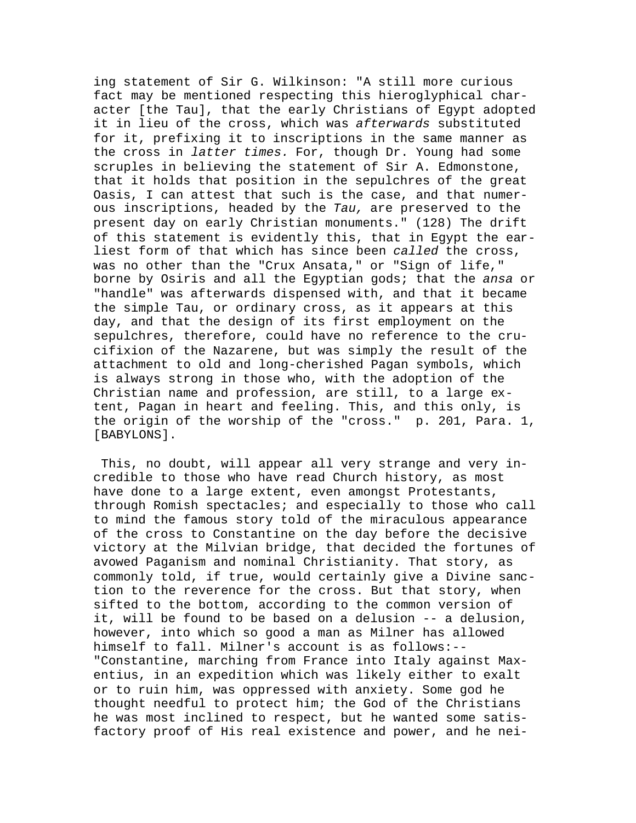ing statement of Sir G. Wilkinson: "A still more curious fact may be mentioned respecting this hieroglyphical character [the Tau], that the early Christians of Egypt adopted it in lieu of the cross, which was *afterwards* substituted for it, prefixing it to inscriptions in the same manner as the cross in *latter times.* For, though Dr. Young had some scruples in believing the statement of Sir A. Edmonstone, that it holds that position in the sepulchres of the great Oasis, I can attest that such is the case, and that numerous inscriptions, headed by the *Tau,* are preserved to the present day on early Christian monuments." (128) The drift of this statement is evidently this, that in Egypt the earliest form of that which has since been *called* the cross, was no other than the "Crux Ansata," or "Sign of life," borne by Osiris and all the Egyptian gods; that the *ansa* or "handle" was afterwards dispensed with, and that it became the simple Tau, or ordinary cross, as it appears at this day, and that the design of its first employment on the sepulchres, therefore, could have no reference to the crucifixion of the Nazarene, but was simply the result of the attachment to old and long-cherished Pagan symbols, which is always strong in those who, with the adoption of the Christian name and profession, are still, to a large extent, Pagan in heart and feeling. This, and this only, is the origin of the worship of the "cross." p. 201, Para. 1, [BABYLONS].

 This, no doubt, will appear all very strange and very incredible to those who have read Church history, as most have done to a large extent, even amongst Protestants, through Romish spectacles; and especially to those who call to mind the famous story told of the miraculous appearance of the cross to Constantine on the day before the decisive victory at the Milvian bridge, that decided the fortunes of avowed Paganism and nominal Christianity. That story, as commonly told, if true, would certainly give a Divine sanction to the reverence for the cross. But that story, when sifted to the bottom, according to the common version of it, will be found to be based on a delusion -- a delusion, however, into which so good a man as Milner has allowed himself to fall. Milner's account is as follows:-- "Constantine, marching from France into Italy against Maxentius, in an expedition which was likely either to exalt or to ruin him, was oppressed with anxiety. Some god he thought needful to protect him; the God of the Christians he was most inclined to respect, but he wanted some satisfactory proof of His real existence and power, and he nei-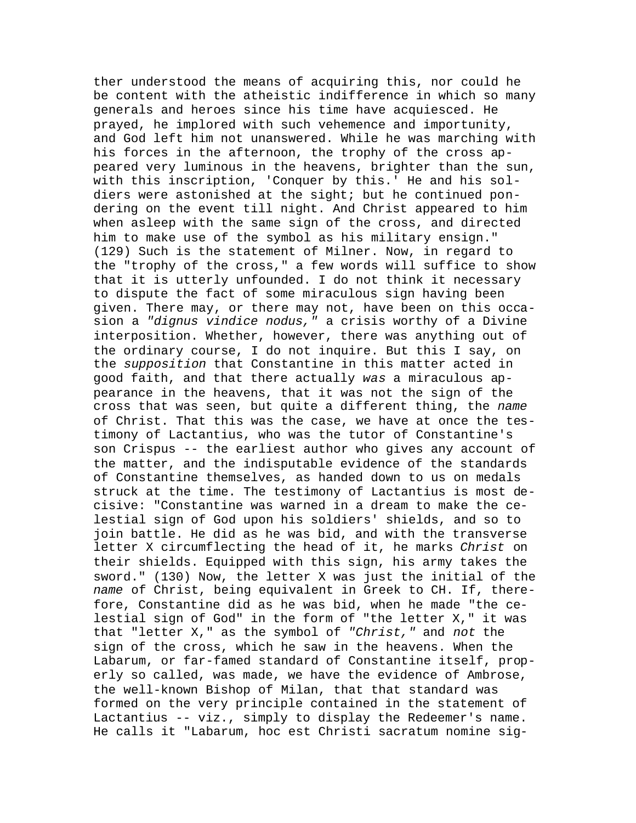ther understood the means of acquiring this, nor could he be content with the atheistic indifference in which so many generals and heroes since his time have acquiesced. He prayed, he implored with such vehemence and importunity, and God left him not unanswered. While he was marching with his forces in the afternoon, the trophy of the cross appeared very luminous in the heavens, brighter than the sun, with this inscription, 'Conquer by this.' He and his soldiers were astonished at the sight; but he continued pondering on the event till night. And Christ appeared to him when asleep with the same sign of the cross, and directed him to make use of the symbol as his military ensign." (129) Such is the statement of Milner. Now, in regard to the "trophy of the cross," a few words will suffice to show that it is utterly unfounded. I do not think it necessary to dispute the fact of some miraculous sign having been given. There may, or there may not, have been on this occasion a *"dignus vindice nodus,"* a crisis worthy of a Divine interposition. Whether, however, there was anything out of the ordinary course, I do not inquire. But this I say, on the *supposition* that Constantine in this matter acted in good faith, and that there actually *was* a miraculous appearance in the heavens, that it was not the sign of the cross that was seen, but quite a different thing, the *name* of Christ. That this was the case, we have at once the testimony of Lactantius, who was the tutor of Constantine's son Crispus -- the earliest author who gives any account of the matter, and the indisputable evidence of the standards of Constantine themselves, as handed down to us on medals struck at the time. The testimony of Lactantius is most decisive: "Constantine was warned in a dream to make the celestial sign of God upon his soldiers' shields, and so to join battle. He did as he was bid, and with the transverse letter X circumflecting the head of it, he marks *Christ* on their shields. Equipped with this sign, his army takes the sword." (130) Now, the letter X was just the initial of the *name* of Christ, being equivalent in Greek to CH. If, therefore, Constantine did as he was bid, when he made "the celestial sign of God" in the form of "the letter X," it was that "letter X," as the symbol of *"Christ,"* and *not* the sign of the cross, which he saw in the heavens. When the Labarum, or far-famed standard of Constantine itself, properly so called, was made, we have the evidence of Ambrose, the well-known Bishop of Milan, that that standard was formed on the very principle contained in the statement of Lactantius -- viz., simply to display the Redeemer's name. He calls it "Labarum, hoc est Christi sacratum nomine sig-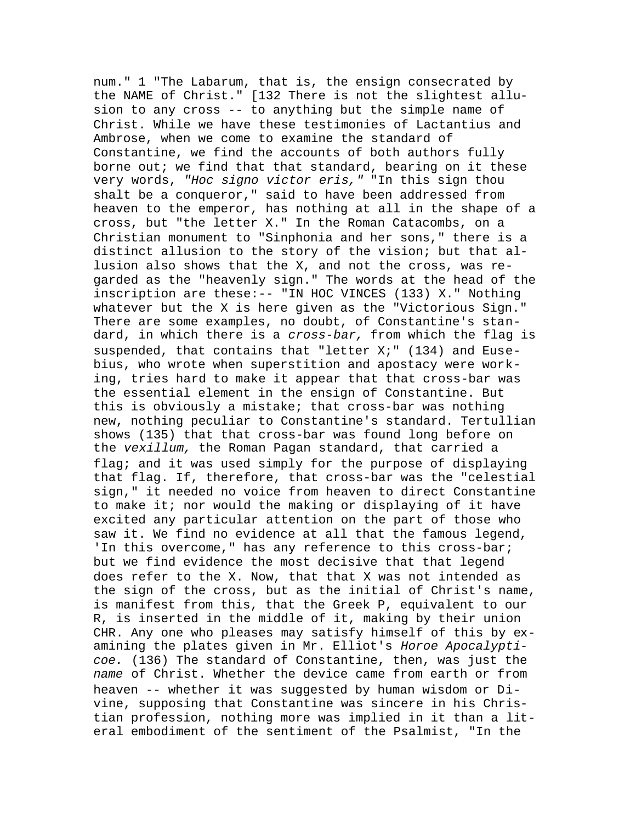num." 1 "The Labarum, that is, the ensign consecrated by the NAME of Christ." [132 There is not the slightest allusion to any cross -- to anything but the simple name of Christ. While we have these testimonies of Lactantius and Ambrose, when we come to examine the standard of Constantine, we find the accounts of both authors fully borne out; we find that that standard, bearing on it these very words, *"Hoc signo victor eris,"* "In this sign thou shalt be a conqueror," said to have been addressed from heaven to the emperor, has nothing at all in the shape of a cross, but "the letter X." In the Roman Catacombs, on a Christian monument to "Sinphonia and her sons," there is a distinct allusion to the story of the vision; but that allusion also shows that the X, and not the cross, was regarded as the "heavenly sign." The words at the head of the inscription are these:-- "IN HOC VINCES (133) X." Nothing whatever but the X is here given as the "Victorious Sign." There are some examples, no doubt, of Constantine's standard, in which there is a *cross-bar,* from which the flag is suspended, that contains that "letter X;" (134) and Eusebius, who wrote when superstition and apostacy were working, tries hard to make it appear that that cross-bar was the essential element in the ensign of Constantine. But this is obviously a mistake; that cross-bar was nothing new, nothing peculiar to Constantine's standard. Tertullian shows (135) that that cross-bar was found long before on the *vexillum,* the Roman Pagan standard, that carried a flag; and it was used simply for the purpose of displaying that flag. If, therefore, that cross-bar was the "celestial sign," it needed no voice from heaven to direct Constantine to make it; nor would the making or displaying of it have excited any particular attention on the part of those who saw it. We find no evidence at all that the famous legend, 'In this overcome," has any reference to this cross-bar; but we find evidence the most decisive that that legend does refer to the X. Now, that that X was not intended as the sign of the cross, but as the initial of Christ's name, is manifest from this, that the Greek P, equivalent to our R, is inserted in the middle of it, making by their union CHR. Any one who pleases may satisfy himself of this by examining the plates given in Mr. Elliot's *Horoe Apocalypticoe.* (136) The standard of Constantine, then, was just the *name* of Christ. Whether the device came from earth or from heaven -- whether it was suggested by human wisdom or Divine, supposing that Constantine was sincere in his Christian profession, nothing more was implied in it than a literal embodiment of the sentiment of the Psalmist, "In the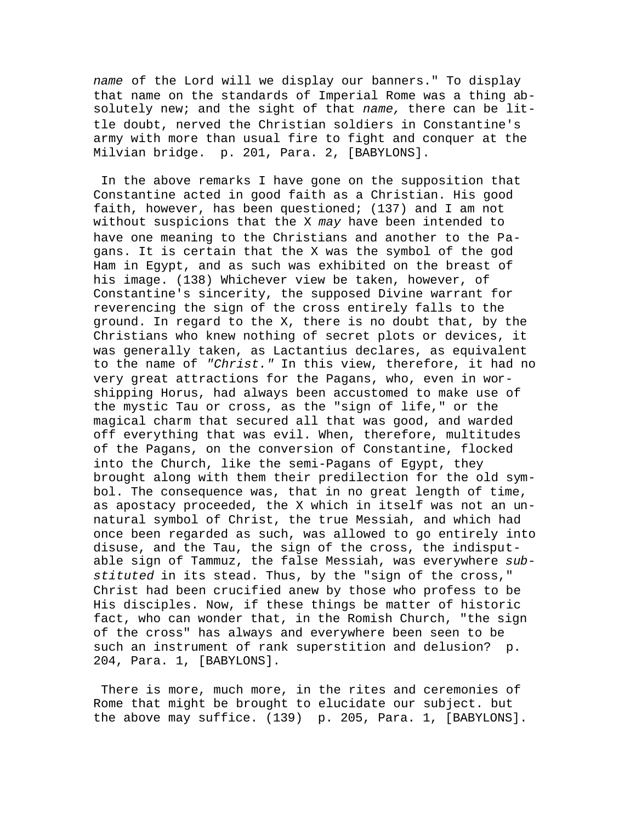*name* of the Lord will we display our banners." To display that name on the standards of Imperial Rome was a thing absolutely new; and the sight of that *name,* there can be little doubt, nerved the Christian soldiers in Constantine's army with more than usual fire to fight and conquer at the Milvian bridge. p. 201, Para. 2, [BABYLONS].

 In the above remarks I have gone on the supposition that Constantine acted in good faith as a Christian. His good faith, however, has been questioned; (137) and I am not without suspicions that the X *may* have been intended to have one meaning to the Christians and another to the Pagans. It is certain that the X was the symbol of the god Ham in Egypt, and as such was exhibited on the breast of his image. (138) Whichever view be taken, however, of Constantine's sincerity, the supposed Divine warrant for reverencing the sign of the cross entirely falls to the ground. In regard to the X, there is no doubt that, by the Christians who knew nothing of secret plots or devices, it was generally taken, as Lactantius declares, as equivalent to the name of *"Christ."* In this view, therefore, it had no very great attractions for the Pagans, who, even in worshipping Horus, had always been accustomed to make use of the mystic Tau or cross, as the "sign of life," or the magical charm that secured all that was good, and warded off everything that was evil. When, therefore, multitudes of the Pagans, on the conversion of Constantine, flocked into the Church, like the semi-Pagans of Egypt, they brought along with them their predilection for the old symbol. The consequence was, that in no great length of time, as apostacy proceeded, the X which in itself was not an unnatural symbol of Christ, the true Messiah, and which had once been regarded as such, was allowed to go entirely into disuse, and the Tau, the sign of the cross, the indisputable sign of Tammuz, the false Messiah, was everywhere *substituted* in its stead. Thus, by the "sign of the cross," Christ had been crucified anew by those who profess to be His disciples. Now, if these things be matter of historic fact, who can wonder that, in the Romish Church, "the sign of the cross" has always and everywhere been seen to be such an instrument of rank superstition and delusion? p. 204, Para. 1, [BABYLONS].

 There is more, much more, in the rites and ceremonies of Rome that might be brought to elucidate our subject. but the above may suffice. (139) p. 205, Para. 1, [BABYLONS].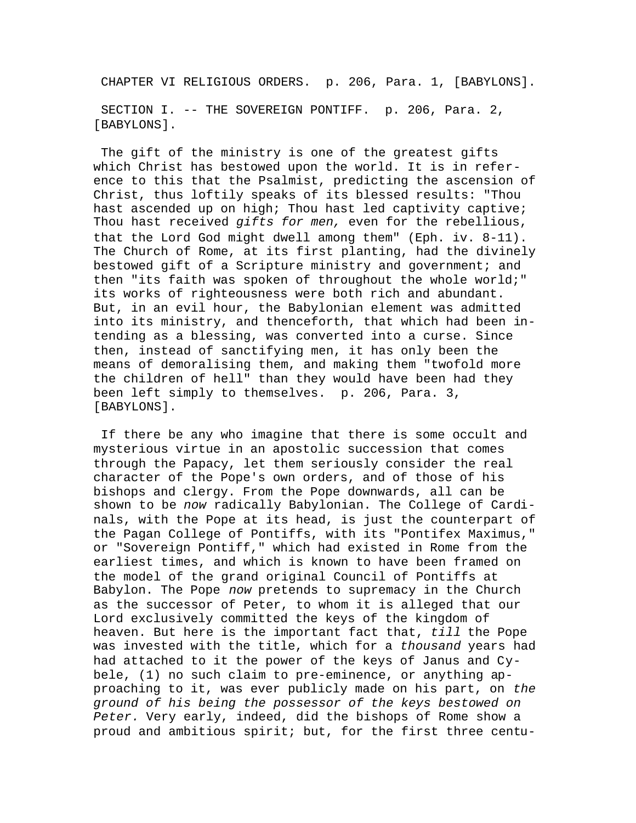CHAPTER VI RELIGIOUS ORDERS. p. 206, Para. 1, [BABYLONS].

SECTION I. -- THE SOVEREIGN PONTIFF. p. 206, Para. 2, [BABYLONS].

 The gift of the ministry is one of the greatest gifts which Christ has bestowed upon the world. It is in reference to this that the Psalmist, predicting the ascension of Christ, thus loftily speaks of its blessed results: "Thou hast ascended up on high; Thou hast led captivity captive; Thou hast received *gifts for men,* even for the rebellious, that the Lord God might dwell among them" (Eph. iv. 8-11). The Church of Rome, at its first planting, had the divinely bestowed gift of a Scripture ministry and government; and then "its faith was spoken of throughout the whole world;" its works of righteousness were both rich and abundant. But, in an evil hour, the Babylonian element was admitted into its ministry, and thenceforth, that which had been intending as a blessing, was converted into a curse. Since then, instead of sanctifying men, it has only been the means of demoralising them, and making them "twofold more the children of hell" than they would have been had they been left simply to themselves. p. 206, Para. 3, [BABYLONS].

 If there be any who imagine that there is some occult and mysterious virtue in an apostolic succession that comes through the Papacy, let them seriously consider the real character of the Pope's own orders, and of those of his bishops and clergy. From the Pope downwards, all can be shown to be *now* radically Babylonian. The College of Cardinals, with the Pope at its head, is just the counterpart of the Pagan College of Pontiffs, with its "Pontifex Maximus," or "Sovereign Pontiff," which had existed in Rome from the earliest times, and which is known to have been framed on the model of the grand original Council of Pontiffs at Babylon. The Pope *now* pretends to supremacy in the Church as the successor of Peter, to whom it is alleged that our Lord exclusively committed the keys of the kingdom of heaven. But here is the important fact that, *till* the Pope was invested with the title, which for a *thousand* years had had attached to it the power of the keys of Janus and Cybele, (1) no such claim to pre-eminence, or anything approaching to it, was ever publicly made on his part, on *the ground of his being the possessor of the keys bestowed on Peter.* Very early, indeed, did the bishops of Rome show a proud and ambitious spirit; but, for the first three centu-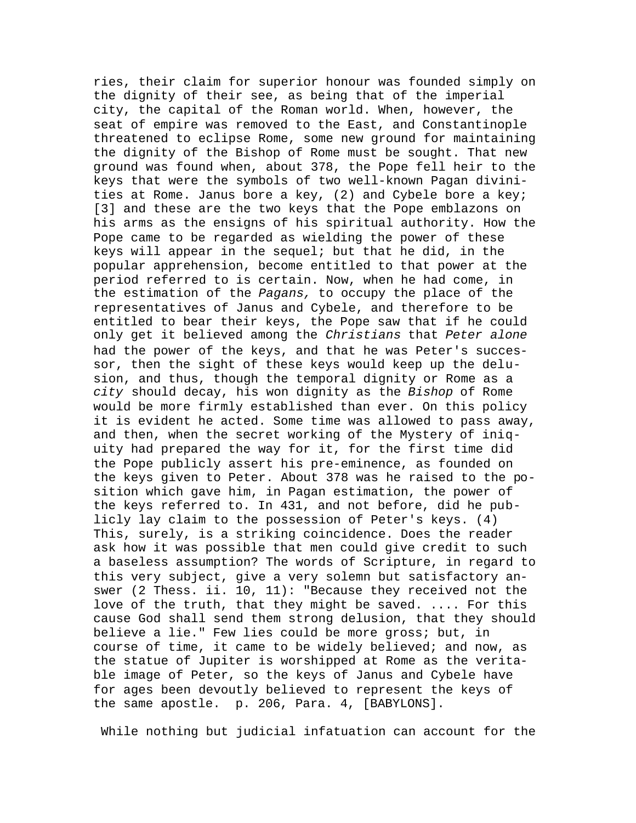ries, their claim for superior honour was founded simply on the dignity of their see, as being that of the imperial city, the capital of the Roman world. When, however, the seat of empire was removed to the East, and Constantinople threatened to eclipse Rome, some new ground for maintaining the dignity of the Bishop of Rome must be sought. That new ground was found when, about 378, the Pope fell heir to the keys that were the symbols of two well-known Pagan divinities at Rome. Janus bore a key, (2) and Cybele bore a key; [3] and these are the two keys that the Pope emblazons on his arms as the ensigns of his spiritual authority. How the Pope came to be regarded as wielding the power of these keys will appear in the sequel; but that he did, in the popular apprehension, become entitled to that power at the period referred to is certain. Now, when he had come, in the estimation of the *Pagans,* to occupy the place of the representatives of Janus and Cybele, and therefore to be entitled to bear their keys, the Pope saw that if he could only get it believed among the *Christians* that *Peter alone* had the power of the keys, and that he was Peter's successor, then the sight of these keys would keep up the delusion, and thus, though the temporal dignity or Rome as a *city* should decay, his won dignity as the *Bishop* of Rome would be more firmly established than ever. On this policy it is evident he acted. Some time was allowed to pass away, and then, when the secret working of the Mystery of iniquity had prepared the way for it, for the first time did the Pope publicly assert his pre-eminence, as founded on the keys given to Peter. About 378 was he raised to the position which gave him, in Pagan estimation, the power of the keys referred to. In 431, and not before, did he publicly lay claim to the possession of Peter's keys. (4) This, surely, is a striking coincidence. Does the reader ask how it was possible that men could give credit to such a baseless assumption? The words of Scripture, in regard to this very subject, give a very solemn but satisfactory answer (2 Thess. ii. 10, 11): "Because they received not the love of the truth, that they might be saved. .... For this cause God shall send them strong delusion, that they should believe a lie." Few lies could be more gross; but, in course of time, it came to be widely believed; and now, as the statue of Jupiter is worshipped at Rome as the veritable image of Peter, so the keys of Janus and Cybele have for ages been devoutly believed to represent the keys of the same apostle. p. 206, Para. 4, [BABYLONS].

While nothing but judicial infatuation can account for the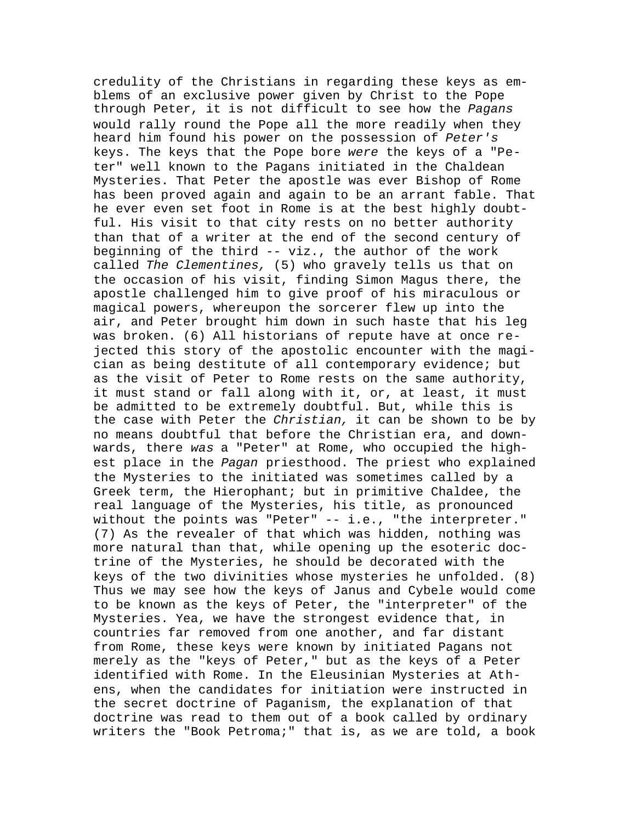credulity of the Christians in regarding these keys as emblems of an exclusive power given by Christ to the Pope through Peter, it is not difficult to see how the *Pagans* would rally round the Pope all the more readily when they heard him found his power on the possession of *Peter's* keys. The keys that the Pope bore *were* the keys of a "Peter" well known to the Pagans initiated in the Chaldean Mysteries. That Peter the apostle was ever Bishop of Rome has been proved again and again to be an arrant fable. That he ever even set foot in Rome is at the best highly doubtful. His visit to that city rests on no better authority than that of a writer at the end of the second century of beginning of the third -- viz., the author of the work called *The Clementines,* (5) who gravely tells us that on the occasion of his visit, finding Simon Magus there, the apostle challenged him to give proof of his miraculous or magical powers, whereupon the sorcerer flew up into the air, and Peter brought him down in such haste that his leg was broken. (6) All historians of repute have at once rejected this story of the apostolic encounter with the magician as being destitute of all contemporary evidence; but as the visit of Peter to Rome rests on the same authority, it must stand or fall along with it, or, at least, it must be admitted to be extremely doubtful. But, while this is the case with Peter the *Christian,* it can be shown to be by no means doubtful that before the Christian era, and downwards, there *was* a "Peter" at Rome, who occupied the highest place in the *Pagan* priesthood. The priest who explained the Mysteries to the initiated was sometimes called by a Greek term, the Hierophant; but in primitive Chaldee, the real language of the Mysteries, his title, as pronounced without the points was "Peter" -- i.e., "the interpreter." (7) As the revealer of that which was hidden, nothing was more natural than that, while opening up the esoteric doctrine of the Mysteries, he should be decorated with the keys of the two divinities whose mysteries he unfolded. (8) Thus we may see how the keys of Janus and Cybele would come to be known as the keys of Peter, the "interpreter" of the Mysteries. Yea, we have the strongest evidence that, in countries far removed from one another, and far distant from Rome, these keys were known by initiated Pagans not merely as the "keys of Peter," but as the keys of a Peter identified with Rome. In the Eleusinian Mysteries at Athens, when the candidates for initiation were instructed in the secret doctrine of Paganism, the explanation of that doctrine was read to them out of a book called by ordinary writers the "Book Petroma;" that is, as we are told, a book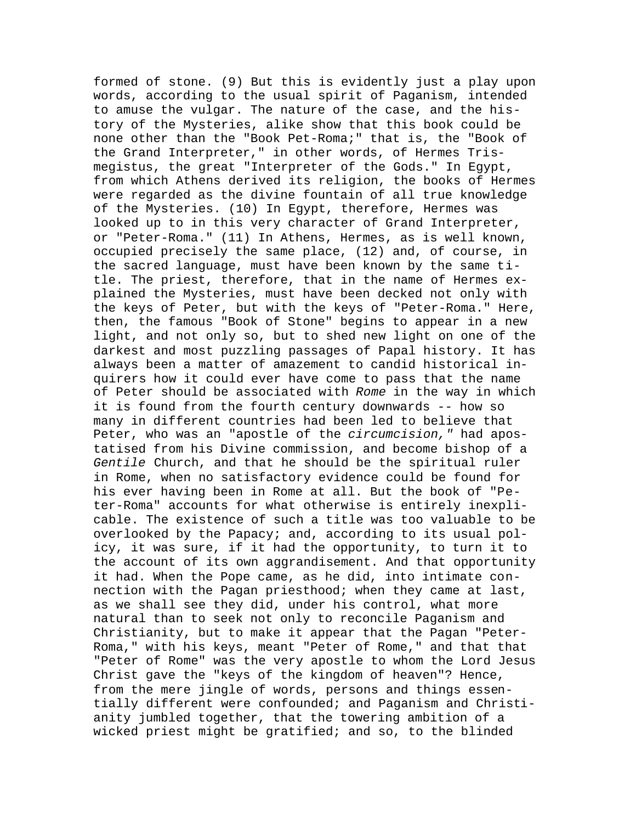formed of stone. (9) But this is evidently just a play upon words, according to the usual spirit of Paganism, intended to amuse the vulgar. The nature of the case, and the history of the Mysteries, alike show that this book could be none other than the "Book Pet-Roma;" that is, the "Book of the Grand Interpreter," in other words, of Hermes Trismegistus, the great "Interpreter of the Gods." In Egypt, from which Athens derived its religion, the books of Hermes were regarded as the divine fountain of all true knowledge of the Mysteries. (10) In Egypt, therefore, Hermes was looked up to in this very character of Grand Interpreter, or "Peter-Roma." (11) In Athens, Hermes, as is well known, occupied precisely the same place, (12) and, of course, in the sacred language, must have been known by the same title. The priest, therefore, that in the name of Hermes explained the Mysteries, must have been decked not only with the keys of Peter, but with the keys of "Peter-Roma." Here, then, the famous "Book of Stone" begins to appear in a new light, and not only so, but to shed new light on one of the darkest and most puzzling passages of Papal history. It has always been a matter of amazement to candid historical inquirers how it could ever have come to pass that the name of Peter should be associated with *Rome* in the way in which it is found from the fourth century downwards -- how so many in different countries had been led to believe that Peter, who was an "apostle of the *circumcision,"* had apostatised from his Divine commission, and become bishop of a *Gentile* Church, and that he should be the spiritual ruler in Rome, when no satisfactory evidence could be found for his ever having been in Rome at all. But the book of "Peter-Roma" accounts for what otherwise is entirely inexplicable. The existence of such a title was too valuable to be overlooked by the Papacy; and, according to its usual policy, it was sure, if it had the opportunity, to turn it to the account of its own aggrandisement. And that opportunity it had. When the Pope came, as he did, into intimate connection with the Pagan priesthood; when they came at last, as we shall see they did, under his control, what more natural than to seek not only to reconcile Paganism and Christianity, but to make it appear that the Pagan "Peter-Roma," with his keys, meant "Peter of Rome," and that that "Peter of Rome" was the very apostle to whom the Lord Jesus Christ gave the "keys of the kingdom of heaven"? Hence, from the mere jingle of words, persons and things essentially different were confounded; and Paganism and Christianity jumbled together, that the towering ambition of a wicked priest might be gratified; and so, to the blinded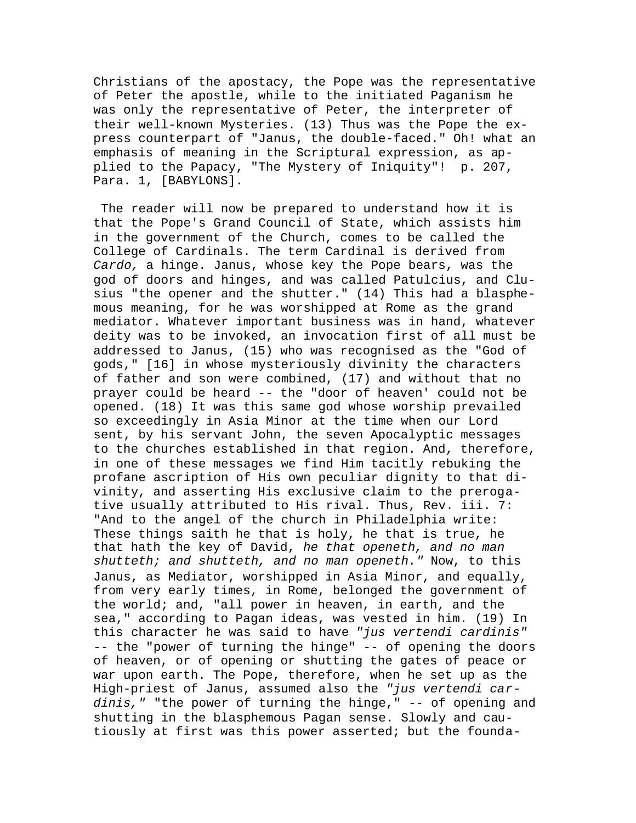Christians of the apostacy, the Pope was the representative of Peter the apostle, while to the initiated Paganism he was only the representative of Peter, the interpreter of their well-known Mysteries. (13) Thus was the Pope the express counterpart of "Janus, the double-faced." Oh! what an emphasis of meaning in the Scriptural expression, as applied to the Papacy, "The Mystery of Iniquity"! p. 207, Para. 1, [BABYLONS].

 The reader will now be prepared to understand how it is that the Pope's Grand Council of State, which assists him in the government of the Church, comes to be called the College of Cardinals. The term Cardinal is derived from *Cardo,* a hinge. Janus, whose key the Pope bears, was the god of doors and hinges, and was called Patulcius, and Clusius "the opener and the shutter." (14) This had a blasphemous meaning, for he was worshipped at Rome as the grand mediator. Whatever important business was in hand, whatever deity was to be invoked, an invocation first of all must be addressed to Janus, (15) who was recognised as the "God of gods," [16] in whose mysteriously divinity the characters of father and son were combined, (17) and without that no prayer could be heard -- the "door of heaven' could not be opened. (18) It was this same god whose worship prevailed so exceedingly in Asia Minor at the time when our Lord sent, by his servant John, the seven Apocalyptic messages to the churches established in that region. And, therefore, in one of these messages we find Him tacitly rebuking the profane ascription of His own peculiar dignity to that divinity, and asserting His exclusive claim to the prerogative usually attributed to His rival. Thus, Rev. iii. 7: "And to the angel of the church in Philadelphia write: These things saith he that is holy, he that is true, he that hath the key of David, *he that openeth, and no man shutteth; and shutteth, and no man openeth."* Now, to this Janus, as Mediator, worshipped in Asia Minor, and equally, from very early times, in Rome, belonged the government of the world; and, "all power in heaven, in earth, and the sea," according to Pagan ideas, was vested in him. (19) In this character he was said to have *"jus vertendi cardinis"* -- the "power of turning the hinge" -- of opening the doors of heaven, or of opening or shutting the gates of peace or war upon earth. The Pope, therefore, when he set up as the High-priest of Janus, assumed also the *"jus vertendi cardinis,"* "the power of turning the hinge," -- of opening and shutting in the blasphemous Pagan sense. Slowly and cautiously at first was this power asserted; but the founda-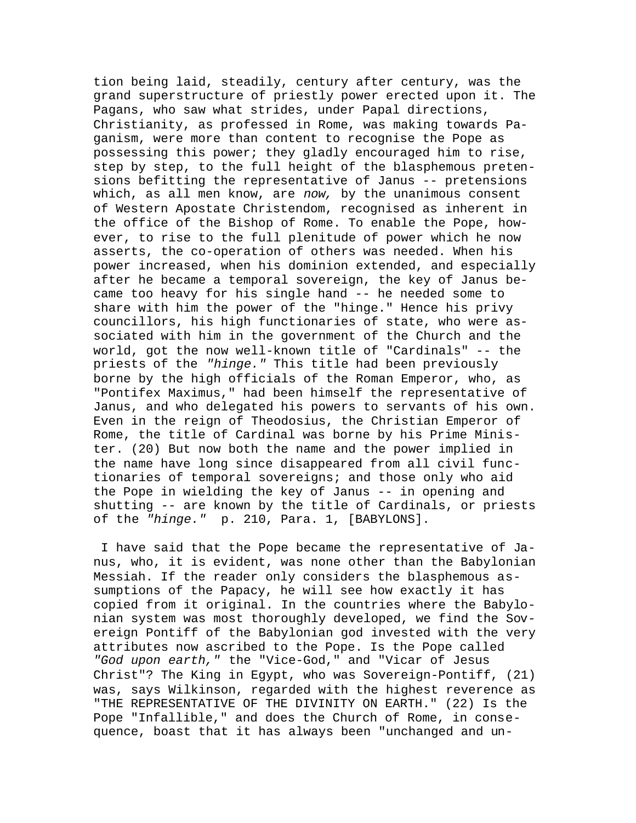tion being laid, steadily, century after century, was the grand superstructure of priestly power erected upon it. The Pagans, who saw what strides, under Papal directions, Christianity, as professed in Rome, was making towards Paganism, were more than content to recognise the Pope as possessing this power; they gladly encouraged him to rise, step by step, to the full height of the blasphemous pretensions befitting the representative of Janus -- pretensions which, as all men know, are *now,* by the unanimous consent of Western Apostate Christendom, recognised as inherent in the office of the Bishop of Rome. To enable the Pope, however, to rise to the full plenitude of power which he now asserts, the co-operation of others was needed. When his power increased, when his dominion extended, and especially after he became a temporal sovereign, the key of Janus became too heavy for his single hand -- he needed some to share with him the power of the "hinge." Hence his privy councillors, his high functionaries of state, who were associated with him in the government of the Church and the world, got the now well-known title of "Cardinals" -- the priests of the *"hinge."* This title had been previously borne by the high officials of the Roman Emperor, who, as "Pontifex Maximus," had been himself the representative of Janus, and who delegated his powers to servants of his own. Even in the reign of Theodosius, the Christian Emperor of Rome, the title of Cardinal was borne by his Prime Minister. (20) But now both the name and the power implied in the name have long since disappeared from all civil functionaries of temporal sovereigns; and those only who aid the Pope in wielding the key of Janus -- in opening and shutting -- are known by the title of Cardinals, or priests of the *"hinge."* p. 210, Para. 1, [BABYLONS].

 I have said that the Pope became the representative of Janus, who, it is evident, was none other than the Babylonian Messiah. If the reader only considers the blasphemous assumptions of the Papacy, he will see how exactly it has copied from it original. In the countries where the Babylonian system was most thoroughly developed, we find the Sovereign Pontiff of the Babylonian god invested with the very attributes now ascribed to the Pope. Is the Pope called *"God upon earth,"* the "Vice-God," and "Vicar of Jesus Christ"? The King in Egypt, who was Sovereign-Pontiff, (21) was, says Wilkinson, regarded with the highest reverence as "THE REPRESENTATIVE OF THE DIVINITY ON EARTH." (22) Is the Pope "Infallible," and does the Church of Rome, in consequence, boast that it has always been "unchanged and un-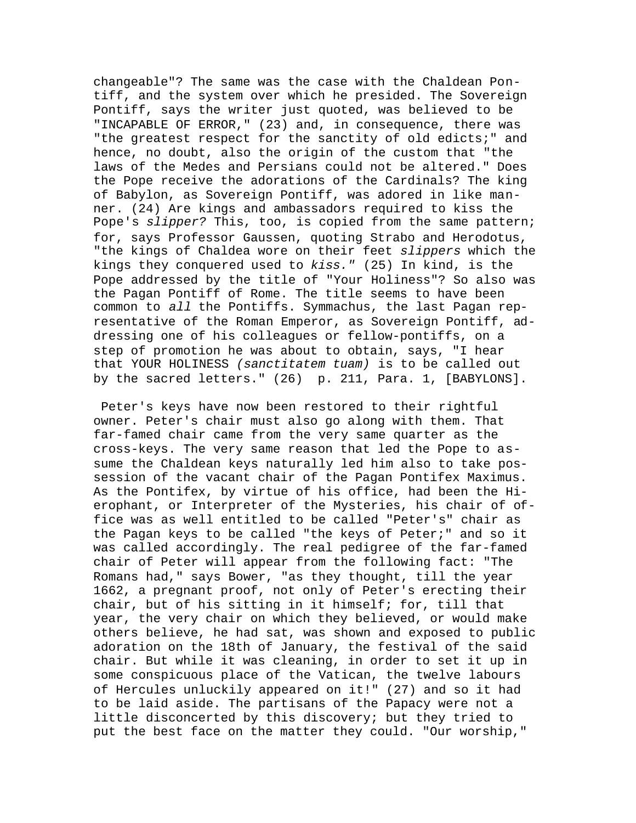changeable"? The same was the case with the Chaldean Pontiff, and the system over which he presided. The Sovereign Pontiff, says the writer just quoted, was believed to be "INCAPABLE OF ERROR," (23) and, in consequence, there was "the greatest respect for the sanctity of old edicts;" and hence, no doubt, also the origin of the custom that "the laws of the Medes and Persians could not be altered." Does the Pope receive the adorations of the Cardinals? The king of Babylon, as Sovereign Pontiff, was adored in like manner. (24) Are kings and ambassadors required to kiss the Pope's *slipper?* This, too, is copied from the same pattern; for, says Professor Gaussen, quoting Strabo and Herodotus, "the kings of Chaldea wore on their feet *slippers* which the kings they conquered used to *kiss."* (25) In kind, is the Pope addressed by the title of "Your Holiness"? So also was the Pagan Pontiff of Rome. The title seems to have been common to *all* the Pontiffs. Symmachus, the last Pagan representative of the Roman Emperor, as Sovereign Pontiff, addressing one of his colleagues or fellow-pontiffs, on a step of promotion he was about to obtain, says, "I hear that YOUR HOLINESS *(sanctitatem tuam)* is to be called out by the sacred letters." (26) p. 211, Para. 1, [BABYLONS].

 Peter's keys have now been restored to their rightful owner. Peter's chair must also go along with them. That far-famed chair came from the very same quarter as the cross-keys. The very same reason that led the Pope to assume the Chaldean keys naturally led him also to take possession of the vacant chair of the Pagan Pontifex Maximus. As the Pontifex, by virtue of his office, had been the Hierophant, or Interpreter of the Mysteries, his chair of office was as well entitled to be called "Peter's" chair as the Pagan keys to be called "the keys of Peter;" and so it was called accordingly. The real pedigree of the far-famed chair of Peter will appear from the following fact: "The Romans had," says Bower, "as they thought, till the year 1662, a pregnant proof, not only of Peter's erecting their chair, but of his sitting in it himself; for, till that year, the very chair on which they believed, or would make others believe, he had sat, was shown and exposed to public adoration on the 18th of January, the festival of the said chair. But while it was cleaning, in order to set it up in some conspicuous place of the Vatican, the twelve labours of Hercules unluckily appeared on it!" (27) and so it had to be laid aside. The partisans of the Papacy were not a little disconcerted by this discovery; but they tried to put the best face on the matter they could. "Our worship,"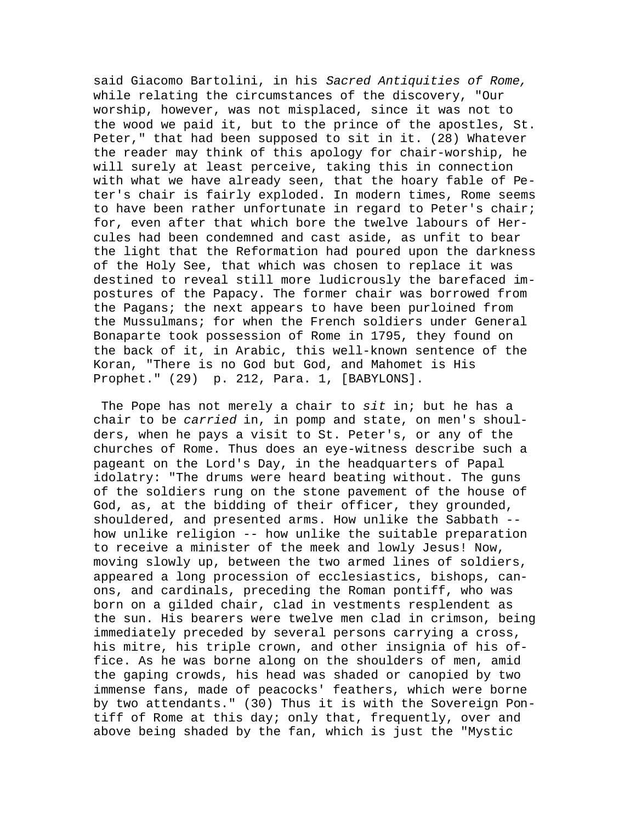said Giacomo Bartolini, in his *Sacred Antiquities of Rome,* while relating the circumstances of the discovery, "Our worship, however, was not misplaced, since it was not to the wood we paid it, but to the prince of the apostles, St. Peter," that had been supposed to sit in it. (28) Whatever the reader may think of this apology for chair-worship, he will surely at least perceive, taking this in connection with what we have already seen, that the hoary fable of Peter's chair is fairly exploded. In modern times, Rome seems to have been rather unfortunate in regard to Peter's chair; for, even after that which bore the twelve labours of Hercules had been condemned and cast aside, as unfit to bear the light that the Reformation had poured upon the darkness of the Holy See, that which was chosen to replace it was destined to reveal still more ludicrously the barefaced impostures of the Papacy. The former chair was borrowed from the Pagans; the next appears to have been purloined from the Mussulmans; for when the French soldiers under General Bonaparte took possession of Rome in 1795, they found on the back of it, in Arabic, this well-known sentence of the Koran, "There is no God but God, and Mahomet is His Prophet." (29) p. 212, Para. 1, [BABYLONS].

 The Pope has not merely a chair to *sit* in; but he has a chair to be *carried* in, in pomp and state, on men's shoulders, when he pays a visit to St. Peter's, or any of the churches of Rome. Thus does an eye-witness describe such a pageant on the Lord's Day, in the headquarters of Papal idolatry: "The drums were heard beating without. The guns of the soldiers rung on the stone pavement of the house of God, as, at the bidding of their officer, they grounded, shouldered, and presented arms. How unlike the Sabbath - how unlike religion -- how unlike the suitable preparation to receive a minister of the meek and lowly Jesus! Now, moving slowly up, between the two armed lines of soldiers, appeared a long procession of ecclesiastics, bishops, canons, and cardinals, preceding the Roman pontiff, who was born on a gilded chair, clad in vestments resplendent as the sun. His bearers were twelve men clad in crimson, being immediately preceded by several persons carrying a cross, his mitre, his triple crown, and other insignia of his office. As he was borne along on the shoulders of men, amid the gaping crowds, his head was shaded or canopied by two immense fans, made of peacocks' feathers, which were borne by two attendants." (30) Thus it is with the Sovereign Pontiff of Rome at this day; only that, frequently, over and above being shaded by the fan, which is just the "Mystic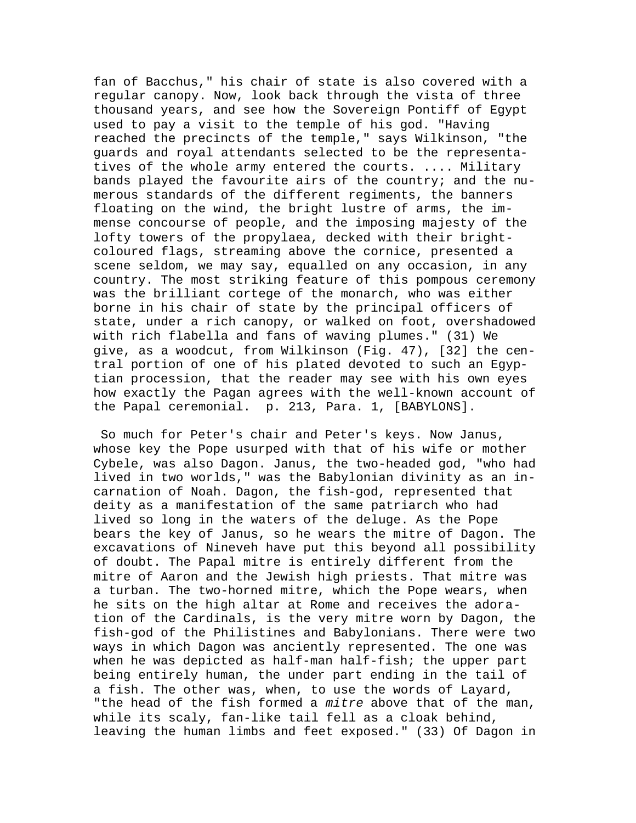fan of Bacchus," his chair of state is also covered with a regular canopy. Now, look back through the vista of three thousand years, and see how the Sovereign Pontiff of Egypt used to pay a visit to the temple of his god. "Having reached the precincts of the temple," says Wilkinson, "the guards and royal attendants selected to be the representatives of the whole army entered the courts. .... Military bands played the favourite airs of the country; and the numerous standards of the different regiments, the banners floating on the wind, the bright lustre of arms, the immense concourse of people, and the imposing majesty of the lofty towers of the propylaea, decked with their brightcoloured flags, streaming above the cornice, presented a scene seldom, we may say, equalled on any occasion, in any country. The most striking feature of this pompous ceremony was the brilliant cortege of the monarch, who was either borne in his chair of state by the principal officers of state, under a rich canopy, or walked on foot, overshadowed with rich flabella and fans of waving plumes." (31) We give, as a woodcut, from Wilkinson (Fig. 47), [32] the central portion of one of his plated devoted to such an Egyptian procession, that the reader may see with his own eyes how exactly the Pagan agrees with the well-known account of the Papal ceremonial. p. 213, Para. 1, [BABYLONS].

 So much for Peter's chair and Peter's keys. Now Janus, whose key the Pope usurped with that of his wife or mother Cybele, was also Dagon. Janus, the two-headed god, "who had lived in two worlds," was the Babylonian divinity as an incarnation of Noah. Dagon, the fish-god, represented that deity as a manifestation of the same patriarch who had lived so long in the waters of the deluge. As the Pope bears the key of Janus, so he wears the mitre of Dagon. The excavations of Nineveh have put this beyond all possibility of doubt. The Papal mitre is entirely different from the mitre of Aaron and the Jewish high priests. That mitre was a turban. The two-horned mitre, which the Pope wears, when he sits on the high altar at Rome and receives the adoration of the Cardinals, is the very mitre worn by Dagon, the fish-god of the Philistines and Babylonians. There were two ways in which Dagon was anciently represented. The one was when he was depicted as half-man half-fish; the upper part being entirely human, the under part ending in the tail of a fish. The other was, when, to use the words of Layard, "the head of the fish formed a *mitre* above that of the man, while its scaly, fan-like tail fell as a cloak behind, leaving the human limbs and feet exposed." (33) Of Dagon in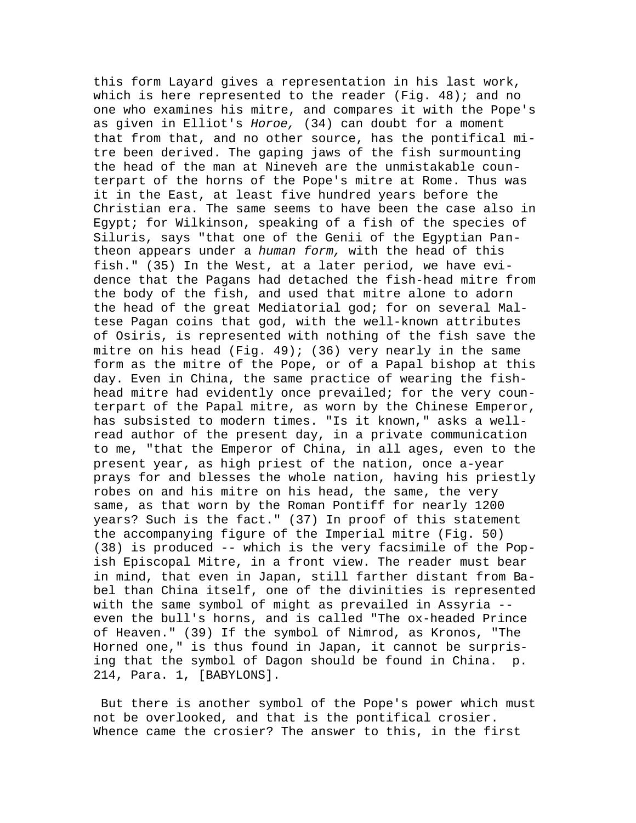this form Layard gives a representation in his last work, which is here represented to the reader (Fig.  $48$ ); and no one who examines his mitre, and compares it with the Pope's as given in Elliot's *Horoe,* (34) can doubt for a moment that from that, and no other source, has the pontifical mitre been derived. The gaping jaws of the fish surmounting the head of the man at Nineveh are the unmistakable counterpart of the horns of the Pope's mitre at Rome. Thus was it in the East, at least five hundred years before the Christian era. The same seems to have been the case also in Egypt; for Wilkinson, speaking of a fish of the species of Siluris, says "that one of the Genii of the Egyptian Pantheon appears under a *human form,* with the head of this fish." (35) In the West, at a later period, we have evidence that the Pagans had detached the fish-head mitre from the body of the fish, and used that mitre alone to adorn the head of the great Mediatorial god; for on several Maltese Pagan coins that god, with the well-known attributes of Osiris, is represented with nothing of the fish save the mitre on his head (Fig. 49); (36) very nearly in the same form as the mitre of the Pope, or of a Papal bishop at this day. Even in China, the same practice of wearing the fishhead mitre had evidently once prevailed; for the very counterpart of the Papal mitre, as worn by the Chinese Emperor, has subsisted to modern times. "Is it known," asks a wellread author of the present day, in a private communication to me, "that the Emperor of China, in all ages, even to the present year, as high priest of the nation, once a-year prays for and blesses the whole nation, having his priestly robes on and his mitre on his head, the same, the very same, as that worn by the Roman Pontiff for nearly 1200 years? Such is the fact." (37) In proof of this statement the accompanying figure of the Imperial mitre (Fig. 50) (38) is produced -- which is the very facsimile of the Popish Episcopal Mitre, in a front view. The reader must bear in mind, that even in Japan, still farther distant from Babel than China itself, one of the divinities is represented with the same symbol of might as prevailed in Assyria - even the bull's horns, and is called "The ox-headed Prince of Heaven." (39) If the symbol of Nimrod, as Kronos, "The Horned one," is thus found in Japan, it cannot be surprising that the symbol of Dagon should be found in China. p. 214, Para. 1, [BABYLONS].

 But there is another symbol of the Pope's power which must not be overlooked, and that is the pontifical crosier. Whence came the crosier? The answer to this, in the first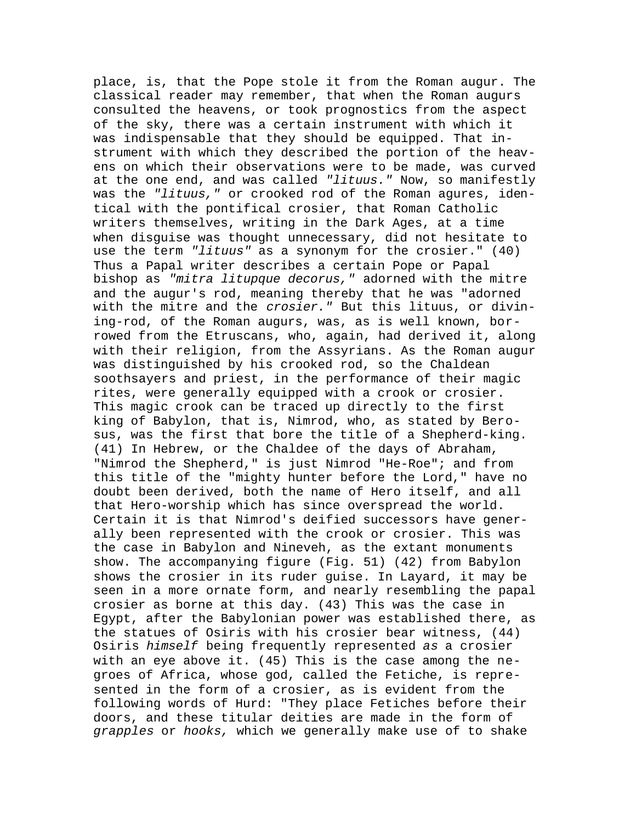place, is, that the Pope stole it from the Roman augur. The classical reader may remember, that when the Roman augurs consulted the heavens, or took prognostics from the aspect of the sky, there was a certain instrument with which it was indispensable that they should be equipped. That instrument with which they described the portion of the heavens on which their observations were to be made, was curved at the one end, and was called *"lituus."* Now, so manifestly was the *"lituus,"* or crooked rod of the Roman agures, identical with the pontifical crosier, that Roman Catholic writers themselves, writing in the Dark Ages, at a time when disguise was thought unnecessary, did not hesitate to use the term *"lituus"* as a synonym for the crosier." (40) Thus a Papal writer describes a certain Pope or Papal bishop as *"mitra litupque decorus,"* adorned with the mitre and the augur's rod, meaning thereby that he was "adorned with the mitre and the *crosier."* But this lituus, or divining-rod, of the Roman augurs, was, as is well known, borrowed from the Etruscans, who, again, had derived it, along with their religion, from the Assyrians. As the Roman augur was distinguished by his crooked rod, so the Chaldean soothsayers and priest, in the performance of their magic rites, were generally equipped with a crook or crosier. This magic crook can be traced up directly to the first king of Babylon, that is, Nimrod, who, as stated by Berosus, was the first that bore the title of a Shepherd-king. (41) In Hebrew, or the Chaldee of the days of Abraham, "Nimrod the Shepherd," is just Nimrod "He-Roe"; and from this title of the "mighty hunter before the Lord," have no doubt been derived, both the name of Hero itself, and all that Hero-worship which has since overspread the world. Certain it is that Nimrod's deified successors have generally been represented with the crook or crosier. This was the case in Babylon and Nineveh, as the extant monuments show. The accompanying figure (Fig. 51) (42) from Babylon shows the crosier in its ruder guise. In Layard, it may be seen in a more ornate form, and nearly resembling the papal crosier as borne at this day. (43) This was the case in Egypt, after the Babylonian power was established there, as the statues of Osiris with his crosier bear witness, (44) Osiris *himself* being frequently represented *as* a crosier with an eye above it. (45) This is the case among the negroes of Africa, whose god, called the Fetiche, is represented in the form of a crosier, as is evident from the following words of Hurd: "They place Fetiches before their doors, and these titular deities are made in the form of *grapples* or *hooks,* which we generally make use of to shake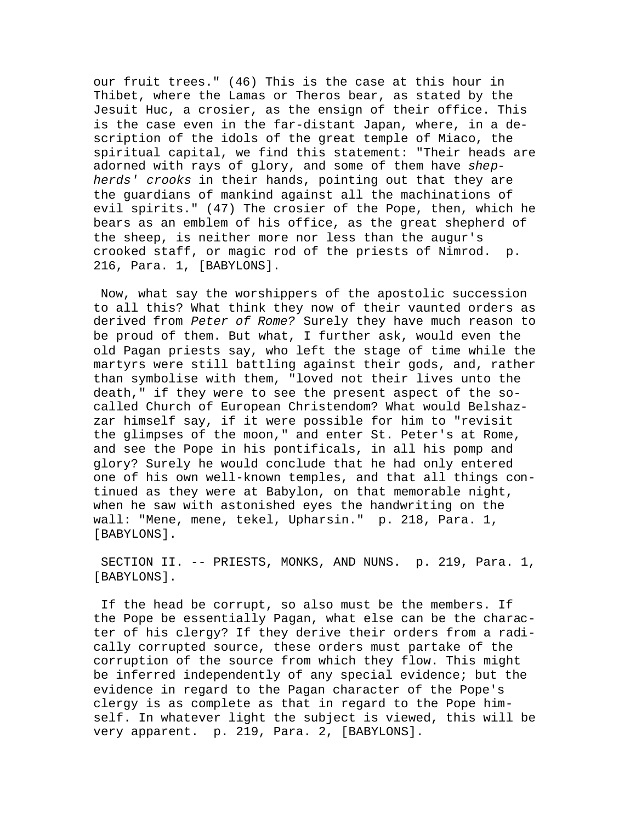our fruit trees." (46) This is the case at this hour in Thibet, where the Lamas or Theros bear, as stated by the Jesuit Huc, a crosier, as the ensign of their office. This is the case even in the far-distant Japan, where, in a description of the idols of the great temple of Miaco, the spiritual capital, we find this statement: "Their heads are adorned with rays of glory, and some of them have *shepherds' crooks* in their hands, pointing out that they are the guardians of mankind against all the machinations of evil spirits." (47) The crosier of the Pope, then, which he bears as an emblem of his office, as the great shepherd of the sheep, is neither more nor less than the augur's crooked staff, or magic rod of the priests of Nimrod. p. 216, Para. 1, [BABYLONS].

 Now, what say the worshippers of the apostolic succession to all this? What think they now of their vaunted orders as derived from *Peter of Rome?* Surely they have much reason to be proud of them. But what, I further ask, would even the old Pagan priests say, who left the stage of time while the martyrs were still battling against their gods, and, rather than symbolise with them, "loved not their lives unto the death," if they were to see the present aspect of the socalled Church of European Christendom? What would Belshazzar himself say, if it were possible for him to "revisit the glimpses of the moon," and enter St. Peter's at Rome, and see the Pope in his pontificals, in all his pomp and glory? Surely he would conclude that he had only entered one of his own well-known temples, and that all things continued as they were at Babylon, on that memorable night, when he saw with astonished eyes the handwriting on the wall: "Mene, mene, tekel, Upharsin." p. 218, Para. 1, [BABYLONS].

 SECTION II. -- PRIESTS, MONKS, AND NUNS. p. 219, Para. 1, [BABYLONS].

 If the head be corrupt, so also must be the members. If the Pope be essentially Pagan, what else can be the character of his clergy? If they derive their orders from a radically corrupted source, these orders must partake of the corruption of the source from which they flow. This might be inferred independently of any special evidence; but the evidence in regard to the Pagan character of the Pope's clergy is as complete as that in regard to the Pope himself. In whatever light the subject is viewed, this will be very apparent. p. 219, Para. 2, [BABYLONS].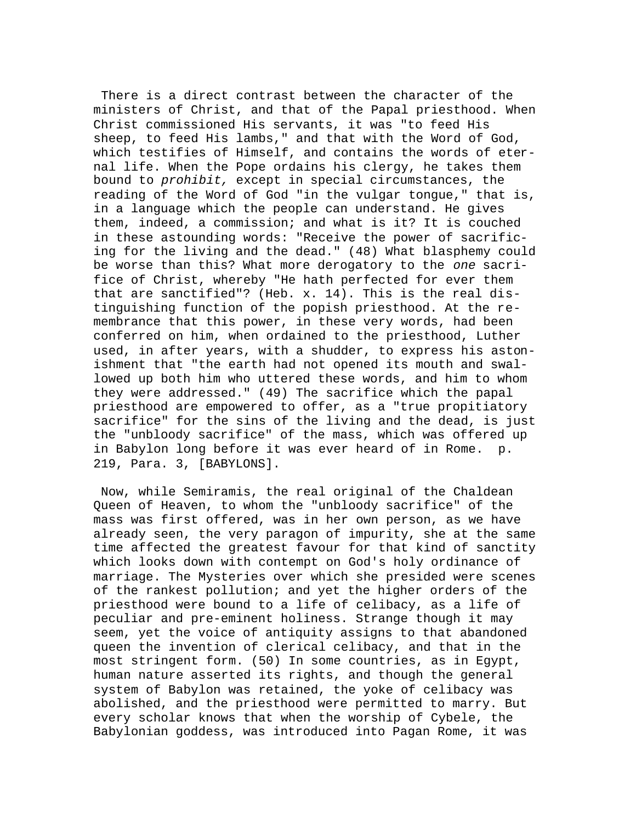There is a direct contrast between the character of the ministers of Christ, and that of the Papal priesthood. When Christ commissioned His servants, it was "to feed His sheep, to feed His lambs," and that with the Word of God, which testifies of Himself, and contains the words of eternal life. When the Pope ordains his clergy, he takes them bound to *prohibit,* except in special circumstances, the reading of the Word of God "in the vulgar tongue," that is, in a language which the people can understand. He gives them, indeed, a commission; and what is it? It is couched in these astounding words: "Receive the power of sacrificing for the living and the dead." (48) What blasphemy could be worse than this? What more derogatory to the *one* sacrifice of Christ, whereby "He hath perfected for ever them that are sanctified"? (Heb. x. 14). This is the real distinguishing function of the popish priesthood. At the remembrance that this power, in these very words, had been conferred on him, when ordained to the priesthood, Luther used, in after years, with a shudder, to express his astonishment that "the earth had not opened its mouth and swallowed up both him who uttered these words, and him to whom they were addressed." (49) The sacrifice which the papal priesthood are empowered to offer, as a "true propitiatory sacrifice" for the sins of the living and the dead, is just the "unbloody sacrifice" of the mass, which was offered up in Babylon long before it was ever heard of in Rome. p. 219, Para. 3, [BABYLONS].

 Now, while Semiramis, the real original of the Chaldean Queen of Heaven, to whom the "unbloody sacrifice" of the mass was first offered, was in her own person, as we have already seen, the very paragon of impurity, she at the same time affected the greatest favour for that kind of sanctity which looks down with contempt on God's holy ordinance of marriage. The Mysteries over which she presided were scenes of the rankest pollution; and yet the higher orders of the priesthood were bound to a life of celibacy, as a life of peculiar and pre-eminent holiness. Strange though it may seem, yet the voice of antiquity assigns to that abandoned queen the invention of clerical celibacy, and that in the most stringent form. (50) In some countries, as in Egypt, human nature asserted its rights, and though the general system of Babylon was retained, the yoke of celibacy was abolished, and the priesthood were permitted to marry. But every scholar knows that when the worship of Cybele, the Babylonian goddess, was introduced into Pagan Rome, it was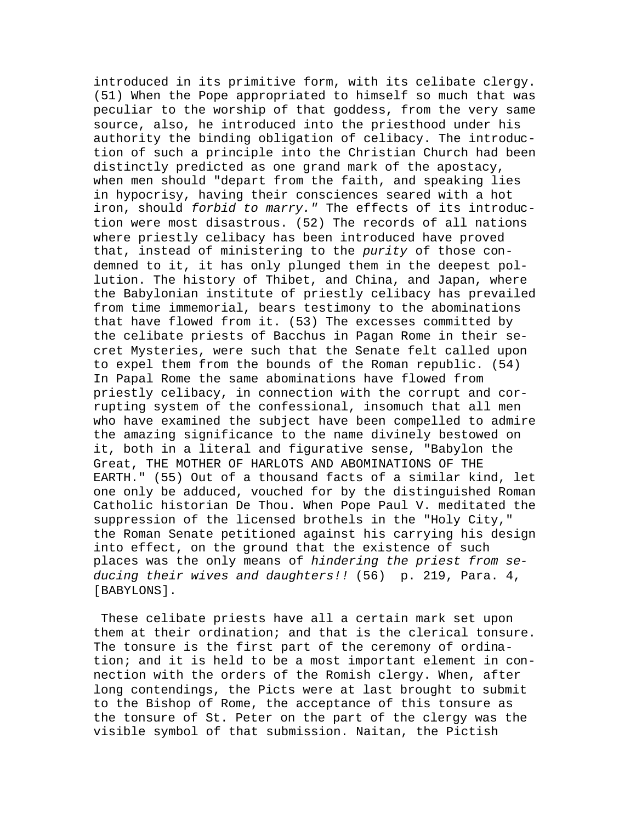introduced in its primitive form, with its celibate clergy. (51) When the Pope appropriated to himself so much that was peculiar to the worship of that goddess, from the very same source, also, he introduced into the priesthood under his authority the binding obligation of celibacy. The introduction of such a principle into the Christian Church had been distinctly predicted as one grand mark of the apostacy, when men should "depart from the faith, and speaking lies in hypocrisy, having their consciences seared with a hot iron, should *forbid to marry."* The effects of its introduction were most disastrous. (52) The records of all nations where priestly celibacy has been introduced have proved that, instead of ministering to the *purity* of those condemned to it, it has only plunged them in the deepest pollution. The history of Thibet, and China, and Japan, where the Babylonian institute of priestly celibacy has prevailed from time immemorial, bears testimony to the abominations that have flowed from it. (53) The excesses committed by the celibate priests of Bacchus in Pagan Rome in their secret Mysteries, were such that the Senate felt called upon to expel them from the bounds of the Roman republic. (54) In Papal Rome the same abominations have flowed from priestly celibacy, in connection with the corrupt and corrupting system of the confessional, insomuch that all men who have examined the subject have been compelled to admire the amazing significance to the name divinely bestowed on it, both in a literal and figurative sense, "Babylon the Great, THE MOTHER OF HARLOTS AND ABOMINATIONS OF THE EARTH." (55) Out of a thousand facts of a similar kind, let one only be adduced, vouched for by the distinguished Roman Catholic historian De Thou. When Pope Paul V. meditated the suppression of the licensed brothels in the "Holy City," the Roman Senate petitioned against his carrying his design into effect, on the ground that the existence of such places was the only means of *hindering the priest from seducing their wives and daughters!!* (56) p. 219, Para. 4, [BABYLONS].

 These celibate priests have all a certain mark set upon them at their ordination; and that is the clerical tonsure. The tonsure is the first part of the ceremony of ordination; and it is held to be a most important element in connection with the orders of the Romish clergy. When, after long contendings, the Picts were at last brought to submit to the Bishop of Rome, the acceptance of this tonsure as the tonsure of St. Peter on the part of the clergy was the visible symbol of that submission. Naitan, the Pictish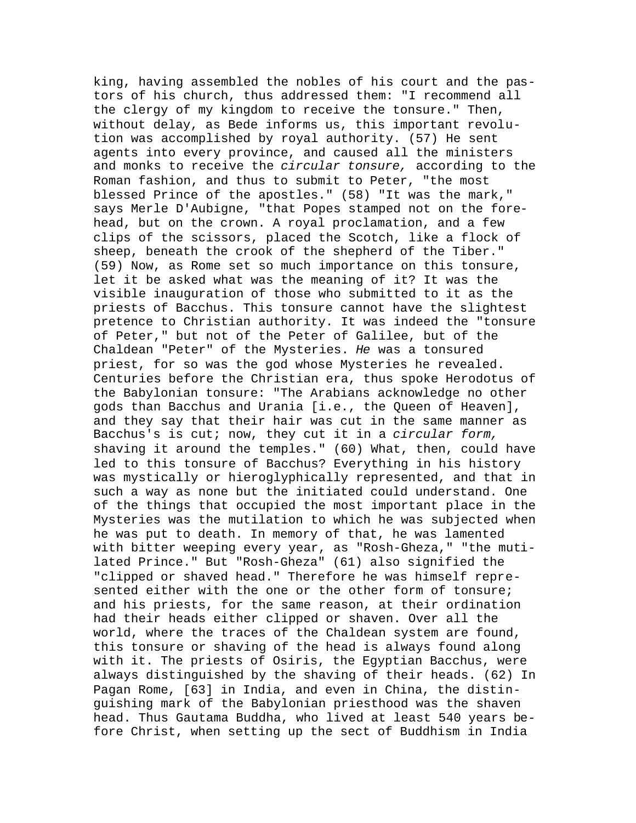king, having assembled the nobles of his court and the pastors of his church, thus addressed them: "I recommend all the clergy of my kingdom to receive the tonsure." Then, without delay, as Bede informs us, this important revolution was accomplished by royal authority. (57) He sent agents into every province, and caused all the ministers and monks to receive the *circular tonsure,* according to the Roman fashion, and thus to submit to Peter, "the most blessed Prince of the apostles." (58) "It was the mark," says Merle D'Aubigne, "that Popes stamped not on the forehead, but on the crown. A royal proclamation, and a few clips of the scissors, placed the Scotch, like a flock of sheep, beneath the crook of the shepherd of the Tiber." (59) Now, as Rome set so much importance on this tonsure, let it be asked what was the meaning of it? It was the visible inauguration of those who submitted to it as the priests of Bacchus. This tonsure cannot have the slightest pretence to Christian authority. It was indeed the "tonsure of Peter," but not of the Peter of Galilee, but of the Chaldean "Peter" of the Mysteries. *He* was a tonsured priest, for so was the god whose Mysteries he revealed. Centuries before the Christian era, thus spoke Herodotus of the Babylonian tonsure: "The Arabians acknowledge no other gods than Bacchus and Urania [i.e., the Queen of Heaven], and they say that their hair was cut in the same manner as Bacchus's is cut; now, they cut it in a *circular form,* shaving it around the temples." (60) What, then, could have led to this tonsure of Bacchus? Everything in his history was mystically or hieroglyphically represented, and that in such a way as none but the initiated could understand. One of the things that occupied the most important place in the Mysteries was the mutilation to which he was subjected when he was put to death. In memory of that, he was lamented with bitter weeping every year, as "Rosh-Gheza," "the mutilated Prince." But "Rosh-Gheza" (61) also signified the "clipped or shaved head." Therefore he was himself represented either with the one or the other form of tonsure; and his priests, for the same reason, at their ordination had their heads either clipped or shaven. Over all the world, where the traces of the Chaldean system are found, this tonsure or shaving of the head is always found along with it. The priests of Osiris, the Egyptian Bacchus, were always distinguished by the shaving of their heads. (62) In Pagan Rome, [63] in India, and even in China, the distinguishing mark of the Babylonian priesthood was the shaven head. Thus Gautama Buddha, who lived at least 540 years before Christ, when setting up the sect of Buddhism in India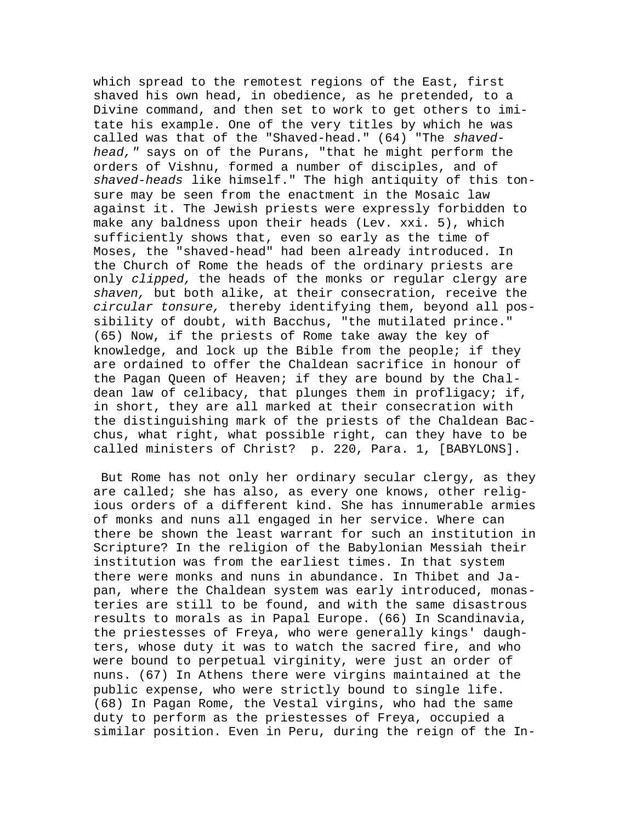which spread to the remotest regions of the East, first shaved his own head, in obedience, as he pretended, to a Divine command, and then set to work to get others to imitate his example. One of the very titles by which he was called was that of the "Shaved-head." (64) "The *shavedhead,"* says on of the Purans, "that he might perform the orders of Vishnu, formed a number of disciples, and of *shaved-heads* like himself." The high antiquity of this tonsure may be seen from the enactment in the Mosaic law against it. The Jewish priests were expressly forbidden to make any baldness upon their heads (Lev. xxi. 5), which sufficiently shows that, even so early as the time of Moses, the "shaved-head" had been already introduced. In the Church of Rome the heads of the ordinary priests are only *clipped,* the heads of the monks or regular clergy are *shaven,* but both alike, at their consecration, receive the *circular tonsure,* thereby identifying them, beyond all possibility of doubt, with Bacchus, "the mutilated prince." (65) Now, if the priests of Rome take away the key of knowledge, and lock up the Bible from the people; if they are ordained to offer the Chaldean sacrifice in honour of the Pagan Queen of Heaven; if they are bound by the Chaldean law of celibacy, that plunges them in profligacy; if, in short, they are all marked at their consecration with the distinguishing mark of the priests of the Chaldean Bacchus, what right, what possible right, can they have to be called ministers of Christ? p. 220, Para. 1, [BABYLONS].

 But Rome has not only her ordinary secular clergy, as they are called; she has also, as every one knows, other religious orders of a different kind. She has innumerable armies of monks and nuns all engaged in her service. Where can there be shown the least warrant for such an institution in Scripture? In the religion of the Babylonian Messiah their institution was from the earliest times. In that system there were monks and nuns in abundance. In Thibet and Japan, where the Chaldean system was early introduced, monasteries are still to be found, and with the same disastrous results to morals as in Papal Europe. (66) In Scandinavia, the priestesses of Freya, who were generally kings' daughters, whose duty it was to watch the sacred fire, and who were bound to perpetual virginity, were just an order of nuns. (67) In Athens there were virgins maintained at the public expense, who were strictly bound to single life. (68) In Pagan Rome, the Vestal virgins, who had the same duty to perform as the priestesses of Freya, occupied a similar position. Even in Peru, during the reign of the In-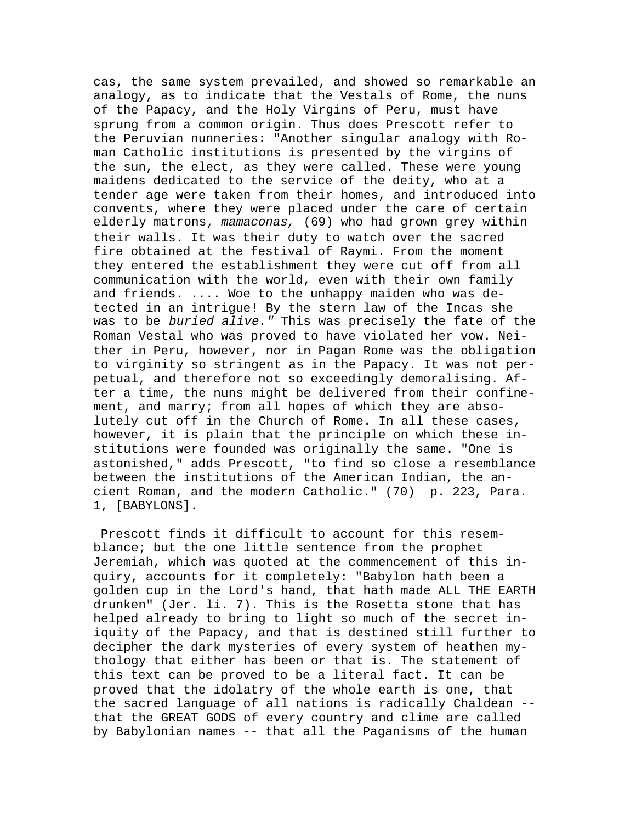cas, the same system prevailed, and showed so remarkable an analogy, as to indicate that the Vestals of Rome, the nuns of the Papacy, and the Holy Virgins of Peru, must have sprung from a common origin. Thus does Prescott refer to the Peruvian nunneries: "Another singular analogy with Roman Catholic institutions is presented by the virgins of the sun, the elect, as they were called. These were young maidens dedicated to the service of the deity, who at a tender age were taken from their homes, and introduced into convents, where they were placed under the care of certain elderly matrons, *mamaconas,* (69) who had grown grey within their walls. It was their duty to watch over the sacred fire obtained at the festival of Raymi. From the moment they entered the establishment they were cut off from all communication with the world, even with their own family and friends. .... Woe to the unhappy maiden who was detected in an intrigue! By the stern law of the Incas she was to be *buried alive."* This was precisely the fate of the Roman Vestal who was proved to have violated her vow. Neither in Peru, however, nor in Pagan Rome was the obligation to virginity so stringent as in the Papacy. It was not perpetual, and therefore not so exceedingly demoralising. After a time, the nuns might be delivered from their confinement, and marry; from all hopes of which they are absolutely cut off in the Church of Rome. In all these cases, however, it is plain that the principle on which these institutions were founded was originally the same. "One is astonished," adds Prescott, "to find so close a resemblance between the institutions of the American Indian, the ancient Roman, and the modern Catholic." (70) p. 223, Para. 1, [BABYLONS].

 Prescott finds it difficult to account for this resemblance; but the one little sentence from the prophet Jeremiah, which was quoted at the commencement of this inquiry, accounts for it completely: "Babylon hath been a golden cup in the Lord's hand, that hath made ALL THE EARTH drunken" (Jer. li. 7). This is the Rosetta stone that has helped already to bring to light so much of the secret iniquity of the Papacy, and that is destined still further to decipher the dark mysteries of every system of heathen mythology that either has been or that is. The statement of this text can be proved to be a literal fact. It can be proved that the idolatry of the whole earth is one, that the sacred language of all nations is radically Chaldean - that the GREAT GODS of every country and clime are called by Babylonian names -- that all the Paganisms of the human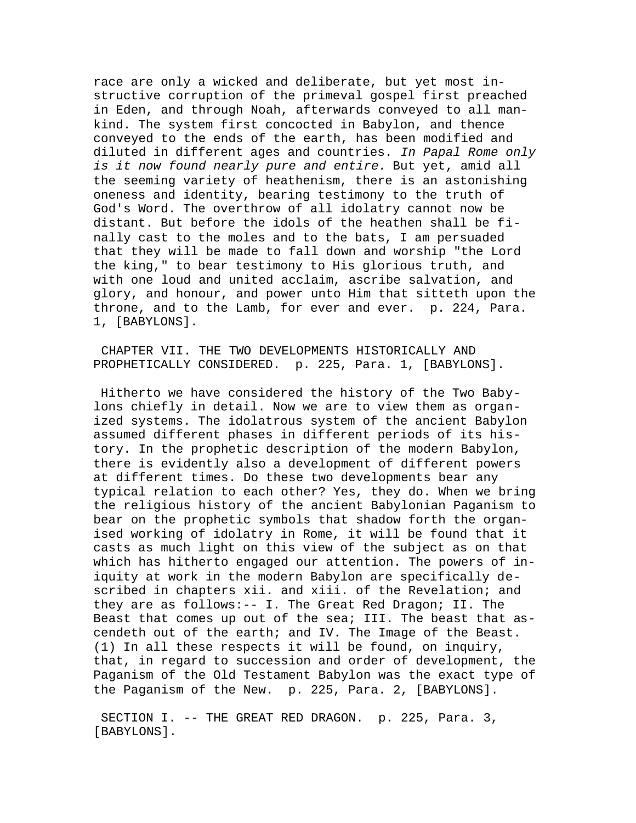race are only a wicked and deliberate, but yet most instructive corruption of the primeval gospel first preached in Eden, and through Noah, afterwards conveyed to all mankind. The system first concocted in Babylon, and thence conveyed to the ends of the earth, has been modified and diluted in different ages and countries. *In Papal Rome only is it now found nearly pure and entire.* But yet, amid all the seeming variety of heathenism, there is an astonishing oneness and identity, bearing testimony to the truth of God's Word. The overthrow of all idolatry cannot now be distant. But before the idols of the heathen shall be finally cast to the moles and to the bats, I am persuaded that they will be made to fall down and worship "the Lord the king," to bear testimony to His glorious truth, and with one loud and united acclaim, ascribe salvation, and glory, and honour, and power unto Him that sitteth upon the throne, and to the Lamb, for ever and ever. p. 224, Para. 1, [BABYLONS].

 CHAPTER VII. THE TWO DEVELOPMENTS HISTORICALLY AND PROPHETICALLY CONSIDERED. p. 225, Para. 1, [BABYLONS].

 Hitherto we have considered the history of the Two Babylons chiefly in detail. Now we are to view them as organized systems. The idolatrous system of the ancient Babylon assumed different phases in different periods of its history. In the prophetic description of the modern Babylon, there is evidently also a development of different powers at different times. Do these two developments bear any typical relation to each other? Yes, they do. When we bring the religious history of the ancient Babylonian Paganism to bear on the prophetic symbols that shadow forth the organised working of idolatry in Rome, it will be found that it casts as much light on this view of the subject as on that which has hitherto engaged our attention. The powers of iniquity at work in the modern Babylon are specifically described in chapters xii. and xiii. of the Revelation; and they are as follows:-- I. The Great Red Dragon; II. The Beast that comes up out of the sea; III. The beast that ascendeth out of the earth; and IV. The Image of the Beast. (1) In all these respects it will be found, on inquiry, that, in regard to succession and order of development, the Paganism of the Old Testament Babylon was the exact type of the Paganism of the New. p. 225, Para. 2, [BABYLONS].

SECTION I. -- THE GREAT RED DRAGON. p. 225, Para. 3, [BABYLONS].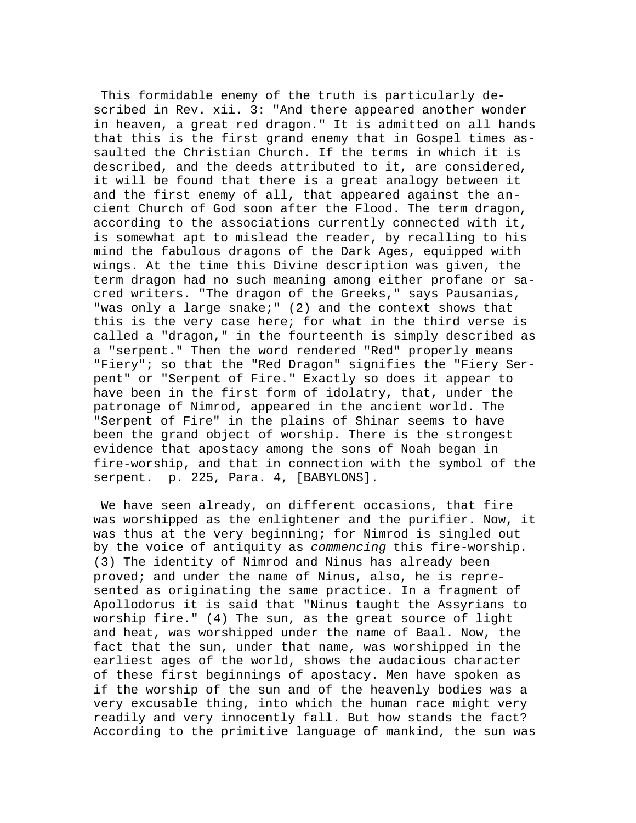This formidable enemy of the truth is particularly described in Rev. xii. 3: "And there appeared another wonder in heaven, a great red dragon." It is admitted on all hands that this is the first grand enemy that in Gospel times assaulted the Christian Church. If the terms in which it is described, and the deeds attributed to it, are considered, it will be found that there is a great analogy between it and the first enemy of all, that appeared against the ancient Church of God soon after the Flood. The term dragon, according to the associations currently connected with it, is somewhat apt to mislead the reader, by recalling to his mind the fabulous dragons of the Dark Ages, equipped with wings. At the time this Divine description was given, the term dragon had no such meaning among either profane or sacred writers. "The dragon of the Greeks," says Pausanias, "was only a large snake;" (2) and the context shows that this is the very case here; for what in the third verse is called a "dragon," in the fourteenth is simply described as a "serpent." Then the word rendered "Red" properly means "Fiery"; so that the "Red Dragon" signifies the "Fiery Serpent" or "Serpent of Fire." Exactly so does it appear to have been in the first form of idolatry, that, under the patronage of Nimrod, appeared in the ancient world. The "Serpent of Fire" in the plains of Shinar seems to have been the grand object of worship. There is the strongest evidence that apostacy among the sons of Noah began in fire-worship, and that in connection with the symbol of the serpent. p. 225, Para. 4, [BABYLONS].

 We have seen already, on different occasions, that fire was worshipped as the enlightener and the purifier. Now, it was thus at the very beginning; for Nimrod is singled out by the voice of antiquity as *commencing* this fire-worship. (3) The identity of Nimrod and Ninus has already been proved; and under the name of Ninus, also, he is represented as originating the same practice. In a fragment of Apollodorus it is said that "Ninus taught the Assyrians to worship fire." (4) The sun, as the great source of light and heat, was worshipped under the name of Baal. Now, the fact that the sun, under that name, was worshipped in the earliest ages of the world, shows the audacious character of these first beginnings of apostacy. Men have spoken as if the worship of the sun and of the heavenly bodies was a very excusable thing, into which the human race might very readily and very innocently fall. But how stands the fact? According to the primitive language of mankind, the sun was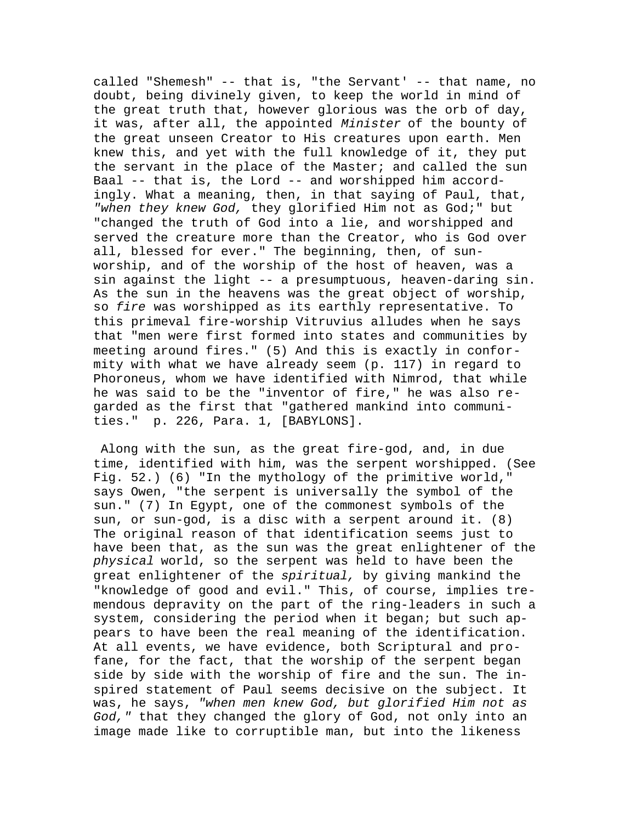called "Shemesh" -- that is, "the Servant' -- that name, no doubt, being divinely given, to keep the world in mind of the great truth that, however glorious was the orb of day, it was, after all, the appointed *Minister* of the bounty of the great unseen Creator to His creatures upon earth. Men knew this, and yet with the full knowledge of it, they put the servant in the place of the Master; and called the sun Baal -- that is, the Lord -- and worshipped him accordingly. What a meaning, then, in that saying of Paul, that, *"when they knew God,* they glorified Him not as God;" but "changed the truth of God into a lie, and worshipped and served the creature more than the Creator, who is God over all, blessed for ever." The beginning, then, of sunworship, and of the worship of the host of heaven, was a sin against the light -- a presumptuous, heaven-daring sin. As the sun in the heavens was the great object of worship, so *fire* was worshipped as its earthly representative. To this primeval fire-worship Vitruvius alludes when he says that "men were first formed into states and communities by meeting around fires." (5) And this is exactly in conformity with what we have already seem (p. 117) in regard to Phoroneus, whom we have identified with Nimrod, that while he was said to be the "inventor of fire," he was also regarded as the first that "gathered mankind into communities." p. 226, Para. 1, [BABYLONS].

 Along with the sun, as the great fire-god, and, in due time, identified with him, was the serpent worshipped. (See Fig. 52.) (6) "In the mythology of the primitive world," says Owen, "the serpent is universally the symbol of the sun." (7) In Egypt, one of the commonest symbols of the sun, or sun-god, is a disc with a serpent around it. (8) The original reason of that identification seems just to have been that, as the sun was the great enlightener of the *physical* world, so the serpent was held to have been the great enlightener of the *spiritual,* by giving mankind the "knowledge of good and evil." This, of course, implies tremendous depravity on the part of the ring-leaders in such a system, considering the period when it began; but such appears to have been the real meaning of the identification. At all events, we have evidence, both Scriptural and profane, for the fact, that the worship of the serpent began side by side with the worship of fire and the sun. The inspired statement of Paul seems decisive on the subject. It was, he says, *"when men knew God, but glorified Him not as God,"* that they changed the glory of God, not only into an image made like to corruptible man, but into the likeness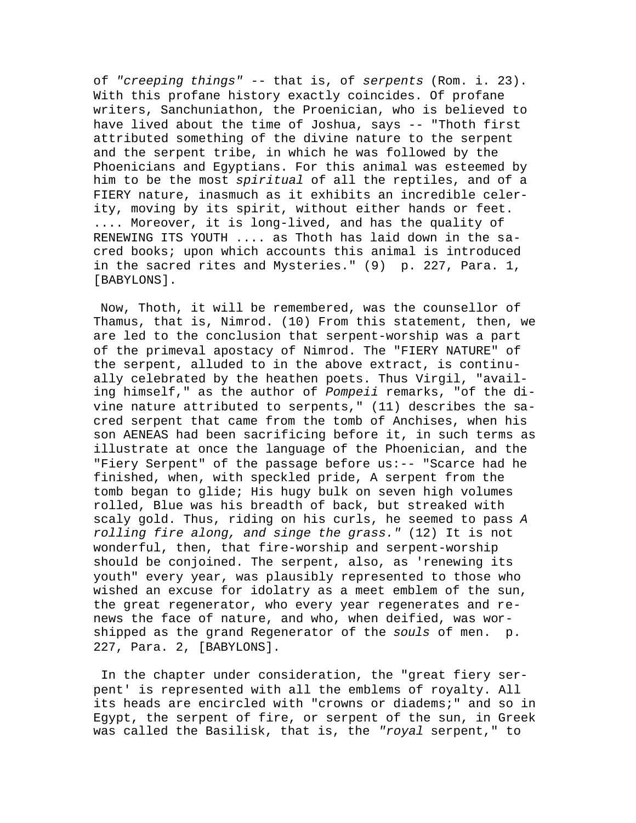of *"creeping things"* -- that is, of *serpents* (Rom. i. 23). With this profane history exactly coincides. Of profane writers, Sanchuniathon, the Proenician, who is believed to have lived about the time of Joshua, says -- "Thoth first attributed something of the divine nature to the serpent and the serpent tribe, in which he was followed by the Phoenicians and Egyptians. For this animal was esteemed by him to be the most *spiritual* of all the reptiles, and of a FIERY nature, inasmuch as it exhibits an incredible celerity, moving by its spirit, without either hands or feet. .... Moreover, it is long-lived, and has the quality of RENEWING ITS YOUTH .... as Thoth has laid down in the sacred books; upon which accounts this animal is introduced in the sacred rites and Mysteries." (9) p. 227, Para. 1, [BABYLONS].

 Now, Thoth, it will be remembered, was the counsellor of Thamus, that is, Nimrod. (10) From this statement, then, we are led to the conclusion that serpent-worship was a part of the primeval apostacy of Nimrod. The "FIERY NATURE" of the serpent, alluded to in the above extract, is continually celebrated by the heathen poets. Thus Virgil, "availing himself," as the author of *Pompeii* remarks, "of the divine nature attributed to serpents," (11) describes the sacred serpent that came from the tomb of Anchises, when his son AENEAS had been sacrificing before it, in such terms as illustrate at once the language of the Phoenician, and the "Fiery Serpent" of the passage before us:-- "Scarce had he finished, when, with speckled pride, A serpent from the tomb began to glide; His hugy bulk on seven high volumes rolled, Blue was his breadth of back, but streaked with scaly gold. Thus, riding on his curls, he seemed to pass *A rolling fire along, and singe the grass."* (12) It is not wonderful, then, that fire-worship and serpent-worship should be conjoined. The serpent, also, as 'renewing its youth" every year, was plausibly represented to those who wished an excuse for idolatry as a meet emblem of the sun, the great regenerator, who every year regenerates and renews the face of nature, and who, when deified, was worshipped as the grand Regenerator of the *souls* of men. p. 227, Para. 2, [BABYLONS].

 In the chapter under consideration, the "great fiery serpent' is represented with all the emblems of royalty. All its heads are encircled with "crowns or diadems;" and so in Egypt, the serpent of fire, or serpent of the sun, in Greek was called the Basilisk, that is, the *"royal* serpent," to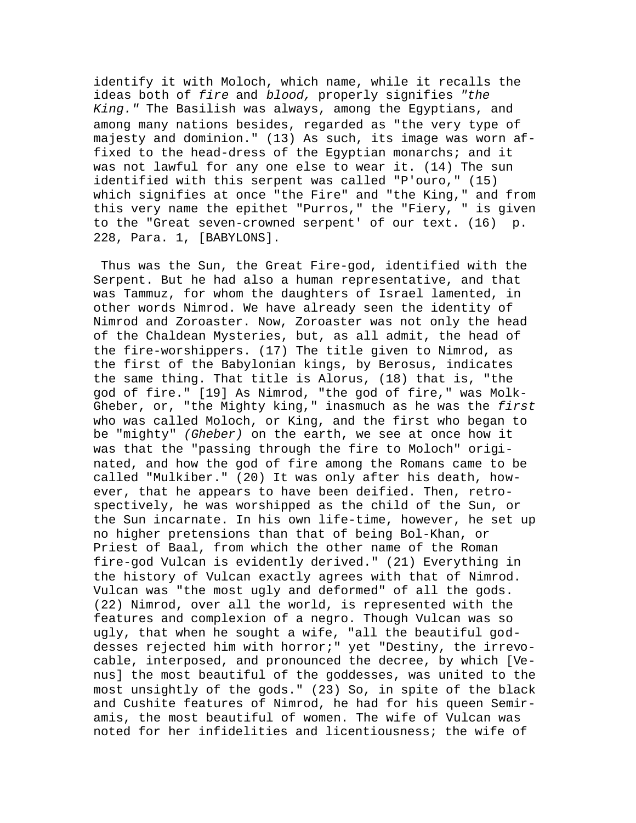identify it with Moloch, which name, while it recalls the ideas both of *fire* and *blood,* properly signifies *"the King."* The Basilish was always, among the Egyptians, and among many nations besides, regarded as "the very type of majesty and dominion." (13) As such, its image was worn affixed to the head-dress of the Egyptian monarchs; and it was not lawful for any one else to wear it. (14) The sun identified with this serpent was called "P'ouro," (15) which signifies at once "the Fire" and "the King," and from this very name the epithet "Purros," the "Fiery, " is given to the "Great seven-crowned serpent' of our text. (16) p. 228, Para. 1, [BABYLONS].

 Thus was the Sun, the Great Fire-god, identified with the Serpent. But he had also a human representative, and that was Tammuz, for whom the daughters of Israel lamented, in other words Nimrod. We have already seen the identity of Nimrod and Zoroaster. Now, Zoroaster was not only the head of the Chaldean Mysteries, but, as all admit, the head of the fire-worshippers. (17) The title given to Nimrod, as the first of the Babylonian kings, by Berosus, indicates the same thing. That title is Alorus, (18) that is, "the god of fire." [19] As Nimrod, "the god of fire," was Molk-Gheber, or, "the Mighty king," inasmuch as he was the *first* who was called Moloch, or King, and the first who began to be "mighty" *(Gheber)* on the earth, we see at once how it was that the "passing through the fire to Moloch" originated, and how the god of fire among the Romans came to be called "Mulkiber." (20) It was only after his death, however, that he appears to have been deified. Then, retrospectively, he was worshipped as the child of the Sun, or the Sun incarnate. In his own life-time, however, he set up no higher pretensions than that of being Bol-Khan, or Priest of Baal, from which the other name of the Roman fire-god Vulcan is evidently derived." (21) Everything in the history of Vulcan exactly agrees with that of Nimrod. Vulcan was "the most ugly and deformed" of all the gods. (22) Nimrod, over all the world, is represented with the features and complexion of a negro. Though Vulcan was so ugly, that when he sought a wife, "all the beautiful goddesses rejected him with horror;" yet "Destiny, the irrevocable, interposed, and pronounced the decree, by which [Venus] the most beautiful of the goddesses, was united to the most unsightly of the gods." (23) So, in spite of the black and Cushite features of Nimrod, he had for his queen Semiramis, the most beautiful of women. The wife of Vulcan was noted for her infidelities and licentiousness; the wife of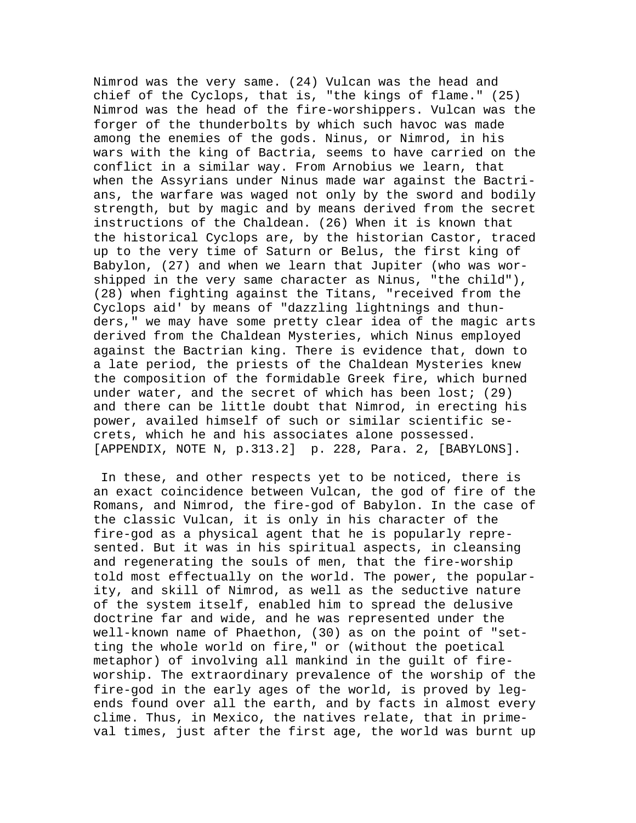Nimrod was the very same. (24) Vulcan was the head and chief of the Cyclops, that is, "the kings of flame." (25) Nimrod was the head of the fire-worshippers. Vulcan was the forger of the thunderbolts by which such havoc was made among the enemies of the gods. Ninus, or Nimrod, in his wars with the king of Bactria, seems to have carried on the conflict in a similar way. From Arnobius we learn, that when the Assyrians under Ninus made war against the Bactrians, the warfare was waged not only by the sword and bodily strength, but by magic and by means derived from the secret instructions of the Chaldean. (26) When it is known that the historical Cyclops are, by the historian Castor, traced up to the very time of Saturn or Belus, the first king of Babylon, (27) and when we learn that Jupiter (who was worshipped in the very same character as Ninus, "the child"), (28) when fighting against the Titans, "received from the Cyclops aid' by means of "dazzling lightnings and thunders," we may have some pretty clear idea of the magic arts derived from the Chaldean Mysteries, which Ninus employed against the Bactrian king. There is evidence that, down to a late period, the priests of the Chaldean Mysteries knew the composition of the formidable Greek fire, which burned under water, and the secret of which has been lost; (29) and there can be little doubt that Nimrod, in erecting his power, availed himself of such or similar scientific secrets, which he and his associates alone possessed. [APPENDIX, NOTE N, p.313.2] p. 228, Para. 2, [BABYLONS].

 In these, and other respects yet to be noticed, there is an exact coincidence between Vulcan, the god of fire of the Romans, and Nimrod, the fire-god of Babylon. In the case of the classic Vulcan, it is only in his character of the fire-god as a physical agent that he is popularly represented. But it was in his spiritual aspects, in cleansing and regenerating the souls of men, that the fire-worship told most effectually on the world. The power, the popularity, and skill of Nimrod, as well as the seductive nature of the system itself, enabled him to spread the delusive doctrine far and wide, and he was represented under the well-known name of Phaethon, (30) as on the point of "setting the whole world on fire," or (without the poetical metaphor) of involving all mankind in the guilt of fireworship. The extraordinary prevalence of the worship of the fire-god in the early ages of the world, is proved by legends found over all the earth, and by facts in almost every clime. Thus, in Mexico, the natives relate, that in primeval times, just after the first age, the world was burnt up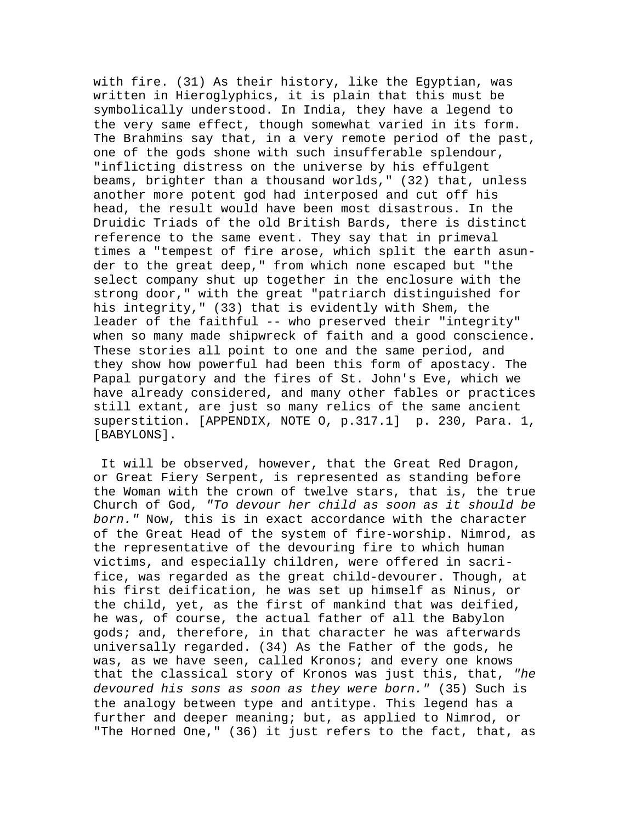with fire. (31) As their history, like the Egyptian, was written in Hieroglyphics, it is plain that this must be symbolically understood. In India, they have a legend to the very same effect, though somewhat varied in its form. The Brahmins say that, in a very remote period of the past, one of the gods shone with such insufferable splendour, "inflicting distress on the universe by his effulgent beams, brighter than a thousand worlds," (32) that, unless another more potent god had interposed and cut off his head, the result would have been most disastrous. In the Druidic Triads of the old British Bards, there is distinct reference to the same event. They say that in primeval times a "tempest of fire arose, which split the earth asunder to the great deep," from which none escaped but "the select company shut up together in the enclosure with the strong door," with the great "patriarch distinguished for his integrity," (33) that is evidently with Shem, the leader of the faithful -- who preserved their "integrity" when so many made shipwreck of faith and a good conscience. These stories all point to one and the same period, and they show how powerful had been this form of apostacy. The Papal purgatory and the fires of St. John's Eve, which we have already considered, and many other fables or practices still extant, are just so many relics of the same ancient superstition. [APPENDIX, NOTE O, p.317.1] p. 230, Para. 1, [BABYLONS].

 It will be observed, however, that the Great Red Dragon, or Great Fiery Serpent, is represented as standing before the Woman with the crown of twelve stars, that is, the true Church of God, *"To devour her child as soon as it should be born."* Now, this is in exact accordance with the character of the Great Head of the system of fire-worship. Nimrod, as the representative of the devouring fire to which human victims, and especially children, were offered in sacrifice, was regarded as the great child-devourer. Though, at his first deification, he was set up himself as Ninus, or the child, yet, as the first of mankind that was deified, he was, of course, the actual father of all the Babylon gods; and, therefore, in that character he was afterwards universally regarded. (34) As the Father of the gods, he was, as we have seen, called Kronos; and every one knows that the classical story of Kronos was just this, that, *"he devoured his sons as soon as they were born."* (35) Such is the analogy between type and antitype. This legend has a further and deeper meaning; but, as applied to Nimrod, or "The Horned One," (36) it just refers to the fact, that, as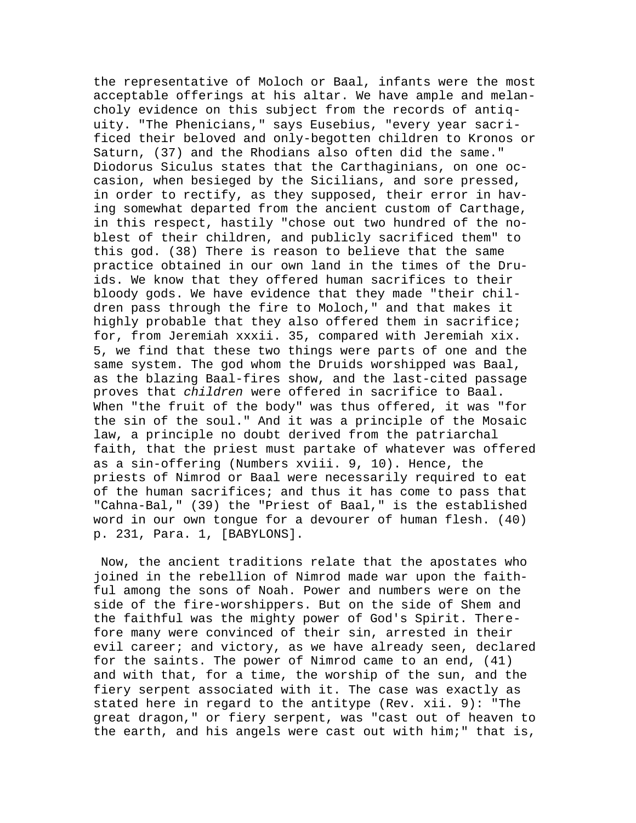the representative of Moloch or Baal, infants were the most acceptable offerings at his altar. We have ample and melancholy evidence on this subject from the records of antiquity. "The Phenicians," says Eusebius, "every year sacrificed their beloved and only-begotten children to Kronos or Saturn, (37) and the Rhodians also often did the same." Diodorus Siculus states that the Carthaginians, on one occasion, when besieged by the Sicilians, and sore pressed, in order to rectify, as they supposed, their error in having somewhat departed from the ancient custom of Carthage, in this respect, hastily "chose out two hundred of the noblest of their children, and publicly sacrificed them" to this god. (38) There is reason to believe that the same practice obtained in our own land in the times of the Druids. We know that they offered human sacrifices to their bloody gods. We have evidence that they made "their children pass through the fire to Moloch," and that makes it highly probable that they also offered them in sacrifice; for, from Jeremiah xxxii. 35, compared with Jeremiah xix. 5, we find that these two things were parts of one and the same system. The god whom the Druids worshipped was Baal, as the blazing Baal-fires show, and the last-cited passage proves that *children* were offered in sacrifice to Baal. When "the fruit of the body" was thus offered, it was "for the sin of the soul." And it was a principle of the Mosaic law, a principle no doubt derived from the patriarchal faith, that the priest must partake of whatever was offered as a sin-offering (Numbers xviii. 9, 10). Hence, the priests of Nimrod or Baal were necessarily required to eat of the human sacrifices; and thus it has come to pass that "Cahna-Bal," (39) the "Priest of Baal," is the established word in our own tongue for a devourer of human flesh. (40) p. 231, Para. 1, [BABYLONS].

 Now, the ancient traditions relate that the apostates who joined in the rebellion of Nimrod made war upon the faithful among the sons of Noah. Power and numbers were on the side of the fire-worshippers. But on the side of Shem and the faithful was the mighty power of God's Spirit. Therefore many were convinced of their sin, arrested in their evil career; and victory, as we have already seen, declared for the saints. The power of Nimrod came to an end, (41) and with that, for a time, the worship of the sun, and the fiery serpent associated with it. The case was exactly as stated here in regard to the antitype (Rev. xii. 9): "The great dragon," or fiery serpent, was "cast out of heaven to the earth, and his angels were cast out with him;" that is,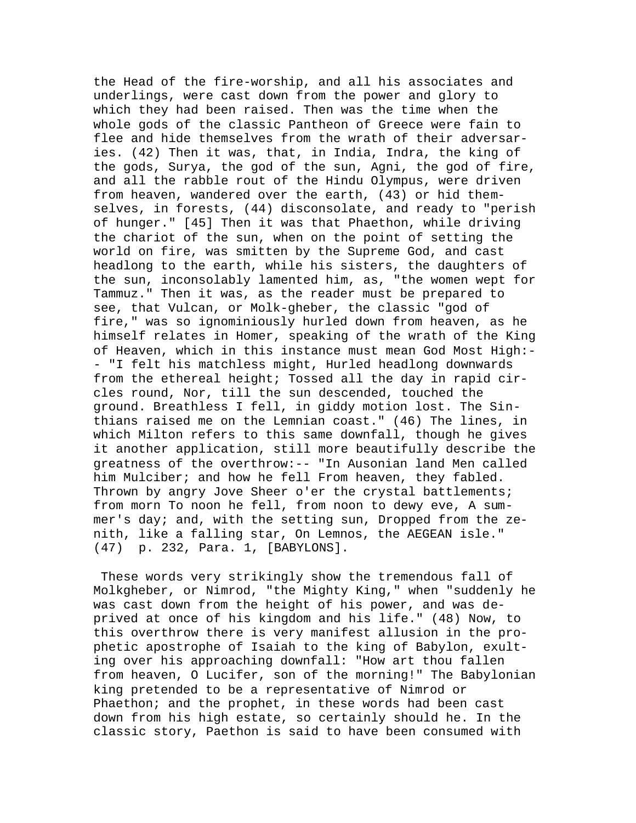the Head of the fire-worship, and all his associates and underlings, were cast down from the power and glory to which they had been raised. Then was the time when the whole gods of the classic Pantheon of Greece were fain to flee and hide themselves from the wrath of their adversaries. (42) Then it was, that, in India, Indra, the king of the gods, Surya, the god of the sun, Agni, the god of fire, and all the rabble rout of the Hindu Olympus, were driven from heaven, wandered over the earth, (43) or hid themselves, in forests, (44) disconsolate, and ready to "perish of hunger." [45] Then it was that Phaethon, while driving the chariot of the sun, when on the point of setting the world on fire, was smitten by the Supreme God, and cast headlong to the earth, while his sisters, the daughters of the sun, inconsolably lamented him, as, "the women wept for Tammuz." Then it was, as the reader must be prepared to see, that Vulcan, or Molk-gheber, the classic "god of fire," was so ignominiously hurled down from heaven, as he himself relates in Homer, speaking of the wrath of the King of Heaven, which in this instance must mean God Most High:- - "I felt his matchless might, Hurled headlong downwards from the ethereal height; Tossed all the day in rapid circles round, Nor, till the sun descended, touched the ground. Breathless I fell, in giddy motion lost. The Sinthians raised me on the Lemnian coast." (46) The lines, in which Milton refers to this same downfall, though he gives it another application, still more beautifully describe the greatness of the overthrow:-- "In Ausonian land Men called him Mulciber; and how he fell From heaven, they fabled. Thrown by angry Jove Sheer o'er the crystal battlements; from morn To noon he fell, from noon to dewy eve, A summer's day; and, with the setting sun, Dropped from the zenith, like a falling star, On Lemnos, the AEGEAN isle." (47) p. 232, Para. 1, [BABYLONS].

 These words very strikingly show the tremendous fall of Molkgheber, or Nimrod, "the Mighty King," when "suddenly he was cast down from the height of his power, and was deprived at once of his kingdom and his life." (48) Now, to this overthrow there is very manifest allusion in the prophetic apostrophe of Isaiah to the king of Babylon, exulting over his approaching downfall: "How art thou fallen from heaven, O Lucifer, son of the morning!" The Babylonian king pretended to be a representative of Nimrod or Phaethon; and the prophet, in these words had been cast down from his high estate, so certainly should he. In the classic story, Paethon is said to have been consumed with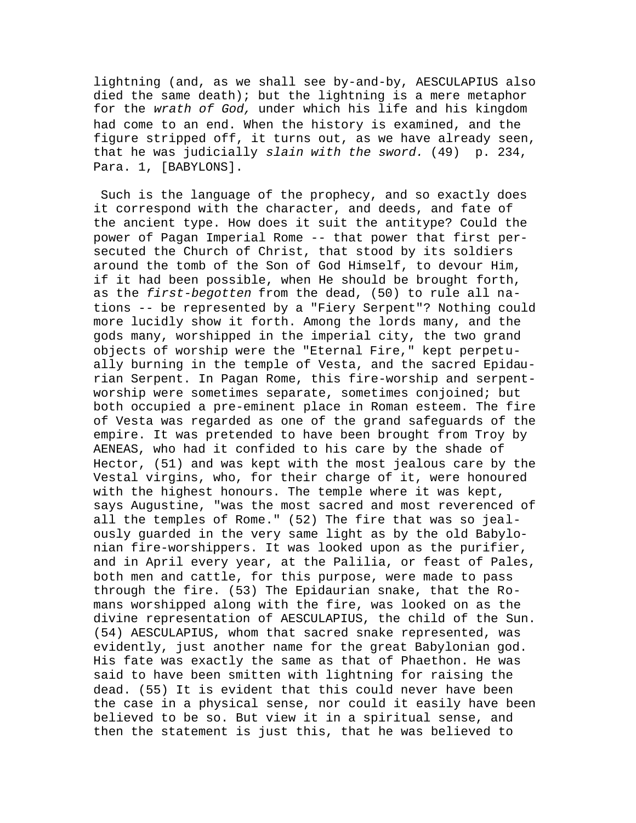lightning (and, as we shall see by-and-by, AESCULAPIUS also died the same death); but the lightning is a mere metaphor for the *wrath of God,* under which his life and his kingdom had come to an end. When the history is examined, and the figure stripped off, it turns out, as we have already seen, that he was judicially *slain with the sword.* (49) p. 234, Para. 1, [BABYLONS].

 Such is the language of the prophecy, and so exactly does it correspond with the character, and deeds, and fate of the ancient type. How does it suit the antitype? Could the power of Pagan Imperial Rome -- that power that first persecuted the Church of Christ, that stood by its soldiers around the tomb of the Son of God Himself, to devour Him, if it had been possible, when He should be brought forth, as the *first-begotten* from the dead, (50) to rule all nations -- be represented by a "Fiery Serpent"? Nothing could more lucidly show it forth. Among the lords many, and the gods many, worshipped in the imperial city, the two grand objects of worship were the "Eternal Fire," kept perpetually burning in the temple of Vesta, and the sacred Epidaurian Serpent. In Pagan Rome, this fire-worship and serpentworship were sometimes separate, sometimes conjoined; but both occupied a pre-eminent place in Roman esteem. The fire of Vesta was regarded as one of the grand safeguards of the empire. It was pretended to have been brought from Troy by AENEAS, who had it confided to his care by the shade of Hector, (51) and was kept with the most jealous care by the Vestal virgins, who, for their charge of it, were honoured with the highest honours. The temple where it was kept, says Augustine, "was the most sacred and most reverenced of all the temples of Rome." (52) The fire that was so jealously guarded in the very same light as by the old Babylonian fire-worshippers. It was looked upon as the purifier, and in April every year, at the Palilia, or feast of Pales, both men and cattle, for this purpose, were made to pass through the fire. (53) The Epidaurian snake, that the Romans worshipped along with the fire, was looked on as the divine representation of AESCULAPIUS, the child of the Sun. (54) AESCULAPIUS, whom that sacred snake represented, was evidently, just another name for the great Babylonian god. His fate was exactly the same as that of Phaethon. He was said to have been smitten with lightning for raising the dead. (55) It is evident that this could never have been the case in a physical sense, nor could it easily have been believed to be so. But view it in a spiritual sense, and then the statement is just this, that he was believed to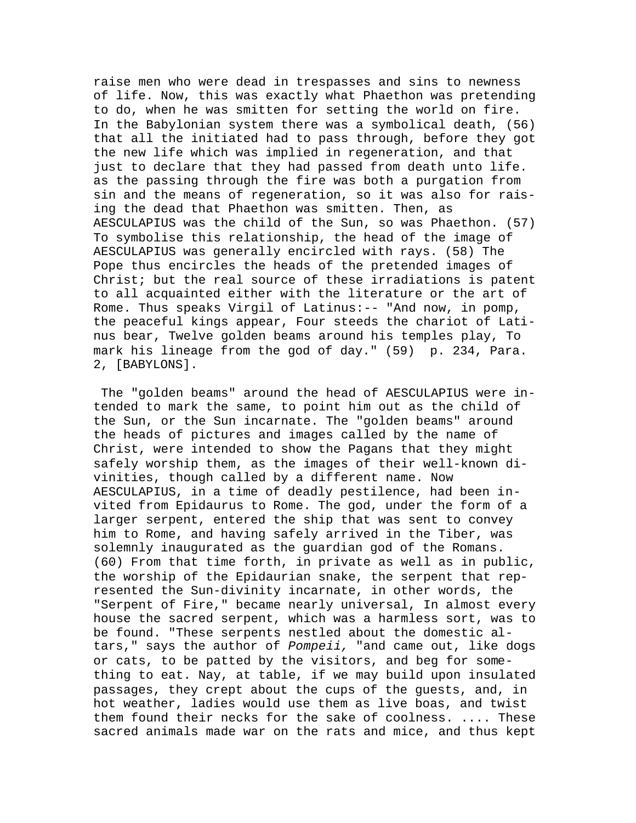raise men who were dead in trespasses and sins to newness of life. Now, this was exactly what Phaethon was pretending to do, when he was smitten for setting the world on fire. In the Babylonian system there was a symbolical death, (56) that all the initiated had to pass through, before they got the new life which was implied in regeneration, and that just to declare that they had passed from death unto life. as the passing through the fire was both a purgation from sin and the means of regeneration, so it was also for raising the dead that Phaethon was smitten. Then, as AESCULAPIUS was the child of the Sun, so was Phaethon. (57) To symbolise this relationship, the head of the image of AESCULAPIUS was generally encircled with rays. (58) The Pope thus encircles the heads of the pretended images of Christ; but the real source of these irradiations is patent to all acquainted either with the literature or the art of Rome. Thus speaks Virgil of Latinus:-- "And now, in pomp, the peaceful kings appear, Four steeds the chariot of Latinus bear, Twelve golden beams around his temples play, To mark his lineage from the god of day." (59) p. 234, Para. 2, [BABYLONS].

 The "golden beams" around the head of AESCULAPIUS were intended to mark the same, to point him out as the child of the Sun, or the Sun incarnate. The "golden beams" around the heads of pictures and images called by the name of Christ, were intended to show the Pagans that they might safely worship them, as the images of their well-known divinities, though called by a different name. Now AESCULAPIUS, in a time of deadly pestilence, had been invited from Epidaurus to Rome. The god, under the form of a larger serpent, entered the ship that was sent to convey him to Rome, and having safely arrived in the Tiber, was solemnly inaugurated as the guardian god of the Romans. (60) From that time forth, in private as well as in public, the worship of the Epidaurian snake, the serpent that represented the Sun-divinity incarnate, in other words, the "Serpent of Fire," became nearly universal, In almost every house the sacred serpent, which was a harmless sort, was to be found. "These serpents nestled about the domestic altars," says the author of *Pompeii,* "and came out, like dogs or cats, to be patted by the visitors, and beg for something to eat. Nay, at table, if we may build upon insulated passages, they crept about the cups of the guests, and, in hot weather, ladies would use them as live boas, and twist them found their necks for the sake of coolness. .... These sacred animals made war on the rats and mice, and thus kept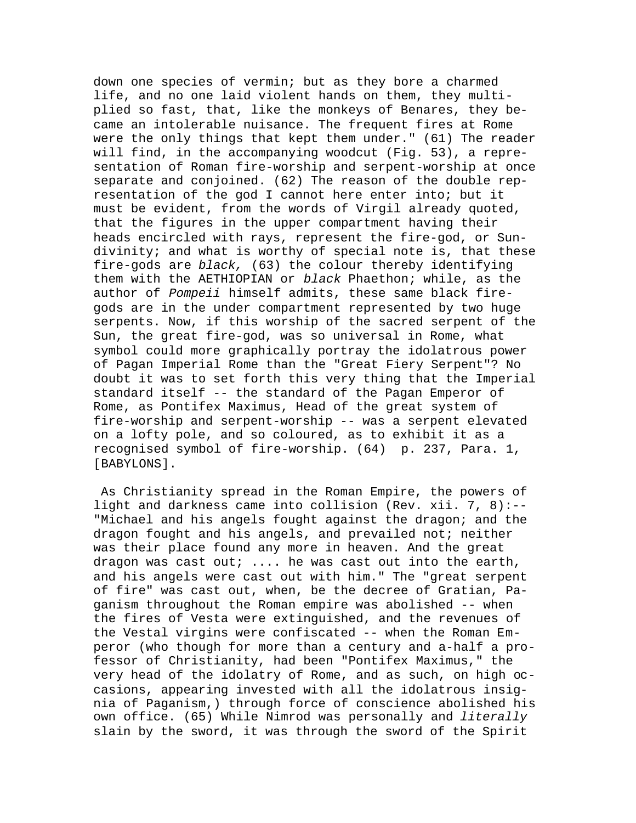down one species of vermin; but as they bore a charmed life, and no one laid violent hands on them, they multiplied so fast, that, like the monkeys of Benares, they became an intolerable nuisance. The frequent fires at Rome were the only things that kept them under." (61) The reader will find, in the accompanying woodcut (Fig. 53), a representation of Roman fire-worship and serpent-worship at once separate and conjoined. (62) The reason of the double representation of the god I cannot here enter into; but it must be evident, from the words of Virgil already quoted, that the figures in the upper compartment having their heads encircled with rays, represent the fire-god, or Sundivinity; and what is worthy of special note is, that these fire-gods are *black,* (63) the colour thereby identifying them with the AETHIOPIAN or *black* Phaethon; while, as the author of *Pompeii* himself admits, these same black firegods are in the under compartment represented by two huge serpents. Now, if this worship of the sacred serpent of the Sun, the great fire-god, was so universal in Rome, what symbol could more graphically portray the idolatrous power of Pagan Imperial Rome than the "Great Fiery Serpent"? No doubt it was to set forth this very thing that the Imperial standard itself -- the standard of the Pagan Emperor of Rome, as Pontifex Maximus, Head of the great system of fire-worship and serpent-worship -- was a serpent elevated on a lofty pole, and so coloured, as to exhibit it as a recognised symbol of fire-worship. (64) p. 237, Para. 1, [BABYLONS].

 As Christianity spread in the Roman Empire, the powers of light and darkness came into collision (Rev. xii. 7, 8):-- "Michael and his angels fought against the dragon; and the dragon fought and his angels, and prevailed not; neither was their place found any more in heaven. And the great dragon was cast out; .... he was cast out into the earth, and his angels were cast out with him." The "great serpent of fire" was cast out, when, be the decree of Gratian, Paganism throughout the Roman empire was abolished -- when the fires of Vesta were extinguished, and the revenues of the Vestal virgins were confiscated -- when the Roman Emperor (who though for more than a century and a-half a professor of Christianity, had been "Pontifex Maximus," the very head of the idolatry of Rome, and as such, on high occasions, appearing invested with all the idolatrous insignia of Paganism,) through force of conscience abolished his own office. (65) While Nimrod was personally and *literally* slain by the sword, it was through the sword of the Spirit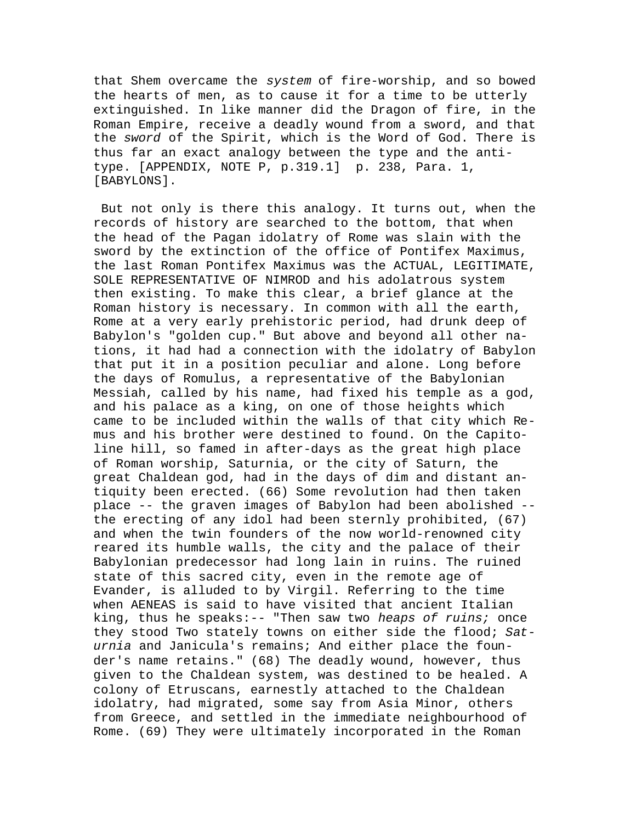that Shem overcame the *system* of fire-worship, and so bowed the hearts of men, as to cause it for a time to be utterly extinguished. In like manner did the Dragon of fire, in the Roman Empire, receive a deadly wound from a sword, and that the *sword* of the Spirit, which is the Word of God. There is thus far an exact analogy between the type and the antitype. [APPENDIX, NOTE P, p.319.1] p. 238, Para. 1, [BABYLONS].

 But not only is there this analogy. It turns out, when the records of history are searched to the bottom, that when the head of the Pagan idolatry of Rome was slain with the sword by the extinction of the office of Pontifex Maximus, the last Roman Pontifex Maximus was the ACTUAL, LEGITIMATE, SOLE REPRESENTATIVE OF NIMROD and his adolatrous system then existing. To make this clear, a brief glance at the Roman history is necessary. In common with all the earth, Rome at a very early prehistoric period, had drunk deep of Babylon's "golden cup." But above and beyond all other nations, it had had a connection with the idolatry of Babylon that put it in a position peculiar and alone. Long before the days of Romulus, a representative of the Babylonian Messiah, called by his name, had fixed his temple as a god, and his palace as a king, on one of those heights which came to be included within the walls of that city which Remus and his brother were destined to found. On the Capitoline hill, so famed in after-days as the great high place of Roman worship, Saturnia, or the city of Saturn, the great Chaldean god, had in the days of dim and distant antiquity been erected. (66) Some revolution had then taken place -- the graven images of Babylon had been abolished - the erecting of any idol had been sternly prohibited, (67) and when the twin founders of the now world-renowned city reared its humble walls, the city and the palace of their Babylonian predecessor had long lain in ruins. The ruined state of this sacred city, even in the remote age of Evander, is alluded to by Virgil. Referring to the time when AENEAS is said to have visited that ancient Italian king, thus he speaks:-- "Then saw two *heaps of ruins;* once they stood Two stately towns on either side the flood; *Saturnia* and Janicula's remains; And either place the founder's name retains." (68) The deadly wound, however, thus given to the Chaldean system, was destined to be healed. A colony of Etruscans, earnestly attached to the Chaldean idolatry, had migrated, some say from Asia Minor, others from Greece, and settled in the immediate neighbourhood of Rome. (69) They were ultimately incorporated in the Roman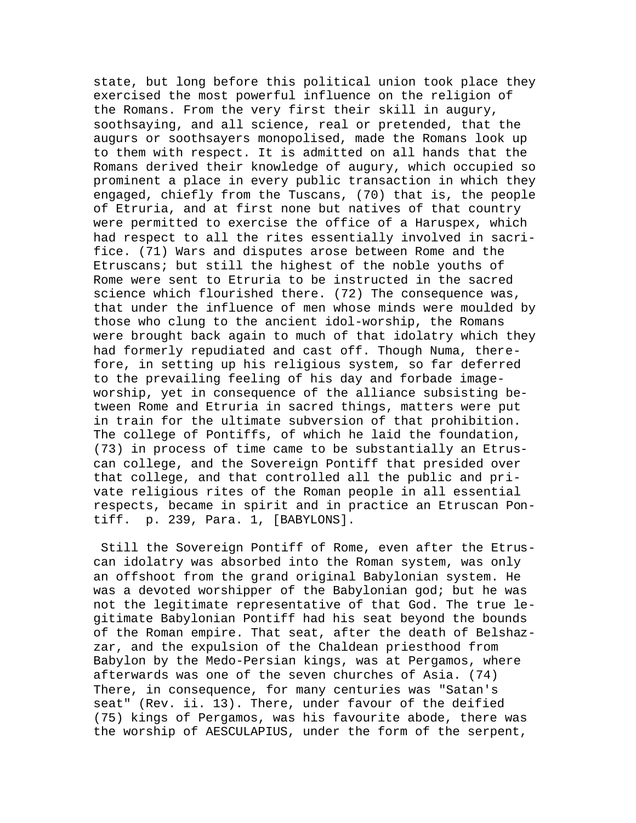state, but long before this political union took place they exercised the most powerful influence on the religion of the Romans. From the very first their skill in augury, soothsaying, and all science, real or pretended, that the augurs or soothsayers monopolised, made the Romans look up to them with respect. It is admitted on all hands that the Romans derived their knowledge of augury, which occupied so prominent a place in every public transaction in which they engaged, chiefly from the Tuscans, (70) that is, the people of Etruria, and at first none but natives of that country were permitted to exercise the office of a Haruspex, which had respect to all the rites essentially involved in sacrifice. (71) Wars and disputes arose between Rome and the Etruscans; but still the highest of the noble youths of Rome were sent to Etruria to be instructed in the sacred science which flourished there. (72) The consequence was, that under the influence of men whose minds were moulded by those who clung to the ancient idol-worship, the Romans were brought back again to much of that idolatry which they had formerly repudiated and cast off. Though Numa, therefore, in setting up his religious system, so far deferred to the prevailing feeling of his day and forbade imageworship, yet in consequence of the alliance subsisting between Rome and Etruria in sacred things, matters were put in train for the ultimate subversion of that prohibition. The college of Pontiffs, of which he laid the foundation, (73) in process of time came to be substantially an Etruscan college, and the Sovereign Pontiff that presided over that college, and that controlled all the public and private religious rites of the Roman people in all essential respects, became in spirit and in practice an Etruscan Pontiff. p. 239, Para. 1, [BABYLONS].

 Still the Sovereign Pontiff of Rome, even after the Etruscan idolatry was absorbed into the Roman system, was only an offshoot from the grand original Babylonian system. He was a devoted worshipper of the Babylonian god; but he was not the legitimate representative of that God. The true legitimate Babylonian Pontiff had his seat beyond the bounds of the Roman empire. That seat, after the death of Belshazzar, and the expulsion of the Chaldean priesthood from Babylon by the Medo-Persian kings, was at Pergamos, where afterwards was one of the seven churches of Asia. (74) There, in consequence, for many centuries was "Satan's seat" (Rev. ii. 13). There, under favour of the deified (75) kings of Pergamos, was his favourite abode, there was the worship of AESCULAPIUS, under the form of the serpent,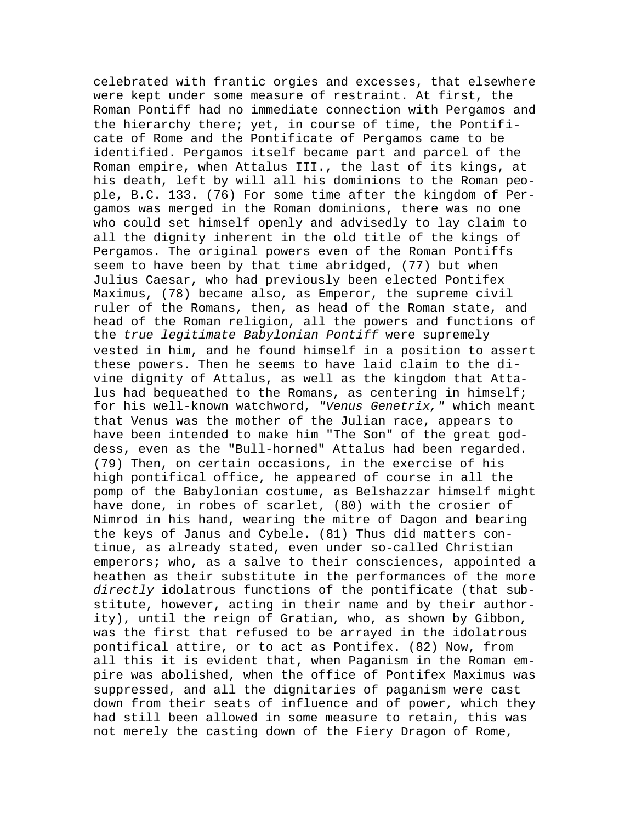celebrated with frantic orgies and excesses, that elsewhere were kept under some measure of restraint. At first, the Roman Pontiff had no immediate connection with Pergamos and the hierarchy there; yet, in course of time, the Pontificate of Rome and the Pontificate of Pergamos came to be identified. Pergamos itself became part and parcel of the Roman empire, when Attalus III., the last of its kings, at his death, left by will all his dominions to the Roman people, B.C. 133. (76) For some time after the kingdom of Pergamos was merged in the Roman dominions, there was no one who could set himself openly and advisedly to lay claim to all the dignity inherent in the old title of the kings of Pergamos. The original powers even of the Roman Pontiffs seem to have been by that time abridged, (77) but when Julius Caesar, who had previously been elected Pontifex Maximus, (78) became also, as Emperor, the supreme civil ruler of the Romans, then, as head of the Roman state, and head of the Roman religion, all the powers and functions of the *true legitimate Babylonian Pontiff* were supremely vested in him, and he found himself in a position to assert these powers. Then he seems to have laid claim to the divine dignity of Attalus, as well as the kingdom that Attalus had bequeathed to the Romans, as centering in himself; for his well-known watchword, *"Venus Genetrix,"* which meant that Venus was the mother of the Julian race, appears to have been intended to make him "The Son" of the great goddess, even as the "Bull-horned" Attalus had been regarded. (79) Then, on certain occasions, in the exercise of his high pontifical office, he appeared of course in all the pomp of the Babylonian costume, as Belshazzar himself might have done, in robes of scarlet, (80) with the crosier of Nimrod in his hand, wearing the mitre of Dagon and bearing the keys of Janus and Cybele. (81) Thus did matters continue, as already stated, even under so-called Christian emperors; who, as a salve to their consciences, appointed a heathen as their substitute in the performances of the more *directly* idolatrous functions of the pontificate (that substitute, however, acting in their name and by their authority), until the reign of Gratian, who, as shown by Gibbon, was the first that refused to be arrayed in the idolatrous pontifical attire, or to act as Pontifex. (82) Now, from all this it is evident that, when Paganism in the Roman empire was abolished, when the office of Pontifex Maximus was suppressed, and all the dignitaries of paganism were cast down from their seats of influence and of power, which they had still been allowed in some measure to retain, this was not merely the casting down of the Fiery Dragon of Rome,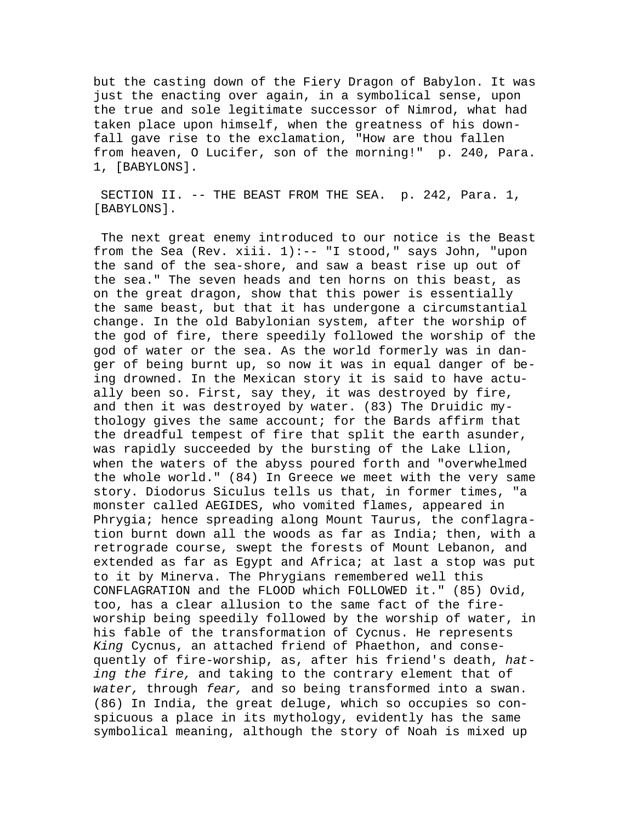but the casting down of the Fiery Dragon of Babylon. It was just the enacting over again, in a symbolical sense, upon the true and sole legitimate successor of Nimrod, what had taken place upon himself, when the greatness of his downfall gave rise to the exclamation, "How are thou fallen from heaven, O Lucifer, son of the morning!" p. 240, Para. 1, [BABYLONS].

 SECTION II. -- THE BEAST FROM THE SEA. p. 242, Para. 1, [BABYLONS].

 The next great enemy introduced to our notice is the Beast from the Sea (Rev. xiii. 1):-- "I stood," says John, "upon the sand of the sea-shore, and saw a beast rise up out of the sea." The seven heads and ten horns on this beast, as on the great dragon, show that this power is essentially the same beast, but that it has undergone a circumstantial change. In the old Babylonian system, after the worship of the god of fire, there speedily followed the worship of the god of water or the sea. As the world formerly was in danger of being burnt up, so now it was in equal danger of being drowned. In the Mexican story it is said to have actually been so. First, say they, it was destroyed by fire, and then it was destroyed by water. (83) The Druidic mythology gives the same account; for the Bards affirm that the dreadful tempest of fire that split the earth asunder, was rapidly succeeded by the bursting of the Lake Llion, when the waters of the abyss poured forth and "overwhelmed the whole world." (84) In Greece we meet with the very same story. Diodorus Siculus tells us that, in former times, "a monster called AEGIDES, who vomited flames, appeared in Phrygia; hence spreading along Mount Taurus, the conflagration burnt down all the woods as far as India; then, with a retrograde course, swept the forests of Mount Lebanon, and extended as far as Egypt and Africa; at last a stop was put to it by Minerva. The Phrygians remembered well this CONFLAGRATION and the FLOOD which FOLLOWED it." (85) Ovid, too, has a clear allusion to the same fact of the fireworship being speedily followed by the worship of water, in his fable of the transformation of Cycnus. He represents *King* Cycnus, an attached friend of Phaethon, and consequently of fire-worship, as, after his friend's death, *hating the fire,* and taking to the contrary element that of *water,* through *fear,* and so being transformed into a swan. (86) In India, the great deluge, which so occupies so conspicuous a place in its mythology, evidently has the same symbolical meaning, although the story of Noah is mixed up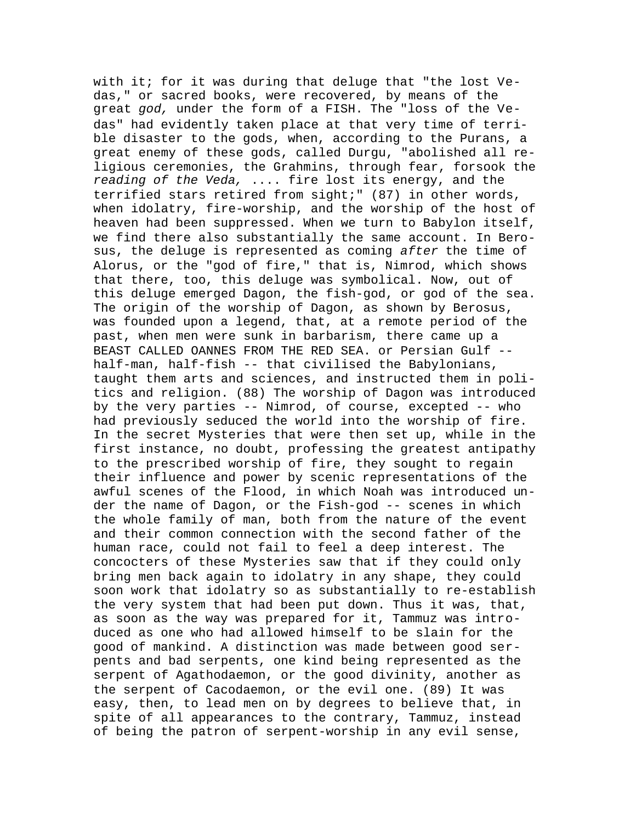with it; for it was during that deluge that "the lost Vedas," or sacred books, were recovered, by means of the great *god,* under the form of a FISH. The "loss of the Vedas" had evidently taken place at that very time of terrible disaster to the gods, when, according to the Purans, a great enemy of these gods, called Durgu, "abolished all religious ceremonies, the Grahmins, through fear, forsook the *reading of the Veda,* .... fire lost its energy, and the terrified stars retired from sight;" (87) in other words, when idolatry, fire-worship, and the worship of the host of heaven had been suppressed. When we turn to Babylon itself, we find there also substantially the same account. In Berosus, the deluge is represented as coming *after* the time of Alorus, or the "god of fire," that is, Nimrod, which shows that there, too, this deluge was symbolical. Now, out of this deluge emerged Dagon, the fish-god, or god of the sea. The origin of the worship of Dagon, as shown by Berosus, was founded upon a legend, that, at a remote period of the past, when men were sunk in barbarism, there came up a BEAST CALLED OANNES FROM THE RED SEA. or Persian Gulf - half-man, half-fish -- that civilised the Babylonians, taught them arts and sciences, and instructed them in politics and religion. (88) The worship of Dagon was introduced by the very parties -- Nimrod, of course, excepted -- who had previously seduced the world into the worship of fire. In the secret Mysteries that were then set up, while in the first instance, no doubt, professing the greatest antipathy to the prescribed worship of fire, they sought to regain their influence and power by scenic representations of the awful scenes of the Flood, in which Noah was introduced under the name of Dagon, or the Fish-god -- scenes in which the whole family of man, both from the nature of the event and their common connection with the second father of the human race, could not fail to feel a deep interest. The concocters of these Mysteries saw that if they could only bring men back again to idolatry in any shape, they could soon work that idolatry so as substantially to re-establish the very system that had been put down. Thus it was, that, as soon as the way was prepared for it, Tammuz was introduced as one who had allowed himself to be slain for the good of mankind. A distinction was made between good serpents and bad serpents, one kind being represented as the serpent of Agathodaemon, or the good divinity, another as the serpent of Cacodaemon, or the evil one. (89) It was easy, then, to lead men on by degrees to believe that, in spite of all appearances to the contrary, Tammuz, instead of being the patron of serpent-worship in any evil sense,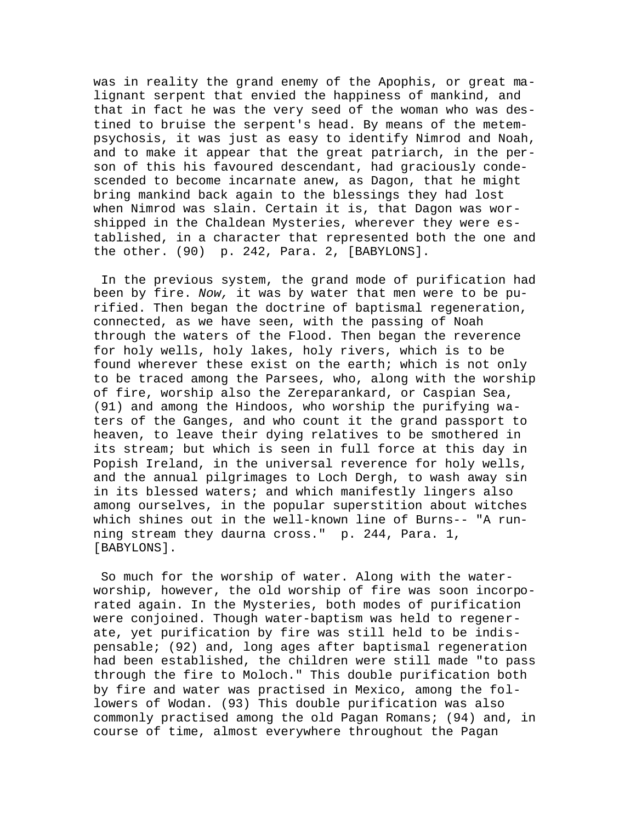was in reality the grand enemy of the Apophis, or great malignant serpent that envied the happiness of mankind, and that in fact he was the very seed of the woman who was destined to bruise the serpent's head. By means of the metempsychosis, it was just as easy to identify Nimrod and Noah, and to make it appear that the great patriarch, in the person of this his favoured descendant, had graciously condescended to become incarnate anew, as Dagon, that he might bring mankind back again to the blessings they had lost when Nimrod was slain. Certain it is, that Dagon was worshipped in the Chaldean Mysteries, wherever they were established, in a character that represented both the one and the other. (90) p. 242, Para. 2, [BABYLONS].

 In the previous system, the grand mode of purification had been by fire. *Now,* it was by water that men were to be purified. Then began the doctrine of baptismal regeneration, connected, as we have seen, with the passing of Noah through the waters of the Flood. Then began the reverence for holy wells, holy lakes, holy rivers, which is to be found wherever these exist on the earth; which is not only to be traced among the Parsees, who, along with the worship of fire, worship also the Zereparankard, or Caspian Sea, (91) and among the Hindoos, who worship the purifying waters of the Ganges, and who count it the grand passport to heaven, to leave their dying relatives to be smothered in its stream; but which is seen in full force at this day in Popish Ireland, in the universal reverence for holy wells, and the annual pilgrimages to Loch Dergh, to wash away sin in its blessed waters; and which manifestly lingers also among ourselves, in the popular superstition about witches which shines out in the well-known line of Burns-- "A running stream they daurna cross." p. 244, Para. 1, [BABYLONS].

 So much for the worship of water. Along with the waterworship, however, the old worship of fire was soon incorporated again. In the Mysteries, both modes of purification were conjoined. Though water-baptism was held to regenerate, yet purification by fire was still held to be indispensable; (92) and, long ages after baptismal regeneration had been established, the children were still made "to pass through the fire to Moloch." This double purification both by fire and water was practised in Mexico, among the followers of Wodan. (93) This double purification was also commonly practised among the old Pagan Romans; (94) and, in course of time, almost everywhere throughout the Pagan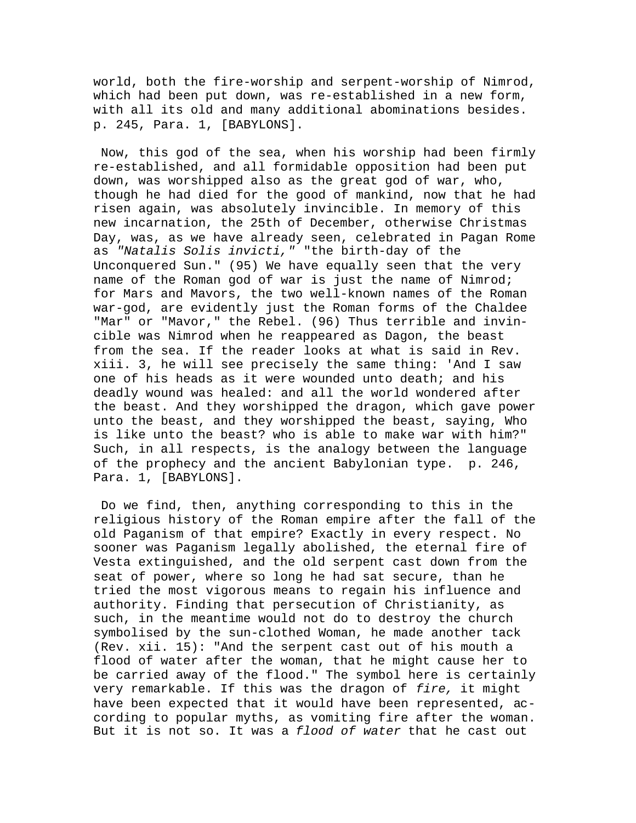world, both the fire-worship and serpent-worship of Nimrod, which had been put down, was re-established in a new form, with all its old and many additional abominations besides. p. 245, Para. 1, [BABYLONS].

 Now, this god of the sea, when his worship had been firmly re-established, and all formidable opposition had been put down, was worshipped also as the great god of war, who, though he had died for the good of mankind, now that he had risen again, was absolutely invincible. In memory of this new incarnation, the 25th of December, otherwise Christmas Day, was, as we have already seen, celebrated in Pagan Rome as *"Natalis Solis invicti,"* "the birth-day of the Unconquered Sun." (95) We have equally seen that the very name of the Roman god of war is just the name of Nimrod; for Mars and Mavors, the two well-known names of the Roman war-god, are evidently just the Roman forms of the Chaldee "Mar" or "Mavor," the Rebel. (96) Thus terrible and invincible was Nimrod when he reappeared as Dagon, the beast from the sea. If the reader looks at what is said in Rev. xiii. 3, he will see precisely the same thing: 'And I saw one of his heads as it were wounded unto death; and his deadly wound was healed: and all the world wondered after the beast. And they worshipped the dragon, which gave power unto the beast, and they worshipped the beast, saying, Who is like unto the beast? who is able to make war with him?" Such, in all respects, is the analogy between the language of the prophecy and the ancient Babylonian type. p. 246, Para. 1, [BABYLONS].

 Do we find, then, anything corresponding to this in the religious history of the Roman empire after the fall of the old Paganism of that empire? Exactly in every respect. No sooner was Paganism legally abolished, the eternal fire of Vesta extinguished, and the old serpent cast down from the seat of power, where so long he had sat secure, than he tried the most vigorous means to regain his influence and authority. Finding that persecution of Christianity, as such, in the meantime would not do to destroy the church symbolised by the sun-clothed Woman, he made another tack (Rev. xii. 15): "And the serpent cast out of his mouth a flood of water after the woman, that he might cause her to be carried away of the flood." The symbol here is certainly very remarkable. If this was the dragon of *fire,* it might have been expected that it would have been represented, according to popular myths, as vomiting fire after the woman. But it is not so. It was a *flood of water* that he cast out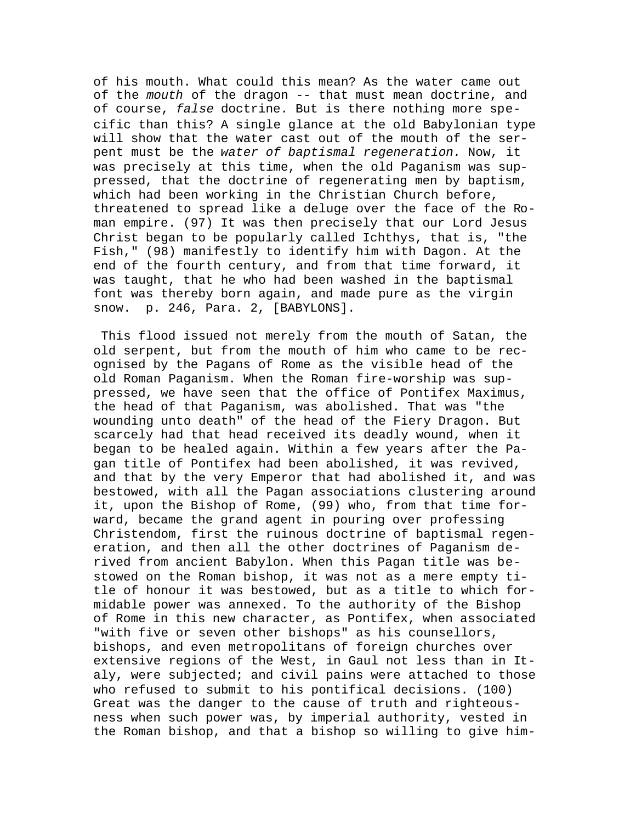of his mouth. What could this mean? As the water came out of the *mouth* of the dragon -- that must mean doctrine, and of course, *false* doctrine. But is there nothing more specific than this? A single glance at the old Babylonian type will show that the water cast out of the mouth of the serpent must be the *water of baptismal regeneration.* Now, it was precisely at this time, when the old Paganism was suppressed, that the doctrine of regenerating men by baptism, which had been working in the Christian Church before, threatened to spread like a deluge over the face of the Roman empire. (97) It was then precisely that our Lord Jesus Christ began to be popularly called Ichthys, that is, "the Fish," (98) manifestly to identify him with Dagon. At the end of the fourth century, and from that time forward, it was taught, that he who had been washed in the baptismal font was thereby born again, and made pure as the virgin snow. p. 246, Para. 2, [BABYLONS].

 This flood issued not merely from the mouth of Satan, the old serpent, but from the mouth of him who came to be recognised by the Pagans of Rome as the visible head of the old Roman Paganism. When the Roman fire-worship was suppressed, we have seen that the office of Pontifex Maximus, the head of that Paganism, was abolished. That was "the wounding unto death" of the head of the Fiery Dragon. But scarcely had that head received its deadly wound, when it began to be healed again. Within a few years after the Pagan title of Pontifex had been abolished, it was revived, and that by the very Emperor that had abolished it, and was bestowed, with all the Pagan associations clustering around it, upon the Bishop of Rome, (99) who, from that time forward, became the grand agent in pouring over professing Christendom, first the ruinous doctrine of baptismal regeneration, and then all the other doctrines of Paganism derived from ancient Babylon. When this Pagan title was bestowed on the Roman bishop, it was not as a mere empty title of honour it was bestowed, but as a title to which formidable power was annexed. To the authority of the Bishop of Rome in this new character, as Pontifex, when associated "with five or seven other bishops" as his counsellors, bishops, and even metropolitans of foreign churches over extensive regions of the West, in Gaul not less than in Italy, were subjected; and civil pains were attached to those who refused to submit to his pontifical decisions. (100) Great was the danger to the cause of truth and righteousness when such power was, by imperial authority, vested in the Roman bishop, and that a bishop so willing to give him-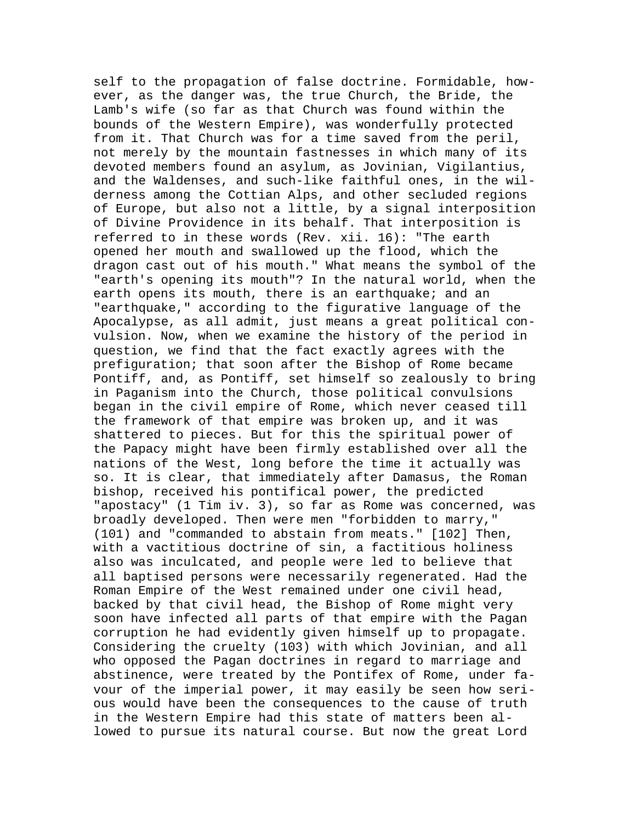self to the propagation of false doctrine. Formidable, however, as the danger was, the true Church, the Bride, the Lamb's wife (so far as that Church was found within the bounds of the Western Empire), was wonderfully protected from it. That Church was for a time saved from the peril, not merely by the mountain fastnesses in which many of its devoted members found an asylum, as Jovinian, Vigilantius, and the Waldenses, and such-like faithful ones, in the wilderness among the Cottian Alps, and other secluded regions of Europe, but also not a little, by a signal interposition of Divine Providence in its behalf. That interposition is referred to in these words (Rev. xii. 16): "The earth opened her mouth and swallowed up the flood, which the dragon cast out of his mouth." What means the symbol of the "earth's opening its mouth"? In the natural world, when the earth opens its mouth, there is an earthquake; and an "earthquake," according to the figurative language of the Apocalypse, as all admit, just means a great political convulsion. Now, when we examine the history of the period in question, we find that the fact exactly agrees with the prefiguration; that soon after the Bishop of Rome became Pontiff, and, as Pontiff, set himself so zealously to bring in Paganism into the Church, those political convulsions began in the civil empire of Rome, which never ceased till the framework of that empire was broken up, and it was shattered to pieces. But for this the spiritual power of the Papacy might have been firmly established over all the nations of the West, long before the time it actually was so. It is clear, that immediately after Damasus, the Roman bishop, received his pontifical power, the predicted "apostacy" (1 Tim iv. 3), so far as Rome was concerned, was broadly developed. Then were men "forbidden to marry," (101) and "commanded to abstain from meats." [102] Then, with a vactitious doctrine of sin, a factitious holiness also was inculcated, and people were led to believe that all baptised persons were necessarily regenerated. Had the Roman Empire of the West remained under one civil head, backed by that civil head, the Bishop of Rome might very soon have infected all parts of that empire with the Pagan corruption he had evidently given himself up to propagate. Considering the cruelty (103) with which Jovinian, and all who opposed the Pagan doctrines in regard to marriage and abstinence, were treated by the Pontifex of Rome, under favour of the imperial power, it may easily be seen how serious would have been the consequences to the cause of truth in the Western Empire had this state of matters been allowed to pursue its natural course. But now the great Lord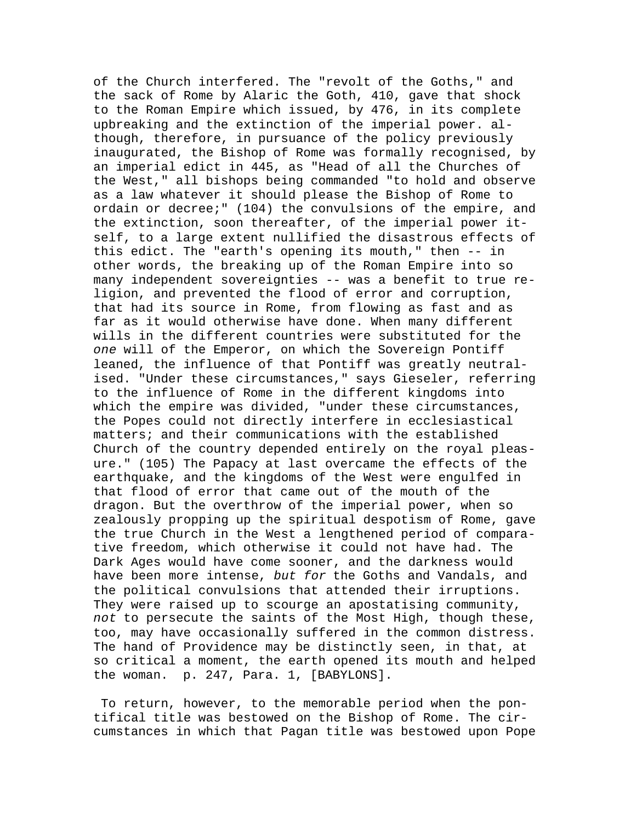of the Church interfered. The "revolt of the Goths," and the sack of Rome by Alaric the Goth, 410, gave that shock to the Roman Empire which issued, by 476, in its complete upbreaking and the extinction of the imperial power. although, therefore, in pursuance of the policy previously inaugurated, the Bishop of Rome was formally recognised, by an imperial edict in 445, as "Head of all the Churches of the West," all bishops being commanded "to hold and observe as a law whatever it should please the Bishop of Rome to ordain or decree;" (104) the convulsions of the empire, and the extinction, soon thereafter, of the imperial power itself, to a large extent nullified the disastrous effects of this edict. The "earth's opening its mouth," then -- in other words, the breaking up of the Roman Empire into so many independent sovereignties -- was a benefit to true religion, and prevented the flood of error and corruption, that had its source in Rome, from flowing as fast and as far as it would otherwise have done. When many different wills in the different countries were substituted for the *one* will of the Emperor, on which the Sovereign Pontiff leaned, the influence of that Pontiff was greatly neutralised. "Under these circumstances," says Gieseler, referring to the influence of Rome in the different kingdoms into which the empire was divided, "under these circumstances, the Popes could not directly interfere in ecclesiastical matters; and their communications with the established Church of the country depended entirely on the royal pleasure." (105) The Papacy at last overcame the effects of the earthquake, and the kingdoms of the West were engulfed in that flood of error that came out of the mouth of the dragon. But the overthrow of the imperial power, when so zealously propping up the spiritual despotism of Rome, gave the true Church in the West a lengthened period of comparative freedom, which otherwise it could not have had. The Dark Ages would have come sooner, and the darkness would have been more intense, *but for* the Goths and Vandals, and the political convulsions that attended their irruptions. They were raised up to scourge an apostatising community, *not* to persecute the saints of the Most High, though these, too, may have occasionally suffered in the common distress. The hand of Providence may be distinctly seen, in that, at so critical a moment, the earth opened its mouth and helped the woman. p. 247, Para. 1, [BABYLONS].

 To return, however, to the memorable period when the pontifical title was bestowed on the Bishop of Rome. The circumstances in which that Pagan title was bestowed upon Pope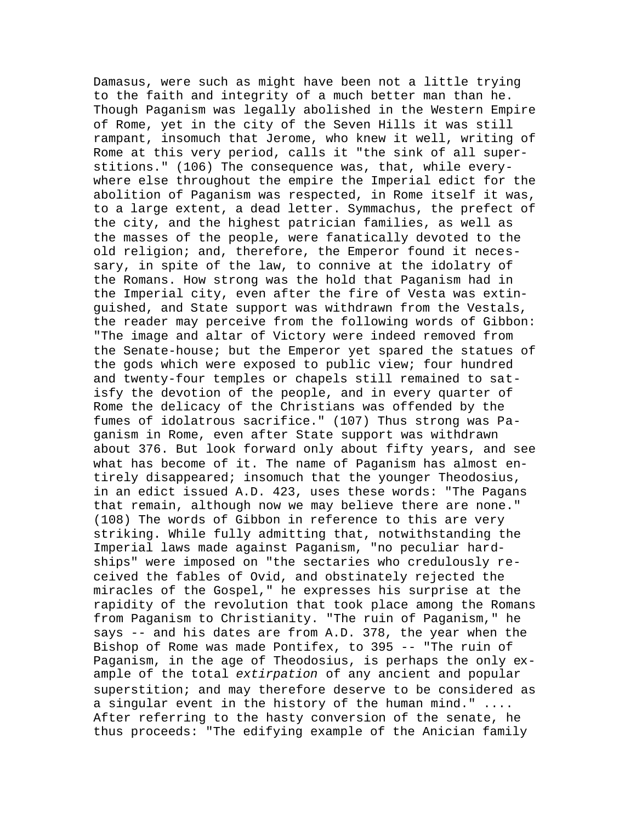Damasus, were such as might have been not a little trying to the faith and integrity of a much better man than he. Though Paganism was legally abolished in the Western Empire of Rome, yet in the city of the Seven Hills it was still rampant, insomuch that Jerome, who knew it well, writing of Rome at this very period, calls it "the sink of all superstitions." (106) The consequence was, that, while everywhere else throughout the empire the Imperial edict for the abolition of Paganism was respected, in Rome itself it was, to a large extent, a dead letter. Symmachus, the prefect of the city, and the highest patrician families, as well as the masses of the people, were fanatically devoted to the old religion; and, therefore, the Emperor found it necessary, in spite of the law, to connive at the idolatry of the Romans. How strong was the hold that Paganism had in the Imperial city, even after the fire of Vesta was extinguished, and State support was withdrawn from the Vestals, the reader may perceive from the following words of Gibbon: "The image and altar of Victory were indeed removed from the Senate-house; but the Emperor yet spared the statues of the gods which were exposed to public view; four hundred and twenty-four temples or chapels still remained to satisfy the devotion of the people, and in every quarter of Rome the delicacy of the Christians was offended by the fumes of idolatrous sacrifice." (107) Thus strong was Paganism in Rome, even after State support was withdrawn about 376. But look forward only about fifty years, and see what has become of it. The name of Paganism has almost entirely disappeared; insomuch that the younger Theodosius, in an edict issued A.D. 423, uses these words: "The Pagans that remain, although now we may believe there are none." (108) The words of Gibbon in reference to this are very striking. While fully admitting that, notwithstanding the Imperial laws made against Paganism, "no peculiar hardships" were imposed on "the sectaries who credulously received the fables of Ovid, and obstinately rejected the miracles of the Gospel," he expresses his surprise at the rapidity of the revolution that took place among the Romans from Paganism to Christianity. "The ruin of Paganism," he says -- and his dates are from A.D. 378, the year when the Bishop of Rome was made Pontifex, to 395 -- "The ruin of Paganism, in the age of Theodosius, is perhaps the only example of the total *extirpation* of any ancient and popular superstition; and may therefore deserve to be considered as a singular event in the history of the human mind." .... After referring to the hasty conversion of the senate, he thus proceeds: "The edifying example of the Anician family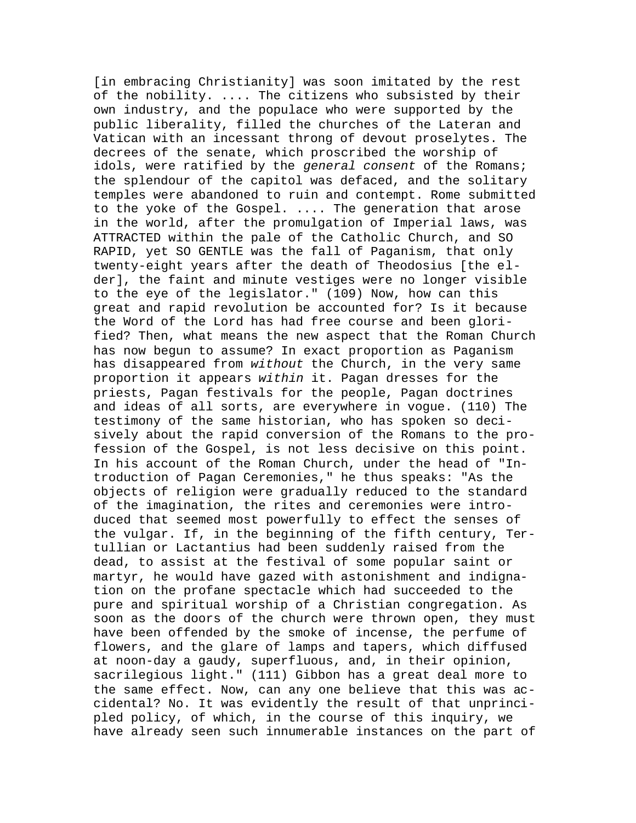[in embracing Christianity] was soon imitated by the rest of the nobility. .... The citizens who subsisted by their own industry, and the populace who were supported by the public liberality, filled the churches of the Lateran and Vatican with an incessant throng of devout proselytes. The decrees of the senate, which proscribed the worship of idols, were ratified by the *general consent* of the Romans; the splendour of the capitol was defaced, and the solitary temples were abandoned to ruin and contempt. Rome submitted to the yoke of the Gospel. .... The generation that arose in the world, after the promulgation of Imperial laws, was ATTRACTED within the pale of the Catholic Church, and SO RAPID, yet SO GENTLE was the fall of Paganism, that only twenty-eight years after the death of Theodosius [the elder], the faint and minute vestiges were no longer visible to the eye of the legislator." (109) Now, how can this great and rapid revolution be accounted for? Is it because the Word of the Lord has had free course and been glorified? Then, what means the new aspect that the Roman Church has now begun to assume? In exact proportion as Paganism has disappeared from *without* the Church, in the very same proportion it appears *within* it. Pagan dresses for the priests, Pagan festivals for the people, Pagan doctrines and ideas of all sorts, are everywhere in vogue. (110) The testimony of the same historian, who has spoken so decisively about the rapid conversion of the Romans to the profession of the Gospel, is not less decisive on this point. In his account of the Roman Church, under the head of "Introduction of Pagan Ceremonies," he thus speaks: "As the objects of religion were gradually reduced to the standard of the imagination, the rites and ceremonies were introduced that seemed most powerfully to effect the senses of the vulgar. If, in the beginning of the fifth century, Tertullian or Lactantius had been suddenly raised from the dead, to assist at the festival of some popular saint or martyr, he would have gazed with astonishment and indignation on the profane spectacle which had succeeded to the pure and spiritual worship of a Christian congregation. As soon as the doors of the church were thrown open, they must have been offended by the smoke of incense, the perfume of flowers, and the glare of lamps and tapers, which diffused at noon-day a gaudy, superfluous, and, in their opinion, sacrilegious light." (111) Gibbon has a great deal more to the same effect. Now, can any one believe that this was accidental? No. It was evidently the result of that unprincipled policy, of which, in the course of this inquiry, we have already seen such innumerable instances on the part of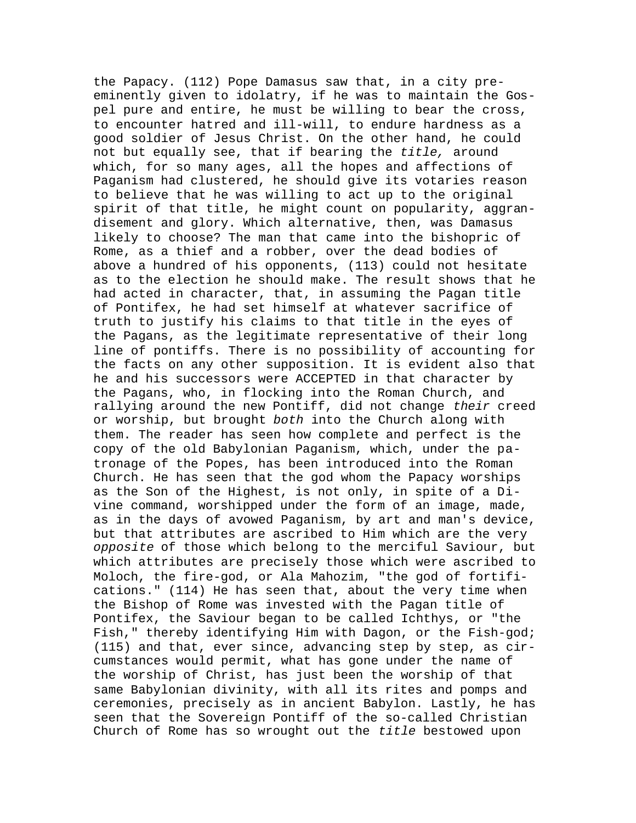the Papacy. (112) Pope Damasus saw that, in a city preeminently given to idolatry, if he was to maintain the Gospel pure and entire, he must be willing to bear the cross, to encounter hatred and ill-will, to endure hardness as a good soldier of Jesus Christ. On the other hand, he could not but equally see, that if bearing the *title,* around which, for so many ages, all the hopes and affections of Paganism had clustered, he should give its votaries reason to believe that he was willing to act up to the original spirit of that title, he might count on popularity, aggrandisement and glory. Which alternative, then, was Damasus likely to choose? The man that came into the bishopric of Rome, as a thief and a robber, over the dead bodies of above a hundred of his opponents, (113) could not hesitate as to the election he should make. The result shows that he had acted in character, that, in assuming the Pagan title of Pontifex, he had set himself at whatever sacrifice of truth to justify his claims to that title in the eyes of the Pagans, as the legitimate representative of their long line of pontiffs. There is no possibility of accounting for the facts on any other supposition. It is evident also that he and his successors were ACCEPTED in that character by the Pagans, who, in flocking into the Roman Church, and rallying around the new Pontiff, did not change *their* creed or worship, but brought *both* into the Church along with them. The reader has seen how complete and perfect is the copy of the old Babylonian Paganism, which, under the patronage of the Popes, has been introduced into the Roman Church. He has seen that the god whom the Papacy worships as the Son of the Highest, is not only, in spite of a Divine command, worshipped under the form of an image, made, as in the days of avowed Paganism, by art and man's device, but that attributes are ascribed to Him which are the very *opposite* of those which belong to the merciful Saviour, but which attributes are precisely those which were ascribed to Moloch, the fire-god, or Ala Mahozim, "the god of fortifications." (114) He has seen that, about the very time when the Bishop of Rome was invested with the Pagan title of Pontifex, the Saviour began to be called Ichthys, or "the Fish," thereby identifying Him with Dagon, or the Fish-god; (115) and that, ever since, advancing step by step, as circumstances would permit, what has gone under the name of the worship of Christ, has just been the worship of that same Babylonian divinity, with all its rites and pomps and ceremonies, precisely as in ancient Babylon. Lastly, he has seen that the Sovereign Pontiff of the so-called Christian Church of Rome has so wrought out the *title* bestowed upon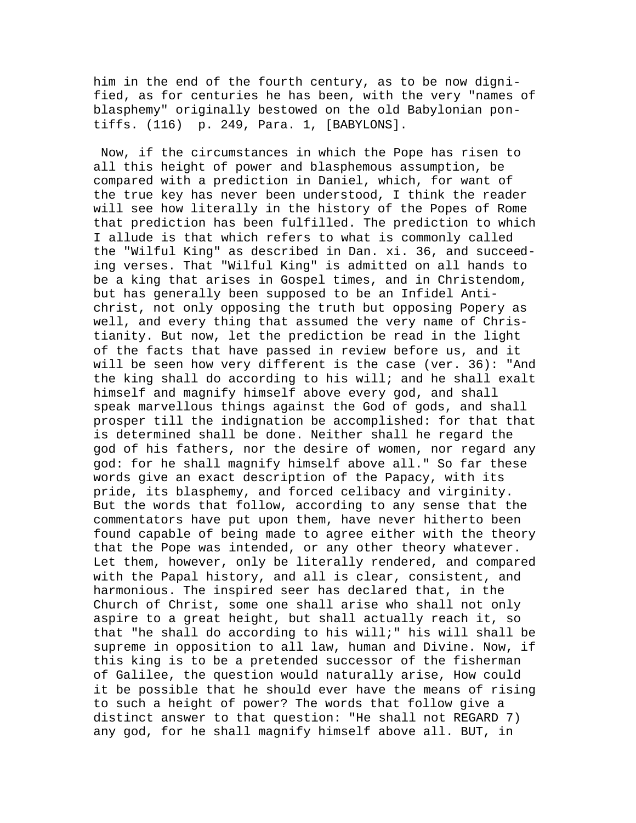him in the end of the fourth century, as to be now dignified, as for centuries he has been, with the very "names of blasphemy" originally bestowed on the old Babylonian pontiffs. (116) p. 249, Para. 1, [BABYLONS].

 Now, if the circumstances in which the Pope has risen to all this height of power and blasphemous assumption, be compared with a prediction in Daniel, which, for want of the true key has never been understood, I think the reader will see how literally in the history of the Popes of Rome that prediction has been fulfilled. The prediction to which I allude is that which refers to what is commonly called the "Wilful King" as described in Dan. xi. 36, and succeeding verses. That "Wilful King" is admitted on all hands to be a king that arises in Gospel times, and in Christendom, but has generally been supposed to be an Infidel Antichrist, not only opposing the truth but opposing Popery as well, and every thing that assumed the very name of Christianity. But now, let the prediction be read in the light of the facts that have passed in review before us, and it will be seen how very different is the case (ver. 36): "And the king shall do according to his will; and he shall exalt himself and magnify himself above every god, and shall speak marvellous things against the God of gods, and shall prosper till the indignation be accomplished: for that that is determined shall be done. Neither shall he regard the god of his fathers, nor the desire of women, nor regard any god: for he shall magnify himself above all." So far these words give an exact description of the Papacy, with its pride, its blasphemy, and forced celibacy and virginity. But the words that follow, according to any sense that the commentators have put upon them, have never hitherto been found capable of being made to agree either with the theory that the Pope was intended, or any other theory whatever. Let them, however, only be literally rendered, and compared with the Papal history, and all is clear, consistent, and harmonious. The inspired seer has declared that, in the Church of Christ, some one shall arise who shall not only aspire to a great height, but shall actually reach it, so that "he shall do according to his will;" his will shall be supreme in opposition to all law, human and Divine. Now, if this king is to be a pretended successor of the fisherman of Galilee, the question would naturally arise, How could it be possible that he should ever have the means of rising to such a height of power? The words that follow give a distinct answer to that question: "He shall not REGARD 7) any god, for he shall magnify himself above all. BUT, in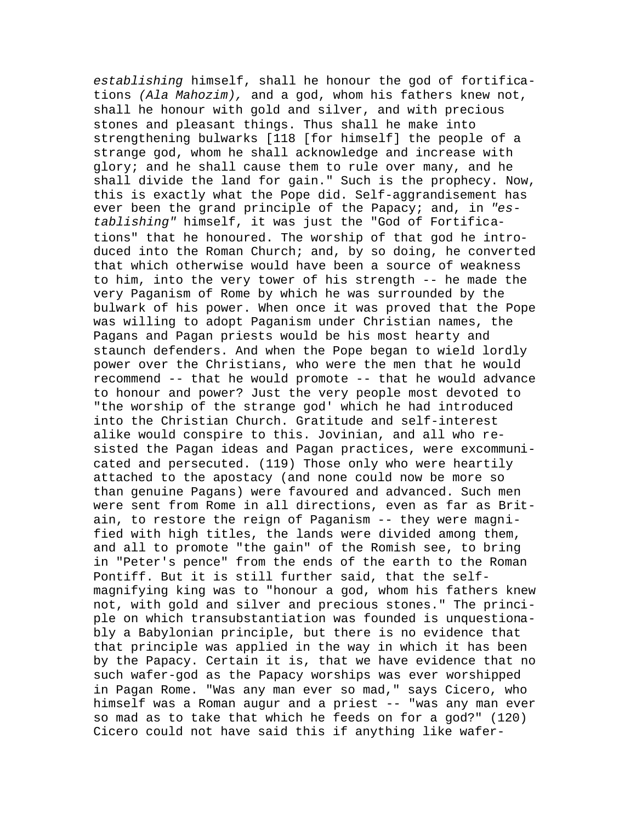*establishing* himself, shall he honour the god of fortifications *(Ala Mahozim),* and a god, whom his fathers knew not, shall he honour with gold and silver, and with precious stones and pleasant things. Thus shall he make into strengthening bulwarks [118 [for himself] the people of a strange god, whom he shall acknowledge and increase with glory; and he shall cause them to rule over many, and he shall divide the land for gain." Such is the prophecy. Now, this is exactly what the Pope did. Self-aggrandisement has ever been the grand principle of the Papacy; and, in *"establishing"* himself, it was just the "God of Fortifications" that he honoured. The worship of that god he introduced into the Roman Church; and, by so doing, he converted that which otherwise would have been a source of weakness to him, into the very tower of his strength -- he made the very Paganism of Rome by which he was surrounded by the bulwark of his power. When once it was proved that the Pope was willing to adopt Paganism under Christian names, the Pagans and Pagan priests would be his most hearty and staunch defenders. And when the Pope began to wield lordly power over the Christians, who were the men that he would recommend -- that he would promote -- that he would advance to honour and power? Just the very people most devoted to "the worship of the strange god' which he had introduced into the Christian Church. Gratitude and self-interest alike would conspire to this. Jovinian, and all who resisted the Pagan ideas and Pagan practices, were excommunicated and persecuted. (119) Those only who were heartily attached to the apostacy (and none could now be more so than genuine Pagans) were favoured and advanced. Such men were sent from Rome in all directions, even as far as Britain, to restore the reign of Paganism -- they were magnified with high titles, the lands were divided among them, and all to promote "the gain" of the Romish see, to bring in "Peter's pence" from the ends of the earth to the Roman Pontiff. But it is still further said, that the selfmagnifying king was to "honour a god, whom his fathers knew not, with gold and silver and precious stones." The principle on which transubstantiation was founded is unquestionably a Babylonian principle, but there is no evidence that that principle was applied in the way in which it has been by the Papacy. Certain it is, that we have evidence that no such wafer-god as the Papacy worships was ever worshipped in Pagan Rome. "Was any man ever so mad," says Cicero, who himself was a Roman augur and a priest -- "was any man ever so mad as to take that which he feeds on for a god?" (120) Cicero could not have said this if anything like wafer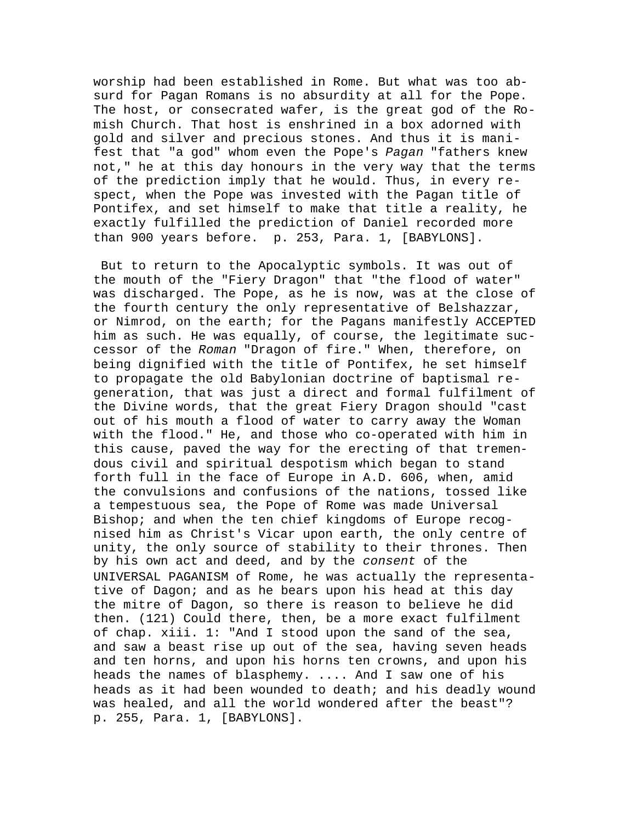worship had been established in Rome. But what was too absurd for Pagan Romans is no absurdity at all for the Pope. The host, or consecrated wafer, is the great god of the Romish Church. That host is enshrined in a box adorned with gold and silver and precious stones. And thus it is manifest that "a god" whom even the Pope's *Pagan* "fathers knew not," he at this day honours in the very way that the terms of the prediction imply that he would. Thus, in every respect, when the Pope was invested with the Pagan title of Pontifex, and set himself to make that title a reality, he exactly fulfilled the prediction of Daniel recorded more than 900 years before. p. 253, Para. 1, [BABYLONS].

 But to return to the Apocalyptic symbols. It was out of the mouth of the "Fiery Dragon" that "the flood of water" was discharged. The Pope, as he is now, was at the close of the fourth century the only representative of Belshazzar, or Nimrod, on the earth; for the Pagans manifestly ACCEPTED him as such. He was equally, of course, the legitimate successor of the *Roman* "Dragon of fire." When, therefore, on being dignified with the title of Pontifex, he set himself to propagate the old Babylonian doctrine of baptismal regeneration, that was just a direct and formal fulfilment of the Divine words, that the great Fiery Dragon should "cast out of his mouth a flood of water to carry away the Woman with the flood." He, and those who co-operated with him in this cause, paved the way for the erecting of that tremendous civil and spiritual despotism which began to stand forth full in the face of Europe in A.D. 606, when, amid the convulsions and confusions of the nations, tossed like a tempestuous sea, the Pope of Rome was made Universal Bishop; and when the ten chief kingdoms of Europe recognised him as Christ's Vicar upon earth, the only centre of unity, the only source of stability to their thrones. Then by his own act and deed, and by the *consent* of the UNIVERSAL PAGANISM of Rome, he was actually the representative of Dagon; and as he bears upon his head at this day the mitre of Dagon, so there is reason to believe he did then. (121) Could there, then, be a more exact fulfilment of chap. xiii. 1: "And I stood upon the sand of the sea, and saw a beast rise up out of the sea, having seven heads and ten horns, and upon his horns ten crowns, and upon his heads the names of blasphemy. .... And I saw one of his heads as it had been wounded to death; and his deadly wound was healed, and all the world wondered after the beast"? p. 255, Para. 1, [BABYLONS].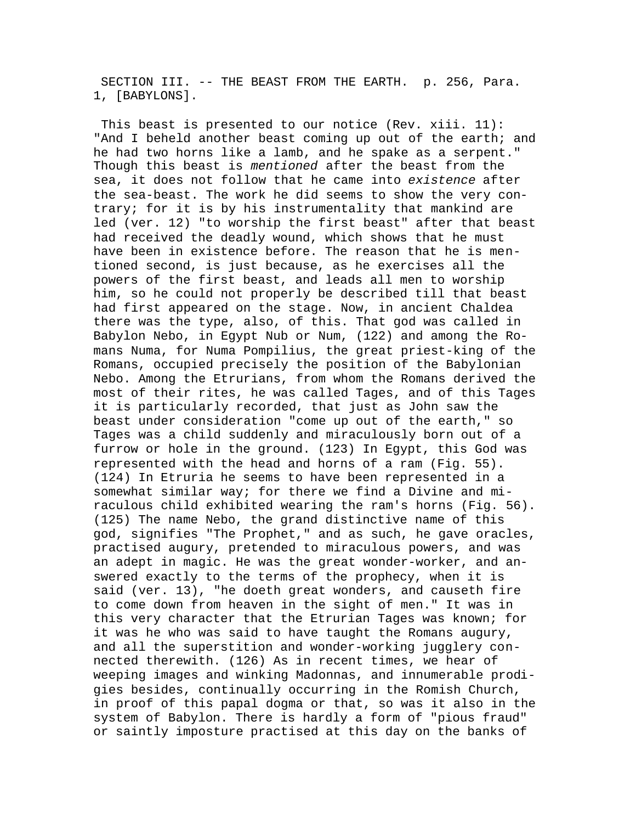SECTION III. -- THE BEAST FROM THE EARTH. p. 256, Para. 1, [BABYLONS].

This beast is presented to our notice (Rev. xiii. 11): "And I beheld another beast coming up out of the earth; and he had two horns like a lamb, and he spake as a serpent." Though this beast is *mentioned* after the beast from the sea, it does not follow that he came into *existence* after the sea-beast. The work he did seems to show the very contrary; for it is by his instrumentality that mankind are led (ver. 12) "to worship the first beast" after that beast had received the deadly wound, which shows that he must have been in existence before. The reason that he is mentioned second, is just because, as he exercises all the powers of the first beast, and leads all men to worship him, so he could not properly be described till that beast had first appeared on the stage. Now, in ancient Chaldea there was the type, also, of this. That god was called in Babylon Nebo, in Egypt Nub or Num, (122) and among the Romans Numa, for Numa Pompilius, the great priest-king of the Romans, occupied precisely the position of the Babylonian Nebo. Among the Etrurians, from whom the Romans derived the most of their rites, he was called Tages, and of this Tages it is particularly recorded, that just as John saw the beast under consideration "come up out of the earth," so Tages was a child suddenly and miraculously born out of a furrow or hole in the ground. (123) In Egypt, this God was represented with the head and horns of a ram (Fig. 55). (124) In Etruria he seems to have been represented in a somewhat similar way; for there we find a Divine and miraculous child exhibited wearing the ram's horns (Fig. 56). (125) The name Nebo, the grand distinctive name of this god, signifies "The Prophet," and as such, he gave oracles, practised augury, pretended to miraculous powers, and was an adept in magic. He was the great wonder-worker, and answered exactly to the terms of the prophecy, when it is said (ver. 13), "he doeth great wonders, and causeth fire to come down from heaven in the sight of men." It was in this very character that the Etrurian Tages was known; for it was he who was said to have taught the Romans augury, and all the superstition and wonder-working jugglery connected therewith. (126) As in recent times, we hear of weeping images and winking Madonnas, and innumerable prodigies besides, continually occurring in the Romish Church, in proof of this papal dogma or that, so was it also in the system of Babylon. There is hardly a form of "pious fraud" or saintly imposture practised at this day on the banks of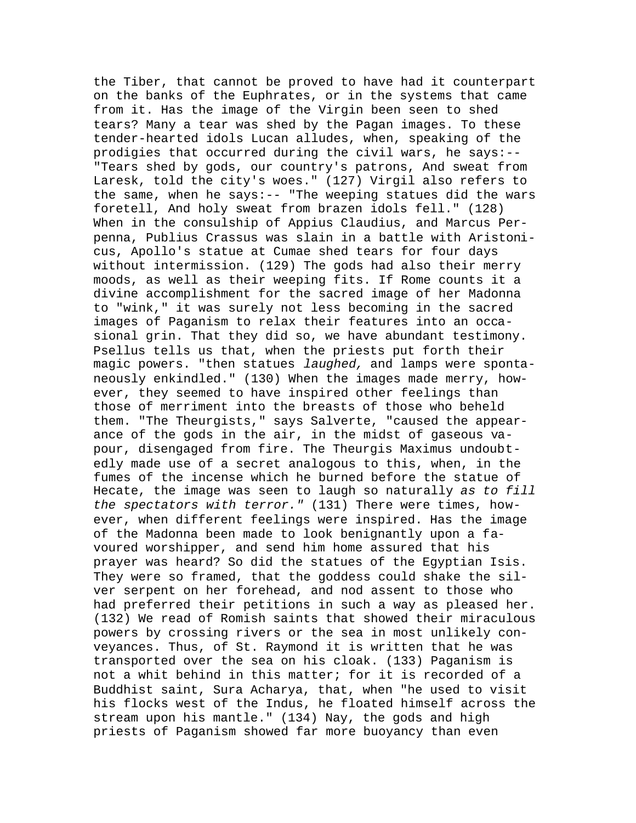the Tiber, that cannot be proved to have had it counterpart on the banks of the Euphrates, or in the systems that came from it. Has the image of the Virgin been seen to shed tears? Many a tear was shed by the Pagan images. To these tender-hearted idols Lucan alludes, when, speaking of the prodigies that occurred during the civil wars, he says:-- "Tears shed by gods, our country's patrons, And sweat from Laresk, told the city's woes." (127) Virgil also refers to the same, when he says:-- "The weeping statues did the wars foretell, And holy sweat from brazen idols fell." (128) When in the consulship of Appius Claudius, and Marcus Perpenna, Publius Crassus was slain in a battle with Aristonicus, Apollo's statue at Cumae shed tears for four days without intermission. (129) The gods had also their merry moods, as well as their weeping fits. If Rome counts it a divine accomplishment for the sacred image of her Madonna to "wink," it was surely not less becoming in the sacred images of Paganism to relax their features into an occasional grin. That they did so, we have abundant testimony. Psellus tells us that, when the priests put forth their magic powers. "then statues *laughed,* and lamps were spontaneously enkindled." (130) When the images made merry, however, they seemed to have inspired other feelings than those of merriment into the breasts of those who beheld them. "The Theurgists," says Salverte, "caused the appearance of the gods in the air, in the midst of gaseous vapour, disengaged from fire. The Theurgis Maximus undoubtedly made use of a secret analogous to this, when, in the fumes of the incense which he burned before the statue of Hecate, the image was seen to laugh so naturally *as to fill the spectators with terror."* (131) There were times, however, when different feelings were inspired. Has the image of the Madonna been made to look benignantly upon a favoured worshipper, and send him home assured that his prayer was heard? So did the statues of the Egyptian Isis. They were so framed, that the goddess could shake the silver serpent on her forehead, and nod assent to those who had preferred their petitions in such a way as pleased her. (132) We read of Romish saints that showed their miraculous powers by crossing rivers or the sea in most unlikely conveyances. Thus, of St. Raymond it is written that he was transported over the sea on his cloak. (133) Paganism is not a whit behind in this matter; for it is recorded of a Buddhist saint, Sura Acharya, that, when "he used to visit his flocks west of the Indus, he floated himself across the stream upon his mantle." (134) Nay, the gods and high priests of Paganism showed far more buoyancy than even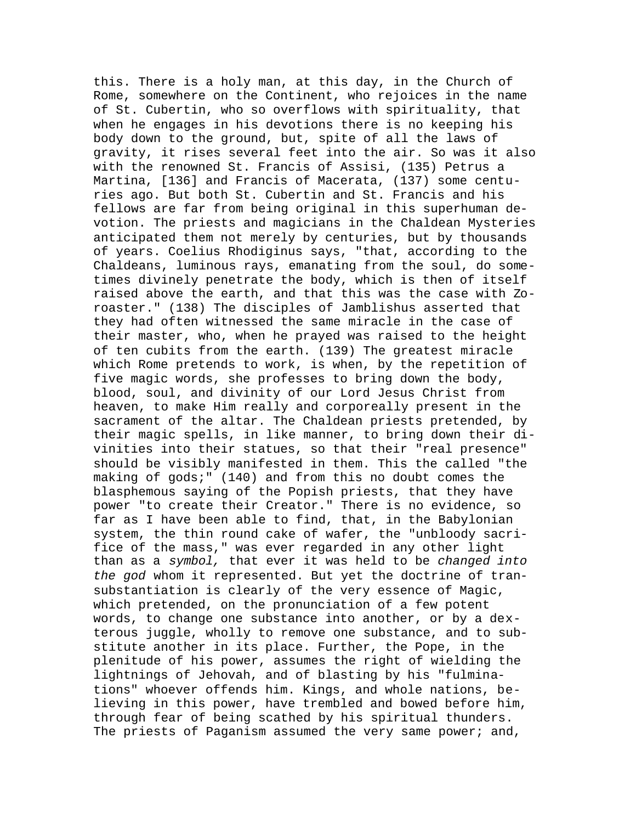this. There is a holy man, at this day, in the Church of Rome, somewhere on the Continent, who rejoices in the name of St. Cubertin, who so overflows with spirituality, that when he engages in his devotions there is no keeping his body down to the ground, but, spite of all the laws of gravity, it rises several feet into the air. So was it also with the renowned St. Francis of Assisi, (135) Petrus a Martina, [136] and Francis of Macerata, (137) some centuries ago. But both St. Cubertin and St. Francis and his fellows are far from being original in this superhuman devotion. The priests and magicians in the Chaldean Mysteries anticipated them not merely by centuries, but by thousands of years. Coelius Rhodiginus says, "that, according to the Chaldeans, luminous rays, emanating from the soul, do sometimes divinely penetrate the body, which is then of itself raised above the earth, and that this was the case with Zoroaster." (138) The disciples of Jamblishus asserted that they had often witnessed the same miracle in the case of their master, who, when he prayed was raised to the height of ten cubits from the earth. (139) The greatest miracle which Rome pretends to work, is when, by the repetition of five magic words, she professes to bring down the body, blood, soul, and divinity of our Lord Jesus Christ from heaven, to make Him really and corporeally present in the sacrament of the altar. The Chaldean priests pretended, by their magic spells, in like manner, to bring down their divinities into their statues, so that their "real presence" should be visibly manifested in them. This the called "the making of gods;" (140) and from this no doubt comes the blasphemous saying of the Popish priests, that they have power "to create their Creator." There is no evidence, so far as I have been able to find, that, in the Babylonian system, the thin round cake of wafer, the "unbloody sacrifice of the mass," was ever regarded in any other light than as a *symbol,* that ever it was held to be *changed into the god* whom it represented. But yet the doctrine of transubstantiation is clearly of the very essence of Magic, which pretended, on the pronunciation of a few potent words, to change one substance into another, or by a dexterous juggle, wholly to remove one substance, and to substitute another in its place. Further, the Pope, in the plenitude of his power, assumes the right of wielding the lightnings of Jehovah, and of blasting by his "fulminations" whoever offends him. Kings, and whole nations, believing in this power, have trembled and bowed before him, through fear of being scathed by his spiritual thunders. The priests of Paganism assumed the very same power; and,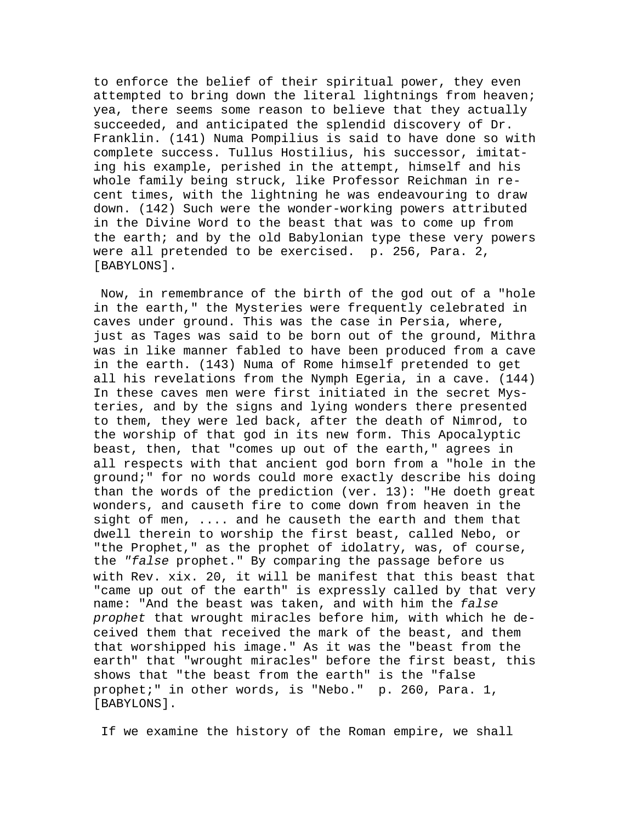to enforce the belief of their spiritual power, they even attempted to bring down the literal lightnings from heaven; yea, there seems some reason to believe that they actually succeeded, and anticipated the splendid discovery of Dr. Franklin. (141) Numa Pompilius is said to have done so with complete success. Tullus Hostilius, his successor, imitating his example, perished in the attempt, himself and his whole family being struck, like Professor Reichman in recent times, with the lightning he was endeavouring to draw down. (142) Such were the wonder-working powers attributed in the Divine Word to the beast that was to come up from the earth; and by the old Babylonian type these very powers were all pretended to be exercised. p. 256, Para. 2, [BABYLONS].

 Now, in remembrance of the birth of the god out of a "hole in the earth," the Mysteries were frequently celebrated in caves under ground. This was the case in Persia, where, just as Tages was said to be born out of the ground, Mithra was in like manner fabled to have been produced from a cave in the earth. (143) Numa of Rome himself pretended to get all his revelations from the Nymph Egeria, in a cave. (144) In these caves men were first initiated in the secret Mysteries, and by the signs and lying wonders there presented to them, they were led back, after the death of Nimrod, to the worship of that god in its new form. This Apocalyptic beast, then, that "comes up out of the earth," agrees in all respects with that ancient god born from a "hole in the ground;" for no words could more exactly describe his doing than the words of the prediction (ver. 13): "He doeth great wonders, and causeth fire to come down from heaven in the sight of men, .... and he causeth the earth and them that dwell therein to worship the first beast, called Nebo, or "the Prophet," as the prophet of idolatry, was, of course, the *"false* prophet." By comparing the passage before us with Rev. xix. 20, it will be manifest that this beast that "came up out of the earth" is expressly called by that very name: "And the beast was taken, and with him the *false prophet* that wrought miracles before him, with which he deceived them that received the mark of the beast, and them that worshipped his image." As it was the "beast from the earth" that "wrought miracles" before the first beast, this shows that "the beast from the earth" is the "false prophet;" in other words, is "Nebo." p. 260, Para. 1, [BABYLONS].

If we examine the history of the Roman empire, we shall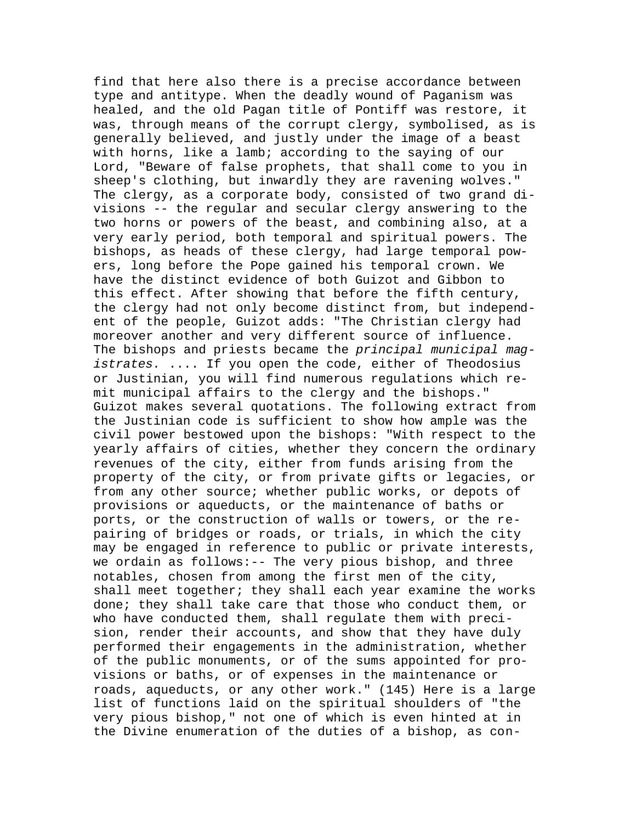find that here also there is a precise accordance between type and antitype. When the deadly wound of Paganism was healed, and the old Pagan title of Pontiff was restore, it was, through means of the corrupt clergy, symbolised, as is generally believed, and justly under the image of a beast with horns, like a lamb; according to the saying of our Lord, "Beware of false prophets, that shall come to you in sheep's clothing, but inwardly they are ravening wolves." The clergy, as a corporate body, consisted of two grand divisions -- the regular and secular clergy answering to the two horns or powers of the beast, and combining also, at a very early period, both temporal and spiritual powers. The bishops, as heads of these clergy, had large temporal powers, long before the Pope gained his temporal crown. We have the distinct evidence of both Guizot and Gibbon to this effect. After showing that before the fifth century, the clergy had not only become distinct from, but independent of the people, Guizot adds: "The Christian clergy had moreover another and very different source of influence. The bishops and priests became the *principal municipal magistrates.* .... If you open the code, either of Theodosius or Justinian, you will find numerous regulations which remit municipal affairs to the clergy and the bishops." Guizot makes several quotations. The following extract from the Justinian code is sufficient to show how ample was the civil power bestowed upon the bishops: "With respect to the yearly affairs of cities, whether they concern the ordinary revenues of the city, either from funds arising from the property of the city, or from private gifts or legacies, or from any other source; whether public works, or depots of provisions or aqueducts, or the maintenance of baths or ports, or the construction of walls or towers, or the repairing of bridges or roads, or trials, in which the city may be engaged in reference to public or private interests, we ordain as follows:-- The very pious bishop, and three notables, chosen from among the first men of the city, shall meet together; they shall each year examine the works done; they shall take care that those who conduct them, or who have conducted them, shall regulate them with precision, render their accounts, and show that they have duly performed their engagements in the administration, whether of the public monuments, or of the sums appointed for provisions or baths, or of expenses in the maintenance or roads, aqueducts, or any other work." (145) Here is a large list of functions laid on the spiritual shoulders of "the very pious bishop," not one of which is even hinted at in the Divine enumeration of the duties of a bishop, as con-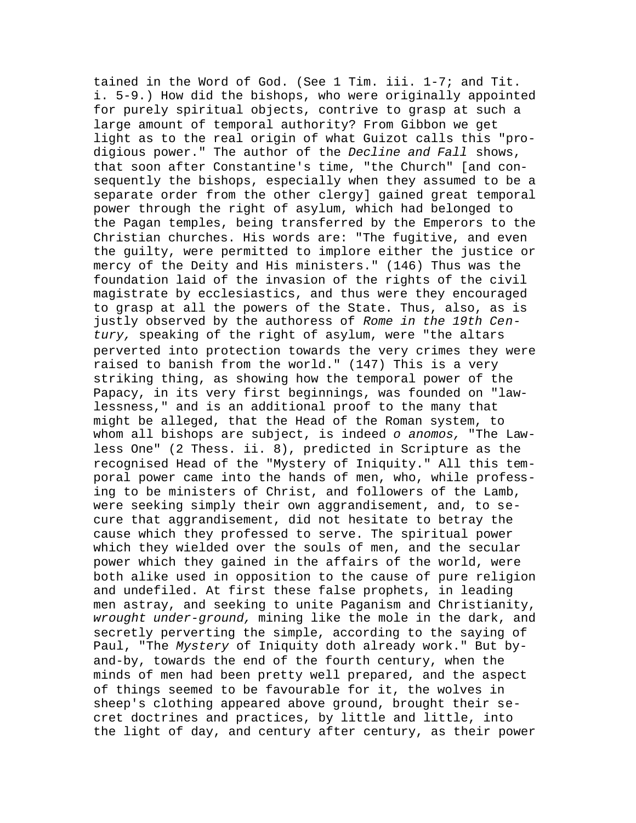tained in the Word of God. (See 1 Tim. iii. 1-7; and Tit. i. 5-9.) How did the bishops, who were originally appointed for purely spiritual objects, contrive to grasp at such a large amount of temporal authority? From Gibbon we get light as to the real origin of what Guizot calls this "prodigious power." The author of the *Decline and Fall* shows, that soon after Constantine's time, "the Church" [and consequently the bishops, especially when they assumed to be a separate order from the other clergy] gained great temporal power through the right of asylum, which had belonged to the Pagan temples, being transferred by the Emperors to the Christian churches. His words are: "The fugitive, and even the guilty, were permitted to implore either the justice or mercy of the Deity and His ministers." (146) Thus was the foundation laid of the invasion of the rights of the civil magistrate by ecclesiastics, and thus were they encouraged to grasp at all the powers of the State. Thus, also, as is justly observed by the authoress of *Rome in the 19th Century,* speaking of the right of asylum, were "the altars perverted into protection towards the very crimes they were raised to banish from the world." (147) This is a very striking thing, as showing how the temporal power of the Papacy, in its very first beginnings, was founded on "lawlessness," and is an additional proof to the many that might be alleged, that the Head of the Roman system, to whom all bishops are subject, is indeed *o anomos,* "The Lawless One" (2 Thess. ii. 8), predicted in Scripture as the recognised Head of the "Mystery of Iniquity." All this temporal power came into the hands of men, who, while professing to be ministers of Christ, and followers of the Lamb, were seeking simply their own aggrandisement, and, to secure that aggrandisement, did not hesitate to betray the cause which they professed to serve. The spiritual power which they wielded over the souls of men, and the secular power which they gained in the affairs of the world, were both alike used in opposition to the cause of pure religion and undefiled. At first these false prophets, in leading men astray, and seeking to unite Paganism and Christianity, *wrought under-ground,* mining like the mole in the dark, and secretly perverting the simple, according to the saying of Paul, "The *Mystery* of Iniquity doth already work." But byand-by, towards the end of the fourth century, when the minds of men had been pretty well prepared, and the aspect of things seemed to be favourable for it, the wolves in sheep's clothing appeared above ground, brought their secret doctrines and practices, by little and little, into the light of day, and century after century, as their power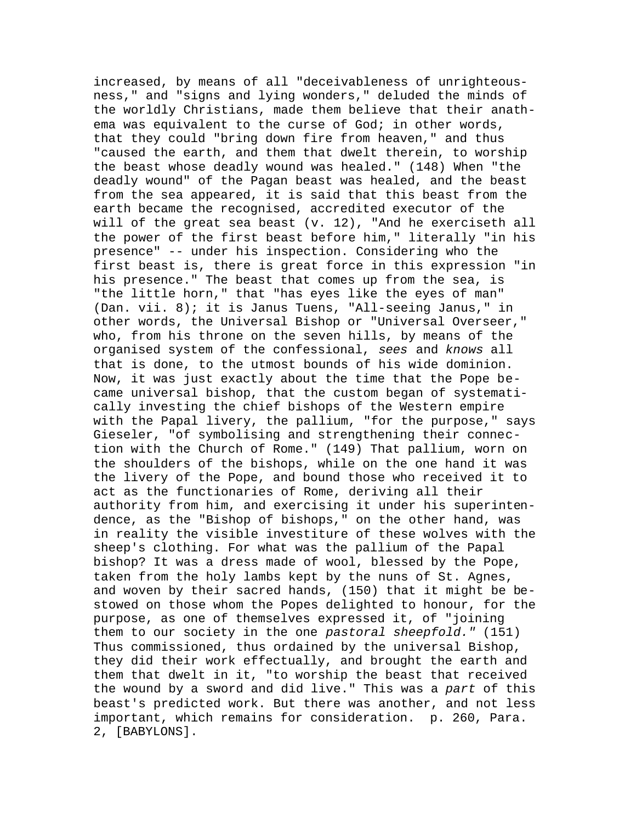increased, by means of all "deceivableness of unrighteousness," and "signs and lying wonders," deluded the minds of the worldly Christians, made them believe that their anathema was equivalent to the curse of God; in other words, that they could "bring down fire from heaven," and thus "caused the earth, and them that dwelt therein, to worship the beast whose deadly wound was healed." (148) When "the deadly wound" of the Pagan beast was healed, and the beast from the sea appeared, it is said that this beast from the earth became the recognised, accredited executor of the will of the great sea beast (v. 12), "And he exerciseth all the power of the first beast before him," literally "in his presence" -- under his inspection. Considering who the first beast is, there is great force in this expression "in his presence." The beast that comes up from the sea, is "the little horn," that "has eyes like the eyes of man" (Dan. vii. 8); it is Janus Tuens, "All-seeing Janus," in other words, the Universal Bishop or "Universal Overseer," who, from his throne on the seven hills, by means of the organised system of the confessional, *sees* and *knows* all that is done, to the utmost bounds of his wide dominion. Now, it was just exactly about the time that the Pope became universal bishop, that the custom began of systematically investing the chief bishops of the Western empire with the Papal livery, the pallium, "for the purpose," says Gieseler, "of symbolising and strengthening their connection with the Church of Rome." (149) That pallium, worn on the shoulders of the bishops, while on the one hand it was the livery of the Pope, and bound those who received it to act as the functionaries of Rome, deriving all their authority from him, and exercising it under his superintendence, as the "Bishop of bishops," on the other hand, was in reality the visible investiture of these wolves with the sheep's clothing. For what was the pallium of the Papal bishop? It was a dress made of wool, blessed by the Pope, taken from the holy lambs kept by the nuns of St. Agnes, and woven by their sacred hands, (150) that it might be bestowed on those whom the Popes delighted to honour, for the purpose, as one of themselves expressed it, of "joining them to our society in the one *pastoral sheepfold."* (151) Thus commissioned, thus ordained by the universal Bishop, they did their work effectually, and brought the earth and them that dwelt in it, "to worship the beast that received the wound by a sword and did live." This was a *part* of this beast's predicted work. But there was another, and not less important, which remains for consideration. p. 260, Para. 2, [BABYLONS].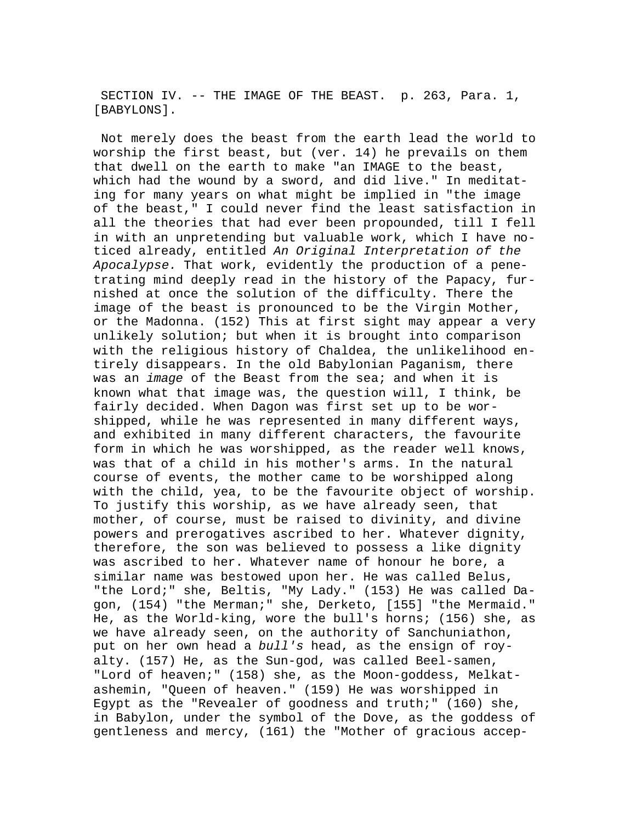SECTION IV. -- THE IMAGE OF THE BEAST. p. 263, Para. 1, [BABYLONS].

 Not merely does the beast from the earth lead the world to worship the first beast, but (ver. 14) he prevails on them that dwell on the earth to make "an IMAGE to the beast, which had the wound by a sword, and did live." In meditating for many years on what might be implied in "the image of the beast," I could never find the least satisfaction in all the theories that had ever been propounded, till I fell in with an unpretending but valuable work, which I have noticed already, entitled *An Original Interpretation of the Apocalypse.* That work, evidently the production of a penetrating mind deeply read in the history of the Papacy, furnished at once the solution of the difficulty. There the image of the beast is pronounced to be the Virgin Mother, or the Madonna. (152) This at first sight may appear a very unlikely solution; but when it is brought into comparison with the religious history of Chaldea, the unlikelihood entirely disappears. In the old Babylonian Paganism, there was an *image* of the Beast from the sea; and when it is known what that image was, the question will, I think, be fairly decided. When Dagon was first set up to be worshipped, while he was represented in many different ways, and exhibited in many different characters, the favourite form in which he was worshipped, as the reader well knows, was that of a child in his mother's arms. In the natural course of events, the mother came to be worshipped along with the child, yea, to be the favourite object of worship. To justify this worship, as we have already seen, that mother, of course, must be raised to divinity, and divine powers and prerogatives ascribed to her. Whatever dignity, therefore, the son was believed to possess a like dignity was ascribed to her. Whatever name of honour he bore, a similar name was bestowed upon her. He was called Belus, "the Lord;" she, Beltis, "My Lady." (153) He was called Dagon, (154) "the Merman;" she, Derketo, [155] "the Mermaid." He, as the World-king, wore the bull's horns; (156) she, as we have already seen, on the authority of Sanchuniathon, put on her own head a *bull's* head, as the ensign of royalty. (157) He, as the Sun-god, was called Beel-samen, "Lord of heaven;" (158) she, as the Moon-goddess, Melkatashemin, "Queen of heaven." (159) He was worshipped in Egypt as the "Revealer of goodness and truth;" (160) she, in Babylon, under the symbol of the Dove, as the goddess of gentleness and mercy, (161) the "Mother of gracious accep-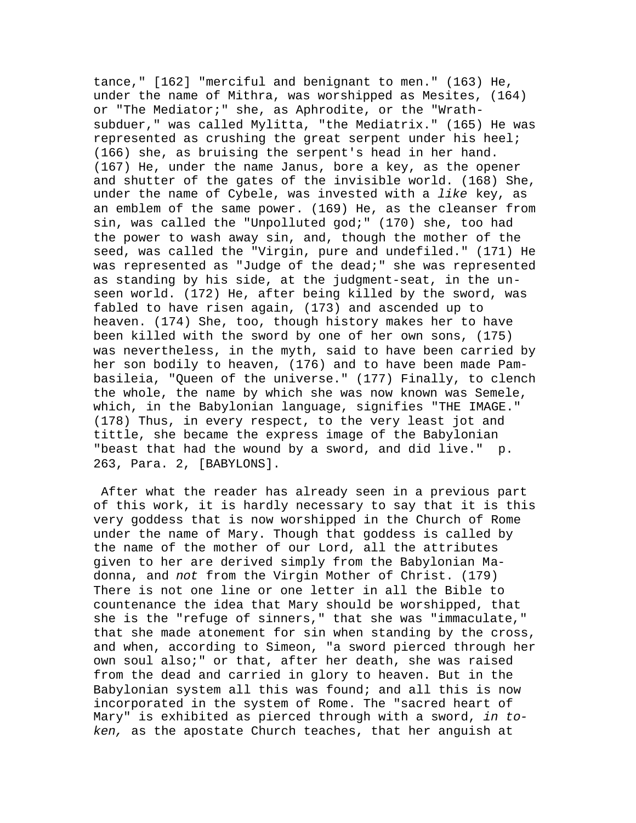tance," [162] "merciful and benignant to men." (163) He, under the name of Mithra, was worshipped as Mesites, (164) or "The Mediator;" she, as Aphrodite, or the "Wrathsubduer," was called Mylitta, "the Mediatrix." (165) He was represented as crushing the great serpent under his heel; (166) she, as bruising the serpent's head in her hand. (167) He, under the name Janus, bore a key, as the opener and shutter of the gates of the invisible world. (168) She, under the name of Cybele, was invested with a *like* key, as an emblem of the same power. (169) He, as the cleanser from sin, was called the "Unpolluted god;" (170) she, too had the power to wash away sin, and, though the mother of the seed, was called the "Virgin, pure and undefiled." (171) He was represented as "Judge of the dead;" she was represented as standing by his side, at the judgment-seat, in the unseen world. (172) He, after being killed by the sword, was fabled to have risen again, (173) and ascended up to heaven. (174) She, too, though history makes her to have been killed with the sword by one of her own sons, (175) was nevertheless, in the myth, said to have been carried by her son bodily to heaven, (176) and to have been made Pambasileia, "Queen of the universe." (177) Finally, to clench the whole, the name by which she was now known was Semele, which, in the Babylonian language, signifies "THE IMAGE." (178) Thus, in every respect, to the very least jot and tittle, she became the express image of the Babylonian "beast that had the wound by a sword, and did live." p. 263, Para. 2, [BABYLONS].

 After what the reader has already seen in a previous part of this work, it is hardly necessary to say that it is this very goddess that is now worshipped in the Church of Rome under the name of Mary. Though that goddess is called by the name of the mother of our Lord, all the attributes given to her are derived simply from the Babylonian Madonna, and *not* from the Virgin Mother of Christ. (179) There is not one line or one letter in all the Bible to countenance the idea that Mary should be worshipped, that she is the "refuge of sinners," that she was "immaculate," that she made atonement for sin when standing by the cross, and when, according to Simeon, "a sword pierced through her own soul also;" or that, after her death, she was raised from the dead and carried in glory to heaven. But in the Babylonian system all this was found; and all this is now incorporated in the system of Rome. The "sacred heart of Mary" is exhibited as pierced through with a sword, *in token,* as the apostate Church teaches, that her anguish at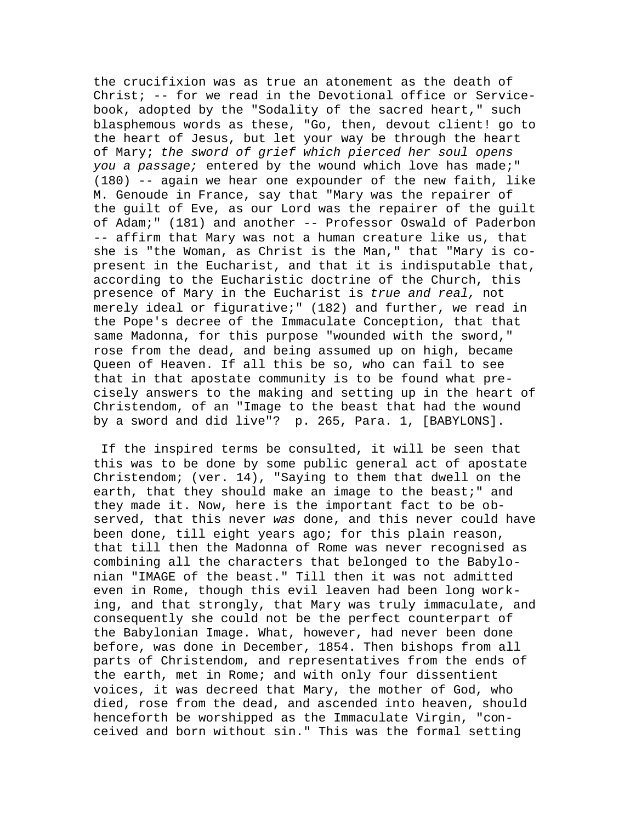the crucifixion was as true an atonement as the death of Christ; -- for we read in the Devotional office or Servicebook, adopted by the "Sodality of the sacred heart," such blasphemous words as these, "Go, then, devout client! go to the heart of Jesus, but let your way be through the heart of Mary; *the sword of grief which pierced her soul opens you a passage;* entered by the wound which love has made;" (180) -- again we hear one expounder of the new faith, like M. Genoude in France, say that "Mary was the repairer of the guilt of Eve, as our Lord was the repairer of the guilt of Adam;" (181) and another -- Professor Oswald of Paderbon -- affirm that Mary was not a human creature like us, that she is "the Woman, as Christ is the Man," that "Mary is copresent in the Eucharist, and that it is indisputable that, according to the Eucharistic doctrine of the Church, this presence of Mary in the Eucharist is *true and real,* not merely ideal or figurative;" (182) and further, we read in the Pope's decree of the Immaculate Conception, that that same Madonna, for this purpose "wounded with the sword," rose from the dead, and being assumed up on high, became Queen of Heaven. If all this be so, who can fail to see that in that apostate community is to be found what precisely answers to the making and setting up in the heart of Christendom, of an "Image to the beast that had the wound by a sword and did live"? p. 265, Para. 1, [BABYLONS].

 If the inspired terms be consulted, it will be seen that this was to be done by some public general act of apostate Christendom; (ver. 14), "Saying to them that dwell on the earth, that they should make an image to the beast;" and they made it. Now, here is the important fact to be observed, that this never *was* done, and this never could have been done, till eight years ago; for this plain reason, that till then the Madonna of Rome was never recognised as combining all the characters that belonged to the Babylonian "IMAGE of the beast." Till then it was not admitted even in Rome, though this evil leaven had been long working, and that strongly, that Mary was truly immaculate, and consequently she could not be the perfect counterpart of the Babylonian Image. What, however, had never been done before, was done in December, 1854. Then bishops from all parts of Christendom, and representatives from the ends of the earth, met in Rome; and with only four dissentient voices, it was decreed that Mary, the mother of God, who died, rose from the dead, and ascended into heaven, should henceforth be worshipped as the Immaculate Virgin, "conceived and born without sin." This was the formal setting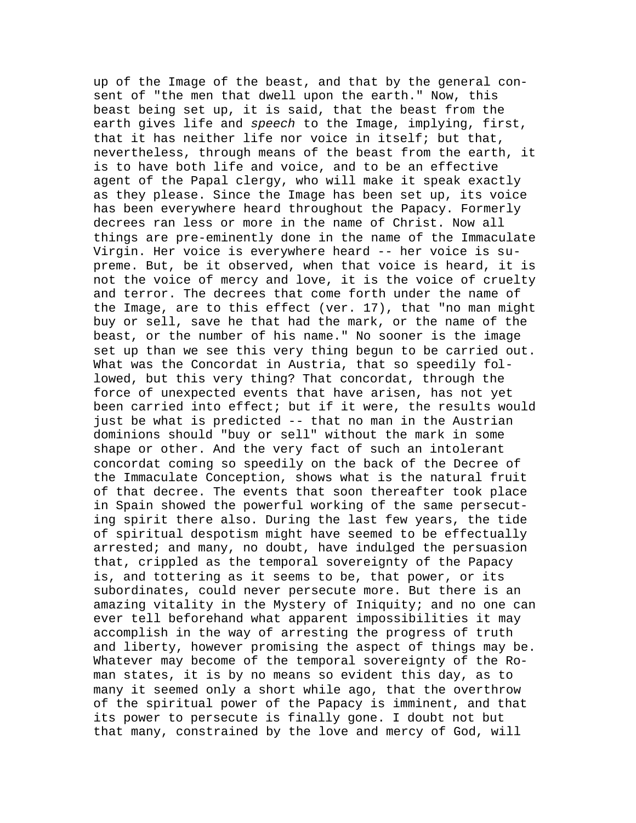up of the Image of the beast, and that by the general consent of "the men that dwell upon the earth." Now, this beast being set up, it is said, that the beast from the earth gives life and *speech* to the Image, implying, first, that it has neither life nor voice in itself; but that, nevertheless, through means of the beast from the earth, it is to have both life and voice, and to be an effective agent of the Papal clergy, who will make it speak exactly as they please. Since the Image has been set up, its voice has been everywhere heard throughout the Papacy. Formerly decrees ran less or more in the name of Christ. Now all things are pre-eminently done in the name of the Immaculate Virgin. Her voice is everywhere heard -- her voice is supreme. But, be it observed, when that voice is heard, it is not the voice of mercy and love, it is the voice of cruelty and terror. The decrees that come forth under the name of the Image, are to this effect (ver. 17), that "no man might buy or sell, save he that had the mark, or the name of the beast, or the number of his name." No sooner is the image set up than we see this very thing begun to be carried out. What was the Concordat in Austria, that so speedily followed, but this very thing? That concordat, through the force of unexpected events that have arisen, has not yet been carried into effect; but if it were, the results would just be what is predicted -- that no man in the Austrian dominions should "buy or sell" without the mark in some shape or other. And the very fact of such an intolerant concordat coming so speedily on the back of the Decree of the Immaculate Conception, shows what is the natural fruit of that decree. The events that soon thereafter took place in Spain showed the powerful working of the same persecuting spirit there also. During the last few years, the tide of spiritual despotism might have seemed to be effectually arrested; and many, no doubt, have indulged the persuasion that, crippled as the temporal sovereignty of the Papacy is, and tottering as it seems to be, that power, or its subordinates, could never persecute more. But there is an amazing vitality in the Mystery of Iniquity; and no one can ever tell beforehand what apparent impossibilities it may accomplish in the way of arresting the progress of truth and liberty, however promising the aspect of things may be. Whatever may become of the temporal sovereignty of the Roman states, it is by no means so evident this day, as to many it seemed only a short while ago, that the overthrow of the spiritual power of the Papacy is imminent, and that its power to persecute is finally gone. I doubt not but that many, constrained by the love and mercy of God, will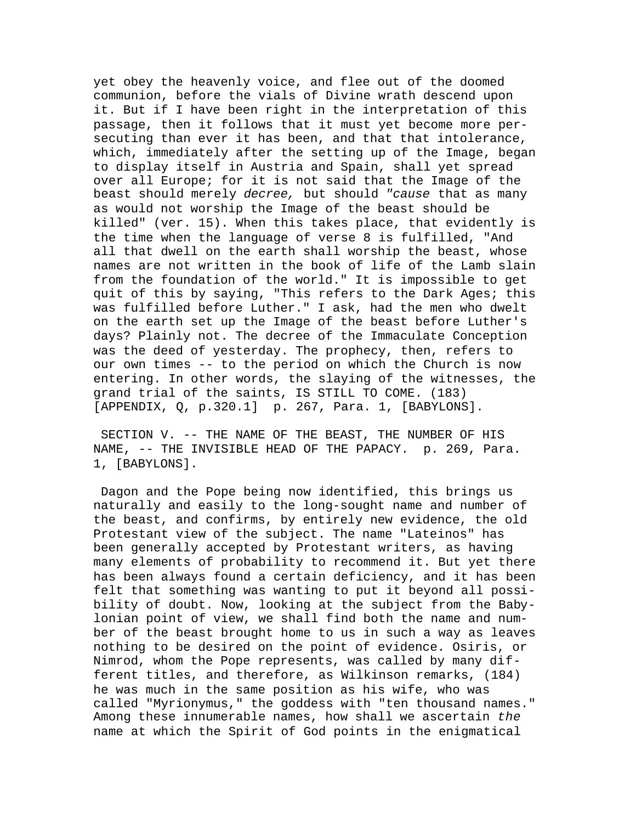yet obey the heavenly voice, and flee out of the doomed communion, before the vials of Divine wrath descend upon it. But if I have been right in the interpretation of this passage, then it follows that it must yet become more persecuting than ever it has been, and that that intolerance, which, immediately after the setting up of the Image, began to display itself in Austria and Spain, shall yet spread over all Europe; for it is not said that the Image of the beast should merely *decree,* but should *"cause* that as many as would not worship the Image of the beast should be killed" (ver. 15). When this takes place, that evidently is the time when the language of verse 8 is fulfilled, "And all that dwell on the earth shall worship the beast, whose names are not written in the book of life of the Lamb slain from the foundation of the world." It is impossible to get quit of this by saying, "This refers to the Dark Ages; this was fulfilled before Luther." I ask, had the men who dwelt on the earth set up the Image of the beast before Luther's days? Plainly not. The decree of the Immaculate Conception was the deed of yesterday. The prophecy, then, refers to our own times -- to the period on which the Church is now entering. In other words, the slaying of the witnesses, the grand trial of the saints, IS STILL TO COME. (183) [APPENDIX, Q, p.320.1] p. 267, Para. 1, [BABYLONS].

SECTION V. -- THE NAME OF THE BEAST, THE NUMBER OF HIS NAME, -- THE INVISIBLE HEAD OF THE PAPACY. p. 269, Para. 1, [BABYLONS].

 Dagon and the Pope being now identified, this brings us naturally and easily to the long-sought name and number of the beast, and confirms, by entirely new evidence, the old Protestant view of the subject. The name "Lateinos" has been generally accepted by Protestant writers, as having many elements of probability to recommend it. But yet there has been always found a certain deficiency, and it has been felt that something was wanting to put it beyond all possibility of doubt. Now, looking at the subject from the Babylonian point of view, we shall find both the name and number of the beast brought home to us in such a way as leaves nothing to be desired on the point of evidence. Osiris, or Nimrod, whom the Pope represents, was called by many different titles, and therefore, as Wilkinson remarks, (184) he was much in the same position as his wife, who was called "Myrionymus," the goddess with "ten thousand names." Among these innumerable names, how shall we ascertain *the* name at which the Spirit of God points in the enigmatical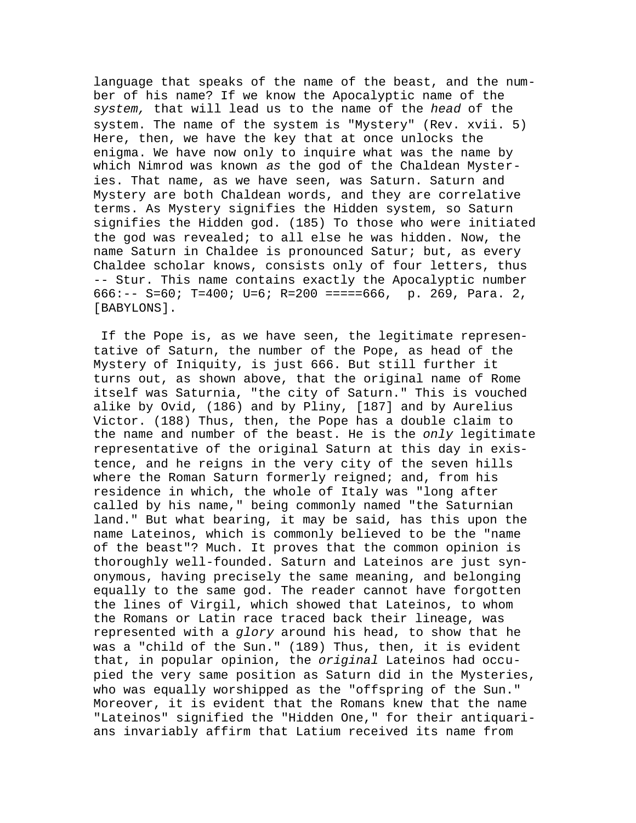language that speaks of the name of the beast, and the number of his name? If we know the Apocalyptic name of the *system,* that will lead us to the name of the *head* of the system. The name of the system is "Mystery" (Rev. xvii. 5) Here, then, we have the key that at once unlocks the enigma. We have now only to inquire what was the name by which Nimrod was known *as* the god of the Chaldean Mysteries. That name, as we have seen, was Saturn. Saturn and Mystery are both Chaldean words, and they are correlative terms. As Mystery signifies the Hidden system, so Saturn signifies the Hidden god. (185) To those who were initiated the god was revealed; to all else he was hidden. Now, the name Saturn in Chaldee is pronounced Satur; but, as every Chaldee scholar knows, consists only of four letters, thus -- Stur. This name contains exactly the Apocalyptic number 666:-- S=60; T=400; U=6; R=200 =====666, p. 269, Para. 2, [BABYLONS].

 If the Pope is, as we have seen, the legitimate representative of Saturn, the number of the Pope, as head of the Mystery of Iniquity, is just 666. But still further it turns out, as shown above, that the original name of Rome itself was Saturnia, "the city of Saturn." This is vouched alike by Ovid, (186) and by Pliny, [187] and by Aurelius Victor. (188) Thus, then, the Pope has a double claim to the name and number of the beast. He is the *only* legitimate representative of the original Saturn at this day in existence, and he reigns in the very city of the seven hills where the Roman Saturn formerly reigned; and, from his residence in which, the whole of Italy was "long after called by his name," being commonly named "the Saturnian land." But what bearing, it may be said, has this upon the name Lateinos, which is commonly believed to be the "name of the beast"? Much. It proves that the common opinion is thoroughly well-founded. Saturn and Lateinos are just synonymous, having precisely the same meaning, and belonging equally to the same god. The reader cannot have forgotten the lines of Virgil, which showed that Lateinos, to whom the Romans or Latin race traced back their lineage, was represented with a *glory* around his head, to show that he was a "child of the Sun." (189) Thus, then, it is evident that, in popular opinion, the *original* Lateinos had occupied the very same position as Saturn did in the Mysteries, who was equally worshipped as the "offspring of the Sun." Moreover, it is evident that the Romans knew that the name "Lateinos" signified the "Hidden One," for their antiquarians invariably affirm that Latium received its name from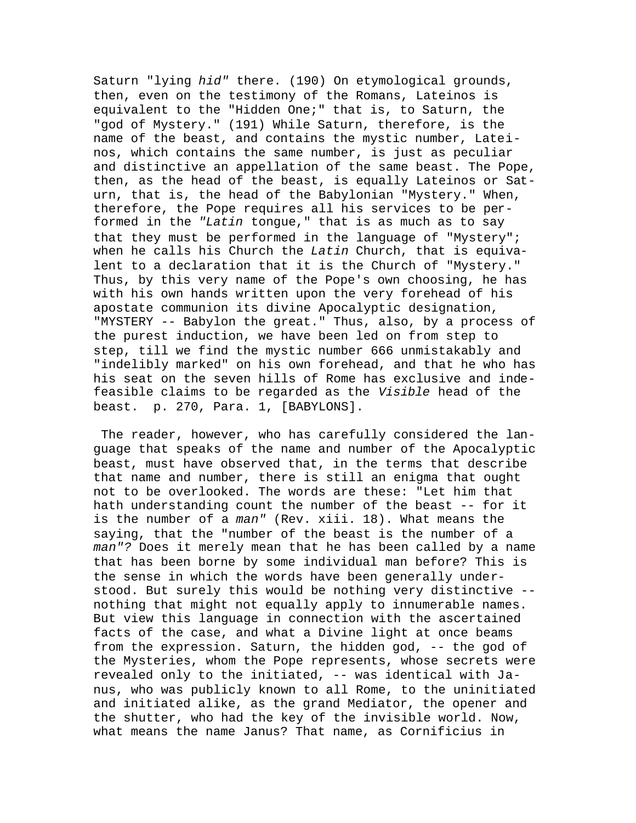Saturn "lying *hid"* there. (190) On etymological grounds, then, even on the testimony of the Romans, Lateinos is equivalent to the "Hidden One;" that is, to Saturn, the "god of Mystery." (191) While Saturn, therefore, is the name of the beast, and contains the mystic number, Lateinos, which contains the same number, is just as peculiar and distinctive an appellation of the same beast. The Pope, then, as the head of the beast, is equally Lateinos or Saturn, that is, the head of the Babylonian "Mystery." When, therefore, the Pope requires all his services to be performed in the *"Latin* tongue," that is as much as to say that they must be performed in the language of "Mystery"; when he calls his Church the *Latin* Church, that is equivalent to a declaration that it is the Church of "Mystery." Thus, by this very name of the Pope's own choosing, he has with his own hands written upon the very forehead of his apostate communion its divine Apocalyptic designation, "MYSTERY -- Babylon the great." Thus, also, by a process of the purest induction, we have been led on from step to step, till we find the mystic number 666 unmistakably and "indelibly marked" on his own forehead, and that he who has his seat on the seven hills of Rome has exclusive and indefeasible claims to be regarded as the *Visible* head of the beast. p. 270, Para. 1, [BABYLONS].

 The reader, however, who has carefully considered the language that speaks of the name and number of the Apocalyptic beast, must have observed that, in the terms that describe that name and number, there is still an enigma that ought not to be overlooked. The words are these: "Let him that hath understanding count the number of the beast -- for it is the number of a *man"* (Rev. xiii. 18). What means the saying, that the "number of the beast is the number of a *man"?* Does it merely mean that he has been called by a name that has been borne by some individual man before? This is the sense in which the words have been generally understood. But surely this would be nothing very distinctive - nothing that might not equally apply to innumerable names. But view this language in connection with the ascertained facts of the case, and what a Divine light at once beams from the expression. Saturn, the hidden god, -- the god of the Mysteries, whom the Pope represents, whose secrets were revealed only to the initiated, -- was identical with Janus, who was publicly known to all Rome, to the uninitiated and initiated alike, as the grand Mediator, the opener and the shutter, who had the key of the invisible world. Now, what means the name Janus? That name, as Cornificius in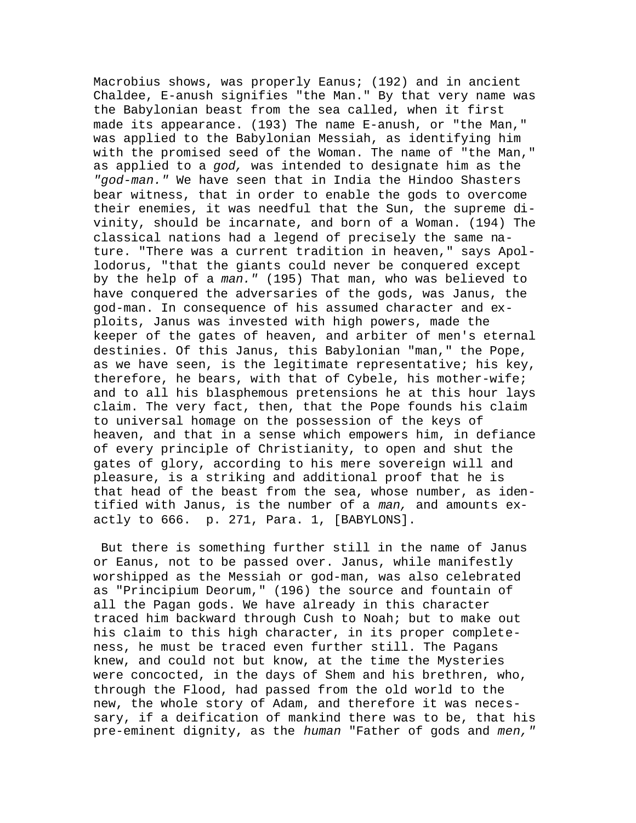Macrobius shows, was properly Eanus; (192) and in ancient Chaldee, E-anush signifies "the Man." By that very name was the Babylonian beast from the sea called, when it first made its appearance. (193) The name E-anush, or "the Man," was applied to the Babylonian Messiah, as identifying him with the promised seed of the Woman. The name of "the Man," as applied to a *god,* was intended to designate him as the *"god-man."* We have seen that in India the Hindoo Shasters bear witness, that in order to enable the gods to overcome their enemies, it was needful that the Sun, the supreme divinity, should be incarnate, and born of a Woman. (194) The classical nations had a legend of precisely the same nature. "There was a current tradition in heaven," says Apollodorus, "that the giants could never be conquered except by the help of a *man."* (195) That man, who was believed to have conquered the adversaries of the gods, was Janus, the god-man. In consequence of his assumed character and exploits, Janus was invested with high powers, made the keeper of the gates of heaven, and arbiter of men's eternal destinies. Of this Janus, this Babylonian "man," the Pope, as we have seen, is the legitimate representative; his key, therefore, he bears, with that of Cybele, his mother-wife; and to all his blasphemous pretensions he at this hour lays claim. The very fact, then, that the Pope founds his claim to universal homage on the possession of the keys of heaven, and that in a sense which empowers him, in defiance of every principle of Christianity, to open and shut the gates of glory, according to his mere sovereign will and pleasure, is a striking and additional proof that he is that head of the beast from the sea, whose number, as identified with Janus, is the number of a *man,* and amounts exactly to 666. p. 271, Para. 1, [BABYLONS].

 But there is something further still in the name of Janus or Eanus, not to be passed over. Janus, while manifestly worshipped as the Messiah or god-man, was also celebrated as "Principium Deorum," (196) the source and fountain of all the Pagan gods. We have already in this character traced him backward through Cush to Noah; but to make out his claim to this high character, in its proper completeness, he must be traced even further still. The Pagans knew, and could not but know, at the time the Mysteries were concocted, in the days of Shem and his brethren, who, through the Flood, had passed from the old world to the new, the whole story of Adam, and therefore it was necessary, if a deification of mankind there was to be, that his pre-eminent dignity, as the *human* "Father of gods and *men,"*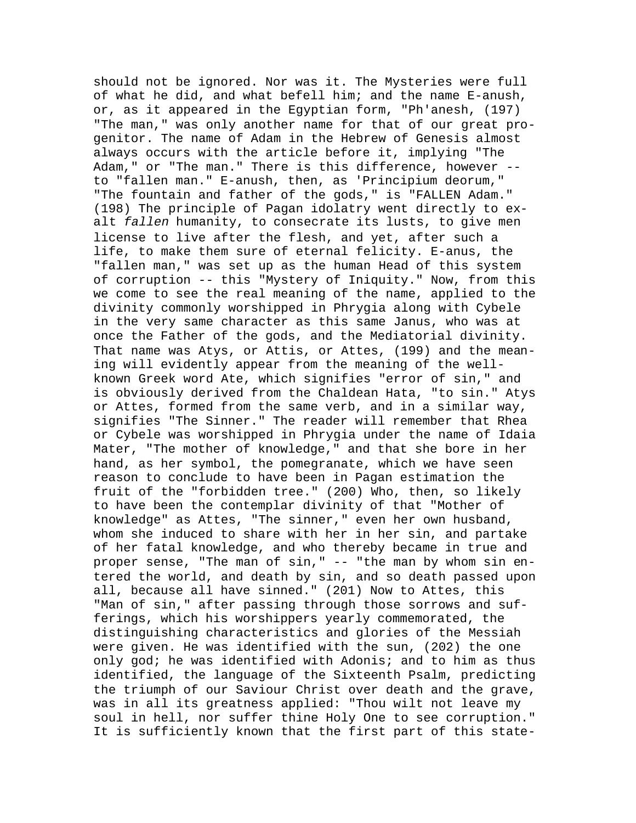should not be ignored. Nor was it. The Mysteries were full of what he did, and what befell him; and the name E-anush, or, as it appeared in the Egyptian form, "Ph'anesh, (197) "The man," was only another name for that of our great progenitor. The name of Adam in the Hebrew of Genesis almost always occurs with the article before it, implying "The Adam," or "The man." There is this difference, however - to "fallen man." E-anush, then, as 'Principium deorum," "The fountain and father of the gods," is "FALLEN Adam." (198) The principle of Pagan idolatry went directly to exalt *fallen* humanity, to consecrate its lusts, to give men license to live after the flesh, and yet, after such a life, to make them sure of eternal felicity. E-anus, the "fallen man," was set up as the human Head of this system of corruption -- this "Mystery of Iniquity." Now, from this we come to see the real meaning of the name, applied to the divinity commonly worshipped in Phrygia along with Cybele in the very same character as this same Janus, who was at once the Father of the gods, and the Mediatorial divinity. That name was Atys, or Attis, or Attes, (199) and the meaning will evidently appear from the meaning of the wellknown Greek word Ate, which signifies "error of sin," and is obviously derived from the Chaldean Hata, "to sin." Atys or Attes, formed from the same verb, and in a similar way, signifies "The Sinner." The reader will remember that Rhea or Cybele was worshipped in Phrygia under the name of Idaia Mater, "The mother of knowledge," and that she bore in her hand, as her symbol, the pomegranate, which we have seen reason to conclude to have been in Pagan estimation the fruit of the "forbidden tree." (200) Who, then, so likely to have been the contemplar divinity of that "Mother of knowledge" as Attes, "The sinner," even her own husband, whom she induced to share with her in her sin, and partake of her fatal knowledge, and who thereby became in true and proper sense, "The man of sin," -- "the man by whom sin entered the world, and death by sin, and so death passed upon all, because all have sinned." (201) Now to Attes, this "Man of sin," after passing through those sorrows and sufferings, which his worshippers yearly commemorated, the distinguishing characteristics and glories of the Messiah were given. He was identified with the sun, (202) the one only god; he was identified with Adonis; and to him as thus identified, the language of the Sixteenth Psalm, predicting the triumph of our Saviour Christ over death and the grave, was in all its greatness applied: "Thou wilt not leave my soul in hell, nor suffer thine Holy One to see corruption." It is sufficiently known that the first part of this state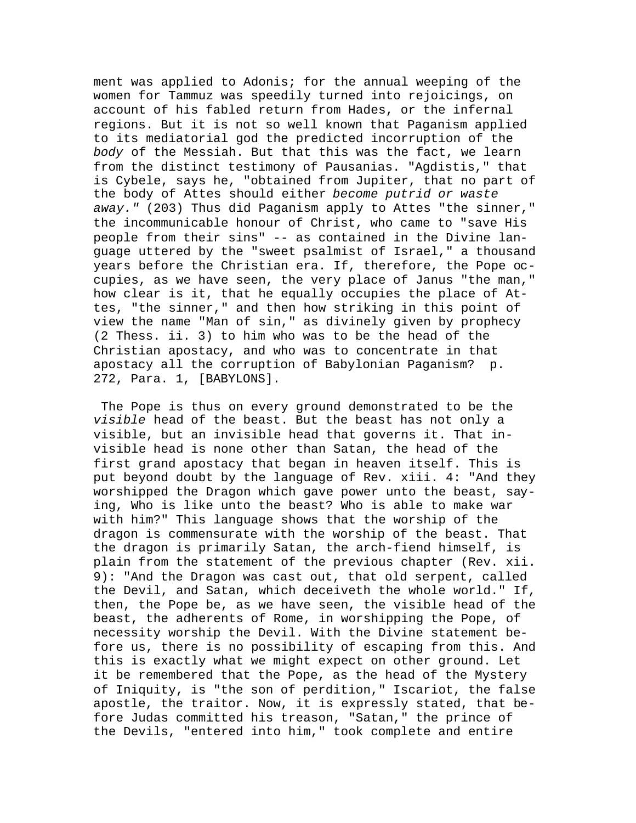ment was applied to Adonis; for the annual weeping of the women for Tammuz was speedily turned into rejoicings, on account of his fabled return from Hades, or the infernal regions. But it is not so well known that Paganism applied to its mediatorial god the predicted incorruption of the *body* of the Messiah. But that this was the fact, we learn from the distinct testimony of Pausanias. "Agdistis," that is Cybele, says he, "obtained from Jupiter, that no part of the body of Attes should either *become putrid or waste away."* (203) Thus did Paganism apply to Attes "the sinner," the incommunicable honour of Christ, who came to "save His people from their sins" -- as contained in the Divine language uttered by the "sweet psalmist of Israel," a thousand years before the Christian era. If, therefore, the Pope occupies, as we have seen, the very place of Janus "the man," how clear is it, that he equally occupies the place of Attes, "the sinner," and then how striking in this point of view the name "Man of sin," as divinely given by prophecy (2 Thess. ii. 3) to him who was to be the head of the Christian apostacy, and who was to concentrate in that apostacy all the corruption of Babylonian Paganism? p. 272, Para. 1, [BABYLONS].

 The Pope is thus on every ground demonstrated to be the *visible* head of the beast. But the beast has not only a visible, but an invisible head that governs it. That invisible head is none other than Satan, the head of the first grand apostacy that began in heaven itself. This is put beyond doubt by the language of Rev. xiii. 4: "And they worshipped the Dragon which gave power unto the beast, saying, Who is like unto the beast? Who is able to make war with him?" This language shows that the worship of the dragon is commensurate with the worship of the beast. That the dragon is primarily Satan, the arch-fiend himself, is plain from the statement of the previous chapter (Rev. xii. 9): "And the Dragon was cast out, that old serpent, called the Devil, and Satan, which deceiveth the whole world." If, then, the Pope be, as we have seen, the visible head of the beast, the adherents of Rome, in worshipping the Pope, of necessity worship the Devil. With the Divine statement before us, there is no possibility of escaping from this. And this is exactly what we might expect on other ground. Let it be remembered that the Pope, as the head of the Mystery of Iniquity, is "the son of perdition," Iscariot, the false apostle, the traitor. Now, it is expressly stated, that before Judas committed his treason, "Satan," the prince of the Devils, "entered into him," took complete and entire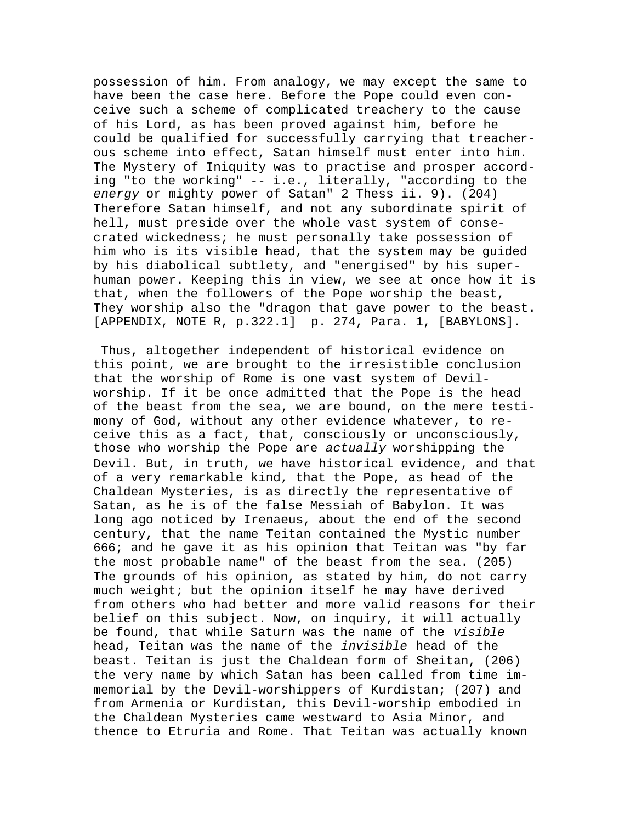possession of him. From analogy, we may except the same to have been the case here. Before the Pope could even conceive such a scheme of complicated treachery to the cause of his Lord, as has been proved against him, before he could be qualified for successfully carrying that treacherous scheme into effect, Satan himself must enter into him. The Mystery of Iniquity was to practise and prosper according "to the working" -- i.e., literally, "according to the *energy* or mighty power of Satan" 2 Thess ii. 9). (204) Therefore Satan himself, and not any subordinate spirit of hell, must preside over the whole vast system of consecrated wickedness; he must personally take possession of him who is its visible head, that the system may be guided by his diabolical subtlety, and "energised" by his superhuman power. Keeping this in view, we see at once how it is that, when the followers of the Pope worship the beast, They worship also the "dragon that gave power to the beast. [APPENDIX, NOTE R, p.322.1] p. 274, Para. 1, [BABYLONS].

 Thus, altogether independent of historical evidence on this point, we are brought to the irresistible conclusion that the worship of Rome is one vast system of Devilworship. If it be once admitted that the Pope is the head of the beast from the sea, we are bound, on the mere testimony of God, without any other evidence whatever, to receive this as a fact, that, consciously or unconsciously, those who worship the Pope are *actually* worshipping the Devil. But, in truth, we have historical evidence, and that of a very remarkable kind, that the Pope, as head of the Chaldean Mysteries, is as directly the representative of Satan, as he is of the false Messiah of Babylon. It was long ago noticed by Irenaeus, about the end of the second century, that the name Teitan contained the Mystic number 666; and he gave it as his opinion that Teitan was "by far the most probable name" of the beast from the sea. (205) The grounds of his opinion, as stated by him, do not carry much weight; but the opinion itself he may have derived from others who had better and more valid reasons for their belief on this subject. Now, on inquiry, it will actually be found, that while Saturn was the name of the *visible* head, Teitan was the name of the *invisible* head of the beast. Teitan is just the Chaldean form of Sheitan, (206) the very name by which Satan has been called from time immemorial by the Devil-worshippers of Kurdistan; (207) and from Armenia or Kurdistan, this Devil-worship embodied in the Chaldean Mysteries came westward to Asia Minor, and thence to Etruria and Rome. That Teitan was actually known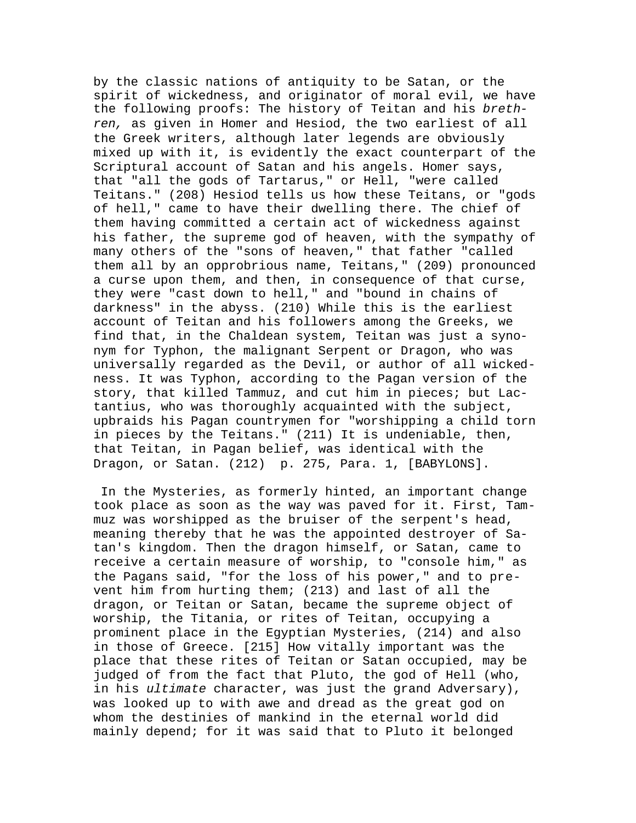by the classic nations of antiquity to be Satan, or the spirit of wickedness, and originator of moral evil, we have the following proofs: The history of Teitan and his *brethren,* as given in Homer and Hesiod, the two earliest of all the Greek writers, although later legends are obviously mixed up with it, is evidently the exact counterpart of the Scriptural account of Satan and his angels. Homer says, that "all the gods of Tartarus," or Hell, "were called Teitans." (208) Hesiod tells us how these Teitans, or "gods of hell," came to have their dwelling there. The chief of them having committed a certain act of wickedness against his father, the supreme god of heaven, with the sympathy of many others of the "sons of heaven," that father "called them all by an opprobrious name, Teitans," (209) pronounced a curse upon them, and then, in consequence of that curse, they were "cast down to hell," and "bound in chains of darkness" in the abyss. (210) While this is the earliest account of Teitan and his followers among the Greeks, we find that, in the Chaldean system, Teitan was just a synonym for Typhon, the malignant Serpent or Dragon, who was universally regarded as the Devil, or author of all wickedness. It was Typhon, according to the Pagan version of the story, that killed Tammuz, and cut him in pieces; but Lactantius, who was thoroughly acquainted with the subject, upbraids his Pagan countrymen for "worshipping a child torn in pieces by the Teitans." (211) It is undeniable, then, that Teitan, in Pagan belief, was identical with the Dragon, or Satan. (212) p. 275, Para. 1, [BABYLONS].

 In the Mysteries, as formerly hinted, an important change took place as soon as the way was paved for it. First, Tammuz was worshipped as the bruiser of the serpent's head, meaning thereby that he was the appointed destroyer of Satan's kingdom. Then the dragon himself, or Satan, came to receive a certain measure of worship, to "console him," as the Pagans said, "for the loss of his power," and to prevent him from hurting them; (213) and last of all the dragon, or Teitan or Satan, became the supreme object of worship, the Titania, or rites of Teitan, occupying a prominent place in the Egyptian Mysteries, (214) and also in those of Greece. [215] How vitally important was the place that these rites of Teitan or Satan occupied, may be judged of from the fact that Pluto, the god of Hell (who, in his *ultimate* character, was just the grand Adversary), was looked up to with awe and dread as the great god on whom the destinies of mankind in the eternal world did mainly depend; for it was said that to Pluto it belonged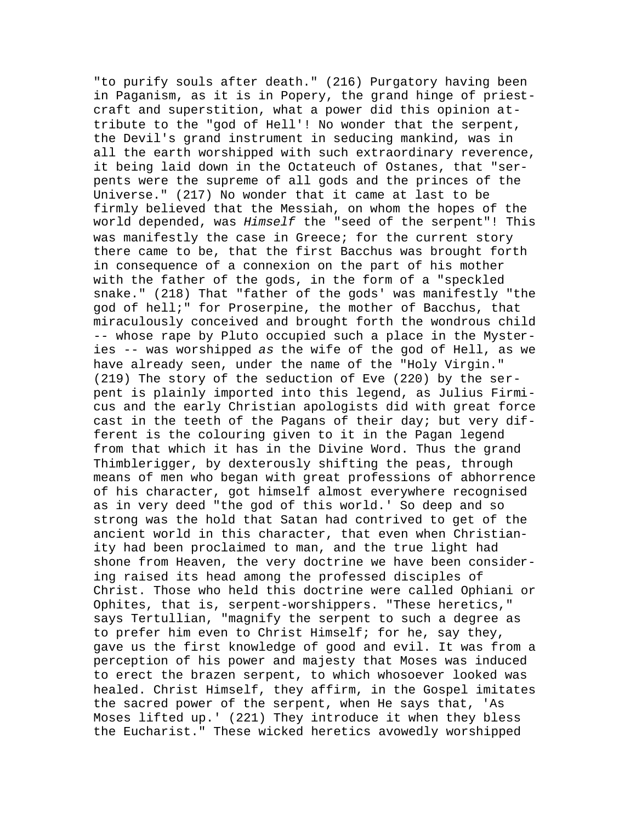"to purify souls after death." (216) Purgatory having been in Paganism, as it is in Popery, the grand hinge of priestcraft and superstition, what a power did this opinion attribute to the "god of Hell'! No wonder that the serpent, the Devil's grand instrument in seducing mankind, was in all the earth worshipped with such extraordinary reverence, it being laid down in the Octateuch of Ostanes, that "serpents were the supreme of all gods and the princes of the Universe." (217) No wonder that it came at last to be firmly believed that the Messiah, on whom the hopes of the world depended, was *Himself* the "seed of the serpent"! This was manifestly the case in Greece; for the current story there came to be, that the first Bacchus was brought forth in consequence of a connexion on the part of his mother with the father of the gods, in the form of a "speckled snake." (218) That "father of the gods' was manifestly "the god of hell;" for Proserpine, the mother of Bacchus, that miraculously conceived and brought forth the wondrous child -- whose rape by Pluto occupied such a place in the Mysteries -- was worshipped *as* the wife of the god of Hell, as we have already seen, under the name of the "Holy Virgin." (219) The story of the seduction of Eve (220) by the serpent is plainly imported into this legend, as Julius Firmicus and the early Christian apologists did with great force cast in the teeth of the Pagans of their day; but very different is the colouring given to it in the Pagan legend from that which it has in the Divine Word. Thus the grand Thimblerigger, by dexterously shifting the peas, through means of men who began with great professions of abhorrence of his character, got himself almost everywhere recognised as in very deed "the god of this world.' So deep and so strong was the hold that Satan had contrived to get of the ancient world in this character, that even when Christianity had been proclaimed to man, and the true light had shone from Heaven, the very doctrine we have been considering raised its head among the professed disciples of Christ. Those who held this doctrine were called Ophiani or Ophites, that is, serpent-worshippers. "These heretics," says Tertullian, "magnify the serpent to such a degree as to prefer him even to Christ Himself; for he, say they, gave us the first knowledge of good and evil. It was from a perception of his power and majesty that Moses was induced to erect the brazen serpent, to which whosoever looked was healed. Christ Himself, they affirm, in the Gospel imitates the sacred power of the serpent, when He says that, 'As Moses lifted up.' (221) They introduce it when they bless the Eucharist." These wicked heretics avowedly worshipped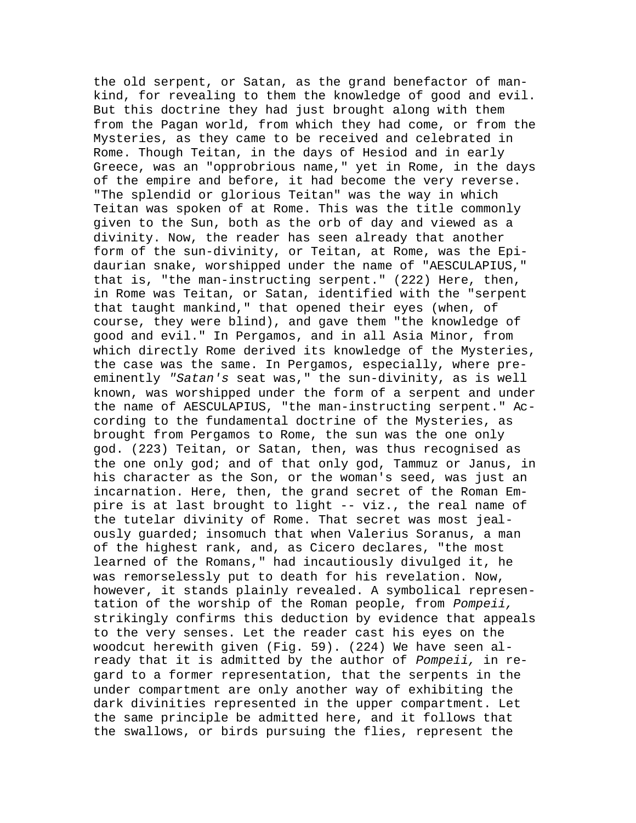the old serpent, or Satan, as the grand benefactor of mankind, for revealing to them the knowledge of good and evil. But this doctrine they had just brought along with them from the Pagan world, from which they had come, or from the Mysteries, as they came to be received and celebrated in Rome. Though Teitan, in the days of Hesiod and in early Greece, was an "opprobrious name," yet in Rome, in the days of the empire and before, it had become the very reverse. "The splendid or glorious Teitan" was the way in which Teitan was spoken of at Rome. This was the title commonly given to the Sun, both as the orb of day and viewed as a divinity. Now, the reader has seen already that another form of the sun-divinity, or Teitan, at Rome, was the Epidaurian snake, worshipped under the name of "AESCULAPIUS," that is, "the man-instructing serpent." (222) Here, then, in Rome was Teitan, or Satan, identified with the "serpent that taught mankind," that opened their eyes (when, of course, they were blind), and gave them "the knowledge of good and evil." In Pergamos, and in all Asia Minor, from which directly Rome derived its knowledge of the Mysteries, the case was the same. In Pergamos, especially, where preeminently *"Satan's* seat was," the sun-divinity, as is well known, was worshipped under the form of a serpent and under the name of AESCULAPIUS, "the man-instructing serpent." According to the fundamental doctrine of the Mysteries, as brought from Pergamos to Rome, the sun was the one only god. (223) Teitan, or Satan, then, was thus recognised as the one only god; and of that only god, Tammuz or Janus, in his character as the Son, or the woman's seed, was just an incarnation. Here, then, the grand secret of the Roman Empire is at last brought to light -- viz., the real name of the tutelar divinity of Rome. That secret was most jealously guarded; insomuch that when Valerius Soranus, a man of the highest rank, and, as Cicero declares, "the most learned of the Romans," had incautiously divulged it, he was remorselessly put to death for his revelation. Now, however, it stands plainly revealed. A symbolical representation of the worship of the Roman people, from *Pompeii,* strikingly confirms this deduction by evidence that appeals to the very senses. Let the reader cast his eyes on the woodcut herewith given (Fig. 59). (224) We have seen already that it is admitted by the author of *Pompeii,* in regard to a former representation, that the serpents in the under compartment are only another way of exhibiting the dark divinities represented in the upper compartment. Let the same principle be admitted here, and it follows that the swallows, or birds pursuing the flies, represent the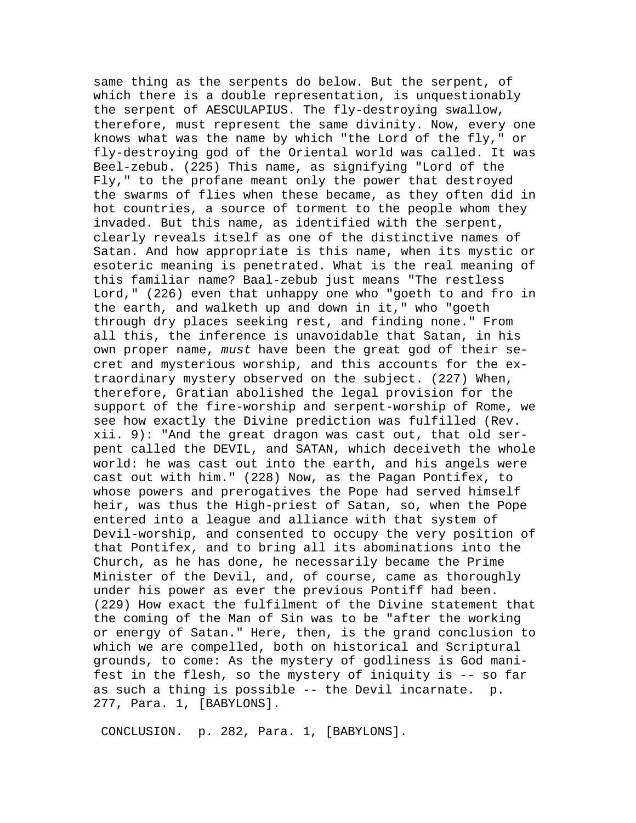same thing as the serpents do below. But the serpent, of which there is a double representation, is unquestionably the serpent of AESCULAPIUS. The fly-destroying swallow, therefore, must represent the same divinity. Now, every one knows what was the name by which "the Lord of the fly," or fly-destroying god of the Oriental world was called. It was Beel-zebub. (225) This name, as signifying "Lord of the Fly," to the profane meant only the power that destroyed the swarms of flies when these became, as they often did in hot countries, a source of torment to the people whom they invaded. But this name, as identified with the serpent, clearly reveals itself as one of the distinctive names of Satan. And how appropriate is this name, when its mystic or esoteric meaning is penetrated. What is the real meaning of this familiar name? Baal-zebub just means "The restless Lord," (226) even that unhappy one who "goeth to and fro in the earth, and walketh up and down in it," who "goeth through dry places seeking rest, and finding none." From all this, the inference is unavoidable that Satan, in his own proper name, *must* have been the great god of their secret and mysterious worship, and this accounts for the extraordinary mystery observed on the subject. (227) When, therefore, Gratian abolished the legal provision for the support of the fire-worship and serpent-worship of Rome, we see how exactly the Divine prediction was fulfilled (Rev. xii. 9): "And the great dragon was cast out, that old serpent called the DEVIL, and SATAN, which deceiveth the whole world: he was cast out into the earth, and his angels were cast out with him." (228) Now, as the Pagan Pontifex, to whose powers and prerogatives the Pope had served himself heir, was thus the High-priest of Satan, so, when the Pope entered into a league and alliance with that system of Devil-worship, and consented to occupy the very position of that Pontifex, and to bring all its abominations into the Church, as he has done, he necessarily became the Prime Minister of the Devil, and, of course, came as thoroughly under his power as ever the previous Pontiff had been. (229) How exact the fulfilment of the Divine statement that the coming of the Man of Sin was to be "after the working or energy of Satan." Here, then, is the grand conclusion to which we are compelled, both on historical and Scriptural grounds, to come: As the mystery of godliness is God manifest in the flesh, so the mystery of iniquity is -- so far as such a thing is possible -- the Devil incarnate. p. 277, Para. 1, [BABYLONS].

CONCLUSION. p. 282, Para. 1, [BABYLONS].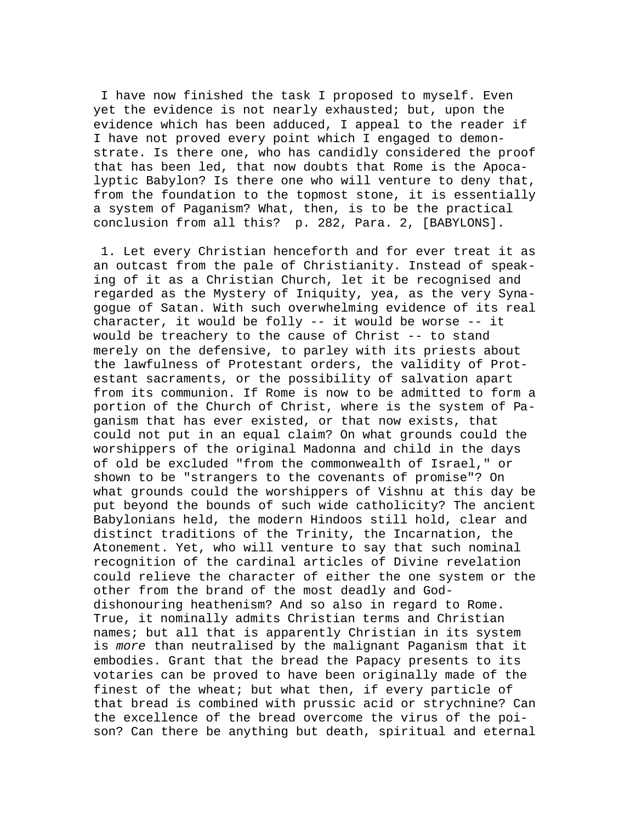I have now finished the task I proposed to myself. Even yet the evidence is not nearly exhausted; but, upon the evidence which has been adduced, I appeal to the reader if I have not proved every point which I engaged to demonstrate. Is there one, who has candidly considered the proof that has been led, that now doubts that Rome is the Apocalyptic Babylon? Is there one who will venture to deny that, from the foundation to the topmost stone, it is essentially a system of Paganism? What, then, is to be the practical conclusion from all this? p. 282, Para. 2, [BABYLONS].

 1. Let every Christian henceforth and for ever treat it as an outcast from the pale of Christianity. Instead of speaking of it as a Christian Church, let it be recognised and regarded as the Mystery of Iniquity, yea, as the very Synagogue of Satan. With such overwhelming evidence of its real character, it would be folly -- it would be worse -- it would be treachery to the cause of Christ -- to stand merely on the defensive, to parley with its priests about the lawfulness of Protestant orders, the validity of Protestant sacraments, or the possibility of salvation apart from its communion. If Rome is now to be admitted to form a portion of the Church of Christ, where is the system of Paganism that has ever existed, or that now exists, that could not put in an equal claim? On what grounds could the worshippers of the original Madonna and child in the days of old be excluded "from the commonwealth of Israel," or shown to be "strangers to the covenants of promise"? On what grounds could the worshippers of Vishnu at this day be put beyond the bounds of such wide catholicity? The ancient Babylonians held, the modern Hindoos still hold, clear and distinct traditions of the Trinity, the Incarnation, the Atonement. Yet, who will venture to say that such nominal recognition of the cardinal articles of Divine revelation could relieve the character of either the one system or the other from the brand of the most deadly and Goddishonouring heathenism? And so also in regard to Rome. True, it nominally admits Christian terms and Christian names; but all that is apparently Christian in its system is *more* than neutralised by the malignant Paganism that it embodies. Grant that the bread the Papacy presents to its votaries can be proved to have been originally made of the finest of the wheat; but what then, if every particle of that bread is combined with prussic acid or strychnine? Can the excellence of the bread overcome the virus of the poison? Can there be anything but death, spiritual and eternal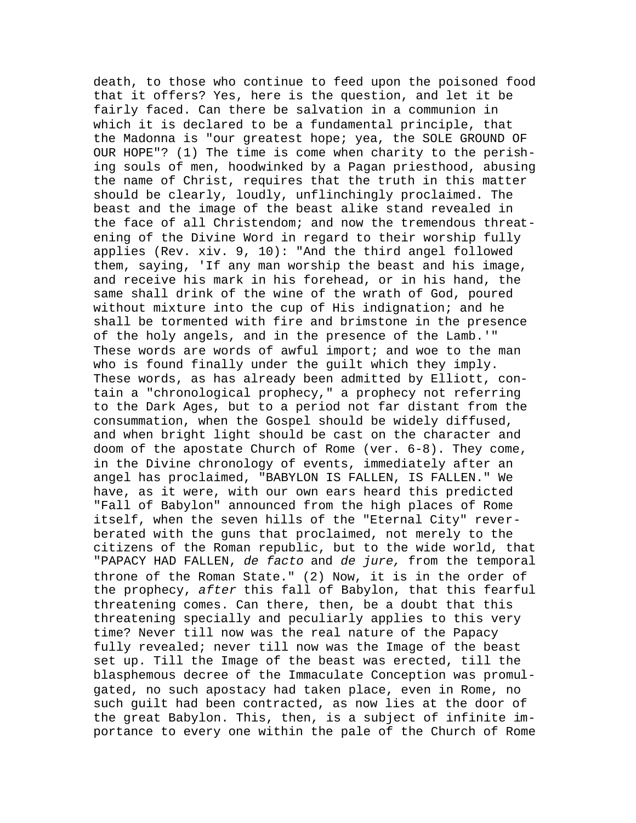death, to those who continue to feed upon the poisoned food that it offers? Yes, here is the question, and let it be fairly faced. Can there be salvation in a communion in which it is declared to be a fundamental principle, that the Madonna is "our greatest hope; yea, the SOLE GROUND OF OUR HOPE"? (1) The time is come when charity to the perishing souls of men, hoodwinked by a Pagan priesthood, abusing the name of Christ, requires that the truth in this matter should be clearly, loudly, unflinchingly proclaimed. The beast and the image of the beast alike stand revealed in the face of all Christendom; and now the tremendous threatening of the Divine Word in regard to their worship fully applies (Rev. xiv. 9, 10): "And the third angel followed them, saying, 'If any man worship the beast and his image, and receive his mark in his forehead, or in his hand, the same shall drink of the wine of the wrath of God, poured without mixture into the cup of His indignation; and he shall be tormented with fire and brimstone in the presence of the holy angels, and in the presence of the Lamb.'" These words are words of awful import; and woe to the man who is found finally under the guilt which they imply. These words, as has already been admitted by Elliott, contain a "chronological prophecy," a prophecy not referring to the Dark Ages, but to a period not far distant from the consummation, when the Gospel should be widely diffused, and when bright light should be cast on the character and doom of the apostate Church of Rome (ver. 6-8). They come, in the Divine chronology of events, immediately after an angel has proclaimed, "BABYLON IS FALLEN, IS FALLEN." We have, as it were, with our own ears heard this predicted "Fall of Babylon" announced from the high places of Rome itself, when the seven hills of the "Eternal City" reverberated with the guns that proclaimed, not merely to the citizens of the Roman republic, but to the wide world, that "PAPACY HAD FALLEN, *de facto* and *de jure,* from the temporal throne of the Roman State." (2) Now, it is in the order of the prophecy, *after* this fall of Babylon, that this fearful threatening comes. Can there, then, be a doubt that this threatening specially and peculiarly applies to this very time? Never till now was the real nature of the Papacy fully revealed; never till now was the Image of the beast set up. Till the Image of the beast was erected, till the blasphemous decree of the Immaculate Conception was promulgated, no such apostacy had taken place, even in Rome, no such guilt had been contracted, as now lies at the door of the great Babylon. This, then, is a subject of infinite importance to every one within the pale of the Church of Rome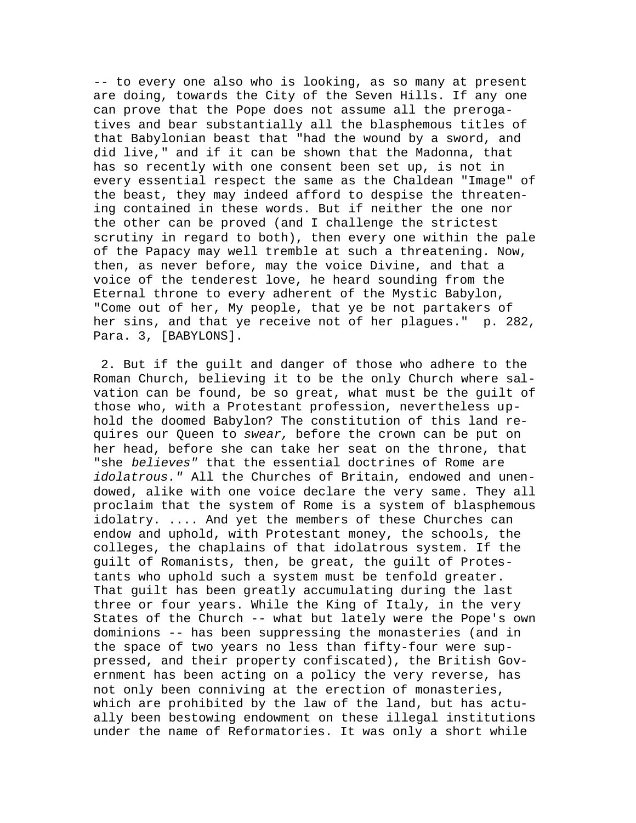-- to every one also who is looking, as so many at present are doing, towards the City of the Seven Hills. If any one can prove that the Pope does not assume all the prerogatives and bear substantially all the blasphemous titles of that Babylonian beast that "had the wound by a sword, and did live," and if it can be shown that the Madonna, that has so recently with one consent been set up, is not in every essential respect the same as the Chaldean "Image" of the beast, they may indeed afford to despise the threatening contained in these words. But if neither the one nor the other can be proved (and I challenge the strictest scrutiny in regard to both), then every one within the pale of the Papacy may well tremble at such a threatening. Now, then, as never before, may the voice Divine, and that a voice of the tenderest love, he heard sounding from the Eternal throne to every adherent of the Mystic Babylon, "Come out of her, My people, that ye be not partakers of her sins, and that ye receive not of her plagues." p. 282, Para. 3, [BABYLONS].

 2. But if the guilt and danger of those who adhere to the Roman Church, believing it to be the only Church where salvation can be found, be so great, what must be the guilt of those who, with a Protestant profession, nevertheless uphold the doomed Babylon? The constitution of this land requires our Queen to *swear,* before the crown can be put on her head, before she can take her seat on the throne, that "she *believes"* that the essential doctrines of Rome are *idolatrous."* All the Churches of Britain, endowed and unendowed, alike with one voice declare the very same. They all proclaim that the system of Rome is a system of blasphemous idolatry. .... And yet the members of these Churches can endow and uphold, with Protestant money, the schools, the colleges, the chaplains of that idolatrous system. If the guilt of Romanists, then, be great, the guilt of Protestants who uphold such a system must be tenfold greater. That guilt has been greatly accumulating during the last three or four years. While the King of Italy, in the very States of the Church -- what but lately were the Pope's own dominions -- has been suppressing the monasteries (and in the space of two years no less than fifty-four were suppressed, and their property confiscated), the British Government has been acting on a policy the very reverse, has not only been conniving at the erection of monasteries, which are prohibited by the law of the land, but has actually been bestowing endowment on these illegal institutions under the name of Reformatories. It was only a short while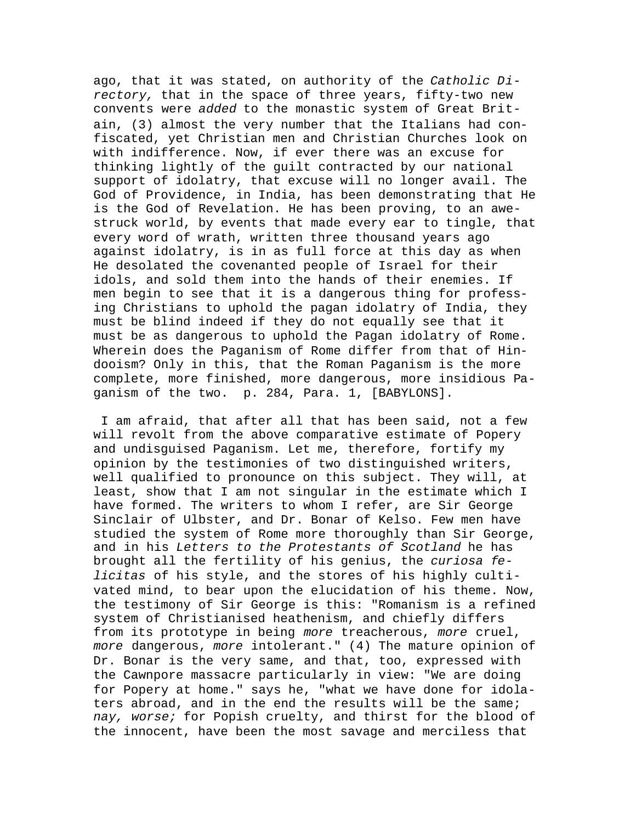ago, that it was stated, on authority of the *Catholic Directory,* that in the space of three years, fifty-two new convents were *added* to the monastic system of Great Britain, (3) almost the very number that the Italians had confiscated, yet Christian men and Christian Churches look on with indifference. Now, if ever there was an excuse for thinking lightly of the guilt contracted by our national support of idolatry, that excuse will no longer avail. The God of Providence, in India, has been demonstrating that He is the God of Revelation. He has been proving, to an awestruck world, by events that made every ear to tingle, that every word of wrath, written three thousand years ago against idolatry, is in as full force at this day as when He desolated the covenanted people of Israel for their idols, and sold them into the hands of their enemies. If men begin to see that it is a dangerous thing for professing Christians to uphold the pagan idolatry of India, they must be blind indeed if they do not equally see that it must be as dangerous to uphold the Pagan idolatry of Rome. Wherein does the Paganism of Rome differ from that of Hindooism? Only in this, that the Roman Paganism is the more complete, more finished, more dangerous, more insidious Paganism of the two. p. 284, Para. 1, [BABYLONS].

 I am afraid, that after all that has been said, not a few will revolt from the above comparative estimate of Popery and undisguised Paganism. Let me, therefore, fortify my opinion by the testimonies of two distinguished writers, well qualified to pronounce on this subject. They will, at least, show that I am not singular in the estimate which I have formed. The writers to whom I refer, are Sir George Sinclair of Ulbster, and Dr. Bonar of Kelso. Few men have studied the system of Rome more thoroughly than Sir George, and in his *Letters to the Protestants of Scotland* he has brought all the fertility of his genius, the *curiosa felicitas* of his style, and the stores of his highly cultivated mind, to bear upon the elucidation of his theme. Now, the testimony of Sir George is this: "Romanism is a refined system of Christianised heathenism, and chiefly differs from its prototype in being *more* treacherous, *more* cruel, *more* dangerous, *more* intolerant." (4) The mature opinion of Dr. Bonar is the very same, and that, too, expressed with the Cawnpore massacre particularly in view: "We are doing for Popery at home." says he, "what we have done for idolaters abroad, and in the end the results will be the same; *nay, worse;* for Popish cruelty, and thirst for the blood of the innocent, have been the most savage and merciless that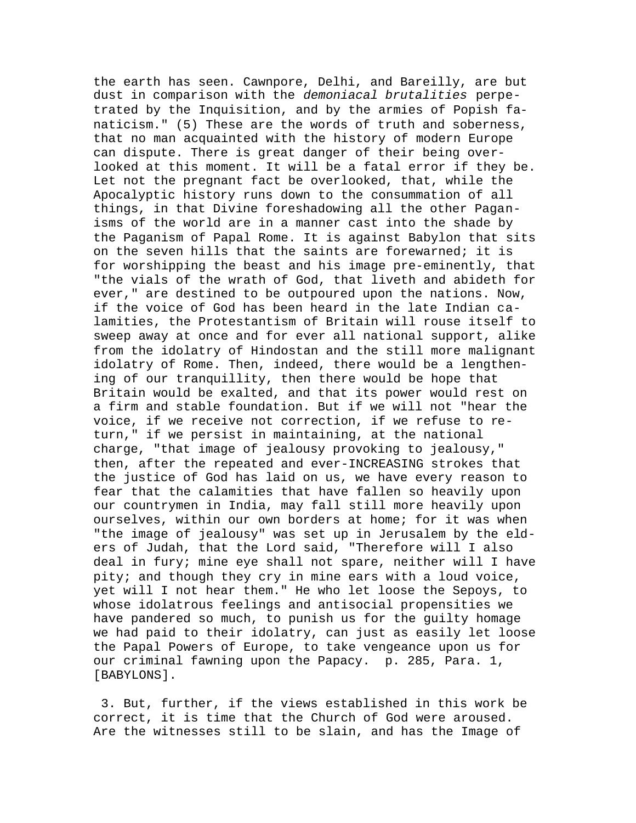the earth has seen. Cawnpore, Delhi, and Bareilly, are but dust in comparison with the *demoniacal brutalities* perpetrated by the Inquisition, and by the armies of Popish fanaticism." (5) These are the words of truth and soberness, that no man acquainted with the history of modern Europe can dispute. There is great danger of their being overlooked at this moment. It will be a fatal error if they be. Let not the pregnant fact be overlooked, that, while the Apocalyptic history runs down to the consummation of all things, in that Divine foreshadowing all the other Paganisms of the world are in a manner cast into the shade by the Paganism of Papal Rome. It is against Babylon that sits on the seven hills that the saints are forewarned; it is for worshipping the beast and his image pre-eminently, that "the vials of the wrath of God, that liveth and abideth for ever," are destined to be outpoured upon the nations. Now, if the voice of God has been heard in the late Indian calamities, the Protestantism of Britain will rouse itself to sweep away at once and for ever all national support, alike from the idolatry of Hindostan and the still more malignant idolatry of Rome. Then, indeed, there would be a lengthening of our tranquillity, then there would be hope that Britain would be exalted, and that its power would rest on a firm and stable foundation. But if we will not "hear the voice, if we receive not correction, if we refuse to return," if we persist in maintaining, at the national charge, "that image of jealousy provoking to jealousy," then, after the repeated and ever-INCREASING strokes that the justice of God has laid on us, we have every reason to fear that the calamities that have fallen so heavily upon our countrymen in India, may fall still more heavily upon ourselves, within our own borders at home; for it was when "the image of jealousy" was set up in Jerusalem by the elders of Judah, that the Lord said, "Therefore will I also deal in fury; mine eye shall not spare, neither will I have pity; and though they cry in mine ears with a loud voice, yet will I not hear them." He who let loose the Sepoys, to whose idolatrous feelings and antisocial propensities we have pandered so much, to punish us for the guilty homage we had paid to their idolatry, can just as easily let loose the Papal Powers of Europe, to take vengeance upon us for our criminal fawning upon the Papacy. p. 285, Para. 1, [BABYLONS].

 3. But, further, if the views established in this work be correct, it is time that the Church of God were aroused. Are the witnesses still to be slain, and has the Image of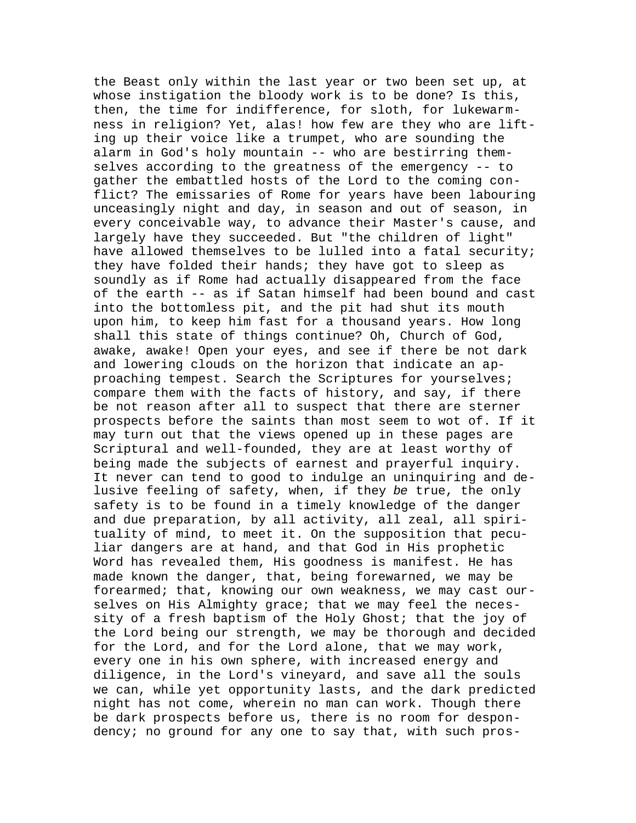the Beast only within the last year or two been set up, at whose instigation the bloody work is to be done? Is this, then, the time for indifference, for sloth, for lukewarmness in religion? Yet, alas! how few are they who are lifting up their voice like a trumpet, who are sounding the alarm in God's holy mountain -- who are bestirring themselves according to the greatness of the emergency -- to gather the embattled hosts of the Lord to the coming conflict? The emissaries of Rome for years have been labouring unceasingly night and day, in season and out of season, in every conceivable way, to advance their Master's cause, and largely have they succeeded. But "the children of light" have allowed themselves to be lulled into a fatal security; they have folded their hands; they have got to sleep as soundly as if Rome had actually disappeared from the face of the earth -- as if Satan himself had been bound and cast into the bottomless pit, and the pit had shut its mouth upon him, to keep him fast for a thousand years. How long shall this state of things continue? Oh, Church of God, awake, awake! Open your eyes, and see if there be not dark and lowering clouds on the horizon that indicate an approaching tempest. Search the Scriptures for yourselves; compare them with the facts of history, and say, if there be not reason after all to suspect that there are sterner prospects before the saints than most seem to wot of. If it may turn out that the views opened up in these pages are Scriptural and well-founded, they are at least worthy of being made the subjects of earnest and prayerful inquiry. It never can tend to good to indulge an uninquiring and delusive feeling of safety, when, if they *be* true, the only safety is to be found in a timely knowledge of the danger and due preparation, by all activity, all zeal, all spirituality of mind, to meet it. On the supposition that peculiar dangers are at hand, and that God in His prophetic Word has revealed them, His goodness is manifest. He has made known the danger, that, being forewarned, we may be forearmed; that, knowing our own weakness, we may cast ourselves on His Almighty grace; that we may feel the necessity of a fresh baptism of the Holy Ghost; that the joy of the Lord being our strength, we may be thorough and decided for the Lord, and for the Lord alone, that we may work, every one in his own sphere, with increased energy and diligence, in the Lord's vineyard, and save all the souls we can, while yet opportunity lasts, and the dark predicted night has not come, wherein no man can work. Though there be dark prospects before us, there is no room for despondency; no ground for any one to say that, with such pros-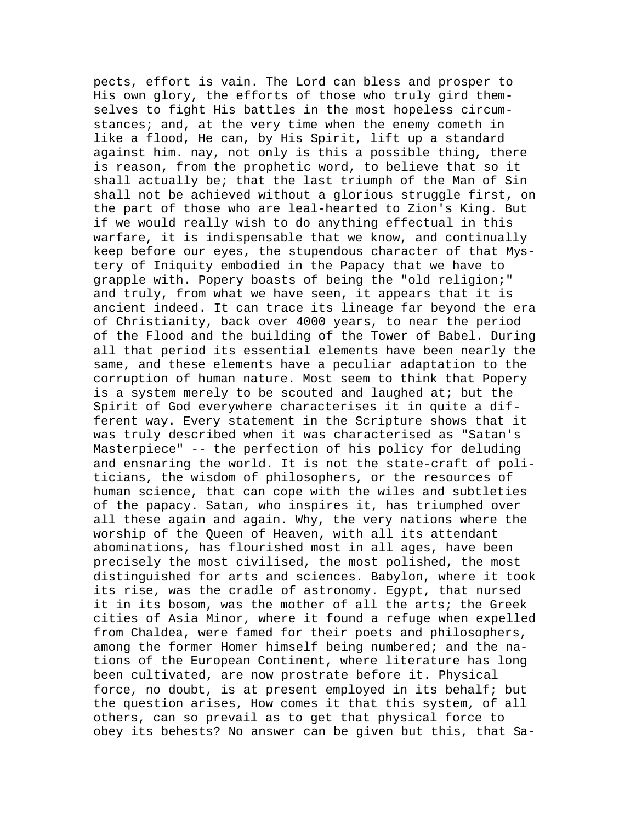pects, effort is vain. The Lord can bless and prosper to His own glory, the efforts of those who truly gird themselves to fight His battles in the most hopeless circumstances; and, at the very time when the enemy cometh in like a flood, He can, by His Spirit, lift up a standard against him. nay, not only is this a possible thing, there is reason, from the prophetic word, to believe that so it shall actually be; that the last triumph of the Man of Sin shall not be achieved without a glorious struggle first, on the part of those who are leal-hearted to Zion's King. But if we would really wish to do anything effectual in this warfare, it is indispensable that we know, and continually keep before our eyes, the stupendous character of that Mystery of Iniquity embodied in the Papacy that we have to grapple with. Popery boasts of being the "old religion;" and truly, from what we have seen, it appears that it is ancient indeed. It can trace its lineage far beyond the era of Christianity, back over 4000 years, to near the period of the Flood and the building of the Tower of Babel. During all that period its essential elements have been nearly the same, and these elements have a peculiar adaptation to the corruption of human nature. Most seem to think that Popery is a system merely to be scouted and laughed at; but the Spirit of God everywhere characterises it in quite a different way. Every statement in the Scripture shows that it was truly described when it was characterised as "Satan's Masterpiece" -- the perfection of his policy for deluding and ensnaring the world. It is not the state-craft of politicians, the wisdom of philosophers, or the resources of human science, that can cope with the wiles and subtleties of the papacy. Satan, who inspires it, has triumphed over all these again and again. Why, the very nations where the worship of the Queen of Heaven, with all its attendant abominations, has flourished most in all ages, have been precisely the most civilised, the most polished, the most distinguished for arts and sciences. Babylon, where it took its rise, was the cradle of astronomy. Egypt, that nursed it in its bosom, was the mother of all the arts; the Greek cities of Asia Minor, where it found a refuge when expelled from Chaldea, were famed for their poets and philosophers, among the former Homer himself being numbered; and the nations of the European Continent, where literature has long been cultivated, are now prostrate before it. Physical force, no doubt, is at present employed in its behalf; but the question arises, How comes it that this system, of all others, can so prevail as to get that physical force to obey its behests? No answer can be given but this, that Sa-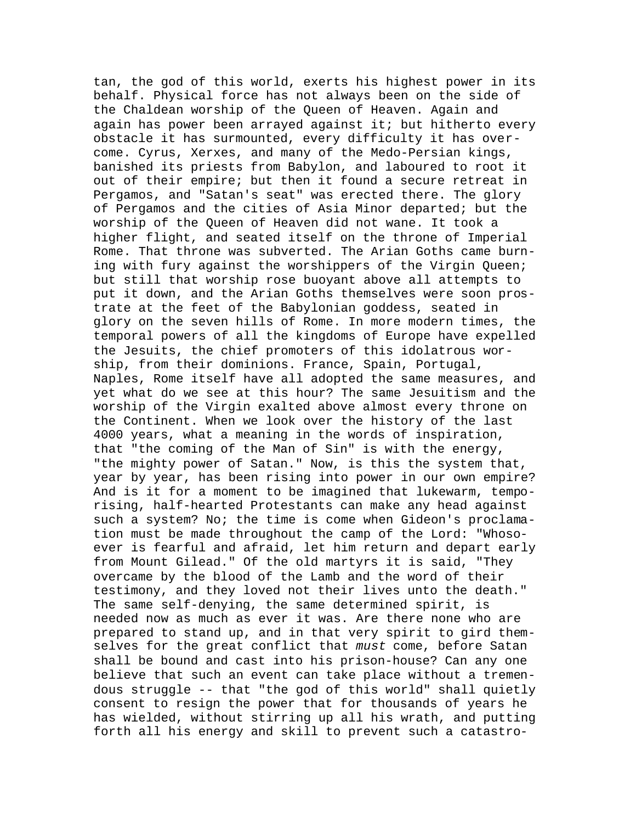tan, the god of this world, exerts his highest power in its behalf. Physical force has not always been on the side of the Chaldean worship of the Queen of Heaven. Again and again has power been arrayed against it; but hitherto every obstacle it has surmounted, every difficulty it has overcome. Cyrus, Xerxes, and many of the Medo-Persian kings, banished its priests from Babylon, and laboured to root it out of their empire; but then it found a secure retreat in Pergamos, and "Satan's seat" was erected there. The glory of Pergamos and the cities of Asia Minor departed; but the worship of the Queen of Heaven did not wane. It took a higher flight, and seated itself on the throne of Imperial Rome. That throne was subverted. The Arian Goths came burning with fury against the worshippers of the Virgin Queen; but still that worship rose buoyant above all attempts to put it down, and the Arian Goths themselves were soon prostrate at the feet of the Babylonian goddess, seated in glory on the seven hills of Rome. In more modern times, the temporal powers of all the kingdoms of Europe have expelled the Jesuits, the chief promoters of this idolatrous worship, from their dominions. France, Spain, Portugal, Naples, Rome itself have all adopted the same measures, and yet what do we see at this hour? The same Jesuitism and the worship of the Virgin exalted above almost every throne on the Continent. When we look over the history of the last 4000 years, what a meaning in the words of inspiration, that "the coming of the Man of Sin" is with the energy, "the mighty power of Satan." Now, is this the system that, year by year, has been rising into power in our own empire? And is it for a moment to be imagined that lukewarm, temporising, half-hearted Protestants can make any head against such a system? No; the time is come when Gideon's proclamation must be made throughout the camp of the Lord: "Whosoever is fearful and afraid, let him return and depart early from Mount Gilead." Of the old martyrs it is said, "They overcame by the blood of the Lamb and the word of their testimony, and they loved not their lives unto the death." The same self-denying, the same determined spirit, is needed now as much as ever it was. Are there none who are prepared to stand up, and in that very spirit to gird themselves for the great conflict that *must* come, before Satan shall be bound and cast into his prison-house? Can any one believe that such an event can take place without a tremendous struggle -- that "the god of this world" shall quietly consent to resign the power that for thousands of years he has wielded, without stirring up all his wrath, and putting forth all his energy and skill to prevent such a catastro-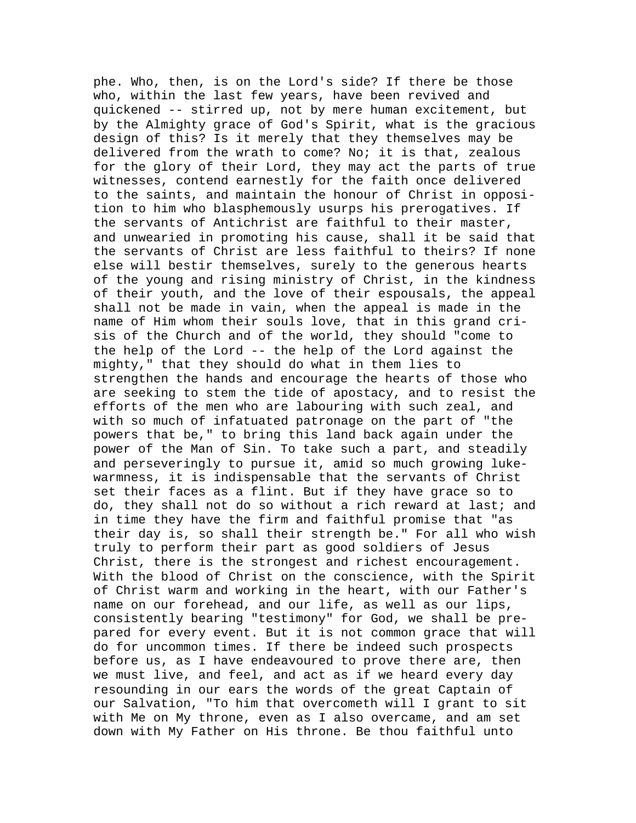phe. Who, then, is on the Lord's side? If there be those who, within the last few years, have been revived and quickened -- stirred up, not by mere human excitement, but by the Almighty grace of God's Spirit, what is the gracious design of this? Is it merely that they themselves may be delivered from the wrath to come? No; it is that, zealous for the glory of their Lord, they may act the parts of true witnesses, contend earnestly for the faith once delivered to the saints, and maintain the honour of Christ in opposition to him who blasphemously usurps his prerogatives. If the servants of Antichrist are faithful to their master, and unwearied in promoting his cause, shall it be said that the servants of Christ are less faithful to theirs? If none else will bestir themselves, surely to the generous hearts of the young and rising ministry of Christ, in the kindness of their youth, and the love of their espousals, the appeal shall not be made in vain, when the appeal is made in the name of Him whom their souls love, that in this grand crisis of the Church and of the world, they should "come to the help of the Lord -- the help of the Lord against the mighty," that they should do what in them lies to strengthen the hands and encourage the hearts of those who are seeking to stem the tide of apostacy, and to resist the efforts of the men who are labouring with such zeal, and with so much of infatuated patronage on the part of "the powers that be," to bring this land back again under the power of the Man of Sin. To take such a part, and steadily and perseveringly to pursue it, amid so much growing lukewarmness, it is indispensable that the servants of Christ set their faces as a flint. But if they have grace so to do, they shall not do so without a rich reward at last; and in time they have the firm and faithful promise that "as their day is, so shall their strength be." For all who wish truly to perform their part as good soldiers of Jesus Christ, there is the strongest and richest encouragement. With the blood of Christ on the conscience, with the Spirit of Christ warm and working in the heart, with our Father's name on our forehead, and our life, as well as our lips, consistently bearing "testimony" for God, we shall be prepared for every event. But it is not common grace that will do for uncommon times. If there be indeed such prospects before us, as I have endeavoured to prove there are, then we must live, and feel, and act as if we heard every day resounding in our ears the words of the great Captain of our Salvation, "To him that overcometh will I grant to sit with Me on My throne, even as I also overcame, and am set down with My Father on His throne. Be thou faithful unto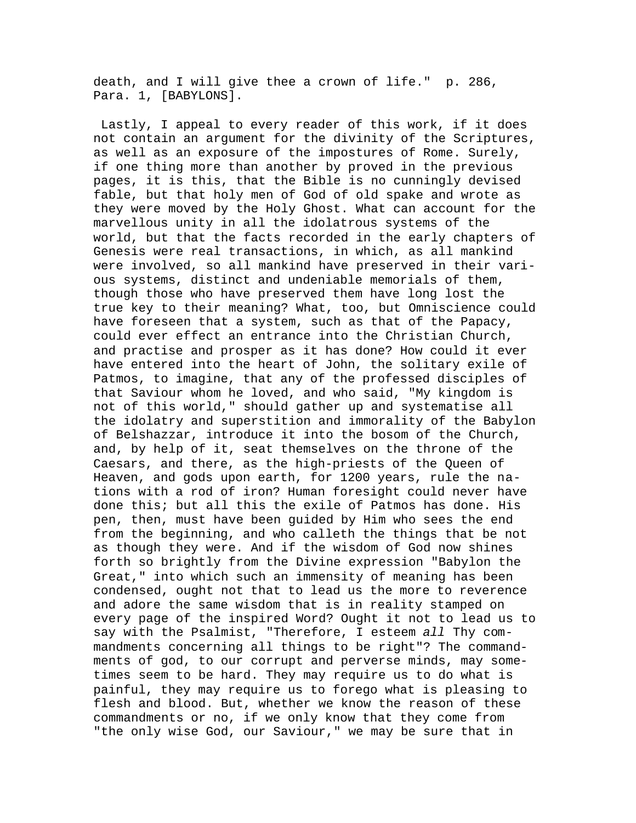death, and I will give thee a crown of life." p. 286, Para. 1, [BABYLONS].

 Lastly, I appeal to every reader of this work, if it does not contain an argument for the divinity of the Scriptures, as well as an exposure of the impostures of Rome. Surely, if one thing more than another by proved in the previous pages, it is this, that the Bible is no cunningly devised fable, but that holy men of God of old spake and wrote as they were moved by the Holy Ghost. What can account for the marvellous unity in all the idolatrous systems of the world, but that the facts recorded in the early chapters of Genesis were real transactions, in which, as all mankind were involved, so all mankind have preserved in their various systems, distinct and undeniable memorials of them, though those who have preserved them have long lost the true key to their meaning? What, too, but Omniscience could have foreseen that a system, such as that of the Papacy, could ever effect an entrance into the Christian Church, and practise and prosper as it has done? How could it ever have entered into the heart of John, the solitary exile of Patmos, to imagine, that any of the professed disciples of that Saviour whom he loved, and who said, "My kingdom is not of this world," should gather up and systematise all the idolatry and superstition and immorality of the Babylon of Belshazzar, introduce it into the bosom of the Church, and, by help of it, seat themselves on the throne of the Caesars, and there, as the high-priests of the Queen of Heaven, and gods upon earth, for 1200 years, rule the nations with a rod of iron? Human foresight could never have done this; but all this the exile of Patmos has done. His pen, then, must have been guided by Him who sees the end from the beginning, and who calleth the things that be not as though they were. And if the wisdom of God now shines forth so brightly from the Divine expression "Babylon the Great," into which such an immensity of meaning has been condensed, ought not that to lead us the more to reverence and adore the same wisdom that is in reality stamped on every page of the inspired Word? Ought it not to lead us to say with the Psalmist, "Therefore, I esteem *all* Thy commandments concerning all things to be right"? The commandments of god, to our corrupt and perverse minds, may sometimes seem to be hard. They may require us to do what is painful, they may require us to forego what is pleasing to flesh and blood. But, whether we know the reason of these commandments or no, if we only know that they come from "the only wise God, our Saviour," we may be sure that in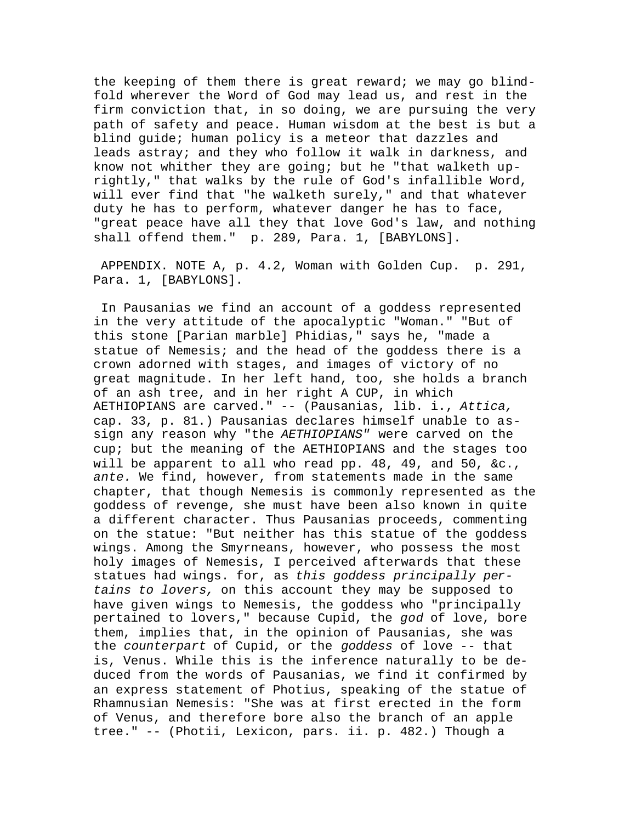the keeping of them there is great reward; we may go blindfold wherever the Word of God may lead us, and rest in the firm conviction that, in so doing, we are pursuing the very path of safety and peace. Human wisdom at the best is but a blind guide; human policy is a meteor that dazzles and leads astray; and they who follow it walk in darkness, and know not whither they are going; but he "that walketh uprightly," that walks by the rule of God's infallible Word, will ever find that "he walketh surely," and that whatever duty he has to perform, whatever danger he has to face, "great peace have all they that love God's law, and nothing shall offend them." p. 289, Para. 1, [BABYLONS].

 APPENDIX. NOTE A, p. 4.2, Woman with Golden Cup. p. 291, Para. 1, [BABYLONS].

 In Pausanias we find an account of a goddess represented in the very attitude of the apocalyptic "Woman." "But of this stone [Parian marble] Phidias," says he, "made a statue of Nemesis; and the head of the goddess there is a crown adorned with stages, and images of victory of no great magnitude. In her left hand, too, she holds a branch of an ash tree, and in her right A CUP, in which AETHIOPIANS are carved." -- (Pausanias, lib. i., *Attica,* cap. 33, p. 81.) Pausanias declares himself unable to assign any reason why "the *AETHIOPIANS"* were carved on the cup; but the meaning of the AETHIOPIANS and the stages too will be apparent to all who read pp. 48, 49, and 50, &c., *ante.* We find, however, from statements made in the same chapter, that though Nemesis is commonly represented as the goddess of revenge, she must have been also known in quite a different character. Thus Pausanias proceeds, commenting on the statue: "But neither has this statue of the goddess wings. Among the Smyrneans, however, who possess the most holy images of Nemesis, I perceived afterwards that these statues had wings. for, as *this goddess principally pertains to lovers,* on this account they may be supposed to have given wings to Nemesis, the goddess who "principally pertained to lovers," because Cupid, the *god* of love, bore them, implies that, in the opinion of Pausanias, she was the *counterpart* of Cupid, or the *goddess* of love -- that is, Venus. While this is the inference naturally to be deduced from the words of Pausanias, we find it confirmed by an express statement of Photius, speaking of the statue of Rhamnusian Nemesis: "She was at first erected in the form of Venus, and therefore bore also the branch of an apple tree." -- (Photii, Lexicon, pars. ii. p. 482.) Though a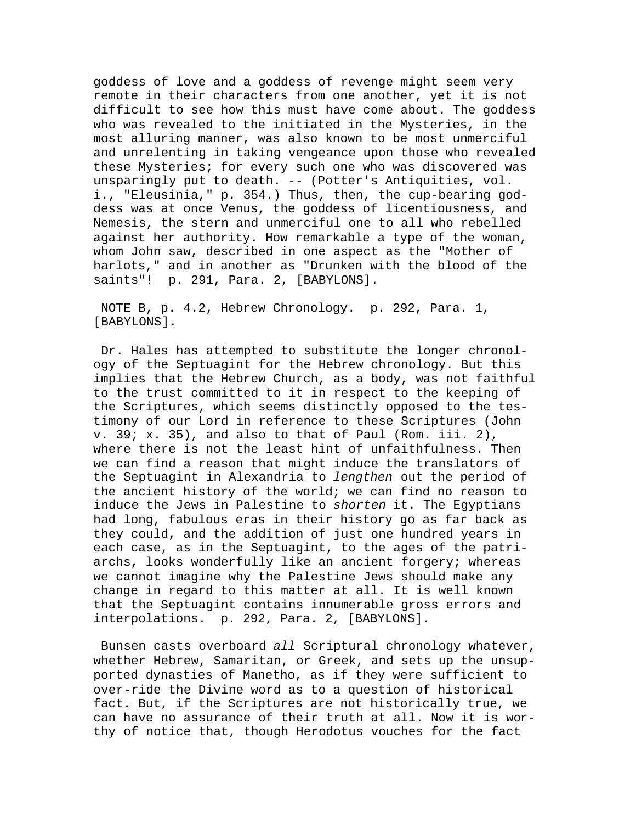goddess of love and a goddess of revenge might seem very remote in their characters from one another, yet it is not difficult to see how this must have come about. The goddess who was revealed to the initiated in the Mysteries, in the most alluring manner, was also known to be most unmerciful and unrelenting in taking vengeance upon those who revealed these Mysteries; for every such one who was discovered was unsparingly put to death. -- (Potter's Antiquities, vol. i., "Eleusinia," p. 354.) Thus, then, the cup-bearing goddess was at once Venus, the goddess of licentiousness, and Nemesis, the stern and unmerciful one to all who rebelled against her authority. How remarkable a type of the woman, whom John saw, described in one aspect as the "Mother of harlots," and in another as "Drunken with the blood of the saints"! p. 291, Para. 2, [BABYLONS].

 NOTE B, p. 4.2, Hebrew Chronology. p. 292, Para. 1, [BABYLONS].

 Dr. Hales has attempted to substitute the longer chronology of the Septuagint for the Hebrew chronology. But this implies that the Hebrew Church, as a body, was not faithful to the trust committed to it in respect to the keeping of the Scriptures, which seems distinctly opposed to the testimony of our Lord in reference to these Scriptures (John v. 39; x. 35), and also to that of Paul (Rom. iii. 2), where there is not the least hint of unfaithfulness. Then we can find a reason that might induce the translators of the Septuagint in Alexandria to *lengthen* out the period of the ancient history of the world; we can find no reason to induce the Jews in Palestine to *shorten* it. The Egyptians had long, fabulous eras in their history go as far back as they could, and the addition of just one hundred years in each case, as in the Septuagint, to the ages of the patriarchs, looks wonderfully like an ancient forgery; whereas we cannot imagine why the Palestine Jews should make any change in regard to this matter at all. It is well known that the Septuagint contains innumerable gross errors and interpolations. p. 292, Para. 2, [BABYLONS].

 Bunsen casts overboard *all* Scriptural chronology whatever, whether Hebrew, Samaritan, or Greek, and sets up the unsupported dynasties of Manetho, as if they were sufficient to over-ride the Divine word as to a question of historical fact. But, if the Scriptures are not historically true, we can have no assurance of their truth at all. Now it is worthy of notice that, though Herodotus vouches for the fact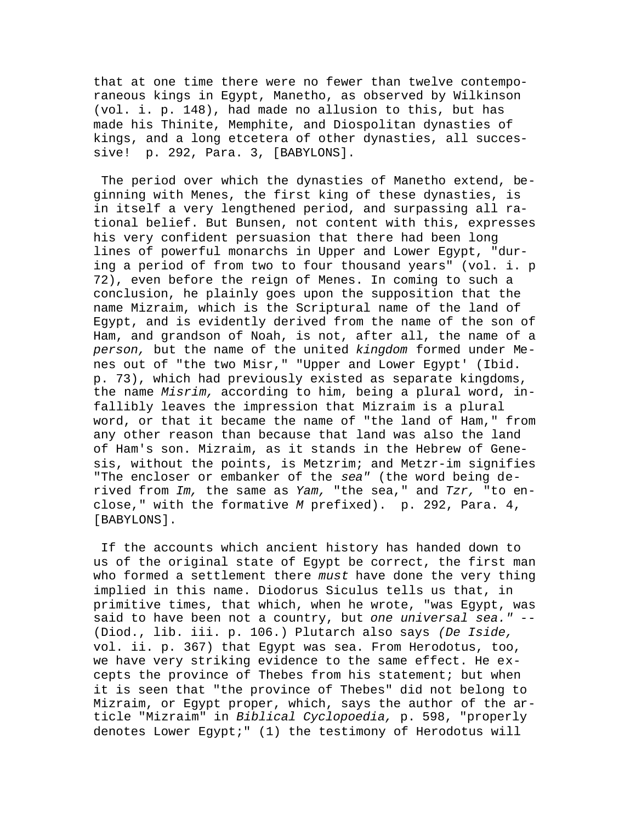that at one time there were no fewer than twelve contemporaneous kings in Egypt, Manetho, as observed by Wilkinson (vol. i. p. 148), had made no allusion to this, but has made his Thinite, Memphite, and Diospolitan dynasties of kings, and a long etcetera of other dynasties, all successive! p. 292, Para. 3, [BABYLONS].

 The period over which the dynasties of Manetho extend, beginning with Menes, the first king of these dynasties, is in itself a very lengthened period, and surpassing all rational belief. But Bunsen, not content with this, expresses his very confident persuasion that there had been long lines of powerful monarchs in Upper and Lower Egypt, "during a period of from two to four thousand years" (vol. i. p 72), even before the reign of Menes. In coming to such a conclusion, he plainly goes upon the supposition that the name Mizraim, which is the Scriptural name of the land of Egypt, and is evidently derived from the name of the son of Ham, and grandson of Noah, is not, after all, the name of a *person,* but the name of the united *kingdom* formed under Menes out of "the two Misr," "Upper and Lower Egypt' (Ibid. p. 73), which had previously existed as separate kingdoms, the name *Misrim,* according to him, being a plural word, infallibly leaves the impression that Mizraim is a plural word, or that it became the name of "the land of Ham," from any other reason than because that land was also the land of Ham's son. Mizraim, as it stands in the Hebrew of Genesis, without the points, is Metzrim; and Metzr-im signifies "The encloser or embanker of the *sea"* (the word being derived from *Im,* the same as *Yam,* "the sea," and *Tzr,* "to enclose," with the formative *M* prefixed). p. 292, Para. 4, [BABYLONS].

 If the accounts which ancient history has handed down to us of the original state of Egypt be correct, the first man who formed a settlement there *must* have done the very thing implied in this name. Diodorus Siculus tells us that, in primitive times, that which, when he wrote, "was Egypt, was said to have been not a country, but *one universal sea."* -- (Diod., lib. iii. p. 106.) Plutarch also says *(De Iside,* vol. ii. p. 367) that Egypt was sea. From Herodotus, too, we have very striking evidence to the same effect. He excepts the province of Thebes from his statement; but when it is seen that "the province of Thebes" did not belong to Mizraim, or Egypt proper, which, says the author of the article "Mizraim" in *Biblical Cyclopoedia,* p. 598, "properly denotes Lower Egypt;" (1) the testimony of Herodotus will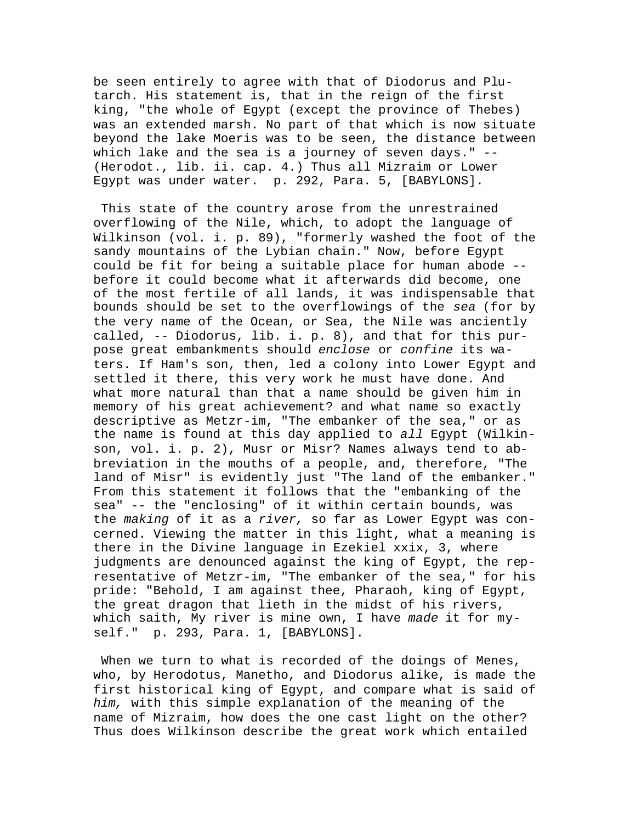be seen entirely to agree with that of Diodorus and Plutarch. His statement is, that in the reign of the first king, "the whole of Egypt (except the province of Thebes) was an extended marsh. No part of that which is now situate beyond the lake Moeris was to be seen, the distance between which lake and the sea is a journey of seven days." --(Herodot., lib. ii. cap. 4.) Thus all Mizraim or Lower Egypt was under water. p. 292, Para. 5, [BABYLONS].

 This state of the country arose from the unrestrained overflowing of the Nile, which, to adopt the language of Wilkinson (vol. i. p. 89), "formerly washed the foot of the sandy mountains of the Lybian chain." Now, before Egypt could be fit for being a suitable place for human abode - before it could become what it afterwards did become, one of the most fertile of all lands, it was indispensable that bounds should be set to the overflowings of the *sea* (for by the very name of the Ocean, or Sea, the Nile was anciently called, -- Diodorus, lib. i. p. 8), and that for this purpose great embankments should *enclose* or *confine* its waters. If Ham's son, then, led a colony into Lower Egypt and settled it there, this very work he must have done. And what more natural than that a name should be given him in memory of his great achievement? and what name so exactly descriptive as Metzr-im, "The embanker of the sea," or as the name is found at this day applied to *all* Egypt (Wilkinson, vol. i. p. 2), Musr or Misr? Names always tend to abbreviation in the mouths of a people, and, therefore, "The land of Misr" is evidently just "The land of the embanker." From this statement it follows that the "embanking of the sea" -- the "enclosing" of it within certain bounds, was the *making* of it as a *river,* so far as Lower Egypt was concerned. Viewing the matter in this light, what a meaning is there in the Divine language in Ezekiel xxix, 3, where judgments are denounced against the king of Egypt, the representative of Metzr-im, "The embanker of the sea," for his pride: "Behold, I am against thee, Pharaoh, king of Egypt, the great dragon that lieth in the midst of his rivers, which saith, My river is mine own, I have *made* it for myself." p. 293, Para. 1, [BABYLONS].

 When we turn to what is recorded of the doings of Menes, who, by Herodotus, Manetho, and Diodorus alike, is made the first historical king of Egypt, and compare what is said of *him,* with this simple explanation of the meaning of the name of Mizraim, how does the one cast light on the other? Thus does Wilkinson describe the great work which entailed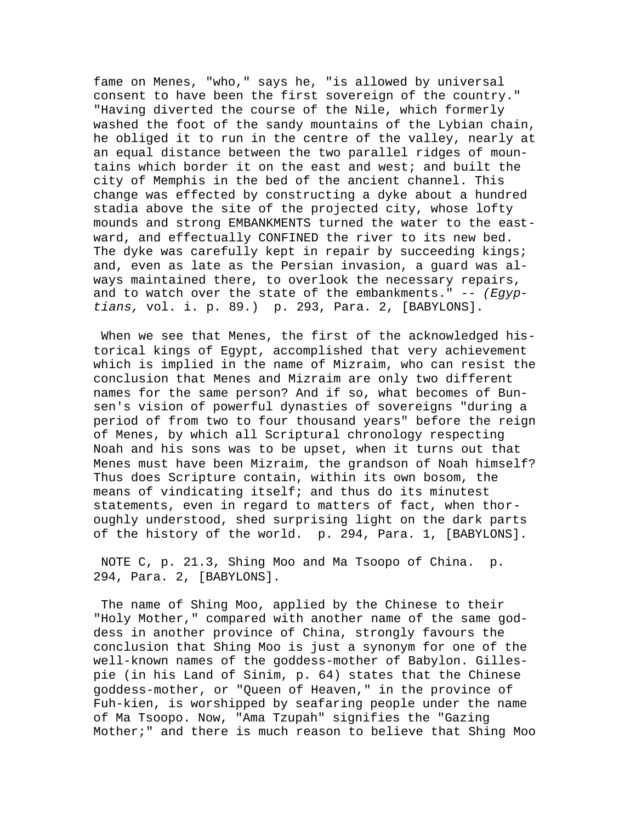fame on Menes, "who," says he, "is allowed by universal consent to have been the first sovereign of the country." "Having diverted the course of the Nile, which formerly washed the foot of the sandy mountains of the Lybian chain, he obliged it to run in the centre of the valley, nearly at an equal distance between the two parallel ridges of mountains which border it on the east and west; and built the city of Memphis in the bed of the ancient channel. This change was effected by constructing a dyke about a hundred stadia above the site of the projected city, whose lofty mounds and strong EMBANKMENTS turned the water to the eastward, and effectually CONFINED the river to its new bed. The dyke was carefully kept in repair by succeeding kings; and, even as late as the Persian invasion, a guard was always maintained there, to overlook the necessary repairs, and to watch over the state of the embankments." -- *(Egyptians,* vol. i. p. 89.) p. 293, Para. 2, [BABYLONS].

 When we see that Menes, the first of the acknowledged historical kings of Egypt, accomplished that very achievement which is implied in the name of Mizraim, who can resist the conclusion that Menes and Mizraim are only two different names for the same person? And if so, what becomes of Bunsen's vision of powerful dynasties of sovereigns "during a period of from two to four thousand years" before the reign of Menes, by which all Scriptural chronology respecting Noah and his sons was to be upset, when it turns out that Menes must have been Mizraim, the grandson of Noah himself? Thus does Scripture contain, within its own bosom, the means of vindicating itself; and thus do its minutest statements, even in regard to matters of fact, when thoroughly understood, shed surprising light on the dark parts of the history of the world. p. 294, Para. 1, [BABYLONS].

 NOTE C, p. 21.3, Shing Moo and Ma Tsoopo of China. p. 294, Para. 2, [BABYLONS].

 The name of Shing Moo, applied by the Chinese to their "Holy Mother," compared with another name of the same goddess in another province of China, strongly favours the conclusion that Shing Moo is just a synonym for one of the well-known names of the goddess-mother of Babylon. Gillespie (in his Land of Sinim, p. 64) states that the Chinese goddess-mother, or "Queen of Heaven," in the province of Fuh-kien, is worshipped by seafaring people under the name of Ma Tsoopo. Now, "Ama Tzupah" signifies the "Gazing Mother;" and there is much reason to believe that Shing Moo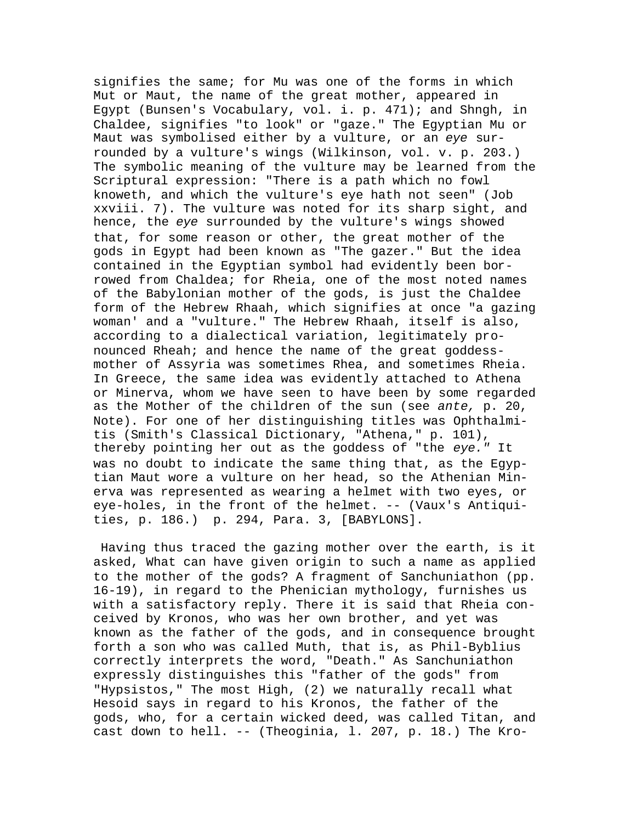signifies the same; for Mu was one of the forms in which Mut or Maut, the name of the great mother, appeared in Egypt (Bunsen's Vocabulary, vol. i. p. 471); and Shngh, in Chaldee, signifies "to look" or "gaze." The Egyptian Mu or Maut was symbolised either by a vulture, or an *eye* surrounded by a vulture's wings (Wilkinson, vol. v. p. 203.) The symbolic meaning of the vulture may be learned from the Scriptural expression: "There is a path which no fowl knoweth, and which the vulture's eye hath not seen" (Job xxviii. 7). The vulture was noted for its sharp sight, and hence, the *eye* surrounded by the vulture's wings showed that, for some reason or other, the great mother of the gods in Egypt had been known as "The gazer." But the idea contained in the Egyptian symbol had evidently been borrowed from Chaldea; for Rheia, one of the most noted names of the Babylonian mother of the gods, is just the Chaldee form of the Hebrew Rhaah, which signifies at once "a gazing woman' and a "vulture." The Hebrew Rhaah, itself is also, according to a dialectical variation, legitimately pronounced Rheah; and hence the name of the great goddessmother of Assyria was sometimes Rhea, and sometimes Rheia. In Greece, the same idea was evidently attached to Athena or Minerva, whom we have seen to have been by some regarded as the Mother of the children of the sun (see *ante,* p. 20, Note). For one of her distinguishing titles was Ophthalmitis (Smith's Classical Dictionary, "Athena," p. 101), thereby pointing her out as the goddess of "the *eye."* It was no doubt to indicate the same thing that, as the Egyptian Maut wore a vulture on her head, so the Athenian Minerva was represented as wearing a helmet with two eyes, or eye-holes, in the front of the helmet. -- (Vaux's Antiquities, p. 186.) p. 294, Para. 3, [BABYLONS].

 Having thus traced the gazing mother over the earth, is it asked, What can have given origin to such a name as applied to the mother of the gods? A fragment of Sanchuniathon (pp. 16-19), in regard to the Phenician mythology, furnishes us with a satisfactory reply. There it is said that Rheia conceived by Kronos, who was her own brother, and yet was known as the father of the gods, and in consequence brought forth a son who was called Muth, that is, as Phil-Byblius correctly interprets the word, "Death." As Sanchuniathon expressly distinguishes this "father of the gods" from "Hypsistos," The most High, (2) we naturally recall what Hesoid says in regard to his Kronos, the father of the gods, who, for a certain wicked deed, was called Titan, and cast down to hell. -- (Theoginia, l. 207, p. 18.) The Kro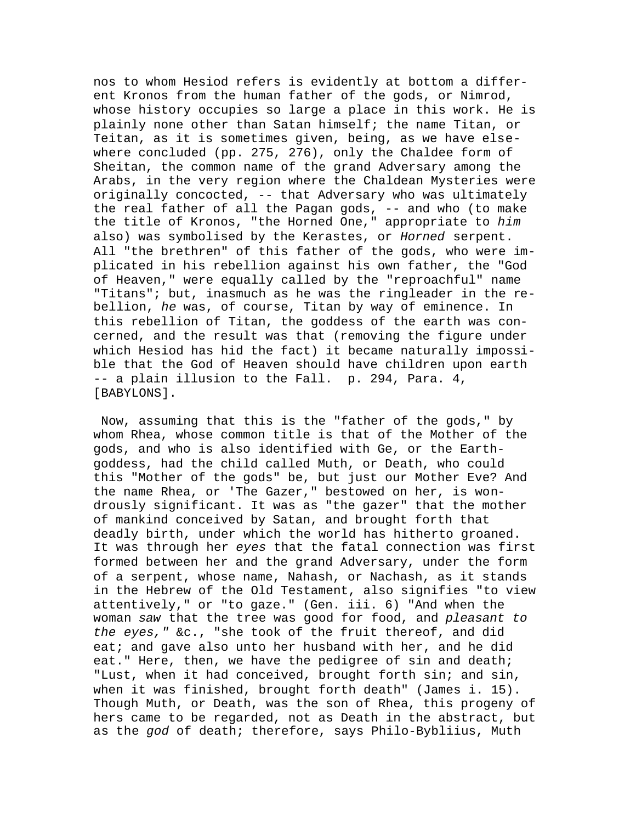nos to whom Hesiod refers is evidently at bottom a different Kronos from the human father of the gods, or Nimrod, whose history occupies so large a place in this work. He is plainly none other than Satan himself; the name Titan, or Teitan, as it is sometimes given, being, as we have elsewhere concluded (pp. 275, 276), only the Chaldee form of Sheitan, the common name of the grand Adversary among the Arabs, in the very region where the Chaldean Mysteries were originally concocted, -- that Adversary who was ultimately the real father of all the Pagan gods, -- and who (to make the title of Kronos, "the Horned One," appropriate to *him* also) was symbolised by the Kerastes, or *Horned* serpent. All "the brethren" of this father of the gods, who were implicated in his rebellion against his own father, the "God of Heaven," were equally called by the "reproachful" name "Titans"; but, inasmuch as he was the ringleader in the rebellion, *he* was, of course, Titan by way of eminence. In this rebellion of Titan, the goddess of the earth was concerned, and the result was that (removing the figure under which Hesiod has hid the fact) it became naturally impossible that the God of Heaven should have children upon earth -- a plain illusion to the Fall. p. 294, Para. 4, [BABYLONS].

 Now, assuming that this is the "father of the gods," by whom Rhea, whose common title is that of the Mother of the gods, and who is also identified with Ge, or the Earthgoddess, had the child called Muth, or Death, who could this "Mother of the gods" be, but just our Mother Eve? And the name Rhea, or 'The Gazer," bestowed on her, is wondrously significant. It was as "the gazer" that the mother of mankind conceived by Satan, and brought forth that deadly birth, under which the world has hitherto groaned. It was through her *eyes* that the fatal connection was first formed between her and the grand Adversary, under the form of a serpent, whose name, Nahash, or Nachash, as it stands in the Hebrew of the Old Testament, also signifies "to view attentively," or "to gaze." (Gen. iii. 6) "And when the woman *saw* that the tree was good for food, and *pleasant to the eyes,"* &c., "she took of the fruit thereof, and did eat; and gave also unto her husband with her, and he did eat." Here, then, we have the pedigree of sin and death; "Lust, when it had conceived, brought forth sin; and sin, when it was finished, brought forth death" (James i. 15). Though Muth, or Death, was the son of Rhea, this progeny of hers came to be regarded, not as Death in the abstract, but as the *god* of death; therefore, says Philo-Bybliius, Muth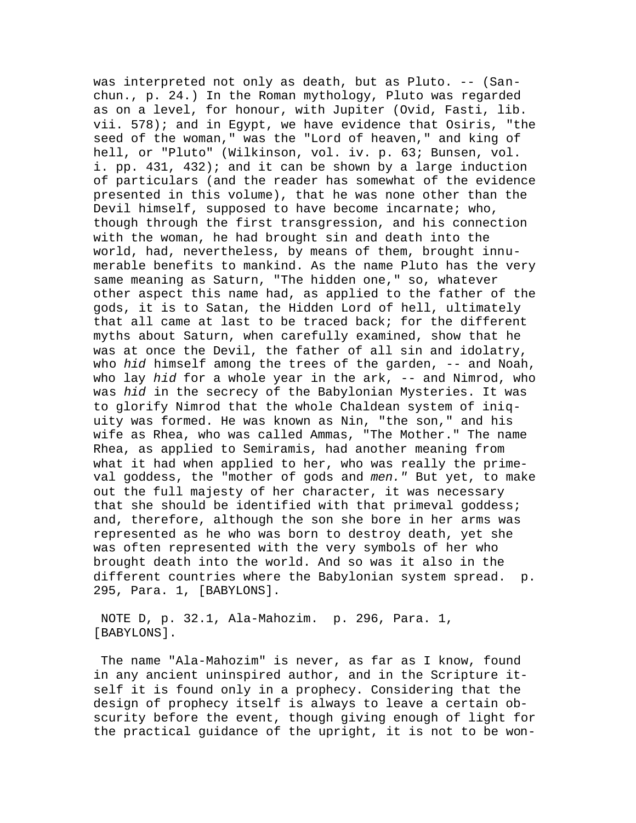was interpreted not only as death, but as Pluto. -- (Sanchun., p. 24.) In the Roman mythology, Pluto was regarded as on a level, for honour, with Jupiter (Ovid, Fasti, lib. vii. 578); and in Egypt, we have evidence that Osiris, "the seed of the woman," was the "Lord of heaven," and king of hell, or "Pluto" (Wilkinson, vol. iv. p. 63; Bunsen, vol. i. pp. 431, 432); and it can be shown by a large induction of particulars (and the reader has somewhat of the evidence presented in this volume), that he was none other than the Devil himself, supposed to have become incarnate; who, though through the first transgression, and his connection with the woman, he had brought sin and death into the world, had, nevertheless, by means of them, brought innumerable benefits to mankind. As the name Pluto has the very same meaning as Saturn, "The hidden one," so, whatever other aspect this name had, as applied to the father of the gods, it is to Satan, the Hidden Lord of hell, ultimately that all came at last to be traced back; for the different myths about Saturn, when carefully examined, show that he was at once the Devil, the father of all sin and idolatry, who *hid* himself among the trees of the garden, -- and Noah, who lay *hid* for a whole year in the ark, -- and Nimrod, who was *hid* in the secrecy of the Babylonian Mysteries. It was to glorify Nimrod that the whole Chaldean system of iniquity was formed. He was known as Nin, "the son," and his wife as Rhea, who was called Ammas, "The Mother." The name Rhea, as applied to Semiramis, had another meaning from what it had when applied to her, who was really the primeval goddess, the "mother of gods and *men."* But yet, to make out the full majesty of her character, it was necessary that she should be identified with that primeval goddess; and, therefore, although the son she bore in her arms was represented as he who was born to destroy death, yet she was often represented with the very symbols of her who brought death into the world. And so was it also in the different countries where the Babylonian system spread. p. 295, Para. 1, [BABYLONS].

 NOTE D, p. 32.1, Ala-Mahozim. p. 296, Para. 1, [BABYLONS].

 The name "Ala-Mahozim" is never, as far as I know, found in any ancient uninspired author, and in the Scripture itself it is found only in a prophecy. Considering that the design of prophecy itself is always to leave a certain obscurity before the event, though giving enough of light for the practical guidance of the upright, it is not to be won-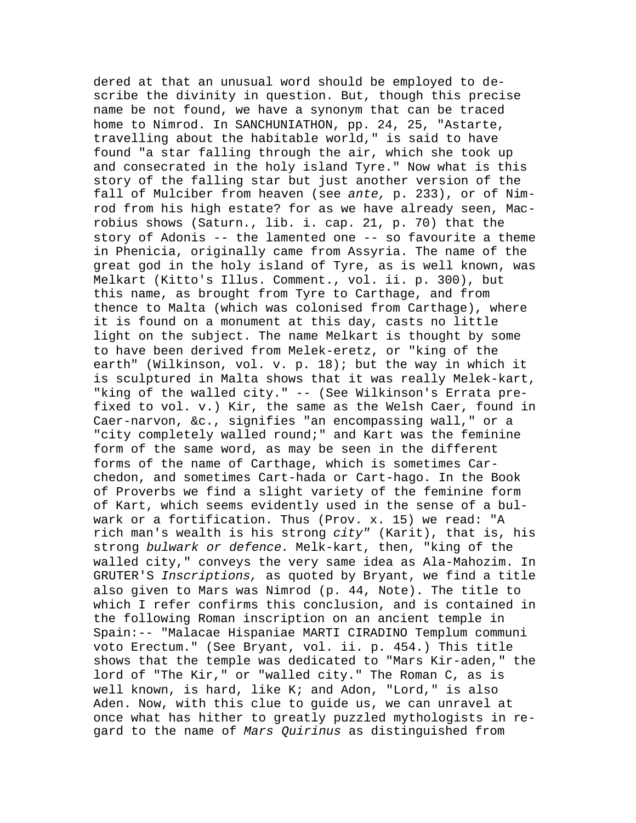dered at that an unusual word should be employed to describe the divinity in question. But, though this precise name be not found, we have a synonym that can be traced home to Nimrod. In SANCHUNIATHON, pp. 24, 25, "Astarte, travelling about the habitable world," is said to have found "a star falling through the air, which she took up and consecrated in the holy island Tyre." Now what is this story of the falling star but just another version of the fall of Mulciber from heaven (see *ante,* p. 233), or of Nimrod from his high estate? for as we have already seen, Macrobius shows (Saturn., lib. i. cap. 21, p. 70) that the story of Adonis -- the lamented one -- so favourite a theme in Phenicia, originally came from Assyria. The name of the great god in the holy island of Tyre, as is well known, was Melkart (Kitto's Illus. Comment., vol. ii. p. 300), but this name, as brought from Tyre to Carthage, and from thence to Malta (which was colonised from Carthage), where it is found on a monument at this day, casts no little light on the subject. The name Melkart is thought by some to have been derived from Melek-eretz, or "king of the earth" (Wilkinson, vol. v. p. 18); but the way in which it is sculptured in Malta shows that it was really Melek-kart, "king of the walled city." -- (See Wilkinson's Errata prefixed to vol. v.) Kir, the same as the Welsh Caer, found in Caer-narvon, &c., signifies "an encompassing wall," or a "city completely walled round;" and Kart was the feminine form of the same word, as may be seen in the different forms of the name of Carthage, which is sometimes Carchedon, and sometimes Cart-hada or Cart-hago. In the Book of Proverbs we find a slight variety of the feminine form of Kart, which seems evidently used in the sense of a bulwark or a fortification. Thus (Prov. x. 15) we read: "A rich man's wealth is his strong *city"* (Karit), that is, his strong *bulwark or defence.* Melk-kart, then, "king of the walled city," conveys the very same idea as Ala-Mahozim. In GRUTER'S *Inscriptions,* as quoted by Bryant, we find a title also given to Mars was Nimrod (p. 44, Note). The title to which I refer confirms this conclusion, and is contained in the following Roman inscription on an ancient temple in Spain:-- "Malacae Hispaniae MARTI CIRADINO Templum communi voto Erectum." (See Bryant, vol. ii. p. 454.) This title shows that the temple was dedicated to "Mars Kir-aden," the lord of "The Kir," or "walled city." The Roman C, as is well known, is hard, like K; and Adon, "Lord," is also Aden. Now, with this clue to guide us, we can unravel at once what has hither to greatly puzzled mythologists in regard to the name of *Mars Quirinus* as distinguished from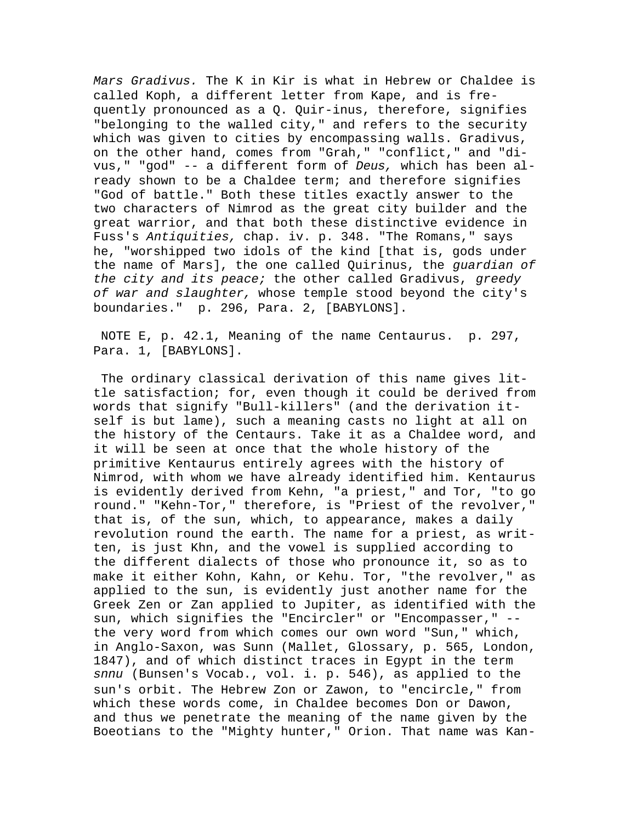*Mars Gradivus.* The K in Kir is what in Hebrew or Chaldee is called Koph, a different letter from Kape, and is frequently pronounced as a Q. Quir-inus, therefore, signifies "belonging to the walled city," and refers to the security which was given to cities by encompassing walls. Gradivus, on the other hand, comes from "Grah," "conflict," and "divus," "god" -- a different form of *Deus,* which has been already shown to be a Chaldee term; and therefore signifies "God of battle." Both these titles exactly answer to the two characters of Nimrod as the great city builder and the great warrior, and that both these distinctive evidence in Fuss's *Antiquities,* chap. iv. p. 348. "The Romans," says he, "worshipped two idols of the kind [that is, gods under the name of Mars], the one called Quirinus, the *guardian of the city and its peace;* the other called Gradivus, *greedy of war and slaughter,* whose temple stood beyond the city's boundaries." p. 296, Para. 2, [BABYLONS].

 NOTE E, p. 42.1, Meaning of the name Centaurus. p. 297, Para. 1, [BABYLONS].

 The ordinary classical derivation of this name gives little satisfaction; for, even though it could be derived from words that signify "Bull-killers" (and the derivation itself is but lame), such a meaning casts no light at all on the history of the Centaurs. Take it as a Chaldee word, and it will be seen at once that the whole history of the primitive Kentaurus entirely agrees with the history of Nimrod, with whom we have already identified him. Kentaurus is evidently derived from Kehn, "a priest," and Tor, "to go round." "Kehn-Tor," therefore, is "Priest of the revolver," that is, of the sun, which, to appearance, makes a daily revolution round the earth. The name for a priest, as written, is just Khn, and the vowel is supplied according to the different dialects of those who pronounce it, so as to make it either Kohn, Kahn, or Kehu. Tor, "the revolver," as applied to the sun, is evidently just another name for the Greek Zen or Zan applied to Jupiter, as identified with the sun, which signifies the "Encircler" or "Encompasser," - the very word from which comes our own word "Sun," which, in Anglo-Saxon, was Sunn (Mallet, Glossary, p. 565, London, 1847), and of which distinct traces in Egypt in the term *snnu* (Bunsen's Vocab., vol. i. p. 546), as applied to the sun's orbit. The Hebrew Zon or Zawon, to "encircle," from which these words come, in Chaldee becomes Don or Dawon, and thus we penetrate the meaning of the name given by the Boeotians to the "Mighty hunter," Orion. That name was Kan-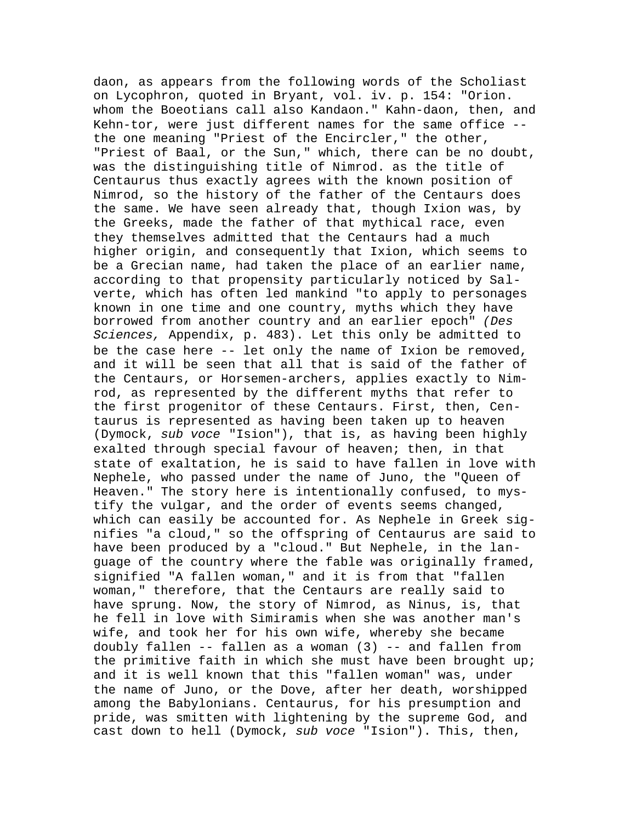daon, as appears from the following words of the Scholiast on Lycophron, quoted in Bryant, vol. iv. p. 154: "Orion. whom the Boeotians call also Kandaon." Kahn-daon, then, and Kehn-tor, were just different names for the same office - the one meaning "Priest of the Encircler," the other, "Priest of Baal, or the Sun," which, there can be no doubt, was the distinguishing title of Nimrod. as the title of Centaurus thus exactly agrees with the known position of Nimrod, so the history of the father of the Centaurs does the same. We have seen already that, though Ixion was, by the Greeks, made the father of that mythical race, even they themselves admitted that the Centaurs had a much higher origin, and consequently that Ixion, which seems to be a Grecian name, had taken the place of an earlier name, according to that propensity particularly noticed by Salverte, which has often led mankind "to apply to personages known in one time and one country, myths which they have borrowed from another country and an earlier epoch" *(Des Sciences,* Appendix, p. 483). Let this only be admitted to be the case here -- let only the name of Ixion be removed, and it will be seen that all that is said of the father of the Centaurs, or Horsemen-archers, applies exactly to Nimrod, as represented by the different myths that refer to the first progenitor of these Centaurs. First, then, Centaurus is represented as having been taken up to heaven (Dymock, *sub voce* "Ision"), that is, as having been highly exalted through special favour of heaven; then, in that state of exaltation, he is said to have fallen in love with Nephele, who passed under the name of Juno, the "Queen of Heaven." The story here is intentionally confused, to mystify the vulgar, and the order of events seems changed, which can easily be accounted for. As Nephele in Greek signifies "a cloud," so the offspring of Centaurus are said to have been produced by a "cloud." But Nephele, in the language of the country where the fable was originally framed, signified "A fallen woman," and it is from that "fallen woman," therefore, that the Centaurs are really said to have sprung. Now, the story of Nimrod, as Ninus, is, that he fell in love with Simiramis when she was another man's wife, and took her for his own wife, whereby she became doubly fallen -- fallen as a woman (3) -- and fallen from the primitive faith in which she must have been brought up; and it is well known that this "fallen woman" was, under the name of Juno, or the Dove, after her death, worshipped among the Babylonians. Centaurus, for his presumption and pride, was smitten with lightening by the supreme God, and cast down to hell (Dymock, *sub voce* "Ision"). This, then,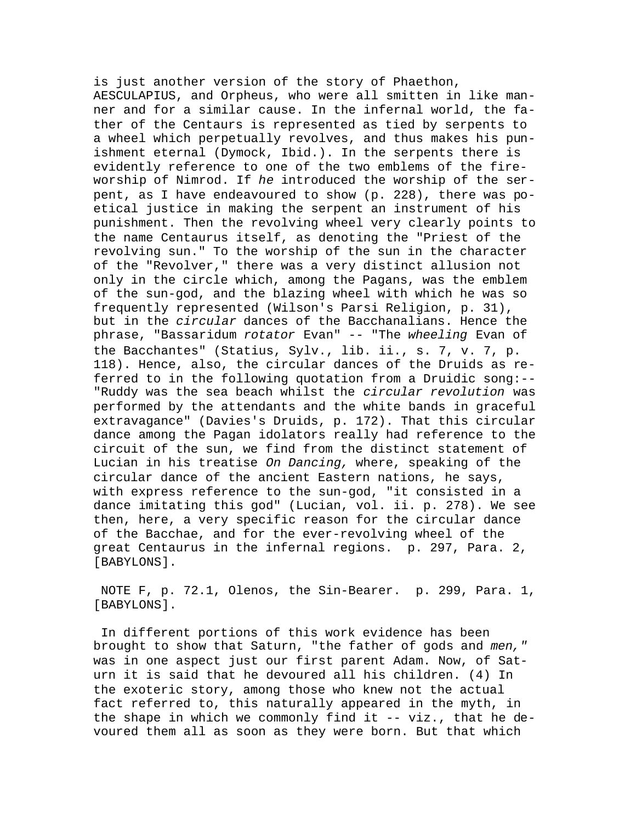is just another version of the story of Phaethon, AESCULAPIUS, and Orpheus, who were all smitten in like manner and for a similar cause. In the infernal world, the father of the Centaurs is represented as tied by serpents to a wheel which perpetually revolves, and thus makes his punishment eternal (Dymock, Ibid.). In the serpents there is evidently reference to one of the two emblems of the fireworship of Nimrod. If *he* introduced the worship of the serpent, as I have endeavoured to show (p. 228), there was poetical justice in making the serpent an instrument of his punishment. Then the revolving wheel very clearly points to the name Centaurus itself, as denoting the "Priest of the revolving sun." To the worship of the sun in the character of the "Revolver," there was a very distinct allusion not only in the circle which, among the Pagans, was the emblem of the sun-god, and the blazing wheel with which he was so frequently represented (Wilson's Parsi Religion, p. 31), but in the *circular* dances of the Bacchanalians. Hence the phrase, "Bassaridum *rotator* Evan" -- "The *wheeling* Evan of the Bacchantes" (Statius, Sylv., lib. ii., s. 7, v. 7, p. 118). Hence, also, the circular dances of the Druids as referred to in the following quotation from a Druidic song:-- "Ruddy was the sea beach whilst the *circular revolution* was performed by the attendants and the white bands in graceful extravagance" (Davies's Druids, p. 172). That this circular dance among the Pagan idolators really had reference to the circuit of the sun, we find from the distinct statement of Lucian in his treatise *On Dancing,* where, speaking of the circular dance of the ancient Eastern nations, he says, with express reference to the sun-god, "it consisted in a dance imitating this god" (Lucian, vol. ii. p. 278). We see then, here, a very specific reason for the circular dance of the Bacchae, and for the ever-revolving wheel of the great Centaurus in the infernal regions. p. 297, Para. 2, [BABYLONS].

 NOTE F, p. 72.1, Olenos, the Sin-Bearer. p. 299, Para. 1, [BABYLONS].

 In different portions of this work evidence has been brought to show that Saturn, "the father of gods and *men,"* was in one aspect just our first parent Adam. Now, of Saturn it is said that he devoured all his children. (4) In the exoteric story, among those who knew not the actual fact referred to, this naturally appeared in the myth, in the shape in which we commonly find it -- viz., that he devoured them all as soon as they were born. But that which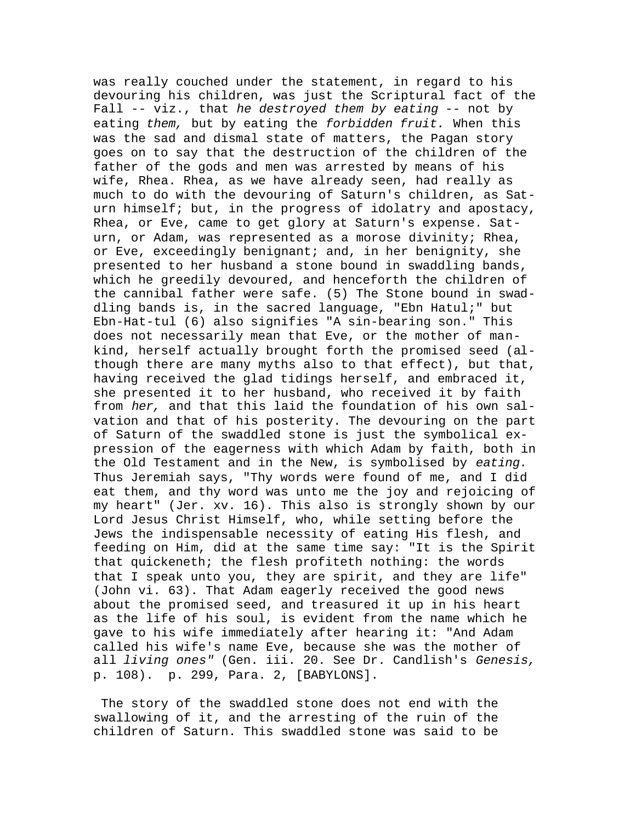was really couched under the statement, in regard to his devouring his children, was just the Scriptural fact of the Fall -- viz., that *he destroyed them by eating* -- not by eating *them,* but by eating the *forbidden fruit.* When this was the sad and dismal state of matters, the Pagan story goes on to say that the destruction of the children of the father of the gods and men was arrested by means of his wife, Rhea. Rhea, as we have already seen, had really as much to do with the devouring of Saturn's children, as Saturn himself; but, in the progress of idolatry and apostacy, Rhea, or Eve, came to get glory at Saturn's expense. Saturn, or Adam, was represented as a morose divinity; Rhea, or Eve, exceedingly benignant; and, in her benignity, she presented to her husband a stone bound in swaddling bands, which he greedily devoured, and henceforth the children of the cannibal father were safe. (5) The Stone bound in swaddling bands is, in the sacred language, "Ebn Hatul;" but Ebn-Hat-tul (6) also signifies "A sin-bearing son." This does not necessarily mean that Eve, or the mother of mankind, herself actually brought forth the promised seed (although there are many myths also to that effect), but that, having received the glad tidings herself, and embraced it, she presented it to her husband, who received it by faith from *her,* and that this laid the foundation of his own salvation and that of his posterity. The devouring on the part of Saturn of the swaddled stone is just the symbolical expression of the eagerness with which Adam by faith, both in the Old Testament and in the New, is symbolised by *eating.* Thus Jeremiah says, "Thy words were found of me, and I did eat them, and thy word was unto me the joy and rejoicing of my heart" (Jer. xv. 16). This also is strongly shown by our Lord Jesus Christ Himself, who, while setting before the Jews the indispensable necessity of eating His flesh, and feeding on Him, did at the same time say: "It is the Spirit that quickeneth; the flesh profiteth nothing: the words that I speak unto you, they are spirit, and they are life" (John vi. 63). That Adam eagerly received the good news about the promised seed, and treasured it up in his heart as the life of his soul, is evident from the name which he gave to his wife immediately after hearing it: "And Adam called his wife's name Eve, because she was the mother of all *living ones"* (Gen. iii. 20. See Dr. Candlish's *Genesis,* p. 108). p. 299, Para. 2, [BABYLONS].

 The story of the swaddled stone does not end with the swallowing of it, and the arresting of the ruin of the children of Saturn. This swaddled stone was said to be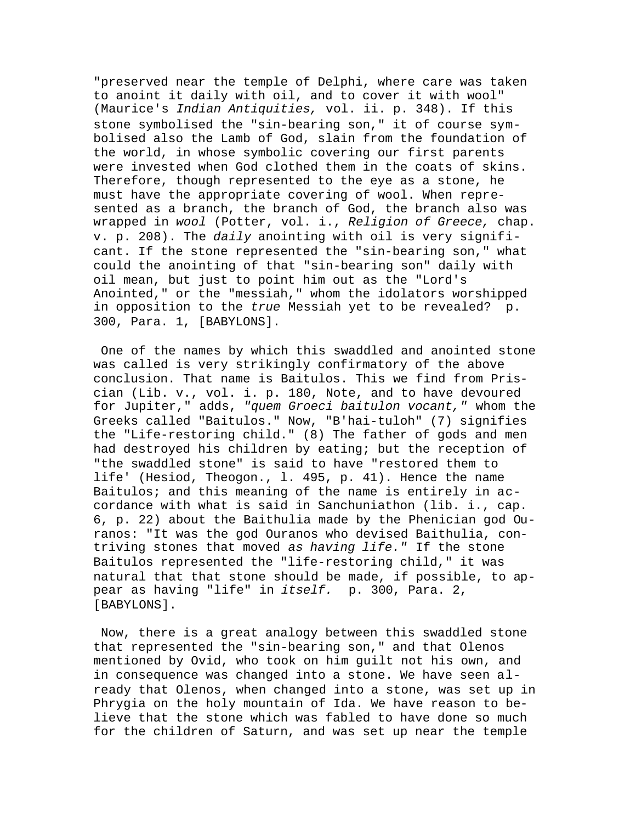"preserved near the temple of Delphi, where care was taken to anoint it daily with oil, and to cover it with wool" (Maurice's *Indian Antiquities,* vol. ii. p. 348). If this stone symbolised the "sin-bearing son," it of course symbolised also the Lamb of God, slain from the foundation of the world, in whose symbolic covering our first parents were invested when God clothed them in the coats of skins. Therefore, though represented to the eye as a stone, he must have the appropriate covering of wool. When represented as a branch, the branch of God, the branch also was wrapped in *wool* (Potter, vol. i., *Religion of Greece,* chap. v. p. 208). The *daily* anointing with oil is very significant. If the stone represented the "sin-bearing son," what could the anointing of that "sin-bearing son" daily with oil mean, but just to point him out as the "Lord's Anointed," or the "messiah," whom the idolators worshipped in opposition to the *true* Messiah yet to be revealed? p. 300, Para. 1, [BABYLONS].

 One of the names by which this swaddled and anointed stone was called is very strikingly confirmatory of the above conclusion. That name is Baitulos. This we find from Priscian (Lib. v., vol. i. p. 180, Note, and to have devoured for Jupiter," adds, *"quem Groeci baitulon vocant,"* whom the Greeks called "Baitulos." Now, "B'hai-tuloh" (7) signifies the "Life-restoring child." (8) The father of gods and men had destroyed his children by eating; but the reception of "the swaddled stone" is said to have "restored them to life' (Hesiod, Theogon., l. 495, p. 41). Hence the name Baitulos; and this meaning of the name is entirely in accordance with what is said in Sanchuniathon (lib. i., cap. 6, p. 22) about the Baithulia made by the Phenician god Ouranos: "It was the god Ouranos who devised Baithulia, contriving stones that moved *as having life."* If the stone Baitulos represented the "life-restoring child," it was natural that that stone should be made, if possible, to appear as having "life" in *itself.* p. 300, Para. 2, [BABYLONS].

 Now, there is a great analogy between this swaddled stone that represented the "sin-bearing son," and that Olenos mentioned by Ovid, who took on him guilt not his own, and in consequence was changed into a stone. We have seen already that Olenos, when changed into a stone, was set up in Phrygia on the holy mountain of Ida. We have reason to believe that the stone which was fabled to have done so much for the children of Saturn, and was set up near the temple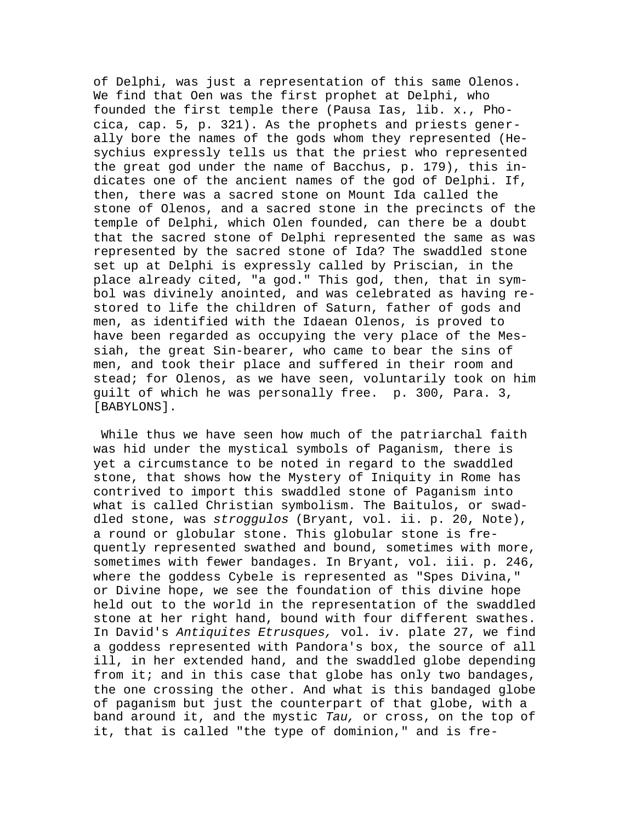of Delphi, was just a representation of this same Olenos. We find that Oen was the first prophet at Delphi, who founded the first temple there (Pausa Ias, lib. x., Phocica, cap. 5, p. 321). As the prophets and priests generally bore the names of the gods whom they represented (Hesychius expressly tells us that the priest who represented the great god under the name of Bacchus, p. 179), this indicates one of the ancient names of the god of Delphi. If, then, there was a sacred stone on Mount Ida called the stone of Olenos, and a sacred stone in the precincts of the temple of Delphi, which Olen founded, can there be a doubt that the sacred stone of Delphi represented the same as was represented by the sacred stone of Ida? The swaddled stone set up at Delphi is expressly called by Priscian, in the place already cited, "a god." This god, then, that in symbol was divinely anointed, and was celebrated as having restored to life the children of Saturn, father of gods and men, as identified with the Idaean Olenos, is proved to have been regarded as occupying the very place of the Messiah, the great Sin-bearer, who came to bear the sins of men, and took their place and suffered in their room and stead; for Olenos, as we have seen, voluntarily took on him guilt of which he was personally free. p. 300, Para. 3, [BABYLONS].

 While thus we have seen how much of the patriarchal faith was hid under the mystical symbols of Paganism, there is yet a circumstance to be noted in regard to the swaddled stone, that shows how the Mystery of Iniquity in Rome has contrived to import this swaddled stone of Paganism into what is called Christian symbolism. The Baitulos, or swaddled stone, was *stroggulos* (Bryant, vol. ii. p. 20, Note), a round or globular stone. This globular stone is frequently represented swathed and bound, sometimes with more, sometimes with fewer bandages. In Bryant, vol. iii. p. 246, where the goddess Cybele is represented as "Spes Divina," or Divine hope, we see the foundation of this divine hope held out to the world in the representation of the swaddled stone at her right hand, bound with four different swathes. In David's *Antiquites Etrusques,* vol. iv. plate 27, we find a goddess represented with Pandora's box, the source of all ill, in her extended hand, and the swaddled globe depending from it; and in this case that globe has only two bandages, the one crossing the other. And what is this bandaged globe of paganism but just the counterpart of that globe, with a band around it, and the mystic *Tau,* or cross, on the top of it, that is called "the type of dominion," and is fre-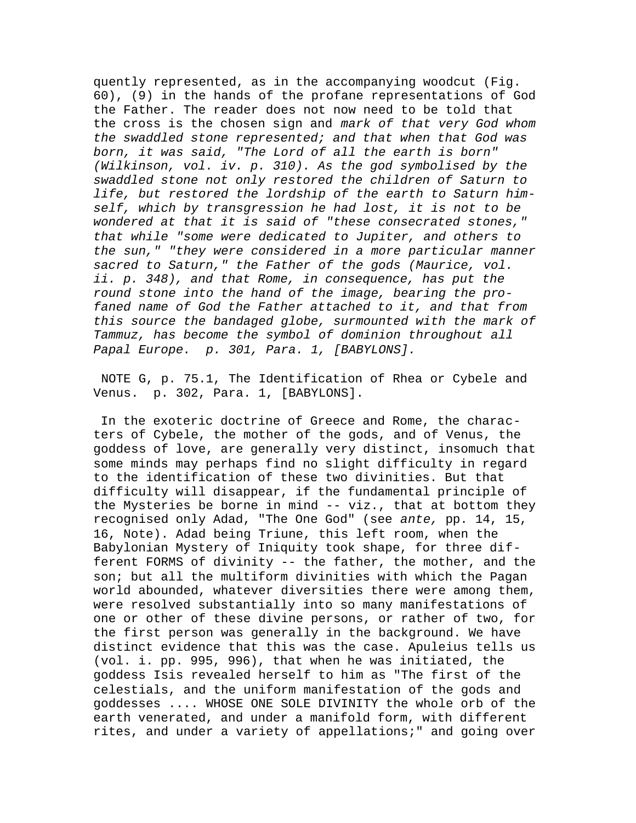quently represented, as in the accompanying woodcut (Fig. 60), (9) in the hands of the profane representations of God the Father. The reader does not now need to be told that the cross is the chosen sign and *mark of that very God whom the swaddled stone represented; and that when that God was born, it was said, "The Lord of all the earth is born" (Wilkinson, vol. iv. p. 310). As the god symbolised by the swaddled stone not only restored the children of Saturn to life, but restored the lordship of the earth to Saturn himself, which by transgression he had lost, it is not to be wondered at that it is said of "these consecrated stones," that while "some were dedicated to Jupiter, and others to the sun," "they were considered in a more particular manner sacred to Saturn," the Father of the gods (Maurice, vol. ii. p. 348), and that Rome, in consequence, has put the round stone into the hand of the image, bearing the profaned name of God the Father attached to it, and that from this source the bandaged globe, surmounted with the mark of Tammuz, has become the symbol of dominion throughout all Papal Europe. p. 301, Para. 1, [BABYLONS].*

 NOTE G, p. 75.1, The Identification of Rhea or Cybele and Venus. p. 302, Para. 1, [BABYLONS].

 In the exoteric doctrine of Greece and Rome, the characters of Cybele, the mother of the gods, and of Venus, the goddess of love, are generally very distinct, insomuch that some minds may perhaps find no slight difficulty in regard to the identification of these two divinities. But that difficulty will disappear, if the fundamental principle of the Mysteries be borne in mind -- viz., that at bottom they recognised only Adad, "The One God" (see *ante,* pp. 14, 15, 16, Note). Adad being Triune, this left room, when the Babylonian Mystery of Iniquity took shape, for three different FORMS of divinity -- the father, the mother, and the son; but all the multiform divinities with which the Pagan world abounded, whatever diversities there were among them, were resolved substantially into so many manifestations of one or other of these divine persons, or rather of two, for the first person was generally in the background. We have distinct evidence that this was the case. Apuleius tells us (vol. i. pp. 995, 996), that when he was initiated, the goddess Isis revealed herself to him as "The first of the celestials, and the uniform manifestation of the gods and goddesses .... WHOSE ONE SOLE DIVINITY the whole orb of the earth venerated, and under a manifold form, with different rites, and under a variety of appellations;" and going over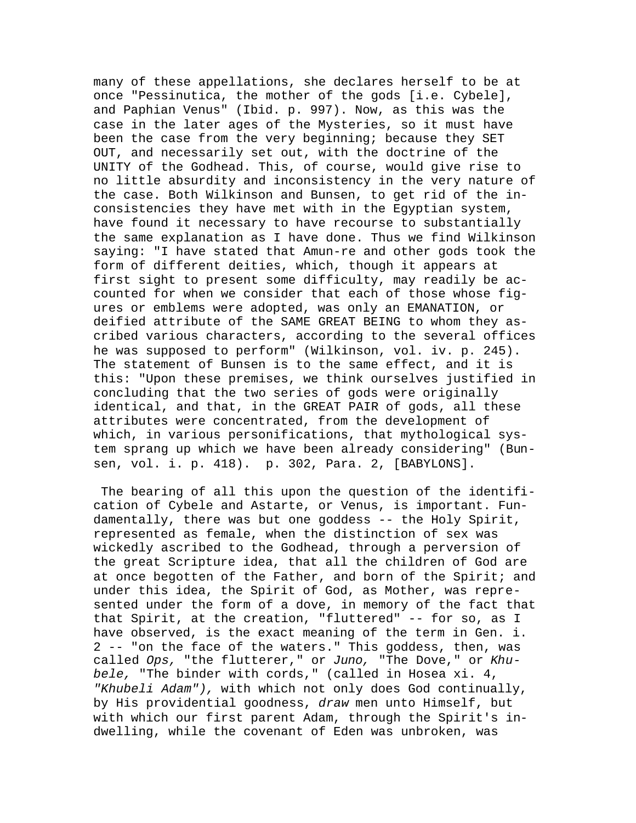many of these appellations, she declares herself to be at once "Pessinutica, the mother of the gods [i.e. Cybele], and Paphian Venus" (Ibid. p. 997). Now, as this was the case in the later ages of the Mysteries, so it must have been the case from the very beginning; because they SET OUT, and necessarily set out, with the doctrine of the UNITY of the Godhead. This, of course, would give rise to no little absurdity and inconsistency in the very nature of the case. Both Wilkinson and Bunsen, to get rid of the inconsistencies they have met with in the Egyptian system, have found it necessary to have recourse to substantially the same explanation as I have done. Thus we find Wilkinson saying: "I have stated that Amun-re and other gods took the form of different deities, which, though it appears at first sight to present some difficulty, may readily be accounted for when we consider that each of those whose figures or emblems were adopted, was only an EMANATION, or deified attribute of the SAME GREAT BEING to whom they ascribed various characters, according to the several offices he was supposed to perform" (Wilkinson, vol. iv. p. 245). The statement of Bunsen is to the same effect, and it is this: "Upon these premises, we think ourselves justified in concluding that the two series of gods were originally identical, and that, in the GREAT PAIR of gods, all these attributes were concentrated, from the development of which, in various personifications, that mythological system sprang up which we have been already considering" (Bunsen, vol. i. p. 418). p. 302, Para. 2, [BABYLONS].

 The bearing of all this upon the question of the identification of Cybele and Astarte, or Venus, is important. Fundamentally, there was but one goddess -- the Holy Spirit, represented as female, when the distinction of sex was wickedly ascribed to the Godhead, through a perversion of the great Scripture idea, that all the children of God are at once begotten of the Father, and born of the Spirit; and under this idea, the Spirit of God, as Mother, was represented under the form of a dove, in memory of the fact that that Spirit, at the creation, "fluttered" -- for so, as I have observed, is the exact meaning of the term in Gen. i. 2 -- "on the face of the waters." This goddess, then, was called *Ops,* "the flutterer," or *Juno,* "The Dove," or *Khubele,* "The binder with cords," (called in Hosea xi. 4, *"Khubeli Adam"),* with which not only does God continually, by His providential goodness, *draw* men unto Himself, but with which our first parent Adam, through the Spirit's indwelling, while the covenant of Eden was unbroken, was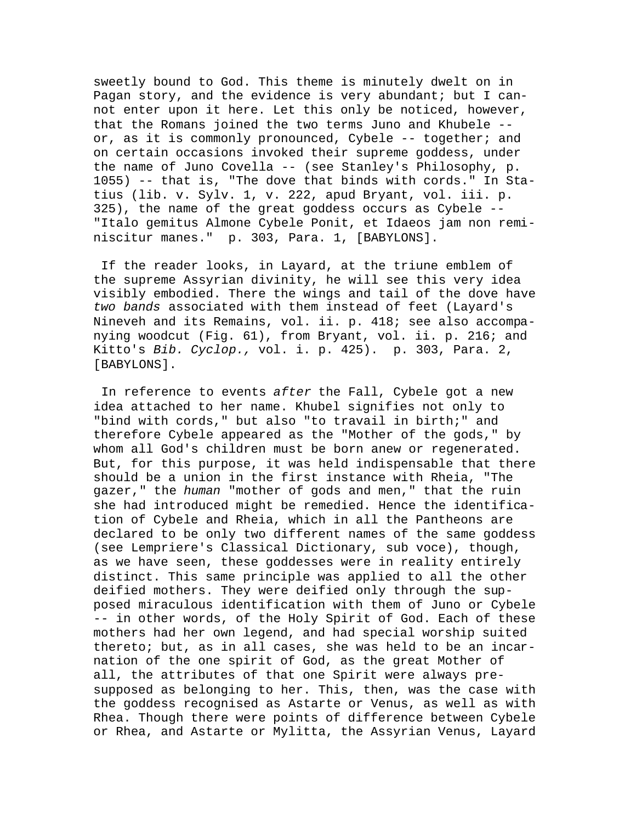sweetly bound to God. This theme is minutely dwelt on in Pagan story, and the evidence is very abundant; but I cannot enter upon it here. Let this only be noticed, however, that the Romans joined the two terms Juno and Khubele - or, as it is commonly pronounced, Cybele -- together; and on certain occasions invoked their supreme goddess, under the name of Juno Covella -- (see Stanley's Philosophy, p. 1055) -- that is, "The dove that binds with cords." In Statius (lib. v. Sylv. 1, v. 222, apud Bryant, vol. iii. p. 325), the name of the great goddess occurs as Cybele -- "Italo gemitus Almone Cybele Ponit, et Idaeos jam non reminiscitur manes." p. 303, Para. 1, [BABYLONS].

 If the reader looks, in Layard, at the triune emblem of the supreme Assyrian divinity, he will see this very idea visibly embodied. There the wings and tail of the dove have *two bands* associated with them instead of feet (Layard's Nineveh and its Remains, vol. ii. p. 418; see also accompanying woodcut (Fig. 61), from Bryant, vol. ii. p. 216; and Kitto's *Bib. Cyclop.,* vol. i. p. 425). p. 303, Para. 2, [BABYLONS].

 In reference to events *after* the Fall, Cybele got a new idea attached to her name. Khubel signifies not only to "bind with cords," but also "to travail in birth;" and therefore Cybele appeared as the "Mother of the gods," by whom all God's children must be born anew or regenerated. But, for this purpose, it was held indispensable that there should be a union in the first instance with Rheia, "The gazer," the *human* "mother of gods and men," that the ruin she had introduced might be remedied. Hence the identification of Cybele and Rheia, which in all the Pantheons are declared to be only two different names of the same goddess (see Lempriere's Classical Dictionary, sub voce), though, as we have seen, these goddesses were in reality entirely distinct. This same principle was applied to all the other deified mothers. They were deified only through the supposed miraculous identification with them of Juno or Cybele -- in other words, of the Holy Spirit of God. Each of these mothers had her own legend, and had special worship suited thereto; but, as in all cases, she was held to be an incarnation of the one spirit of God, as the great Mother of all, the attributes of that one Spirit were always presupposed as belonging to her. This, then, was the case with the goddess recognised as Astarte or Venus, as well as with Rhea. Though there were points of difference between Cybele or Rhea, and Astarte or Mylitta, the Assyrian Venus, Layard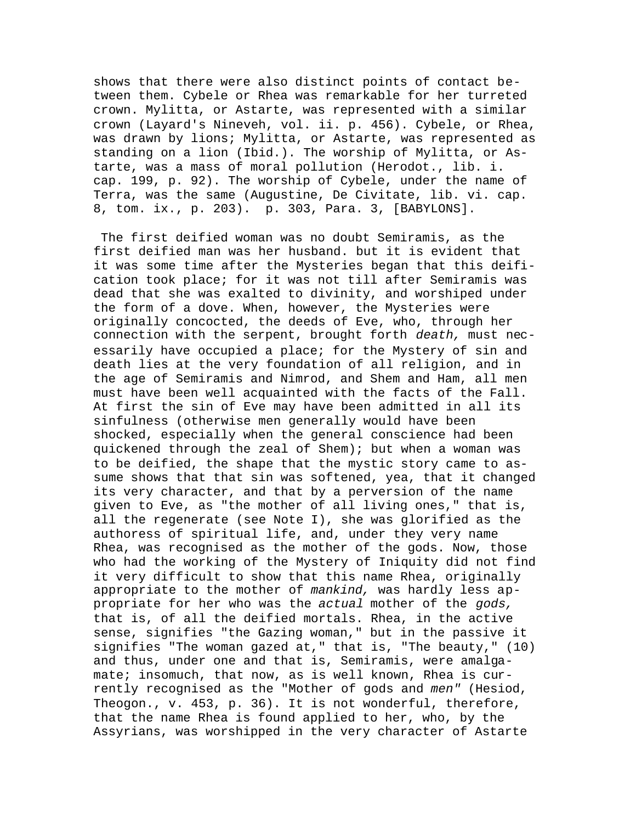shows that there were also distinct points of contact between them. Cybele or Rhea was remarkable for her turreted crown. Mylitta, or Astarte, was represented with a similar crown (Layard's Nineveh, vol. ii. p. 456). Cybele, or Rhea, was drawn by lions; Mylitta, or Astarte, was represented as standing on a lion (Ibid.). The worship of Mylitta, or Astarte, was a mass of moral pollution (Herodot., lib. i. cap. 199, p. 92). The worship of Cybele, under the name of Terra, was the same (Augustine, De Civitate, lib. vi. cap. 8, tom. ix., p. 203). p. 303, Para. 3, [BABYLONS].

 The first deified woman was no doubt Semiramis, as the first deified man was her husband. but it is evident that it was some time after the Mysteries began that this deification took place; for it was not till after Semiramis was dead that she was exalted to divinity, and worshiped under the form of a dove. When, however, the Mysteries were originally concocted, the deeds of Eve, who, through her connection with the serpent, brought forth *death,* must necessarily have occupied a place; for the Mystery of sin and death lies at the very foundation of all religion, and in the age of Semiramis and Nimrod, and Shem and Ham, all men must have been well acquainted with the facts of the Fall. At first the sin of Eve may have been admitted in all its sinfulness (otherwise men generally would have been shocked, especially when the general conscience had been quickened through the zeal of Shem); but when a woman was to be deified, the shape that the mystic story came to assume shows that that sin was softened, yea, that it changed its very character, and that by a perversion of the name given to Eve, as "the mother of all living ones," that is, all the regenerate (see Note I), she was glorified as the authoress of spiritual life, and, under they very name Rhea, was recognised as the mother of the gods. Now, those who had the working of the Mystery of Iniquity did not find it very difficult to show that this name Rhea, originally appropriate to the mother of *mankind,* was hardly less appropriate for her who was the *actual* mother of the *gods,* that is, of all the deified mortals. Rhea, in the active sense, signifies "the Gazing woman," but in the passive it signifies "The woman gazed at," that is, "The beauty," (10) and thus, under one and that is, Semiramis, were amalgamate; insomuch, that now, as is well known, Rhea is currently recognised as the "Mother of gods and *men"* (Hesiod, Theogon., v. 453, p. 36). It is not wonderful, therefore, that the name Rhea is found applied to her, who, by the Assyrians, was worshipped in the very character of Astarte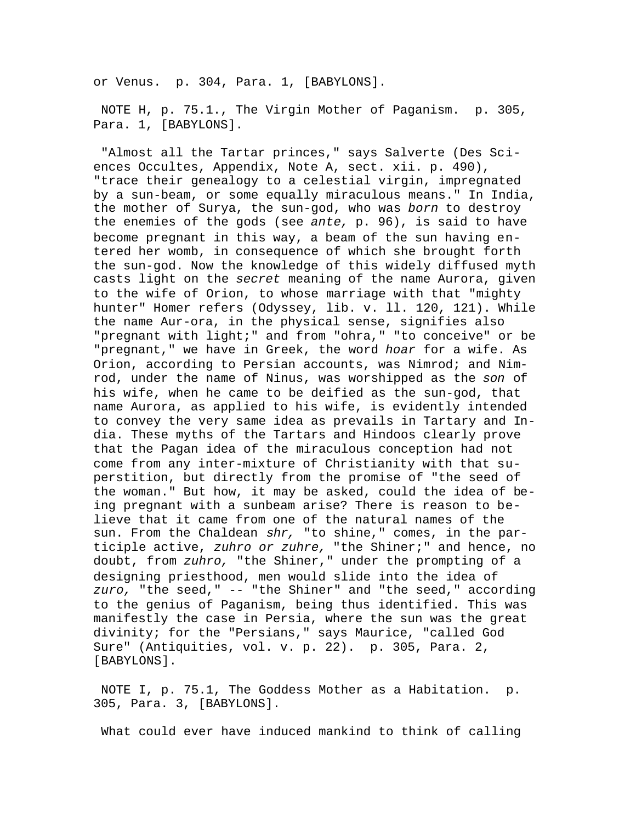or Venus. p. 304, Para. 1, [BABYLONS].

 NOTE H, p. 75.1., The Virgin Mother of Paganism. p. 305, Para. 1, [BABYLONS].

"Almost all the Tartar princes," says Salverte (Des Sciences Occultes, Appendix, Note A, sect. xii. p. 490), "trace their genealogy to a celestial virgin, impregnated by a sun-beam, or some equally miraculous means." In India, the mother of Surya, the sun-god, who was *born* to destroy the enemies of the gods (see *ante,* p. 96), is said to have become pregnant in this way, a beam of the sun having entered her womb, in consequence of which she brought forth the sun-god. Now the knowledge of this widely diffused myth casts light on the *secret* meaning of the name Aurora, given to the wife of Orion, to whose marriage with that "mighty hunter" Homer refers (Odyssey, lib. v. ll. 120, 121). While the name Aur-ora, in the physical sense, signifies also "pregnant with light;" and from "ohra," "to conceive" or be "pregnant," we have in Greek, the word *hoar* for a wife. As Orion, according to Persian accounts, was Nimrod; and Nimrod, under the name of Ninus, was worshipped as the *son* of his wife, when he came to be deified as the sun-god, that name Aurora, as applied to his wife, is evidently intended to convey the very same idea as prevails in Tartary and India. These myths of the Tartars and Hindoos clearly prove that the Pagan idea of the miraculous conception had not come from any inter-mixture of Christianity with that superstition, but directly from the promise of "the seed of the woman." But how, it may be asked, could the idea of being pregnant with a sunbeam arise? There is reason to believe that it came from one of the natural names of the sun. From the Chaldean *shr,* "to shine," comes, in the participle active, *zuhro or zuhre,* "the Shiner;" and hence, no doubt, from *zuhro,* "the Shiner," under the prompting of a designing priesthood, men would slide into the idea of *zuro,* "the seed," -- "the Shiner" and "the seed," according to the genius of Paganism, being thus identified. This was manifestly the case in Persia, where the sun was the great divinity; for the "Persians," says Maurice, "called God Sure" (Antiquities, vol. v. p. 22). p. 305, Para. 2, [BABYLONS].

 NOTE I, p. 75.1, The Goddess Mother as a Habitation. p. 305, Para. 3, [BABYLONS].

What could ever have induced mankind to think of calling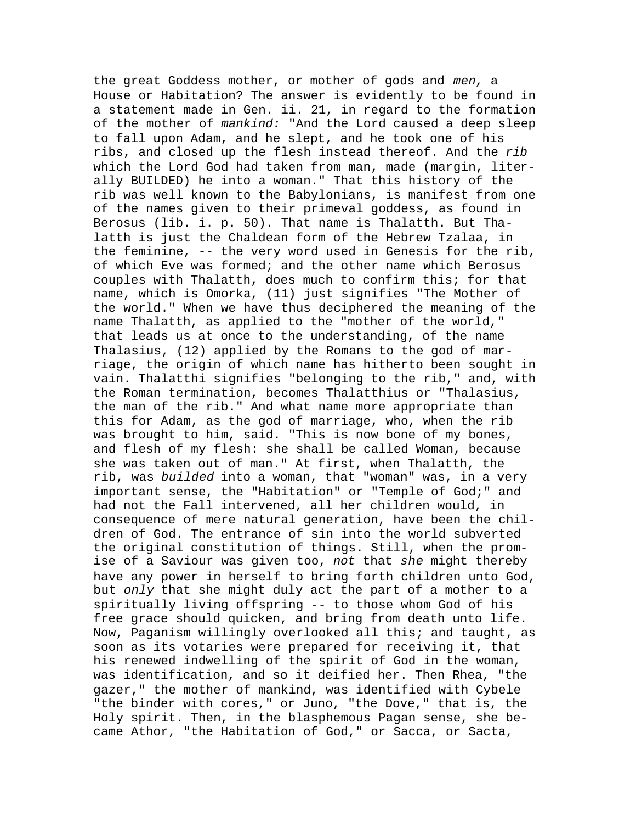the great Goddess mother, or mother of gods and *men,* a House or Habitation? The answer is evidently to be found in a statement made in Gen. ii. 21, in regard to the formation of the mother of *mankind:* "And the Lord caused a deep sleep to fall upon Adam, and he slept, and he took one of his ribs, and closed up the flesh instead thereof. And the *rib* which the Lord God had taken from man, made (margin, literally BUILDED) he into a woman." That this history of the rib was well known to the Babylonians, is manifest from one of the names given to their primeval goddess, as found in Berosus (lib. i. p. 50). That name is Thalatth. But Thalatth is just the Chaldean form of the Hebrew Tzalaa, in the feminine, -- the very word used in Genesis for the rib, of which Eve was formed; and the other name which Berosus couples with Thalatth, does much to confirm this; for that name, which is Omorka, (11) just signifies "The Mother of the world." When we have thus deciphered the meaning of the name Thalatth, as applied to the "mother of the world," that leads us at once to the understanding, of the name Thalasius, (12) applied by the Romans to the god of marriage, the origin of which name has hitherto been sought in vain. Thalatthi signifies "belonging to the rib," and, with the Roman termination, becomes Thalatthius or "Thalasius, the man of the rib." And what name more appropriate than this for Adam, as the god of marriage, who, when the rib was brought to him, said. "This is now bone of my bones, and flesh of my flesh: she shall be called Woman, because she was taken out of man." At first, when Thalatth, the rib, was *builded* into a woman, that "woman" was, in a very important sense, the "Habitation" or "Temple of God;" and had not the Fall intervened, all her children would, in consequence of mere natural generation, have been the children of God. The entrance of sin into the world subverted the original constitution of things. Still, when the promise of a Saviour was given too, *not* that *she* might thereby have any power in herself to bring forth children unto God, but *only* that she might duly act the part of a mother to a spiritually living offspring -- to those whom God of his free grace should quicken, and bring from death unto life. Now, Paganism willingly overlooked all this; and taught, as soon as its votaries were prepared for receiving it, that his renewed indwelling of the spirit of God in the woman, was identification, and so it deified her. Then Rhea, "the gazer," the mother of mankind, was identified with Cybele "the binder with cores," or Juno, "the Dove," that is, the Holy spirit. Then, in the blasphemous Pagan sense, she became Athor, "the Habitation of God," or Sacca, or Sacta,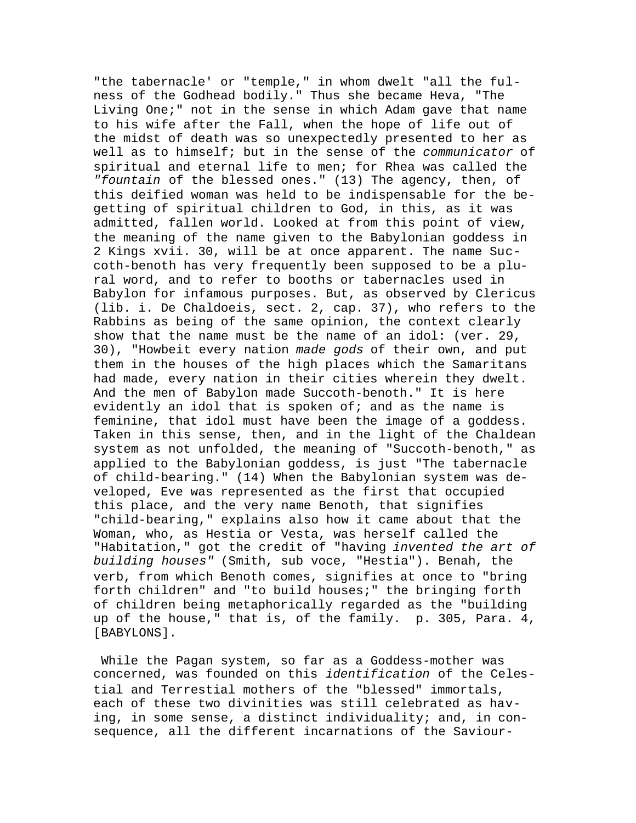"the tabernacle' or "temple," in whom dwelt "all the fulness of the Godhead bodily." Thus she became Heva, "The Living One;" not in the sense in which Adam gave that name to his wife after the Fall, when the hope of life out of the midst of death was so unexpectedly presented to her as well as to himself; but in the sense of the *communicator* of spiritual and eternal life to men; for Rhea was called the *"fountain* of the blessed ones." (13) The agency, then, of this deified woman was held to be indispensable for the begetting of spiritual children to God, in this, as it was admitted, fallen world. Looked at from this point of view, the meaning of the name given to the Babylonian goddess in 2 Kings xvii. 30, will be at once apparent. The name Succoth-benoth has very frequently been supposed to be a plural word, and to refer to booths or tabernacles used in Babylon for infamous purposes. But, as observed by Clericus (lib. i. De Chaldoeis, sect. 2, cap. 37), who refers to the Rabbins as being of the same opinion, the context clearly show that the name must be the name of an idol: (ver. 29, 30), "Howbeit every nation *made gods* of their own, and put them in the houses of the high places which the Samaritans had made, every nation in their cities wherein they dwelt. And the men of Babylon made Succoth-benoth." It is here evidently an idol that is spoken of; and as the name is feminine, that idol must have been the image of a goddess. Taken in this sense, then, and in the light of the Chaldean system as not unfolded, the meaning of "Succoth-benoth," as applied to the Babylonian goddess, is just "The tabernacle of child-bearing." (14) When the Babylonian system was developed, Eve was represented as the first that occupied this place, and the very name Benoth, that signifies "child-bearing," explains also how it came about that the Woman, who, as Hestia or Vesta, was herself called the "Habitation," got the credit of "having *invented the art of building houses"* (Smith, sub voce, "Hestia"). Benah, the verb, from which Benoth comes, signifies at once to "bring forth children" and "to build houses;" the bringing forth of children being metaphorically regarded as the "building up of the house," that is, of the family. p. 305, Para. 4, [BABYLONS].

 While the Pagan system, so far as a Goddess-mother was concerned, was founded on this *identification* of the Celestial and Terrestial mothers of the "blessed" immortals, each of these two divinities was still celebrated as having, in some sense, a distinct individuality; and, in consequence, all the different incarnations of the Saviour-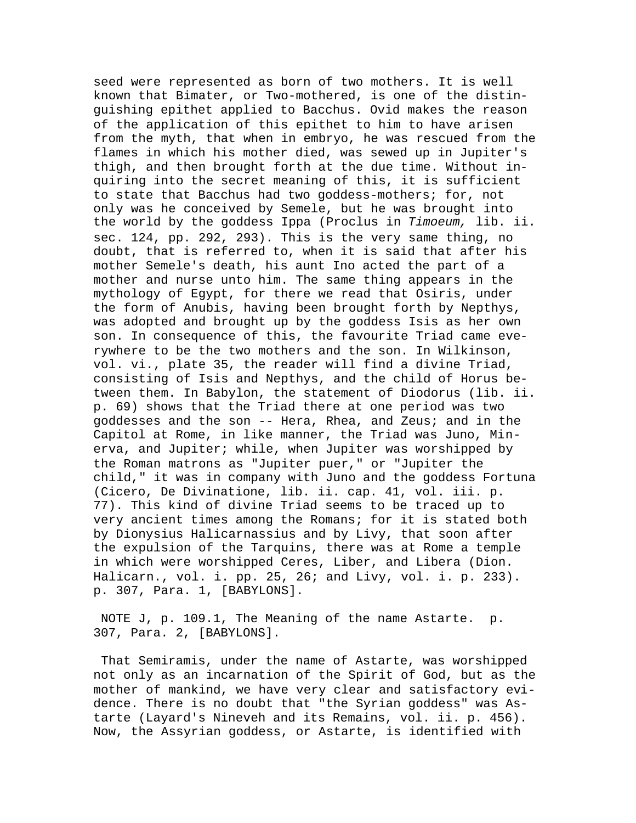seed were represented as born of two mothers. It is well known that Bimater, or Two-mothered, is one of the distinguishing epithet applied to Bacchus. Ovid makes the reason of the application of this epithet to him to have arisen from the myth, that when in embryo, he was rescued from the flames in which his mother died, was sewed up in Jupiter's thigh, and then brought forth at the due time. Without inquiring into the secret meaning of this, it is sufficient to state that Bacchus had two goddess-mothers; for, not only was he conceived by Semele, but he was brought into the world by the goddess Ippa (Proclus in *Timoeum,* lib. ii. sec. 124, pp. 292, 293). This is the very same thing, no doubt, that is referred to, when it is said that after his mother Semele's death, his aunt Ino acted the part of a mother and nurse unto him. The same thing appears in the mythology of Egypt, for there we read that Osiris, under the form of Anubis, having been brought forth by Nepthys, was adopted and brought up by the goddess Isis as her own son. In consequence of this, the favourite Triad came everywhere to be the two mothers and the son. In Wilkinson, vol. vi., plate 35, the reader will find a divine Triad, consisting of Isis and Nepthys, and the child of Horus between them. In Babylon, the statement of Diodorus (lib. ii. p. 69) shows that the Triad there at one period was two goddesses and the son -- Hera, Rhea, and Zeus; and in the Capitol at Rome, in like manner, the Triad was Juno, Minerva, and Jupiter; while, when Jupiter was worshipped by the Roman matrons as "Jupiter puer," or "Jupiter the child," it was in company with Juno and the goddess Fortuna (Cicero, De Divinatione, lib. ii. cap. 41, vol. iii. p. 77). This kind of divine Triad seems to be traced up to very ancient times among the Romans; for it is stated both by Dionysius Halicarnassius and by Livy, that soon after the expulsion of the Tarquins, there was at Rome a temple in which were worshipped Ceres, Liber, and Libera (Dion. Halicarn., vol. i. pp. 25, 26; and Livy, vol. i. p. 233). p. 307, Para. 1, [BABYLONS].

 NOTE J, p. 109.1, The Meaning of the name Astarte. p. 307, Para. 2, [BABYLONS].

 That Semiramis, under the name of Astarte, was worshipped not only as an incarnation of the Spirit of God, but as the mother of mankind, we have very clear and satisfactory evidence. There is no doubt that "the Syrian goddess" was Astarte (Layard's Nineveh and its Remains, vol. ii. p. 456). Now, the Assyrian goddess, or Astarte, is identified with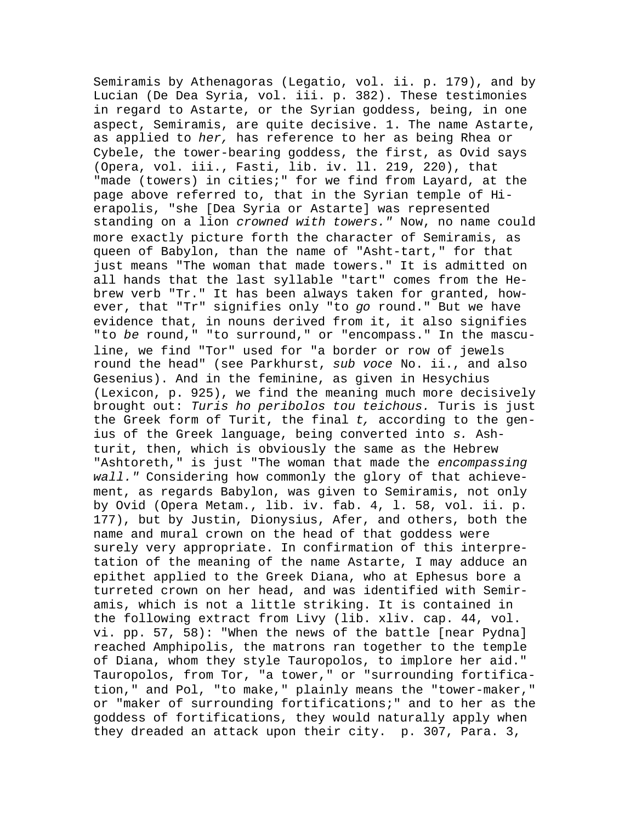Semiramis by Athenagoras (Legatio, vol. ii. p. 179), and by Lucian (De Dea Syria, vol. iii. p. 382). These testimonies in regard to Astarte, or the Syrian goddess, being, in one aspect, Semiramis, are quite decisive. 1. The name Astarte, as applied to *her,* has reference to her as being Rhea or Cybele, the tower-bearing goddess, the first, as Ovid says (Opera, vol. iii., Fasti, lib. iv. ll. 219, 220), that "made (towers) in cities;" for we find from Layard, at the page above referred to, that in the Syrian temple of Hierapolis, "she [Dea Syria or Astarte] was represented standing on a lion *crowned with towers."* Now, no name could more exactly picture forth the character of Semiramis, as queen of Babylon, than the name of "Asht-tart," for that just means "The woman that made towers." It is admitted on all hands that the last syllable "tart" comes from the Hebrew verb "Tr." It has been always taken for granted, however, that "Tr" signifies only "to *go* round." But we have evidence that, in nouns derived from it, it also signifies "to *be* round," "to surround," or "encompass." In the masculine, we find "Tor" used for "a border or row of jewels round the head" (see Parkhurst, *sub voce* No. ii., and also Gesenius). And in the feminine, as given in Hesychius (Lexicon, p. 925), we find the meaning much more decisively brought out: *Turis ho peribolos tou teichous.* Turis is just the Greek form of Turit, the final *t,* according to the genius of the Greek language, being converted into *s.* Ashturit, then, which is obviously the same as the Hebrew "Ashtoreth," is just "The woman that made the *encompassing wall."* Considering how commonly the glory of that achievement, as regards Babylon, was given to Semiramis, not only by Ovid (Opera Metam., lib. iv. fab. 4, l. 58, vol. ii. p. 177), but by Justin, Dionysius, Afer, and others, both the name and mural crown on the head of that goddess were surely very appropriate. In confirmation of this interpretation of the meaning of the name Astarte, I may adduce an epithet applied to the Greek Diana, who at Ephesus bore a turreted crown on her head, and was identified with Semiramis, which is not a little striking. It is contained in the following extract from Livy (lib. xliv. cap. 44, vol. vi. pp. 57, 58): "When the news of the battle [near Pydna] reached Amphipolis, the matrons ran together to the temple of Diana, whom they style Tauropolos, to implore her aid." Tauropolos, from Tor, "a tower," or "surrounding fortification," and Pol, "to make," plainly means the "tower-maker," or "maker of surrounding fortifications;" and to her as the goddess of fortifications, they would naturally apply when they dreaded an attack upon their city. p. 307, Para. 3,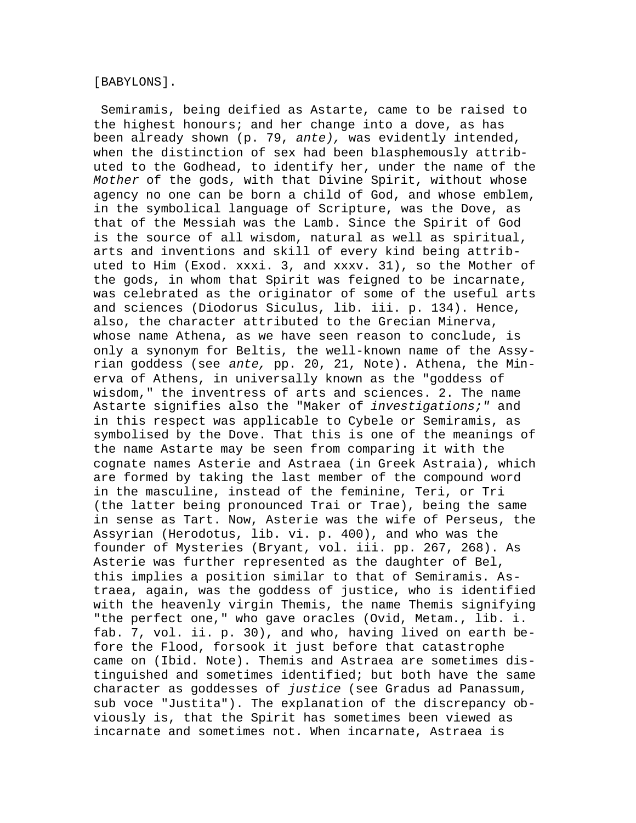## [BABYLONS].

 Semiramis, being deified as Astarte, came to be raised to the highest honours; and her change into a dove, as has been already shown (p. 79, *ante),* was evidently intended, when the distinction of sex had been blasphemously attributed to the Godhead, to identify her, under the name of the *Mother* of the gods, with that Divine Spirit, without whose agency no one can be born a child of God, and whose emblem, in the symbolical language of Scripture, was the Dove, as that of the Messiah was the Lamb. Since the Spirit of God is the source of all wisdom, natural as well as spiritual, arts and inventions and skill of every kind being attributed to Him (Exod. xxxi. 3, and xxxv. 31), so the Mother of the gods, in whom that Spirit was feigned to be incarnate, was celebrated as the originator of some of the useful arts and sciences (Diodorus Siculus, lib. iii. p. 134). Hence, also, the character attributed to the Grecian Minerva, whose name Athena, as we have seen reason to conclude, is only a synonym for Beltis, the well-known name of the Assyrian goddess (see *ante,* pp. 20, 21, Note). Athena, the Minerva of Athens, in universally known as the "goddess of wisdom," the inventress of arts and sciences. 2. The name Astarte signifies also the "Maker of *investigations;"* and in this respect was applicable to Cybele or Semiramis, as symbolised by the Dove. That this is one of the meanings of the name Astarte may be seen from comparing it with the cognate names Asterie and Astraea (in Greek Astraia), which are formed by taking the last member of the compound word in the masculine, instead of the feminine, Teri, or Tri (the latter being pronounced Trai or Trae), being the same in sense as Tart. Now, Asterie was the wife of Perseus, the Assyrian (Herodotus, lib. vi. p. 400), and who was the founder of Mysteries (Bryant, vol. iii. pp. 267, 268). As Asterie was further represented as the daughter of Bel, this implies a position similar to that of Semiramis. Astraea, again, was the goddess of justice, who is identified with the heavenly virgin Themis, the name Themis signifying "the perfect one," who gave oracles (Ovid, Metam., lib. i. fab. 7, vol. ii. p. 30), and who, having lived on earth before the Flood, forsook it just before that catastrophe came on (Ibid. Note). Themis and Astraea are sometimes distinguished and sometimes identified; but both have the same character as goddesses of *justice* (see Gradus ad Panassum, sub voce "Justita"). The explanation of the discrepancy obviously is, that the Spirit has sometimes been viewed as incarnate and sometimes not. When incarnate, Astraea is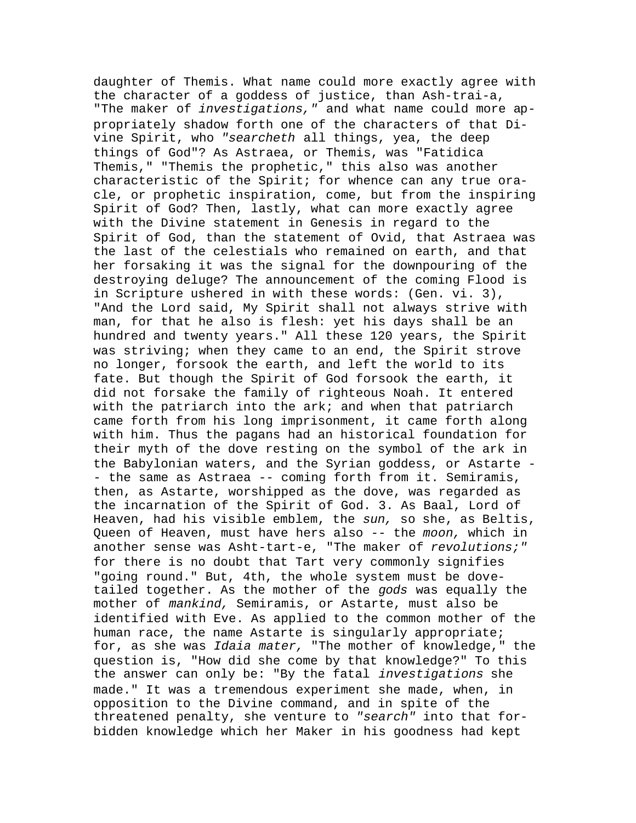daughter of Themis. What name could more exactly agree with the character of a goddess of justice, than Ash-trai-a, "The maker of *investigations,"* and what name could more appropriately shadow forth one of the characters of that Divine Spirit, who *"searcheth* all things, yea, the deep things of God"? As Astraea, or Themis, was "Fatidica Themis," "Themis the prophetic," this also was another characteristic of the Spirit; for whence can any true oracle, or prophetic inspiration, come, but from the inspiring Spirit of God? Then, lastly, what can more exactly agree with the Divine statement in Genesis in regard to the Spirit of God, than the statement of Ovid, that Astraea was the last of the celestials who remained on earth, and that her forsaking it was the signal for the downpouring of the destroying deluge? The announcement of the coming Flood is in Scripture ushered in with these words: (Gen. vi. 3), "And the Lord said, My Spirit shall not always strive with man, for that he also is flesh: yet his days shall be an hundred and twenty years." All these 120 years, the Spirit was striving; when they came to an end, the Spirit strove no longer, forsook the earth, and left the world to its fate. But though the Spirit of God forsook the earth, it did not forsake the family of righteous Noah. It entered with the patriarch into the ark; and when that patriarch came forth from his long imprisonment, it came forth along with him. Thus the pagans had an historical foundation for their myth of the dove resting on the symbol of the ark in the Babylonian waters, and the Syrian goddess, or Astarte - - the same as Astraea -- coming forth from it. Semiramis, then, as Astarte, worshipped as the dove, was regarded as the incarnation of the Spirit of God. 3. As Baal, Lord of Heaven, had his visible emblem, the *sun,* so she, as Beltis, Queen of Heaven, must have hers also -- the *moon,* which in another sense was Asht-tart-e, "The maker of *revolutions;"* for there is no doubt that Tart very commonly signifies "going round." But, 4th, the whole system must be dovetailed together. As the mother of the *gods* was equally the mother of *mankind,* Semiramis, or Astarte, must also be identified with Eve. As applied to the common mother of the human race, the name Astarte is singularly appropriate; for, as she was *Idaia mater,* "The mother of knowledge," the question is, "How did she come by that knowledge?" To this the answer can only be: "By the fatal *investigations* she made." It was a tremendous experiment she made, when, in opposition to the Divine command, and in spite of the threatened penalty, she venture to *"search"* into that forbidden knowledge which her Maker in his goodness had kept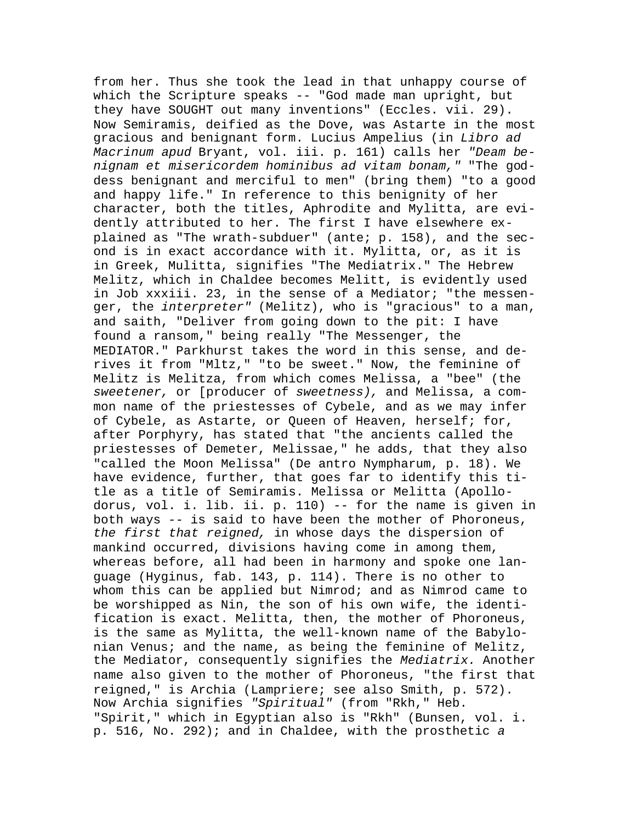from her. Thus she took the lead in that unhappy course of which the Scripture speaks -- "God made man upright, but they have SOUGHT out many inventions" (Eccles. vii. 29). Now Semiramis, deified as the Dove, was Astarte in the most gracious and benignant form. Lucius Ampelius (in *Libro ad Macrinum apud* Bryant, vol. iii. p. 161) calls her *"Deam benignam et misericordem hominibus ad vitam bonam,"* "The goddess benignant and merciful to men" (bring them) "to a good and happy life." In reference to this benignity of her character, both the titles, Aphrodite and Mylitta, are evidently attributed to her. The first I have elsewhere explained as "The wrath-subduer" (ante; p. 158), and the second is in exact accordance with it. Mylitta, or, as it is in Greek, Mulitta, signifies "The Mediatrix." The Hebrew Melitz, which in Chaldee becomes Melitt, is evidently used in Job xxxiii. 23, in the sense of a Mediator; "the messenger, the *interpreter"* (Melitz), who is "gracious" to a man, and saith, "Deliver from going down to the pit: I have found a ransom," being really "The Messenger, the MEDIATOR." Parkhurst takes the word in this sense, and derives it from "Mltz," "to be sweet." Now, the feminine of Melitz is Melitza, from which comes Melissa, a "bee" (the *sweetener,* or [producer of *sweetness),* and Melissa, a common name of the priestesses of Cybele, and as we may infer of Cybele, as Astarte, or Queen of Heaven, herself; for, after Porphyry, has stated that "the ancients called the priestesses of Demeter, Melissae," he adds, that they also "called the Moon Melissa" (De antro Nympharum, p. 18). We have evidence, further, that goes far to identify this title as a title of Semiramis. Melissa or Melitta (Apollodorus, vol. i. lib. ii. p. 110) -- for the name is given in both ways -- is said to have been the mother of Phoroneus, *the first that reigned,* in whose days the dispersion of mankind occurred, divisions having come in among them, whereas before, all had been in harmony and spoke one language (Hyginus, fab. 143, p. 114). There is no other to whom this can be applied but Nimrod; and as Nimrod came to be worshipped as Nin, the son of his own wife, the identification is exact. Melitta, then, the mother of Phoroneus, is the same as Mylitta, the well-known name of the Babylonian Venus; and the name, as being the feminine of Melitz, the Mediator, consequently signifies the *Mediatrix.* Another name also given to the mother of Phoroneus, "the first that reigned," is Archia (Lampriere; see also Smith, p. 572). Now Archia signifies *"Spiritual"* (from "Rkh," Heb. "Spirit," which in Egyptian also is "Rkh" (Bunsen, vol. i. p. 516, No. 292); and in Chaldee, with the prosthetic *a*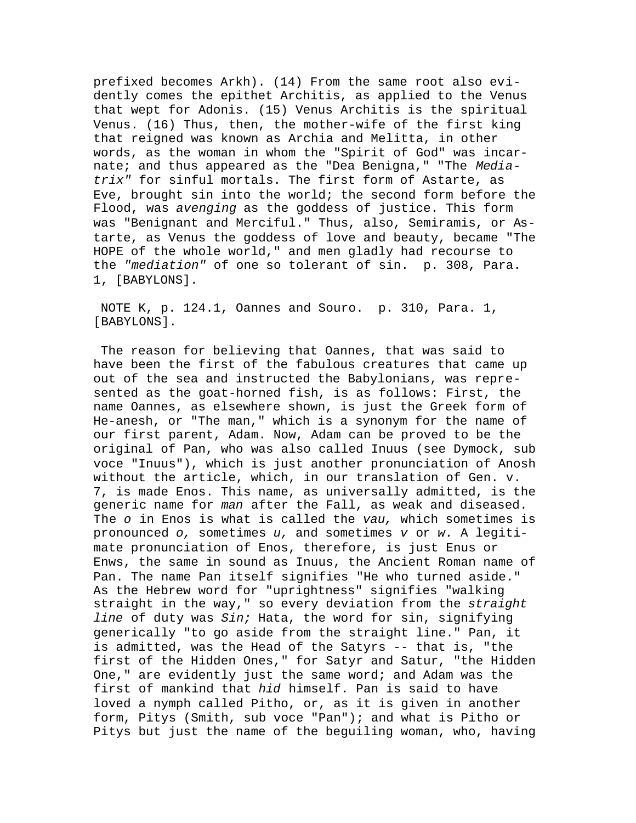prefixed becomes Arkh). (14) From the same root also evidently comes the epithet Architis, as applied to the Venus that wept for Adonis. (15) Venus Architis is the spiritual Venus. (16) Thus, then, the mother-wife of the first king that reigned was known as Archia and Melitta, in other words, as the woman in whom the "Spirit of God" was incarnate; and thus appeared as the "Dea Benigna," "The *Mediatrix"* for sinful mortals. The first form of Astarte, as Eve, brought sin into the world; the second form before the Flood, was *avenging* as the goddess of justice. This form was "Benignant and Merciful." Thus, also, Semiramis, or Astarte, as Venus the goddess of love and beauty, became "The HOPE of the whole world," and men gladly had recourse to the *"mediation"* of one so tolerant of sin. p. 308, Para. 1, [BABYLONS].

 NOTE K, p. 124.1, Oannes and Souro. p. 310, Para. 1, [BABYLONS].

 The reason for believing that Oannes, that was said to have been the first of the fabulous creatures that came up out of the sea and instructed the Babylonians, was represented as the goat-horned fish, is as follows: First, the name Oannes, as elsewhere shown, is just the Greek form of He-anesh, or "The man," which is a synonym for the name of our first parent, Adam. Now, Adam can be proved to be the original of Pan, who was also called Inuus (see Dymock, sub voce "Inuus"), which is just another pronunciation of Anosh without the article, which, in our translation of Gen. v. 7, is made Enos. This name, as universally admitted, is the generic name for *man* after the Fall, as weak and diseased. The *o* in Enos is what is called the *vau,* which sometimes is pronounced *o,* sometimes *u,* and sometimes *v* or *w.* A legitimate pronunciation of Enos, therefore, is just Enus or Enws, the same in sound as Inuus, the Ancient Roman name of Pan. The name Pan itself signifies "He who turned aside." As the Hebrew word for "uprightness" signifies "walking straight in the way," so every deviation from the *straight line* of duty was *Sin;* Hata, the word for sin, signifying generically "to go aside from the straight line." Pan, it is admitted, was the Head of the Satyrs -- that is, "the first of the Hidden Ones," for Satyr and Satur, "the Hidden One," are evidently just the same word; and Adam was the first of mankind that *hid* himself. Pan is said to have loved a nymph called Pitho, or, as it is given in another form, Pitys (Smith, sub voce "Pan"); and what is Pitho or Pitys but just the name of the beguiling woman, who, having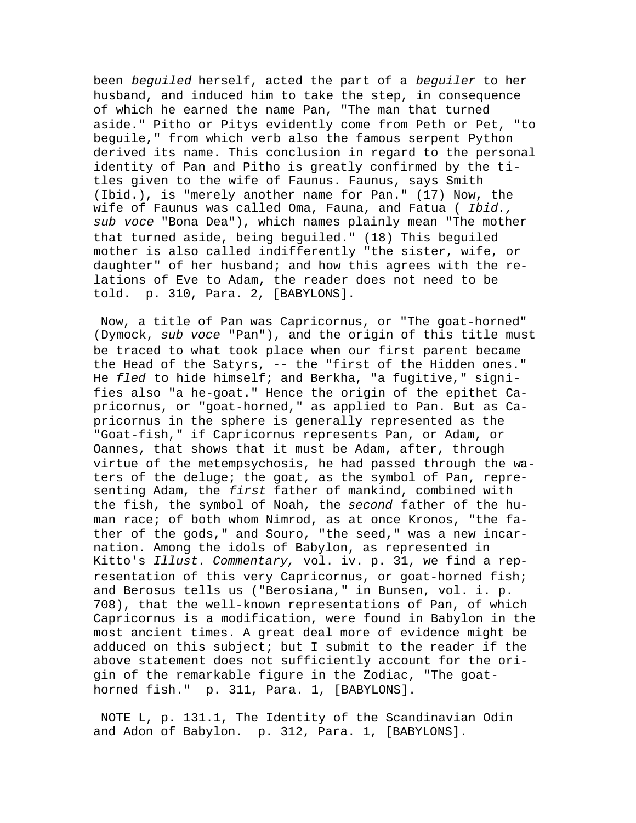been *beguiled* herself, acted the part of a *beguiler* to her husband, and induced him to take the step, in consequence of which he earned the name Pan, "The man that turned aside." Pitho or Pitys evidently come from Peth or Pet, "to beguile," from which verb also the famous serpent Python derived its name. This conclusion in regard to the personal identity of Pan and Pitho is greatly confirmed by the titles given to the wife of Faunus. Faunus, says Smith (Ibid.), is "merely another name for Pan." (17) Now, the wife of Faunus was called Oma, Fauna, and Fatua ( *Ibid., sub voce* "Bona Dea"), which names plainly mean "The mother that turned aside, being beguiled." (18) This beguiled mother is also called indifferently "the sister, wife, or daughter" of her husband; and how this agrees with the relations of Eve to Adam, the reader does not need to be told. p. 310, Para. 2, [BABYLONS].

 Now, a title of Pan was Capricornus, or "The goat-horned" (Dymock, *sub voce* "Pan"), and the origin of this title must be traced to what took place when our first parent became the Head of the Satyrs, -- the "first of the Hidden ones." He *fled* to hide himself; and Berkha, "a fugitive," signifies also "a he-goat." Hence the origin of the epithet Capricornus, or "goat-horned," as applied to Pan. But as Capricornus in the sphere is generally represented as the "Goat-fish," if Capricornus represents Pan, or Adam, or Oannes, that shows that it must be Adam, after, through virtue of the metempsychosis, he had passed through the waters of the deluge; the goat, as the symbol of Pan, representing Adam, the *first* father of mankind, combined with the fish, the symbol of Noah, the *second* father of the human race; of both whom Nimrod, as at once Kronos, "the father of the gods," and Souro, "the seed," was a new incarnation. Among the idols of Babylon, as represented in Kitto's *Illust. Commentary,* vol. iv. p. 31, we find a representation of this very Capricornus, or goat-horned fish; and Berosus tells us ("Berosiana," in Bunsen, vol. i. p. 708), that the well-known representations of Pan, of which Capricornus is a modification, were found in Babylon in the most ancient times. A great deal more of evidence might be adduced on this subject; but I submit to the reader if the above statement does not sufficiently account for the origin of the remarkable figure in the Zodiac, "The goathorned fish." p. 311, Para. 1, [BABYLONS].

 NOTE L, p. 131.1, The Identity of the Scandinavian Odin and Adon of Babylon. p. 312, Para. 1, [BABYLONS].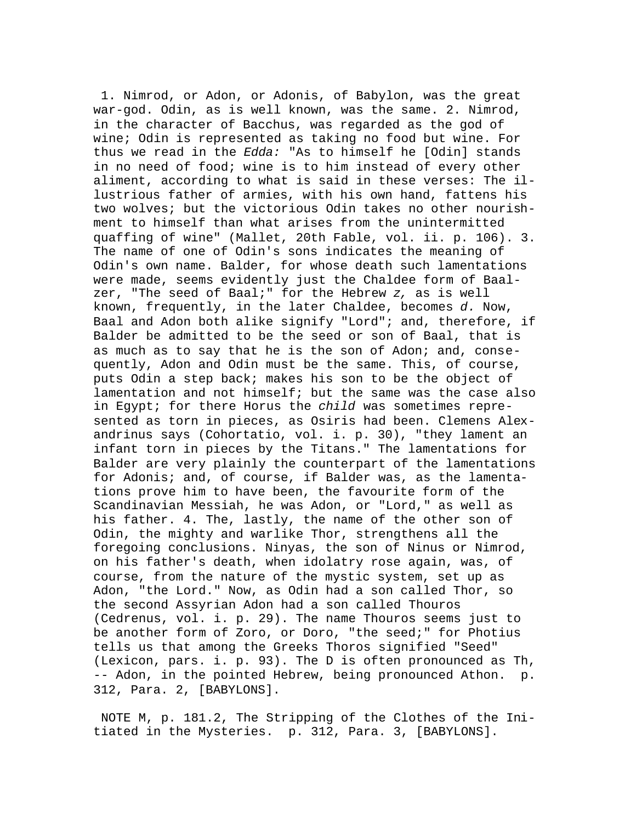1. Nimrod, or Adon, or Adonis, of Babylon, was the great war-god. Odin, as is well known, was the same. 2. Nimrod, in the character of Bacchus, was regarded as the god of wine; Odin is represented as taking no food but wine. For thus we read in the *Edda:* "As to himself he [Odin] stands in no need of food; wine is to him instead of every other aliment, according to what is said in these verses: The illustrious father of armies, with his own hand, fattens his two wolves; but the victorious Odin takes no other nourishment to himself than what arises from the unintermitted quaffing of wine" (Mallet, 20th Fable, vol. ii. p. 106). 3. The name of one of Odin's sons indicates the meaning of Odin's own name. Balder, for whose death such lamentations were made, seems evidently just the Chaldee form of Baalzer, "The seed of Baal;" for the Hebrew *z,* as is well known, frequently, in the later Chaldee, becomes *d.* Now, Baal and Adon both alike signify "Lord"; and, therefore, if Balder be admitted to be the seed or son of Baal, that is as much as to say that he is the son of Adon; and, consequently, Adon and Odin must be the same. This, of course, puts Odin a step back; makes his son to be the object of lamentation and not himself; but the same was the case also in Egypt; for there Horus the *child* was sometimes represented as torn in pieces, as Osiris had been. Clemens Alexandrinus says (Cohortatio, vol. i. p. 30), "they lament an infant torn in pieces by the Titans." The lamentations for Balder are very plainly the counterpart of the lamentations for Adonis; and, of course, if Balder was, as the lamentations prove him to have been, the favourite form of the Scandinavian Messiah, he was Adon, or "Lord," as well as his father. 4. The, lastly, the name of the other son of Odin, the mighty and warlike Thor, strengthens all the foregoing conclusions. Ninyas, the son of Ninus or Nimrod, on his father's death, when idolatry rose again, was, of course, from the nature of the mystic system, set up as Adon, "the Lord." Now, as Odin had a son called Thor, so the second Assyrian Adon had a son called Thouros (Cedrenus, vol. i. p. 29). The name Thouros seems just to be another form of Zoro, or Doro, "the seed;" for Photius tells us that among the Greeks Thoros signified "Seed" (Lexicon, pars. i. p. 93). The D is often pronounced as Th, -- Adon, in the pointed Hebrew, being pronounced Athon. p. 312, Para. 2, [BABYLONS].

 NOTE M, p. 181.2, The Stripping of the Clothes of the Initiated in the Mysteries. p. 312, Para. 3, [BABYLONS].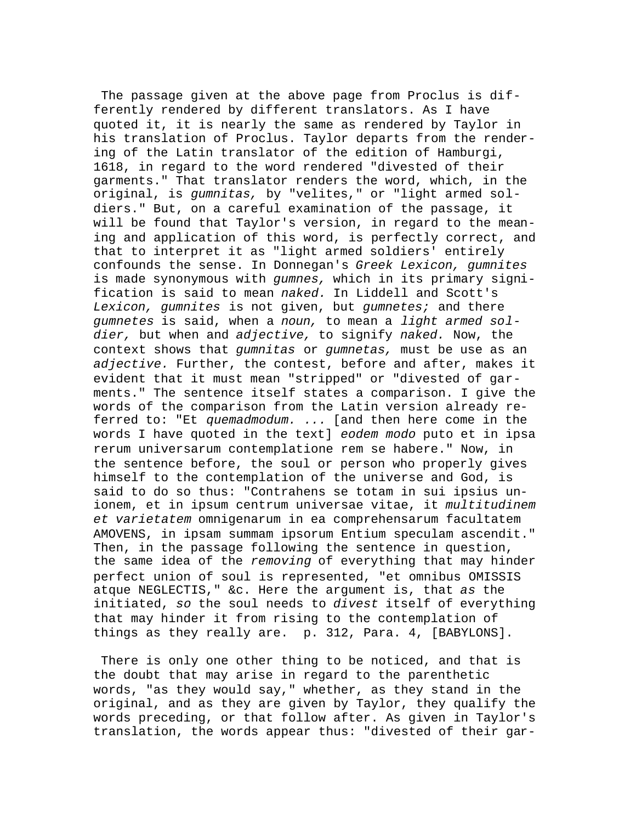The passage given at the above page from Proclus is differently rendered by different translators. As I have quoted it, it is nearly the same as rendered by Taylor in his translation of Proclus. Taylor departs from the rendering of the Latin translator of the edition of Hamburgi, 1618, in regard to the word rendered "divested of their garments." That translator renders the word, which, in the original, is *gumnitas,* by "velites," or "light armed soldiers." But, on a careful examination of the passage, it will be found that Taylor's version, in regard to the meaning and application of this word, is perfectly correct, and that to interpret it as "light armed soldiers' entirely confounds the sense. In Donnegan's *Greek Lexicon, gumnites* is made synonymous with *gumnes,* which in its primary signification is said to mean *naked.* In Liddell and Scott's *Lexicon, gumnites* is not given, but *gumnetes;* and there *gumnetes* is said, when a *noun,* to mean a *light armed soldier,* but when and *adjective,* to signify *naked.* Now, the context shows that *gumnitas* or *gumnetas,* must be use as an *adjective.* Further, the contest, before and after, makes it evident that it must mean "stripped" or "divested of garments." The sentence itself states a comparison. I give the words of the comparison from the Latin version already referred to: "Et *quemadmodum. ...* [and then here come in the words I have quoted in the text] *eodem modo* puto et in ipsa rerum universarum contemplatione rem se habere." Now, in the sentence before, the soul or person who properly gives himself to the contemplation of the universe and God, is said to do so thus: "Contrahens se totam in sui ipsius unionem, et in ipsum centrum universae vitae, it *multitudinem et varietatem* omnigenarum in ea comprehensarum facultatem AMOVENS, in ipsam summam ipsorum Entium speculam ascendit." Then, in the passage following the sentence in question, the same idea of the *removing* of everything that may hinder perfect union of soul is represented, "et omnibus OMISSIS atque NEGLECTIS," &c. Here the argument is, that *as* the initiated, *so* the soul needs to *divest* itself of everything that may hinder it from rising to the contemplation of things as they really are. p. 312, Para. 4, [BABYLONS].

 There is only one other thing to be noticed, and that is the doubt that may arise in regard to the parenthetic words, "as they would say," whether, as they stand in the original, and as they are given by Taylor, they qualify the words preceding, or that follow after. As given in Taylor's translation, the words appear thus: "divested of their gar-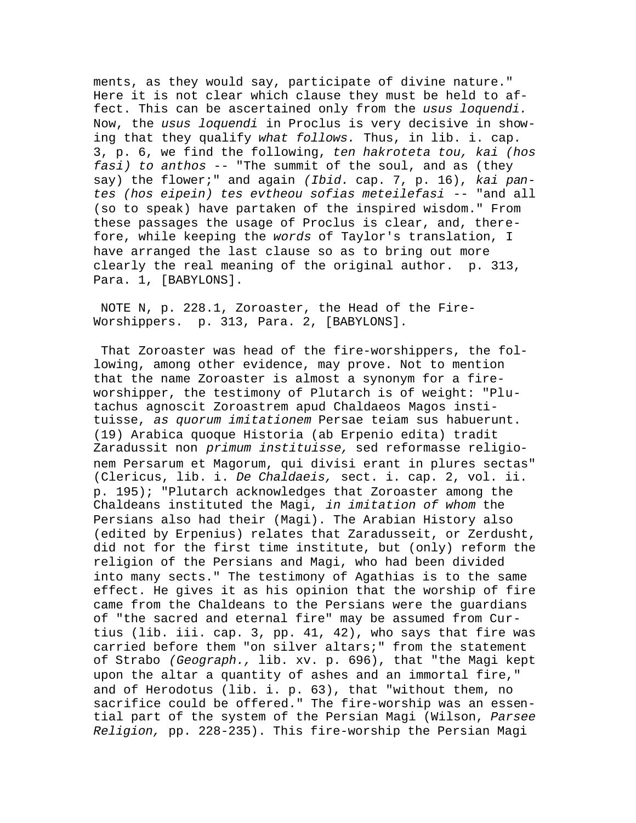ments, as they would say, participate of divine nature." Here it is not clear which clause they must be held to affect. This can be ascertained only from the *usus loquendi.* Now, the *usus loquendi* in Proclus is very decisive in showing that they qualify *what follows.* Thus, in lib. i. cap. 3, p. 6, we find the following, *ten hakroteta tou, kai (hos fasi) to anthos* -- "The summit of the soul, and as (they say) the flower;" and again *(Ibid.* cap. 7, p. 16), *kai pantes (hos eipein) tes evtheou sofias meteilefasi* -- "and all (so to speak) have partaken of the inspired wisdom." From these passages the usage of Proclus is clear, and, therefore, while keeping the *words* of Taylor's translation, I have arranged the last clause so as to bring out more clearly the real meaning of the original author. p. 313, Para. 1, [BABYLONS].

 NOTE N, p. 228.1, Zoroaster, the Head of the Fire-Worshippers. p. 313, Para. 2, [BABYLONS].

 That Zoroaster was head of the fire-worshippers, the following, among other evidence, may prove. Not to mention that the name Zoroaster is almost a synonym for a fireworshipper, the testimony of Plutarch is of weight: "Plutachus agnoscit Zoroastrem apud Chaldaeos Magos instituisse, *as quorum imitationem* Persae teiam sus habuerunt. (19) Arabica quoque Historia (ab Erpenio edita) tradit Zaradussit non *primum instituisse,* sed reformasse religionem Persarum et Magorum, qui divisi erant in plures sectas" (Clericus, lib. i. *De Chaldaeis,* sect. i. cap. 2, vol. ii. p. 195); "Plutarch acknowledges that Zoroaster among the Chaldeans instituted the Magi, *in imitation of whom* the Persians also had their (Magi). The Arabian History also (edited by Erpenius) relates that Zaradusseit, or Zerdusht, did not for the first time institute, but (only) reform the religion of the Persians and Magi, who had been divided into many sects." The testimony of Agathias is to the same effect. He gives it as his opinion that the worship of fire came from the Chaldeans to the Persians were the guardians of "the sacred and eternal fire" may be assumed from Curtius (lib. iii. cap. 3, pp. 41, 42), who says that fire was carried before them "on silver altars;" from the statement of Strabo *(Geograph.,* lib. xv. p. 696), that "the Magi kept upon the altar a quantity of ashes and an immortal fire," and of Herodotus (lib. i. p. 63), that "without them, no sacrifice could be offered." The fire-worship was an essential part of the system of the Persian Magi (Wilson, *Parsee Religion,* pp. 228-235). This fire-worship the Persian Magi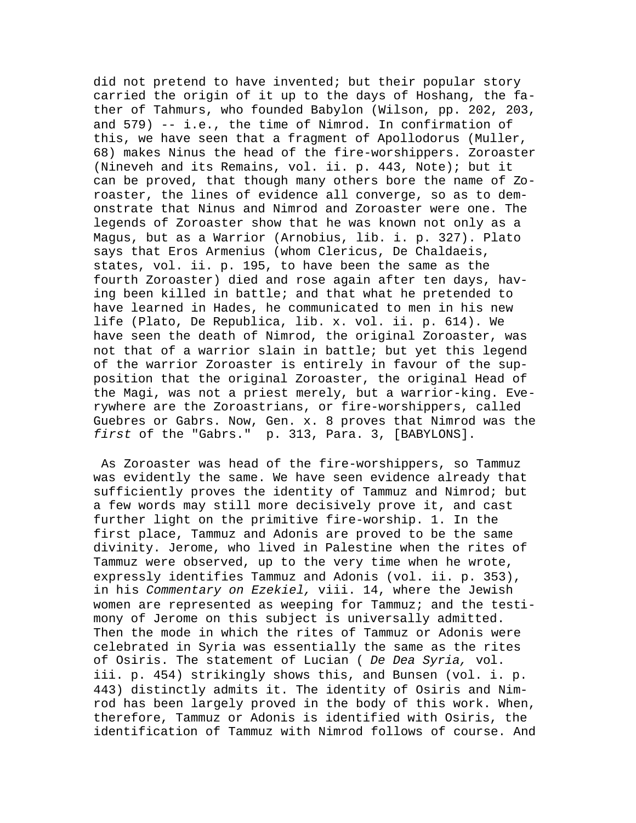did not pretend to have invented; but their popular story carried the origin of it up to the days of Hoshang, the father of Tahmurs, who founded Babylon (Wilson, pp. 202, 203, and 579) -- i.e., the time of Nimrod. In confirmation of this, we have seen that a fragment of Apollodorus (Muller, 68) makes Ninus the head of the fire-worshippers. Zoroaster (Nineveh and its Remains, vol. ii. p. 443, Note); but it can be proved, that though many others bore the name of Zoroaster, the lines of evidence all converge, so as to demonstrate that Ninus and Nimrod and Zoroaster were one. The legends of Zoroaster show that he was known not only as a Magus, but as a Warrior (Arnobius, lib. i. p. 327). Plato says that Eros Armenius (whom Clericus, De Chaldaeis, states, vol. ii. p. 195, to have been the same as the fourth Zoroaster) died and rose again after ten days, having been killed in battle; and that what he pretended to have learned in Hades, he communicated to men in his new life (Plato, De Republica, lib. x. vol. ii. p. 614). We have seen the death of Nimrod, the original Zoroaster, was not that of a warrior slain in battle; but yet this legend of the warrior Zoroaster is entirely in favour of the supposition that the original Zoroaster, the original Head of the Magi, was not a priest merely, but a warrior-king. Everywhere are the Zoroastrians, or fire-worshippers, called Guebres or Gabrs. Now, Gen. x. 8 proves that Nimrod was the *first* of the "Gabrs." p. 313, Para. 3, [BABYLONS].

 As Zoroaster was head of the fire-worshippers, so Tammuz was evidently the same. We have seen evidence already that sufficiently proves the identity of Tammuz and Nimrod; but a few words may still more decisively prove it, and cast further light on the primitive fire-worship. 1. In the first place, Tammuz and Adonis are proved to be the same divinity. Jerome, who lived in Palestine when the rites of Tammuz were observed, up to the very time when he wrote, expressly identifies Tammuz and Adonis (vol. ii. p. 353), in his *Commentary on Ezekiel,* viii. 14, where the Jewish women are represented as weeping for Tammuz; and the testimony of Jerome on this subject is universally admitted. Then the mode in which the rites of Tammuz or Adonis were celebrated in Syria was essentially the same as the rites of Osiris. The statement of Lucian ( *De Dea Syria,* vol. iii. p. 454) strikingly shows this, and Bunsen (vol. i. p. 443) distinctly admits it. The identity of Osiris and Nimrod has been largely proved in the body of this work. When, therefore, Tammuz or Adonis is identified with Osiris, the identification of Tammuz with Nimrod follows of course. And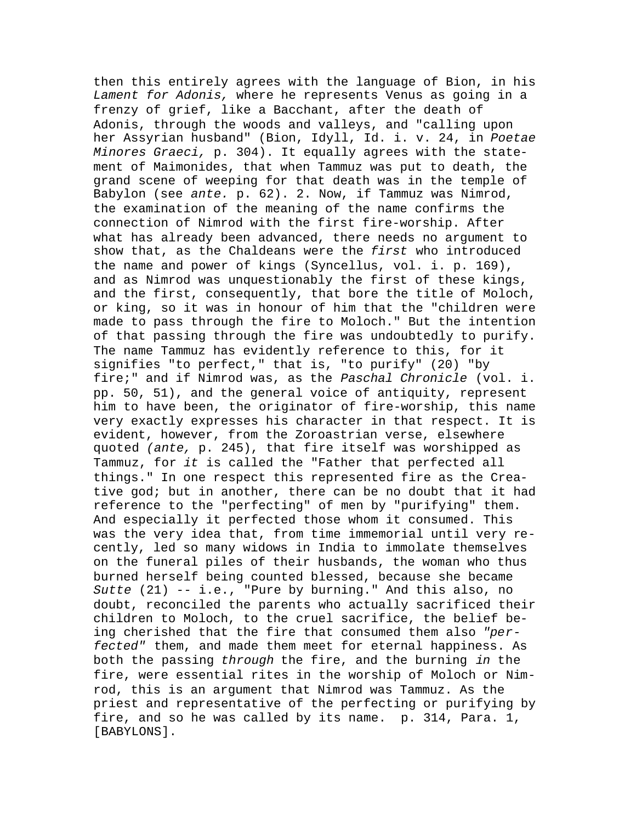then this entirely agrees with the language of Bion, in his *Lament for Adonis,* where he represents Venus as going in a frenzy of grief, like a Bacchant, after the death of Adonis, through the woods and valleys, and "calling upon her Assyrian husband" (Bion, Idyll, Id. i. v. 24, in *Poetae Minores Graeci,* p. 304). It equally agrees with the statement of Maimonides, that when Tammuz was put to death, the grand scene of weeping for that death was in the temple of Babylon (see *ante.* p. 62). 2. Now, if Tammuz was Nimrod, the examination of the meaning of the name confirms the connection of Nimrod with the first fire-worship. After what has already been advanced, there needs no argument to show that, as the Chaldeans were the *first* who introduced the name and power of kings (Syncellus, vol. i. p. 169), and as Nimrod was unquestionably the first of these kings, and the first, consequently, that bore the title of Moloch, or king, so it was in honour of him that the "children were made to pass through the fire to Moloch." But the intention of that passing through the fire was undoubtedly to purify. The name Tammuz has evidently reference to this, for it signifies "to perfect," that is, "to purify" (20) "by fire;" and if Nimrod was, as the *Paschal Chronicle* (vol. i. pp. 50, 51), and the general voice of antiquity, represent him to have been, the originator of fire-worship, this name very exactly expresses his character in that respect. It is evident, however, from the Zoroastrian verse, elsewhere quoted *(ante,* p. 245), that fire itself was worshipped as Tammuz, for *it* is called the "Father that perfected all things." In one respect this represented fire as the Creative god; but in another, there can be no doubt that it had reference to the "perfecting" of men by "purifying" them. And especially it perfected those whom it consumed. This was the very idea that, from time immemorial until very recently, led so many widows in India to immolate themselves on the funeral piles of their husbands, the woman who thus burned herself being counted blessed, because she became *Sutte* (21) -- i.e., "Pure by burning." And this also, no doubt, reconciled the parents who actually sacrificed their children to Moloch, to the cruel sacrifice, the belief being cherished that the fire that consumed them also *"perfected"* them, and made them meet for eternal happiness. As both the passing *through* the fire, and the burning *in* the fire, were essential rites in the worship of Moloch or Nimrod, this is an argument that Nimrod was Tammuz. As the priest and representative of the perfecting or purifying by fire, and so he was called by its name. p. 314, Para. 1, [BABYLONS].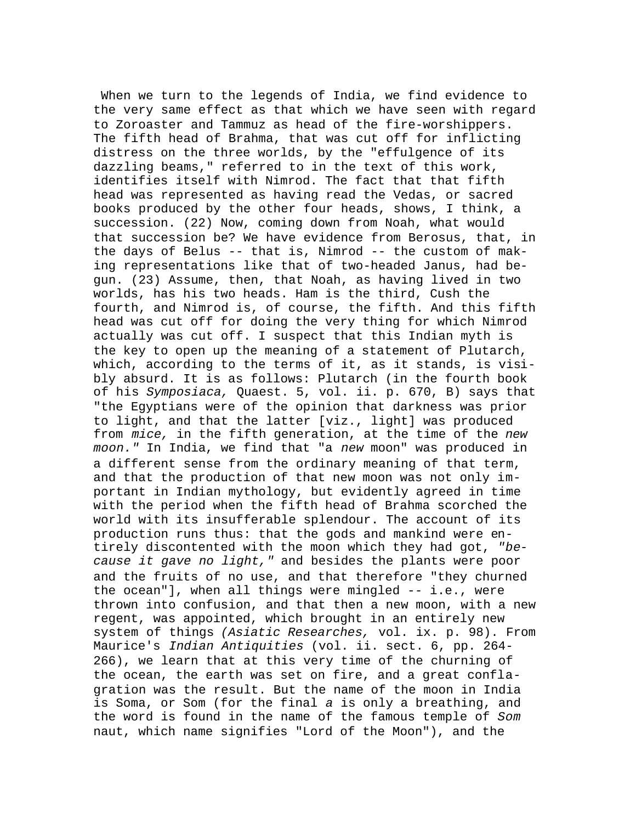When we turn to the legends of India, we find evidence to the very same effect as that which we have seen with regard to Zoroaster and Tammuz as head of the fire-worshippers. The fifth head of Brahma, that was cut off for inflicting distress on the three worlds, by the "effulgence of its dazzling beams," referred to in the text of this work, identifies itself with Nimrod. The fact that that fifth head was represented as having read the Vedas, or sacred books produced by the other four heads, shows, I think, a succession. (22) Now, coming down from Noah, what would that succession be? We have evidence from Berosus, that, in the days of Belus -- that is, Nimrod -- the custom of making representations like that of two-headed Janus, had begun. (23) Assume, then, that Noah, as having lived in two worlds, has his two heads. Ham is the third, Cush the fourth, and Nimrod is, of course, the fifth. And this fifth head was cut off for doing the very thing for which Nimrod actually was cut off. I suspect that this Indian myth is the key to open up the meaning of a statement of Plutarch, which, according to the terms of it, as it stands, is visibly absurd. It is as follows: Plutarch (in the fourth book of his *Symposiaca,* Quaest. 5, vol. ii. p. 670, B) says that "the Egyptians were of the opinion that darkness was prior to light, and that the latter [viz., light] was produced from *mice,* in the fifth generation, at the time of the *new moon."* In India, we find that "a *new* moon" was produced in a different sense from the ordinary meaning of that term, and that the production of that new moon was not only important in Indian mythology, but evidently agreed in time with the period when the fifth head of Brahma scorched the world with its insufferable splendour. The account of its production runs thus: that the gods and mankind were entirely discontented with the moon which they had got, *"because it gave no light,"* and besides the plants were poor and the fruits of no use, and that therefore "they churned the ocean"], when all things were mingled  $- - i.e.,$  were thrown into confusion, and that then a new moon, with a new regent, was appointed, which brought in an entirely new system of things *(Asiatic Researches,* vol. ix. p. 98). From Maurice's *Indian Antiquities* (vol. ii. sect. 6, pp. 264- 266), we learn that at this very time of the churning of the ocean, the earth was set on fire, and a great conflagration was the result. But the name of the moon in India is Soma, or Som (for the final *a* is only a breathing, and the word is found in the name of the famous temple of *Som* naut, which name signifies "Lord of the Moon"), and the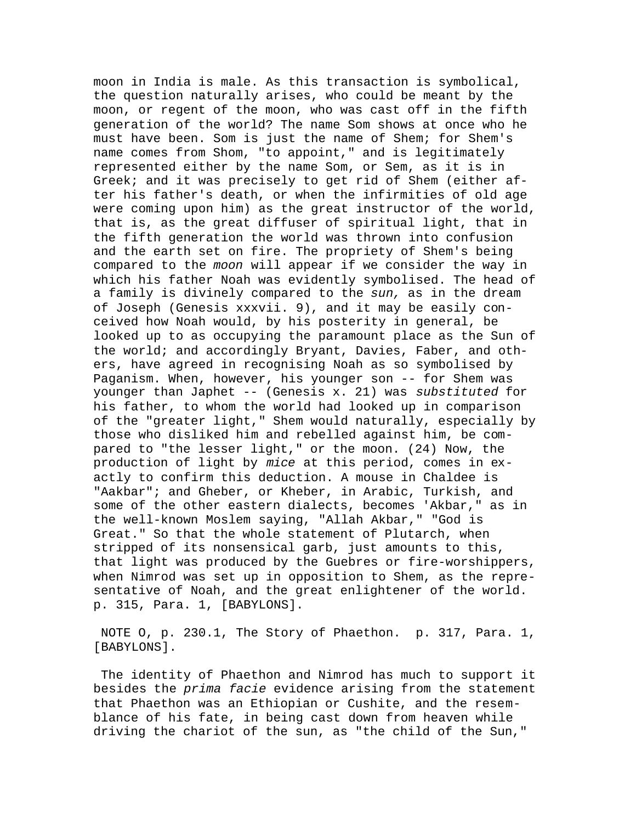moon in India is male. As this transaction is symbolical, the question naturally arises, who could be meant by the moon, or regent of the moon, who was cast off in the fifth generation of the world? The name Som shows at once who he must have been. Som is just the name of Shem; for Shem's name comes from Shom, "to appoint," and is legitimately represented either by the name Som, or Sem, as it is in Greek; and it was precisely to get rid of Shem (either after his father's death, or when the infirmities of old age were coming upon him) as the great instructor of the world, that is, as the great diffuser of spiritual light, that in the fifth generation the world was thrown into confusion and the earth set on fire. The propriety of Shem's being compared to the *moon* will appear if we consider the way in which his father Noah was evidently symbolised. The head of a family is divinely compared to the *sun,* as in the dream of Joseph (Genesis xxxvii. 9), and it may be easily conceived how Noah would, by his posterity in general, be looked up to as occupying the paramount place as the Sun of the world; and accordingly Bryant, Davies, Faber, and others, have agreed in recognising Noah as so symbolised by Paganism. When, however, his younger son -- for Shem was younger than Japhet -- (Genesis x. 21) was *substituted* for his father, to whom the world had looked up in comparison of the "greater light," Shem would naturally, especially by those who disliked him and rebelled against him, be compared to "the lesser light," or the moon. (24) Now, the production of light by *mice* at this period, comes in exactly to confirm this deduction. A mouse in Chaldee is "Aakbar"; and Gheber, or Kheber, in Arabic, Turkish, and some of the other eastern dialects, becomes 'Akbar," as in the well-known Moslem saying, "Allah Akbar," "God is Great." So that the whole statement of Plutarch, when stripped of its nonsensical garb, just amounts to this, that light was produced by the Guebres or fire-worshippers, when Nimrod was set up in opposition to Shem, as the representative of Noah, and the great enlightener of the world. p. 315, Para. 1, [BABYLONS].

 NOTE O, p. 230.1, The Story of Phaethon. p. 317, Para. 1, [BABYLONS].

 The identity of Phaethon and Nimrod has much to support it besides the *prima facie* evidence arising from the statement that Phaethon was an Ethiopian or Cushite, and the resemblance of his fate, in being cast down from heaven while driving the chariot of the sun, as "the child of the Sun,"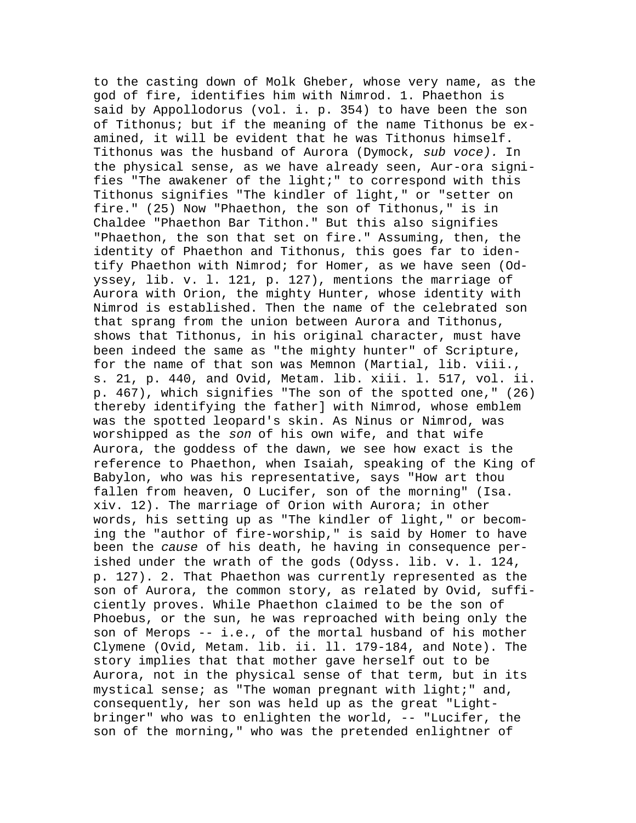to the casting down of Molk Gheber, whose very name, as the god of fire, identifies him with Nimrod. 1. Phaethon is said by Appollodorus (vol. i. p. 354) to have been the son of Tithonus; but if the meaning of the name Tithonus be examined, it will be evident that he was Tithonus himself. Tithonus was the husband of Aurora (Dymock, *sub voce).* In the physical sense, as we have already seen, Aur-ora signifies "The awakener of the light;" to correspond with this Tithonus signifies "The kindler of light," or "setter on fire." (25) Now "Phaethon, the son of Tithonus," is in Chaldee "Phaethon Bar Tithon." But this also signifies "Phaethon, the son that set on fire." Assuming, then, the identity of Phaethon and Tithonus, this goes far to identify Phaethon with Nimrod; for Homer, as we have seen (Odyssey, lib. v. l. 121, p. 127), mentions the marriage of Aurora with Orion, the mighty Hunter, whose identity with Nimrod is established. Then the name of the celebrated son that sprang from the union between Aurora and Tithonus, shows that Tithonus, in his original character, must have been indeed the same as "the mighty hunter" of Scripture, for the name of that son was Memnon (Martial, lib. viii., s. 21, p. 440, and Ovid, Metam. lib. xiii. l. 517, vol. ii. p. 467), which signifies "The son of the spotted one," (26) thereby identifying the father] with Nimrod, whose emblem was the spotted leopard's skin. As Ninus or Nimrod, was worshipped as the *son* of his own wife, and that wife Aurora, the goddess of the dawn, we see how exact is the reference to Phaethon, when Isaiah, speaking of the King of Babylon, who was his representative, says "How art thou fallen from heaven, O Lucifer, son of the morning" (Isa. xiv. 12). The marriage of Orion with Aurora; in other words, his setting up as "The kindler of light," or becoming the "author of fire-worship," is said by Homer to have been the *cause* of his death, he having in consequence perished under the wrath of the gods (Odyss. lib. v. l. 124, p. 127). 2. That Phaethon was currently represented as the son of Aurora, the common story, as related by Ovid, sufficiently proves. While Phaethon claimed to be the son of Phoebus, or the sun, he was reproached with being only the son of Merops -- i.e., of the mortal husband of his mother Clymene (Ovid, Metam. lib. ii. ll. 179-184, and Note). The story implies that that mother gave herself out to be Aurora, not in the physical sense of that term, but in its mystical sense; as "The woman pregnant with light;" and, consequently, her son was held up as the great "Lightbringer" who was to enlighten the world, -- "Lucifer, the son of the morning," who was the pretended enlightner of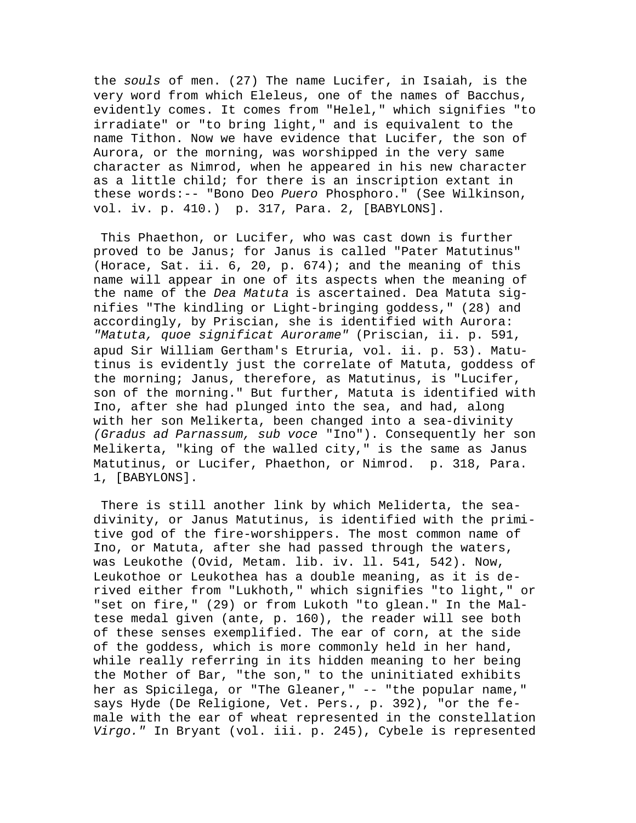the *souls* of men. (27) The name Lucifer, in Isaiah, is the very word from which Eleleus, one of the names of Bacchus, evidently comes. It comes from "Helel," which signifies "to irradiate" or "to bring light," and is equivalent to the name Tithon. Now we have evidence that Lucifer, the son of Aurora, or the morning, was worshipped in the very same character as Nimrod, when he appeared in his new character as a little child; for there is an inscription extant in these words:-- "Bono Deo *Puero* Phosphoro." (See Wilkinson, vol. iv. p. 410.) p. 317, Para. 2, [BABYLONS].

 This Phaethon, or Lucifer, who was cast down is further proved to be Janus; for Janus is called "Pater Matutinus" (Horace, Sat. ii. 6, 20, p. 674); and the meaning of this name will appear in one of its aspects when the meaning of the name of the *Dea Matuta* is ascertained. Dea Matuta signifies "The kindling or Light-bringing goddess," (28) and accordingly, by Priscian, she is identified with Aurora: *"Matuta, quoe significat Aurorame"* (Priscian, ii. p. 591, apud Sir William Gertham's Etruria, vol. ii. p. 53). Matutinus is evidently just the correlate of Matuta, goddess of the morning; Janus, therefore, as Matutinus, is "Lucifer, son of the morning." But further, Matuta is identified with Ino, after she had plunged into the sea, and had, along with her son Melikerta, been changed into a sea-divinity *(Gradus ad Parnassum, sub voce* "Ino"). Consequently her son Melikerta, "king of the walled city," is the same as Janus Matutinus, or Lucifer, Phaethon, or Nimrod. p. 318, Para. 1, [BABYLONS].

 There is still another link by which Meliderta, the seadivinity, or Janus Matutinus, is identified with the primitive god of the fire-worshippers. The most common name of Ino, or Matuta, after she had passed through the waters, was Leukothe (Ovid, Metam. lib. iv. ll. 541, 542). Now, Leukothoe or Leukothea has a double meaning, as it is derived either from "Lukhoth," which signifies "to light," or "set on fire," (29) or from Lukoth "to glean." In the Maltese medal given (ante, p. 160), the reader will see both of these senses exemplified. The ear of corn, at the side of the goddess, which is more commonly held in her hand, while really referring in its hidden meaning to her being the Mother of Bar, "the son," to the uninitiated exhibits her as Spicilega, or "The Gleaner," -- "the popular name," says Hyde (De Religione, Vet. Pers., p. 392), "or the female with the ear of wheat represented in the constellation *Virgo."* In Bryant (vol. iii. p. 245), Cybele is represented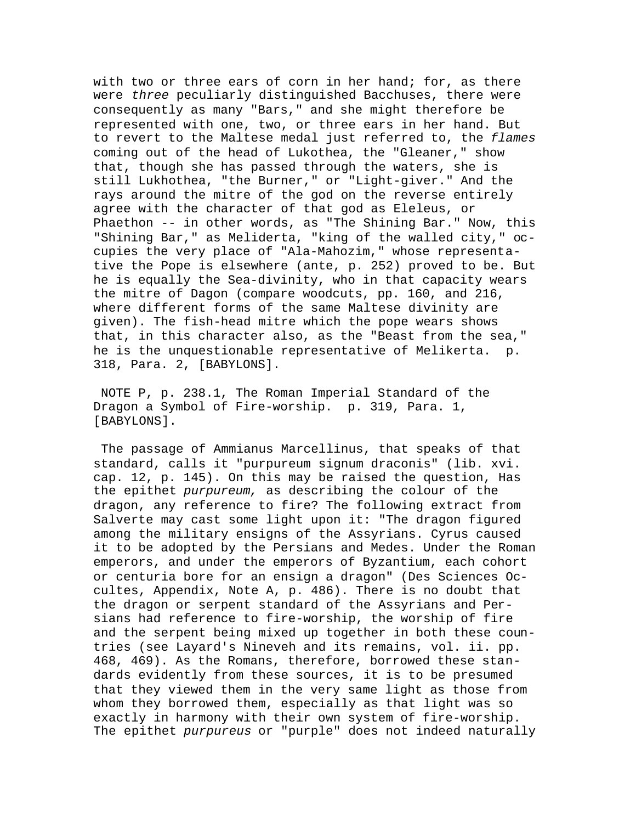with two or three ears of corn in her hand; for, as there were *three* peculiarly distinguished Bacchuses, there were consequently as many "Bars," and she might therefore be represented with one, two, or three ears in her hand. But to revert to the Maltese medal just referred to, the *flames* coming out of the head of Lukothea, the "Gleaner," show that, though she has passed through the waters, she is still Lukhothea, "the Burner," or "Light-giver." And the rays around the mitre of the god on the reverse entirely agree with the character of that god as Eleleus, or Phaethon -- in other words, as "The Shining Bar." Now, this "Shining Bar," as Meliderta, "king of the walled city," occupies the very place of "Ala-Mahozim," whose representative the Pope is elsewhere (ante, p. 252) proved to be. But he is equally the Sea-divinity, who in that capacity wears the mitre of Dagon (compare woodcuts, pp. 160, and 216, where different forms of the same Maltese divinity are given). The fish-head mitre which the pope wears shows that, in this character also, as the "Beast from the sea," he is the unquestionable representative of Melikerta. p. 318, Para. 2, [BABYLONS].

 NOTE P, p. 238.1, The Roman Imperial Standard of the Dragon a Symbol of Fire-worship. p. 319, Para. 1, [BABYLONS].

 The passage of Ammianus Marcellinus, that speaks of that standard, calls it "purpureum signum draconis" (lib. xvi. cap. 12, p. 145). On this may be raised the question, Has the epithet *purpureum,* as describing the colour of the dragon, any reference to fire? The following extract from Salverte may cast some light upon it: "The dragon figured among the military ensigns of the Assyrians. Cyrus caused it to be adopted by the Persians and Medes. Under the Roman emperors, and under the emperors of Byzantium, each cohort or centuria bore for an ensign a dragon" (Des Sciences Occultes, Appendix, Note A, p. 486). There is no doubt that the dragon or serpent standard of the Assyrians and Persians had reference to fire-worship, the worship of fire and the serpent being mixed up together in both these countries (see Layard's Nineveh and its remains, vol. ii. pp. 468, 469). As the Romans, therefore, borrowed these standards evidently from these sources, it is to be presumed that they viewed them in the very same light as those from whom they borrowed them, especially as that light was so exactly in harmony with their own system of fire-worship. The epithet *purpureus* or "purple" does not indeed naturally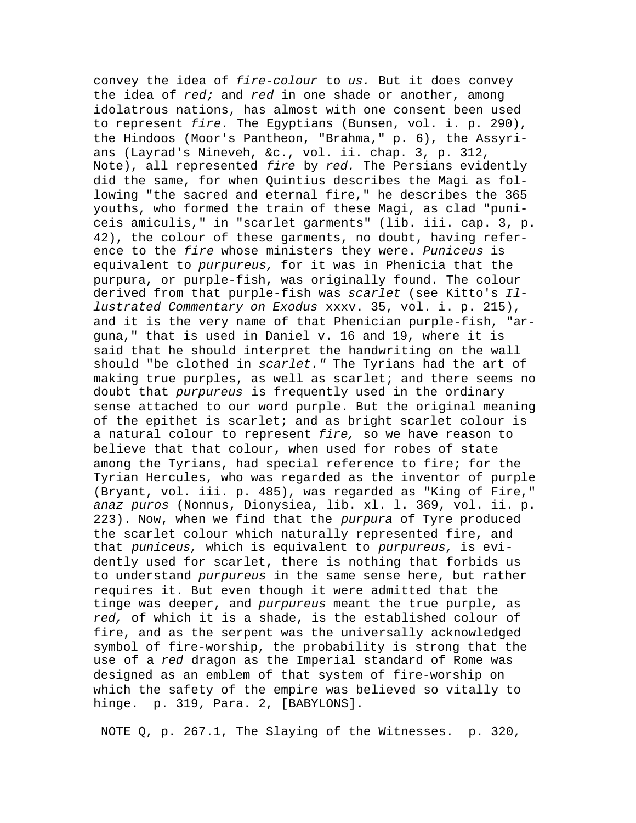convey the idea of *fire-colour* to *us.* But it does convey the idea of *red;* and *red* in one shade or another, among idolatrous nations, has almost with one consent been used to represent *fire.* The Egyptians (Bunsen, vol. i. p. 290), the Hindoos (Moor's Pantheon, "Brahma," p. 6), the Assyrians (Layrad's Nineveh, &c., vol. ii. chap. 3, p. 312, Note), all represented *fire* by *red.* The Persians evidently did the same, for when Quintius describes the Magi as following "the sacred and eternal fire," he describes the 365 youths, who formed the train of these Magi, as clad "puniceis amiculis," in "scarlet garments" (lib. iii. cap. 3, p. 42), the colour of these garments, no doubt, having reference to the *fire* whose ministers they were. *Puniceus* is equivalent to *purpureus,* for it was in Phenicia that the purpura, or purple-fish, was originally found. The colour derived from that purple-fish was *scarlet* (see Kitto's *Illustrated Commentary on Exodus* xxxv. 35, vol. i. p. 215), and it is the very name of that Phenician purple-fish, "arguna," that is used in Daniel v. 16 and 19, where it is said that he should interpret the handwriting on the wall should "be clothed in *scarlet."* The Tyrians had the art of making true purples, as well as scarlet; and there seems no doubt that *purpureus* is frequently used in the ordinary sense attached to our word purple. But the original meaning of the epithet is scarlet; and as bright scarlet colour is a natural colour to represent *fire,* so we have reason to believe that that colour, when used for robes of state among the Tyrians, had special reference to fire; for the Tyrian Hercules, who was regarded as the inventor of purple (Bryant, vol. iii. p. 485), was regarded as "King of Fire," *anaz puros* (Nonnus, Dionysiea, lib. xl. l. 369, vol. ii. p. 223). Now, when we find that the *purpura* of Tyre produced the scarlet colour which naturally represented fire, and that *puniceus,* which is equivalent to *purpureus,* is evidently used for scarlet, there is nothing that forbids us to understand *purpureus* in the same sense here, but rather requires it. But even though it were admitted that the tinge was deeper, and *purpureus* meant the true purple, as *red,* of which it is a shade, is the established colour of fire, and as the serpent was the universally acknowledged symbol of fire-worship, the probability is strong that the use of a *red* dragon as the Imperial standard of Rome was designed as an emblem of that system of fire-worship on which the safety of the empire was believed so vitally to hinge. p. 319, Para. 2, [BABYLONS].

NOTE Q, p. 267.1, The Slaying of the Witnesses. p. 320,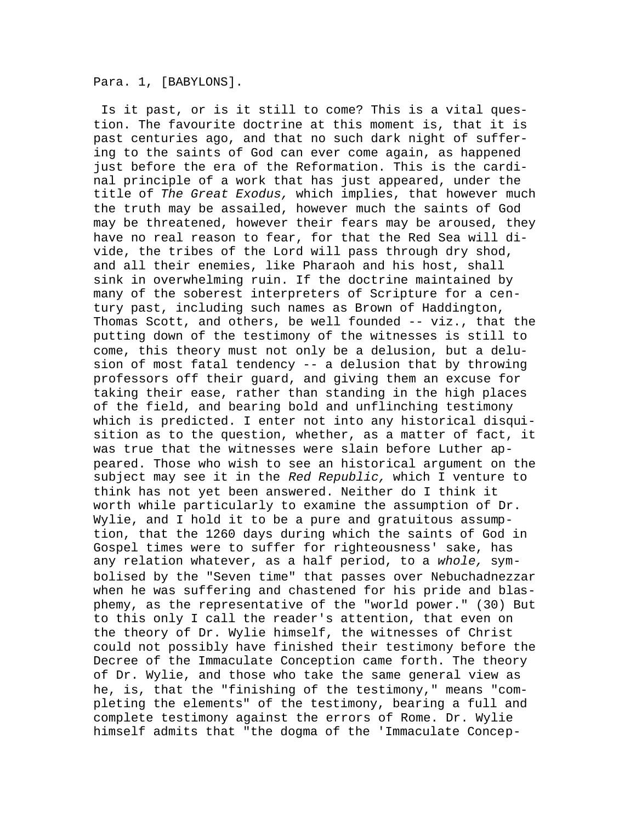## Para. 1, [BABYLONS].

 Is it past, or is it still to come? This is a vital question. The favourite doctrine at this moment is, that it is past centuries ago, and that no such dark night of suffering to the saints of God can ever come again, as happened just before the era of the Reformation. This is the cardinal principle of a work that has just appeared, under the title of *The Great Exodus,* which implies, that however much the truth may be assailed, however much the saints of God may be threatened, however their fears may be aroused, they have no real reason to fear, for that the Red Sea will divide, the tribes of the Lord will pass through dry shod, and all their enemies, like Pharaoh and his host, shall sink in overwhelming ruin. If the doctrine maintained by many of the soberest interpreters of Scripture for a century past, including such names as Brown of Haddington, Thomas Scott, and others, be well founded -- viz., that the putting down of the testimony of the witnesses is still to come, this theory must not only be a delusion, but a delusion of most fatal tendency -- a delusion that by throwing professors off their guard, and giving them an excuse for taking their ease, rather than standing in the high places of the field, and bearing bold and unflinching testimony which is predicted. I enter not into any historical disquisition as to the question, whether, as a matter of fact, it was true that the witnesses were slain before Luther appeared. Those who wish to see an historical argument on the subject may see it in the *Red Republic,* which I venture to think has not yet been answered. Neither do I think it worth while particularly to examine the assumption of Dr. Wylie, and I hold it to be a pure and gratuitous assumption, that the 1260 days during which the saints of God in Gospel times were to suffer for righteousness' sake, has any relation whatever, as a half period, to a *whole,* symbolised by the "Seven time" that passes over Nebuchadnezzar when he was suffering and chastened for his pride and blasphemy, as the representative of the "world power." (30) But to this only I call the reader's attention, that even on the theory of Dr. Wylie himself, the witnesses of Christ could not possibly have finished their testimony before the Decree of the Immaculate Conception came forth. The theory of Dr. Wylie, and those who take the same general view as he, is, that the "finishing of the testimony," means "completing the elements" of the testimony, bearing a full and complete testimony against the errors of Rome. Dr. Wylie himself admits that "the dogma of the 'Immaculate Concep-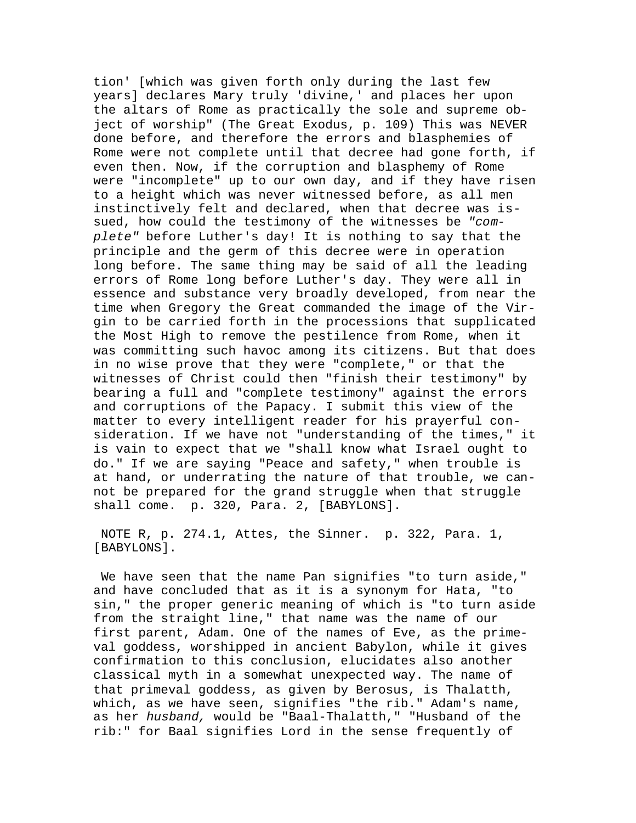tion' [which was given forth only during the last few years] declares Mary truly 'divine,' and places her upon the altars of Rome as practically the sole and supreme object of worship" (The Great Exodus, p. 109) This was NEVER done before, and therefore the errors and blasphemies of Rome were not complete until that decree had gone forth, if even then. Now, if the corruption and blasphemy of Rome were "incomplete" up to our own day, and if they have risen to a height which was never witnessed before, as all men instinctively felt and declared, when that decree was issued, how could the testimony of the witnesses be *"complete"* before Luther's day! It is nothing to say that the principle and the germ of this decree were in operation long before. The same thing may be said of all the leading errors of Rome long before Luther's day. They were all in essence and substance very broadly developed, from near the time when Gregory the Great commanded the image of the Virgin to be carried forth in the processions that supplicated the Most High to remove the pestilence from Rome, when it was committing such havoc among its citizens. But that does in no wise prove that they were "complete," or that the witnesses of Christ could then "finish their testimony" by bearing a full and "complete testimony" against the errors and corruptions of the Papacy. I submit this view of the matter to every intelligent reader for his prayerful consideration. If we have not "understanding of the times," it is vain to expect that we "shall know what Israel ought to do." If we are saying "Peace and safety," when trouble is at hand, or underrating the nature of that trouble, we cannot be prepared for the grand struggle when that struggle shall come. p. 320, Para. 2, [BABYLONS].

 NOTE R, p. 274.1, Attes, the Sinner. p. 322, Para. 1, [BABYLONS].

We have seen that the name Pan signifies "to turn aside," and have concluded that as it is a synonym for Hata, "to sin," the proper generic meaning of which is "to turn aside from the straight line," that name was the name of our first parent, Adam. One of the names of Eve, as the primeval goddess, worshipped in ancient Babylon, while it gives confirmation to this conclusion, elucidates also another classical myth in a somewhat unexpected way. The name of that primeval goddess, as given by Berosus, is Thalatth, which, as we have seen, signifies "the rib." Adam's name, as her *husband,* would be "Baal-Thalatth," "Husband of the rib:" for Baal signifies Lord in the sense frequently of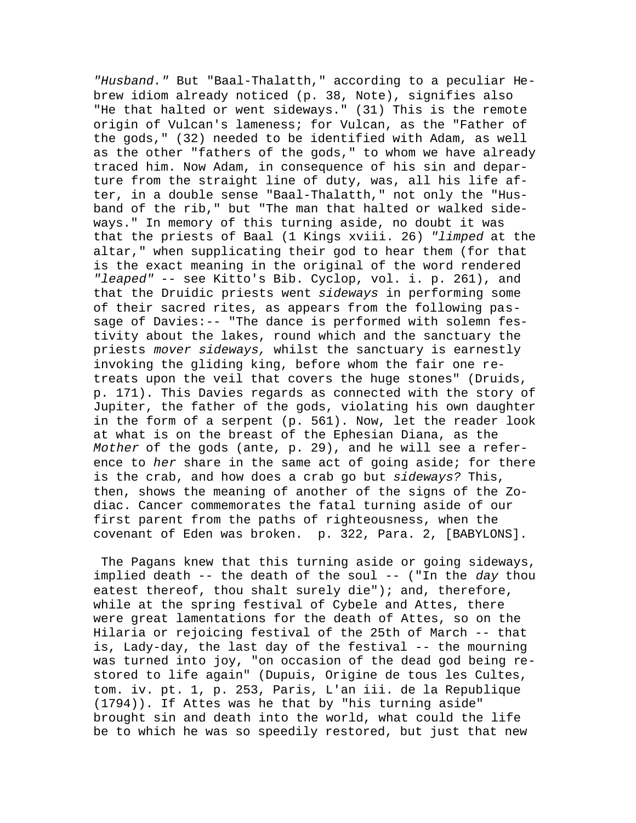*"Husband."* But "Baal-Thalatth," according to a peculiar Hebrew idiom already noticed (p. 38, Note), signifies also "He that halted or went sideways." (31) This is the remote origin of Vulcan's lameness; for Vulcan, as the "Father of the gods," (32) needed to be identified with Adam, as well as the other "fathers of the gods," to whom we have already traced him. Now Adam, in consequence of his sin and departure from the straight line of duty, was, all his life after, in a double sense "Baal-Thalatth," not only the "Husband of the rib," but "The man that halted or walked sideways." In memory of this turning aside, no doubt it was that the priests of Baal (1 Kings xviii. 26) *"limped* at the altar," when supplicating their god to hear them (for that is the exact meaning in the original of the word rendered *"leaped"* -- see Kitto's Bib. Cyclop, vol. i. p. 261), and that the Druidic priests went *sideways* in performing some of their sacred rites, as appears from the following passage of Davies:-- "The dance is performed with solemn festivity about the lakes, round which and the sanctuary the priests *mover sideways,* whilst the sanctuary is earnestly invoking the gliding king, before whom the fair one retreats upon the veil that covers the huge stones" (Druids, p. 171). This Davies regards as connected with the story of Jupiter, the father of the gods, violating his own daughter in the form of a serpent (p. 561). Now, let the reader look at what is on the breast of the Ephesian Diana, as the *Mother* of the gods (ante, p. 29), and he will see a reference to *her* share in the same act of going aside; for there is the crab, and how does a crab go but *sideways?* This, then, shows the meaning of another of the signs of the Zodiac. Cancer commemorates the fatal turning aside of our first parent from the paths of righteousness, when the covenant of Eden was broken. p. 322, Para. 2, [BABYLONS].

 The Pagans knew that this turning aside or going sideways, implied death -- the death of the soul -- ("In the *day* thou eatest thereof, thou shalt surely die"); and, therefore, while at the spring festival of Cybele and Attes, there were great lamentations for the death of Attes, so on the Hilaria or rejoicing festival of the 25th of March -- that is, Lady-day, the last day of the festival -- the mourning was turned into joy, "on occasion of the dead god being restored to life again" (Dupuis, Origine de tous les Cultes, tom. iv. pt. 1, p. 253, Paris, L'an iii. de la Republique (1794)). If Attes was he that by "his turning aside" brought sin and death into the world, what could the life be to which he was so speedily restored, but just that new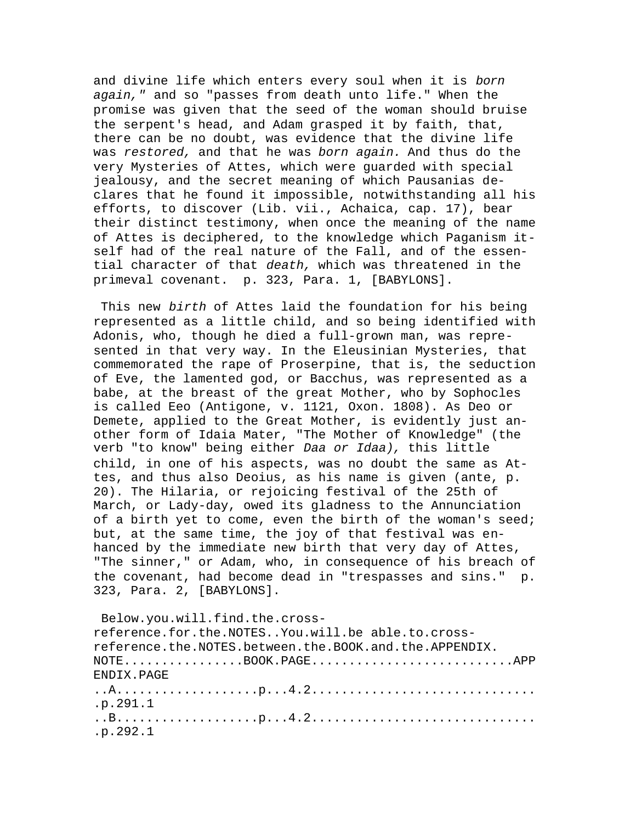and divine life which enters every soul when it is *born again,"* and so "passes from death unto life." When the promise was given that the seed of the woman should bruise the serpent's head, and Adam grasped it by faith, that, there can be no doubt, was evidence that the divine life was *restored,* and that he was *born again.* And thus do the very Mysteries of Attes, which were guarded with special jealousy, and the secret meaning of which Pausanias declares that he found it impossible, notwithstanding all his efforts, to discover (Lib. vii., Achaica, cap. 17), bear their distinct testimony, when once the meaning of the name of Attes is deciphered, to the knowledge which Paganism itself had of the real nature of the Fall, and of the essential character of that *death,* which was threatened in the primeval covenant. p. 323, Para. 1, [BABYLONS].

 This new *birth* of Attes laid the foundation for his being represented as a little child, and so being identified with Adonis, who, though he died a full-grown man, was represented in that very way. In the Eleusinian Mysteries, that commemorated the rape of Proserpine, that is, the seduction of Eve, the lamented god, or Bacchus, was represented as a babe, at the breast of the great Mother, who by Sophocles is called Eeo (Antigone, v. 1121, Oxon. 1808). As Deo or Demete, applied to the Great Mother, is evidently just another form of Idaia Mater, "The Mother of Knowledge" (the verb "to know" being either *Daa or Idaa),* this little child, in one of his aspects, was no doubt the same as Attes, and thus also Deoius, as his name is given (ante, p. 20). The Hilaria, or rejoicing festival of the 25th of March, or Lady-day, owed its gladness to the Annunciation of a birth yet to come, even the birth of the woman's seed; but, at the same time, the joy of that festival was enhanced by the immediate new birth that very day of Attes, "The sinner," or Adam, who, in consequence of his breach of the covenant, had become dead in "trespasses and sins." p. 323, Para. 2, [BABYLONS].

 Below.you.will.find.the.crossreference.for.the.NOTES..You.will.be able.to.crossreference.the.NOTES.between.the.BOOK.and.the.APPENDIX.  $\text{NOTE} \dots \dots \dots \dots \dots \text{BOOK} \cdot \text{PAGE} \dots \dots \dots \dots \dots \dots \dots \dots \dots \text{APP}$ ENDIX.PAGE ..A...................p...4.2.............................. .p.291.1 ..B...................p...4.2.............................. .p.292.1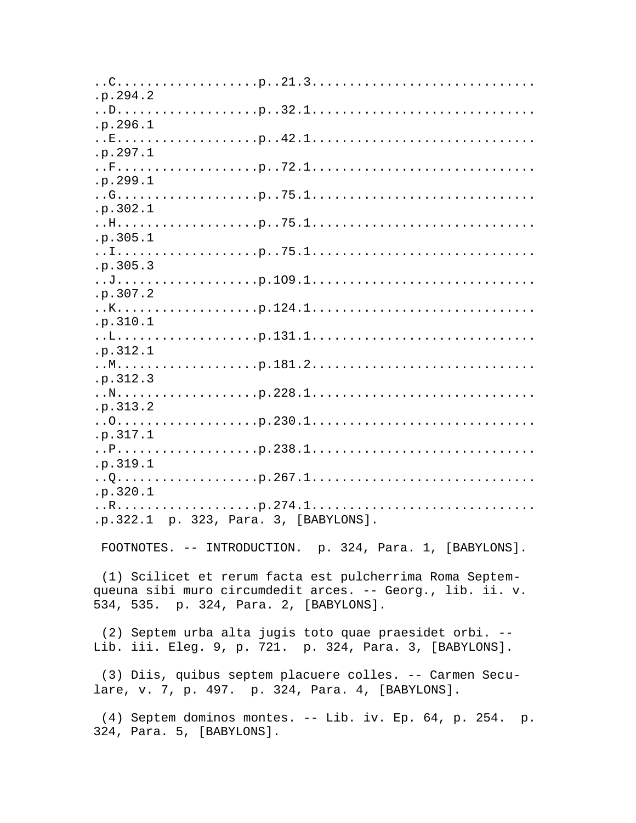..C...................p..21.3.............................. .p.294.2 ..D...................p..32.1.............................. .p.296.1 ..E...................p..42.1.............................. .p.297.1 ..F...................p..72.1.............................. .p.299.1 ..G...................p..75.1.............................. .p.302.1 ..H...................p..75.1.............................. .p.305.1 ..I...................p..75.1.............................. .p.305.3 ..J...................p.1O9.1.............................. .p.307.2 ..K...................p.124.1.............................. .p.310.1 ..L...................p.131.1.............................. .p.312.1 ..M...................p.181.2.............................. .p.312.3 ..N...................p.228.1.............................. .p.313.2 ..O...................p.230.1.............................. .p.317.1 ..P...................p.238.1.............................. .p.319.1 ..Q...................p.267.1.............................. .p.320.1 ..R...................p.274.1.............................. .p.322.1 p. 323, Para. 3, [BABYLONS]. FOOTNOTES. -- INTRODUCTION. p. 324, Para. 1, [BABYLONS].

 (1) Scilicet et rerum facta est pulcherrima Roma Septemqueuna sibi muro circumdedit arces. -- Georg., lib. ii. v. 534, 535. p. 324, Para. 2, [BABYLONS].

 (2) Septem urba alta jugis toto quae praesidet orbi. -- Lib. iii. Eleg. 9, p. 721. p. 324, Para. 3, [BABYLONS].

 (3) Diis, quibus septem placuere colles. -- Carmen Seculare, v. 7, p. 497. p. 324, Para. 4, [BABYLONS].

 (4) Septem dominos montes. -- Lib. iv. Ep. 64, p. 254. p. 324, Para. 5, [BABYLONS].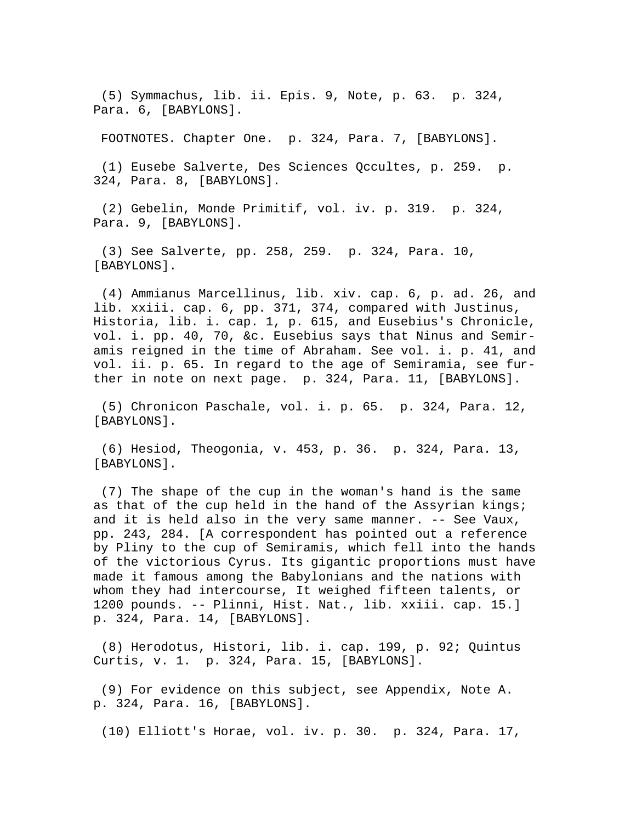(5) Symmachus, lib. ii. Epis. 9, Note, p. 63. p. 324, Para. 6, [BABYLONS].

FOOTNOTES. Chapter One. p. 324, Para. 7, [BABYLONS].

 (1) Eusebe Salverte, Des Sciences Qccultes, p. 259. p. 324, Para. 8, [BABYLONS].

 (2) Gebelin, Monde Primitif, vol. iv. p. 319. p. 324, Para. 9, [BABYLONS].

 (3) See Salverte, pp. 258, 259. p. 324, Para. 10, [BABYLONS].

 (4) Ammianus Marcellinus, lib. xiv. cap. 6, p. ad. 26, and lib. xxiii. cap. 6, pp. 371, 374, compared with Justinus, Historia, lib. i. cap. 1, p. 615, and Eusebius's Chronicle, vol. i. pp. 40, 70, &c. Eusebius says that Ninus and Semiramis reigned in the time of Abraham. See vol. i. p. 41, and vol. ii. p. 65. In regard to the age of Semiramia, see further in note on next page. p. 324, Para. 11, [BABYLONS].

 (5) Chronicon Paschale, vol. i. p. 65. p. 324, Para. 12, [BABYLONS].

 (6) Hesiod, Theogonia, v. 453, p. 36. p. 324, Para. 13, [BABYLONS].

 (7) The shape of the cup in the woman's hand is the same as that of the cup held in the hand of the Assyrian kings; and it is held also in the very same manner. -- See Vaux, pp. 243, 284. [A correspondent has pointed out a reference by Pliny to the cup of Semiramis, which fell into the hands of the victorious Cyrus. Its gigantic proportions must have made it famous among the Babylonians and the nations with whom they had intercourse, It weighed fifteen talents, or 1200 pounds. -- Plinni, Hist. Nat., lib. xxiii. cap. 15.] p. 324, Para. 14, [BABYLONS].

 (8) Herodotus, Histori, lib. i. cap. 199, p. 92; Quintus Curtis, v. 1. p. 324, Para. 15, [BABYLONS].

 (9) For evidence on this subject, see Appendix, Note A. p. 324, Para. 16, [BABYLONS].

(10) Elliott's Horae, vol. iv. p. 30. p. 324, Para. 17,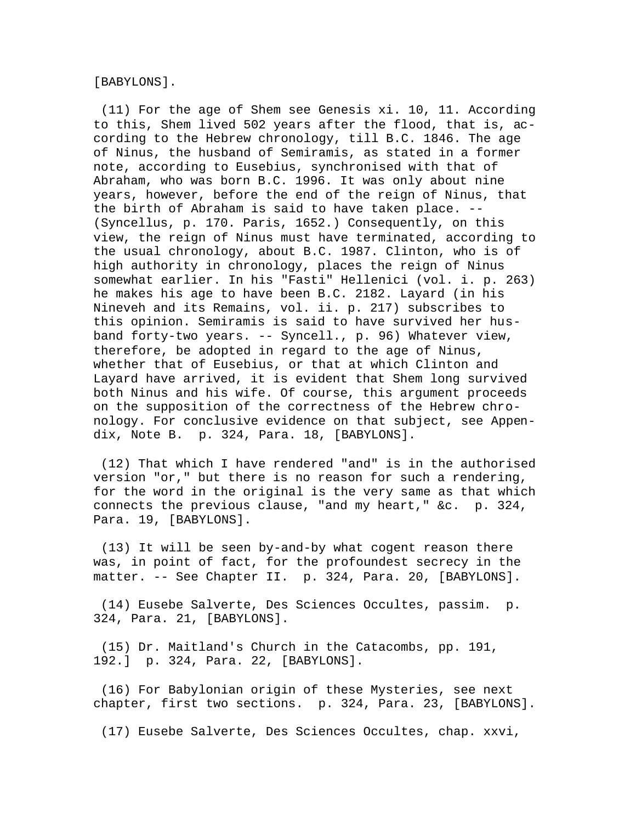[BABYLONS].

 (11) For the age of Shem see Genesis xi. 10, 11. According to this, Shem lived 502 years after the flood, that is, according to the Hebrew chronology, till B.C. 1846. The age of Ninus, the husband of Semiramis, as stated in a former note, according to Eusebius, synchronised with that of Abraham, who was born B.C. 1996. It was only about nine years, however, before the end of the reign of Ninus, that the birth of Abraham is said to have taken place. -- (Syncellus, p. 170. Paris, 1652.) Consequently, on this view, the reign of Ninus must have terminated, according to the usual chronology, about B.C. 1987. Clinton, who is of high authority in chronology, places the reign of Ninus somewhat earlier. In his "Fasti" Hellenici (vol. i. p. 263) he makes his age to have been B.C. 2182. Layard (in his Nineveh and its Remains, vol. ii. p. 217) subscribes to this opinion. Semiramis is said to have survived her husband forty-two years. -- Syncell., p. 96) Whatever view, therefore, be adopted in regard to the age of Ninus, whether that of Eusebius, or that at which Clinton and Layard have arrived, it is evident that Shem long survived both Ninus and his wife. Of course, this argument proceeds on the supposition of the correctness of the Hebrew chronology. For conclusive evidence on that subject, see Appendix, Note B. p. 324, Para. 18, [BABYLONS].

 (12) That which I have rendered "and" is in the authorised version "or," but there is no reason for such a rendering, for the word in the original is the very same as that which connects the previous clause, "and my heart," &c. p. 324, Para. 19, [BABYLONS].

 (13) It will be seen by-and-by what cogent reason there was, in point of fact, for the profoundest secrecy in the matter. -- See Chapter II. p. 324, Para. 20, [BABYLONS].

 (14) Eusebe Salverte, Des Sciences Occultes, passim. p. 324, Para. 21, [BABYLONS].

 (15) Dr. Maitland's Church in the Catacombs, pp. 191, 192.] p. 324, Para. 22, [BABYLONS].

 (16) For Babylonian origin of these Mysteries, see next chapter, first two sections. p. 324, Para. 23, [BABYLONS].

(17) Eusebe Salverte, Des Sciences Occultes, chap. xxvi,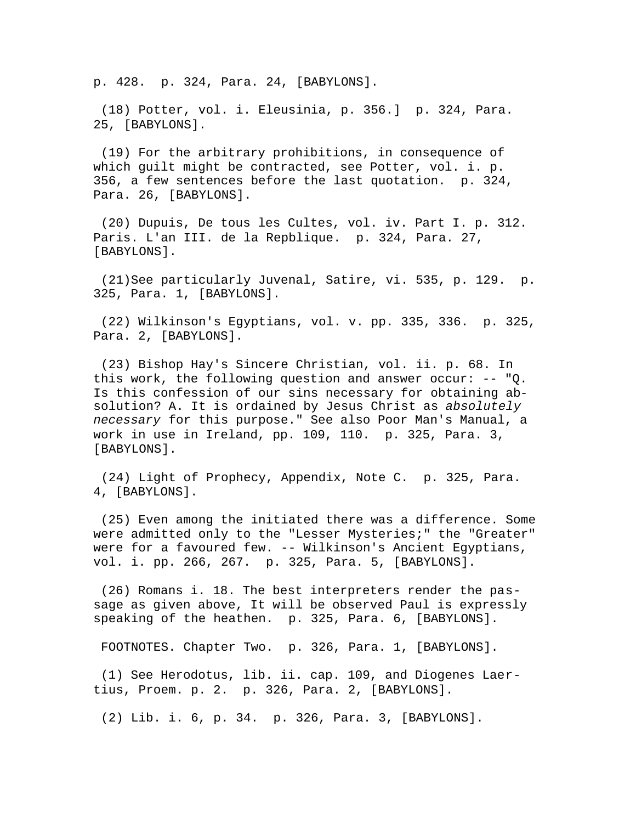p. 428. p. 324, Para. 24, [BABYLONS].

 (18) Potter, vol. i. Eleusinia, p. 356.] p. 324, Para. 25, [BABYLONS].

 (19) For the arbitrary prohibitions, in consequence of which guilt might be contracted, see Potter, vol. i. p. 356, a few sentences before the last quotation. p. 324, Para. 26, [BABYLONS].

 (20) Dupuis, De tous les Cultes, vol. iv. Part I. p. 312. Paris. L'an III. de la Repblique. p. 324, Para. 27, [BABYLONS].

 (21)See particularly Juvenal, Satire, vi. 535, p. 129. p. 325, Para. 1, [BABYLONS].

 (22) Wilkinson's Egyptians, vol. v. pp. 335, 336. p. 325, Para. 2, [BABYLONS].

 (23) Bishop Hay's Sincere Christian, vol. ii. p. 68. In this work, the following question and answer occur:  $--$  "Q. Is this confession of our sins necessary for obtaining absolution? A. It is ordained by Jesus Christ as *absolutely necessary* for this purpose." See also Poor Man's Manual, a work in use in Ireland, pp. 109, 110. p. 325, Para. 3, [BABYLONS].

 (24) Light of Prophecy, Appendix, Note C. p. 325, Para. 4, [BABYLONS].

 (25) Even among the initiated there was a difference. Some were admitted only to the "Lesser Mysteries;" the "Greater" were for a favoured few. -- Wilkinson's Ancient Egyptians, vol. i. pp. 266, 267. p. 325, Para. 5, [BABYLONS].

 (26) Romans i. 18. The best interpreters render the passage as given above, It will be observed Paul is expressly speaking of the heathen. p. 325, Para. 6, [BABYLONS].

FOOTNOTES. Chapter Two. p. 326, Para. 1, [BABYLONS].

 (1) See Herodotus, lib. ii. cap. 109, and Diogenes Laertius, Proem. p. 2. p. 326, Para. 2, [BABYLONS].

(2) Lib. i. 6, p. 34. p. 326, Para. 3, [BABYLONS].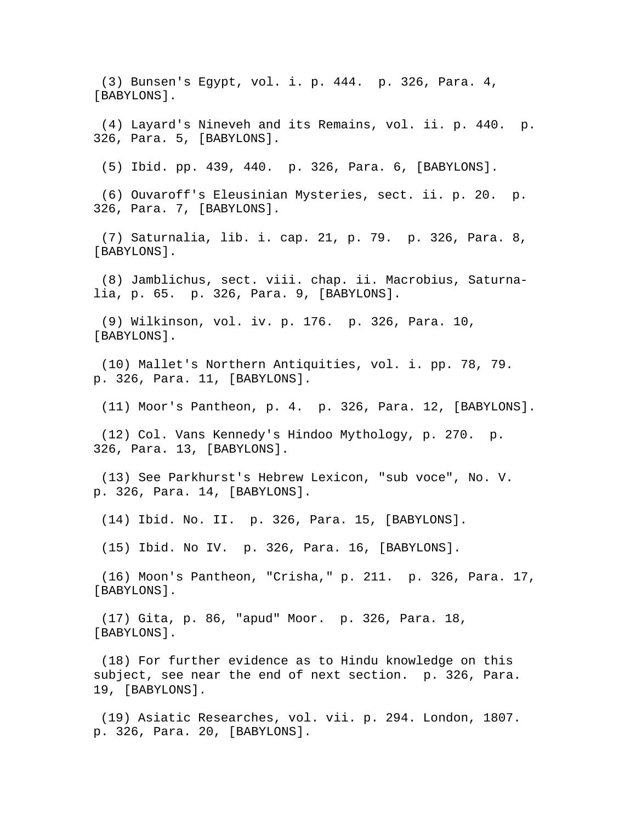(3) Bunsen's Egypt, vol. i. p. 444. p. 326, Para. 4, [BABYLONS]. (4) Layard's Nineveh and its Remains, vol. ii. p. 440. p. 326, Para. 5, [BABYLONS]. (5) Ibid. pp. 439, 440. p. 326, Para. 6, [BABYLONS]. (6) Ouvaroff's Eleusinian Mysteries, sect. ii. p. 20. p. 326, Para. 7, [BABYLONS]. (7) Saturnalia, lib. i. cap. 21, p. 79. p. 326, Para. 8, [BABYLONS]. (8) Jamblichus, sect. viii. chap. ii. Macrobius, Saturnalia, p. 65. p. 326, Para. 9, [BABYLONS]. (9) Wilkinson, vol. iv. p. 176. p. 326, Para. 10, [BABYLONS]. (10) Mallet's Northern Antiquities, vol. i. pp. 78, 79. p. 326, Para. 11, [BABYLONS]. (11) Moor's Pantheon, p. 4. p. 326, Para. 12, [BABYLONS]. (12) Col. Vans Kennedy's Hindoo Mythology, p. 270. p. 326, Para. 13, [BABYLONS]. (13) See Parkhurst's Hebrew Lexicon, "sub voce", No. V. p. 326, Para. 14, [BABYLONS]. (14) Ibid. No. II. p. 326, Para. 15, [BABYLONS]. (15) Ibid. No IV. p. 326, Para. 16, [BABYLONS]. (16) Moon's Pantheon, "Crisha," p. 211. p. 326, Para. 17, [BABYLONS]. (17) Gita, p. 86, "apud" Moor. p. 326, Para. 18, [BABYLONS]. (18) For further evidence as to Hindu knowledge on this subject, see near the end of next section. p. 326, Para. 19, [BABYLONS].

 (19) Asiatic Researches, vol. vii. p. 294. London, 1807. p. 326, Para. 20, [BABYLONS].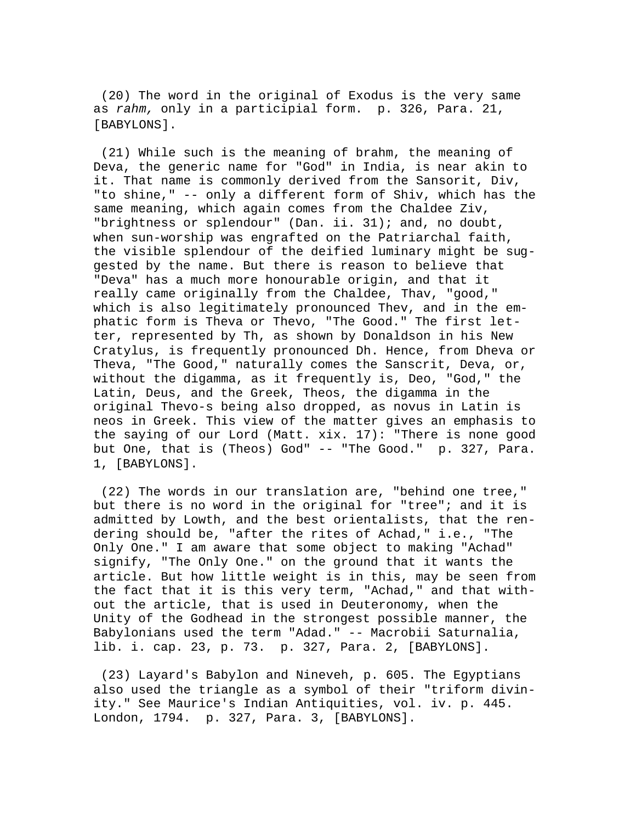(20) The word in the original of Exodus is the very same as *rahm,* only in a participial form. p. 326, Para. 21, [BABYLONS].

 (21) While such is the meaning of brahm, the meaning of Deva, the generic name for "God" in India, is near akin to it. That name is commonly derived from the Sansorit, Div, "to shine," -- only a different form of Shiv, which has the same meaning, which again comes from the Chaldee Ziv, "brightness or splendour" (Dan. ii. 31); and, no doubt, when sun-worship was engrafted on the Patriarchal faith, the visible splendour of the deified luminary might be suggested by the name. But there is reason to believe that "Deva" has a much more honourable origin, and that it really came originally from the Chaldee, Thav, "good," which is also legitimately pronounced Thev, and in the emphatic form is Theva or Thevo, "The Good." The first letter, represented by Th, as shown by Donaldson in his New Cratylus, is frequently pronounced Dh. Hence, from Dheva or Theva, "The Good," naturally comes the Sanscrit, Deva, or, without the digamma, as it frequently is, Deo, "God," the Latin, Deus, and the Greek, Theos, the digamma in the original Thevo-s being also dropped, as novus in Latin is neos in Greek. This view of the matter gives an emphasis to the saying of our Lord (Matt. xix. 17): "There is none good but One, that is (Theos) God" -- "The Good." p. 327, Para. 1, [BABYLONS].

 (22) The words in our translation are, "behind one tree," but there is no word in the original for "tree"; and it is admitted by Lowth, and the best orientalists, that the rendering should be, "after the rites of Achad," i.e., "The Only One." I am aware that some object to making "Achad" signify, "The Only One." on the ground that it wants the article. But how little weight is in this, may be seen from the fact that it is this very term, "Achad," and that without the article, that is used in Deuteronomy, when the Unity of the Godhead in the strongest possible manner, the Babylonians used the term "Adad." -- Macrobii Saturnalia, lib. i. cap. 23, p. 73. p. 327, Para. 2, [BABYLONS].

 (23) Layard's Babylon and Nineveh, p. 605. The Egyptians also used the triangle as a symbol of their "triform divinity." See Maurice's Indian Antiquities, vol. iv. p. 445. London, 1794. p. 327, Para. 3, [BABYLONS].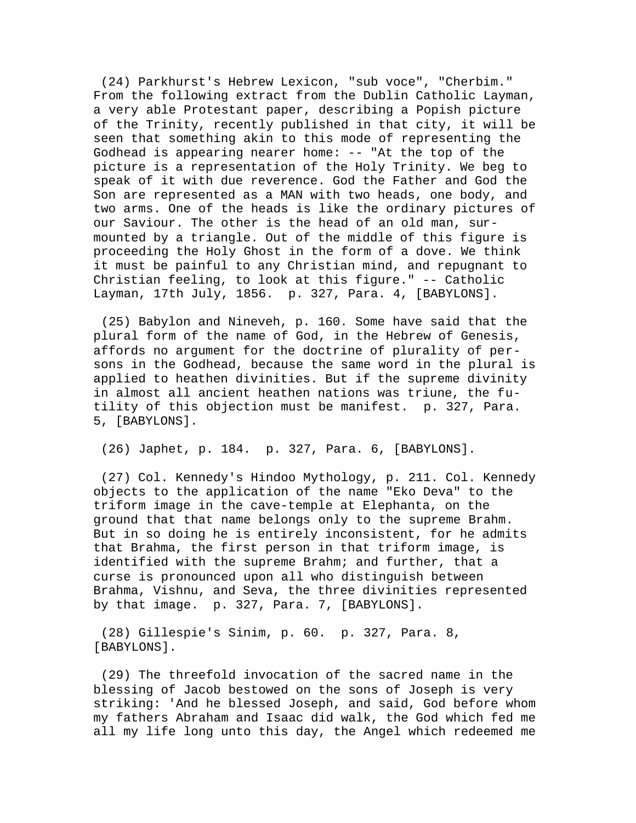(24) Parkhurst's Hebrew Lexicon, "sub voce", "Cherbim." From the following extract from the Dublin Catholic Layman, a very able Protestant paper, describing a Popish picture of the Trinity, recently published in that city, it will be seen that something akin to this mode of representing the Godhead is appearing nearer home: -- "At the top of the picture is a representation of the Holy Trinity. We beg to speak of it with due reverence. God the Father and God the Son are represented as a MAN with two heads, one body, and two arms. One of the heads is like the ordinary pictures of our Saviour. The other is the head of an old man, surmounted by a triangle. Out of the middle of this figure is proceeding the Holy Ghost in the form of a dove. We think it must be painful to any Christian mind, and repugnant to Christian feeling, to look at this figure." -- Catholic Layman, 17th July, 1856. p. 327, Para. 4, [BABYLONS].

 (25) Babylon and Nineveh, p. 160. Some have said that the plural form of the name of God, in the Hebrew of Genesis, affords no argument for the doctrine of plurality of persons in the Godhead, because the same word in the plural is applied to heathen divinities. But if the supreme divinity in almost all ancient heathen nations was triune, the futility of this objection must be manifest. p. 327, Para. 5, [BABYLONS].

(26) Japhet, p. 184. p. 327, Para. 6, [BABYLONS].

 (27) Col. Kennedy's Hindoo Mythology, p. 211. Col. Kennedy objects to the application of the name "Eko Deva" to the triform image in the cave-temple at Elephanta, on the ground that that name belongs only to the supreme Brahm. But in so doing he is entirely inconsistent, for he admits that Brahma, the first person in that triform image, is identified with the supreme Brahm; and further, that a curse is pronounced upon all who distinguish between Brahma, Vishnu, and Seva, the three divinities represented by that image. p. 327, Para. 7, [BABYLONS].

 (28) Gillespie's Sinim, p. 60. p. 327, Para. 8, [BABYLONS].

 (29) The threefold invocation of the sacred name in the blessing of Jacob bestowed on the sons of Joseph is very striking: 'And he blessed Joseph, and said, God before whom my fathers Abraham and Isaac did walk, the God which fed me all my life long unto this day, the Angel which redeemed me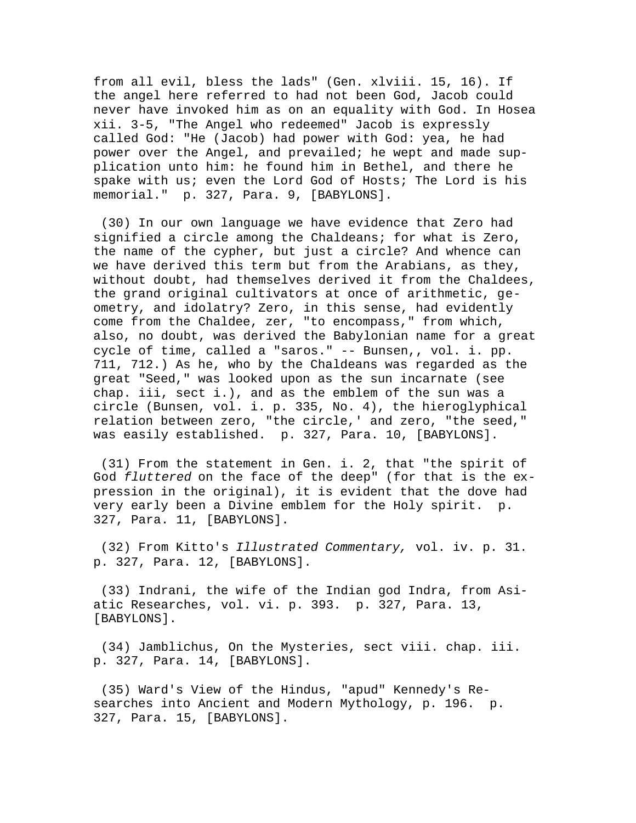from all evil, bless the lads" (Gen. xlviii. 15, 16). If the angel here referred to had not been God, Jacob could never have invoked him as on an equality with God. In Hosea xii. 3-5, "The Angel who redeemed" Jacob is expressly called God: "He (Jacob) had power with God: yea, he had power over the Angel, and prevailed; he wept and made supplication unto him: he found him in Bethel, and there he spake with us; even the Lord God of Hosts; The Lord is his memorial." p. 327, Para. 9, [BABYLONS].

 (30) In our own language we have evidence that Zero had signified a circle among the Chaldeans; for what is Zero, the name of the cypher, but just a circle? And whence can we have derived this term but from the Arabians, as they, without doubt, had themselves derived it from the Chaldees, the grand original cultivators at once of arithmetic, geometry, and idolatry? Zero, in this sense, had evidently come from the Chaldee, zer, "to encompass," from which, also, no doubt, was derived the Babylonian name for a great cycle of time, called a "saros." -- Bunsen,, vol. i. pp. 711, 712.) As he, who by the Chaldeans was regarded as the great "Seed," was looked upon as the sun incarnate (see chap. iii, sect i.), and as the emblem of the sun was a circle (Bunsen, vol. i. p. 335, No. 4), the hieroglyphical relation between zero, "the circle,' and zero, "the seed," was easily established. p. 327, Para. 10, [BABYLONS].

 (31) From the statement in Gen. i. 2, that "the spirit of God *fluttered* on the face of the deep" (for that is the expression in the original), it is evident that the dove had very early been a Divine emblem for the Holy spirit. p. 327, Para. 11, [BABYLONS].

 (32) From Kitto's *Illustrated Commentary,* vol. iv. p. 31. p. 327, Para. 12, [BABYLONS].

 (33) Indrani, the wife of the Indian god Indra, from Asiatic Researches, vol. vi. p. 393. p. 327, Para. 13, [BABYLONS].

 (34) Jamblichus, On the Mysteries, sect viii. chap. iii. p. 327, Para. 14, [BABYLONS].

 (35) Ward's View of the Hindus, "apud" Kennedy's Researches into Ancient and Modern Mythology, p. 196. p. 327, Para. 15, [BABYLONS].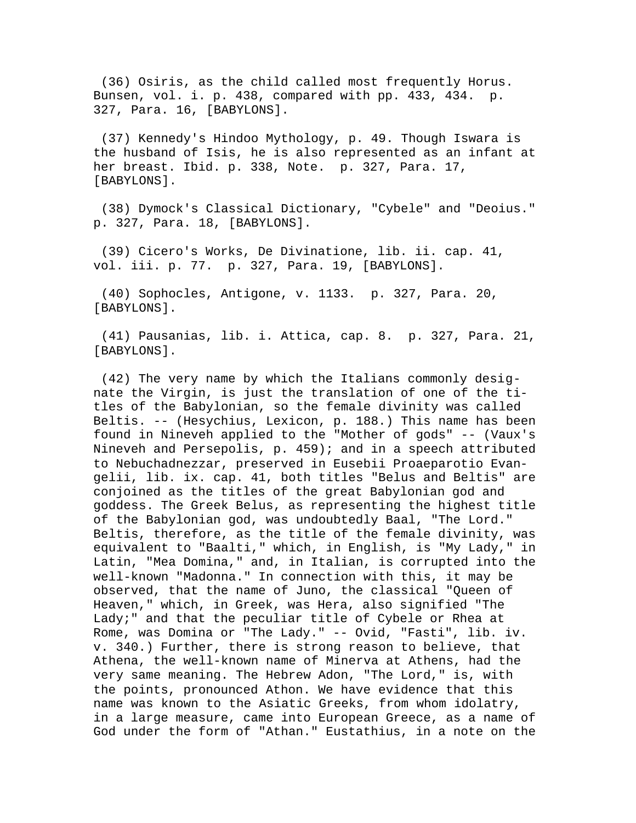(36) Osiris, as the child called most frequently Horus. Bunsen, vol. i. p. 438, compared with pp. 433, 434. p. 327, Para. 16, [BABYLONS].

 (37) Kennedy's Hindoo Mythology, p. 49. Though Iswara is the husband of Isis, he is also represented as an infant at her breast. Ibid. p. 338, Note. p. 327, Para. 17, [BABYLONS].

 (38) Dymock's Classical Dictionary, "Cybele" and "Deoius." p. 327, Para. 18, [BABYLONS].

 (39) Cicero's Works, De Divinatione, lib. ii. cap. 41, vol. iii. p. 77. p. 327, Para. 19, [BABYLONS].

 (40) Sophocles, Antigone, v. 1133. p. 327, Para. 20, [BABYLONS].

 (41) Pausanias, lib. i. Attica, cap. 8. p. 327, Para. 21, [BABYLONS].

 (42) The very name by which the Italians commonly designate the Virgin, is just the translation of one of the titles of the Babylonian, so the female divinity was called Beltis. -- (Hesychius, Lexicon, p. 188.) This name has been found in Nineveh applied to the "Mother of gods" -- (Vaux's Nineveh and Persepolis, p. 459); and in a speech attributed to Nebuchadnezzar, preserved in Eusebii Proaeparotio Evangelii, lib. ix. cap. 41, both titles "Belus and Beltis" are conjoined as the titles of the great Babylonian god and goddess. The Greek Belus, as representing the highest title of the Babylonian god, was undoubtedly Baal, "The Lord." Beltis, therefore, as the title of the female divinity, was equivalent to "Baalti," which, in English, is "My Lady," in Latin, "Mea Domina," and, in Italian, is corrupted into the well-known "Madonna." In connection with this, it may be observed, that the name of Juno, the classical "Queen of Heaven," which, in Greek, was Hera, also signified "The Lady;" and that the peculiar title of Cybele or Rhea at Rome, was Domina or "The Lady." -- Ovid, "Fasti", lib. iv. v. 340.) Further, there is strong reason to believe, that Athena, the well-known name of Minerva at Athens, had the very same meaning. The Hebrew Adon, "The Lord," is, with the points, pronounced Athon. We have evidence that this name was known to the Asiatic Greeks, from whom idolatry, in a large measure, came into European Greece, as a name of God under the form of "Athan." Eustathius, in a note on the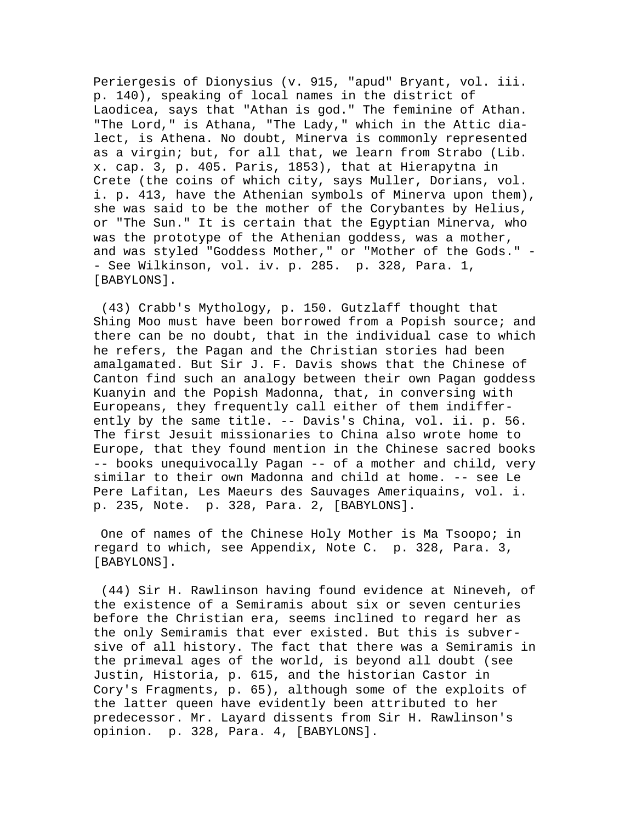Periergesis of Dionysius (v. 915, "apud" Bryant, vol. iii. p. 140), speaking of local names in the district of Laodicea, says that "Athan is god." The feminine of Athan. "The Lord," is Athana, "The Lady," which in the Attic dialect, is Athena. No doubt, Minerva is commonly represented as a virgin; but, for all that, we learn from Strabo (Lib. x. cap. 3, p. 405. Paris, 1853), that at Hierapytna in Crete (the coins of which city, says Muller, Dorians, vol. i. p. 413, have the Athenian symbols of Minerva upon them), she was said to be the mother of the Corybantes by Helius, or "The Sun." It is certain that the Egyptian Minerva, who was the prototype of the Athenian goddess, was a mother, and was styled "Goddess Mother," or "Mother of the Gods." - - See Wilkinson, vol. iv. p. 285. p. 328, Para. 1, [BABYLONS].

 (43) Crabb's Mythology, p. 150. Gutzlaff thought that Shing Moo must have been borrowed from a Popish source; and there can be no doubt, that in the individual case to which he refers, the Pagan and the Christian stories had been amalgamated. But Sir J. F. Davis shows that the Chinese of Canton find such an analogy between their own Pagan goddess Kuanyin and the Popish Madonna, that, in conversing with Europeans, they frequently call either of them indifferently by the same title. -- Davis's China, vol. ii. p. 56. The first Jesuit missionaries to China also wrote home to Europe, that they found mention in the Chinese sacred books -- books unequivocally Pagan -- of a mother and child, very similar to their own Madonna and child at home. -- see Le Pere Lafitan, Les Maeurs des Sauvages Ameriquains, vol. i. p. 235, Note. p. 328, Para. 2, [BABYLONS].

 One of names of the Chinese Holy Mother is Ma Tsoopo; in regard to which, see Appendix, Note C. p. 328, Para. 3, [BABYLONS].

 (44) Sir H. Rawlinson having found evidence at Nineveh, of the existence of a Semiramis about six or seven centuries before the Christian era, seems inclined to regard her as the only Semiramis that ever existed. But this is subversive of all history. The fact that there was a Semiramis in the primeval ages of the world, is beyond all doubt (see Justin, Historia, p. 615, and the historian Castor in Cory's Fragments, p. 65), although some of the exploits of the latter queen have evidently been attributed to her predecessor. Mr. Layard dissents from Sir H. Rawlinson's opinion. p. 328, Para. 4, [BABYLONS].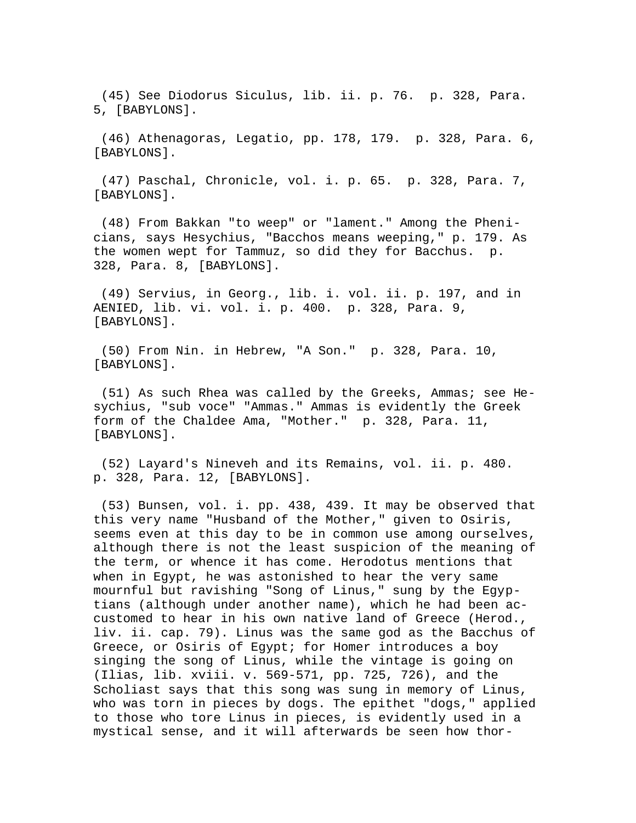(45) See Diodorus Siculus, lib. ii. p. 76. p. 328, Para. 5, [BABYLONS].

 (46) Athenagoras, Legatio, pp. 178, 179. p. 328, Para. 6, [BABYLONS].

 (47) Paschal, Chronicle, vol. i. p. 65. p. 328, Para. 7, [BABYLONS].

 (48) From Bakkan "to weep" or "lament." Among the Phenicians, says Hesychius, "Bacchos means weeping," p. 179. As the women wept for Tammuz, so did they for Bacchus. p. 328, Para. 8, [BABYLONS].

 (49) Servius, in Georg., lib. i. vol. ii. p. 197, and in AENIED, lib. vi. vol. i. p. 400. p. 328, Para. 9, [BABYLONS].

 (50) From Nin. in Hebrew, "A Son." p. 328, Para. 10, [BABYLONS].

 (51) As such Rhea was called by the Greeks, Ammas; see Hesychius, "sub voce" "Ammas." Ammas is evidently the Greek form of the Chaldee Ama, "Mother." p. 328, Para. 11, [BABYLONS].

 (52) Layard's Nineveh and its Remains, vol. ii. p. 480. p. 328, Para. 12, [BABYLONS].

 (53) Bunsen, vol. i. pp. 438, 439. It may be observed that this very name "Husband of the Mother," given to Osiris, seems even at this day to be in common use among ourselves, although there is not the least suspicion of the meaning of the term, or whence it has come. Herodotus mentions that when in Egypt, he was astonished to hear the very same mournful but ravishing "Song of Linus," sung by the Egyptians (although under another name), which he had been accustomed to hear in his own native land of Greece (Herod., liv. ii. cap. 79). Linus was the same god as the Bacchus of Greece, or Osiris of Egypt; for Homer introduces a boy singing the song of Linus, while the vintage is going on (Ilias, lib. xviii. v. 569-571, pp. 725, 726), and the Scholiast says that this song was sung in memory of Linus, who was torn in pieces by dogs. The epithet "dogs," applied to those who tore Linus in pieces, is evidently used in a mystical sense, and it will afterwards be seen how thor-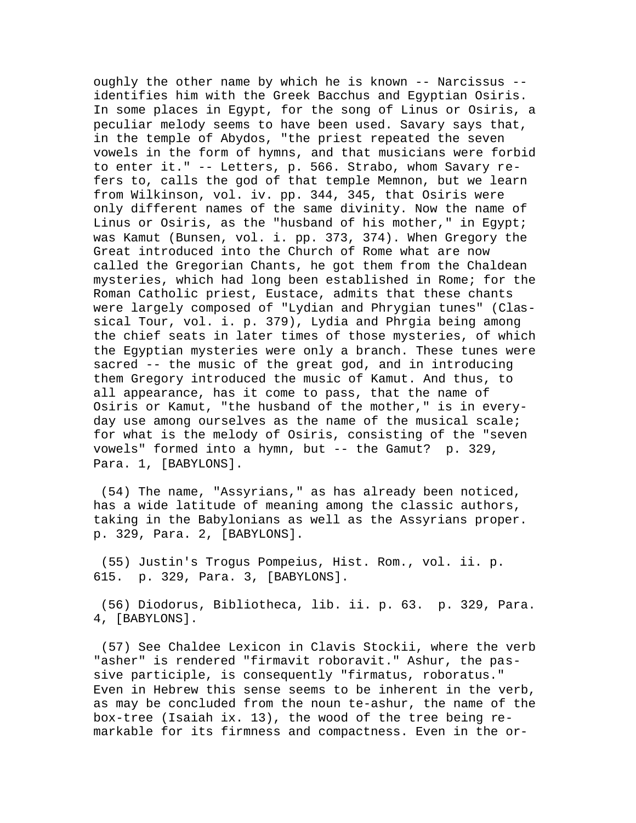oughly the other name by which he is known -- Narcissus - identifies him with the Greek Bacchus and Egyptian Osiris. In some places in Egypt, for the song of Linus or Osiris, a peculiar melody seems to have been used. Savary says that, in the temple of Abydos, "the priest repeated the seven vowels in the form of hymns, and that musicians were forbid to enter it." -- Letters, p. 566. Strabo, whom Savary refers to, calls the god of that temple Memnon, but we learn from Wilkinson, vol. iv. pp. 344, 345, that Osiris were only different names of the same divinity. Now the name of Linus or Osiris, as the "husband of his mother," in Egypt; was Kamut (Bunsen, vol. i. pp. 373, 374). When Gregory the Great introduced into the Church of Rome what are now called the Gregorian Chants, he got them from the Chaldean mysteries, which had long been established in Rome; for the Roman Catholic priest, Eustace, admits that these chants were largely composed of "Lydian and Phrygian tunes" (Classical Tour, vol. i. p. 379), Lydia and Phrgia being among the chief seats in later times of those mysteries, of which the Egyptian mysteries were only a branch. These tunes were sacred -- the music of the great god, and in introducing them Gregory introduced the music of Kamut. And thus, to all appearance, has it come to pass, that the name of Osiris or Kamut, "the husband of the mother," is in everyday use among ourselves as the name of the musical scale; for what is the melody of Osiris, consisting of the "seven vowels" formed into a hymn, but -- the Gamut? p. 329, Para. 1, [BABYLONS].

 (54) The name, "Assyrians," as has already been noticed, has a wide latitude of meaning among the classic authors, taking in the Babylonians as well as the Assyrians proper. p. 329, Para. 2, [BABYLONS].

 (55) Justin's Trogus Pompeius, Hist. Rom., vol. ii. p. 615. p. 329, Para. 3, [BABYLONS].

 (56) Diodorus, Bibliotheca, lib. ii. p. 63. p. 329, Para. 4, [BABYLONS].

 (57) See Chaldee Lexicon in Clavis Stockii, where the verb "asher" is rendered "firmavit roboravit." Ashur, the passive participle, is consequently "firmatus, roboratus." Even in Hebrew this sense seems to be inherent in the verb, as may be concluded from the noun te-ashur, the name of the box-tree (Isaiah ix. 13), the wood of the tree being remarkable for its firmness and compactness. Even in the or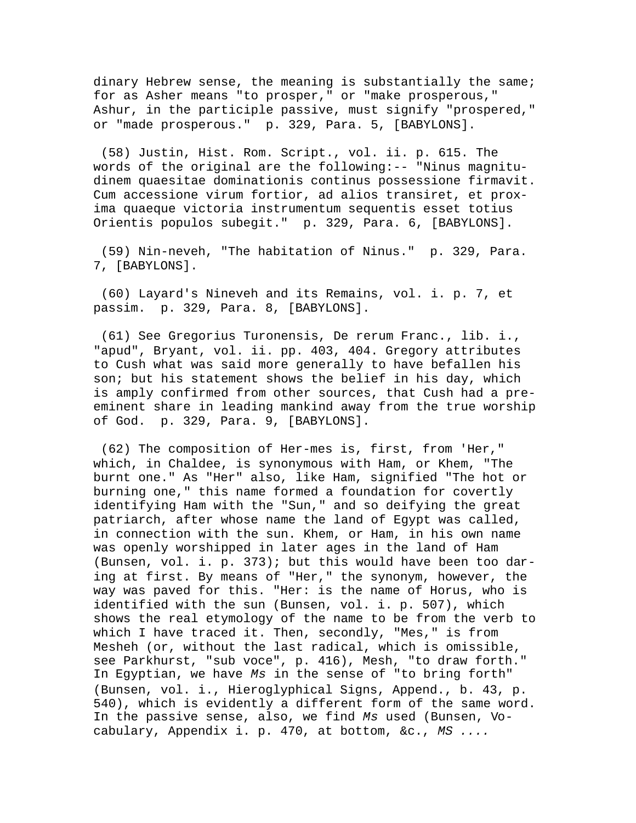dinary Hebrew sense, the meaning is substantially the same; for as Asher means "to prosper," or "make prosperous," Ashur, in the participle passive, must signify "prospered," or "made prosperous." p. 329, Para. 5, [BABYLONS].

 (58) Justin, Hist. Rom. Script., vol. ii. p. 615. The words of the original are the following:-- "Ninus magnitudinem quaesitae dominationis continus possessione firmavit. Cum accessione virum fortior, ad alios transiret, et proxima quaeque victoria instrumentum sequentis esset totius Orientis populos subegit." p. 329, Para. 6, [BABYLONS].

 (59) Nin-neveh, "The habitation of Ninus." p. 329, Para. 7, [BABYLONS].

 (60) Layard's Nineveh and its Remains, vol. i. p. 7, et passim. p. 329, Para. 8, [BABYLONS].

 (61) See Gregorius Turonensis, De rerum Franc., lib. i., "apud", Bryant, vol. ii. pp. 403, 404. Gregory attributes to Cush what was said more generally to have befallen his son; but his statement shows the belief in his day, which is amply confirmed from other sources, that Cush had a preeminent share in leading mankind away from the true worship of God. p. 329, Para. 9, [BABYLONS].

 (62) The composition of Her-mes is, first, from 'Her," which, in Chaldee, is synonymous with Ham, or Khem, "The burnt one." As "Her" also, like Ham, signified "The hot or burning one," this name formed a foundation for covertly identifying Ham with the "Sun," and so deifying the great patriarch, after whose name the land of Egypt was called, in connection with the sun. Khem, or Ham, in his own name was openly worshipped in later ages in the land of Ham (Bunsen, vol. i. p. 373); but this would have been too daring at first. By means of "Her," the synonym, however, the way was paved for this. "Her: is the name of Horus, who is identified with the sun (Bunsen, vol. i. p. 507), which shows the real etymology of the name to be from the verb to which I have traced it. Then, secondly, "Mes," is from Mesheh (or, without the last radical, which is omissible, see Parkhurst, "sub voce", p. 416), Mesh, "to draw forth." In Egyptian, we have *Ms* in the sense of "to bring forth" (Bunsen, vol. i., Hieroglyphical Signs, Append., b. 43, p. 540), which is evidently a different form of the same word. In the passive sense, also, we find *Ms* used (Bunsen, Vocabulary, Appendix i. p. 470, at bottom, &c., *MS ....*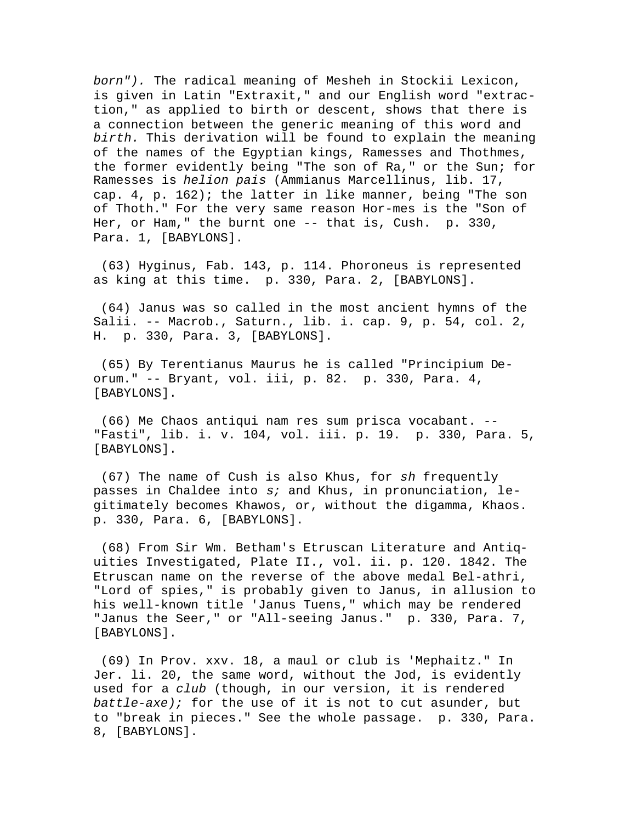*born").* The radical meaning of Mesheh in Stockii Lexicon, is given in Latin "Extraxit," and our English word "extraction," as applied to birth or descent, shows that there is a connection between the generic meaning of this word and *birth.* This derivation will be found to explain the meaning of the names of the Egyptian kings, Ramesses and Thothmes, the former evidently being "The son of Ra," or the Sun; for Ramesses is *helion pais* (Ammianus Marcellinus, lib. 17, cap. 4, p. 162); the latter in like manner, being "The son of Thoth." For the very same reason Hor-mes is the "Son of Her, or Ham," the burnt one -- that is, Cush. p. 330, Para. 1, [BABYLONS].

 (63) Hyginus, Fab. 143, p. 114. Phoroneus is represented as king at this time. p. 330, Para. 2, [BABYLONS].

 (64) Janus was so called in the most ancient hymns of the Salii. -- Macrob., Saturn., lib. i. cap. 9, p. 54, col. 2, H. p. 330, Para. 3, [BABYLONS].

 (65) By Terentianus Maurus he is called "Principium Deorum." -- Bryant, vol. iii, p. 82. p. 330, Para. 4, [BABYLONS].

 (66) Me Chaos antiqui nam res sum prisca vocabant. -- "Fasti", lib. i. v. 104, vol. iii. p. 19. p. 330, Para. 5, [BABYLONS].

 (67) The name of Cush is also Khus, for *sh* frequently passes in Chaldee into *s;* and Khus, in pronunciation, legitimately becomes Khawos, or, without the digamma, Khaos. p. 330, Para. 6, [BABYLONS].

 (68) From Sir Wm. Betham's Etruscan Literature and Antiquities Investigated, Plate II., vol. ii. p. 120. 1842. The Etruscan name on the reverse of the above medal Bel-athri, "Lord of spies," is probably given to Janus, in allusion to his well-known title 'Janus Tuens," which may be rendered "Janus the Seer," or "All-seeing Janus." p. 330, Para. 7, [BABYLONS].

 (69) In Prov. xxv. 18, a maul or club is 'Mephaitz." In Jer. li. 20, the same word, without the Jod, is evidently used for a *club* (though, in our version, it is rendered *battle-axe);* for the use of it is not to cut asunder, but to "break in pieces." See the whole passage. p. 330, Para. 8, [BABYLONS].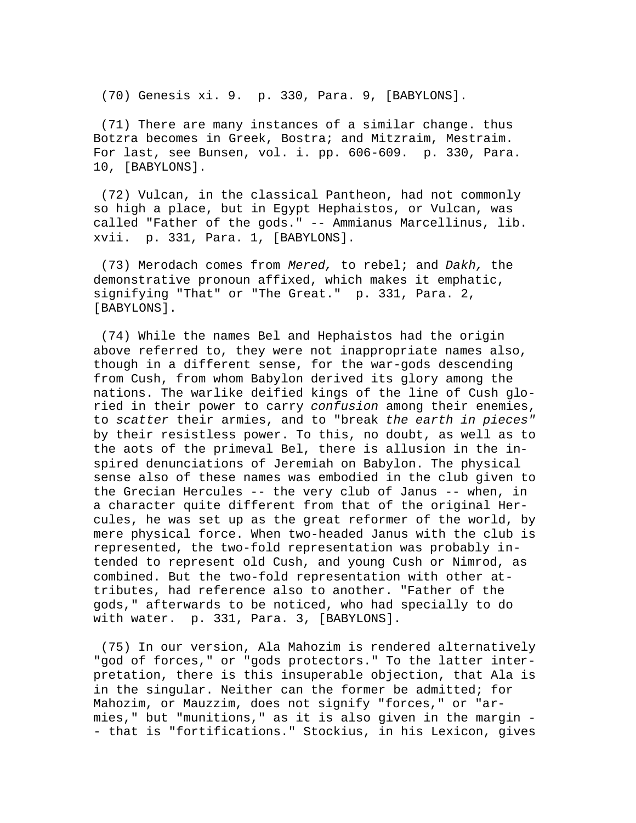(70) Genesis xi. 9. p. 330, Para. 9, [BABYLONS].

 (71) There are many instances of a similar change. thus Botzra becomes in Greek, Bostra; and Mitzraim, Mestraim. For last, see Bunsen, vol. i. pp. 606-609. p. 330, Para. 10, [BABYLONS].

 (72) Vulcan, in the classical Pantheon, had not commonly so high a place, but in Egypt Hephaistos, or Vulcan, was called "Father of the gods." -- Ammianus Marcellinus, lib. xvii. p. 331, Para. 1, [BABYLONS].

 (73) Merodach comes from *Mered,* to rebel; and *Dakh,* the demonstrative pronoun affixed, which makes it emphatic, signifying "That" or "The Great." p. 331, Para. 2, [BABYLONS].

 (74) While the names Bel and Hephaistos had the origin above referred to, they were not inappropriate names also, though in a different sense, for the war-gods descending from Cush, from whom Babylon derived its glory among the nations. The warlike deified kings of the line of Cush gloried in their power to carry *confusion* among their enemies, to *scatter* their armies, and to "break *the earth in pieces"* by their resistless power. To this, no doubt, as well as to the aots of the primeval Bel, there is allusion in the inspired denunciations of Jeremiah on Babylon. The physical sense also of these names was embodied in the club given to the Grecian Hercules -- the very club of Janus -- when, in a character quite different from that of the original Hercules, he was set up as the great reformer of the world, by mere physical force. When two-headed Janus with the club is represented, the two-fold representation was probably intended to represent old Cush, and young Cush or Nimrod, as combined. But the two-fold representation with other attributes, had reference also to another. "Father of the gods," afterwards to be noticed, who had specially to do with water. p. 331, Para. 3, [BABYLONS].

 (75) In our version, Ala Mahozim is rendered alternatively "god of forces," or "gods protectors." To the latter interpretation, there is this insuperable objection, that Ala is in the singular. Neither can the former be admitted; for Mahozim, or Mauzzim, does not signify "forces," or "armies," but "munitions," as it is also given in the margin - - that is "fortifications." Stockius, in his Lexicon, gives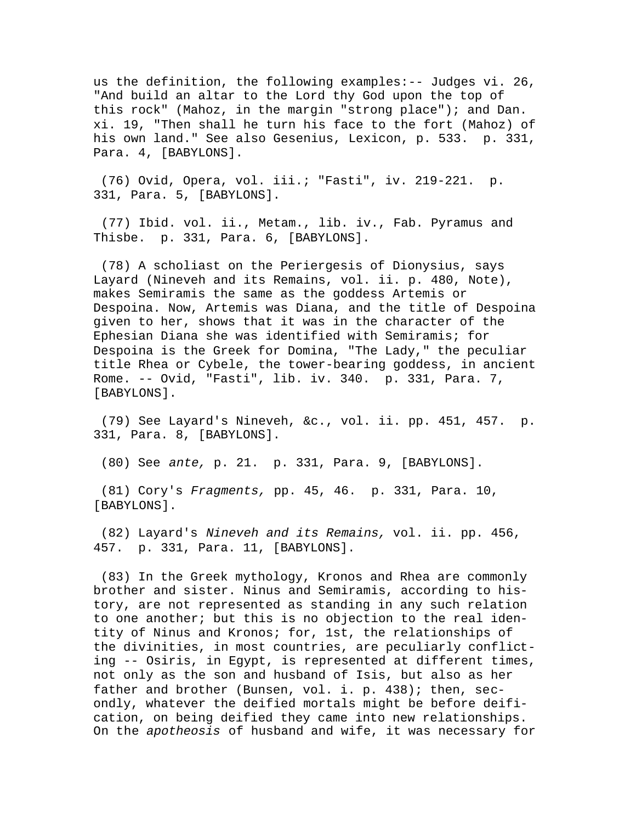us the definition, the following examples:-- Judges vi. 26, "And build an altar to the Lord thy God upon the top of this rock" (Mahoz, in the margin "strong place"); and Dan. xi. 19, "Then shall he turn his face to the fort (Mahoz) of his own land." See also Gesenius, Lexicon, p. 533. p. 331, Para. 4, [BABYLONS].

 (76) Ovid, Opera, vol. iii.; "Fasti", iv. 219-221. p. 331, Para. 5, [BABYLONS].

 (77) Ibid. vol. ii., Metam., lib. iv., Fab. Pyramus and Thisbe. p. 331, Para. 6, [BABYLONS].

 (78) A scholiast on the Periergesis of Dionysius, says Layard (Nineveh and its Remains, vol. ii. p. 480, Note), makes Semiramis the same as the goddess Artemis or Despoina. Now, Artemis was Diana, and the title of Despoina given to her, shows that it was in the character of the Ephesian Diana she was identified with Semiramis; for Despoina is the Greek for Domina, "The Lady," the peculiar title Rhea or Cybele, the tower-bearing goddess, in ancient Rome. -- Ovid, "Fasti", lib. iv. 340. p. 331, Para. 7, [BABYLONS].

 (79) See Layard's Nineveh, &c., vol. ii. pp. 451, 457. p. 331, Para. 8, [BABYLONS].

(80) See *ante,* p. 21. p. 331, Para. 9, [BABYLONS].

 (81) Cory's *Fragments,* pp. 45, 46. p. 331, Para. 10, [BABYLONS].

 (82) Layard's *Nineveh and its Remains,* vol. ii. pp. 456, 457. p. 331, Para. 11, [BABYLONS].

 (83) In the Greek mythology, Kronos and Rhea are commonly brother and sister. Ninus and Semiramis, according to history, are not represented as standing in any such relation to one another; but this is no objection to the real identity of Ninus and Kronos; for, 1st, the relationships of the divinities, in most countries, are peculiarly conflicting -- Osiris, in Egypt, is represented at different times, not only as the son and husband of Isis, but also as her father and brother (Bunsen, vol. i. p. 438); then, secondly, whatever the deified mortals might be before deification, on being deified they came into new relationships. On the *apotheosis* of husband and wife, it was necessary for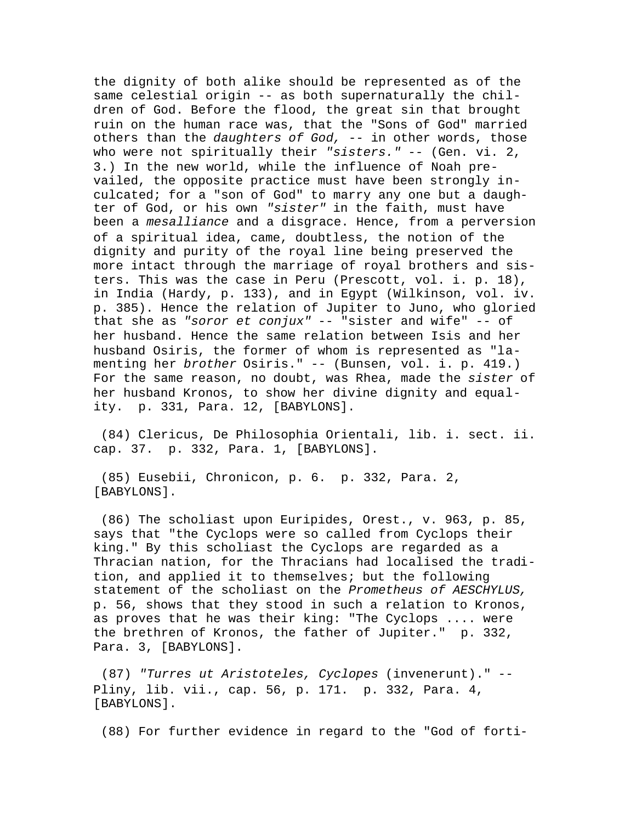the dignity of both alike should be represented as of the same celestial origin -- as both supernaturally the children of God. Before the flood, the great sin that brought ruin on the human race was, that the "Sons of God" married others than the *daughters of God,* -- in other words, those who were not spiritually their "sisters." -- (Gen. vi. 2, 3.) In the new world, while the influence of Noah prevailed, the opposite practice must have been strongly inculcated; for a "son of God" to marry any one but a daughter of God, or his own *"sister"* in the faith, must have been a *mesalliance* and a disgrace. Hence, from a perversion of a spiritual idea, came, doubtless, the notion of the dignity and purity of the royal line being preserved the more intact through the marriage of royal brothers and sisters. This was the case in Peru (Prescott, vol. i. p. 18), in India (Hardy, p. 133), and in Egypt (Wilkinson, vol. iv. p. 385). Hence the relation of Jupiter to Juno, who gloried that she as *"soror et conjux"* -- "sister and wife" -- of her husband. Hence the same relation between Isis and her husband Osiris, the former of whom is represented as "lamenting her *brother* Osiris." -- (Bunsen, vol. i. p. 419.) For the same reason, no doubt, was Rhea, made the *sister* of her husband Kronos, to show her divine dignity and equality. p. 331, Para. 12, [BABYLONS].

 (84) Clericus, De Philosophia Orientali, lib. i. sect. ii. cap. 37. p. 332, Para. 1, [BABYLONS].

 (85) Eusebii, Chronicon, p. 6. p. 332, Para. 2, [BABYLONS].

 (86) The scholiast upon Euripides, Orest., v. 963, p. 85, says that "the Cyclops were so called from Cyclops their king." By this scholiast the Cyclops are regarded as a Thracian nation, for the Thracians had localised the tradition, and applied it to themselves; but the following statement of the scholiast on the *Prometheus of AESCHYLUS,* p. 56, shows that they stood in such a relation to Kronos, as proves that he was their king: "The Cyclops .... were the brethren of Kronos, the father of Jupiter." p. 332, Para. 3, [BABYLONS].

 (87) *"Turres ut Aristoteles, Cyclopes* (invenerunt)." -- Pliny, lib. vii., cap. 56, p. 171. p. 332, Para. 4, [BABYLONS].

(88) For further evidence in regard to the "God of forti-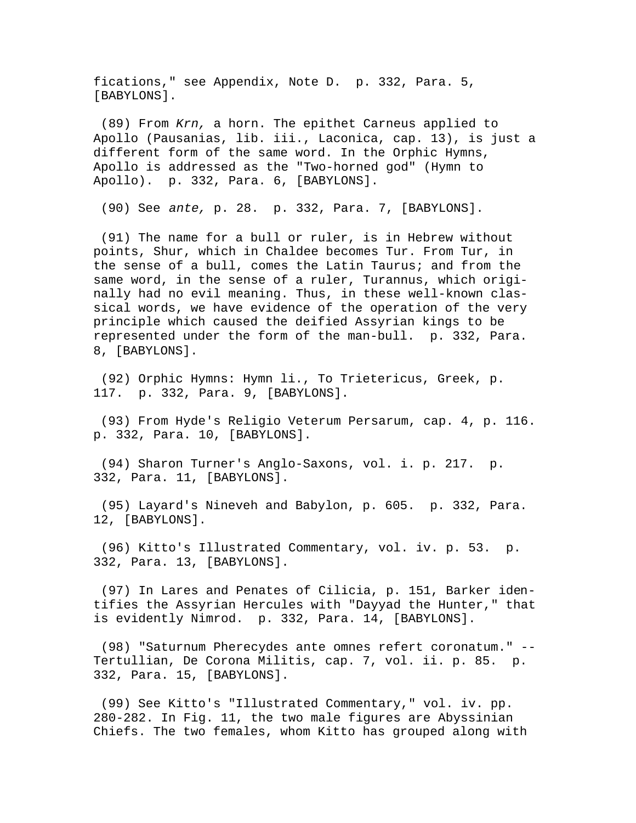fications," see Appendix, Note D. p. 332, Para. 5, [BABYLONS].

 (89) From *Krn,* a horn. The epithet Carneus applied to Apollo (Pausanias, lib. iii., Laconica, cap. 13), is just a different form of the same word. In the Orphic Hymns, Apollo is addressed as the "Two-horned god" (Hymn to Apollo). p. 332, Para. 6, [BABYLONS].

(90) See *ante,* p. 28. p. 332, Para. 7, [BABYLONS].

 (91) The name for a bull or ruler, is in Hebrew without points, Shur, which in Chaldee becomes Tur. From Tur, in the sense of a bull, comes the Latin Taurus; and from the same word, in the sense of a ruler, Turannus, which originally had no evil meaning. Thus, in these well-known classical words, we have evidence of the operation of the very principle which caused the deified Assyrian kings to be represented under the form of the man-bull. p. 332, Para. 8, [BABYLONS].

 (92) Orphic Hymns: Hymn li., To Trietericus, Greek, p. 117. p. 332, Para. 9, [BABYLONS].

 (93) From Hyde's Religio Veterum Persarum, cap. 4, p. 116. p. 332, Para. 10, [BABYLONS].

 (94) Sharon Turner's Anglo-Saxons, vol. i. p. 217. p. 332, Para. 11, [BABYLONS].

 (95) Layard's Nineveh and Babylon, p. 605. p. 332, Para. 12, [BABYLONS].

 (96) Kitto's Illustrated Commentary, vol. iv. p. 53. p. 332, Para. 13, [BABYLONS].

 (97) In Lares and Penates of Cilicia, p. 151, Barker identifies the Assyrian Hercules with "Dayyad the Hunter," that is evidently Nimrod. p. 332, Para. 14, [BABYLONS].

 (98) "Saturnum Pherecydes ante omnes refert coronatum." -- Tertullian, De Corona Militis, cap. 7, vol. ii. p. 85. p. 332, Para. 15, [BABYLONS].

 (99) See Kitto's "Illustrated Commentary," vol. iv. pp. 280-282. In Fig. 11, the two male figures are Abyssinian Chiefs. The two females, whom Kitto has grouped along with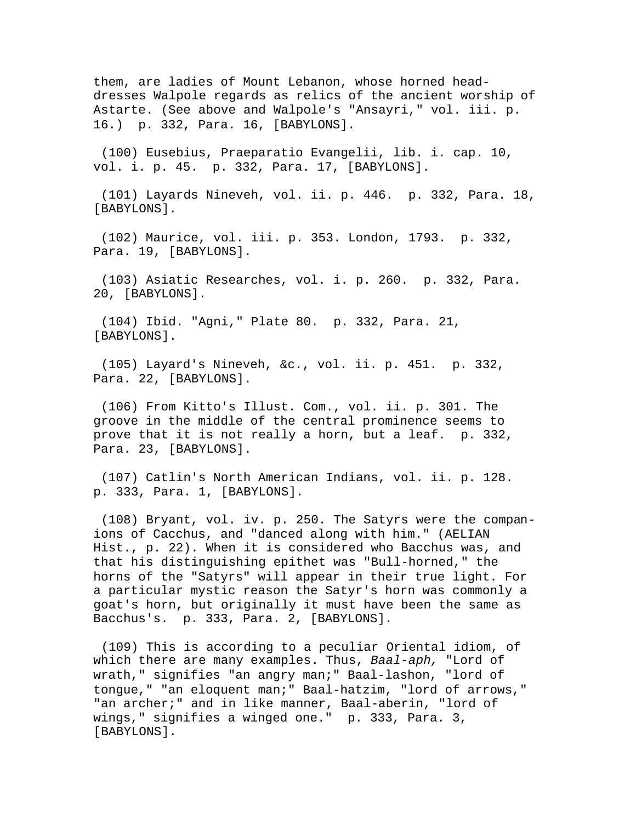them, are ladies of Mount Lebanon, whose horned headdresses Walpole regards as relics of the ancient worship of Astarte. (See above and Walpole's "Ansayri," vol. iii. p. 16.) p. 332, Para. 16, [BABYLONS].

 (100) Eusebius, Praeparatio Evangelii, lib. i. cap. 10, vol. i. p. 45. p. 332, Para. 17, [BABYLONS].

 (101) Layards Nineveh, vol. ii. p. 446. p. 332, Para. 18, [BABYLONS].

 (102) Maurice, vol. iii. p. 353. London, 1793. p. 332, Para. 19, [BABYLONS].

 (103) Asiatic Researches, vol. i. p. 260. p. 332, Para. 20, [BABYLONS].

 (104) Ibid. "Agni," Plate 80. p. 332, Para. 21, [BABYLONS].

 (105) Layard's Nineveh, &c., vol. ii. p. 451. p. 332, Para. 22, [BABYLONS].

 (106) From Kitto's Illust. Com., vol. ii. p. 301. The groove in the middle of the central prominence seems to prove that it is not really a horn, but a leaf. p. 332, Para. 23, [BABYLONS].

 (107) Catlin's North American Indians, vol. ii. p. 128. p. 333, Para. 1, [BABYLONS].

 (108) Bryant, vol. iv. p. 250. The Satyrs were the companions of Cacchus, and "danced along with him." (AELIAN Hist., p. 22). When it is considered who Bacchus was, and that his distinguishing epithet was "Bull-horned," the horns of the "Satyrs" will appear in their true light. For a particular mystic reason the Satyr's horn was commonly a goat's horn, but originally it must have been the same as Bacchus's. p. 333, Para. 2, [BABYLONS].

 (109) This is according to a peculiar Oriental idiom, of which there are many examples. Thus, *Baal-aph,* "Lord of wrath," signifies "an angry man;" Baal-lashon, "lord of tongue," "an eloquent man;" Baal-hatzim, "lord of arrows," "an archer;" and in like manner, Baal-aberin, "lord of wings," signifies a winged one." p. 333, Para. 3, [BABYLONS].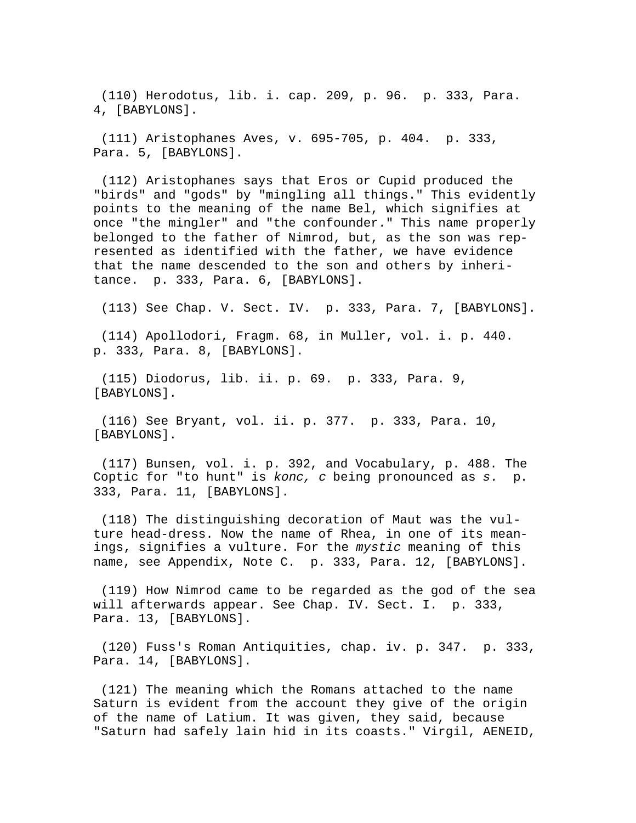(110) Herodotus, lib. i. cap. 209, p. 96. p. 333, Para. 4, [BABYLONS].

 (111) Aristophanes Aves, v. 695-705, p. 404. p. 333, Para. 5, [BABYLONS].

 (112) Aristophanes says that Eros or Cupid produced the "birds" and "gods" by "mingling all things." This evidently points to the meaning of the name Bel, which signifies at once "the mingler" and "the confounder." This name properly belonged to the father of Nimrod, but, as the son was represented as identified with the father, we have evidence that the name descended to the son and others by inheritance. p. 333, Para. 6, [BABYLONS].

(113) See Chap. V. Sect. IV. p. 333, Para. 7, [BABYLONS].

 (114) Apollodori, Fragm. 68, in Muller, vol. i. p. 440. p. 333, Para. 8, [BABYLONS].

 (115) Diodorus, lib. ii. p. 69. p. 333, Para. 9, [BABYLONS].

 (116) See Bryant, vol. ii. p. 377. p. 333, Para. 10, [BABYLONS].

 (117) Bunsen, vol. i. p. 392, and Vocabulary, p. 488. The Coptic for "to hunt" is *konc, c* being pronounced as *s.* p. 333, Para. 11, [BABYLONS].

 (118) The distinguishing decoration of Maut was the vulture head-dress. Now the name of Rhea, in one of its meanings, signifies a vulture. For the *mystic* meaning of this name, see Appendix, Note C. p. 333, Para. 12, [BABYLONS].

 (119) How Nimrod came to be regarded as the god of the sea will afterwards appear. See Chap. IV. Sect. I. p. 333, Para. 13, [BABYLONS].

 (120) Fuss's Roman Antiquities, chap. iv. p. 347. p. 333, Para. 14, [BABYLONS].

 (121) The meaning which the Romans attached to the name Saturn is evident from the account they give of the origin of the name of Latium. It was given, they said, because "Saturn had safely lain hid in its coasts." Virgil, AENEID,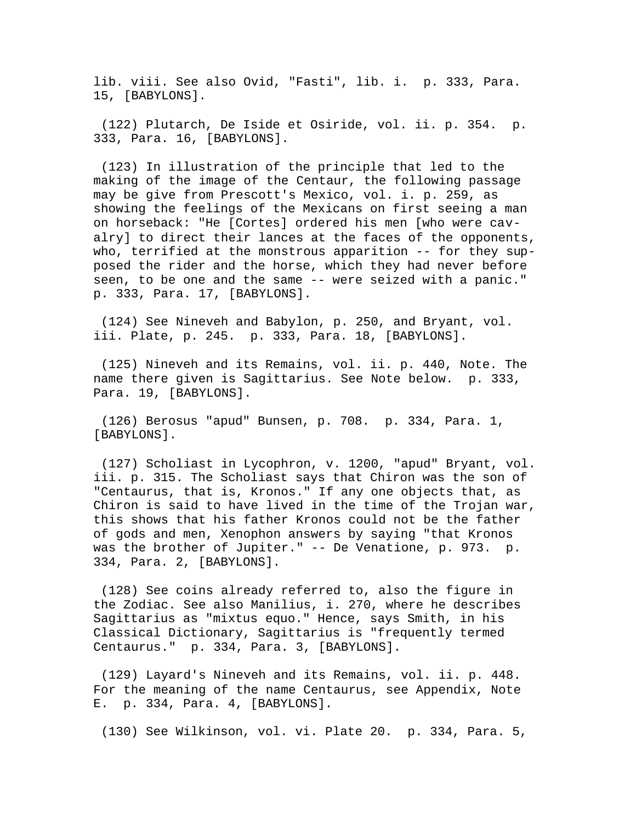lib. viii. See also Ovid, "Fasti", lib. i. p. 333, Para. 15, [BABYLONS].

 (122) Plutarch, De Iside et Osiride, vol. ii. p. 354. p. 333, Para. 16, [BABYLONS].

 (123) In illustration of the principle that led to the making of the image of the Centaur, the following passage may be give from Prescott's Mexico, vol. i. p. 259, as showing the feelings of the Mexicans on first seeing a man on horseback: "He [Cortes] ordered his men [who were cavalry] to direct their lances at the faces of the opponents, who, terrified at the monstrous apparition -- for they supposed the rider and the horse, which they had never before seen, to be one and the same -- were seized with a panic." p. 333, Para. 17, [BABYLONS].

 (124) See Nineveh and Babylon, p. 250, and Bryant, vol. iii. Plate, p. 245. p. 333, Para. 18, [BABYLONS].

 (125) Nineveh and its Remains, vol. ii. p. 440, Note. The name there given is Sagittarius. See Note below. p. 333, Para. 19, [BABYLONS].

 (126) Berosus "apud" Bunsen, p. 708. p. 334, Para. 1, [BABYLONS].

 (127) Scholiast in Lycophron, v. 1200, "apud" Bryant, vol. iii. p. 315. The Scholiast says that Chiron was the son of "Centaurus, that is, Kronos." If any one objects that, as Chiron is said to have lived in the time of the Trojan war, this shows that his father Kronos could not be the father of gods and men, Xenophon answers by saying "that Kronos was the brother of Jupiter." -- De Venatione, p. 973. p. 334, Para. 2, [BABYLONS].

 (128) See coins already referred to, also the figure in the Zodiac. See also Manilius, i. 270, where he describes Sagittarius as "mixtus equo." Hence, says Smith, in his Classical Dictionary, Sagittarius is "frequently termed Centaurus." p. 334, Para. 3, [BABYLONS].

 (129) Layard's Nineveh and its Remains, vol. ii. p. 448. For the meaning of the name Centaurus, see Appendix, Note E. p. 334, Para. 4, [BABYLONS].

(130) See Wilkinson, vol. vi. Plate 20. p. 334, Para. 5,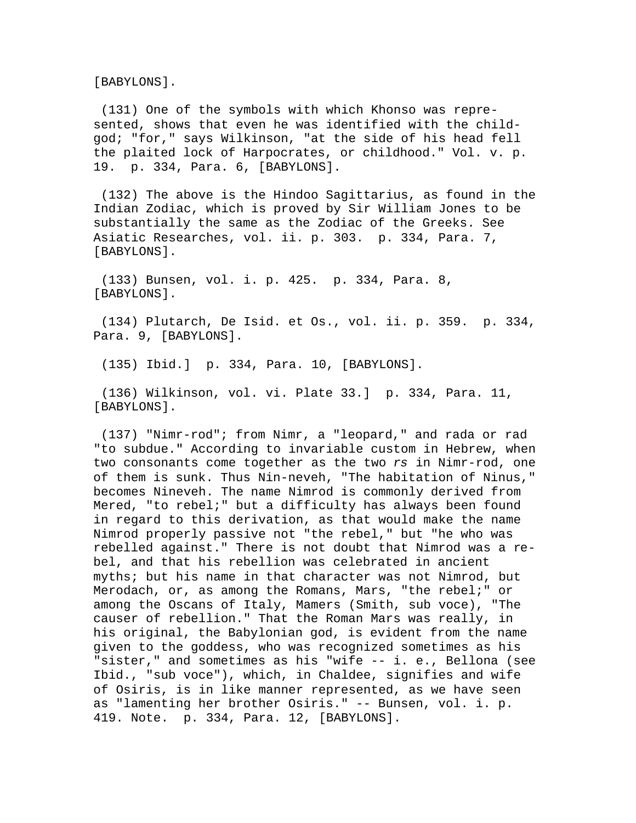[BABYLONS].

 (131) One of the symbols with which Khonso was represented, shows that even he was identified with the childgod; "for," says Wilkinson, "at the side of his head fell the plaited lock of Harpocrates, or childhood." Vol. v. p. 19. p. 334, Para. 6, [BABYLONS].

 (132) The above is the Hindoo Sagittarius, as found in the Indian Zodiac, which is proved by Sir William Jones to be substantially the same as the Zodiac of the Greeks. See Asiatic Researches, vol. ii. p. 303. p. 334, Para. 7, [BABYLONS].

 (133) Bunsen, vol. i. p. 425. p. 334, Para. 8, [BABYLONS].

 (134) Plutarch, De Isid. et Os., vol. ii. p. 359. p. 334, Para. 9, [BABYLONS].

(135) Ibid.] p. 334, Para. 10, [BABYLONS].

 (136) Wilkinson, vol. vi. Plate 33.] p. 334, Para. 11, [BABYLONS].

 (137) "Nimr-rod"; from Nimr, a "leopard," and rada or rad "to subdue." According to invariable custom in Hebrew, when two consonants come together as the two *rs* in Nimr-rod, one of them is sunk. Thus Nin-neveh, "The habitation of Ninus," becomes Nineveh. The name Nimrod is commonly derived from Mered, "to rebel;" but a difficulty has always been found in regard to this derivation, as that would make the name Nimrod properly passive not "the rebel," but "he who was rebelled against." There is not doubt that Nimrod was a rebel, and that his rebellion was celebrated in ancient myths; but his name in that character was not Nimrod, but Merodach, or, as among the Romans, Mars, "the rebel;" or among the Oscans of Italy, Mamers (Smith, sub voce), "The causer of rebellion." That the Roman Mars was really, in his original, the Babylonian god, is evident from the name given to the goddess, who was recognized sometimes as his "sister," and sometimes as his "wife -- i. e., Bellona (see Ibid., "sub voce"), which, in Chaldee, signifies and wife of Osiris, is in like manner represented, as we have seen as "lamenting her brother Osiris." -- Bunsen, vol. i. p. 419. Note. p. 334, Para. 12, [BABYLONS].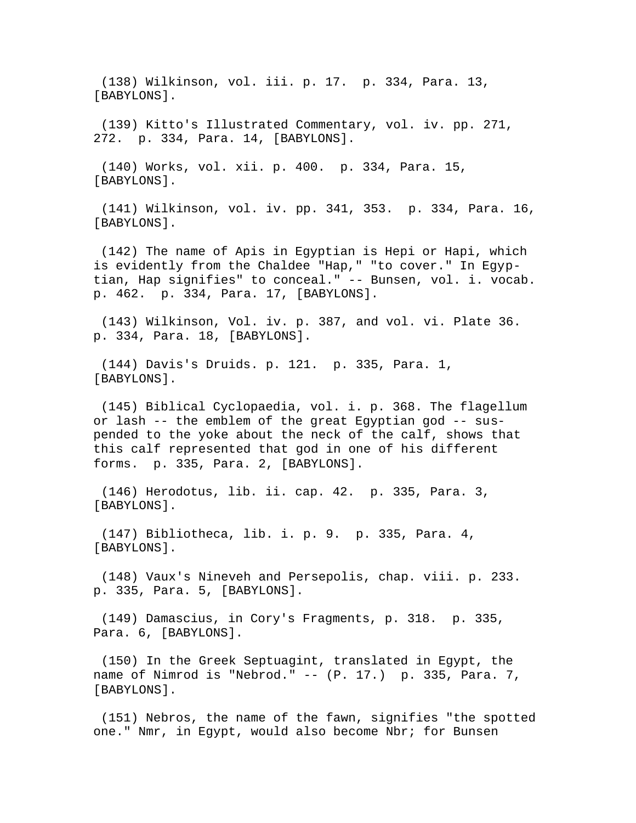(138) Wilkinson, vol. iii. p. 17. p. 334, Para. 13, [BABYLONS].

 (139) Kitto's Illustrated Commentary, vol. iv. pp. 271, 272. p. 334, Para. 14, [BABYLONS].

 (140) Works, vol. xii. p. 400. p. 334, Para. 15, [BABYLONS].

 (141) Wilkinson, vol. iv. pp. 341, 353. p. 334, Para. 16, [BABYLONS].

 (142) The name of Apis in Egyptian is Hepi or Hapi, which is evidently from the Chaldee "Hap," "to cover." In Egyptian, Hap signifies" to conceal." -- Bunsen, vol. i. vocab. p. 462. p. 334, Para. 17, [BABYLONS].

 (143) Wilkinson, Vol. iv. p. 387, and vol. vi. Plate 36. p. 334, Para. 18, [BABYLONS].

 (144) Davis's Druids. p. 121. p. 335, Para. 1, [BABYLONS].

 (145) Biblical Cyclopaedia, vol. i. p. 368. The flagellum or lash -- the emblem of the great Egyptian god -- suspended to the yoke about the neck of the calf, shows that this calf represented that god in one of his different forms. p. 335, Para. 2, [BABYLONS].

 (146) Herodotus, lib. ii. cap. 42. p. 335, Para. 3, [BABYLONS].

 (147) Bibliotheca, lib. i. p. 9. p. 335, Para. 4, [BABYLONS].

 (148) Vaux's Nineveh and Persepolis, chap. viii. p. 233. p. 335, Para. 5, [BABYLONS].

 (149) Damascius, in Cory's Fragments, p. 318. p. 335, Para. 6, [BABYLONS].

 (150) In the Greek Septuagint, translated in Egypt, the name of Nimrod is "Nebrod." -- (P. 17.) p. 335, Para. 7, [BABYLONS].

 (151) Nebros, the name of the fawn, signifies "the spotted one." Nmr, in Egypt, would also become Nbr; for Bunsen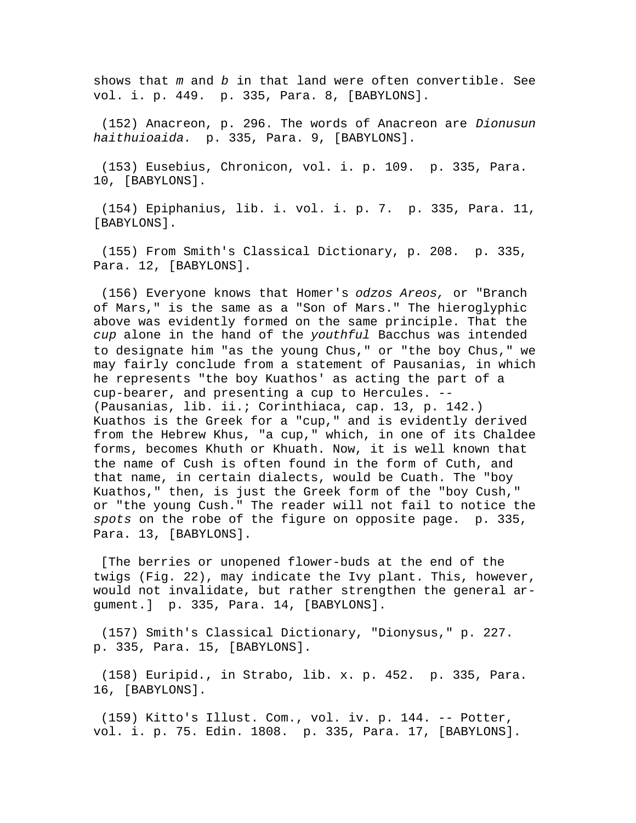shows that *m* and *b* in that land were often convertible. See vol. i. p. 449. p. 335, Para. 8, [BABYLONS].

 (152) Anacreon, p. 296. The words of Anacreon are *Dionusun haithuioaida.* p. 335, Para. 9, [BABYLONS].

 (153) Eusebius, Chronicon, vol. i. p. 109. p. 335, Para. 10, [BABYLONS].

 (154) Epiphanius, lib. i. vol. i. p. 7. p. 335, Para. 11, [BABYLONS].

 (155) From Smith's Classical Dictionary, p. 208. p. 335, Para. 12, [BABYLONS].

 (156) Everyone knows that Homer's *odzos Areos,* or "Branch of Mars," is the same as a "Son of Mars." The hieroglyphic above was evidently formed on the same principle. That the *cup* alone in the hand of the *youthful* Bacchus was intended to designate him "as the young Chus," or "the boy Chus," we may fairly conclude from a statement of Pausanias, in which he represents "the boy Kuathos' as acting the part of a cup-bearer, and presenting a cup to Hercules. -- (Pausanias, lib. ii.; Corinthiaca, cap. 13, p. 142.) Kuathos is the Greek for a "cup," and is evidently derived from the Hebrew Khus, "a cup," which, in one of its Chaldee forms, becomes Khuth or Khuath. Now, it is well known that the name of Cush is often found in the form of Cuth, and that name, in certain dialects, would be Cuath. The "boy Kuathos," then, is just the Greek form of the "boy Cush," or "the young Cush." The reader will not fail to notice the *spots* on the robe of the figure on opposite page. p. 335, Para. 13, [BABYLONS].

 [The berries or unopened flower-buds at the end of the twigs (Fig. 22), may indicate the Ivy plant. This, however, would not invalidate, but rather strengthen the general argument.] p. 335, Para. 14, [BABYLONS].

 (157) Smith's Classical Dictionary, "Dionysus," p. 227. p. 335, Para. 15, [BABYLONS].

 (158) Euripid., in Strabo, lib. x. p. 452. p. 335, Para. 16, [BABYLONS].

 (159) Kitto's Illust. Com., vol. iv. p. 144. -- Potter, vol. i. p. 75. Edin. 1808. p. 335, Para. 17, [BABYLONS].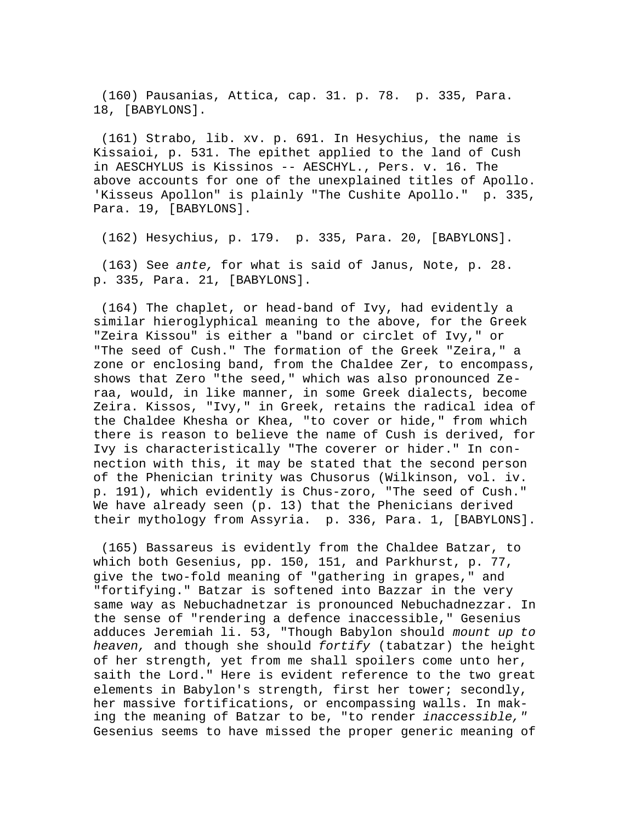(160) Pausanias, Attica, cap. 31. p. 78. p. 335, Para. 18, [BABYLONS].

 (161) Strabo, lib. xv. p. 691. In Hesychius, the name is Kissaioi, p. 531. The epithet applied to the land of Cush in AESCHYLUS is Kissinos -- AESCHYL., Pers. v. 16. The above accounts for one of the unexplained titles of Apollo. 'Kisseus Apollon" is plainly "The Cushite Apollo." p. 335, Para. 19, [BABYLONS].

 (162) Hesychius, p. 179. p. 335, Para. 20, [BABYLONS]. (163) See *ante,* for what is said of Janus, Note, p. 28. p. 335, Para. 21, [BABYLONS].

 (164) The chaplet, or head-band of Ivy, had evidently a similar hieroglyphical meaning to the above, for the Greek "Zeira Kissou" is either a "band or circlet of Ivy," or "The seed of Cush." The formation of the Greek "Zeira," a zone or enclosing band, from the Chaldee Zer, to encompass, shows that Zero "the seed," which was also pronounced Zeraa, would, in like manner, in some Greek dialects, become Zeira. Kissos, "Ivy," in Greek, retains the radical idea of the Chaldee Khesha or Khea, "to cover or hide," from which there is reason to believe the name of Cush is derived, for Ivy is characteristically "The coverer or hider." In connection with this, it may be stated that the second person of the Phenician trinity was Chusorus (Wilkinson, vol. iv. p. 191), which evidently is Chus-zoro, "The seed of Cush." We have already seen (p. 13) that the Phenicians derived their mythology from Assyria. p. 336, Para. 1, [BABYLONS].

 (165) Bassareus is evidently from the Chaldee Batzar, to which both Gesenius, pp. 150, 151, and Parkhurst, p. 77, give the two-fold meaning of "gathering in grapes," and "fortifying." Batzar is softened into Bazzar in the very same way as Nebuchadnetzar is pronounced Nebuchadnezzar. In the sense of "rendering a defence inaccessible," Gesenius adduces Jeremiah li. 53, "Though Babylon should *mount up to heaven,* and though she should *fortify* (tabatzar) the height of her strength, yet from me shall spoilers come unto her, saith the Lord." Here is evident reference to the two great elements in Babylon's strength, first her tower; secondly, her massive fortifications, or encompassing walls. In making the meaning of Batzar to be, "to render *inaccessible,"* Gesenius seems to have missed the proper generic meaning of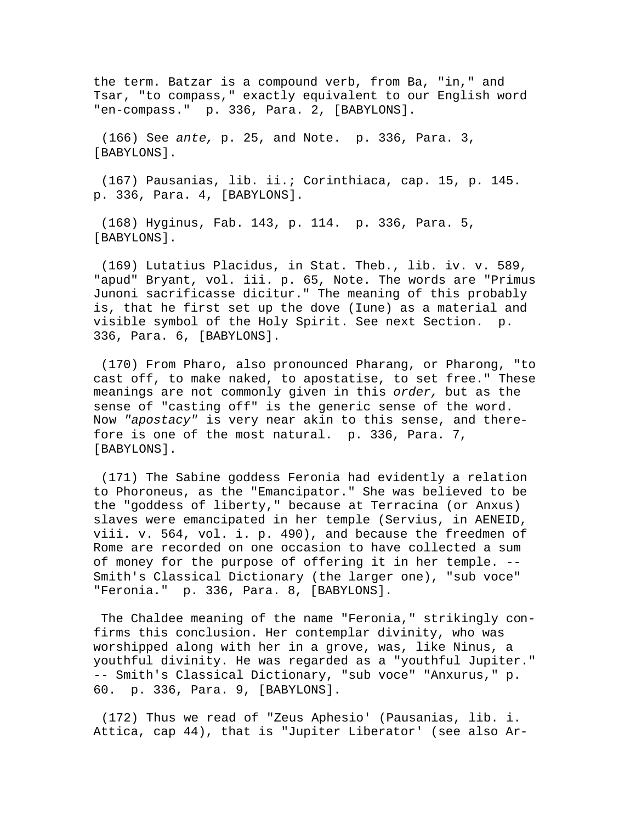the term. Batzar is a compound verb, from Ba, "in," and Tsar, "to compass," exactly equivalent to our English word "en-compass." p. 336, Para. 2, [BABYLONS].

 (166) See *ante,* p. 25, and Note. p. 336, Para. 3, [BABYLONS].

 (167) Pausanias, lib. ii.; Corinthiaca, cap. 15, p. 145. p. 336, Para. 4, [BABYLONS].

 (168) Hyginus, Fab. 143, p. 114. p. 336, Para. 5, [BABYLONS].

 (169) Lutatius Placidus, in Stat. Theb., lib. iv. v. 589, "apud" Bryant, vol. iii. p. 65, Note. The words are "Primus Junoni sacrificasse dicitur." The meaning of this probably is, that he first set up the dove (Iune) as a material and visible symbol of the Holy Spirit. See next Section. p. 336, Para. 6, [BABYLONS].

 (170) From Pharo, also pronounced Pharang, or Pharong, "to cast off, to make naked, to apostatise, to set free." These meanings are not commonly given in this *order,* but as the sense of "casting off" is the generic sense of the word. Now *"apostacy"* is very near akin to this sense, and therefore is one of the most natural. p. 336, Para. 7, [BABYLONS].

 (171) The Sabine goddess Feronia had evidently a relation to Phoroneus, as the "Emancipator." She was believed to be the "goddess of liberty," because at Terracina (or Anxus) slaves were emancipated in her temple (Servius, in AENEID, viii. v. 564, vol. i. p. 490), and because the freedmen of Rome are recorded on one occasion to have collected a sum of money for the purpose of offering it in her temple. -- Smith's Classical Dictionary (the larger one), "sub voce" "Feronia." p. 336, Para. 8, [BABYLONS].

 The Chaldee meaning of the name "Feronia," strikingly confirms this conclusion. Her contemplar divinity, who was worshipped along with her in a grove, was, like Ninus, a youthful divinity. He was regarded as a "youthful Jupiter." -- Smith's Classical Dictionary, "sub voce" "Anxurus," p. 60. p. 336, Para. 9, [BABYLONS].

 (172) Thus we read of "Zeus Aphesio' (Pausanias, lib. i. Attica, cap 44), that is "Jupiter Liberator' (see also Ar-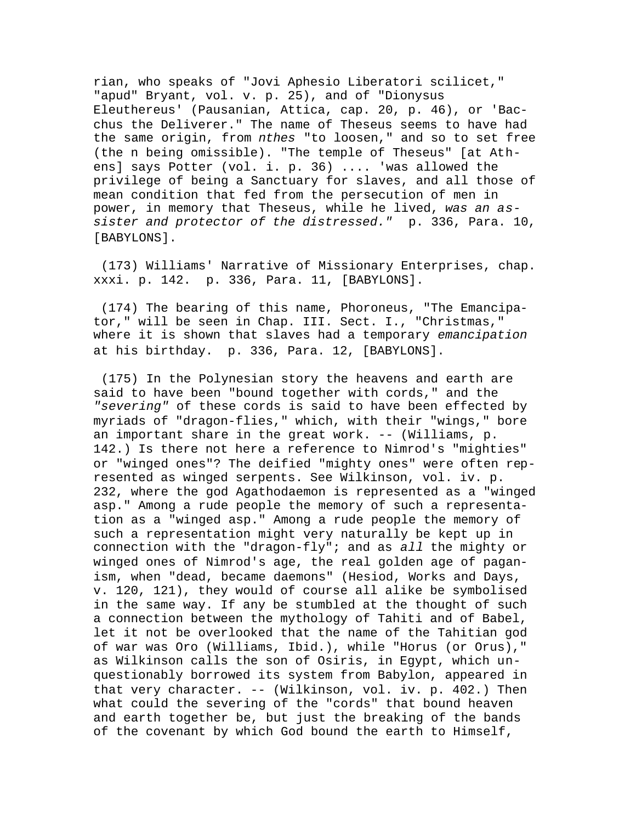rian, who speaks of "Jovi Aphesio Liberatori scilicet," "apud" Bryant, vol. v. p. 25), and of "Dionysus Eleuthereus' (Pausanian, Attica, cap. 20, p. 46), or 'Bacchus the Deliverer." The name of Theseus seems to have had the same origin, from *nthes* "to loosen," and so to set free (the n being omissible). "The temple of Theseus" [at Athens] says Potter (vol. i. p. 36) .... 'was allowed the privilege of being a Sanctuary for slaves, and all those of mean condition that fed from the persecution of men in power, in memory that Theseus, while he lived, *was an assister and protector of the distressed."* p. 336, Para. 10, [BABYLONS].

 (173) Williams' Narrative of Missionary Enterprises, chap. xxxi. p. 142. p. 336, Para. 11, [BABYLONS].

 (174) The bearing of this name, Phoroneus, "The Emancipator," will be seen in Chap. III. Sect. I., "Christmas," where it is shown that slaves had a temporary *emancipation* at his birthday. p. 336, Para. 12, [BABYLONS].

 (175) In the Polynesian story the heavens and earth are said to have been "bound together with cords," and the *"severing"* of these cords is said to have been effected by myriads of "dragon-flies," which, with their "wings," bore an important share in the great work. -- (Williams, p. 142.) Is there not here a reference to Nimrod's "mighties" or "winged ones"? The deified "mighty ones" were often represented as winged serpents. See Wilkinson, vol. iv. p. 232, where the god Agathodaemon is represented as a "winged asp." Among a rude people the memory of such a representation as a "winged asp." Among a rude people the memory of such a representation might very naturally be kept up in connection with the "dragon-fly"; and as *all* the mighty or winged ones of Nimrod's age, the real golden age of paganism, when "dead, became daemons" (Hesiod, Works and Days, v. 120, 121), they would of course all alike be symbolised in the same way. If any be stumbled at the thought of such a connection between the mythology of Tahiti and of Babel, let it not be overlooked that the name of the Tahitian god of war was Oro (Williams, Ibid.), while "Horus (or Orus)," as Wilkinson calls the son of Osiris, in Egypt, which unquestionably borrowed its system from Babylon, appeared in that very character. -- (Wilkinson, vol. iv. p. 402.) Then what could the severing of the "cords" that bound heaven and earth together be, but just the breaking of the bands of the covenant by which God bound the earth to Himself,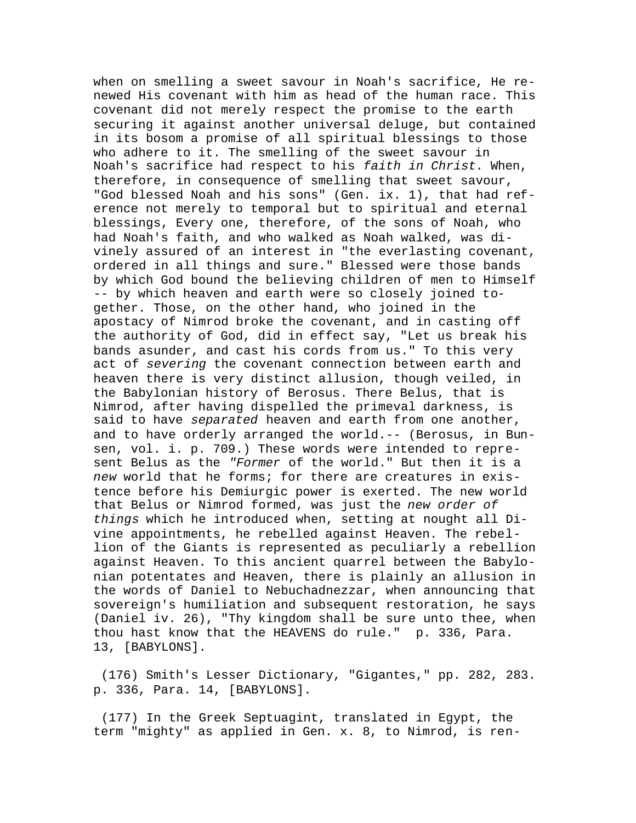when on smelling a sweet savour in Noah's sacrifice, He renewed His covenant with him as head of the human race. This covenant did not merely respect the promise to the earth securing it against another universal deluge, but contained in its bosom a promise of all spiritual blessings to those who adhere to it. The smelling of the sweet savour in Noah's sacrifice had respect to his *faith in Christ.* When, therefore, in consequence of smelling that sweet savour, "God blessed Noah and his sons" (Gen. ix. 1), that had reference not merely to temporal but to spiritual and eternal blessings, Every one, therefore, of the sons of Noah, who had Noah's faith, and who walked as Noah walked, was divinely assured of an interest in "the everlasting covenant, ordered in all things and sure." Blessed were those bands by which God bound the believing children of men to Himself -- by which heaven and earth were so closely joined together. Those, on the other hand, who joined in the apostacy of Nimrod broke the covenant, and in casting off the authority of God, did in effect say, "Let us break his bands asunder, and cast his cords from us." To this very act of *severing* the covenant connection between earth and heaven there is very distinct allusion, though veiled, in the Babylonian history of Berosus. There Belus, that is Nimrod, after having dispelled the primeval darkness, is said to have *separated* heaven and earth from one another, and to have orderly arranged the world.-- (Berosus, in Bunsen, vol. i. p. 709.) These words were intended to represent Belus as the *"Former* of the world." But then it is a *new* world that he forms; for there are creatures in existence before his Demiurgic power is exerted. The new world that Belus or Nimrod formed, was just the *new order of things* which he introduced when, setting at nought all Divine appointments, he rebelled against Heaven. The rebellion of the Giants is represented as peculiarly a rebellion against Heaven. To this ancient quarrel between the Babylonian potentates and Heaven, there is plainly an allusion in the words of Daniel to Nebuchadnezzar, when announcing that sovereign's humiliation and subsequent restoration, he says (Daniel iv. 26), "Thy kingdom shall be sure unto thee, when thou hast know that the HEAVENS do rule." p. 336, Para. 13, [BABYLONS].

 (176) Smith's Lesser Dictionary, "Gigantes," pp. 282, 283. p. 336, Para. 14, [BABYLONS].

 (177) In the Greek Septuagint, translated in Egypt, the term "mighty" as applied in Gen. x. 8, to Nimrod, is ren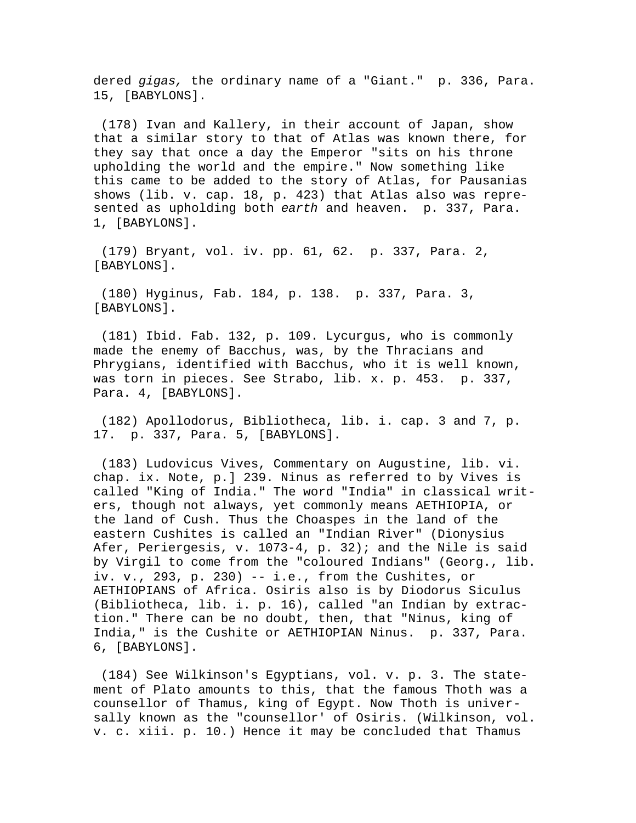dered *gigas,* the ordinary name of a "Giant." p. 336, Para. 15, [BABYLONS].

 (178) Ivan and Kallery, in their account of Japan, show that a similar story to that of Atlas was known there, for they say that once a day the Emperor "sits on his throne upholding the world and the empire." Now something like this came to be added to the story of Atlas, for Pausanias shows (lib. v. cap. 18, p. 423) that Atlas also was represented as upholding both *earth* and heaven. p. 337, Para. 1, [BABYLONS].

 (179) Bryant, vol. iv. pp. 61, 62. p. 337, Para. 2, [BABYLONS].

 (180) Hyginus, Fab. 184, p. 138. p. 337, Para. 3, [BABYLONS].

 (181) Ibid. Fab. 132, p. 109. Lycurgus, who is commonly made the enemy of Bacchus, was, by the Thracians and Phrygians, identified with Bacchus, who it is well known, was torn in pieces. See Strabo, lib. x. p. 453. p. 337, Para. 4, [BABYLONS].

 (182) Apollodorus, Bibliotheca, lib. i. cap. 3 and 7, p. 17. p. 337, Para. 5, [BABYLONS].

 (183) Ludovicus Vives, Commentary on Augustine, lib. vi. chap. ix. Note, p.] 239. Ninus as referred to by Vives is called "King of India." The word "India" in classical writers, though not always, yet commonly means AETHIOPIA, or the land of Cush. Thus the Choaspes in the land of the eastern Cushites is called an "Indian River" (Dionysius Afer, Periergesis, v. 1073-4, p. 32); and the Nile is said by Virgil to come from the "coloured Indians" (Georg., lib. iv. v., 293, p. 230) -- i.e., from the Cushites, or AETHIOPIANS of Africa. Osiris also is by Diodorus Siculus (Bibliotheca, lib. i. p. 16), called "an Indian by extraction." There can be no doubt, then, that "Ninus, king of India," is the Cushite or AETHIOPIAN Ninus. p. 337, Para. 6, [BABYLONS].

 (184) See Wilkinson's Egyptians, vol. v. p. 3. The statement of Plato amounts to this, that the famous Thoth was a counsellor of Thamus, king of Egypt. Now Thoth is universally known as the "counsellor' of Osiris. (Wilkinson, vol. v. c. xiii. p. 10.) Hence it may be concluded that Thamus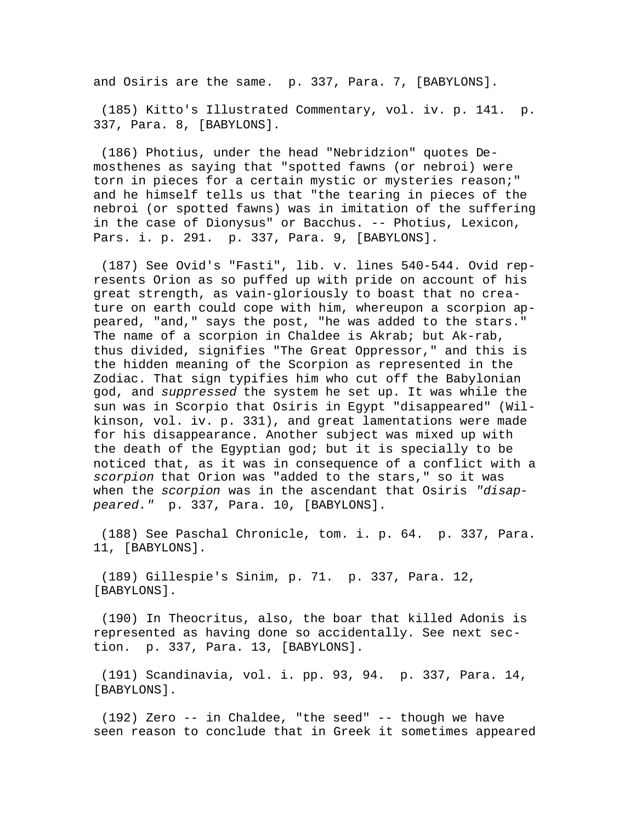and Osiris are the same. p. 337, Para. 7, [BABYLONS].

 (185) Kitto's Illustrated Commentary, vol. iv. p. 141. p. 337, Para. 8, [BABYLONS].

 (186) Photius, under the head "Nebridzion" quotes Demosthenes as saying that "spotted fawns (or nebroi) were torn in pieces for a certain mystic or mysteries reason;" and he himself tells us that "the tearing in pieces of the nebroi (or spotted fawns) was in imitation of the suffering in the case of Dionysus" or Bacchus. -- Photius, Lexicon, Pars. i. p. 291. p. 337, Para. 9, [BABYLONS].

 (187) See Ovid's "Fasti", lib. v. lines 540-544. Ovid represents Orion as so puffed up with pride on account of his great strength, as vain-gloriously to boast that no creature on earth could cope with him, whereupon a scorpion appeared, "and," says the post, "he was added to the stars." The name of a scorpion in Chaldee is Akrab; but Ak-rab, thus divided, signifies "The Great Oppressor," and this is the hidden meaning of the Scorpion as represented in the Zodiac. That sign typifies him who cut off the Babylonian god, and *suppressed* the system he set up. It was while the sun was in Scorpio that Osiris in Egypt "disappeared" (Wilkinson, vol. iv. p. 331), and great lamentations were made for his disappearance. Another subject was mixed up with the death of the Egyptian god; but it is specially to be noticed that, as it was in consequence of a conflict with a *scorpion* that Orion was "added to the stars," so it was when the *scorpion* was in the ascendant that Osiris *"disappeared."* p. 337, Para. 10, [BABYLONS].

 (188) See Paschal Chronicle, tom. i. p. 64. p. 337, Para. 11, [BABYLONS].

 (189) Gillespie's Sinim, p. 71. p. 337, Para. 12, [BABYLONS].

 (190) In Theocritus, also, the boar that killed Adonis is represented as having done so accidentally. See next section. p. 337, Para. 13, [BABYLONS].

 (191) Scandinavia, vol. i. pp. 93, 94. p. 337, Para. 14, [BABYLONS].

 (192) Zero -- in Chaldee, "the seed" -- though we have seen reason to conclude that in Greek it sometimes appeared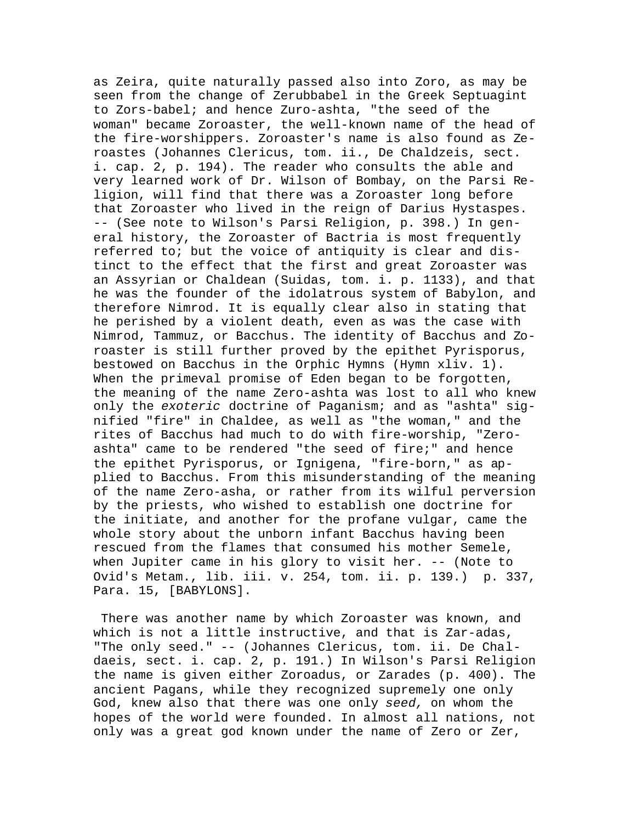as Zeira, quite naturally passed also into Zoro, as may be seen from the change of Zerubbabel in the Greek Septuagint to Zors-babel; and hence Zuro-ashta, "the seed of the woman" became Zoroaster, the well-known name of the head of the fire-worshippers. Zoroaster's name is also found as Zeroastes (Johannes Clericus, tom. ii., De Chaldzeis, sect. i. cap. 2, p. 194). The reader who consults the able and very learned work of Dr. Wilson of Bombay, on the Parsi Religion, will find that there was a Zoroaster long before that Zoroaster who lived in the reign of Darius Hystaspes. -- (See note to Wilson's Parsi Religion, p. 398.) In general history, the Zoroaster of Bactria is most frequently referred to; but the voice of antiquity is clear and distinct to the effect that the first and great Zoroaster was an Assyrian or Chaldean (Suidas, tom. i. p. 1133), and that he was the founder of the idolatrous system of Babylon, and therefore Nimrod. It is equally clear also in stating that he perished by a violent death, even as was the case with Nimrod, Tammuz, or Bacchus. The identity of Bacchus and Zoroaster is still further proved by the epithet Pyrisporus, bestowed on Bacchus in the Orphic Hymns (Hymn xliv. 1). When the primeval promise of Eden began to be forgotten, the meaning of the name Zero-ashta was lost to all who knew only the *exoteric* doctrine of Paganism; and as "ashta" signified "fire" in Chaldee, as well as "the woman," and the rites of Bacchus had much to do with fire-worship, "Zeroashta" came to be rendered "the seed of fire;" and hence the epithet Pyrisporus, or Ignigena, "fire-born," as applied to Bacchus. From this misunderstanding of the meaning of the name Zero-asha, or rather from its wilful perversion by the priests, who wished to establish one doctrine for the initiate, and another for the profane vulgar, came the whole story about the unborn infant Bacchus having been rescued from the flames that consumed his mother Semele, when Jupiter came in his glory to visit her. -- (Note to Ovid's Metam., lib. iii. v. 254, tom. ii. p. 139.) p. 337, Para. 15, [BABYLONS].

 There was another name by which Zoroaster was known, and which is not a little instructive, and that is Zar-adas, "The only seed." -- (Johannes Clericus, tom. ii. De Chaldaeis, sect. i. cap. 2, p. 191.) In Wilson's Parsi Religion the name is given either Zoroadus, or Zarades (p. 400). The ancient Pagans, while they recognized supremely one only God, knew also that there was one only *seed,* on whom the hopes of the world were founded. In almost all nations, not only was a great god known under the name of Zero or Zer,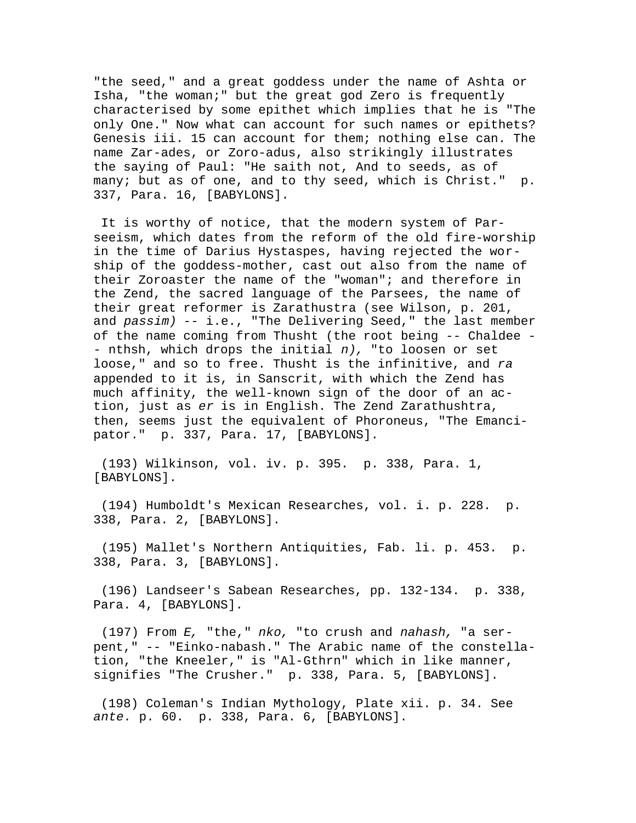"the seed," and a great goddess under the name of Ashta or Isha, "the woman;" but the great god Zero is frequently characterised by some epithet which implies that he is "The only One." Now what can account for such names or epithets? Genesis iii. 15 can account for them; nothing else can. The name Zar-ades, or Zoro-adus, also strikingly illustrates the saying of Paul: "He saith not, And to seeds, as of many; but as of one, and to thy seed, which is Christ." p. 337, Para. 16, [BABYLONS].

 It is worthy of notice, that the modern system of Parseeism, which dates from the reform of the old fire-worship in the time of Darius Hystaspes, having rejected the worship of the goddess-mother, cast out also from the name of their Zoroaster the name of the "woman"; and therefore in the Zend, the sacred language of the Parsees, the name of their great reformer is Zarathustra (see Wilson, p. 201, and *passim)* -- i.e., "The Delivering Seed," the last member of the name coming from Thusht (the root being -- Chaldee - - nthsh, which drops the initial *n),* "to loosen or set loose," and so to free. Thusht is the infinitive, and *ra* appended to it is, in Sanscrit, with which the Zend has much affinity, the well-known sign of the door of an action, just as *er* is in English. The Zend Zarathushtra, then, seems just the equivalent of Phoroneus, "The Emancipator." p. 337, Para. 17, [BABYLONS].

 (193) Wilkinson, vol. iv. p. 395. p. 338, Para. 1, [BABYLONS].

 (194) Humboldt's Mexican Researches, vol. i. p. 228. p. 338, Para. 2, [BABYLONS].

 (195) Mallet's Northern Antiquities, Fab. li. p. 453. p. 338, Para. 3, [BABYLONS].

 (196) Landseer's Sabean Researches, pp. 132-134. p. 338, Para. 4, [BABYLONS].

 (197) From *E,* "the," *nko,* "to crush and *nahash,* "a serpent," -- "Einko-nabash." The Arabic name of the constellation, "the Kneeler," is "Al-Gthrn" which in like manner, signifies "The Crusher." p. 338, Para. 5, [BABYLONS].

 (198) Coleman's Indian Mythology, Plate xii. p. 34. See *ante.* p. 60. p. 338, Para. 6, [BABYLONS].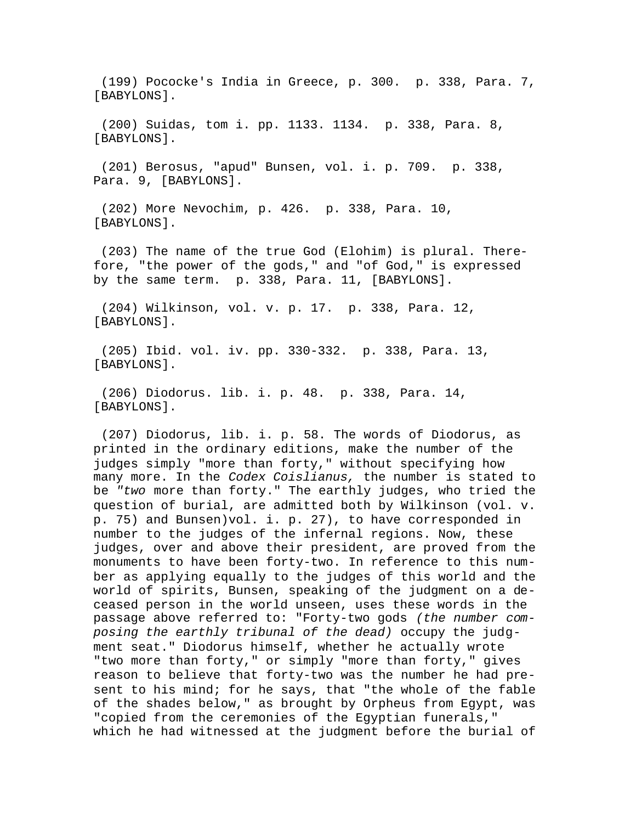(199) Pococke's India in Greece, p. 300. p. 338, Para. 7, [BABYLONS].

 (200) Suidas, tom i. pp. 1133. 1134. p. 338, Para. 8, [BABYLONS].

 (201) Berosus, "apud" Bunsen, vol. i. p. 709. p. 338, Para. 9, [BABYLONS].

 (202) More Nevochim, p. 426. p. 338, Para. 10, [BABYLONS].

 (203) The name of the true God (Elohim) is plural. Therefore, "the power of the gods," and "of God," is expressed by the same term. p. 338, Para. 11, [BABYLONS].

 (204) Wilkinson, vol. v. p. 17. p. 338, Para. 12, [BABYLONS].

 (205) Ibid. vol. iv. pp. 330-332. p. 338, Para. 13, [BABYLONS].

 (206) Diodorus. lib. i. p. 48. p. 338, Para. 14, [BABYLONS].

 (207) Diodorus, lib. i. p. 58. The words of Diodorus, as printed in the ordinary editions, make the number of the judges simply "more than forty," without specifying how many more. In the *Codex Coislianus,* the number is stated to be *"two* more than forty." The earthly judges, who tried the question of burial, are admitted both by Wilkinson (vol. v. p. 75) and Bunsen)vol. i. p. 27), to have corresponded in number to the judges of the infernal regions. Now, these judges, over and above their president, are proved from the monuments to have been forty-two. In reference to this number as applying equally to the judges of this world and the world of spirits, Bunsen, speaking of the judgment on a deceased person in the world unseen, uses these words in the passage above referred to: "Forty-two gods *(the number composing the earthly tribunal of the dead)* occupy the judgment seat." Diodorus himself, whether he actually wrote "two more than forty," or simply "more than forty," gives reason to believe that forty-two was the number he had present to his mind; for he says, that "the whole of the fable of the shades below," as brought by Orpheus from Egypt, was "copied from the ceremonies of the Egyptian funerals," which he had witnessed at the judgment before the burial of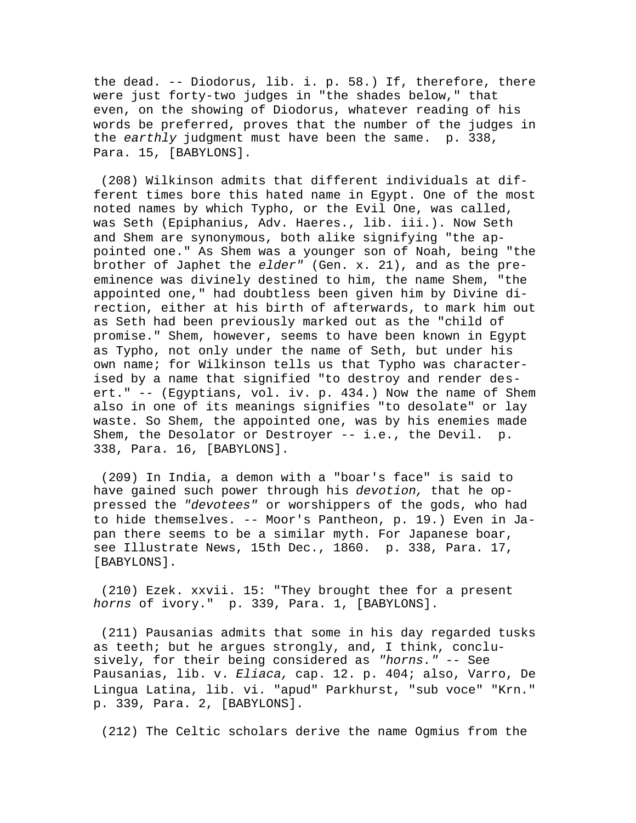the dead. -- Diodorus, lib. i. p. 58.) If, therefore, there were just forty-two judges in "the shades below," that even, on the showing of Diodorus, whatever reading of his words be preferred, proves that the number of the judges in the *earthly* judgment must have been the same. p. 338, Para. 15, [BABYLONS].

 (208) Wilkinson admits that different individuals at different times bore this hated name in Egypt. One of the most noted names by which Typho, or the Evil One, was called, was Seth (Epiphanius, Adv. Haeres., lib. iii.). Now Seth and Shem are synonymous, both alike signifying "the appointed one." As Shem was a younger son of Noah, being "the brother of Japhet the *elder"* (Gen. x. 21), and as the preeminence was divinely destined to him, the name Shem, "the appointed one," had doubtless been given him by Divine direction, either at his birth of afterwards, to mark him out as Seth had been previously marked out as the "child of promise." Shem, however, seems to have been known in Egypt as Typho, not only under the name of Seth, but under his own name; for Wilkinson tells us that Typho was characterised by a name that signified "to destroy and render desert." -- (Egyptians, vol. iv. p. 434.) Now the name of Shem also in one of its meanings signifies "to desolate" or lay waste. So Shem, the appointed one, was by his enemies made Shem, the Desolator or Destroyer -- i.e., the Devil. p. 338, Para. 16, [BABYLONS].

 (209) In India, a demon with a "boar's face" is said to have gained such power through his *devotion,* that he oppressed the *"devotees"* or worshippers of the gods, who had to hide themselves. -- Moor's Pantheon, p. 19.) Even in Japan there seems to be a similar myth. For Japanese boar, see Illustrate News, 15th Dec., 1860. p. 338, Para. 17, [BABYLONS].

 (210) Ezek. xxvii. 15: "They brought thee for a present *horns* of ivory." p. 339, Para. 1, [BABYLONS].

 (211) Pausanias admits that some in his day regarded tusks as teeth; but he argues strongly, and, I think, conclusively, for their being considered as *"horns."* -- See Pausanias, lib. v. *Eliaca,* cap. 12. p. 404; also, Varro, De Lingua Latina, lib. vi. "apud" Parkhurst, "sub voce" "Krn." p. 339, Para. 2, [BABYLONS].

(212) The Celtic scholars derive the name Ogmius from the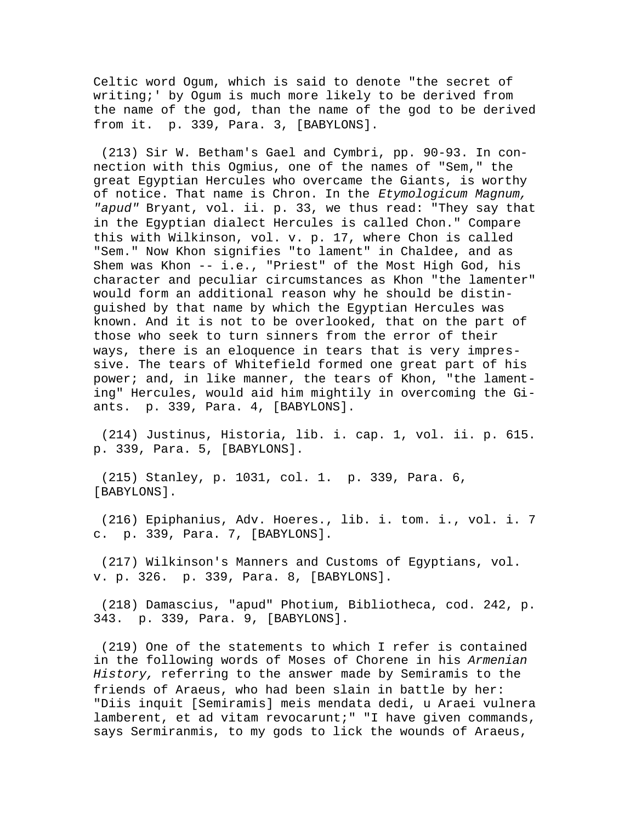Celtic word Ogum, which is said to denote "the secret of writing;' by Ogum is much more likely to be derived from the name of the god, than the name of the god to be derived from it. p. 339, Para. 3, [BABYLONS].

 (213) Sir W. Betham's Gael and Cymbri, pp. 90-93. In connection with this Ogmius, one of the names of "Sem," the great Egyptian Hercules who overcame the Giants, is worthy of notice. That name is Chron. In the *Etymologicum Magnum, "apud"* Bryant, vol. ii. p. 33, we thus read: "They say that in the Egyptian dialect Hercules is called Chon." Compare this with Wilkinson, vol. v. p. 17, where Chon is called "Sem." Now Khon signifies "to lament" in Chaldee, and as Shem was Khon -- i.e., "Priest" of the Most High God, his character and peculiar circumstances as Khon "the lamenter" would form an additional reason why he should be distinguished by that name by which the Egyptian Hercules was known. And it is not to be overlooked, that on the part of those who seek to turn sinners from the error of their ways, there is an eloquence in tears that is very impressive. The tears of Whitefield formed one great part of his power; and, in like manner, the tears of Khon, "the lamenting" Hercules, would aid him mightily in overcoming the Giants. p. 339, Para. 4, [BABYLONS].

 (214) Justinus, Historia, lib. i. cap. 1, vol. ii. p. 615. p. 339, Para. 5, [BABYLONS].

 (215) Stanley, p. 1031, col. 1. p. 339, Para. 6, [BABYLONS].

 (216) Epiphanius, Adv. Hoeres., lib. i. tom. i., vol. i. 7 c. p. 339, Para. 7, [BABYLONS].

 (217) Wilkinson's Manners and Customs of Egyptians, vol. v. p. 326. p. 339, Para. 8, [BABYLONS].

 (218) Damascius, "apud" Photium, Bibliotheca, cod. 242, p. 343. p. 339, Para. 9, [BABYLONS].

 (219) One of the statements to which I refer is contained in the following words of Moses of Chorene in his *Armenian History,* referring to the answer made by Semiramis to the friends of Araeus, who had been slain in battle by her: "Diis inquit [Semiramis] meis mendata dedi, u Araei vulnera lamberent, et ad vitam revocarunt;" "I have given commands, says Sermiranmis, to my gods to lick the wounds of Araeus,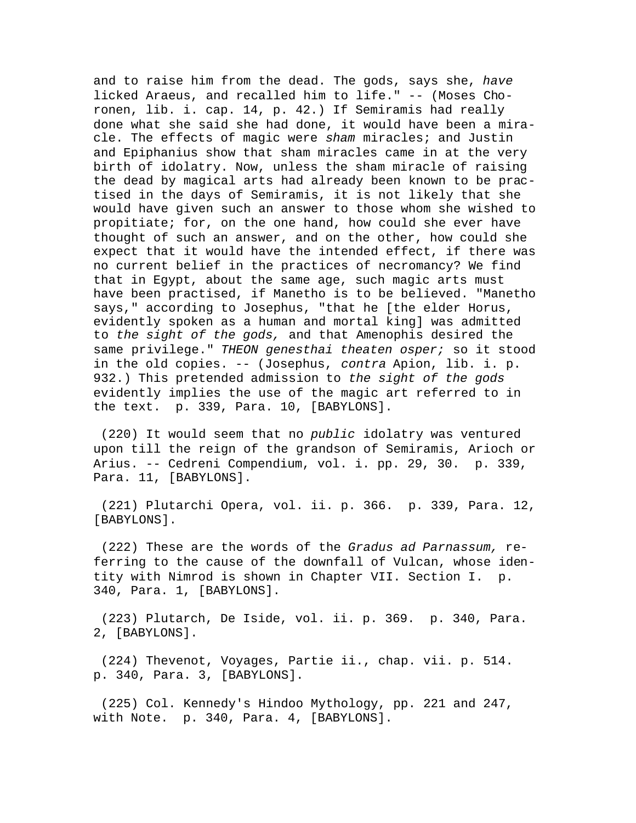and to raise him from the dead. The gods, says she, *have* licked Araeus, and recalled him to life." -- (Moses Choronen, lib. i. cap. 14, p. 42.) If Semiramis had really done what she said she had done, it would have been a miracle. The effects of magic were *sham* miracles; and Justin and Epiphanius show that sham miracles came in at the very birth of idolatry. Now, unless the sham miracle of raising the dead by magical arts had already been known to be practised in the days of Semiramis, it is not likely that she would have given such an answer to those whom she wished to propitiate; for, on the one hand, how could she ever have thought of such an answer, and on the other, how could she expect that it would have the intended effect, if there was no current belief in the practices of necromancy? We find that in Egypt, about the same age, such magic arts must have been practised, if Manetho is to be believed. "Manetho says," according to Josephus, "that he [the elder Horus, evidently spoken as a human and mortal king] was admitted to *the sight of the gods,* and that Amenophis desired the same privilege." *THEON genesthai theaten osper;* so it stood in the old copies. -- (Josephus, *contra* Apion, lib. i. p. 932.) This pretended admission to *the sight of the gods* evidently implies the use of the magic art referred to in the text. p. 339, Para. 10, [BABYLONS].

 (220) It would seem that no *public* idolatry was ventured upon till the reign of the grandson of Semiramis, Arioch or Arius. -- Cedreni Compendium, vol. i. pp. 29, 30. p. 339, Para. 11, [BABYLONS].

 (221) Plutarchi Opera, vol. ii. p. 366. p. 339, Para. 12, [BABYLONS].

 (222) These are the words of the *Gradus ad Parnassum,* referring to the cause of the downfall of Vulcan, whose identity with Nimrod is shown in Chapter VII. Section I. p. 340, Para. 1, [BABYLONS].

 (223) Plutarch, De Iside, vol. ii. p. 369. p. 340, Para. 2, [BABYLONS].

 (224) Thevenot, Voyages, Partie ii., chap. vii. p. 514. p. 340, Para. 3, [BABYLONS].

 (225) Col. Kennedy's Hindoo Mythology, pp. 221 and 247, with Note. p. 340, Para. 4, [BABYLONS].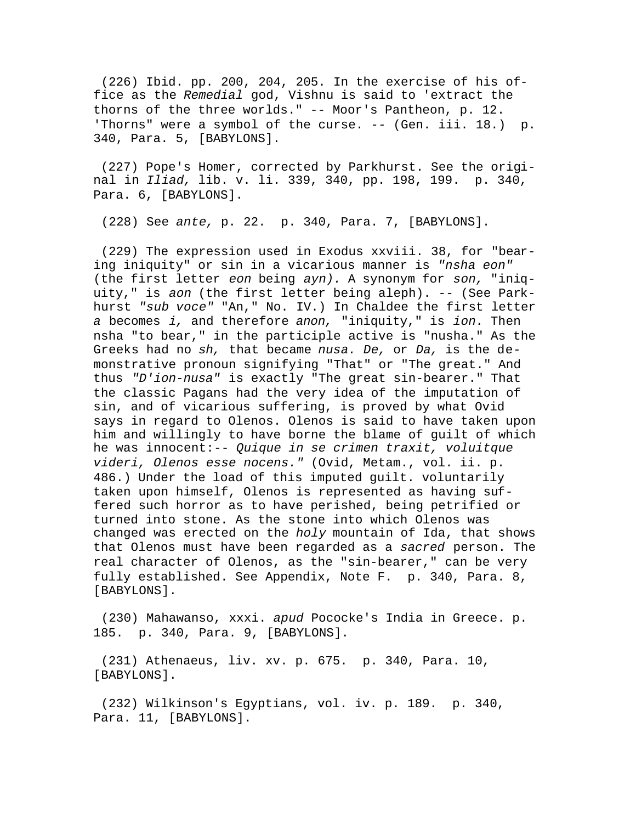(226) Ibid. pp. 200, 204, 205. In the exercise of his office as the *Remedial* god, Vishnu is said to 'extract the thorns of the three worlds." -- Moor's Pantheon, p. 12. 'Thorns" were a symbol of the curse. -- (Gen. iii. 18.) p. 340, Para. 5, [BABYLONS].

 (227) Pope's Homer, corrected by Parkhurst. See the original in *Iliad,* lib. v. li. 339, 340, pp. 198, 199. p. 340, Para. 6, [BABYLONS].

(228) See *ante,* p. 22. p. 340, Para. 7, [BABYLONS].

 (229) The expression used in Exodus xxviii. 38, for "bearing iniquity" or sin in a vicarious manner is *"nsha eon"* (the first letter *eon* being *ayn).* A synonym for *son,* "iniquity," is *aon* (the first letter being aleph). -- (See Parkhurst *"sub voce"* "An," No. IV.) In Chaldee the first letter *a* becomes *i,* and therefore *anon,* "iniquity," is *ion.* Then nsha "to bear," in the participle active is "nusha." As the Greeks had no *sh,* that became *nusa. De,* or *Da,* is the demonstrative pronoun signifying "That" or "The great." And thus *"D'ion-nusa"* is exactly "The great sin-bearer." That the classic Pagans had the very idea of the imputation of sin, and of vicarious suffering, is proved by what Ovid says in regard to Olenos. Olenos is said to have taken upon him and willingly to have borne the blame of guilt of which he was innocent:-- *Quique in se crimen traxit, voluitque videri, Olenos esse nocens."* (Ovid, Metam., vol. ii. p. 486.) Under the load of this imputed guilt. voluntarily taken upon himself, Olenos is represented as having suffered such horror as to have perished, being petrified or turned into stone. As the stone into which Olenos was changed was erected on the *holy* mountain of Ida, that shows that Olenos must have been regarded as a *sacred* person. The real character of Olenos, as the "sin-bearer," can be very fully established. See Appendix, Note F. p. 340, Para. 8, [BABYLONS].

 (230) Mahawanso, xxxi. *apud* Pococke's India in Greece. p. 185. p. 340, Para. 9, [BABYLONS].

 (231) Athenaeus, liv. xv. p. 675. p. 340, Para. 10, [BABYLONS].

 (232) Wilkinson's Egyptians, vol. iv. p. 189. p. 340, Para. 11, [BABYLONS].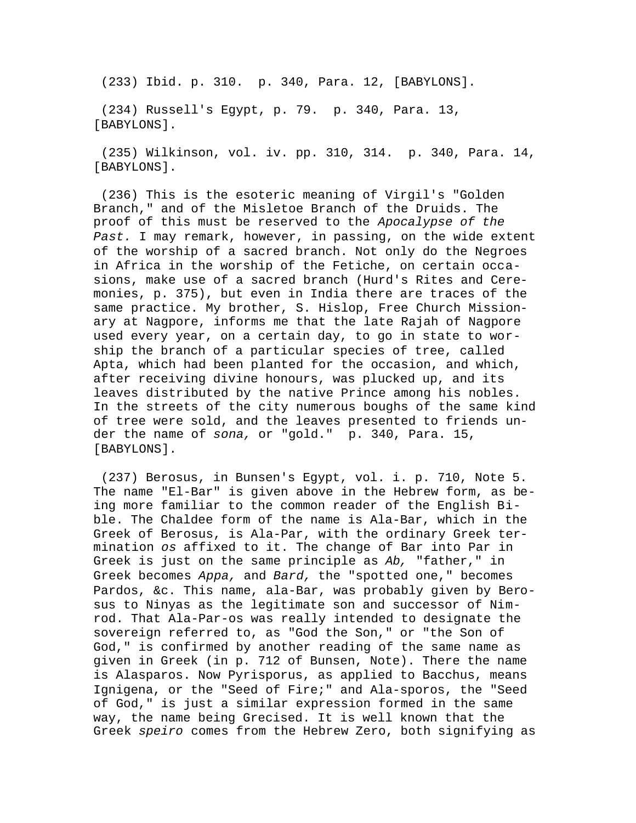(233) Ibid. p. 310. p. 340, Para. 12, [BABYLONS].

 (234) Russell's Egypt, p. 79. p. 340, Para. 13, [BABYLONS].

 (235) Wilkinson, vol. iv. pp. 310, 314. p. 340, Para. 14, [BABYLONS].

 (236) This is the esoteric meaning of Virgil's "Golden Branch," and of the Misletoe Branch of the Druids. The proof of this must be reserved to the *Apocalypse of the Past.* I may remark, however, in passing, on the wide extent of the worship of a sacred branch. Not only do the Negroes in Africa in the worship of the Fetiche, on certain occasions, make use of a sacred branch (Hurd's Rites and Ceremonies, p. 375), but even in India there are traces of the same practice. My brother, S. Hislop, Free Church Missionary at Nagpore, informs me that the late Rajah of Nagpore used every year, on a certain day, to go in state to worship the branch of a particular species of tree, called Apta, which had been planted for the occasion, and which, after receiving divine honours, was plucked up, and its leaves distributed by the native Prince among his nobles. In the streets of the city numerous boughs of the same kind of tree were sold, and the leaves presented to friends under the name of *sona,* or "gold." p. 340, Para. 15, [BABYLONS].

 (237) Berosus, in Bunsen's Egypt, vol. i. p. 710, Note 5. The name "El-Bar" is given above in the Hebrew form, as being more familiar to the common reader of the English Bible. The Chaldee form of the name is Ala-Bar, which in the Greek of Berosus, is Ala-Par, with the ordinary Greek termination *os* affixed to it. The change of Bar into Par in Greek is just on the same principle as *Ab,* "father," in Greek becomes *Appa,* and *Bard,* the "spotted one," becomes Pardos, &c. This name, ala-Bar, was probably given by Berosus to Ninyas as the legitimate son and successor of Nimrod. That Ala-Par-os was really intended to designate the sovereign referred to, as "God the Son," or "the Son of God," is confirmed by another reading of the same name as given in Greek (in p. 712 of Bunsen, Note). There the name is Alasparos. Now Pyrisporus, as applied to Bacchus, means Ignigena, or the "Seed of Fire;" and Ala-sporos, the "Seed of God," is just a similar expression formed in the same way, the name being Grecised. It is well known that the Greek *speiro* comes from the Hebrew Zero, both signifying as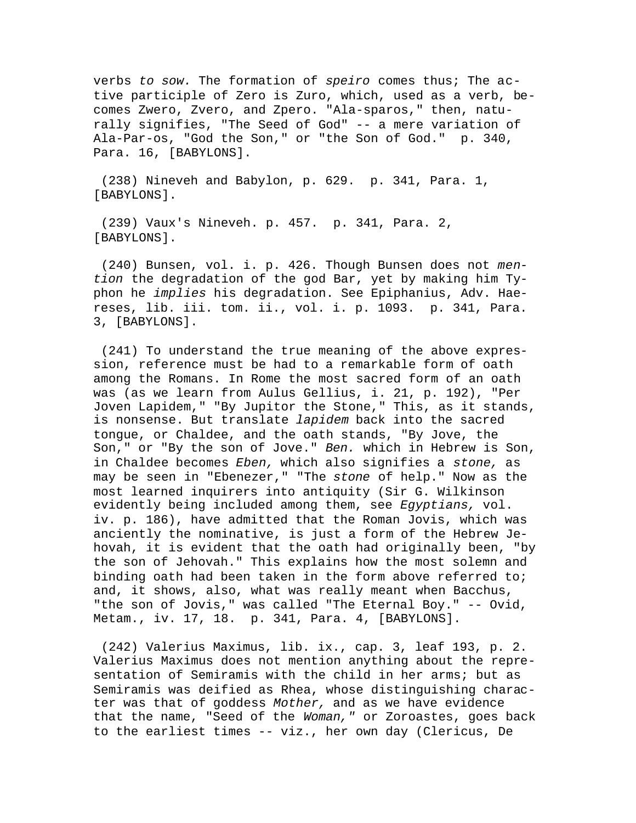verbs *to sow.* The formation of *speiro* comes thus; The active participle of Zero is Zuro, which, used as a verb, becomes Zwero, Zvero, and Zpero. "Ala-sparos," then, naturally signifies, "The Seed of God" -- a mere variation of Ala-Par-os, "God the Son," or "the Son of God." p. 340, Para. 16, [BABYLONS].

 (238) Nineveh and Babylon, p. 629. p. 341, Para. 1, [BABYLONS].

 (239) Vaux's Nineveh. p. 457. p. 341, Para. 2, [BABYLONS].

 (240) Bunsen, vol. i. p. 426. Though Bunsen does not *mention* the degradation of the god Bar, yet by making him Typhon he *implies* his degradation. See Epiphanius, Adv. Haereses, lib. iii. tom. ii., vol. i. p. 1093. p. 341, Para. 3, [BABYLONS].

 (241) To understand the true meaning of the above expression, reference must be had to a remarkable form of oath among the Romans. In Rome the most sacred form of an oath was (as we learn from Aulus Gellius, i. 21, p. 192), "Per Joven Lapidem," "By Jupitor the Stone," This, as it stands, is nonsense. But translate *lapidem* back into the sacred tongue, or Chaldee, and the oath stands, "By Jove, the Son," or "By the son of Jove." *Ben.* which in Hebrew is Son, in Chaldee becomes *Eben,* which also signifies a *stone,* as may be seen in "Ebenezer," "The *stone* of help." Now as the most learned inquirers into antiquity (Sir G. Wilkinson evidently being included among them, see *Egyptians,* vol. iv. p. 186), have admitted that the Roman Jovis, which was anciently the nominative, is just a form of the Hebrew Jehovah, it is evident that the oath had originally been, "by the son of Jehovah." This explains how the most solemn and binding oath had been taken in the form above referred to; and, it shows, also, what was really meant when Bacchus, "the son of Jovis," was called "The Eternal Boy." -- Ovid, Metam., iv. 17, 18. p. 341, Para. 4, [BABYLONS].

 (242) Valerius Maximus, lib. ix., cap. 3, leaf 193, p. 2. Valerius Maximus does not mention anything about the representation of Semiramis with the child in her arms; but as Semiramis was deified as Rhea, whose distinguishing character was that of goddess *Mother,* and as we have evidence that the name, "Seed of the *Woman,"* or Zoroastes, goes back to the earliest times -- viz., her own day (Clericus, De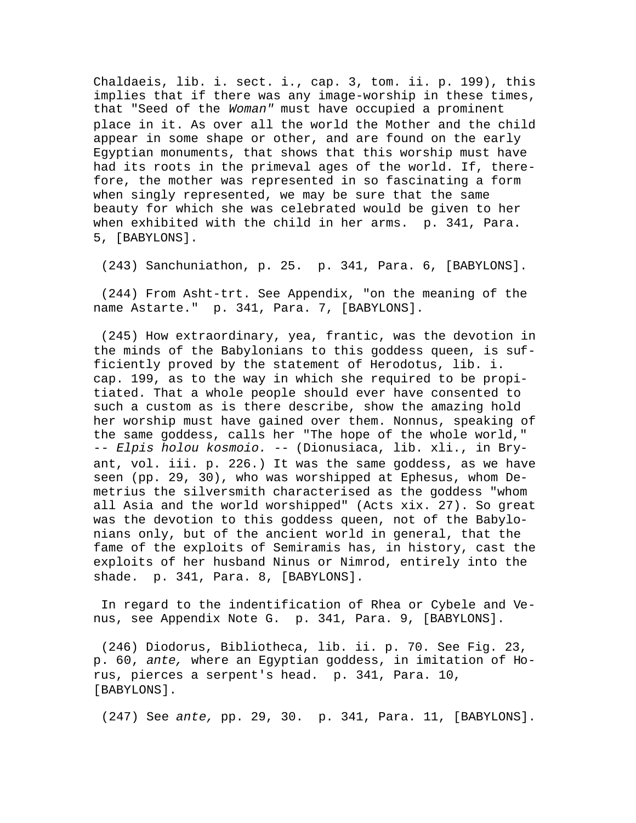Chaldaeis, lib. i. sect. i., cap. 3, tom. ii. p. 199), this implies that if there was any image-worship in these times, that "Seed of the *Woman"* must have occupied a prominent place in it. As over all the world the Mother and the child appear in some shape or other, and are found on the early Egyptian monuments, that shows that this worship must have had its roots in the primeval ages of the world. If, therefore, the mother was represented in so fascinating a form when singly represented, we may be sure that the same beauty for which she was celebrated would be given to her when exhibited with the child in her arms. p. 341, Para. 5, [BABYLONS].

(243) Sanchuniathon, p. 25. p. 341, Para. 6, [BABYLONS].

 (244) From Asht-trt. See Appendix, "on the meaning of the name Astarte." p. 341, Para. 7, [BABYLONS].

 (245) How extraordinary, yea, frantic, was the devotion in the minds of the Babylonians to this goddess queen, is sufficiently proved by the statement of Herodotus, lib. i. cap. 199, as to the way in which she required to be propitiated. That a whole people should ever have consented to such a custom as is there describe, show the amazing hold her worship must have gained over them. Nonnus, speaking of the same goddess, calls her "The hope of the whole world," -- *Elpis holou kosmoio. --* (Dionusiaca, lib. xli., in Bryant, vol. iii. p. 226.) It was the same goddess, as we have seen (pp. 29, 30), who was worshipped at Ephesus, whom Demetrius the silversmith characterised as the goddess "whom all Asia and the world worshipped" (Acts xix. 27). So great was the devotion to this goddess queen, not of the Babylonians only, but of the ancient world in general, that the fame of the exploits of Semiramis has, in history, cast the exploits of her husband Ninus or Nimrod, entirely into the shade. p. 341, Para. 8, [BABYLONS].

 In regard to the indentification of Rhea or Cybele and Venus, see Appendix Note G. p. 341, Para. 9, [BABYLONS].

 (246) Diodorus, Bibliotheca, lib. ii. p. 70. See Fig. 23, p. 60, *ante,* where an Egyptian goddess, in imitation of Horus, pierces a serpent's head. p. 341, Para. 10, [BABYLONS].

(247) See *ante,* pp. 29, 30. p. 341, Para. 11, [BABYLONS].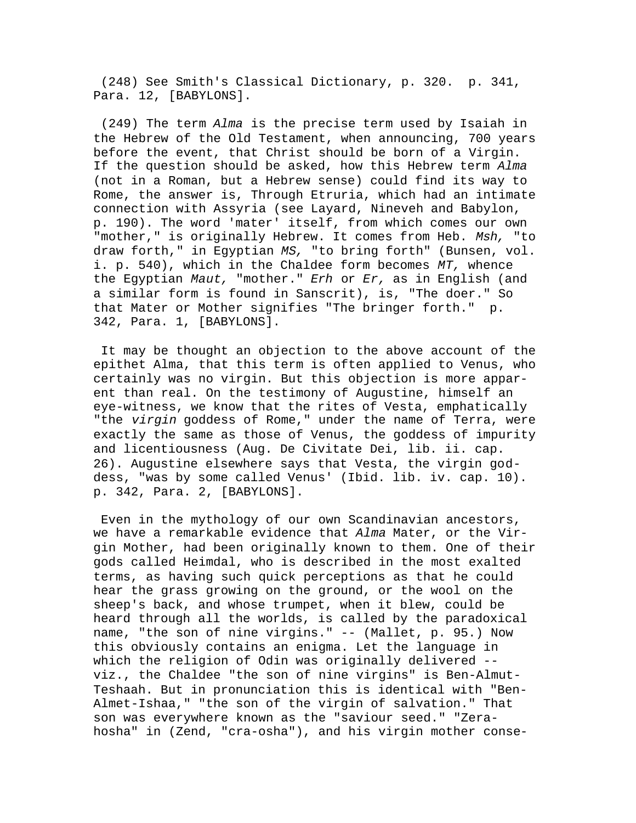(248) See Smith's Classical Dictionary, p. 320. p. 341, Para. 12, [BABYLONS].

 (249) The term *Alma* is the precise term used by Isaiah in the Hebrew of the Old Testament, when announcing, 700 years before the event, that Christ should be born of a Virgin. If the question should be asked, how this Hebrew term *Alma* (not in a Roman, but a Hebrew sense) could find its way to Rome, the answer is, Through Etruria, which had an intimate connection with Assyria (see Layard, Nineveh and Babylon, p. 190). The word 'mater' itself, from which comes our own "mother," is originally Hebrew. It comes from Heb. *Msh,* "to draw forth," in Egyptian *MS,* "to bring forth" (Bunsen, vol. i. p. 540), which in the Chaldee form becomes *MT,* whence the Egyptian *Maut,* "mother." *Erh* or *Er,* as in English (and a similar form is found in Sanscrit), is, "The doer." So that Mater or Mother signifies "The bringer forth." p. 342, Para. 1, [BABYLONS].

 It may be thought an objection to the above account of the epithet Alma, that this term is often applied to Venus, who certainly was no virgin. But this objection is more apparent than real. On the testimony of Augustine, himself an eye-witness, we know that the rites of Vesta, emphatically "the *virgin* goddess of Rome," under the name of Terra, were exactly the same as those of Venus, the goddess of impurity and licentiousness (Aug. De Civitate Dei, lib. ii. cap. 26). Augustine elsewhere says that Vesta, the virgin goddess, "was by some called Venus' (Ibid. lib. iv. cap. 10). p. 342, Para. 2, [BABYLONS].

 Even in the mythology of our own Scandinavian ancestors, we have a remarkable evidence that *Alma* Mater, or the Virgin Mother, had been originally known to them. One of their gods called Heimdal, who is described in the most exalted terms, as having such quick perceptions as that he could hear the grass growing on the ground, or the wool on the sheep's back, and whose trumpet, when it blew, could be heard through all the worlds, is called by the paradoxical name, "the son of nine virgins." -- (Mallet, p. 95.) Now this obviously contains an enigma. Let the language in which the religion of Odin was originally delivered - viz., the Chaldee "the son of nine virgins" is Ben-Almut-Teshaah. But in pronunciation this is identical with "Ben-Almet-Ishaa," "the son of the virgin of salvation." That son was everywhere known as the "saviour seed." "Zerahosha" in (Zend, "cra-osha"), and his virgin mother conse-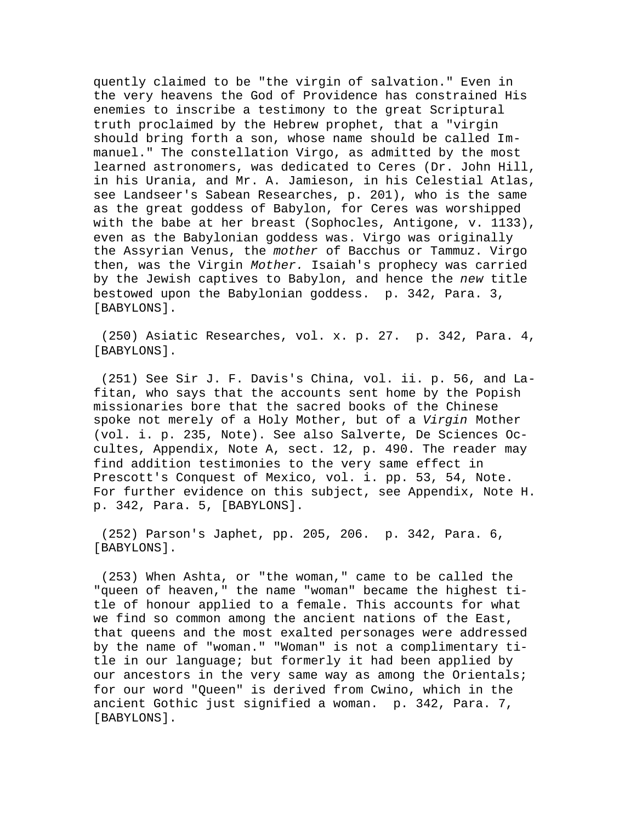quently claimed to be "the virgin of salvation." Even in the very heavens the God of Providence has constrained His enemies to inscribe a testimony to the great Scriptural truth proclaimed by the Hebrew prophet, that a "virgin should bring forth a son, whose name should be called Immanuel." The constellation Virgo, as admitted by the most learned astronomers, was dedicated to Ceres (Dr. John Hill, in his Urania, and Mr. A. Jamieson, in his Celestial Atlas, see Landseer's Sabean Researches, p. 201), who is the same as the great goddess of Babylon, for Ceres was worshipped with the babe at her breast (Sophocles, Antigone, v. 1133), even as the Babylonian goddess was. Virgo was originally the Assyrian Venus, the *mother* of Bacchus or Tammuz. Virgo then, was the Virgin *Mother.* Isaiah's prophecy was carried by the Jewish captives to Babylon, and hence the *new* title bestowed upon the Babylonian goddess. p. 342, Para. 3, [BABYLONS].

 (250) Asiatic Researches, vol. x. p. 27. p. 342, Para. 4, [BABYLONS].

 (251) See Sir J. F. Davis's China, vol. ii. p. 56, and Lafitan, who says that the accounts sent home by the Popish missionaries bore that the sacred books of the Chinese spoke not merely of a Holy Mother, but of a *Virgin* Mother (vol. i. p. 235, Note). See also Salverte, De Sciences Occultes, Appendix, Note A, sect. 12, p. 490. The reader may find addition testimonies to the very same effect in Prescott's Conquest of Mexico, vol. i. pp. 53, 54, Note. For further evidence on this subject, see Appendix, Note H. p. 342, Para. 5, [BABYLONS].

 (252) Parson's Japhet, pp. 205, 206. p. 342, Para. 6, [BABYLONS].

 (253) When Ashta, or "the woman," came to be called the "queen of heaven," the name "woman" became the highest title of honour applied to a female. This accounts for what we find so common among the ancient nations of the East, that queens and the most exalted personages were addressed by the name of "woman." "Woman" is not a complimentary title in our language; but formerly it had been applied by our ancestors in the very same way as among the Orientals; for our word "Queen" is derived from Cwino, which in the ancient Gothic just signified a woman. p. 342, Para. 7, [BABYLONS].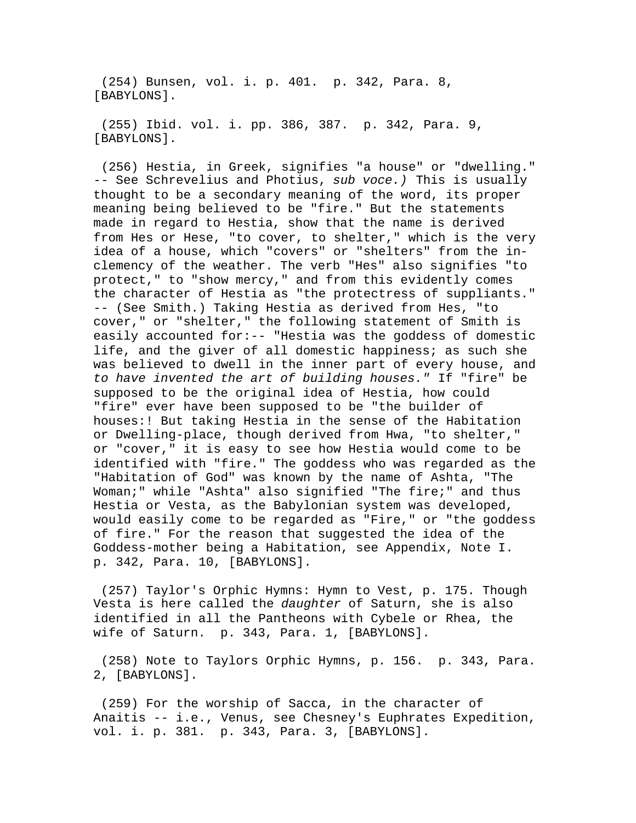(254) Bunsen, vol. i. p. 401. p. 342, Para. 8, [BABYLONS].

 (255) Ibid. vol. i. pp. 386, 387. p. 342, Para. 9, [BABYLONS].

 (256) Hestia, in Greek, signifies "a house" or "dwelling." -- See Schrevelius and Photius, *sub voce.)* This is usually thought to be a secondary meaning of the word, its proper meaning being believed to be "fire." But the statements made in regard to Hestia, show that the name is derived from Hes or Hese, "to cover, to shelter," which is the very idea of a house, which "covers" or "shelters" from the inclemency of the weather. The verb "Hes" also signifies "to protect," to "show mercy," and from this evidently comes the character of Hestia as "the protectress of suppliants." -- (See Smith.) Taking Hestia as derived from Hes, "to cover," or "shelter," the following statement of Smith is easily accounted for:-- "Hestia was the goddess of domestic life, and the giver of all domestic happiness; as such she was believed to dwell in the inner part of every house, and *to have invented the art of building houses."* If "fire" be supposed to be the original idea of Hestia, how could "fire" ever have been supposed to be "the builder of houses:! But taking Hestia in the sense of the Habitation or Dwelling-place, though derived from Hwa, "to shelter," or "cover," it is easy to see how Hestia would come to be identified with "fire." The goddess who was regarded as the "Habitation of God" was known by the name of Ashta, "The Woman;" while "Ashta" also signified "The fire;" and thus Hestia or Vesta, as the Babylonian system was developed, would easily come to be regarded as "Fire," or "the goddess of fire." For the reason that suggested the idea of the Goddess-mother being a Habitation, see Appendix, Note I. p. 342, Para. 10, [BABYLONS].

 (257) Taylor's Orphic Hymns: Hymn to Vest, p. 175. Though Vesta is here called the *daughter* of Saturn, she is also identified in all the Pantheons with Cybele or Rhea, the wife of Saturn. p. 343, Para. 1, [BABYLONS].

 (258) Note to Taylors Orphic Hymns, p. 156. p. 343, Para. 2, [BABYLONS].

 (259) For the worship of Sacca, in the character of Anaitis -- i.e., Venus, see Chesney's Euphrates Expedition, vol. i. p. 381. p. 343, Para. 3, [BABYLONS].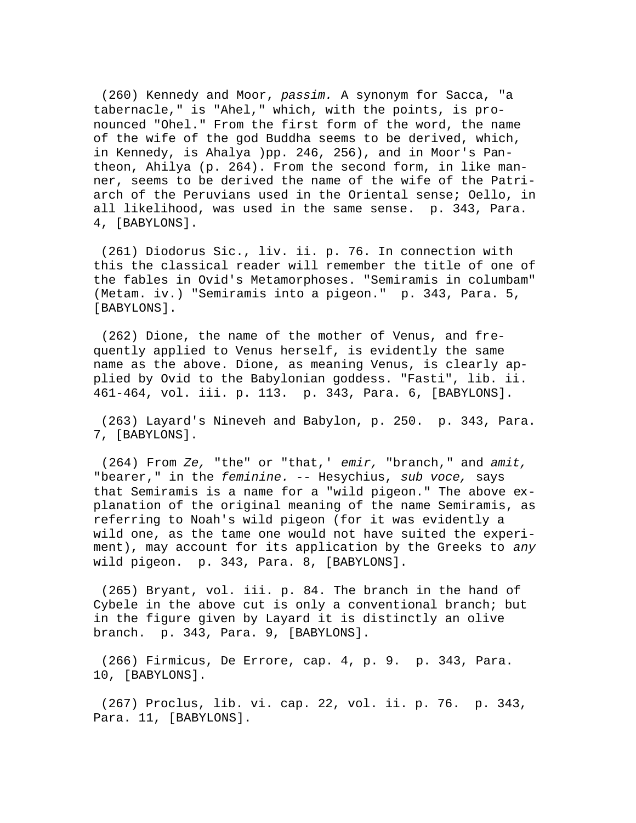(260) Kennedy and Moor, *passim.* A synonym for Sacca, "a tabernacle," is "Ahel," which, with the points, is pronounced "Ohel." From the first form of the word, the name of the wife of the god Buddha seems to be derived, which, in Kennedy, is Ahalya )pp. 246, 256), and in Moor's Pantheon, Ahilya (p. 264). From the second form, in like manner, seems to be derived the name of the wife of the Patriarch of the Peruvians used in the Oriental sense; Oello, in all likelihood, was used in the same sense. p. 343, Para. 4, [BABYLONS].

 (261) Diodorus Sic., liv. ii. p. 76. In connection with this the classical reader will remember the title of one of the fables in Ovid's Metamorphoses. "Semiramis in columbam" (Metam. iv.) "Semiramis into a pigeon." p. 343, Para. 5, [BABYLONS].

 (262) Dione, the name of the mother of Venus, and frequently applied to Venus herself, is evidently the same name as the above. Dione, as meaning Venus, is clearly applied by Ovid to the Babylonian goddess. "Fasti", lib. ii. 461-464, vol. iii. p. 113. p. 343, Para. 6, [BABYLONS].

 (263) Layard's Nineveh and Babylon, p. 250. p. 343, Para. 7, [BABYLONS].

 (264) From *Ze,* "the" or "that,' *emir,* "branch," and *amit,* "bearer," in the *feminine.* -- Hesychius, *sub voce,* says that Semiramis is a name for a "wild pigeon." The above explanation of the original meaning of the name Semiramis, as referring to Noah's wild pigeon (for it was evidently a wild one, as the tame one would not have suited the experiment), may account for its application by the Greeks to *any* wild pigeon. p. 343, Para. 8, [BABYLONS].

 (265) Bryant, vol. iii. p. 84. The branch in the hand of Cybele in the above cut is only a conventional branch; but in the figure given by Layard it is distinctly an olive branch. p. 343, Para. 9, [BABYLONS].

 (266) Firmicus, De Errore, cap. 4, p. 9. p. 343, Para. 10, [BABYLONS].

 (267) Proclus, lib. vi. cap. 22, vol. ii. p. 76. p. 343, Para. 11, [BABYLONS].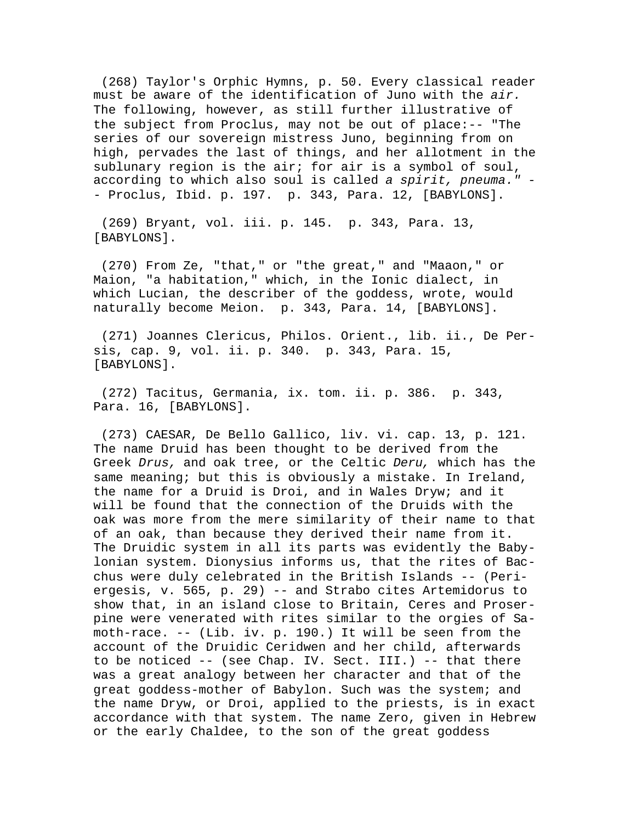(268) Taylor's Orphic Hymns, p. 50. Every classical reader must be aware of the identification of Juno with the *air.* The following, however, as still further illustrative of the subject from Proclus, may not be out of place:-- "The series of our sovereign mistress Juno, beginning from on high, pervades the last of things, and her allotment in the sublunary region is the air; for air is a symbol of soul, according to which also soul is called *a spirit, pneuma."* - - Proclus, Ibid. p. 197. p. 343, Para. 12, [BABYLONS].

 (269) Bryant, vol. iii. p. 145. p. 343, Para. 13, [BABYLONS].

 (270) From Ze, "that," or "the great," and "Maaon," or Maion, "a habitation," which, in the Ionic dialect, in which Lucian, the describer of the goddess, wrote, would naturally become Meion. p. 343, Para. 14, [BABYLONS].

 (271) Joannes Clericus, Philos. Orient., lib. ii., De Persis, cap. 9, vol. ii. p. 340. p. 343, Para. 15, [BABYLONS].

 (272) Tacitus, Germania, ix. tom. ii. p. 386. p. 343, Para. 16, [BABYLONS].

 (273) CAESAR, De Bello Gallico, liv. vi. cap. 13, p. 121. The name Druid has been thought to be derived from the Greek *Drus,* and oak tree, or the Celtic *Deru,* which has the same meaning; but this is obviously a mistake. In Ireland, the name for a Druid is Droi, and in Wales Dryw; and it will be found that the connection of the Druids with the oak was more from the mere similarity of their name to that of an oak, than because they derived their name from it. The Druidic system in all its parts was evidently the Babylonian system. Dionysius informs us, that the rites of Bacchus were duly celebrated in the British Islands -- (Periergesis, v. 565, p. 29) -- and Strabo cites Artemidorus to show that, in an island close to Britain, Ceres and Proserpine were venerated with rites similar to the orgies of Samoth-race. -- (Lib. iv. p. 190.) It will be seen from the account of the Druidic Ceridwen and her child, afterwards to be noticed -- (see Chap. IV. Sect. III.) -- that there was a great analogy between her character and that of the great goddess-mother of Babylon. Such was the system; and the name Dryw, or Droi, applied to the priests, is in exact accordance with that system. The name Zero, given in Hebrew or the early Chaldee, to the son of the great goddess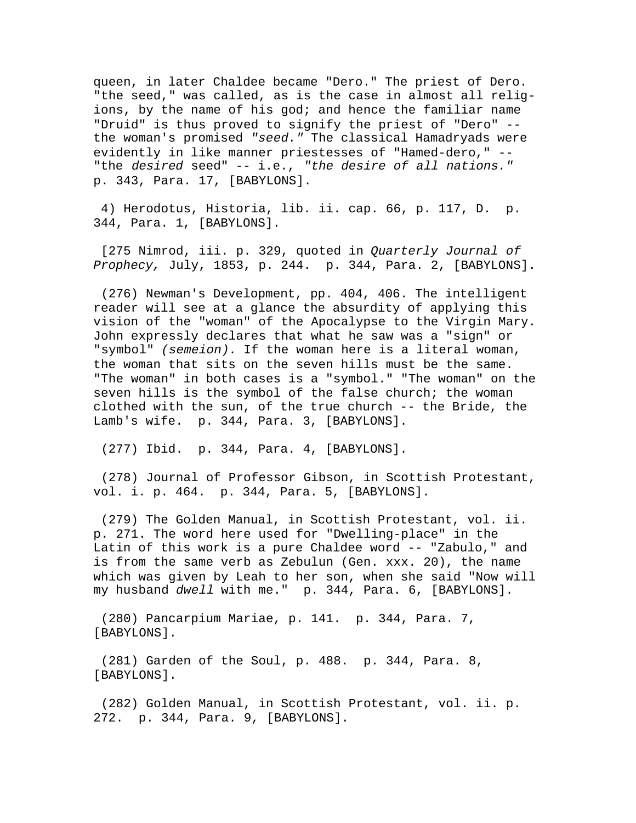queen, in later Chaldee became "Dero." The priest of Dero. "the seed," was called, as is the case in almost all religions, by the name of his god; and hence the familiar name "Druid" is thus proved to signify the priest of "Dero" - the woman's promised *"seed."* The classical Hamadryads were evidently in like manner priestesses of "Hamed-dero," -- "the *desired* seed" -- i.e., *"the desire of all nations."* p. 343, Para. 17, [BABYLONS].

 4) Herodotus, Historia, lib. ii. cap. 66, p. 117, D. p. 344, Para. 1, [BABYLONS].

 [275 Nimrod, iii. p. 329, quoted in *Quarterly Journal of Prophecy,* July, 1853, p. 244. p. 344, Para. 2, [BABYLONS].

 (276) Newman's Development, pp. 404, 406. The intelligent reader will see at a glance the absurdity of applying this vision of the "woman" of the Apocalypse to the Virgin Mary. John expressly declares that what he saw was a "sign" or "symbol" *(semeion).* If the woman here is a literal woman, the woman that sits on the seven hills must be the same. "The woman" in both cases is a "symbol." "The woman" on the seven hills is the symbol of the false church; the woman clothed with the sun, of the true church -- the Bride, the Lamb's wife. p. 344, Para. 3, [BABYLONS].

(277) Ibid. p. 344, Para. 4, [BABYLONS].

 (278) Journal of Professor Gibson, in Scottish Protestant, vol. i. p. 464. p. 344, Para. 5, [BABYLONS].

 (279) The Golden Manual, in Scottish Protestant, vol. ii. p. 271. The word here used for "Dwelling-place" in the Latin of this work is a pure Chaldee word -- "Zabulo," and is from the same verb as Zebulun (Gen. xxx. 20), the name which was given by Leah to her son, when she said "Now will my husband *dwell* with me." p. 344, Para. 6, [BABYLONS].

 (280) Pancarpium Mariae, p. 141. p. 344, Para. 7, [BABYLONS].

 (281) Garden of the Soul, p. 488. p. 344, Para. 8, [BABYLONS].

 (282) Golden Manual, in Scottish Protestant, vol. ii. p. 272. p. 344, Para. 9, [BABYLONS].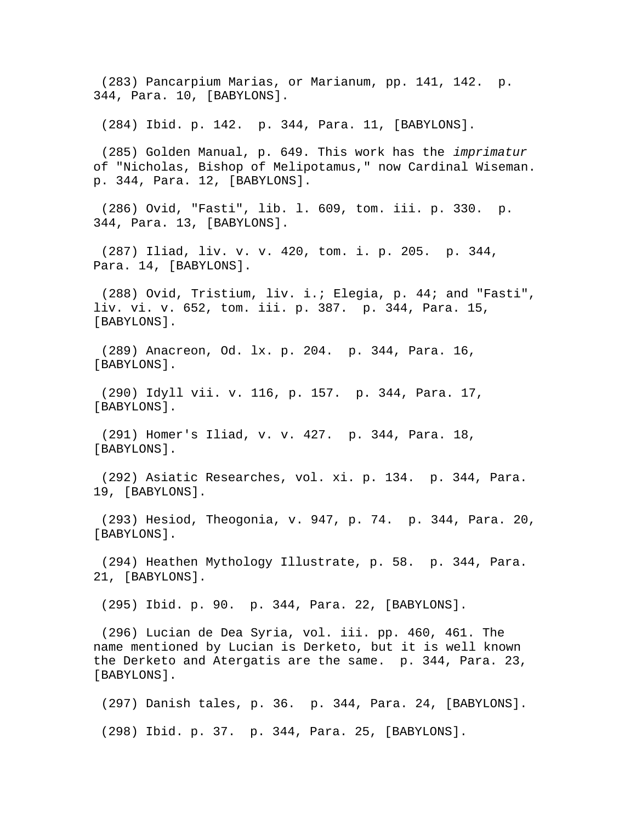(283) Pancarpium Marias, or Marianum, pp. 141, 142. p. 344, Para. 10, [BABYLONS].

(284) Ibid. p. 142. p. 344, Para. 11, [BABYLONS].

 (285) Golden Manual, p. 649. This work has the *imprimatur* of "Nicholas, Bishop of Melipotamus," now Cardinal Wiseman. p. 344, Para. 12, [BABYLONS].

 (286) Ovid, "Fasti", lib. l. 609, tom. iii. p. 330. p. 344, Para. 13, [BABYLONS].

 (287) Iliad, liv. v. v. 420, tom. i. p. 205. p. 344, Para. 14, [BABYLONS].

 (288) Ovid, Tristium, liv. i.; Elegia, p. 44; and "Fasti", liv. vi. v. 652, tom. iii. p. 387. p. 344, Para. 15, [BABYLONS].

 (289) Anacreon, Od. lx. p. 204. p. 344, Para. 16, [BABYLONS].

 (290) Idyll vii. v. 116, p. 157. p. 344, Para. 17, [BABYLONS].

 (291) Homer's Iliad, v. v. 427. p. 344, Para. 18, [BABYLONS].

 (292) Asiatic Researches, vol. xi. p. 134. p. 344, Para. 19, [BABYLONS].

 (293) Hesiod, Theogonia, v. 947, p. 74. p. 344, Para. 20, [BABYLONS].

 (294) Heathen Mythology Illustrate, p. 58. p. 344, Para. 21, [BABYLONS].

(295) Ibid. p. 90. p. 344, Para. 22, [BABYLONS].

 (296) Lucian de Dea Syria, vol. iii. pp. 460, 461. The name mentioned by Lucian is Derketo, but it is well known the Derketo and Atergatis are the same. p. 344, Para. 23, [BABYLONS].

 (297) Danish tales, p. 36. p. 344, Para. 24, [BABYLONS]. (298) Ibid. p. 37. p. 344, Para. 25, [BABYLONS].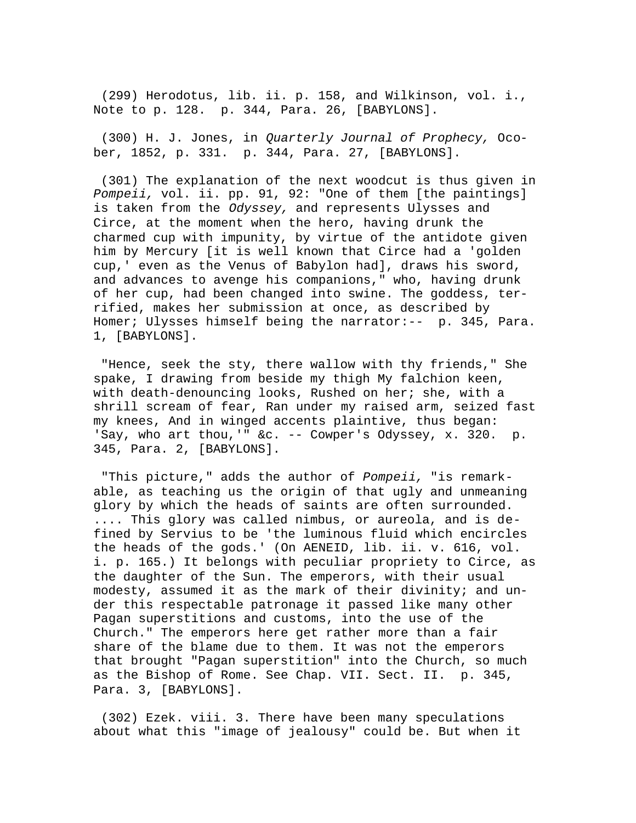(299) Herodotus, lib. ii. p. 158, and Wilkinson, vol. i., Note to p. 128. p. 344, Para. 26, [BABYLONS].

 (300) H. J. Jones, in *Quarterly Journal of Prophecy,* Ocober, 1852, p. 331. p. 344, Para. 27, [BABYLONS].

 (301) The explanation of the next woodcut is thus given in *Pompeii,* vol. ii. pp. 91, 92: "One of them [the paintings] is taken from the *Odyssey,* and represents Ulysses and Circe, at the moment when the hero, having drunk the charmed cup with impunity, by virtue of the antidote given him by Mercury [it is well known that Circe had a 'golden cup,' even as the Venus of Babylon had], draws his sword, and advances to avenge his companions," who, having drunk of her cup, had been changed into swine. The goddess, terrified, makes her submission at once, as described by Homer; Ulysses himself being the narrator:-- p. 345, Para. 1, [BABYLONS].

 "Hence, seek the sty, there wallow with thy friends," She spake, I drawing from beside my thigh My falchion keen, with death-denouncing looks, Rushed on her; she, with a shrill scream of fear, Ran under my raised arm, seized fast my knees, And in winged accents plaintive, thus began: 'Say, who art thou,'" &c. -- Cowper's Odyssey, x. 320. p. 345, Para. 2, [BABYLONS].

 "This picture," adds the author of *Pompeii,* "is remarkable, as teaching us the origin of that ugly and unmeaning glory by which the heads of saints are often surrounded. .... This glory was called nimbus, or aureola, and is defined by Servius to be 'the luminous fluid which encircles the heads of the gods.' (On AENEID, lib. ii. v. 616, vol. i. p. 165.) It belongs with peculiar propriety to Circe, as the daughter of the Sun. The emperors, with their usual modesty, assumed it as the mark of their divinity; and under this respectable patronage it passed like many other Pagan superstitions and customs, into the use of the Church." The emperors here get rather more than a fair share of the blame due to them. It was not the emperors that brought "Pagan superstition" into the Church, so much as the Bishop of Rome. See Chap. VII. Sect. II. p. 345, Para. 3, [BABYLONS].

 (302) Ezek. viii. 3. There have been many speculations about what this "image of jealousy" could be. But when it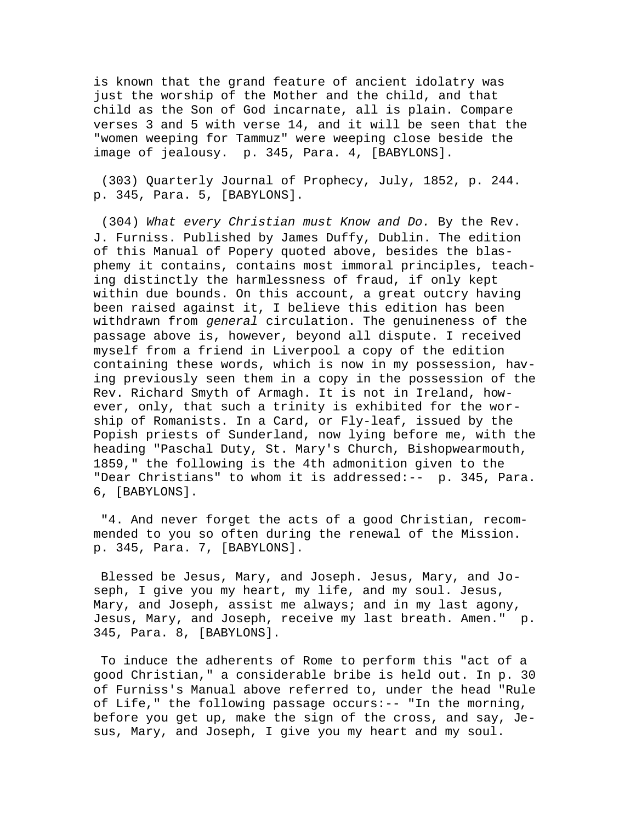is known that the grand feature of ancient idolatry was just the worship of the Mother and the child, and that child as the Son of God incarnate, all is plain. Compare verses 3 and 5 with verse 14, and it will be seen that the "women weeping for Tammuz" were weeping close beside the image of jealousy. p. 345, Para. 4, [BABYLONS].

 (303) Quarterly Journal of Prophecy, July, 1852, p. 244. p. 345, Para. 5, [BABYLONS].

 (304) *What every Christian must Know and Do.* By the Rev. J. Furniss. Published by James Duffy, Dublin. The edition of this Manual of Popery quoted above, besides the blasphemy it contains, contains most immoral principles, teaching distinctly the harmlessness of fraud, if only kept within due bounds. On this account, a great outcry having been raised against it, I believe this edition has been withdrawn from *general* circulation. The genuineness of the passage above is, however, beyond all dispute. I received myself from a friend in Liverpool a copy of the edition containing these words, which is now in my possession, having previously seen them in a copy in the possession of the Rev. Richard Smyth of Armagh. It is not in Ireland, however, only, that such a trinity is exhibited for the worship of Romanists. In a Card, or Fly-leaf, issued by the Popish priests of Sunderland, now lying before me, with the heading "Paschal Duty, St. Mary's Church, Bishopwearmouth, 1859," the following is the 4th admonition given to the "Dear Christians" to whom it is addressed:-- p. 345, Para. 6, [BABYLONS].

 "4. And never forget the acts of a good Christian, recommended to you so often during the renewal of the Mission. p. 345, Para. 7, [BABYLONS].

 Blessed be Jesus, Mary, and Joseph. Jesus, Mary, and Joseph, I give you my heart, my life, and my soul. Jesus, Mary, and Joseph, assist me always; and in my last agony, Jesus, Mary, and Joseph, receive my last breath. Amen." p. 345, Para. 8, [BABYLONS].

 To induce the adherents of Rome to perform this "act of a good Christian," a considerable bribe is held out. In p. 30 of Furniss's Manual above referred to, under the head "Rule of Life," the following passage occurs:-- "In the morning, before you get up, make the sign of the cross, and say, Jesus, Mary, and Joseph, I give you my heart and my soul.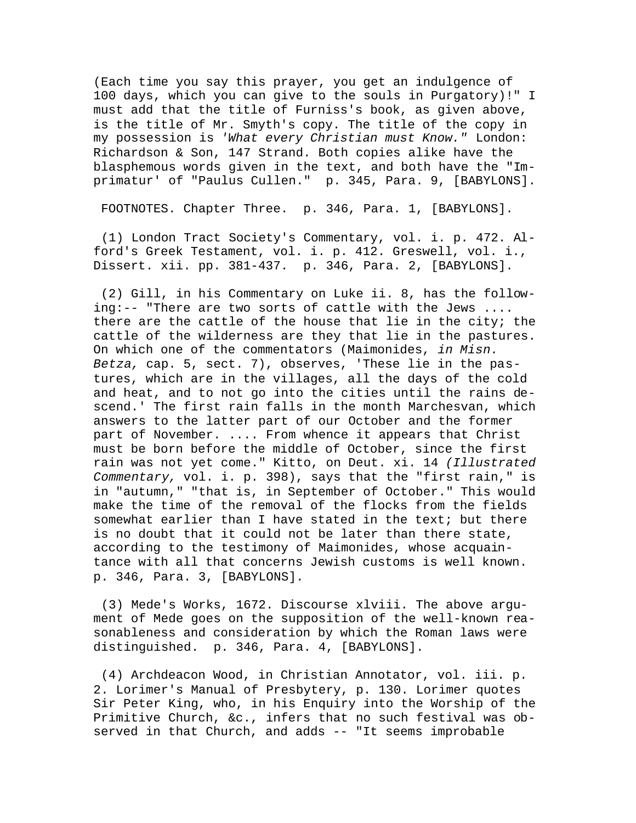(Each time you say this prayer, you get an indulgence of 100 days, which you can give to the souls in Purgatory)!" I must add that the title of Furniss's book, as given above, is the title of Mr. Smyth's copy. The title of the copy in my possession is *'What every Christian must Know."* London: Richardson & Son, 147 Strand. Both copies alike have the blasphemous words given in the text, and both have the "Imprimatur' of "Paulus Cullen." p. 345, Para. 9, [BABYLONS].

FOOTNOTES. Chapter Three. p. 346, Para. 1, [BABYLONS].

 (1) London Tract Society's Commentary, vol. i. p. 472. Alford's Greek Testament, vol. i. p. 412. Greswell, vol. i., Dissert. xii. pp. 381-437. p. 346, Para. 2, [BABYLONS].

 (2) Gill, in his Commentary on Luke ii. 8, has the following:-- "There are two sorts of cattle with the Jews .... there are the cattle of the house that lie in the city; the cattle of the wilderness are they that lie in the pastures. On which one of the commentators (Maimonides, *in Misn. Betza,* cap. 5, sect. 7), observes, 'These lie in the pastures, which are in the villages, all the days of the cold and heat, and to not go into the cities until the rains descend.' The first rain falls in the month Marchesvan, which answers to the latter part of our October and the former part of November. .... From whence it appears that Christ must be born before the middle of October, since the first rain was not yet come." Kitto, on Deut. xi. 14 *(Illustrated Commentary,* vol. i. p. 398), says that the "first rain," is in "autumn," "that is, in September of October." This would make the time of the removal of the flocks from the fields somewhat earlier than I have stated in the text; but there is no doubt that it could not be later than there state, according to the testimony of Maimonides, whose acquaintance with all that concerns Jewish customs is well known. p. 346, Para. 3, [BABYLONS].

 (3) Mede's Works, 1672. Discourse xlviii. The above argument of Mede goes on the supposition of the well-known reasonableness and consideration by which the Roman laws were distinguished. p. 346, Para. 4, [BABYLONS].

 (4) Archdeacon Wood, in Christian Annotator, vol. iii. p. 2. Lorimer's Manual of Presbytery, p. 130. Lorimer quotes Sir Peter King, who, in his Enquiry into the Worship of the Primitive Church, &c., infers that no such festival was observed in that Church, and adds -- "It seems improbable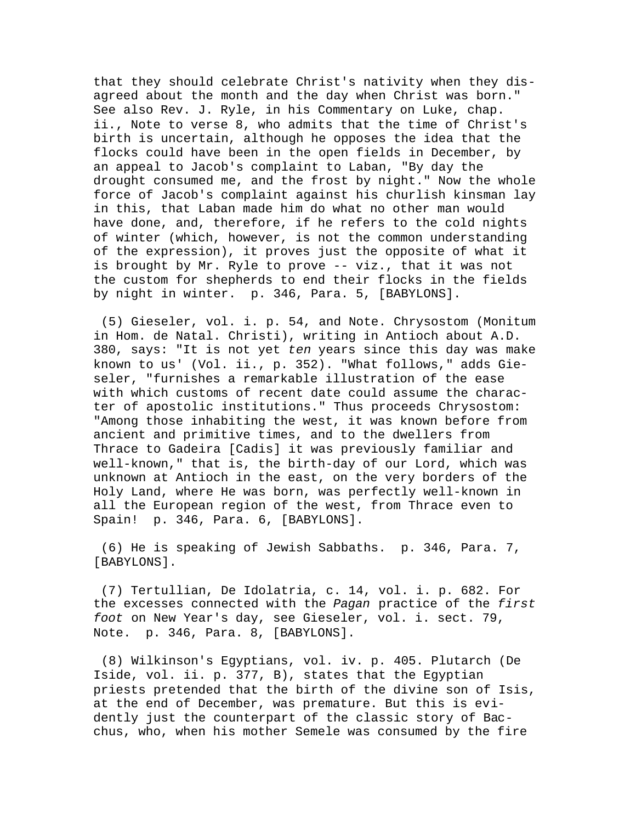that they should celebrate Christ's nativity when they disagreed about the month and the day when Christ was born." See also Rev. J. Ryle, in his Commentary on Luke, chap. ii., Note to verse 8, who admits that the time of Christ's birth is uncertain, although he opposes the idea that the flocks could have been in the open fields in December, by an appeal to Jacob's complaint to Laban, "By day the drought consumed me, and the frost by night." Now the whole force of Jacob's complaint against his churlish kinsman lay in this, that Laban made him do what no other man would have done, and, therefore, if he refers to the cold nights of winter (which, however, is not the common understanding of the expression), it proves just the opposite of what it is brought by Mr. Ryle to prove -- viz., that it was not the custom for shepherds to end their flocks in the fields by night in winter. p. 346, Para. 5, [BABYLONS].

 (5) Gieseler, vol. i. p. 54, and Note. Chrysostom (Monitum in Hom. de Natal. Christi), writing in Antioch about A.D. 380, says: "It is not yet *ten* years since this day was make known to us' (Vol. ii., p. 352). "What follows," adds Gieseler, "furnishes a remarkable illustration of the ease with which customs of recent date could assume the character of apostolic institutions." Thus proceeds Chrysostom: "Among those inhabiting the west, it was known before from ancient and primitive times, and to the dwellers from Thrace to Gadeira [Cadis] it was previously familiar and well-known," that is, the birth-day of our Lord, which was unknown at Antioch in the east, on the very borders of the Holy Land, where He was born, was perfectly well-known in all the European region of the west, from Thrace even to Spain! p. 346, Para. 6, [BABYLONS].

 (6) He is speaking of Jewish Sabbaths. p. 346, Para. 7, [BABYLONS].

 (7) Tertullian, De Idolatria, c. 14, vol. i. p. 682. For the excesses connected with the *Pagan* practice of the *first foot* on New Year's day, see Gieseler, vol. i. sect. 79, Note. p. 346, Para. 8, [BABYLONS].

 (8) Wilkinson's Egyptians, vol. iv. p. 405. Plutarch (De Iside, vol. ii. p. 377, B), states that the Egyptian priests pretended that the birth of the divine son of Isis, at the end of December, was premature. But this is evidently just the counterpart of the classic story of Bacchus, who, when his mother Semele was consumed by the fire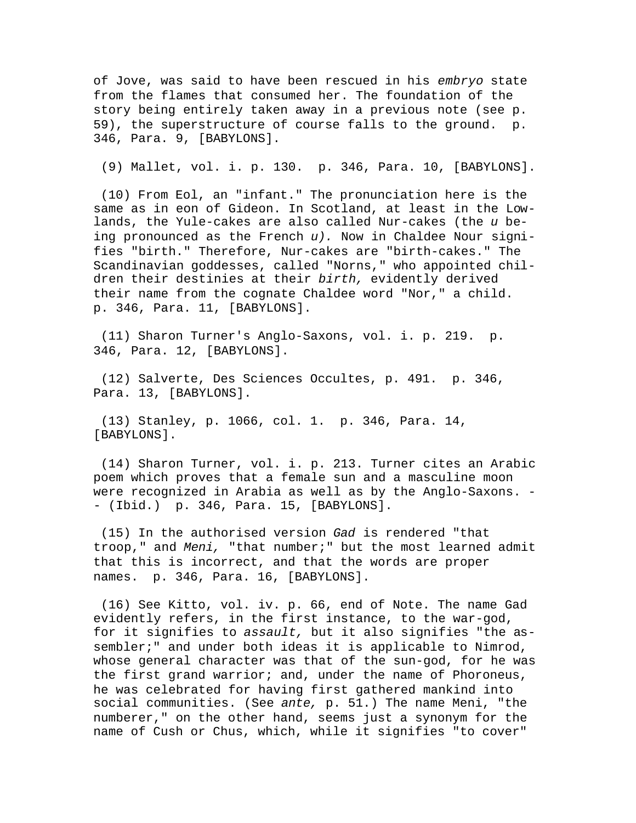of Jove, was said to have been rescued in his *embryo* state from the flames that consumed her. The foundation of the story being entirely taken away in a previous note (see p. 59), the superstructure of course falls to the ground. p. 346, Para. 9, [BABYLONS].

(9) Mallet, vol. i. p. 130. p. 346, Para. 10, [BABYLONS].

 (10) From Eol, an "infant." The pronunciation here is the same as in eon of Gideon. In Scotland, at least in the Lowlands, the Yule-cakes are also called Nur-cakes (the *u* being pronounced as the French *u).* Now in Chaldee Nour signifies "birth." Therefore, Nur-cakes are "birth-cakes." The Scandinavian goddesses, called "Norns," who appointed children their destinies at their *birth,* evidently derived their name from the cognate Chaldee word "Nor," a child. p. 346, Para. 11, [BABYLONS].

 (11) Sharon Turner's Anglo-Saxons, vol. i. p. 219. p. 346, Para. 12, [BABYLONS].

 (12) Salverte, Des Sciences Occultes, p. 491. p. 346, Para. 13, [BABYLONS].

 (13) Stanley, p. 1066, col. 1. p. 346, Para. 14, [BABYLONS].

 (14) Sharon Turner, vol. i. p. 213. Turner cites an Arabic poem which proves that a female sun and a masculine moon were recognized in Arabia as well as by the Anglo-Saxons. - - (Ibid.) p. 346, Para. 15, [BABYLONS].

 (15) In the authorised version *Gad* is rendered "that troop," and *Meni,* "that number;" but the most learned admit that this is incorrect, and that the words are proper names. p. 346, Para. 16, [BABYLONS].

 (16) See Kitto, vol. iv. p. 66, end of Note. The name Gad evidently refers, in the first instance, to the war-god, for it signifies to *assault,* but it also signifies "the assembler;" and under both ideas it is applicable to Nimrod, whose general character was that of the sun-god, for he was the first grand warrior; and, under the name of Phoroneus, he was celebrated for having first gathered mankind into social communities. (See *ante,* p. 51.) The name Meni, "the numberer," on the other hand, seems just a synonym for the name of Cush or Chus, which, while it signifies "to cover"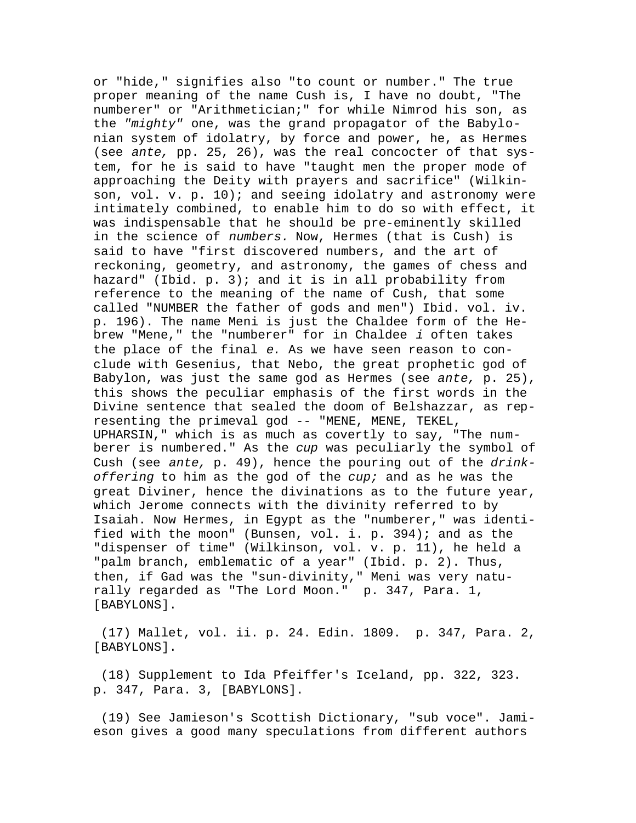or "hide," signifies also "to count or number." The true proper meaning of the name Cush is, I have no doubt, "The numberer" or "Arithmetician;" for while Nimrod his son, as the *"mighty"* one, was the grand propagator of the Babylonian system of idolatry, by force and power, he, as Hermes (see *ante,* pp. 25, 26), was the real concocter of that system, for he is said to have "taught men the proper mode of approaching the Deity with prayers and sacrifice" (Wilkinson, vol. v. p. 10); and seeing idolatry and astronomy were intimately combined, to enable him to do so with effect, it was indispensable that he should be pre-eminently skilled in the science of *numbers.* Now, Hermes (that is Cush) is said to have "first discovered numbers, and the art of reckoning, geometry, and astronomy, the games of chess and hazard" (Ibid. p. 3); and it is in all probability from reference to the meaning of the name of Cush, that some called "NUMBER the father of gods and men") Ibid. vol. iv. p. 196). The name Meni is just the Chaldee form of the Hebrew "Mene," the "numberer" for in Chaldee *i* often takes the place of the final *e.* As we have seen reason to conclude with Gesenius, that Nebo, the great prophetic god of Babylon, was just the same god as Hermes (see *ante,* p. 25), this shows the peculiar emphasis of the first words in the Divine sentence that sealed the doom of Belshazzar, as representing the primeval god -- "MENE, MENE, TEKEL, UPHARSIN," which is as much as covertly to say, "The numberer is numbered." As the *cup* was peculiarly the symbol of Cush (see *ante,* p. 49), hence the pouring out of the *drinkoffering* to him as the god of the *cup;* and as he was the great Diviner, hence the divinations as to the future year, which Jerome connects with the divinity referred to by Isaiah. Now Hermes, in Egypt as the "numberer," was identified with the moon" (Bunsen, vol. i. p. 394); and as the "dispenser of time" (Wilkinson, vol. v. p. 11), he held a "palm branch, emblematic of a year" (Ibid. p. 2). Thus, then, if Gad was the "sun-divinity," Meni was very naturally regarded as "The Lord Moon." p. 347, Para. 1, [BABYLONS].

 (17) Mallet, vol. ii. p. 24. Edin. 1809. p. 347, Para. 2, [BABYLONS].

 (18) Supplement to Ida Pfeiffer's Iceland, pp. 322, 323. p. 347, Para. 3, [BABYLONS].

 (19) See Jamieson's Scottish Dictionary, "sub voce". Jamieson gives a good many speculations from different authors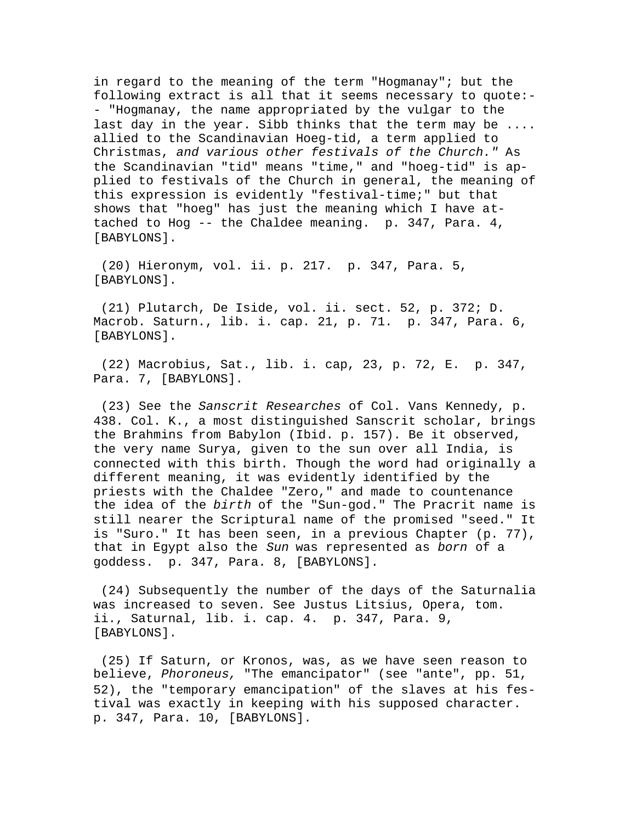in regard to the meaning of the term "Hogmanay"; but the following extract is all that it seems necessary to quote:- - "Hogmanay, the name appropriated by the vulgar to the last day in the year. Sibb thinks that the term may be .... allied to the Scandinavian Hoeg-tid, a term applied to Christmas, *and various other festivals of the Church."* As the Scandinavian "tid" means "time," and "hoeg-tid" is applied to festivals of the Church in general, the meaning of this expression is evidently "festival-time;" but that shows that "hoeg" has just the meaning which I have attached to Hog -- the Chaldee meaning. p. 347, Para. 4, [BABYLONS].

 (20) Hieronym, vol. ii. p. 217. p. 347, Para. 5, [BABYLONS].

 (21) Plutarch, De Iside, vol. ii. sect. 52, p. 372; D. Macrob. Saturn., lib. i. cap. 21, p. 71. p. 347, Para. 6, [BABYLONS].

 (22) Macrobius, Sat., lib. i. cap, 23, p. 72, E. p. 347, Para. 7, [BABYLONS].

 (23) See the *Sanscrit Researches* of Col. Vans Kennedy, p. 438. Col. K., a most distinguished Sanscrit scholar, brings the Brahmins from Babylon (Ibid. p. 157). Be it observed, the very name Surya, given to the sun over all India, is connected with this birth. Though the word had originally a different meaning, it was evidently identified by the priests with the Chaldee "Zero," and made to countenance the idea of the *birth* of the "Sun-god." The Pracrit name is still nearer the Scriptural name of the promised "seed." It is "Suro." It has been seen, in a previous Chapter (p. 77), that in Egypt also the *Sun* was represented as *born* of a goddess. p. 347, Para. 8, [BABYLONS].

 (24) Subsequently the number of the days of the Saturnalia was increased to seven. See Justus Litsius, Opera, tom. ii., Saturnal, lib. i. cap. 4. p. 347, Para. 9, [BABYLONS].

 (25) If Saturn, or Kronos, was, as we have seen reason to believe, *Phoroneus,* "The emancipator" (see "ante", pp. 51, 52), the "temporary emancipation" of the slaves at his festival was exactly in keeping with his supposed character. p. 347, Para. 10, [BABYLONS].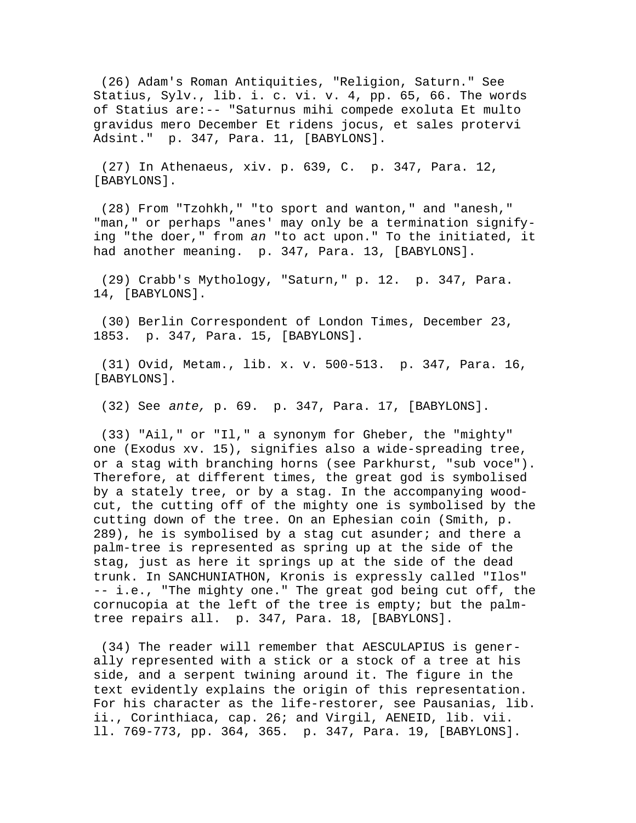(26) Adam's Roman Antiquities, "Religion, Saturn." See Statius, Sylv., lib. i. c. vi. v. 4, pp. 65, 66. The words of Statius are:-- "Saturnus mihi compede exoluta Et multo gravidus mero December Et ridens jocus, et sales protervi Adsint." p. 347, Para. 11, [BABYLONS].

 (27) In Athenaeus, xiv. p. 639, C. p. 347, Para. 12, [BABYLONS].

 (28) From "Tzohkh," "to sport and wanton," and "anesh," "man," or perhaps "anes' may only be a termination signifying "the doer," from *an* "to act upon." To the initiated, it had another meaning. p. 347, Para. 13, [BABYLONS].

 (29) Crabb's Mythology, "Saturn," p. 12. p. 347, Para. 14, [BABYLONS].

 (30) Berlin Correspondent of London Times, December 23, 1853. p. 347, Para. 15, [BABYLONS].

 (31) Ovid, Metam., lib. x. v. 500-513. p. 347, Para. 16, [BABYLONS].

(32) See *ante,* p. 69. p. 347, Para. 17, [BABYLONS].

 (33) "Ail," or "Il," a synonym for Gheber, the "mighty" one (Exodus xv. 15), signifies also a wide-spreading tree, or a stag with branching horns (see Parkhurst, "sub voce"). Therefore, at different times, the great god is symbolised by a stately tree, or by a stag. In the accompanying woodcut, the cutting off of the mighty one is symbolised by the cutting down of the tree. On an Ephesian coin (Smith, p. 289), he is symbolised by a stag cut asunder; and there a palm-tree is represented as spring up at the side of the stag, just as here it springs up at the side of the dead trunk. In SANCHUNIATHON, Kronis is expressly called "Ilos" -- i.e., "The mighty one." The great god being cut off, the cornucopia at the left of the tree is empty; but the palmtree repairs all. p. 347, Para. 18, [BABYLONS].

 (34) The reader will remember that AESCULAPIUS is generally represented with a stick or a stock of a tree at his side, and a serpent twining around it. The figure in the text evidently explains the origin of this representation. For his character as the life-restorer, see Pausanias, lib. ii., Corinthiaca, cap. 26; and Virgil, AENEID, lib. vii. ll. 769-773, pp. 364, 365. p. 347, Para. 19, [BABYLONS].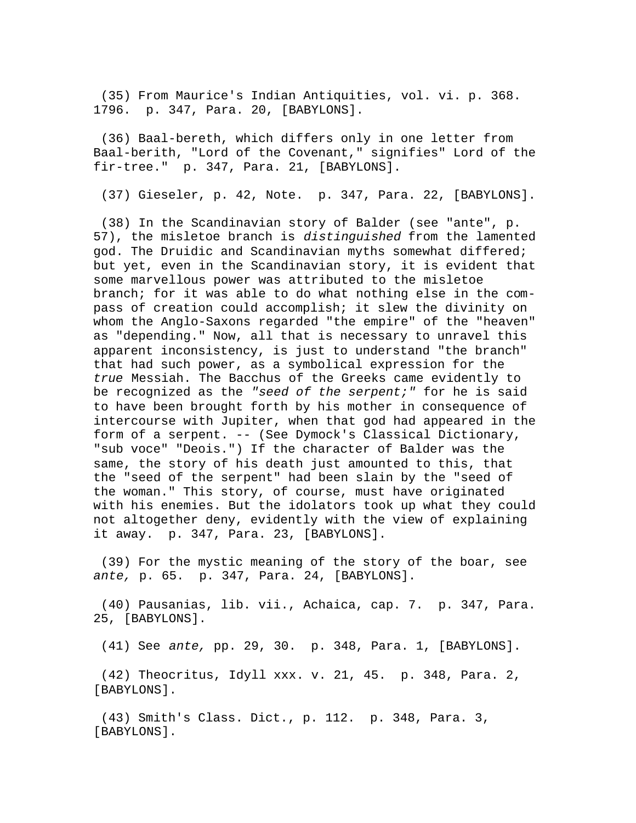(35) From Maurice's Indian Antiquities, vol. vi. p. 368. 1796. p. 347, Para. 20, [BABYLONS].

 (36) Baal-bereth, which differs only in one letter from Baal-berith, "Lord of the Covenant," signifies" Lord of the fir-tree." p. 347, Para. 21, [BABYLONS].

(37) Gieseler, p. 42, Note. p. 347, Para. 22, [BABYLONS].

 (38) In the Scandinavian story of Balder (see "ante", p. 57), the misletoe branch is *distinguished* from the lamented god. The Druidic and Scandinavian myths somewhat differed; but yet, even in the Scandinavian story, it is evident that some marvellous power was attributed to the misletoe branch; for it was able to do what nothing else in the compass of creation could accomplish; it slew the divinity on whom the Anglo-Saxons regarded "the empire" of the "heaven" as "depending." Now, all that is necessary to unravel this apparent inconsistency, is just to understand "the branch" that had such power, as a symbolical expression for the *true* Messiah. The Bacchus of the Greeks came evidently to be recognized as the *"seed of the serpent;"* for he is said to have been brought forth by his mother in consequence of intercourse with Jupiter, when that god had appeared in the form of a serpent. -- (See Dymock's Classical Dictionary, "sub voce" "Deois.") If the character of Balder was the same, the story of his death just amounted to this, that the "seed of the serpent" had been slain by the "seed of the woman." This story, of course, must have originated with his enemies. But the idolators took up what they could not altogether deny, evidently with the view of explaining it away. p. 347, Para. 23, [BABYLONS].

 (39) For the mystic meaning of the story of the boar, see *ante,* p. 65. p. 347, Para. 24, [BABYLONS].

 (40) Pausanias, lib. vii., Achaica, cap. 7. p. 347, Para. 25, [BABYLONS].

(41) See *ante,* pp. 29, 30. p. 348, Para. 1, [BABYLONS].

 (42) Theocritus, Idyll xxx. v. 21, 45. p. 348, Para. 2, [BABYLONS].

 (43) Smith's Class. Dict., p. 112. p. 348, Para. 3, [BABYLONS].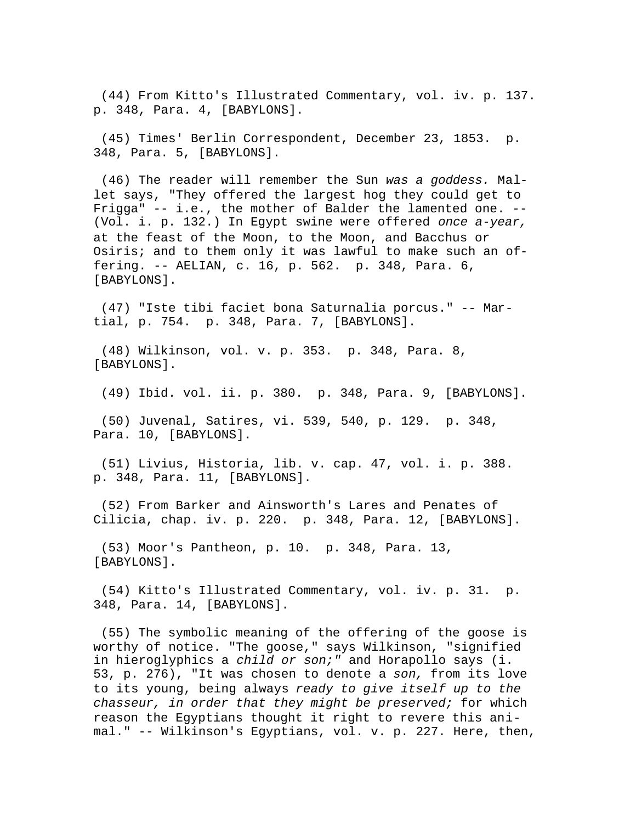(44) From Kitto's Illustrated Commentary, vol. iv. p. 137. p. 348, Para. 4, [BABYLONS].

 (45) Times' Berlin Correspondent, December 23, 1853. p. 348, Para. 5, [BABYLONS].

 (46) The reader will remember the Sun *was a goddess.* Mallet says, "They offered the largest hog they could get to Frigga" -- i.e., the mother of Balder the lamented one. -- (Vol. i. p. 132.) In Egypt swine were offered *once a-year,* at the feast of the Moon, to the Moon, and Bacchus or Osiris; and to them only it was lawful to make such an offering. -- AELIAN, c. 16, p. 562. p. 348, Para. 6, [BABYLONS].

 (47) "Iste tibi faciet bona Saturnalia porcus." -- Martial, p. 754. p. 348, Para. 7, [BABYLONS].

 (48) Wilkinson, vol. v. p. 353. p. 348, Para. 8, [BABYLONS].

(49) Ibid. vol. ii. p. 380. p. 348, Para. 9, [BABYLONS].

 (50) Juvenal, Satires, vi. 539, 540, p. 129. p. 348, Para. 10, [BABYLONS].

 (51) Livius, Historia, lib. v. cap. 47, vol. i. p. 388. p. 348, Para. 11, [BABYLONS].

 (52) From Barker and Ainsworth's Lares and Penates of Cilicia, chap. iv. p. 220. p. 348, Para. 12, [BABYLONS].

 (53) Moor's Pantheon, p. 10. p. 348, Para. 13, [BABYLONS].

 (54) Kitto's Illustrated Commentary, vol. iv. p. 31. p. 348, Para. 14, [BABYLONS].

 (55) The symbolic meaning of the offering of the goose is worthy of notice. "The goose," says Wilkinson, "signified in hieroglyphics a *child or son;"* and Horapollo says (i. 53, p. 276), "It was chosen to denote a *son,* from its love to its young, being always *ready to give itself up to the chasseur, in order that they might be preserved;* for which reason the Egyptians thought it right to revere this animal." -- Wilkinson's Egyptians, vol. v. p. 227. Here, then,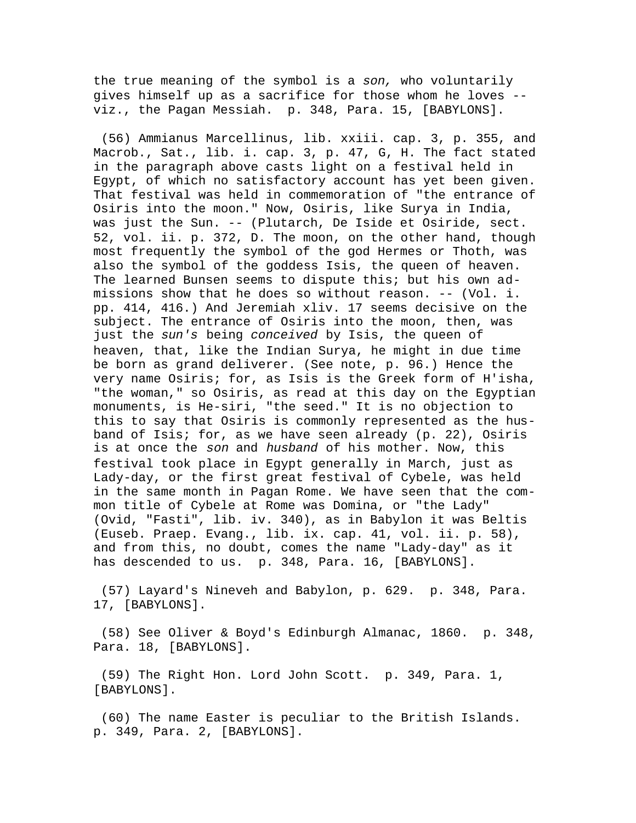the true meaning of the symbol is a *son,* who voluntarily gives himself up as a sacrifice for those whom he loves - viz., the Pagan Messiah. p. 348, Para. 15, [BABYLONS].

 (56) Ammianus Marcellinus, lib. xxiii. cap. 3, p. 355, and Macrob., Sat., lib. i. cap. 3, p. 47, G, H. The fact stated in the paragraph above casts light on a festival held in Egypt, of which no satisfactory account has yet been given. That festival was held in commemoration of "the entrance of Osiris into the moon." Now, Osiris, like Surya in India, was just the Sun. -- (Plutarch, De Iside et Osiride, sect. 52, vol. ii. p. 372, D. The moon, on the other hand, though most frequently the symbol of the god Hermes or Thoth, was also the symbol of the goddess Isis, the queen of heaven. The learned Bunsen seems to dispute this; but his own admissions show that he does so without reason. -- (Vol. i. pp. 414, 416.) And Jeremiah xliv. 17 seems decisive on the subject. The entrance of Osiris into the moon, then, was just the *sun's* being *conceived* by Isis, the queen of heaven, that, like the Indian Surya, he might in due time be born as grand deliverer. (See note, p. 96.) Hence the very name Osiris; for, as Isis is the Greek form of H'isha, "the woman," so Osiris, as read at this day on the Egyptian monuments, is He-siri, "the seed." It is no objection to this to say that Osiris is commonly represented as the husband of Isis; for, as we have seen already (p. 22), Osiris is at once the *son* and *husband* of his mother. Now, this festival took place in Egypt generally in March, just as Lady-day, or the first great festival of Cybele, was held in the same month in Pagan Rome. We have seen that the common title of Cybele at Rome was Domina, or "the Lady" (Ovid, "Fasti", lib. iv. 340), as in Babylon it was Beltis (Euseb. Praep. Evang., lib. ix. cap. 41, vol. ii. p. 58), and from this, no doubt, comes the name "Lady-day" as it has descended to us. p. 348, Para. 16, [BABYLONS].

 (57) Layard's Nineveh and Babylon, p. 629. p. 348, Para. 17, [BABYLONS].

 (58) See Oliver & Boyd's Edinburgh Almanac, 1860. p. 348, Para. 18, [BABYLONS].

 (59) The Right Hon. Lord John Scott. p. 349, Para. 1, [BABYLONS].

 (60) The name Easter is peculiar to the British Islands. p. 349, Para. 2, [BABYLONS].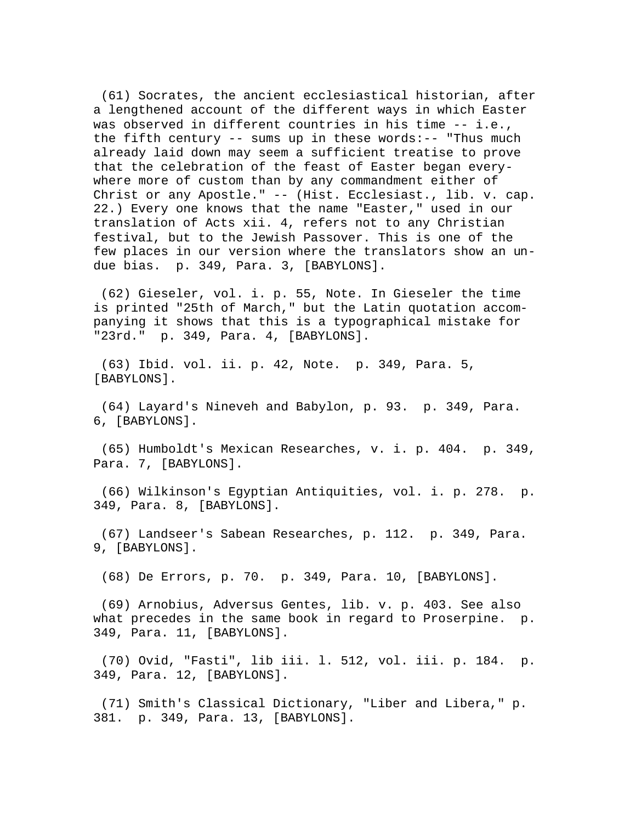(61) Socrates, the ancient ecclesiastical historian, after a lengthened account of the different ways in which Easter was observed in different countries in his time -- i.e., the fifth century -- sums up in these words:-- "Thus much already laid down may seem a sufficient treatise to prove that the celebration of the feast of Easter began everywhere more of custom than by any commandment either of Christ or any Apostle." -- (Hist. Ecclesiast., lib. v. cap. 22.) Every one knows that the name "Easter," used in our translation of Acts xii. 4, refers not to any Christian festival, but to the Jewish Passover. This is one of the few places in our version where the translators show an undue bias. p. 349, Para. 3, [BABYLONS].

 (62) Gieseler, vol. i. p. 55, Note. In Gieseler the time is printed "25th of March," but the Latin quotation accompanying it shows that this is a typographical mistake for "23rd." p. 349, Para. 4, [BABYLONS].

 (63) Ibid. vol. ii. p. 42, Note. p. 349, Para. 5, [BABYLONS].

 (64) Layard's Nineveh and Babylon, p. 93. p. 349, Para. 6, [BABYLONS].

 (65) Humboldt's Mexican Researches, v. i. p. 404. p. 349, Para. 7, [BABYLONS].

 (66) Wilkinson's Egyptian Antiquities, vol. i. p. 278. p. 349, Para. 8, [BABYLONS].

 (67) Landseer's Sabean Researches, p. 112. p. 349, Para. 9, [BABYLONS].

(68) De Errors, p. 70. p. 349, Para. 10, [BABYLONS].

 (69) Arnobius, Adversus Gentes, lib. v. p. 403. See also what precedes in the same book in regard to Proserpine. p. 349, Para. 11, [BABYLONS].

 (70) Ovid, "Fasti", lib iii. l. 512, vol. iii. p. 184. p. 349, Para. 12, [BABYLONS].

 (71) Smith's Classical Dictionary, "Liber and Libera," p. 381. p. 349, Para. 13, [BABYLONS].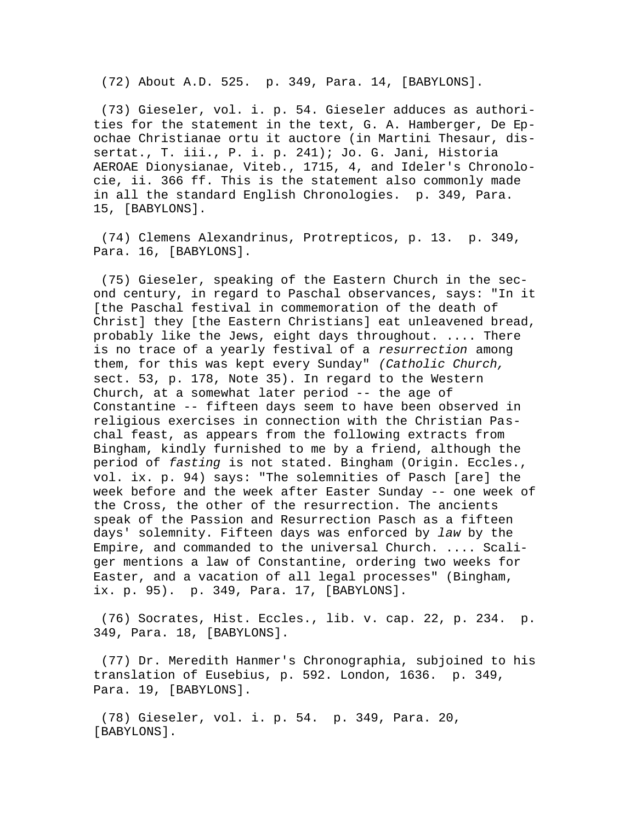(72) About A.D. 525. p. 349, Para. 14, [BABYLONS].

 (73) Gieseler, vol. i. p. 54. Gieseler adduces as authorities for the statement in the text, G. A. Hamberger, De Epochae Christianae ortu it auctore (in Martini Thesaur, dissertat., T. iii., P. i. p. 241); Jo. G. Jani, Historia AEROAE Dionysianae, Viteb., 1715, 4, and Ideler's Chronolocie, ii. 366 ff. This is the statement also commonly made in all the standard English Chronologies. p. 349, Para. 15, [BABYLONS].

 (74) Clemens Alexandrinus, Protrepticos, p. 13. p. 349, Para. 16, [BABYLONS].

 (75) Gieseler, speaking of the Eastern Church in the second century, in regard to Paschal observances, says: "In it [the Paschal festival in commemoration of the death of Christ] they [the Eastern Christians] eat unleavened bread, probably like the Jews, eight days throughout. .... There is no trace of a yearly festival of a *resurrection* among them, for this was kept every Sunday" *(Catholic Church,* sect. 53, p. 178, Note 35). In regard to the Western Church, at a somewhat later period -- the age of Constantine -- fifteen days seem to have been observed in religious exercises in connection with the Christian Paschal feast, as appears from the following extracts from Bingham, kindly furnished to me by a friend, although the period of *fasting* is not stated. Bingham (Origin. Eccles., vol. ix. p. 94) says: "The solemnities of Pasch [are] the week before and the week after Easter Sunday -- one week of the Cross, the other of the resurrection. The ancients speak of the Passion and Resurrection Pasch as a fifteen days' solemnity. Fifteen days was enforced by *law* by the Empire, and commanded to the universal Church. .... Scaliger mentions a law of Constantine, ordering two weeks for Easter, and a vacation of all legal processes" (Bingham, ix. p. 95). p. 349, Para. 17, [BABYLONS].

 (76) Socrates, Hist. Eccles., lib. v. cap. 22, p. 234. p. 349, Para. 18, [BABYLONS].

 (77) Dr. Meredith Hanmer's Chronographia, subjoined to his translation of Eusebius, p. 592. London, 1636. p. 349, Para. 19, [BABYLONS].

 (78) Gieseler, vol. i. p. 54. p. 349, Para. 20, [BABYLONS].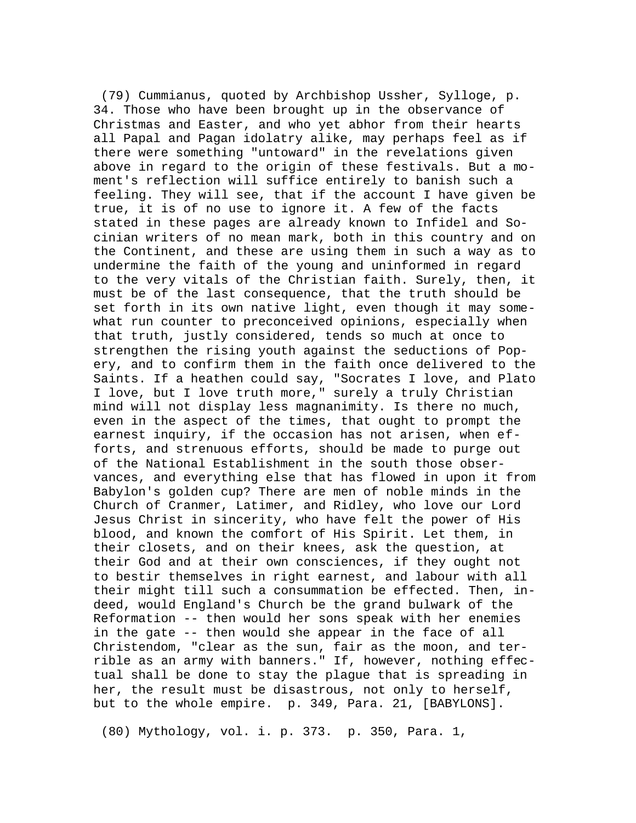(79) Cummianus, quoted by Archbishop Ussher, Sylloge, p. 34. Those who have been brought up in the observance of Christmas and Easter, and who yet abhor from their hearts all Papal and Pagan idolatry alike, may perhaps feel as if there were something "untoward" in the revelations given above in regard to the origin of these festivals. But a moment's reflection will suffice entirely to banish such a feeling. They will see, that if the account I have given be true, it is of no use to ignore it. A few of the facts stated in these pages are already known to Infidel and Socinian writers of no mean mark, both in this country and on the Continent, and these are using them in such a way as to undermine the faith of the young and uninformed in regard to the very vitals of the Christian faith. Surely, then, it must be of the last consequence, that the truth should be set forth in its own native light, even though it may somewhat run counter to preconceived opinions, especially when that truth, justly considered, tends so much at once to strengthen the rising youth against the seductions of Popery, and to confirm them in the faith once delivered to the Saints. If a heathen could say, "Socrates I love, and Plato I love, but I love truth more," surely a truly Christian mind will not display less magnanimity. Is there no much, even in the aspect of the times, that ought to prompt the earnest inquiry, if the occasion has not arisen, when efforts, and strenuous efforts, should be made to purge out of the National Establishment in the south those observances, and everything else that has flowed in upon it from Babylon's golden cup? There are men of noble minds in the Church of Cranmer, Latimer, and Ridley, who love our Lord Jesus Christ in sincerity, who have felt the power of His blood, and known the comfort of His Spirit. Let them, in their closets, and on their knees, ask the question, at their God and at their own consciences, if they ought not to bestir themselves in right earnest, and labour with all their might till such a consummation be effected. Then, indeed, would England's Church be the grand bulwark of the Reformation -- then would her sons speak with her enemies in the gate -- then would she appear in the face of all Christendom, "clear as the sun, fair as the moon, and terrible as an army with banners." If, however, nothing effectual shall be done to stay the plague that is spreading in her, the result must be disastrous, not only to herself, but to the whole empire. p. 349, Para. 21, [BABYLONS].

(80) Mythology, vol. i. p. 373. p. 350, Para. 1,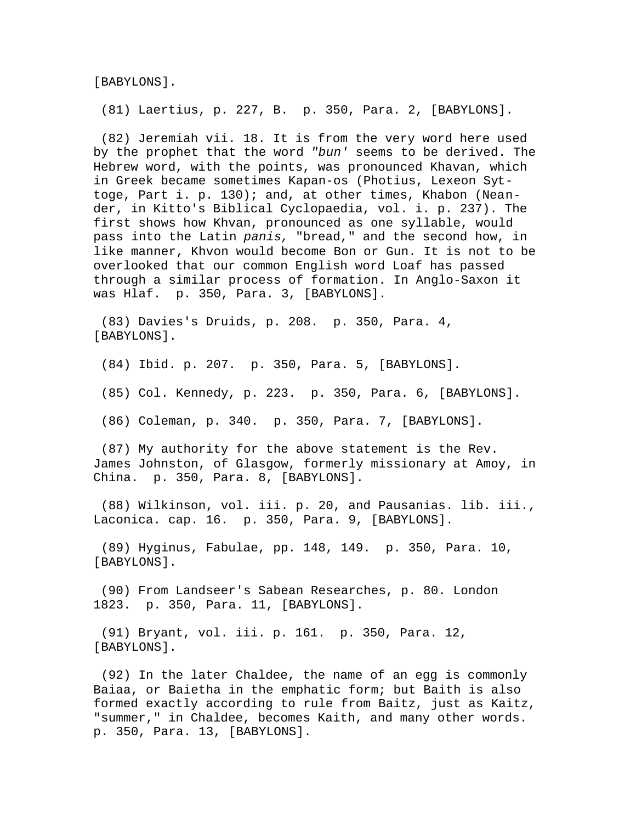[BABYLONS].

(81) Laertius, p. 227, B. p. 350, Para. 2, [BABYLONS].

 (82) Jeremiah vii. 18. It is from the very word here used by the prophet that the word *"bun'* seems to be derived. The Hebrew word, with the points, was pronounced Khavan, which in Greek became sometimes Kapan-os (Photius, Lexeon Syttoge, Part i. p. 130); and, at other times, Khabon (Neander, in Kitto's Biblical Cyclopaedia, vol. i. p. 237). The first shows how Khvan, pronounced as one syllable, would pass into the Latin *panis,* "bread," and the second how, in like manner, Khvon would become Bon or Gun. It is not to be overlooked that our common English word Loaf has passed through a similar process of formation. In Anglo-Saxon it was Hlaf. p. 350, Para. 3, [BABYLONS].

 (83) Davies's Druids, p. 208. p. 350, Para. 4, [BABYLONS].

(84) Ibid. p. 207. p. 350, Para. 5, [BABYLONS].

(85) Col. Kennedy, p. 223. p. 350, Para. 6, [BABYLONS].

(86) Coleman, p. 340. p. 350, Para. 7, [BABYLONS].

 (87) My authority for the above statement is the Rev. James Johnston, of Glasgow, formerly missionary at Amoy, in China. p. 350, Para. 8, [BABYLONS].

 (88) Wilkinson, vol. iii. p. 20, and Pausanias. lib. iii., Laconica. cap. 16. p. 350, Para. 9, [BABYLONS].

 (89) Hyginus, Fabulae, pp. 148, 149. p. 350, Para. 10, [BABYLONS].

 (90) From Landseer's Sabean Researches, p. 80. London 1823. p. 350, Para. 11, [BABYLONS].

 (91) Bryant, vol. iii. p. 161. p. 350, Para. 12, [BABYLONS].

 (92) In the later Chaldee, the name of an egg is commonly Baiaa, or Baietha in the emphatic form; but Baith is also formed exactly according to rule from Baitz, just as Kaitz, "summer," in Chaldee, becomes Kaith, and many other words. p. 350, Para. 13, [BABYLONS].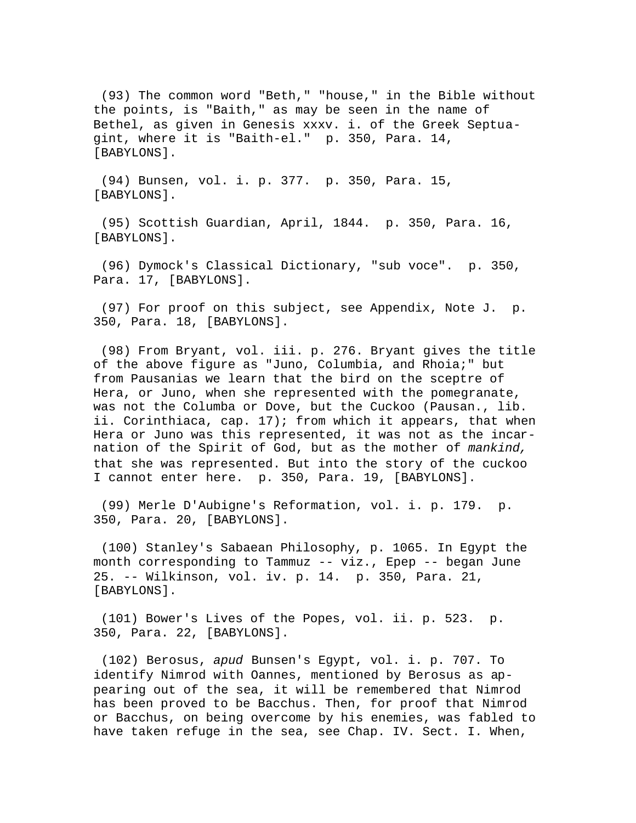(93) The common word "Beth," "house," in the Bible without the points, is "Baith," as may be seen in the name of Bethel, as given in Genesis xxxv. i. of the Greek Septuagint, where it is "Baith-el." p. 350, Para. 14, [BABYLONS].

 (94) Bunsen, vol. i. p. 377. p. 350, Para. 15, [BABYLONS].

 (95) Scottish Guardian, April, 1844. p. 350, Para. 16, [BABYLONS].

 (96) Dymock's Classical Dictionary, "sub voce". p. 350, Para. 17, [BABYLONS].

 (97) For proof on this subject, see Appendix, Note J. p. 350, Para. 18, [BABYLONS].

 (98) From Bryant, vol. iii. p. 276. Bryant gives the title of the above figure as "Juno, Columbia, and Rhoia;" but from Pausanias we learn that the bird on the sceptre of Hera, or Juno, when she represented with the pomegranate, was not the Columba or Dove, but the Cuckoo (Pausan., lib. ii. Corinthiaca, cap. 17); from which it appears, that when Hera or Juno was this represented, it was not as the incarnation of the Spirit of God, but as the mother of *mankind,* that she was represented. But into the story of the cuckoo I cannot enter here. p. 350, Para. 19, [BABYLONS].

 (99) Merle D'Aubigne's Reformation, vol. i. p. 179. p. 350, Para. 20, [BABYLONS].

 (100) Stanley's Sabaean Philosophy, p. 1065. In Egypt the month corresponding to Tammuz -- viz., Epep -- began June 25. -- Wilkinson, vol. iv. p. 14. p. 350, Para. 21, [BABYLONS].

 (101) Bower's Lives of the Popes, vol. ii. p. 523. p. 350, Para. 22, [BABYLONS].

 (102) Berosus, *apud* Bunsen's Egypt, vol. i. p. 707. To identify Nimrod with Oannes, mentioned by Berosus as appearing out of the sea, it will be remembered that Nimrod has been proved to be Bacchus. Then, for proof that Nimrod or Bacchus, on being overcome by his enemies, was fabled to have taken refuge in the sea, see Chap. IV. Sect. I. When,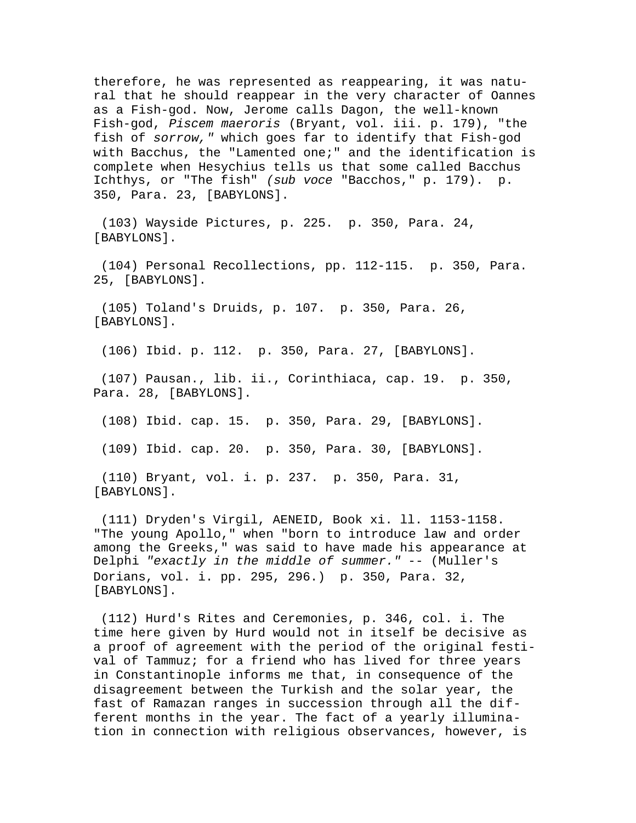therefore, he was represented as reappearing, it was natural that he should reappear in the very character of Oannes as a Fish-god. Now, Jerome calls Dagon, the well-known Fish-god, *Piscem maeroris* (Bryant, vol. iii. p. 179), "the fish of *sorrow,"* which goes far to identify that Fish-god with Bacchus, the "Lamented one;" and the identification is complete when Hesychius tells us that some called Bacchus Ichthys, or "The fish" *(sub voce* "Bacchos," p. 179). p. 350, Para. 23, [BABYLONS].

 (103) Wayside Pictures, p. 225. p. 350, Para. 24, [BABYLONS].

 (104) Personal Recollections, pp. 112-115. p. 350, Para. 25, [BABYLONS].

 (105) Toland's Druids, p. 107. p. 350, Para. 26, [BABYLONS].

(106) Ibid. p. 112. p. 350, Para. 27, [BABYLONS].

 (107) Pausan., lib. ii., Corinthiaca, cap. 19. p. 350, Para. 28, [BABYLONS].

(108) Ibid. cap. 15. p. 350, Para. 29, [BABYLONS].

(109) Ibid. cap. 20. p. 350, Para. 30, [BABYLONS].

 (110) Bryant, vol. i. p. 237. p. 350, Para. 31, [BABYLONS].

 (111) Dryden's Virgil, AENEID, Book xi. ll. 1153-1158. "The young Apollo," when "born to introduce law and order among the Greeks," was said to have made his appearance at Delphi *"exactly in the middle of summer."* -- (Muller's Dorians, vol. i. pp. 295, 296.) p. 350, Para. 32, [BABYLONS].

 (112) Hurd's Rites and Ceremonies, p. 346, col. i. The time here given by Hurd would not in itself be decisive as a proof of agreement with the period of the original festival of Tammuz; for a friend who has lived for three years in Constantinople informs me that, in consequence of the disagreement between the Turkish and the solar year, the fast of Ramazan ranges in succession through all the different months in the year. The fact of a yearly illumination in connection with religious observances, however, is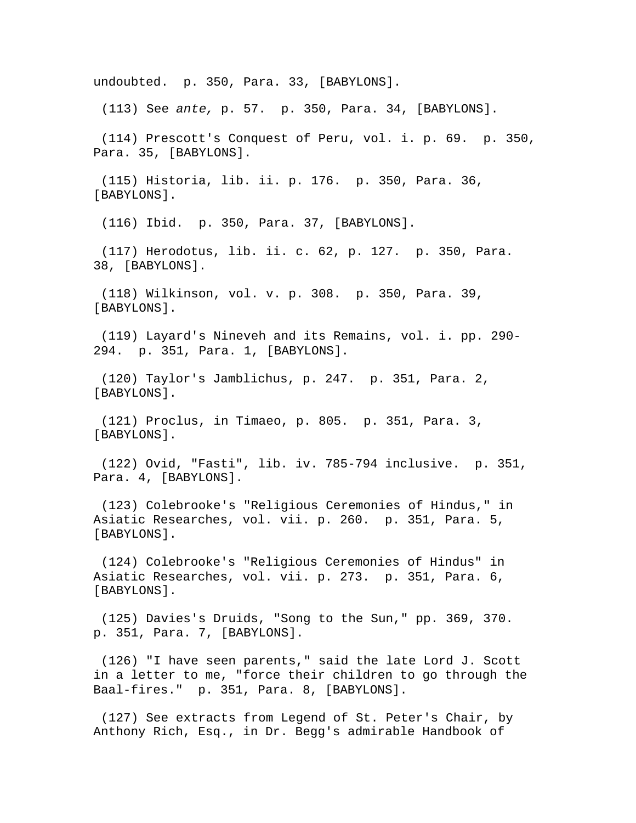undoubted. p. 350, Para. 33, [BABYLONS].

(113) See *ante,* p. 57. p. 350, Para. 34, [BABYLONS].

 (114) Prescott's Conquest of Peru, vol. i. p. 69. p. 350, Para. 35, [BABYLONS].

 (115) Historia, lib. ii. p. 176. p. 350, Para. 36, [BABYLONS].

(116) Ibid. p. 350, Para. 37, [BABYLONS].

 (117) Herodotus, lib. ii. c. 62, p. 127. p. 350, Para. 38, [BABYLONS].

 (118) Wilkinson, vol. v. p. 308. p. 350, Para. 39, [BABYLONS].

 (119) Layard's Nineveh and its Remains, vol. i. pp. 290- 294. p. 351, Para. 1, [BABYLONS].

 (120) Taylor's Jamblichus, p. 247. p. 351, Para. 2, [BABYLONS].

 (121) Proclus, in Timaeo, p. 805. p. 351, Para. 3, [BABYLONS].

 (122) Ovid, "Fasti", lib. iv. 785-794 inclusive. p. 351, Para. 4, [BABYLONS].

 (123) Colebrooke's "Religious Ceremonies of Hindus," in Asiatic Researches, vol. vii. p. 260. p. 351, Para. 5, [BABYLONS].

 (124) Colebrooke's "Religious Ceremonies of Hindus" in Asiatic Researches, vol. vii. p. 273. p. 351, Para. 6, [BABYLONS].

 (125) Davies's Druids, "Song to the Sun," pp. 369, 370. p. 351, Para. 7, [BABYLONS].

 (126) "I have seen parents," said the late Lord J. Scott in a letter to me, "force their children to go through the Baal-fires." p. 351, Para. 8, [BABYLONS].

 (127) See extracts from Legend of St. Peter's Chair, by Anthony Rich, Esq., in Dr. Begg's admirable Handbook of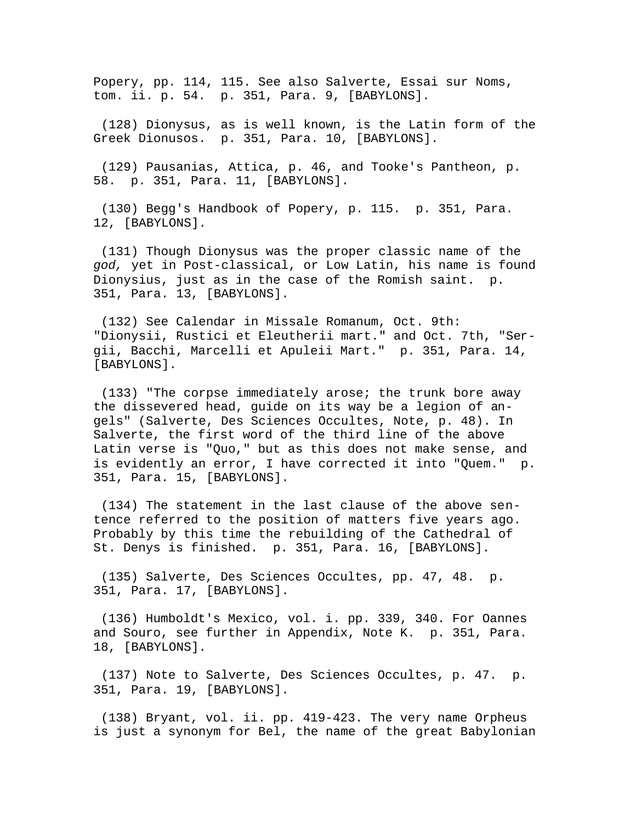Popery, pp. 114, 115. See also Salverte, Essai sur Noms, tom. ii. p. 54. p. 351, Para. 9, [BABYLONS].

 (128) Dionysus, as is well known, is the Latin form of the Greek Dionusos. p. 351, Para. 10, [BABYLONS].

 (129) Pausanias, Attica, p. 46, and Tooke's Pantheon, p. 58. p. 351, Para. 11, [BABYLONS].

 (130) Begg's Handbook of Popery, p. 115. p. 351, Para. 12, [BABYLONS].

 (131) Though Dionysus was the proper classic name of the *god,* yet in Post-classical, or Low Latin, his name is found Dionysius, just as in the case of the Romish saint. p. 351, Para. 13, [BABYLONS].

 (132) See Calendar in Missale Romanum, Oct. 9th: "Dionysii, Rustici et Eleutherii mart." and Oct. 7th, "Sergii, Bacchi, Marcelli et Apuleii Mart." p. 351, Para. 14, [BABYLONS].

 (133) "The corpse immediately arose; the trunk bore away the dissevered head, guide on its way be a legion of angels" (Salverte, Des Sciences Occultes, Note, p. 48). In Salverte, the first word of the third line of the above Latin verse is "Quo," but as this does not make sense, and is evidently an error, I have corrected it into "Quem." p. 351, Para. 15, [BABYLONS].

 (134) The statement in the last clause of the above sentence referred to the position of matters five years ago. Probably by this time the rebuilding of the Cathedral of St. Denys is finished. p. 351, Para. 16, [BABYLONS].

 (135) Salverte, Des Sciences Occultes, pp. 47, 48. p. 351, Para. 17, [BABYLONS].

 (136) Humboldt's Mexico, vol. i. pp. 339, 340. For Oannes and Souro, see further in Appendix, Note K. p. 351, Para. 18, [BABYLONS].

 (137) Note to Salverte, Des Sciences Occultes, p. 47. p. 351, Para. 19, [BABYLONS].

 (138) Bryant, vol. ii. pp. 419-423. The very name Orpheus is just a synonym for Bel, the name of the great Babylonian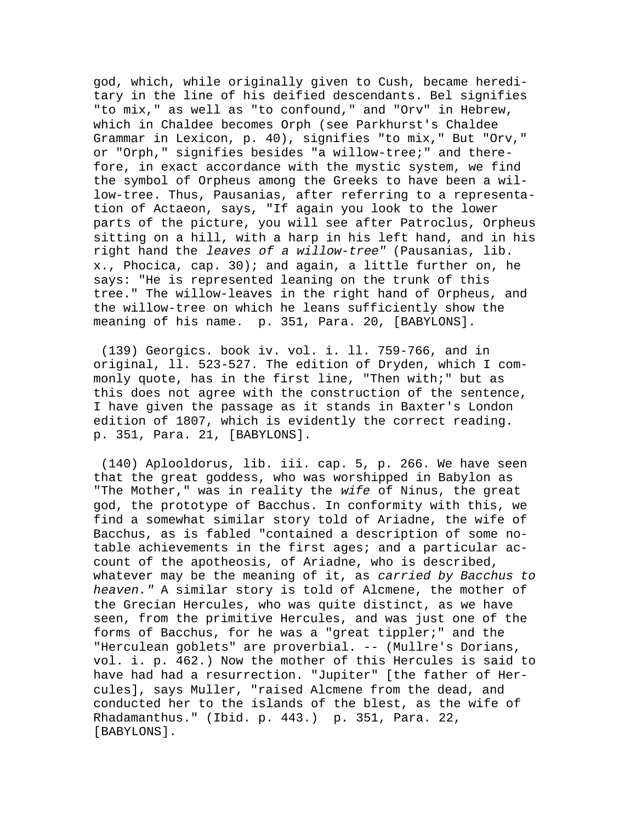god, which, while originally given to Cush, became hereditary in the line of his deified descendants. Bel signifies "to mix," as well as "to confound," and "Orv" in Hebrew, which in Chaldee becomes Orph (see Parkhurst's Chaldee Grammar in Lexicon, p. 40), signifies "to mix," But "Orv," or "Orph," signifies besides "a willow-tree;" and therefore, in exact accordance with the mystic system, we find the symbol of Orpheus among the Greeks to have been a willow-tree. Thus, Pausanias, after referring to a representation of Actaeon, says, "If again you look to the lower parts of the picture, you will see after Patroclus, Orpheus sitting on a hill, with a harp in his left hand, and in his right hand the *leaves of a willow-tree"* (Pausanias, lib. x., Phocica, cap. 30); and again, a little further on, he says: "He is represented leaning on the trunk of this tree." The willow-leaves in the right hand of Orpheus, and the willow-tree on which he leans sufficiently show the meaning of his name. p. 351, Para. 20, [BABYLONS].

 (139) Georgics. book iv. vol. i. ll. 759-766, and in original, ll. 523-527. The edition of Dryden, which I commonly quote, has in the first line, "Then with;" but as this does not agree with the construction of the sentence, I have given the passage as it stands in Baxter's London edition of 1807, which is evidently the correct reading. p. 351, Para. 21, [BABYLONS].

 (140) Aplooldorus, lib. iii. cap. 5, p. 266. We have seen that the great goddess, who was worshipped in Babylon as "The Mother," was in reality the *wife* of Ninus, the great god, the prototype of Bacchus. In conformity with this, we find a somewhat similar story told of Ariadne, the wife of Bacchus, as is fabled "contained a description of some notable achievements in the first ages; and a particular account of the apotheosis, of Ariadne, who is described, whatever may be the meaning of it, as *carried by Bacchus to heaven."* A similar story is told of Alcmene, the mother of the Grecian Hercules, who was quite distinct, as we have seen, from the primitive Hercules, and was just one of the forms of Bacchus, for he was a "great tippler;" and the "Herculean goblets" are proverbial. -- (Mullre's Dorians, vol. i. p. 462.) Now the mother of this Hercules is said to have had had a resurrection. "Jupiter" [the father of Hercules], says Muller, "raised Alcmene from the dead, and conducted her to the islands of the blest, as the wife of Rhadamanthus." (Ibid. p. 443.) p. 351, Para. 22, [BABYLONS].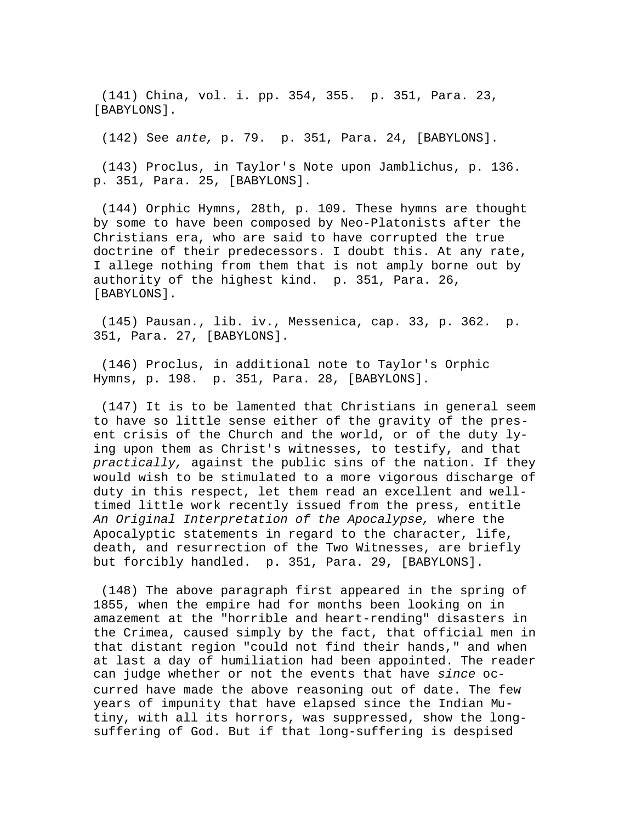(141) China, vol. i. pp. 354, 355. p. 351, Para. 23, [BABYLONS].

(142) See *ante,* p. 79. p. 351, Para. 24, [BABYLONS].

 (143) Proclus, in Taylor's Note upon Jamblichus, p. 136. p. 351, Para. 25, [BABYLONS].

 (144) Orphic Hymns, 28th, p. 109. These hymns are thought by some to have been composed by Neo-Platonists after the Christians era, who are said to have corrupted the true doctrine of their predecessors. I doubt this. At any rate, I allege nothing from them that is not amply borne out by authority of the highest kind. p. 351, Para. 26, [BABYLONS].

 (145) Pausan., lib. iv., Messenica, cap. 33, p. 362. p. 351, Para. 27, [BABYLONS].

 (146) Proclus, in additional note to Taylor's Orphic Hymns, p. 198. p. 351, Para. 28, [BABYLONS].

 (147) It is to be lamented that Christians in general seem to have so little sense either of the gravity of the present crisis of the Church and the world, or of the duty lying upon them as Christ's witnesses, to testify, and that *practically,* against the public sins of the nation. If they would wish to be stimulated to a more vigorous discharge of duty in this respect, let them read an excellent and welltimed little work recently issued from the press, entitle *An Original Interpretation of the Apocalypse,* where the Apocalyptic statements in regard to the character, life, death, and resurrection of the Two Witnesses, are briefly but forcibly handled. p. 351, Para. 29, [BABYLONS].

 (148) The above paragraph first appeared in the spring of 1855, when the empire had for months been looking on in amazement at the "horrible and heart-rending" disasters in the Crimea, caused simply by the fact, that official men in that distant region "could not find their hands," and when at last a day of humiliation had been appointed. The reader can judge whether or not the events that have *since* occurred have made the above reasoning out of date. The few years of impunity that have elapsed since the Indian Mutiny, with all its horrors, was suppressed, show the longsuffering of God. But if that long-suffering is despised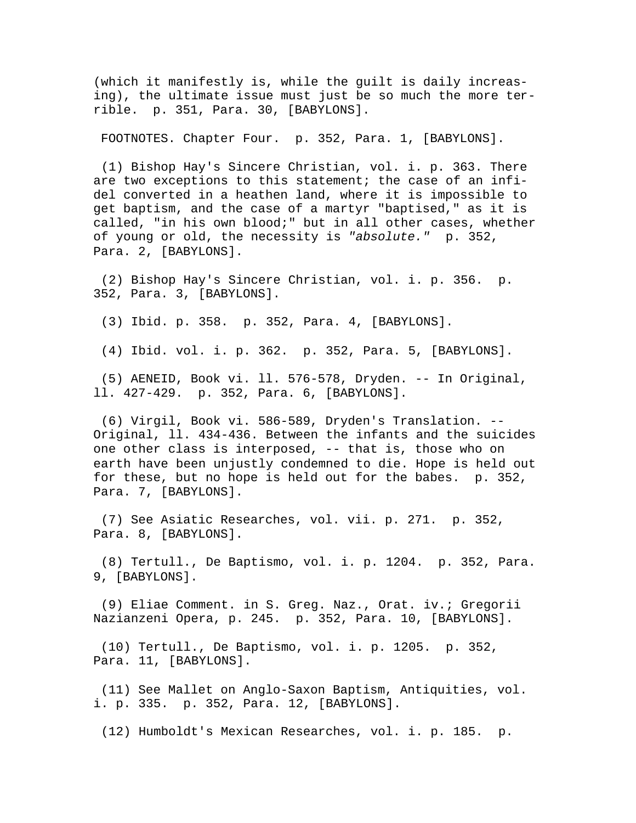(which it manifestly is, while the guilt is daily increasing), the ultimate issue must just be so much the more terrible. p. 351, Para. 30, [BABYLONS].

FOOTNOTES. Chapter Four. p. 352, Para. 1, [BABYLONS].

 (1) Bishop Hay's Sincere Christian, vol. i. p. 363. There are two exceptions to this statement; the case of an infidel converted in a heathen land, where it is impossible to get baptism, and the case of a martyr "baptised," as it is called, "in his own blood;" but in all other cases, whether of young or old, the necessity is *"absolute."* p. 352, Para. 2, [BABYLONS].

 (2) Bishop Hay's Sincere Christian, vol. i. p. 356. p. 352, Para. 3, [BABYLONS].

(3) Ibid. p. 358. p. 352, Para. 4, [BABYLONS].

(4) Ibid. vol. i. p. 362. p. 352, Para. 5, [BABYLONS].

 (5) AENEID, Book vi. ll. 576-578, Dryden. -- In Original, ll. 427-429. p. 352, Para. 6, [BABYLONS].

 (6) Virgil, Book vi. 586-589, Dryden's Translation. -- Original, ll. 434-436. Between the infants and the suicides one other class is interposed, -- that is, those who on earth have been unjustly condemned to die. Hope is held out for these, but no hope is held out for the babes. p. 352, Para. 7, [BABYLONS].

 (7) See Asiatic Researches, vol. vii. p. 271. p. 352, Para. 8, [BABYLONS].

 (8) Tertull., De Baptismo, vol. i. p. 1204. p. 352, Para. 9, [BABYLONS].

 (9) Eliae Comment. in S. Greg. Naz., Orat. iv.; Gregorii Nazianzeni Opera, p. 245. p. 352, Para. 10, [BABYLONS].

 (10) Tertull., De Baptismo, vol. i. p. 1205. p. 352, Para. 11, [BABYLONS].

 (11) See Mallet on Anglo-Saxon Baptism, Antiquities, vol. i. p. 335. p. 352, Para. 12, [BABYLONS].

(12) Humboldt's Mexican Researches, vol. i. p. 185. p.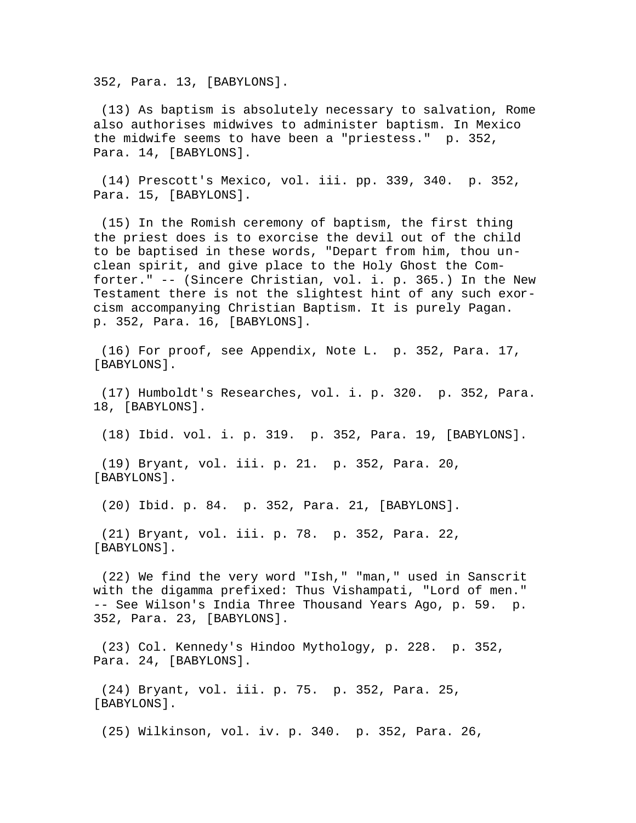352, Para. 13, [BABYLONS].

 (13) As baptism is absolutely necessary to salvation, Rome also authorises midwives to administer baptism. In Mexico the midwife seems to have been a "priestess." p. 352, Para. 14, [BABYLONS].

 (14) Prescott's Mexico, vol. iii. pp. 339, 340. p. 352, Para. 15, [BABYLONS].

 (15) In the Romish ceremony of baptism, the first thing the priest does is to exorcise the devil out of the child to be baptised in these words, "Depart from him, thou unclean spirit, and give place to the Holy Ghost the Comforter." -- (Sincere Christian, vol. i. p. 365.) In the New Testament there is not the slightest hint of any such exorcism accompanying Christian Baptism. It is purely Pagan. p. 352, Para. 16, [BABYLONS].

 (16) For proof, see Appendix, Note L. p. 352, Para. 17, [BABYLONS].

 (17) Humboldt's Researches, vol. i. p. 320. p. 352, Para. 18, [BABYLONS].

(18) Ibid. vol. i. p. 319. p. 352, Para. 19, [BABYLONS].

 (19) Bryant, vol. iii. p. 21. p. 352, Para. 20, [BABYLONS].

(20) Ibid. p. 84. p. 352, Para. 21, [BABYLONS].

 (21) Bryant, vol. iii. p. 78. p. 352, Para. 22, [BABYLONS].

 (22) We find the very word "Ish," "man," used in Sanscrit with the digamma prefixed: Thus Vishampati, "Lord of men." -- See Wilson's India Three Thousand Years Ago, p. 59. p. 352, Para. 23, [BABYLONS].

 (23) Col. Kennedy's Hindoo Mythology, p. 228. p. 352, Para. 24, [BABYLONS].

 (24) Bryant, vol. iii. p. 75. p. 352, Para. 25, [BABYLONS].

(25) Wilkinson, vol. iv. p. 340. p. 352, Para. 26,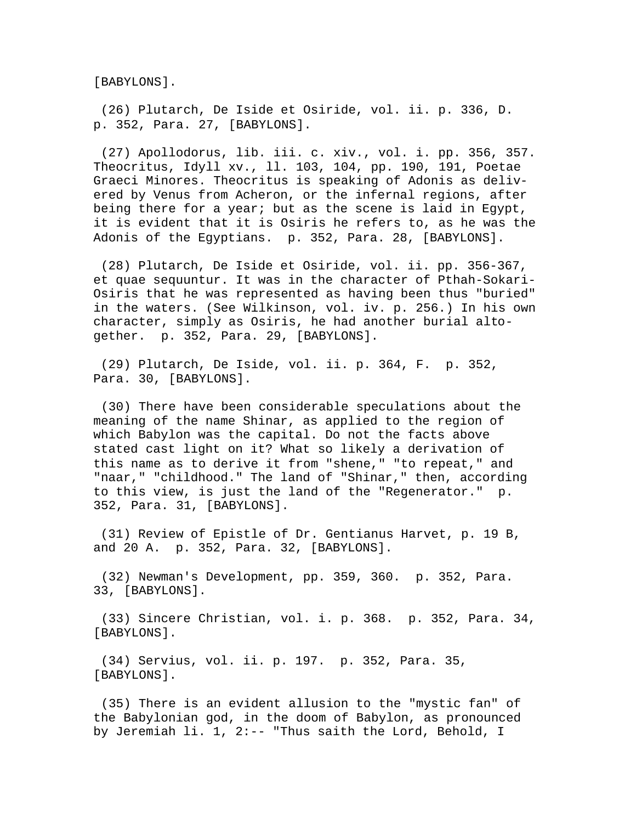[BABYLONS].

 (26) Plutarch, De Iside et Osiride, vol. ii. p. 336, D. p. 352, Para. 27, [BABYLONS].

 (27) Apollodorus, lib. iii. c. xiv., vol. i. pp. 356, 357. Theocritus, Idyll xv., ll. 103, 104, pp. 190, 191, Poetae Graeci Minores. Theocritus is speaking of Adonis as delivered by Venus from Acheron, or the infernal regions, after being there for a year; but as the scene is laid in Egypt, it is evident that it is Osiris he refers to, as he was the Adonis of the Egyptians. p. 352, Para. 28, [BABYLONS].

 (28) Plutarch, De Iside et Osiride, vol. ii. pp. 356-367, et quae sequuntur. It was in the character of Pthah-Sokari-Osiris that he was represented as having been thus "buried" in the waters. (See Wilkinson, vol. iv. p. 256.) In his own character, simply as Osiris, he had another burial altogether. p. 352, Para. 29, [BABYLONS].

 (29) Plutarch, De Iside, vol. ii. p. 364, F. p. 352, Para. 30, [BABYLONS].

 (30) There have been considerable speculations about the meaning of the name Shinar, as applied to the region of which Babylon was the capital. Do not the facts above stated cast light on it? What so likely a derivation of this name as to derive it from "shene," "to repeat," and "naar," "childhood." The land of "Shinar," then, according to this view, is just the land of the "Regenerator." p. 352, Para. 31, [BABYLONS].

 (31) Review of Epistle of Dr. Gentianus Harvet, p. 19 B, and 20 A. p. 352, Para. 32, [BABYLONS].

 (32) Newman's Development, pp. 359, 360. p. 352, Para. 33, [BABYLONS].

 (33) Sincere Christian, vol. i. p. 368. p. 352, Para. 34, [BABYLONS].

 (34) Servius, vol. ii. p. 197. p. 352, Para. 35, [BABYLONS].

 (35) There is an evident allusion to the "mystic fan" of the Babylonian god, in the doom of Babylon, as pronounced by Jeremiah li. 1, 2:-- "Thus saith the Lord, Behold, I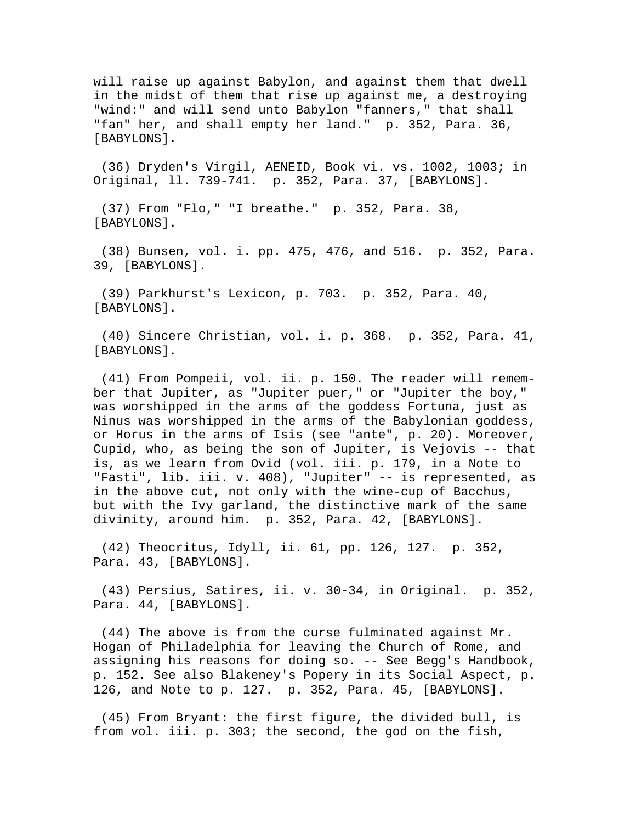will raise up against Babylon, and against them that dwell in the midst of them that rise up against me, a destroying "wind:" and will send unto Babylon "fanners," that shall "fan" her, and shall empty her land." p. 352, Para. 36, [BABYLONS].

 (36) Dryden's Virgil, AENEID, Book vi. vs. 1002, 1003; in Original, ll. 739-741. p. 352, Para. 37, [BABYLONS].

 (37) From "Flo," "I breathe." p. 352, Para. 38, [BABYLONS].

 (38) Bunsen, vol. i. pp. 475, 476, and 516. p. 352, Para. 39, [BABYLONS].

 (39) Parkhurst's Lexicon, p. 703. p. 352, Para. 40, [BABYLONS].

 (40) Sincere Christian, vol. i. p. 368. p. 352, Para. 41, [BABYLONS].

 (41) From Pompeii, vol. ii. p. 150. The reader will remember that Jupiter, as "Jupiter puer," or "Jupiter the boy," was worshipped in the arms of the goddess Fortuna, just as Ninus was worshipped in the arms of the Babylonian goddess, or Horus in the arms of Isis (see "ante", p. 20). Moreover, Cupid, who, as being the son of Jupiter, is Vejovis -- that is, as we learn from Ovid (vol. iii. p. 179, in a Note to "Fasti", lib. iii. v. 408), "Jupiter" -- is represented, as in the above cut, not only with the wine-cup of Bacchus, but with the Ivy garland, the distinctive mark of the same divinity, around him. p. 352, Para. 42, [BABYLONS].

 (42) Theocritus, Idyll, ii. 61, pp. 126, 127. p. 352, Para. 43, [BABYLONS].

 (43) Persius, Satires, ii. v. 30-34, in Original. p. 352, Para. 44, [BABYLONS].

 (44) The above is from the curse fulminated against Mr. Hogan of Philadelphia for leaving the Church of Rome, and assigning his reasons for doing so. -- See Begg's Handbook, p. 152. See also Blakeney's Popery in its Social Aspect, p. 126, and Note to p. 127. p. 352, Para. 45, [BABYLONS].

 (45) From Bryant: the first figure, the divided bull, is from vol. iii. p. 303; the second, the god on the fish,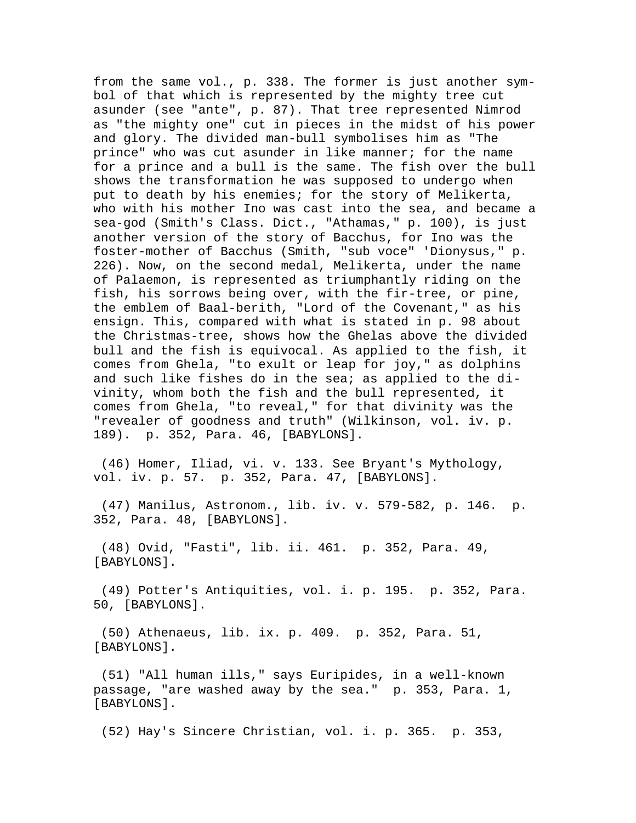from the same vol., p. 338. The former is just another symbol of that which is represented by the mighty tree cut asunder (see "ante", p. 87). That tree represented Nimrod as "the mighty one" cut in pieces in the midst of his power and glory. The divided man-bull symbolises him as "The prince" who was cut asunder in like manner; for the name for a prince and a bull is the same. The fish over the bull shows the transformation he was supposed to undergo when put to death by his enemies; for the story of Melikerta, who with his mother Ino was cast into the sea, and became a sea-god (Smith's Class. Dict., "Athamas," p. 100), is just another version of the story of Bacchus, for Ino was the foster-mother of Bacchus (Smith, "sub voce" 'Dionysus," p. 226). Now, on the second medal, Melikerta, under the name of Palaemon, is represented as triumphantly riding on the fish, his sorrows being over, with the fir-tree, or pine, the emblem of Baal-berith, "Lord of the Covenant," as his ensign. This, compared with what is stated in p. 98 about the Christmas-tree, shows how the Ghelas above the divided bull and the fish is equivocal. As applied to the fish, it comes from Ghela, "to exult or leap for joy," as dolphins and such like fishes do in the sea; as applied to the divinity, whom both the fish and the bull represented, it comes from Ghela, "to reveal," for that divinity was the "revealer of goodness and truth" (Wilkinson, vol. iv. p. 189). p. 352, Para. 46, [BABYLONS].

 (46) Homer, Iliad, vi. v. 133. See Bryant's Mythology, vol. iv. p. 57. p. 352, Para. 47, [BABYLONS].

 (47) Manilus, Astronom., lib. iv. v. 579-582, p. 146. p. 352, Para. 48, [BABYLONS].

 (48) Ovid, "Fasti", lib. ii. 461. p. 352, Para. 49, [BABYLONS].

 (49) Potter's Antiquities, vol. i. p. 195. p. 352, Para. 50, [BABYLONS].

 (50) Athenaeus, lib. ix. p. 409. p. 352, Para. 51, [BABYLONS].

 (51) "All human ills," says Euripides, in a well-known passage, "are washed away by the sea." p. 353, Para. 1, [BABYLONS].

(52) Hay's Sincere Christian, vol. i. p. 365. p. 353,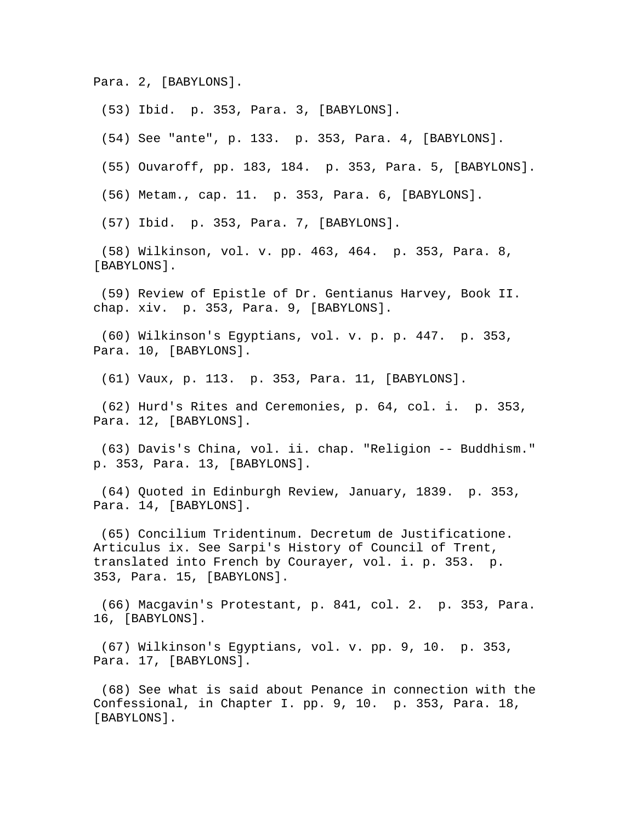Para. 2, [BABYLONS].

(53) Ibid. p. 353, Para. 3, [BABYLONS].

(54) See "ante", p. 133. p. 353, Para. 4, [BABYLONS].

(55) Ouvaroff, pp. 183, 184. p. 353, Para. 5, [BABYLONS].

(56) Metam., cap. 11. p. 353, Para. 6, [BABYLONS].

(57) Ibid. p. 353, Para. 7, [BABYLONS].

 (58) Wilkinson, vol. v. pp. 463, 464. p. 353, Para. 8, [BABYLONS].

 (59) Review of Epistle of Dr. Gentianus Harvey, Book II. chap. xiv. p. 353, Para. 9, [BABYLONS].

 (60) Wilkinson's Egyptians, vol. v. p. p. 447. p. 353, Para. 10, [BABYLONS].

(61) Vaux, p. 113. p. 353, Para. 11, [BABYLONS].

 (62) Hurd's Rites and Ceremonies, p. 64, col. i. p. 353, Para. 12, [BABYLONS].

 (63) Davis's China, vol. ii. chap. "Religion -- Buddhism." p. 353, Para. 13, [BABYLONS].

 (64) Quoted in Edinburgh Review, January, 1839. p. 353, Para. 14, [BABYLONS].

 (65) Concilium Tridentinum. Decretum de Justificatione. Articulus ix. See Sarpi's History of Council of Trent, translated into French by Courayer, vol. i. p. 353. p. 353, Para. 15, [BABYLONS].

 (66) Macgavin's Protestant, p. 841, col. 2. p. 353, Para. 16, [BABYLONS].

 (67) Wilkinson's Egyptians, vol. v. pp. 9, 10. p. 353, Para. 17, [BABYLONS].

 (68) See what is said about Penance in connection with the Confessional, in Chapter I. pp. 9, 10. p. 353, Para. 18, [BABYLONS].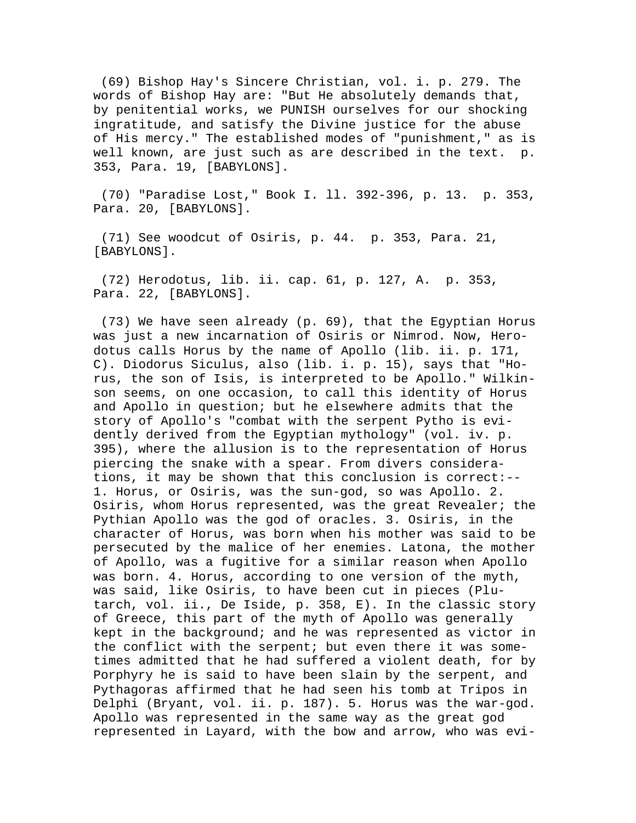(69) Bishop Hay's Sincere Christian, vol. i. p. 279. The words of Bishop Hay are: "But He absolutely demands that, by penitential works, we PUNISH ourselves for our shocking ingratitude, and satisfy the Divine justice for the abuse of His mercy." The established modes of "punishment," as is well known, are just such as are described in the text. p. 353, Para. 19, [BABYLONS].

 (70) "Paradise Lost," Book I. ll. 392-396, p. 13. p. 353, Para. 20, [BABYLONS].

 (71) See woodcut of Osiris, p. 44. p. 353, Para. 21, [BABYLONS].

 (72) Herodotus, lib. ii. cap. 61, p. 127, A. p. 353, Para. 22, [BABYLONS].

 (73) We have seen already (p. 69), that the Egyptian Horus was just a new incarnation of Osiris or Nimrod. Now, Herodotus calls Horus by the name of Apollo (lib. ii. p. 171, C). Diodorus Siculus, also (lib. i. p. 15), says that "Horus, the son of Isis, is interpreted to be Apollo." Wilkinson seems, on one occasion, to call this identity of Horus and Apollo in question; but he elsewhere admits that the story of Apollo's "combat with the serpent Pytho is evidently derived from the Egyptian mythology" (vol. iv. p. 395), where the allusion is to the representation of Horus piercing the snake with a spear. From divers considerations, it may be shown that this conclusion is correct:-- 1. Horus, or Osiris, was the sun-god, so was Apollo. 2. Osiris, whom Horus represented, was the great Revealer; the Pythian Apollo was the god of oracles. 3. Osiris, in the character of Horus, was born when his mother was said to be persecuted by the malice of her enemies. Latona, the mother of Apollo, was a fugitive for a similar reason when Apollo was born. 4. Horus, according to one version of the myth, was said, like Osiris, to have been cut in pieces (Plutarch, vol. ii., De Iside, p. 358, E). In the classic story of Greece, this part of the myth of Apollo was generally kept in the background; and he was represented as victor in the conflict with the serpent; but even there it was sometimes admitted that he had suffered a violent death, for by Porphyry he is said to have been slain by the serpent, and Pythagoras affirmed that he had seen his tomb at Tripos in Delphi (Bryant, vol. ii. p. 187). 5. Horus was the war-god. Apollo was represented in the same way as the great god represented in Layard, with the bow and arrow, who was evi-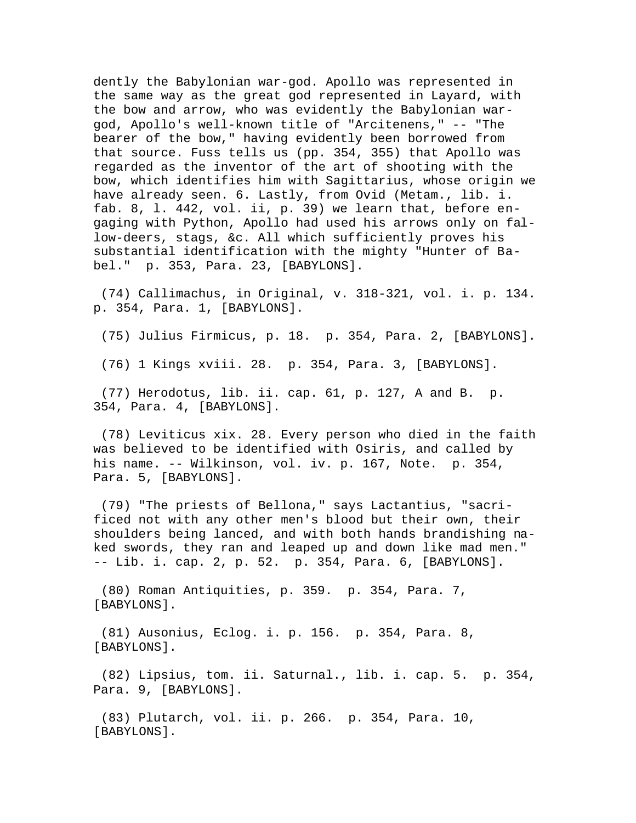dently the Babylonian war-god. Apollo was represented in the same way as the great god represented in Layard, with the bow and arrow, who was evidently the Babylonian wargod, Apollo's well-known title of "Arcitenens," -- "The bearer of the bow," having evidently been borrowed from that source. Fuss tells us (pp. 354, 355) that Apollo was regarded as the inventor of the art of shooting with the bow, which identifies him with Sagittarius, whose origin we have already seen. 6. Lastly, from Ovid (Metam., lib. i. fab. 8, l. 442, vol. ii, p. 39) we learn that, before engaging with Python, Apollo had used his arrows only on fallow-deers, stags, &c. All which sufficiently proves his substantial identification with the mighty "Hunter of Babel." p. 353, Para. 23, [BABYLONS].

 (74) Callimachus, in Original, v. 318-321, vol. i. p. 134. p. 354, Para. 1, [BABYLONS].

(75) Julius Firmicus, p. 18. p. 354, Para. 2, [BABYLONS].

(76) 1 Kings xviii. 28. p. 354, Para. 3, [BABYLONS].

 (77) Herodotus, lib. ii. cap. 61, p. 127, A and B. p. 354, Para. 4, [BABYLONS].

 (78) Leviticus xix. 28. Every person who died in the faith was believed to be identified with Osiris, and called by his name. -- Wilkinson, vol. iv. p. 167, Note. p. 354, Para. 5, [BABYLONS].

 (79) "The priests of Bellona," says Lactantius, "sacrificed not with any other men's blood but their own, their shoulders being lanced, and with both hands brandishing naked swords, they ran and leaped up and down like mad men." -- Lib. i. cap. 2, p. 52. p. 354, Para. 6, [BABYLONS].

 (80) Roman Antiquities, p. 359. p. 354, Para. 7, [BABYLONS].

 (81) Ausonius, Eclog. i. p. 156. p. 354, Para. 8, [BABYLONS].

 (82) Lipsius, tom. ii. Saturnal., lib. i. cap. 5. p. 354, Para. 9, [BABYLONS].

 (83) Plutarch, vol. ii. p. 266. p. 354, Para. 10, [BABYLONS].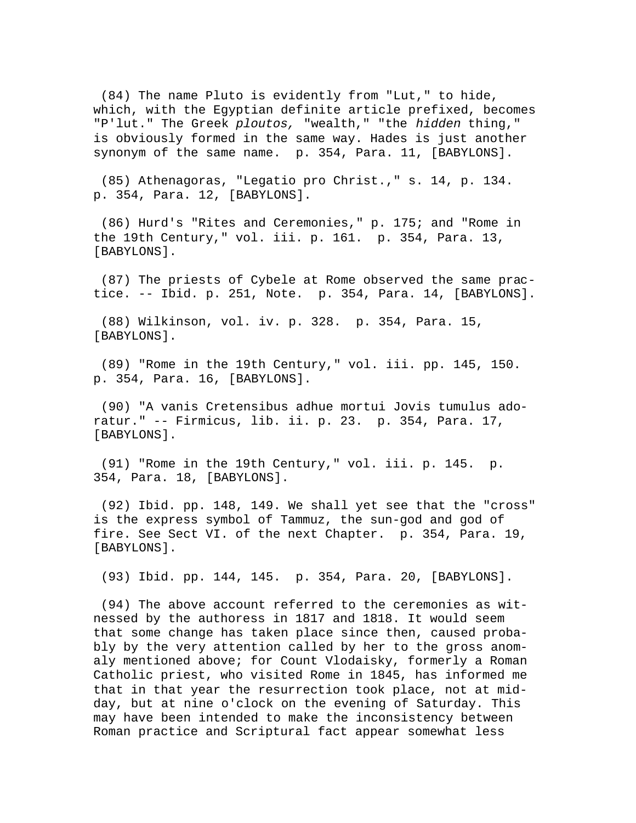(84) The name Pluto is evidently from "Lut," to hide, which, with the Egyptian definite article prefixed, becomes "P'lut." The Greek *ploutos,* "wealth," "the *hidden* thing," is obviously formed in the same way. Hades is just another synonym of the same name. p. 354, Para. 11, [BABYLONS].

 (85) Athenagoras, "Legatio pro Christ.," s. 14, p. 134. p. 354, Para. 12, [BABYLONS].

 (86) Hurd's "Rites and Ceremonies," p. 175; and "Rome in the 19th Century," vol. iii. p. 161. p. 354, Para. 13, [BABYLONS].

 (87) The priests of Cybele at Rome observed the same practice. -- Ibid. p. 251, Note. p. 354, Para. 14, [BABYLONS].

 (88) Wilkinson, vol. iv. p. 328. p. 354, Para. 15, [BABYLONS].

 (89) "Rome in the 19th Century," vol. iii. pp. 145, 150. p. 354, Para. 16, [BABYLONS].

 (90) "A vanis Cretensibus adhue mortui Jovis tumulus adoratur." -- Firmicus, lib. ii. p. 23. p. 354, Para. 17, [BABYLONS].

 (91) "Rome in the 19th Century," vol. iii. p. 145. p. 354, Para. 18, [BABYLONS].

 (92) Ibid. pp. 148, 149. We shall yet see that the "cross" is the express symbol of Tammuz, the sun-god and god of fire. See Sect VI. of the next Chapter. p. 354, Para. 19, [BABYLONS].

(93) Ibid. pp. 144, 145. p. 354, Para. 20, [BABYLONS].

 (94) The above account referred to the ceremonies as witnessed by the authoress in 1817 and 1818. It would seem that some change has taken place since then, caused probably by the very attention called by her to the gross anomaly mentioned above; for Count Vlodaisky, formerly a Roman Catholic priest, who visited Rome in 1845, has informed me that in that year the resurrection took place, not at midday, but at nine o'clock on the evening of Saturday. This may have been intended to make the inconsistency between Roman practice and Scriptural fact appear somewhat less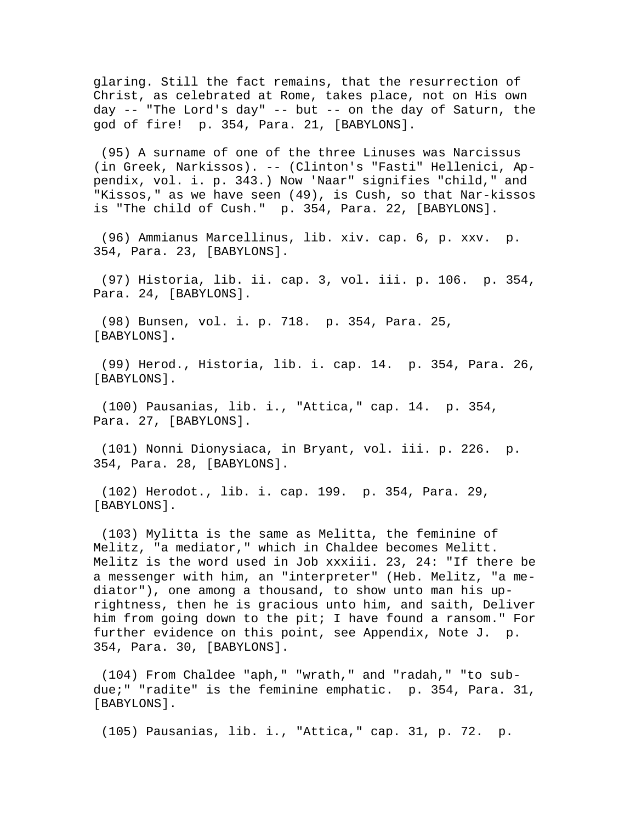glaring. Still the fact remains, that the resurrection of Christ, as celebrated at Rome, takes place, not on His own day -- "The Lord's day" -- but -- on the day of Saturn, the god of fire! p. 354, Para. 21, [BABYLONS].

 (95) A surname of one of the three Linuses was Narcissus (in Greek, Narkissos). -- (Clinton's "Fasti" Hellenici, Appendix, vol. i. p. 343.) Now 'Naar" signifies "child," and "Kissos," as we have seen (49), is Cush, so that Nar-kissos is "The child of Cush." p. 354, Para. 22, [BABYLONS].

 (96) Ammianus Marcellinus, lib. xiv. cap. 6, p. xxv. p. 354, Para. 23, [BABYLONS].

 (97) Historia, lib. ii. cap. 3, vol. iii. p. 106. p. 354, Para. 24, [BABYLONS].

 (98) Bunsen, vol. i. p. 718. p. 354, Para. 25, [BABYLONS].

 (99) Herod., Historia, lib. i. cap. 14. p. 354, Para. 26, [BABYLONS].

 (100) Pausanias, lib. i., "Attica," cap. 14. p. 354, Para. 27, [BABYLONS].

 (101) Nonni Dionysiaca, in Bryant, vol. iii. p. 226. p. 354, Para. 28, [BABYLONS].

 (102) Herodot., lib. i. cap. 199. p. 354, Para. 29, [BABYLONS].

 (103) Mylitta is the same as Melitta, the feminine of Melitz, "a mediator," which in Chaldee becomes Melitt. Melitz is the word used in Job xxxiii. 23, 24: "If there be a messenger with him, an "interpreter" (Heb. Melitz, "a mediator"), one among a thousand, to show unto man his uprightness, then he is gracious unto him, and saith, Deliver him from going down to the pit; I have found a ransom." For further evidence on this point, see Appendix, Note J. p. 354, Para. 30, [BABYLONS].

 (104) From Chaldee "aph," "wrath," and "radah," "to subdue;" "radite" is the feminine emphatic. p. 354, Para. 31, [BABYLONS].

(105) Pausanias, lib. i., "Attica," cap. 31, p. 72. p.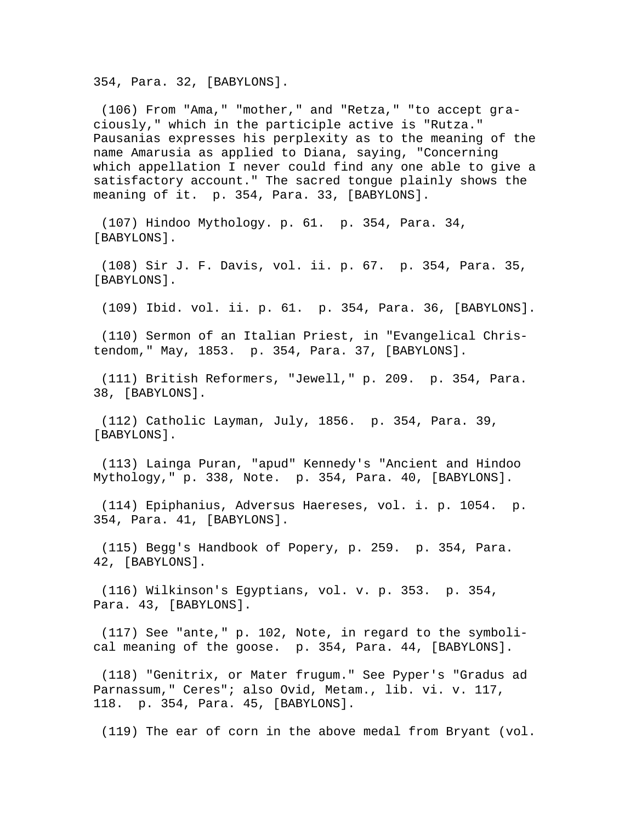354, Para. 32, [BABYLONS].

 (106) From "Ama," "mother," and "Retza," "to accept graciously," which in the participle active is "Rutza." Pausanias expresses his perplexity as to the meaning of the name Amarusia as applied to Diana, saying, "Concerning which appellation I never could find any one able to give a satisfactory account." The sacred tongue plainly shows the meaning of it. p. 354, Para. 33, [BABYLONS].

 (107) Hindoo Mythology. p. 61. p. 354, Para. 34, [BABYLONS].

 (108) Sir J. F. Davis, vol. ii. p. 67. p. 354, Para. 35, [BABYLONS].

(109) Ibid. vol. ii. p. 61. p. 354, Para. 36, [BABYLONS].

 (110) Sermon of an Italian Priest, in "Evangelical Christendom," May, 1853. p. 354, Para. 37, [BABYLONS].

 (111) British Reformers, "Jewell," p. 209. p. 354, Para. 38, [BABYLONS].

 (112) Catholic Layman, July, 1856. p. 354, Para. 39, [BABYLONS].

 (113) Lainga Puran, "apud" Kennedy's "Ancient and Hindoo Mythology," p. 338, Note. p. 354, Para. 40, [BABYLONS].

 (114) Epiphanius, Adversus Haereses, vol. i. p. 1054. p. 354, Para. 41, [BABYLONS].

 (115) Begg's Handbook of Popery, p. 259. p. 354, Para. 42, [BABYLONS].

 (116) Wilkinson's Egyptians, vol. v. p. 353. p. 354, Para. 43, [BABYLONS].

 (117) See "ante," p. 102, Note, in regard to the symbolical meaning of the goose. p. 354, Para. 44, [BABYLONS].

 (118) "Genitrix, or Mater frugum." See Pyper's "Gradus ad Parnassum," Ceres"; also Ovid, Metam., lib. vi. v. 117, 118. p. 354, Para. 45, [BABYLONS].

(119) The ear of corn in the above medal from Bryant (vol.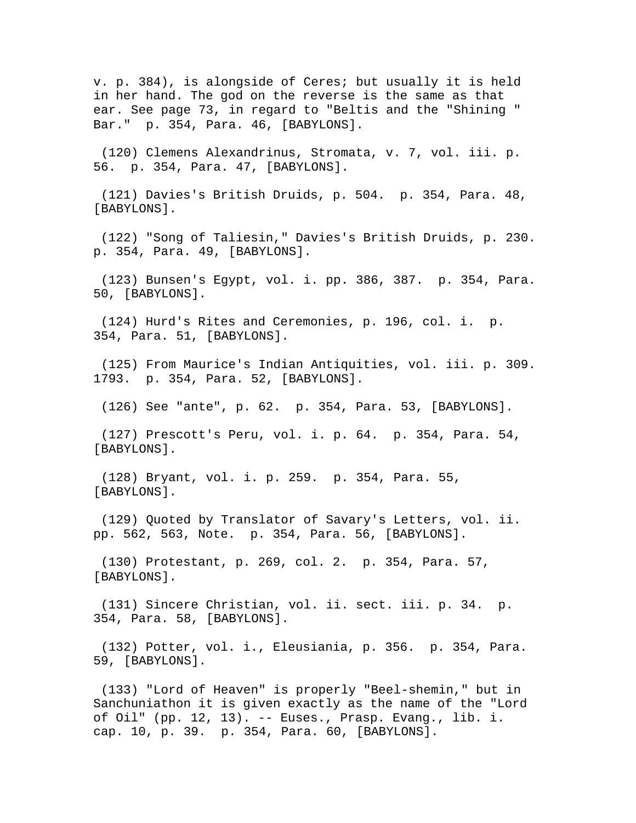v. p. 384), is alongside of Ceres; but usually it is held in her hand. The god on the reverse is the same as that ear. See page 73, in regard to "Beltis and the "Shining " Bar." p. 354, Para. 46, [BABYLONS].

 (120) Clemens Alexandrinus, Stromata, v. 7, vol. iii. p. 56. p. 354, Para. 47, [BABYLONS].

 (121) Davies's British Druids, p. 504. p. 354, Para. 48, [BABYLONS].

 (122) "Song of Taliesin," Davies's British Druids, p. 230. p. 354, Para. 49, [BABYLONS].

 (123) Bunsen's Egypt, vol. i. pp. 386, 387. p. 354, Para. 50, [BABYLONS].

 (124) Hurd's Rites and Ceremonies, p. 196, col. i. p. 354, Para. 51, [BABYLONS].

 (125) From Maurice's Indian Antiquities, vol. iii. p. 309. 1793. p. 354, Para. 52, [BABYLONS].

(126) See "ante", p. 62. p. 354, Para. 53, [BABYLONS].

 (127) Prescott's Peru, vol. i. p. 64. p. 354, Para. 54, [BABYLONS].

 (128) Bryant, vol. i. p. 259. p. 354, Para. 55, [BABYLONS].

 (129) Quoted by Translator of Savary's Letters, vol. ii. pp. 562, 563, Note. p. 354, Para. 56, [BABYLONS].

 (130) Protestant, p. 269, col. 2. p. 354, Para. 57, [BABYLONS].

 (131) Sincere Christian, vol. ii. sect. iii. p. 34. p. 354, Para. 58, [BABYLONS].

 (132) Potter, vol. i., Eleusiania, p. 356. p. 354, Para. 59, [BABYLONS].

 (133) "Lord of Heaven" is properly "Beel-shemin," but in Sanchuniathon it is given exactly as the name of the "Lord of Oil" (pp. 12, 13). -- Euses., Prasp. Evang., lib. i. cap. 10, p. 39. p. 354, Para. 60, [BABYLONS].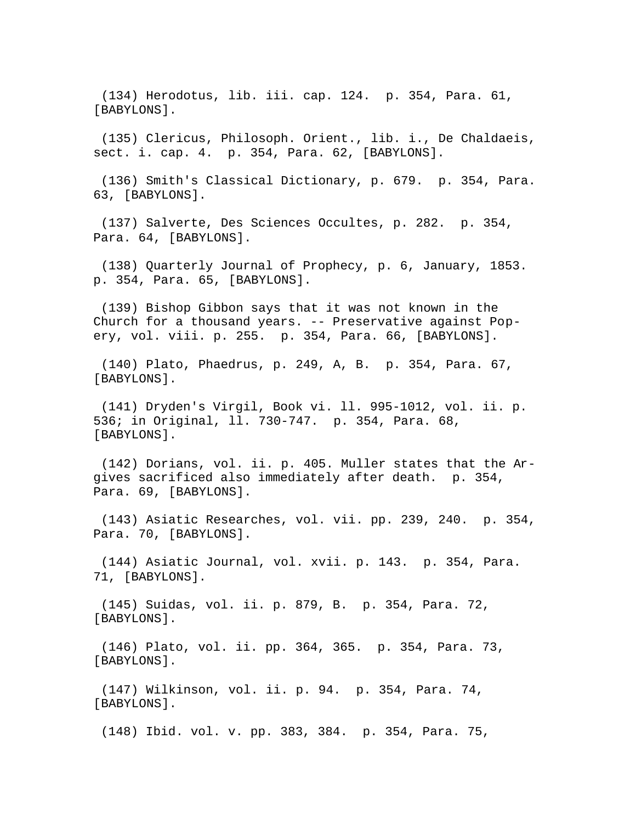(134) Herodotus, lib. iii. cap. 124. p. 354, Para. 61, [BABYLONS].

 (135) Clericus, Philosoph. Orient., lib. i., De Chaldaeis, sect. i. cap. 4. p. 354, Para. 62, [BABYLONS].

 (136) Smith's Classical Dictionary, p. 679. p. 354, Para. 63, [BABYLONS].

 (137) Salverte, Des Sciences Occultes, p. 282. p. 354, Para. 64, [BABYLONS].

 (138) Quarterly Journal of Prophecy, p. 6, January, 1853. p. 354, Para. 65, [BABYLONS].

 (139) Bishop Gibbon says that it was not known in the Church for a thousand years. -- Preservative against Popery, vol. viii. p. 255. p. 354, Para. 66, [BABYLONS].

 (140) Plato, Phaedrus, p. 249, A, B. p. 354, Para. 67, [BABYLONS].

 (141) Dryden's Virgil, Book vi. ll. 995-1012, vol. ii. p. 536; in Original, ll. 730-747. p. 354, Para. 68, [BABYLONS].

 (142) Dorians, vol. ii. p. 405. Muller states that the Argives sacrificed also immediately after death. p. 354, Para. 69, [BABYLONS].

 (143) Asiatic Researches, vol. vii. pp. 239, 240. p. 354, Para. 70, [BABYLONS].

 (144) Asiatic Journal, vol. xvii. p. 143. p. 354, Para. 71, [BABYLONS].

 (145) Suidas, vol. ii. p. 879, B. p. 354, Para. 72, [BABYLONS].

 (146) Plato, vol. ii. pp. 364, 365. p. 354, Para. 73, [BABYLONS].

 (147) Wilkinson, vol. ii. p. 94. p. 354, Para. 74, [BABYLONS].

(148) Ibid. vol. v. pp. 383, 384. p. 354, Para. 75,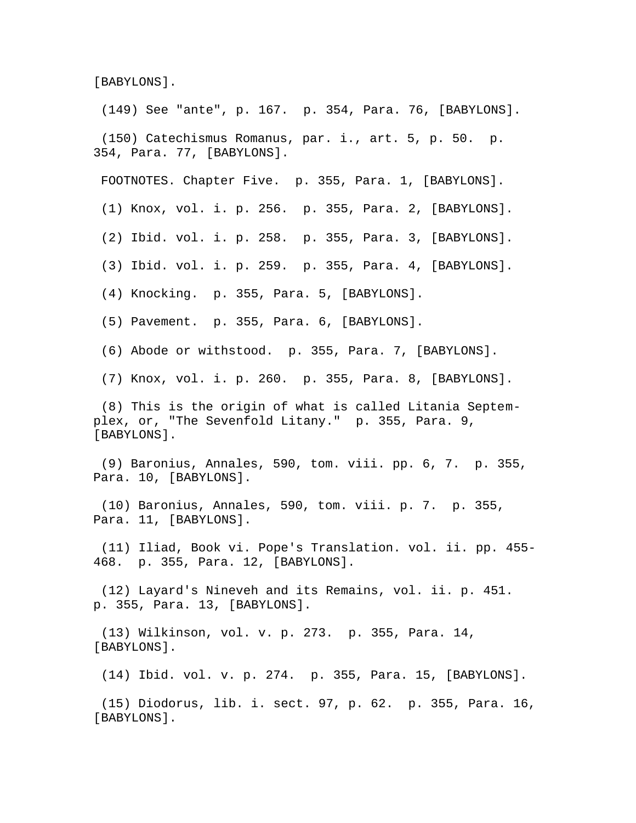[BABYLONS].

 (149) See "ante", p. 167. p. 354, Para. 76, [BABYLONS]. (150) Catechismus Romanus, par. i., art. 5, p. 50. p. 354, Para. 77, [BABYLONS]. FOOTNOTES. Chapter Five. p. 355, Para. 1, [BABYLONS]. (1) Knox, vol. i. p. 256. p. 355, Para. 2, [BABYLONS]. (2) Ibid. vol. i. p. 258. p. 355, Para. 3, [BABYLONS]. (3) Ibid. vol. i. p. 259. p. 355, Para. 4, [BABYLONS]. (4) Knocking. p. 355, Para. 5, [BABYLONS]. (5) Pavement. p. 355, Para. 6, [BABYLONS]. (6) Abode or withstood. p. 355, Para. 7, [BABYLONS]. (7) Knox, vol. i. p. 260. p. 355, Para. 8, [BABYLONS]. (8) This is the origin of what is called Litania Septemplex, or, "The Sevenfold Litany." p. 355, Para. 9, [BABYLONS]. (9) Baronius, Annales, 590, tom. viii. pp. 6, 7. p. 355, Para. 10, [BABYLONS]. (10) Baronius, Annales, 590, tom. viii. p. 7. p. 355, Para. 11, [BABYLONS]. (11) Iliad, Book vi. Pope's Translation. vol. ii. pp. 455- 468. p. 355, Para. 12, [BABYLONS]. (12) Layard's Nineveh and its Remains, vol. ii. p. 451. p. 355, Para. 13, [BABYLONS]. (13) Wilkinson, vol. v. p. 273. p. 355, Para. 14, [BABYLONS]. (14) Ibid. vol. v. p. 274. p. 355, Para. 15, [BABYLONS]. (15) Diodorus, lib. i. sect. 97, p. 62. p. 355, Para. 16, [BABYLONS].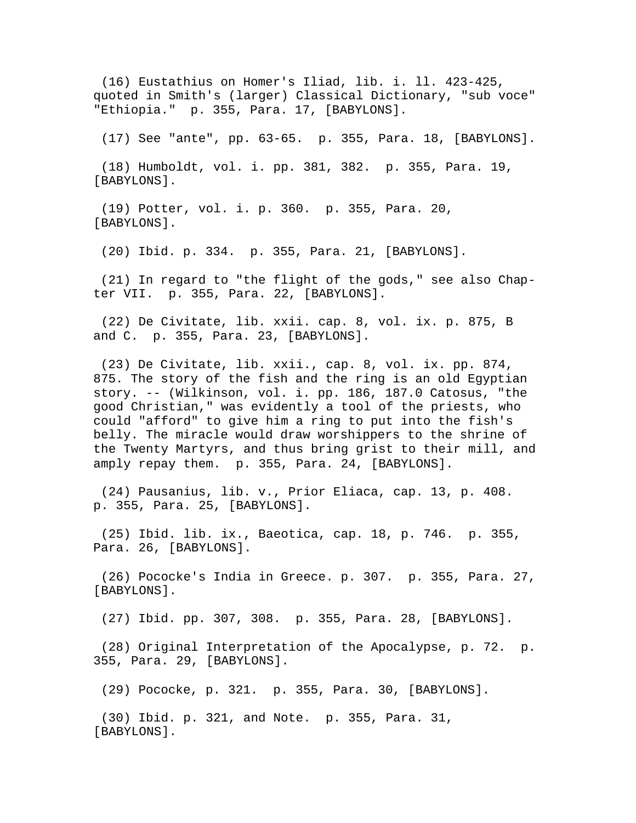(16) Eustathius on Homer's Iliad, lib. i. ll. 423-425, quoted in Smith's (larger) Classical Dictionary, "sub voce" "Ethiopia." p. 355, Para. 17, [BABYLONS].

(17) See "ante", pp. 63-65. p. 355, Para. 18, [BABYLONS].

 (18) Humboldt, vol. i. pp. 381, 382. p. 355, Para. 19, [BABYLONS].

 (19) Potter, vol. i. p. 360. p. 355, Para. 20, [BABYLONS].

(20) Ibid. p. 334. p. 355, Para. 21, [BABYLONS].

 (21) In regard to "the flight of the gods," see also Chapter VII. p. 355, Para. 22, [BABYLONS].

 (22) De Civitate, lib. xxii. cap. 8, vol. ix. p. 875, B and C. p. 355, Para. 23, [BABYLONS].

 (23) De Civitate, lib. xxii., cap. 8, vol. ix. pp. 874, 875. The story of the fish and the ring is an old Egyptian story. -- (Wilkinson, vol. i. pp. 186, 187.0 Catosus, "the good Christian," was evidently a tool of the priests, who could "afford" to give him a ring to put into the fish's belly. The miracle would draw worshippers to the shrine of the Twenty Martyrs, and thus bring grist to their mill, and amply repay them. p. 355, Para. 24, [BABYLONS].

 (24) Pausanius, lib. v., Prior Eliaca, cap. 13, p. 408. p. 355, Para. 25, [BABYLONS].

 (25) Ibid. lib. ix., Baeotica, cap. 18, p. 746. p. 355, Para. 26, [BABYLONS].

 (26) Pococke's India in Greece. p. 307. p. 355, Para. 27, [BABYLONS].

(27) Ibid. pp. 307, 308. p. 355, Para. 28, [BABYLONS].

 (28) Original Interpretation of the Apocalypse, p. 72. p. 355, Para. 29, [BABYLONS].

(29) Pococke, p. 321. p. 355, Para. 30, [BABYLONS].

 (30) Ibid. p. 321, and Note. p. 355, Para. 31, [BABYLONS].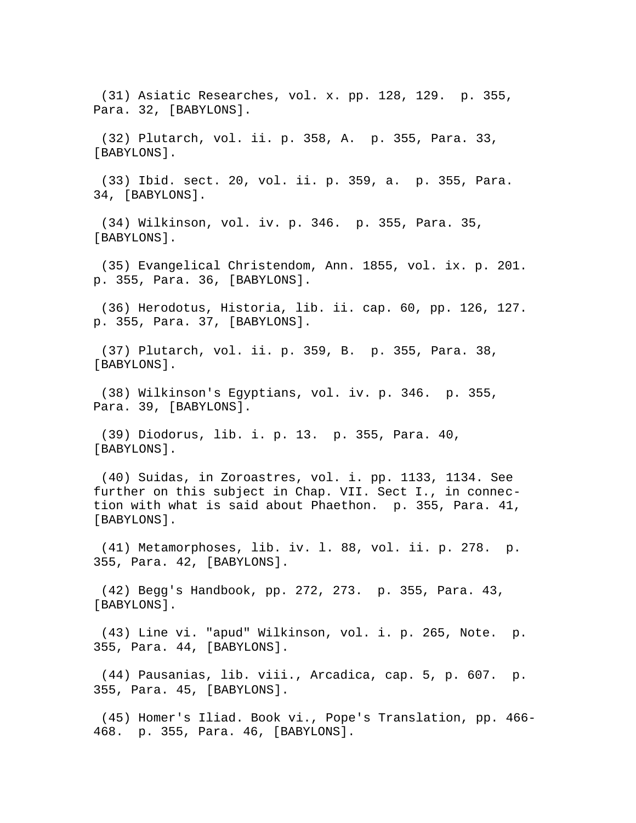(31) Asiatic Researches, vol. x. pp. 128, 129. p. 355, Para. 32, [BABYLONS].

 (32) Plutarch, vol. ii. p. 358, A. p. 355, Para. 33, [BABYLONS].

 (33) Ibid. sect. 20, vol. ii. p. 359, a. p. 355, Para. 34, [BABYLONS].

 (34) Wilkinson, vol. iv. p. 346. p. 355, Para. 35, [BABYLONS].

 (35) Evangelical Christendom, Ann. 1855, vol. ix. p. 201. p. 355, Para. 36, [BABYLONS].

 (36) Herodotus, Historia, lib. ii. cap. 60, pp. 126, 127. p. 355, Para. 37, [BABYLONS].

 (37) Plutarch, vol. ii. p. 359, B. p. 355, Para. 38, [BABYLONS].

 (38) Wilkinson's Egyptians, vol. iv. p. 346. p. 355, Para. 39, [BABYLONS].

 (39) Diodorus, lib. i. p. 13. p. 355, Para. 40, [BABYLONS].

 (40) Suidas, in Zoroastres, vol. i. pp. 1133, 1134. See further on this subject in Chap. VII. Sect I., in connection with what is said about Phaethon. p. 355, Para. 41, [BABYLONS].

 (41) Metamorphoses, lib. iv. l. 88, vol. ii. p. 278. p. 355, Para. 42, [BABYLONS].

 (42) Begg's Handbook, pp. 272, 273. p. 355, Para. 43, [BABYLONS].

 (43) Line vi. "apud" Wilkinson, vol. i. p. 265, Note. p. 355, Para. 44, [BABYLONS].

 (44) Pausanias, lib. viii., Arcadica, cap. 5, p. 607. p. 355, Para. 45, [BABYLONS].

 (45) Homer's Iliad. Book vi., Pope's Translation, pp. 466- 468. p. 355, Para. 46, [BABYLONS].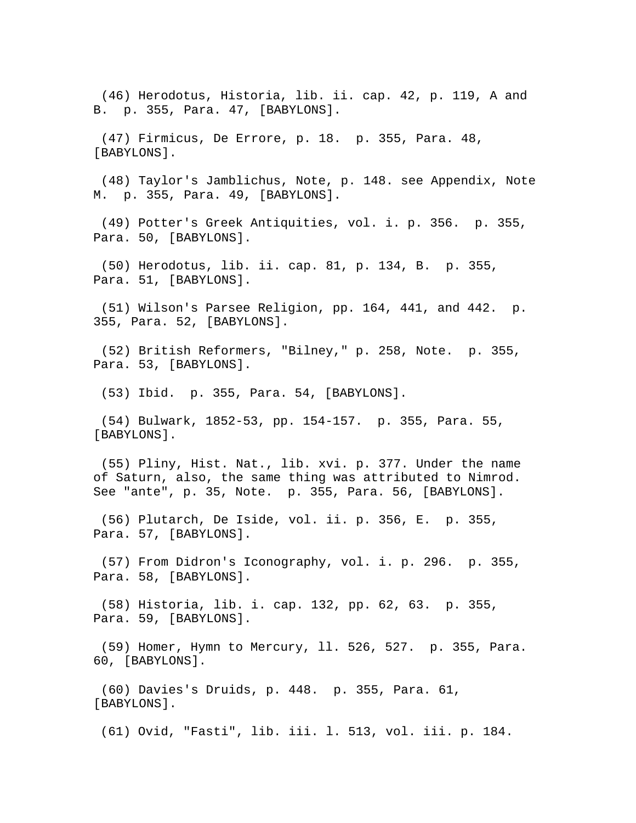(46) Herodotus, Historia, lib. ii. cap. 42, p. 119, A and B. p. 355, Para. 47, [BABYLONS].

 (47) Firmicus, De Errore, p. 18. p. 355, Para. 48, [BABYLONS].

 (48) Taylor's Jamblichus, Note, p. 148. see Appendix, Note M. p. 355, Para. 49, [BABYLONS].

 (49) Potter's Greek Antiquities, vol. i. p. 356. p. 355, Para. 50, [BABYLONS].

 (50) Herodotus, lib. ii. cap. 81, p. 134, B. p. 355, Para. 51, [BABYLONS].

 (51) Wilson's Parsee Religion, pp. 164, 441, and 442. p. 355, Para. 52, [BABYLONS].

 (52) British Reformers, "Bilney," p. 258, Note. p. 355, Para. 53, [BABYLONS].

(53) Ibid. p. 355, Para. 54, [BABYLONS].

 (54) Bulwark, 1852-53, pp. 154-157. p. 355, Para. 55, [BABYLONS].

 (55) Pliny, Hist. Nat., lib. xvi. p. 377. Under the name of Saturn, also, the same thing was attributed to Nimrod. See "ante", p. 35, Note. p. 355, Para. 56, [BABYLONS].

 (56) Plutarch, De Iside, vol. ii. p. 356, E. p. 355, Para. 57, [BABYLONS].

 (57) From Didron's Iconography, vol. i. p. 296. p. 355, Para. 58, [BABYLONS].

 (58) Historia, lib. i. cap. 132, pp. 62, 63. p. 355, Para. 59, [BABYLONS].

 (59) Homer, Hymn to Mercury, ll. 526, 527. p. 355, Para. 60, [BABYLONS].

 (60) Davies's Druids, p. 448. p. 355, Para. 61, [BABYLONS].

(61) Ovid, "Fasti", lib. iii. l. 513, vol. iii. p. 184.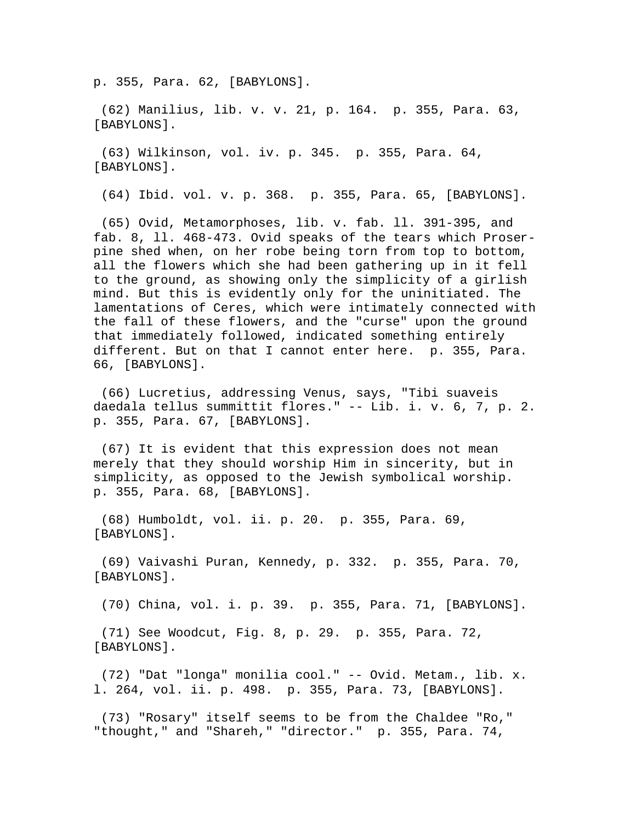p. 355, Para. 62, [BABYLONS].

 (62) Manilius, lib. v. v. 21, p. 164. p. 355, Para. 63, [BABYLONS].

 (63) Wilkinson, vol. iv. p. 345. p. 355, Para. 64, [BABYLONS].

(64) Ibid. vol. v. p. 368. p. 355, Para. 65, [BABYLONS].

 (65) Ovid, Metamorphoses, lib. v. fab. ll. 391-395, and fab. 8, ll. 468-473. Ovid speaks of the tears which Proserpine shed when, on her robe being torn from top to bottom, all the flowers which she had been gathering up in it fell to the ground, as showing only the simplicity of a girlish mind. But this is evidently only for the uninitiated. The lamentations of Ceres, which were intimately connected with the fall of these flowers, and the "curse" upon the ground that immediately followed, indicated something entirely different. But on that I cannot enter here. p. 355, Para. 66, [BABYLONS].

 (66) Lucretius, addressing Venus, says, "Tibi suaveis daedala tellus summittit flores." -- Lib. i. v. 6, 7, p. 2. p. 355, Para. 67, [BABYLONS].

 (67) It is evident that this expression does not mean merely that they should worship Him in sincerity, but in simplicity, as opposed to the Jewish symbolical worship. p. 355, Para. 68, [BABYLONS].

 (68) Humboldt, vol. ii. p. 20. p. 355, Para. 69, [BABYLONS].

 (69) Vaivashi Puran, Kennedy, p. 332. p. 355, Para. 70, [BABYLONS].

(70) China, vol. i. p. 39. p. 355, Para. 71, [BABYLONS].

 (71) See Woodcut, Fig. 8, p. 29. p. 355, Para. 72, [BABYLONS].

 (72) "Dat "longa" monilia cool." -- Ovid. Metam., lib. x. l. 264, vol. ii. p. 498. p. 355, Para. 73, [BABYLONS].

 (73) "Rosary" itself seems to be from the Chaldee "Ro," "thought," and "Shareh," "director." p. 355, Para. 74,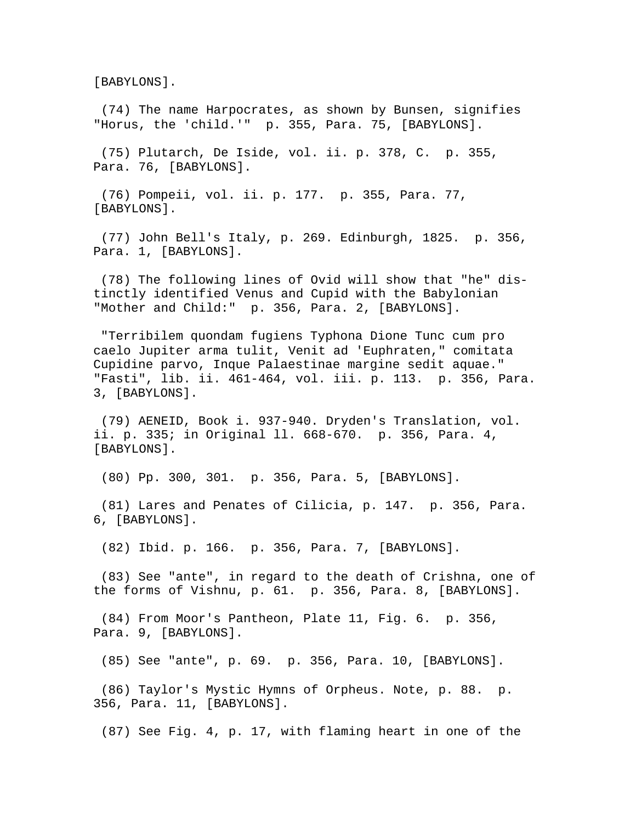[BABYLONS].

 (74) The name Harpocrates, as shown by Bunsen, signifies "Horus, the 'child.'" p. 355, Para. 75, [BABYLONS].

 (75) Plutarch, De Iside, vol. ii. p. 378, C. p. 355, Para. 76, [BABYLONS].

 (76) Pompeii, vol. ii. p. 177. p. 355, Para. 77, [BABYLONS].

 (77) John Bell's Italy, p. 269. Edinburgh, 1825. p. 356, Para. 1, [BABYLONS].

 (78) The following lines of Ovid will show that "he" distinctly identified Venus and Cupid with the Babylonian "Mother and Child:" p. 356, Para. 2, [BABYLONS].

 "Terribilem quondam fugiens Typhona Dione Tunc cum pro caelo Jupiter arma tulit, Venit ad 'Euphraten," comitata Cupidine parvo, Inque Palaestinae margine sedit aquae." "Fasti", lib. ii. 461-464, vol. iii. p. 113. p. 356, Para. 3, [BABYLONS].

 (79) AENEID, Book i. 937-940. Dryden's Translation, vol. ii. p. 335; in Original ll. 668-670. p. 356, Para. 4, [BABYLONS].

(80) Pp. 300, 301. p. 356, Para. 5, [BABYLONS].

 (81) Lares and Penates of Cilicia, p. 147. p. 356, Para. 6, [BABYLONS].

(82) Ibid. p. 166. p. 356, Para. 7, [BABYLONS].

 (83) See "ante", in regard to the death of Crishna, one of the forms of Vishnu, p. 61. p. 356, Para. 8, [BABYLONS].

 (84) From Moor's Pantheon, Plate 11, Fig. 6. p. 356, Para. 9, [BABYLONS].

(85) See "ante", p. 69. p. 356, Para. 10, [BABYLONS].

 (86) Taylor's Mystic Hymns of Orpheus. Note, p. 88. p. 356, Para. 11, [BABYLONS].

(87) See Fig. 4, p. 17, with flaming heart in one of the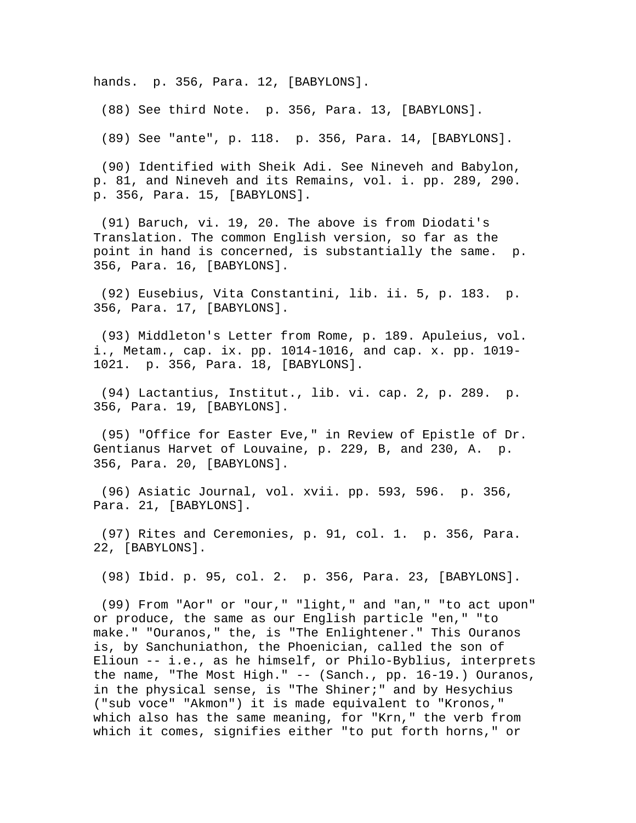hands. p. 356, Para. 12, [BABYLONS].

(88) See third Note. p. 356, Para. 13, [BABYLONS].

(89) See "ante", p. 118. p. 356, Para. 14, [BABYLONS].

 (90) Identified with Sheik Adi. See Nineveh and Babylon, p. 81, and Nineveh and its Remains, vol. i. pp. 289, 290. p. 356, Para. 15, [BABYLONS].

 (91) Baruch, vi. 19, 20. The above is from Diodati's Translation. The common English version, so far as the point in hand is concerned, is substantially the same. p. 356, Para. 16, [BABYLONS].

 (92) Eusebius, Vita Constantini, lib. ii. 5, p. 183. p. 356, Para. 17, [BABYLONS].

 (93) Middleton's Letter from Rome, p. 189. Apuleius, vol. i., Metam., cap. ix. pp. 1014-1016, and cap. x. pp. 1019- 1021. p. 356, Para. 18, [BABYLONS].

 (94) Lactantius, Institut., lib. vi. cap. 2, p. 289. p. 356, Para. 19, [BABYLONS].

 (95) "Office for Easter Eve," in Review of Epistle of Dr. Gentianus Harvet of Louvaine, p. 229, B, and 230, A. p. 356, Para. 20, [BABYLONS].

 (96) Asiatic Journal, vol. xvii. pp. 593, 596. p. 356, Para. 21, [BABYLONS].

 (97) Rites and Ceremonies, p. 91, col. 1. p. 356, Para. 22, [BABYLONS].

(98) Ibid. p. 95, col. 2. p. 356, Para. 23, [BABYLONS].

 (99) From "Aor" or "our," "light," and "an," "to act upon" or produce, the same as our English particle "en," "to make." "Ouranos," the, is "The Enlightener." This Ouranos is, by Sanchuniathon, the Phoenician, called the son of Elioun -- i.e., as he himself, or Philo-Byblius, interprets the name, "The Most High." -- (Sanch., pp. 16-19.) Ouranos, in the physical sense, is "The Shiner;" and by Hesychius ("sub voce" "Akmon") it is made equivalent to "Kronos," which also has the same meaning, for "Krn," the verb from which it comes, signifies either "to put forth horns," or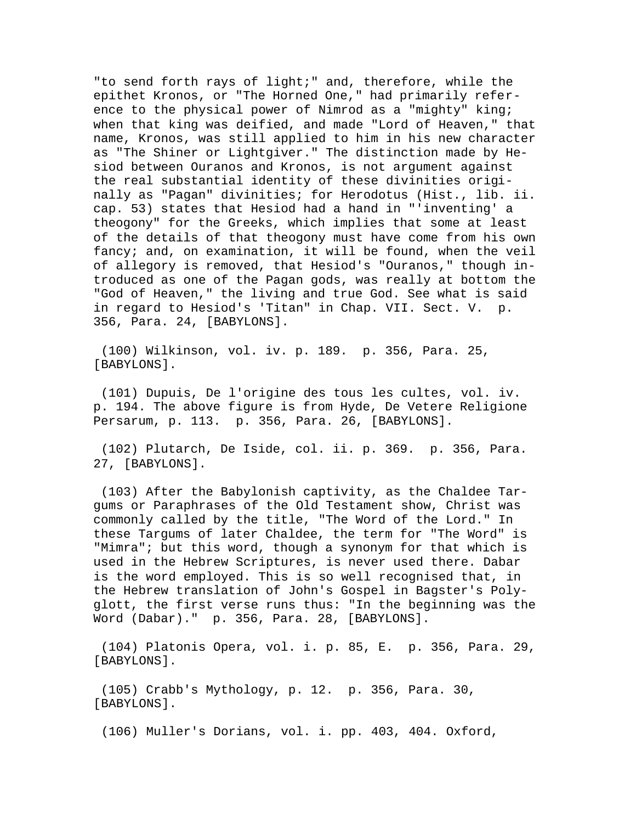"to send forth rays of light;" and, therefore, while the epithet Kronos, or "The Horned One," had primarily reference to the physical power of Nimrod as a "mighty" king; when that king was deified, and made "Lord of Heaven," that name, Kronos, was still applied to him in his new character as "The Shiner or Lightgiver." The distinction made by Hesiod between Ouranos and Kronos, is not argument against the real substantial identity of these divinities originally as "Pagan" divinities; for Herodotus (Hist., lib. ii. cap. 53) states that Hesiod had a hand in "'inventing' a theogony" for the Greeks, which implies that some at least of the details of that theogony must have come from his own fancy; and, on examination, it will be found, when the veil of allegory is removed, that Hesiod's "Ouranos," though introduced as one of the Pagan gods, was really at bottom the "God of Heaven," the living and true God. See what is said in regard to Hesiod's 'Titan" in Chap. VII. Sect. V. p. 356, Para. 24, [BABYLONS].

 (100) Wilkinson, vol. iv. p. 189. p. 356, Para. 25, [BABYLONS].

 (101) Dupuis, De l'origine des tous les cultes, vol. iv. p. 194. The above figure is from Hyde, De Vetere Religione Persarum, p. 113. p. 356, Para. 26, [BABYLONS].

 (102) Plutarch, De Iside, col. ii. p. 369. p. 356, Para. 27, [BABYLONS].

 (103) After the Babylonish captivity, as the Chaldee Targums or Paraphrases of the Old Testament show, Christ was commonly called by the title, "The Word of the Lord." In these Targums of later Chaldee, the term for "The Word" is "Mimra"; but this word, though a synonym for that which is used in the Hebrew Scriptures, is never used there. Dabar is the word employed. This is so well recognised that, in the Hebrew translation of John's Gospel in Bagster's Polyglott, the first verse runs thus: "In the beginning was the Word (Dabar)." p. 356, Para. 28, [BABYLONS].

 (104) Platonis Opera, vol. i. p. 85, E. p. 356, Para. 29, [BABYLONS].

 (105) Crabb's Mythology, p. 12. p. 356, Para. 30, [BABYLONS].

(106) Muller's Dorians, vol. i. pp. 403, 404. Oxford,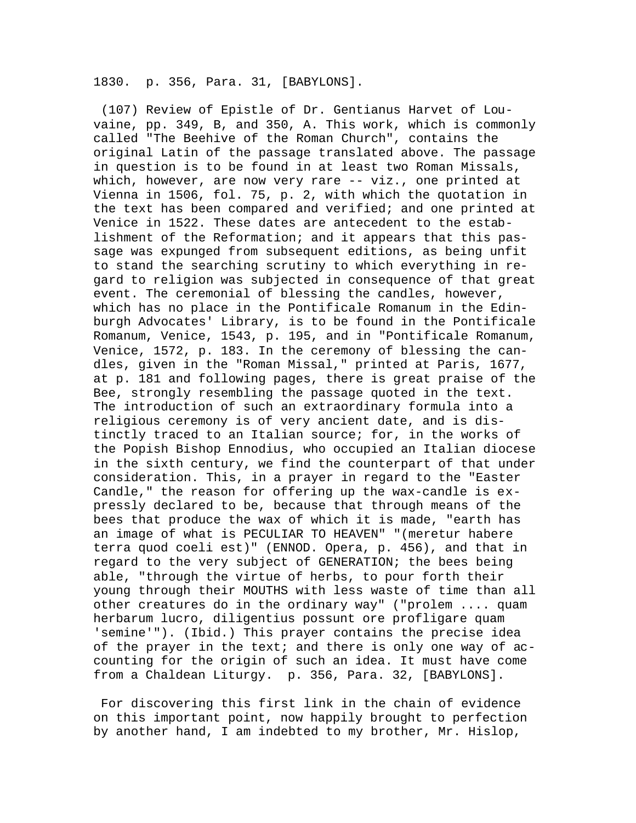1830. p. 356, Para. 31, [BABYLONS].

 (107) Review of Epistle of Dr. Gentianus Harvet of Louvaine, pp. 349, B, and 350, A. This work, which is commonly called "The Beehive of the Roman Church", contains the original Latin of the passage translated above. The passage in question is to be found in at least two Roman Missals, which, however, are now very rare -- viz., one printed at Vienna in 1506, fol. 75, p. 2, with which the quotation in the text has been compared and verified; and one printed at Venice in 1522. These dates are antecedent to the establishment of the Reformation; and it appears that this passage was expunged from subsequent editions, as being unfit to stand the searching scrutiny to which everything in regard to religion was subjected in consequence of that great event. The ceremonial of blessing the candles, however, which has no place in the Pontificale Romanum in the Edinburgh Advocates' Library, is to be found in the Pontificale Romanum, Venice, 1543, p. 195, and in "Pontificale Romanum, Venice, 1572, p. 183. In the ceremony of blessing the candles, given in the "Roman Missal," printed at Paris, 1677, at p. 181 and following pages, there is great praise of the Bee, strongly resembling the passage quoted in the text. The introduction of such an extraordinary formula into a religious ceremony is of very ancient date, and is distinctly traced to an Italian source; for, in the works of the Popish Bishop Ennodius, who occupied an Italian diocese in the sixth century, we find the counterpart of that under consideration. This, in a prayer in regard to the "Easter Candle," the reason for offering up the wax-candle is expressly declared to be, because that through means of the bees that produce the wax of which it is made, "earth has an image of what is PECULIAR TO HEAVEN" "(meretur habere terra quod coeli est)" (ENNOD. Opera, p. 456), and that in regard to the very subject of GENERATION; the bees being able, "through the virtue of herbs, to pour forth their young through their MOUTHS with less waste of time than all other creatures do in the ordinary way" ("prolem .... quam herbarum lucro, diligentius possunt ore profligare quam 'semine'"). (Ibid.) This prayer contains the precise idea of the prayer in the text; and there is only one way of  $ac$ counting for the origin of such an idea. It must have come from a Chaldean Liturgy. p. 356, Para. 32, [BABYLONS].

 For discovering this first link in the chain of evidence on this important point, now happily brought to perfection by another hand, I am indebted to my brother, Mr. Hislop,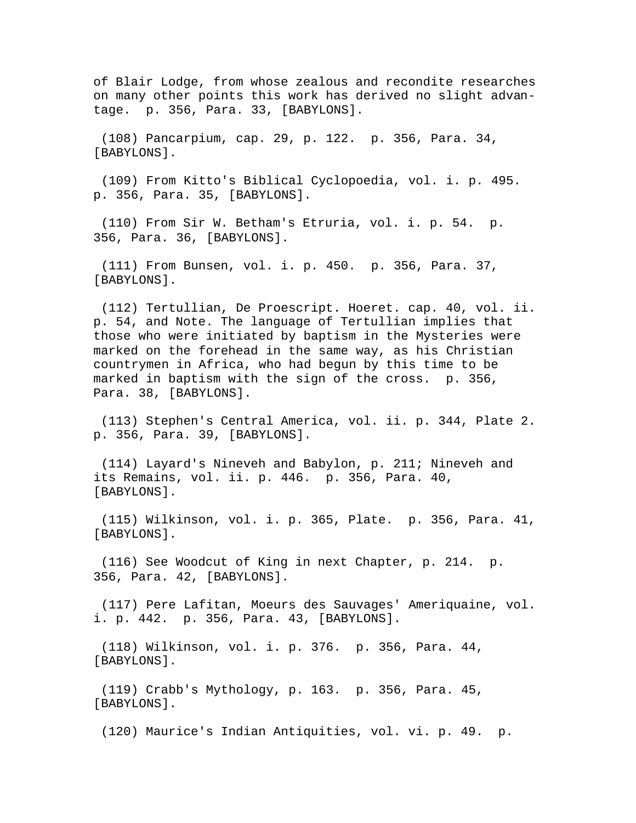of Blair Lodge, from whose zealous and recondite researches on many other points this work has derived no slight advantage. p. 356, Para. 33, [BABYLONS].

 (108) Pancarpium, cap. 29, p. 122. p. 356, Para. 34, [BABYLONS].

 (109) From Kitto's Biblical Cyclopoedia, vol. i. p. 495. p. 356, Para. 35, [BABYLONS].

 (110) From Sir W. Betham's Etruria, vol. i. p. 54. p. 356, Para. 36, [BABYLONS].

 (111) From Bunsen, vol. i. p. 450. p. 356, Para. 37, [BABYLONS].

 (112) Tertullian, De Proescript. Hoeret. cap. 40, vol. ii. p. 54, and Note. The language of Tertullian implies that those who were initiated by baptism in the Mysteries were marked on the forehead in the same way, as his Christian countrymen in Africa, who had begun by this time to be marked in baptism with the sign of the cross. p. 356, Para. 38, [BABYLONS].

 (113) Stephen's Central America, vol. ii. p. 344, Plate 2. p. 356, Para. 39, [BABYLONS].

 (114) Layard's Nineveh and Babylon, p. 211; Nineveh and its Remains, vol. ii. p. 446. p. 356, Para. 40, [BABYLONS].

 (115) Wilkinson, vol. i. p. 365, Plate. p. 356, Para. 41, [BABYLONS].

 (116) See Woodcut of King in next Chapter, p. 214. p. 356, Para. 42, [BABYLONS].

 (117) Pere Lafitan, Moeurs des Sauvages' Ameriquaine, vol. i. p. 442. p. 356, Para. 43, [BABYLONS].

 (118) Wilkinson, vol. i. p. 376. p. 356, Para. 44, [BABYLONS].

 (119) Crabb's Mythology, p. 163. p. 356, Para. 45, [BABYLONS].

(120) Maurice's Indian Antiquities, vol. vi. p. 49. p.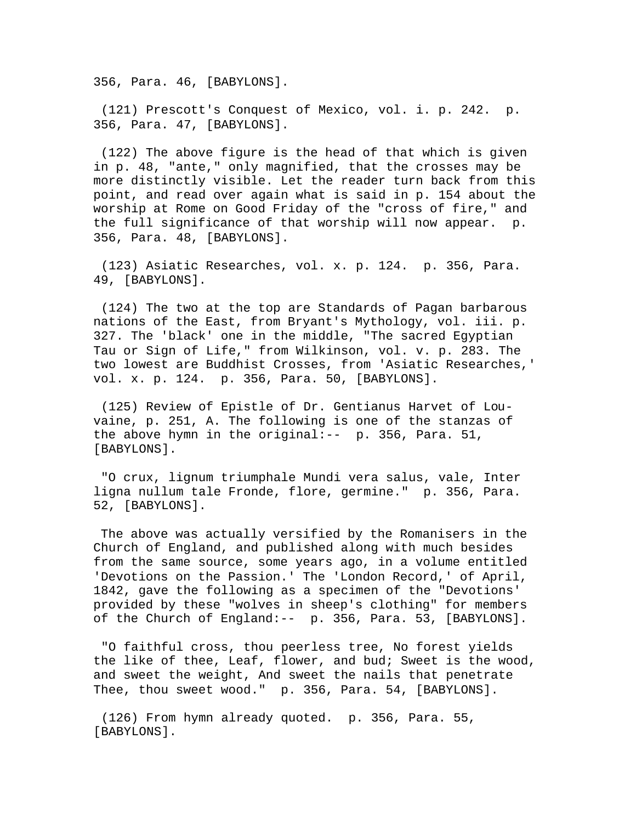356, Para. 46, [BABYLONS].

 (121) Prescott's Conquest of Mexico, vol. i. p. 242. p. 356, Para. 47, [BABYLONS].

 (122) The above figure is the head of that which is given in p. 48, "ante," only magnified, that the crosses may be more distinctly visible. Let the reader turn back from this point, and read over again what is said in p. 154 about the worship at Rome on Good Friday of the "cross of fire," and the full significance of that worship will now appear. p. 356, Para. 48, [BABYLONS].

 (123) Asiatic Researches, vol. x. p. 124. p. 356, Para. 49, [BABYLONS].

 (124) The two at the top are Standards of Pagan barbarous nations of the East, from Bryant's Mythology, vol. iii. p. 327. The 'black' one in the middle, "The sacred Egyptian Tau or Sign of Life," from Wilkinson, vol. v. p. 283. The two lowest are Buddhist Crosses, from 'Asiatic Researches,' vol. x. p. 124. p. 356, Para. 50, [BABYLONS].

 (125) Review of Epistle of Dr. Gentianus Harvet of Louvaine, p. 251, A. The following is one of the stanzas of the above hymn in the original:-- p. 356, Para. 51, [BABYLONS].

 "O crux, lignum triumphale Mundi vera salus, vale, Inter ligna nullum tale Fronde, flore, germine." p. 356, Para. 52, [BABYLONS].

 The above was actually versified by the Romanisers in the Church of England, and published along with much besides from the same source, some years ago, in a volume entitled 'Devotions on the Passion.' The 'London Record,' of April, 1842, gave the following as a specimen of the "Devotions' provided by these "wolves in sheep's clothing" for members of the Church of England:-- p. 356, Para. 53, [BABYLONS].

 "O faithful cross, thou peerless tree, No forest yields the like of thee, Leaf, flower, and bud; Sweet is the wood, and sweet the weight, And sweet the nails that penetrate Thee, thou sweet wood." p. 356, Para. 54, [BABYLONS].

 (126) From hymn already quoted. p. 356, Para. 55, [BABYLONS].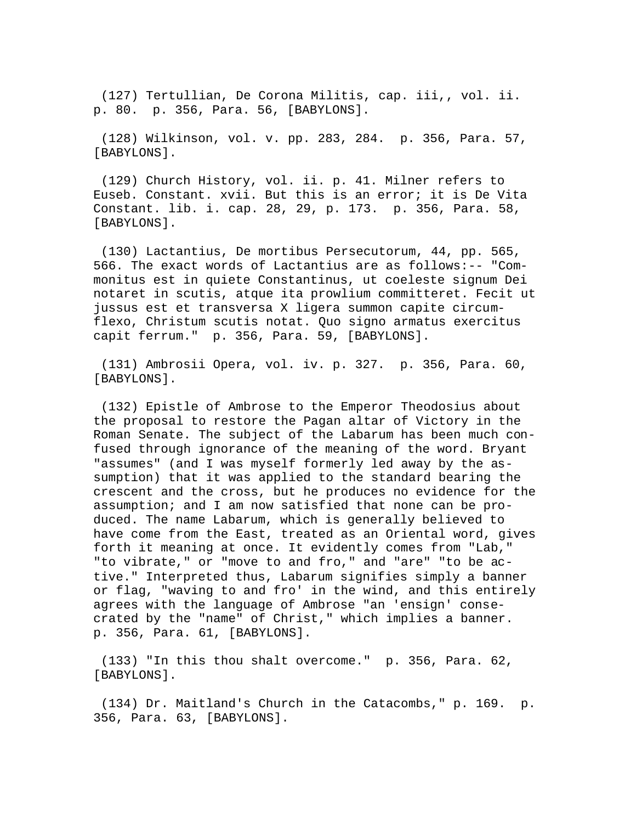(127) Tertullian, De Corona Militis, cap. iii,, vol. ii. p. 80. p. 356, Para. 56, [BABYLONS].

 (128) Wilkinson, vol. v. pp. 283, 284. p. 356, Para. 57, [BABYLONS].

 (129) Church History, vol. ii. p. 41. Milner refers to Euseb. Constant. xvii. But this is an error; it is De Vita Constant. lib. i. cap. 28, 29, p. 173. p. 356, Para. 58, [BABYLONS].

 (130) Lactantius, De mortibus Persecutorum, 44, pp. 565, 566. The exact words of Lactantius are as follows:-- "Commonitus est in quiete Constantinus, ut coeleste signum Dei notaret in scutis, atque ita prowlium committeret. Fecit ut jussus est et transversa X ligera summon capite circumflexo, Christum scutis notat. Quo signo armatus exercitus capit ferrum." p. 356, Para. 59, [BABYLONS].

 (131) Ambrosii Opera, vol. iv. p. 327. p. 356, Para. 60, [BABYLONS].

 (132) Epistle of Ambrose to the Emperor Theodosius about the proposal to restore the Pagan altar of Victory in the Roman Senate. The subject of the Labarum has been much confused through ignorance of the meaning of the word. Bryant "assumes" (and I was myself formerly led away by the assumption) that it was applied to the standard bearing the crescent and the cross, but he produces no evidence for the assumption; and I am now satisfied that none can be produced. The name Labarum, which is generally believed to have come from the East, treated as an Oriental word, gives forth it meaning at once. It evidently comes from "Lab," "to vibrate," or "move to and fro," and "are" "to be active." Interpreted thus, Labarum signifies simply a banner or flag, "waving to and fro' in the wind, and this entirely agrees with the language of Ambrose "an 'ensign' consecrated by the "name" of Christ," which implies a banner. p. 356, Para. 61, [BABYLONS].

 (133) "In this thou shalt overcome." p. 356, Para. 62, [BABYLONS].

 (134) Dr. Maitland's Church in the Catacombs," p. 169. p. 356, Para. 63, [BABYLONS].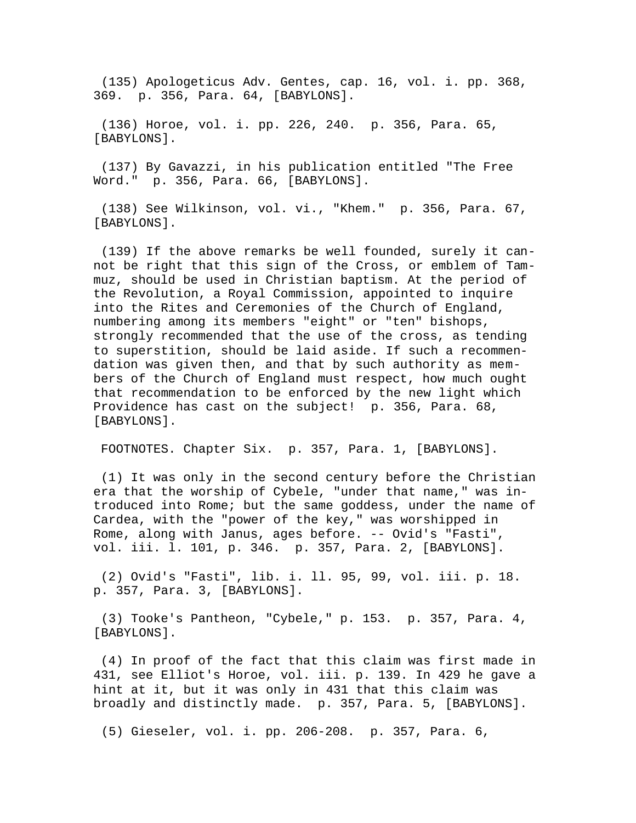(135) Apologeticus Adv. Gentes, cap. 16, vol. i. pp. 368, 369. p. 356, Para. 64, [BABYLONS].

 (136) Horoe, vol. i. pp. 226, 240. p. 356, Para. 65, [BABYLONS].

 (137) By Gavazzi, in his publication entitled "The Free Word." p. 356, Para. 66, [BABYLONS].

 (138) See Wilkinson, vol. vi., "Khem." p. 356, Para. 67, [BABYLONS].

 (139) If the above remarks be well founded, surely it cannot be right that this sign of the Cross, or emblem of Tammuz, should be used in Christian baptism. At the period of the Revolution, a Royal Commission, appointed to inquire into the Rites and Ceremonies of the Church of England, numbering among its members "eight" or "ten" bishops, strongly recommended that the use of the cross, as tending to superstition, should be laid aside. If such a recommendation was given then, and that by such authority as members of the Church of England must respect, how much ought that recommendation to be enforced by the new light which Providence has cast on the subject! p. 356, Para. 68, [BABYLONS].

FOOTNOTES. Chapter Six. p. 357, Para. 1, [BABYLONS].

 (1) It was only in the second century before the Christian era that the worship of Cybele, "under that name," was introduced into Rome; but the same goddess, under the name of Cardea, with the "power of the key," was worshipped in Rome, along with Janus, ages before. -- Ovid's "Fasti", vol. iii. l. 101, p. 346. p. 357, Para. 2, [BABYLONS].

 (2) Ovid's "Fasti", lib. i. ll. 95, 99, vol. iii. p. 18. p. 357, Para. 3, [BABYLONS].

 (3) Tooke's Pantheon, "Cybele," p. 153. p. 357, Para. 4, [BABYLONS].

 (4) In proof of the fact that this claim was first made in 431, see Elliot's Horoe, vol. iii. p. 139. In 429 he gave a hint at it, but it was only in 431 that this claim was broadly and distinctly made. p. 357, Para. 5, [BABYLONS].

(5) Gieseler, vol. i. pp. 206-208. p. 357, Para. 6,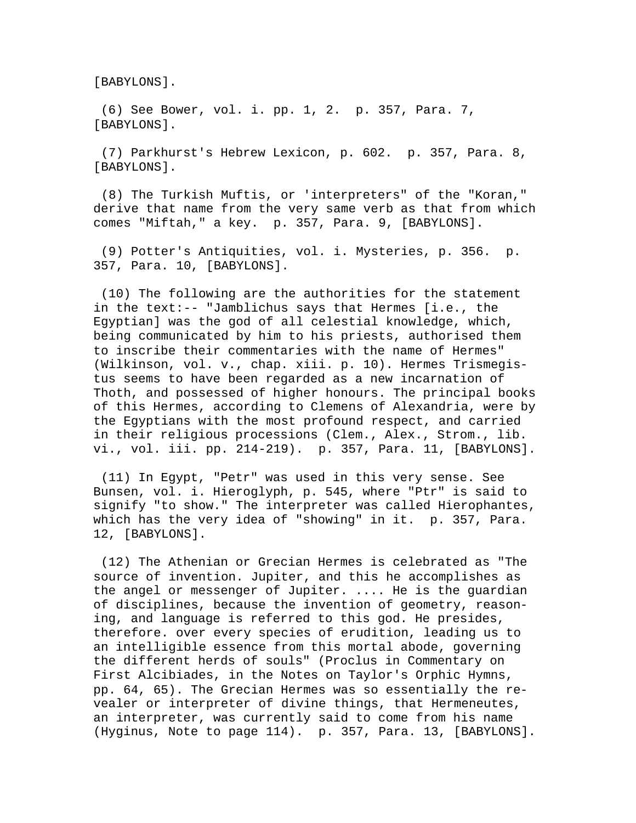[BABYLONS].

 (6) See Bower, vol. i. pp. 1, 2. p. 357, Para. 7, [BABYLONS].

 (7) Parkhurst's Hebrew Lexicon, p. 602. p. 357, Para. 8, [BABYLONS].

 (8) The Turkish Muftis, or 'interpreters" of the "Koran," derive that name from the very same verb as that from which comes "Miftah," a key. p. 357, Para. 9, [BABYLONS].

 (9) Potter's Antiquities, vol. i. Mysteries, p. 356. p. 357, Para. 10, [BABYLONS].

 (10) The following are the authorities for the statement in the text:-- "Jamblichus says that Hermes [i.e., the Egyptian] was the god of all celestial knowledge, which, being communicated by him to his priests, authorised them to inscribe their commentaries with the name of Hermes" (Wilkinson, vol. v., chap. xiii. p. 10). Hermes Trismegistus seems to have been regarded as a new incarnation of Thoth, and possessed of higher honours. The principal books of this Hermes, according to Clemens of Alexandria, were by the Egyptians with the most profound respect, and carried in their religious processions (Clem., Alex., Strom., lib. vi., vol. iii. pp. 214-219). p. 357, Para. 11, [BABYLONS].

 (11) In Egypt, "Petr" was used in this very sense. See Bunsen, vol. i. Hieroglyph, p. 545, where "Ptr" is said to signify "to show." The interpreter was called Hierophantes, which has the very idea of "showing" in it. p. 357, Para. 12, [BABYLONS].

 (12) The Athenian or Grecian Hermes is celebrated as "The source of invention. Jupiter, and this he accomplishes as the angel or messenger of Jupiter. .... He is the guardian of disciplines, because the invention of geometry, reasoning, and language is referred to this god. He presides, therefore. over every species of erudition, leading us to an intelligible essence from this mortal abode, governing the different herds of souls" (Proclus in Commentary on First Alcibiades, in the Notes on Taylor's Orphic Hymns, pp. 64, 65). The Grecian Hermes was so essentially the revealer or interpreter of divine things, that Hermeneutes, an interpreter, was currently said to come from his name (Hyginus, Note to page 114). p. 357, Para. 13, [BABYLONS].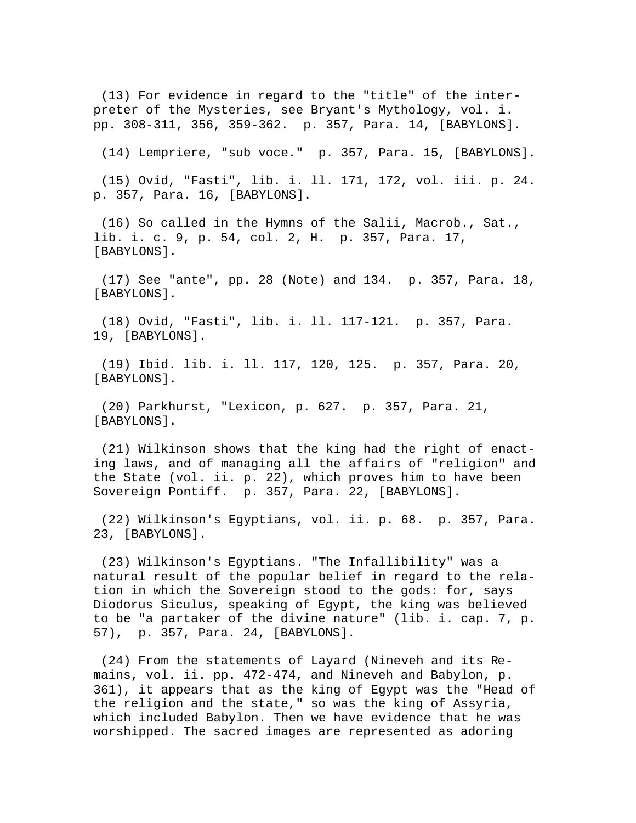(13) For evidence in regard to the "title" of the interpreter of the Mysteries, see Bryant's Mythology, vol. i. pp. 308-311, 356, 359-362. p. 357, Para. 14, [BABYLONS].

(14) Lempriere, "sub voce." p. 357, Para. 15, [BABYLONS].

 (15) Ovid, "Fasti", lib. i. ll. 171, 172, vol. iii. p. 24. p. 357, Para. 16, [BABYLONS].

 (16) So called in the Hymns of the Salii, Macrob., Sat., lib. i. c. 9, p. 54, col. 2, H. p. 357, Para. 17, [BABYLONS].

 (17) See "ante", pp. 28 (Note) and 134. p. 357, Para. 18, [BABYLONS].

 (18) Ovid, "Fasti", lib. i. ll. 117-121. p. 357, Para. 19, [BABYLONS].

 (19) Ibid. lib. i. ll. 117, 120, 125. p. 357, Para. 20, [BABYLONS].

 (20) Parkhurst, "Lexicon, p. 627. p. 357, Para. 21, [BABYLONS].

 (21) Wilkinson shows that the king had the right of enacting laws, and of managing all the affairs of "religion" and the State (vol. ii. p. 22), which proves him to have been Sovereign Pontiff. p. 357, Para. 22, [BABYLONS].

 (22) Wilkinson's Egyptians, vol. ii. p. 68. p. 357, Para. 23, [BABYLONS].

 (23) Wilkinson's Egyptians. "The Infallibility" was a natural result of the popular belief in regard to the relation in which the Sovereign stood to the gods: for, says Diodorus Siculus, speaking of Egypt, the king was believed to be "a partaker of the divine nature" (lib. i. cap. 7, p. 57), p. 357, Para. 24, [BABYLONS].

 (24) From the statements of Layard (Nineveh and its Remains, vol. ii. pp. 472-474, and Nineveh and Babylon, p. 361), it appears that as the king of Egypt was the "Head of the religion and the state," so was the king of Assyria, which included Babylon. Then we have evidence that he was worshipped. The sacred images are represented as adoring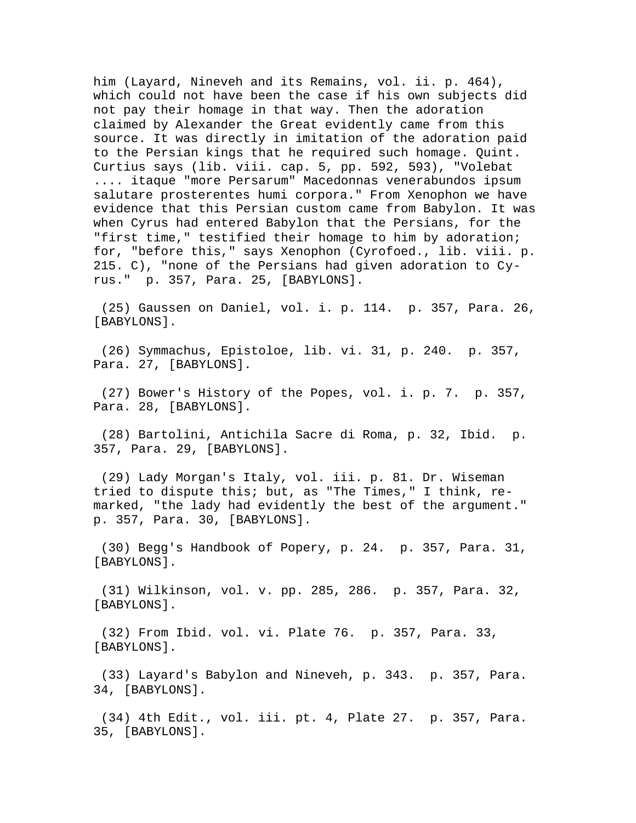him (Layard, Nineveh and its Remains, vol. ii. p. 464), which could not have been the case if his own subjects did not pay their homage in that way. Then the adoration claimed by Alexander the Great evidently came from this source. It was directly in imitation of the adoration paid to the Persian kings that he required such homage. Quint. Curtius says (lib. viii. cap. 5, pp. 592, 593), "Volebat .... itaque "more Persarum" Macedonnas venerabundos ipsum salutare prosterentes humi corpora." From Xenophon we have evidence that this Persian custom came from Babylon. It was when Cyrus had entered Babylon that the Persians, for the "first time," testified their homage to him by adoration; for, "before this," says Xenophon (Cyrofoed., lib. viii. p. 215. C), "none of the Persians had given adoration to Cyrus." p. 357, Para. 25, [BABYLONS].

 (25) Gaussen on Daniel, vol. i. p. 114. p. 357, Para. 26, [BABYLONS].

 (26) Symmachus, Epistoloe, lib. vi. 31, p. 240. p. 357, Para. 27, [BABYLONS].

 (27) Bower's History of the Popes, vol. i. p. 7. p. 357, Para. 28, [BABYLONS].

 (28) Bartolini, Antichila Sacre di Roma, p. 32, Ibid. p. 357, Para. 29, [BABYLONS].

 (29) Lady Morgan's Italy, vol. iii. p. 81. Dr. Wiseman tried to dispute this; but, as "The Times," I think, remarked, "the lady had evidently the best of the argument." p. 357, Para. 30, [BABYLONS].

 (30) Begg's Handbook of Popery, p. 24. p. 357, Para. 31, [BABYLONS].

 (31) Wilkinson, vol. v. pp. 285, 286. p. 357, Para. 32, [BABYLONS].

 (32) From Ibid. vol. vi. Plate 76. p. 357, Para. 33, [BABYLONS].

 (33) Layard's Babylon and Nineveh, p. 343. p. 357, Para. 34, [BABYLONS].

 (34) 4th Edit., vol. iii. pt. 4, Plate 27. p. 357, Para. 35, [BABYLONS].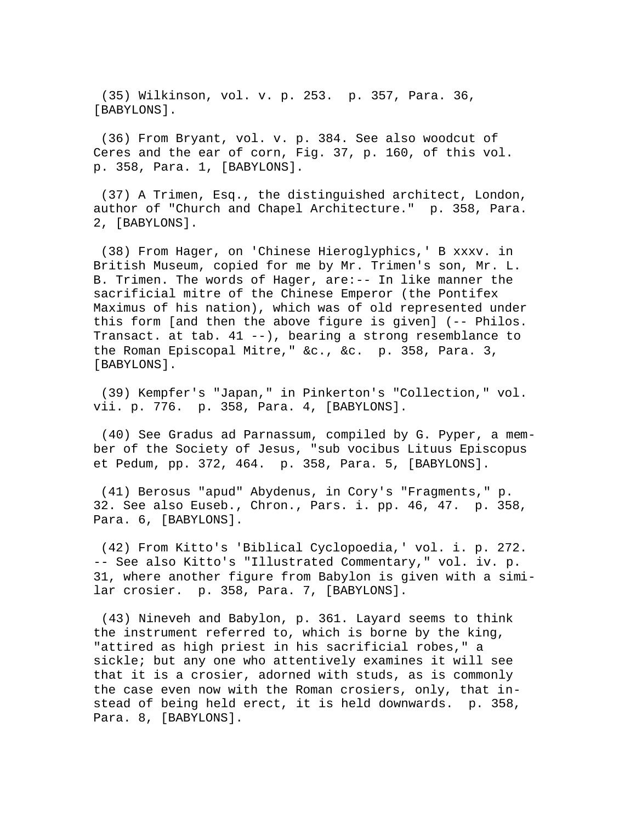(35) Wilkinson, vol. v. p. 253. p. 357, Para. 36, [BABYLONS].

 (36) From Bryant, vol. v. p. 384. See also woodcut of Ceres and the ear of corn, Fig. 37, p. 160, of this vol. p. 358, Para. 1, [BABYLONS].

 (37) A Trimen, Esq., the distinguished architect, London, author of "Church and Chapel Architecture." p. 358, Para. 2, [BABYLONS].

 (38) From Hager, on 'Chinese Hieroglyphics,' B xxxv. in British Museum, copied for me by Mr. Trimen's son, Mr. L. B. Trimen. The words of Hager, are:-- In like manner the sacrificial mitre of the Chinese Emperor (the Pontifex Maximus of his nation), which was of old represented under this form [and then the above figure is given] (-- Philos. Transact. at tab.  $41 - -$ ), bearing a strong resemblance to the Roman Episcopal Mitre," &c., &c. p. 358, Para. 3, [BABYLONS].

 (39) Kempfer's "Japan," in Pinkerton's "Collection," vol. vii. p. 776. p. 358, Para. 4, [BABYLONS].

 (40) See Gradus ad Parnassum, compiled by G. Pyper, a member of the Society of Jesus, "sub vocibus Lituus Episcopus et Pedum, pp. 372, 464. p. 358, Para. 5, [BABYLONS].

 (41) Berosus "apud" Abydenus, in Cory's "Fragments," p. 32. See also Euseb., Chron., Pars. i. pp. 46, 47. p. 358, Para. 6, [BABYLONS].

 (42) From Kitto's 'Biblical Cyclopoedia,' vol. i. p. 272. -- See also Kitto's "Illustrated Commentary," vol. iv. p. 31, where another figure from Babylon is given with a similar crosier. p. 358, Para. 7, [BABYLONS].

 (43) Nineveh and Babylon, p. 361. Layard seems to think the instrument referred to, which is borne by the king, "attired as high priest in his sacrificial robes," a sickle; but any one who attentively examines it will see that it is a crosier, adorned with studs, as is commonly the case even now with the Roman crosiers, only, that instead of being held erect, it is held downwards. p. 358, Para. 8, [BABYLONS].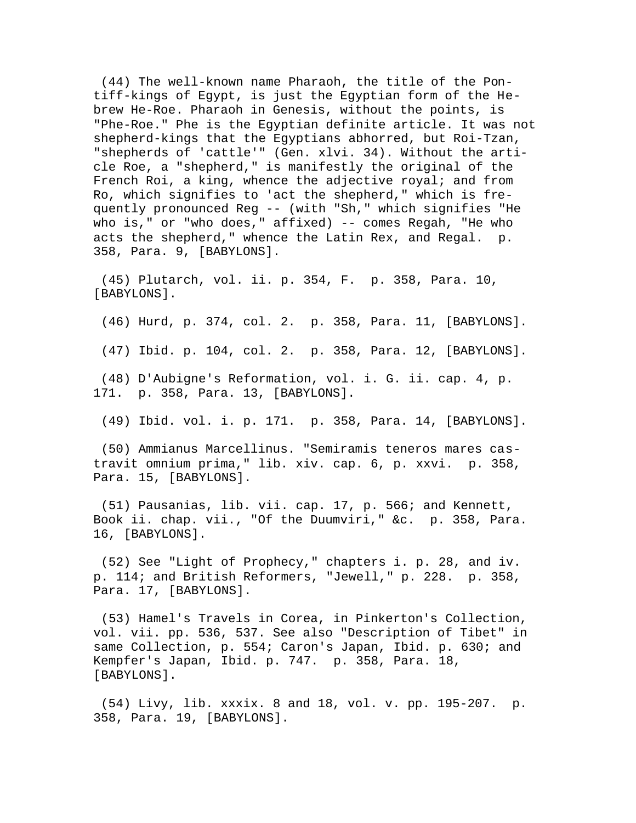(44) The well-known name Pharaoh, the title of the Pontiff-kings of Egypt, is just the Egyptian form of the Hebrew He-Roe. Pharaoh in Genesis, without the points, is "Phe-Roe." Phe is the Egyptian definite article. It was not shepherd-kings that the Egyptians abhorred, but Roi-Tzan, "shepherds of 'cattle'" (Gen. xlvi. 34). Without the article Roe, a "shepherd," is manifestly the original of the French Roi, a king, whence the adjective royal; and from Ro, which signifies to 'act the shepherd," which is frequently pronounced Reg -- (with "Sh," which signifies "He who is," or "who does," affixed) -- comes Regah, "He who acts the shepherd," whence the Latin Rex, and Regal. p. 358, Para. 9, [BABYLONS].

 (45) Plutarch, vol. ii. p. 354, F. p. 358, Para. 10, [BABYLONS].

(46) Hurd, p. 374, col. 2. p. 358, Para. 11, [BABYLONS].

(47) Ibid. p. 104, col. 2. p. 358, Para. 12, [BABYLONS].

 (48) D'Aubigne's Reformation, vol. i. G. ii. cap. 4, p. 171. p. 358, Para. 13, [BABYLONS].

(49) Ibid. vol. i. p. 171. p. 358, Para. 14, [BABYLONS].

 (50) Ammianus Marcellinus. "Semiramis teneros mares castravit omnium prima," lib. xiv. cap. 6, p. xxvi. p. 358, Para. 15, [BABYLONS].

 (51) Pausanias, lib. vii. cap. 17, p. 566; and Kennett, Book ii. chap. vii., "Of the Duumviri," &c. p. 358, Para. 16, [BABYLONS].

 (52) See "Light of Prophecy," chapters i. p. 28, and iv. p. 114; and British Reformers, "Jewell," p. 228. p. 358, Para. 17, [BABYLONS].

 (53) Hamel's Travels in Corea, in Pinkerton's Collection, vol. vii. pp. 536, 537. See also "Description of Tibet" in same Collection, p. 554; Caron's Japan, Ibid. p. 630; and Kempfer's Japan, Ibid. p. 747. p. 358, Para. 18, [BABYLONS].

 (54) Livy, lib. xxxix. 8 and 18, vol. v. pp. 195-207. p. 358, Para. 19, [BABYLONS].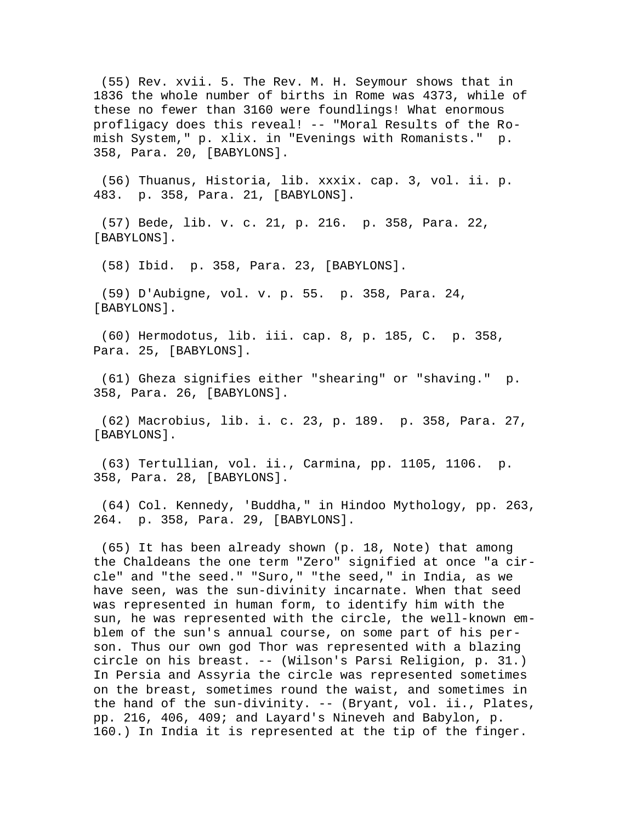(55) Rev. xvii. 5. The Rev. M. H. Seymour shows that in 1836 the whole number of births in Rome was 4373, while of these no fewer than 3160 were foundlings! What enormous profligacy does this reveal! -- "Moral Results of the Romish System," p. xlix. in "Evenings with Romanists." p. 358, Para. 20, [BABYLONS].

 (56) Thuanus, Historia, lib. xxxix. cap. 3, vol. ii. p. 483. p. 358, Para. 21, [BABYLONS].

 (57) Bede, lib. v. c. 21, p. 216. p. 358, Para. 22, [BABYLONS].

(58) Ibid. p. 358, Para. 23, [BABYLONS].

 (59) D'Aubigne, vol. v. p. 55. p. 358, Para. 24, [BABYLONS].

 (60) Hermodotus, lib. iii. cap. 8, p. 185, C. p. 358, Para. 25, [BABYLONS].

 (61) Gheza signifies either "shearing" or "shaving." p. 358, Para. 26, [BABYLONS].

 (62) Macrobius, lib. i. c. 23, p. 189. p. 358, Para. 27, [BABYLONS].

 (63) Tertullian, vol. ii., Carmina, pp. 1105, 1106. p. 358, Para. 28, [BABYLONS].

 (64) Col. Kennedy, 'Buddha," in Hindoo Mythology, pp. 263, 264. p. 358, Para. 29, [BABYLONS].

 (65) It has been already shown (p. 18, Note) that among the Chaldeans the one term "Zero" signified at once "a circle" and "the seed." "Suro," "the seed," in India, as we have seen, was the sun-divinity incarnate. When that seed was represented in human form, to identify him with the sun, he was represented with the circle, the well-known emblem of the sun's annual course, on some part of his person. Thus our own god Thor was represented with a blazing circle on his breast. -- (Wilson's Parsi Religion, p. 31.) In Persia and Assyria the circle was represented sometimes on the breast, sometimes round the waist, and sometimes in the hand of the sun-divinity. -- (Bryant, vol. ii., Plates, pp. 216, 406, 409; and Layard's Nineveh and Babylon, p. 160.) In India it is represented at the tip of the finger.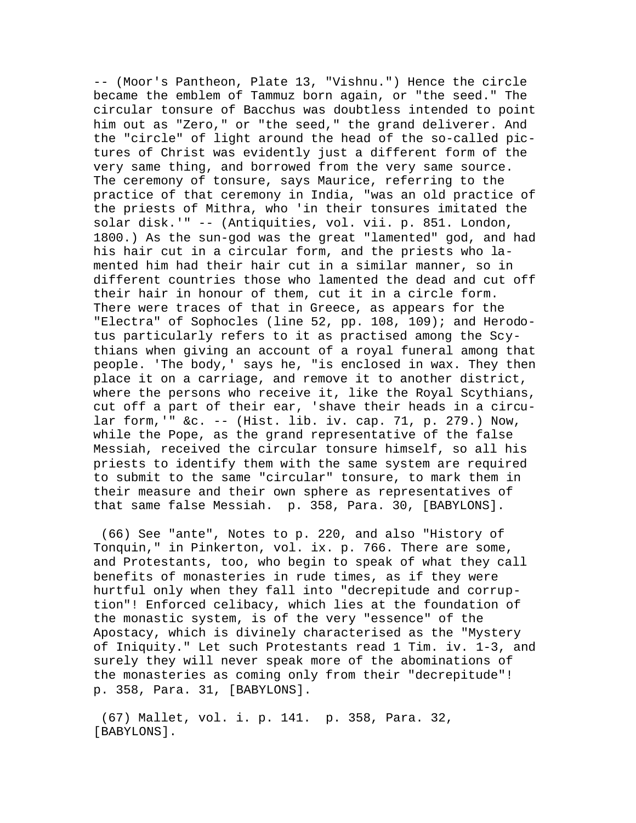-- (Moor's Pantheon, Plate 13, "Vishnu.") Hence the circle became the emblem of Tammuz born again, or "the seed." The circular tonsure of Bacchus was doubtless intended to point him out as "Zero," or "the seed," the grand deliverer. And the "circle" of light around the head of the so-called pictures of Christ was evidently just a different form of the very same thing, and borrowed from the very same source. The ceremony of tonsure, says Maurice, referring to the practice of that ceremony in India, "was an old practice of the priests of Mithra, who 'in their tonsures imitated the solar disk.'" -- (Antiquities, vol. vii. p. 851. London, 1800.) As the sun-god was the great "lamented" god, and had his hair cut in a circular form, and the priests who lamented him had their hair cut in a similar manner, so in different countries those who lamented the dead and cut off their hair in honour of them, cut it in a circle form. There were traces of that in Greece, as appears for the "Electra" of Sophocles (line 52, pp. 108, 109); and Herodotus particularly refers to it as practised among the Scythians when giving an account of a royal funeral among that people. 'The body,' says he, "is enclosed in wax. They then place it on a carriage, and remove it to another district, where the persons who receive it, like the Royal Scythians, cut off a part of their ear, 'shave their heads in a circular form,'" &c. -- (Hist. lib. iv. cap. 71, p. 279.) Now, while the Pope, as the grand representative of the false Messiah, received the circular tonsure himself, so all his priests to identify them with the same system are required to submit to the same "circular" tonsure, to mark them in their measure and their own sphere as representatives of that same false Messiah. p. 358, Para. 30, [BABYLONS].

 (66) See "ante", Notes to p. 220, and also "History of Tonquin," in Pinkerton, vol. ix. p. 766. There are some, and Protestants, too, who begin to speak of what they call benefits of monasteries in rude times, as if they were hurtful only when they fall into "decrepitude and corruption"! Enforced celibacy, which lies at the foundation of the monastic system, is of the very "essence" of the Apostacy, which is divinely characterised as the "Mystery of Iniquity." Let such Protestants read 1 Tim. iv. 1-3, and surely they will never speak more of the abominations of the monasteries as coming only from their "decrepitude"! p. 358, Para. 31, [BABYLONS].

 (67) Mallet, vol. i. p. 141. p. 358, Para. 32, [BABYLONS].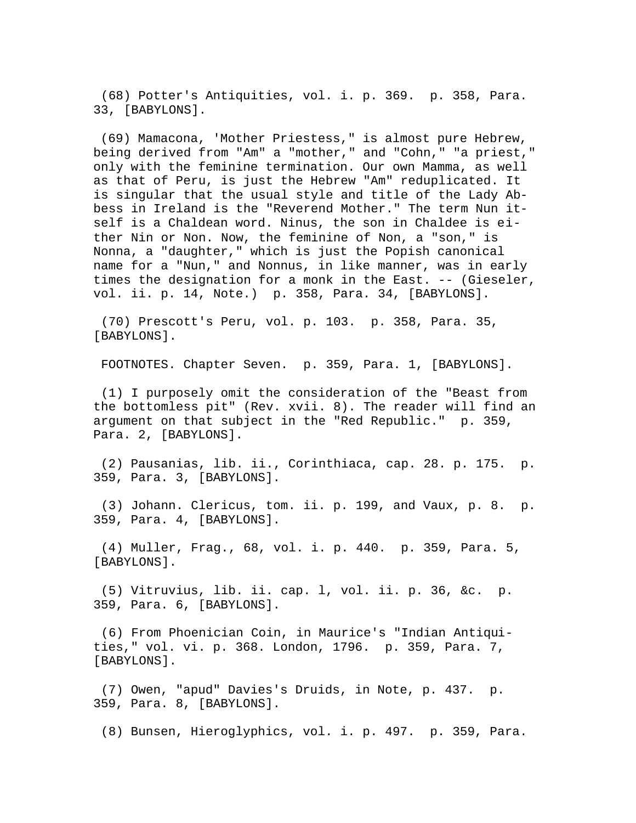(68) Potter's Antiquities, vol. i. p. 369. p. 358, Para. 33, [BABYLONS].

 (69) Mamacona, 'Mother Priestess," is almost pure Hebrew, being derived from "Am" a "mother," and "Cohn," "a priest," only with the feminine termination. Our own Mamma, as well as that of Peru, is just the Hebrew "Am" reduplicated. It is singular that the usual style and title of the Lady Abbess in Ireland is the "Reverend Mother." The term Nun itself is a Chaldean word. Ninus, the son in Chaldee is either Nin or Non. Now, the feminine of Non, a "son," is Nonna, a "daughter," which is just the Popish canonical name for a "Nun," and Nonnus, in like manner, was in early times the designation for a monk in the East. -- (Gieseler, vol. ii. p. 14, Note.) p. 358, Para. 34, [BABYLONS].

 (70) Prescott's Peru, vol. p. 103. p. 358, Para. 35, [BABYLONS].

FOOTNOTES. Chapter Seven. p. 359, Para. 1, [BABYLONS].

 (1) I purposely omit the consideration of the "Beast from the bottomless pit" (Rev. xvii. 8). The reader will find an argument on that subject in the "Red Republic." p. 359, Para. 2, [BABYLONS].

 (2) Pausanias, lib. ii., Corinthiaca, cap. 28. p. 175. p. 359, Para. 3, [BABYLONS].

 (3) Johann. Clericus, tom. ii. p. 199, and Vaux, p. 8. p. 359, Para. 4, [BABYLONS].

 (4) Muller, Frag., 68, vol. i. p. 440. p. 359, Para. 5, [BABYLONS].

 (5) Vitruvius, lib. ii. cap. l, vol. ii. p. 36, &c. p. 359, Para. 6, [BABYLONS].

 (6) From Phoenician Coin, in Maurice's "Indian Antiquities," vol. vi. p. 368. London, 1796. p. 359, Para. 7, [BABYLONS].

 (7) Owen, "apud" Davies's Druids, in Note, p. 437. p. 359, Para. 8, [BABYLONS].

(8) Bunsen, Hieroglyphics, vol. i. p. 497. p. 359, Para.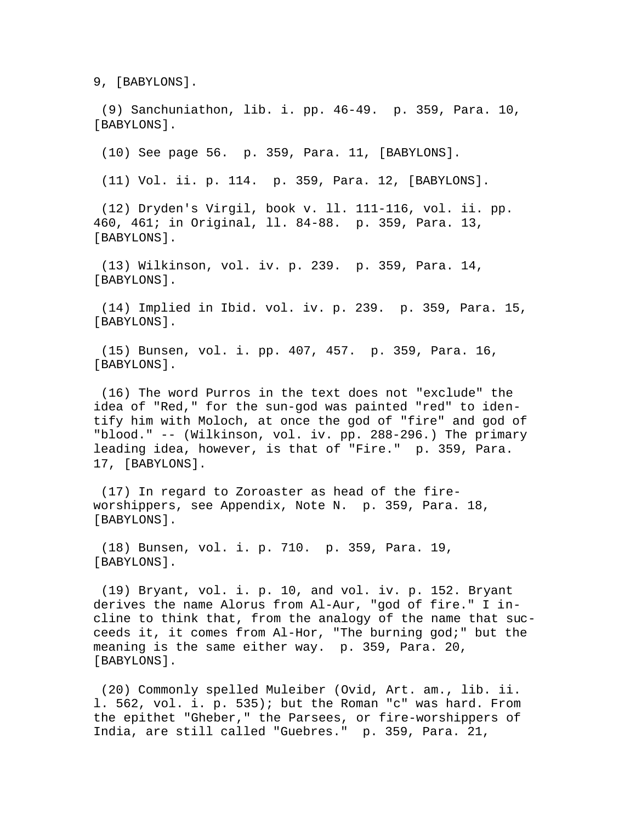9, [BABYLONS].

 (9) Sanchuniathon, lib. i. pp. 46-49. p. 359, Para. 10, [BABYLONS].

(10) See page 56. p. 359, Para. 11, [BABYLONS].

(11) Vol. ii. p. 114. p. 359, Para. 12, [BABYLONS].

 (12) Dryden's Virgil, book v. ll. 111-116, vol. ii. pp. 460, 461; in Original, ll. 84-88. p. 359, Para. 13, [BABYLONS].

 (13) Wilkinson, vol. iv. p. 239. p. 359, Para. 14, [BABYLONS].

 (14) Implied in Ibid. vol. iv. p. 239. p. 359, Para. 15, [BABYLONS].

 (15) Bunsen, vol. i. pp. 407, 457. p. 359, Para. 16, [BABYLONS].

 (16) The word Purros in the text does not "exclude" the idea of "Red," for the sun-god was painted "red" to identify him with Moloch, at once the god of "fire" and god of "blood." -- (Wilkinson, vol. iv. pp. 288-296.) The primary leading idea, however, is that of "Fire." p. 359, Para. 17, [BABYLONS].

 (17) In regard to Zoroaster as head of the fireworshippers, see Appendix, Note N. p. 359, Para. 18, [BABYLONS].

 (18) Bunsen, vol. i. p. 710. p. 359, Para. 19, [BABYLONS].

 (19) Bryant, vol. i. p. 10, and vol. iv. p. 152. Bryant derives the name Alorus from Al-Aur, "god of fire." I incline to think that, from the analogy of the name that succeeds it, it comes from Al-Hor, "The burning god;" but the meaning is the same either way. p. 359, Para. 20, [BABYLONS].

 (20) Commonly spelled Muleiber (Ovid, Art. am., lib. ii. l. 562, vol. i. p. 535); but the Roman "c" was hard. From the epithet "Gheber," the Parsees, or fire-worshippers of India, are still called "Guebres." p. 359, Para. 21,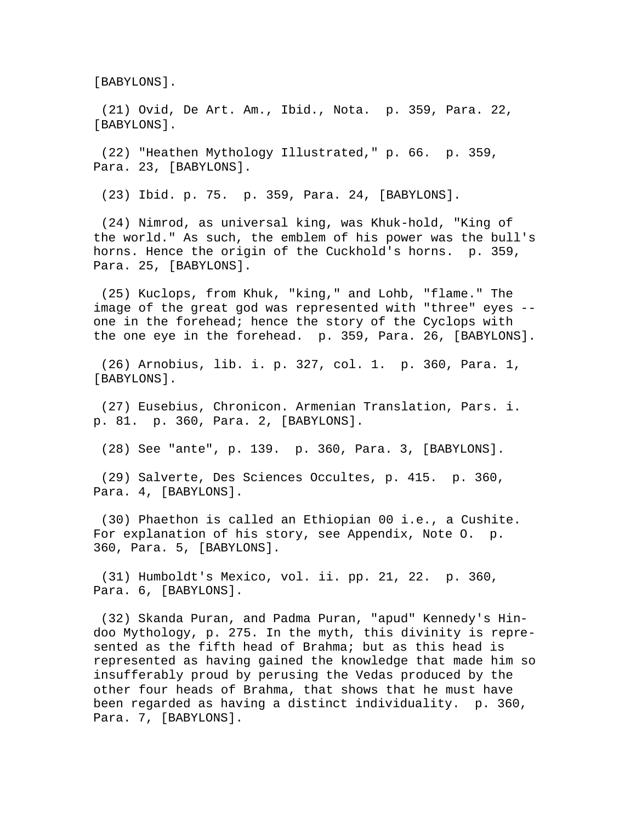[BABYLONS].

 (21) Ovid, De Art. Am., Ibid., Nota. p. 359, Para. 22, [BABYLONS].

 (22) "Heathen Mythology Illustrated," p. 66. p. 359, Para. 23, [BABYLONS].

(23) Ibid. p. 75. p. 359, Para. 24, [BABYLONS].

 (24) Nimrod, as universal king, was Khuk-hold, "King of the world." As such, the emblem of his power was the bull's horns. Hence the origin of the Cuckhold's horns. p. 359, Para. 25, [BABYLONS].

 (25) Kuclops, from Khuk, "king," and Lohb, "flame." The image of the great god was represented with "three" eyes - one in the forehead; hence the story of the Cyclops with the one eye in the forehead. p. 359, Para. 26, [BABYLONS].

 (26) Arnobius, lib. i. p. 327, col. 1. p. 360, Para. 1, [BABYLONS].

 (27) Eusebius, Chronicon. Armenian Translation, Pars. i. p. 81. p. 360, Para. 2, [BABYLONS].

(28) See "ante", p. 139. p. 360, Para. 3, [BABYLONS].

 (29) Salverte, Des Sciences Occultes, p. 415. p. 360, Para. 4, [BABYLONS].

 (30) Phaethon is called an Ethiopian 00 i.e., a Cushite. For explanation of his story, see Appendix, Note O. p. 360, Para. 5, [BABYLONS].

 (31) Humboldt's Mexico, vol. ii. pp. 21, 22. p. 360, Para. 6, [BABYLONS].

 (32) Skanda Puran, and Padma Puran, "apud" Kennedy's Hindoo Mythology, p. 275. In the myth, this divinity is represented as the fifth head of Brahma; but as this head is represented as having gained the knowledge that made him so insufferably proud by perusing the Vedas produced by the other four heads of Brahma, that shows that he must have been regarded as having a distinct individuality. p. 360, Para. 7, [BABYLONS].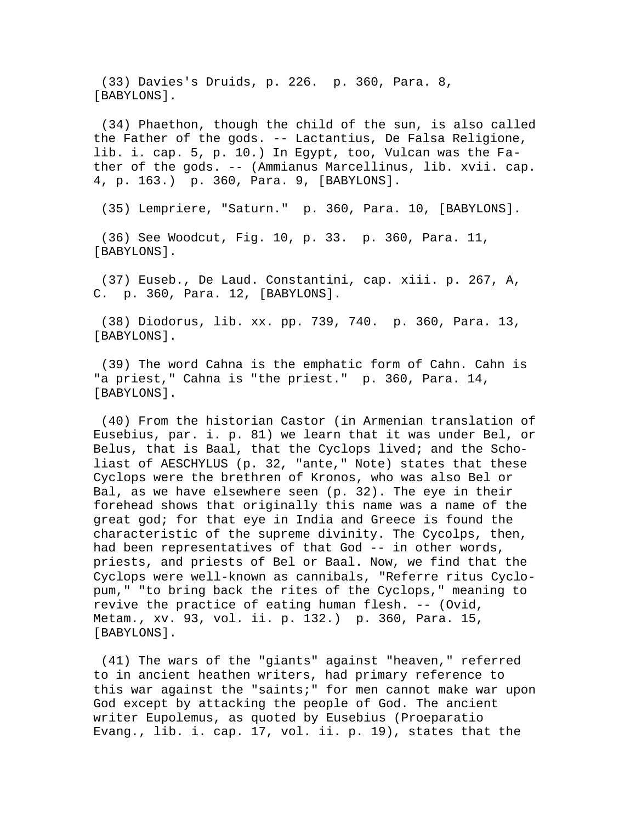(33) Davies's Druids, p. 226. p. 360, Para. 8, [BABYLONS].

 (34) Phaethon, though the child of the sun, is also called the Father of the gods. -- Lactantius, De Falsa Religione, lib. i. cap. 5, p. 10.) In Egypt, too, Vulcan was the Father of the gods. -- (Ammianus Marcellinus, lib. xvii. cap. 4, p. 163.) p. 360, Para. 9, [BABYLONS].

(35) Lempriere, "Saturn." p. 360, Para. 10, [BABYLONS].

 (36) See Woodcut, Fig. 10, p. 33. p. 360, Para. 11, [BABYLONS].

 (37) Euseb., De Laud. Constantini, cap. xiii. p. 267, A, C. p. 360, Para. 12, [BABYLONS].

 (38) Diodorus, lib. xx. pp. 739, 740. p. 360, Para. 13, [BABYLONS].

 (39) The word Cahna is the emphatic form of Cahn. Cahn is "a priest," Cahna is "the priest." p. 360, Para. 14, [BABYLONS].

 (40) From the historian Castor (in Armenian translation of Eusebius, par. i. p. 81) we learn that it was under Bel, or Belus, that is Baal, that the Cyclops lived; and the Scholiast of AESCHYLUS (p. 32, "ante," Note) states that these Cyclops were the brethren of Kronos, who was also Bel or Bal, as we have elsewhere seen (p. 32). The eye in their forehead shows that originally this name was a name of the great god; for that eye in India and Greece is found the characteristic of the supreme divinity. The Cycolps, then, had been representatives of that God -- in other words, priests, and priests of Bel or Baal. Now, we find that the Cyclops were well-known as cannibals, "Referre ritus Cyclopum," "to bring back the rites of the Cyclops," meaning to revive the practice of eating human flesh. -- (Ovid, Metam., xv. 93, vol. ii. p. 132.) p. 360, Para. 15, [BABYLONS].

 (41) The wars of the "giants" against "heaven," referred to in ancient heathen writers, had primary reference to this war against the "saints;" for men cannot make war upon God except by attacking the people of God. The ancient writer Eupolemus, as quoted by Eusebius (Proeparatio Evang., lib. i. cap. 17, vol. ii. p. 19), states that the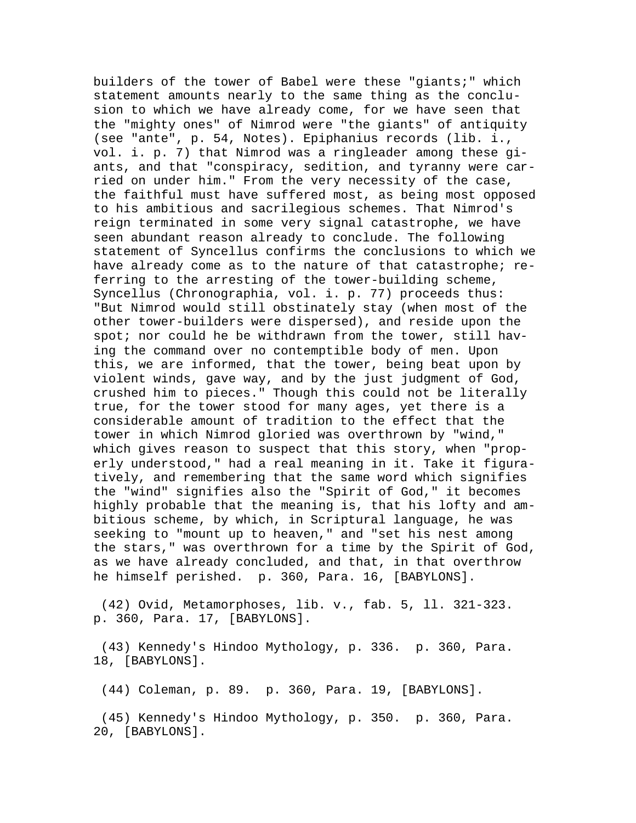builders of the tower of Babel were these "giants;" which statement amounts nearly to the same thing as the conclusion to which we have already come, for we have seen that the "mighty ones" of Nimrod were "the giants" of antiquity (see "ante", p. 54, Notes). Epiphanius records (lib. i., vol. i. p. 7) that Nimrod was a ringleader among these giants, and that "conspiracy, sedition, and tyranny were carried on under him." From the very necessity of the case, the faithful must have suffered most, as being most opposed to his ambitious and sacrilegious schemes. That Nimrod's reign terminated in some very signal catastrophe, we have seen abundant reason already to conclude. The following statement of Syncellus confirms the conclusions to which we have already come as to the nature of that catastrophe; referring to the arresting of the tower-building scheme, Syncellus (Chronographia, vol. i. p. 77) proceeds thus: "But Nimrod would still obstinately stay (when most of the other tower-builders were dispersed), and reside upon the spot; nor could he be withdrawn from the tower, still having the command over no contemptible body of men. Upon this, we are informed, that the tower, being beat upon by violent winds, gave way, and by the just judgment of God, crushed him to pieces." Though this could not be literally true, for the tower stood for many ages, yet there is a considerable amount of tradition to the effect that the tower in which Nimrod gloried was overthrown by "wind," which gives reason to suspect that this story, when "properly understood," had a real meaning in it. Take it figuratively, and remembering that the same word which signifies the "wind" signifies also the "Spirit of God," it becomes highly probable that the meaning is, that his lofty and ambitious scheme, by which, in Scriptural language, he was seeking to "mount up to heaven," and "set his nest among the stars," was overthrown for a time by the Spirit of God, as we have already concluded, and that, in that overthrow he himself perished. p. 360, Para. 16, [BABYLONS].

 (42) Ovid, Metamorphoses, lib. v., fab. 5, ll. 321-323. p. 360, Para. 17, [BABYLONS].

 (43) Kennedy's Hindoo Mythology, p. 336. p. 360, Para. 18, [BABYLONS].

(44) Coleman, p. 89. p. 360, Para. 19, [BABYLONS].

 (45) Kennedy's Hindoo Mythology, p. 350. p. 360, Para. 20, [BABYLONS].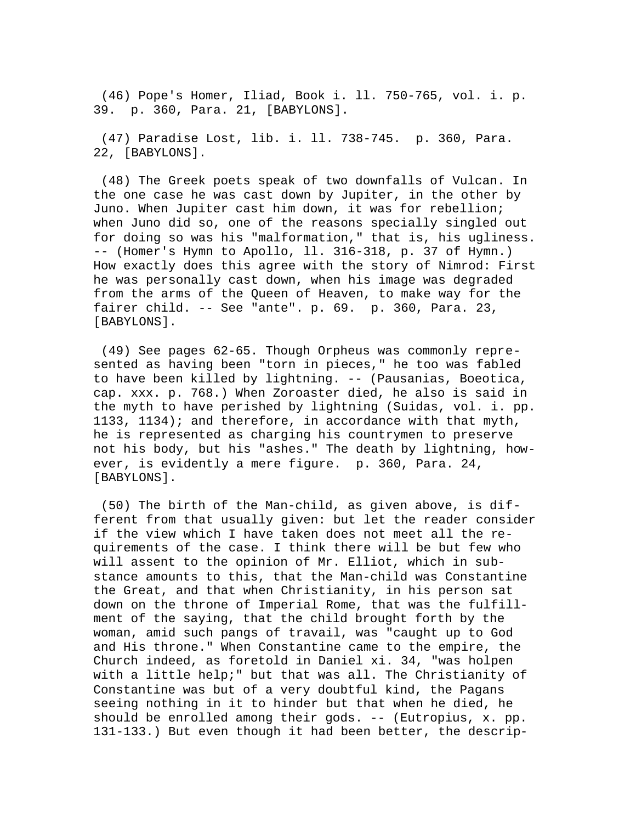(46) Pope's Homer, Iliad, Book i. ll. 750-765, vol. i. p. 39. p. 360, Para. 21, [BABYLONS].

 (47) Paradise Lost, lib. i. ll. 738-745. p. 360, Para. 22, [BABYLONS].

 (48) The Greek poets speak of two downfalls of Vulcan. In the one case he was cast down by Jupiter, in the other by Juno. When Jupiter cast him down, it was for rebellion; when Juno did so, one of the reasons specially singled out for doing so was his "malformation," that is, his ugliness. -- (Homer's Hymn to Apollo, ll. 316-318, p. 37 of Hymn.) How exactly does this agree with the story of Nimrod: First he was personally cast down, when his image was degraded from the arms of the Queen of Heaven, to make way for the fairer child. -- See "ante". p. 69. p. 360, Para. 23, [BABYLONS].

 (49) See pages 62-65. Though Orpheus was commonly represented as having been "torn in pieces," he too was fabled to have been killed by lightning. -- (Pausanias, Boeotica, cap. xxx. p. 768.) When Zoroaster died, he also is said in the myth to have perished by lightning (Suidas, vol. i. pp. 1133, 1134); and therefore, in accordance with that myth, he is represented as charging his countrymen to preserve not his body, but his "ashes." The death by lightning, however, is evidently a mere figure. p. 360, Para. 24, [BABYLONS].

 (50) The birth of the Man-child, as given above, is different from that usually given: but let the reader consider if the view which I have taken does not meet all the requirements of the case. I think there will be but few who will assent to the opinion of Mr. Elliot, which in substance amounts to this, that the Man-child was Constantine the Great, and that when Christianity, in his person sat down on the throne of Imperial Rome, that was the fulfillment of the saying, that the child brought forth by the woman, amid such pangs of travail, was "caught up to God and His throne." When Constantine came to the empire, the Church indeed, as foretold in Daniel xi. 34, "was holpen with a little help;" but that was all. The Christianity of Constantine was but of a very doubtful kind, the Pagans seeing nothing in it to hinder but that when he died, he should be enrolled among their gods. -- (Eutropius, x. pp. 131-133.) But even though it had been better, the descrip-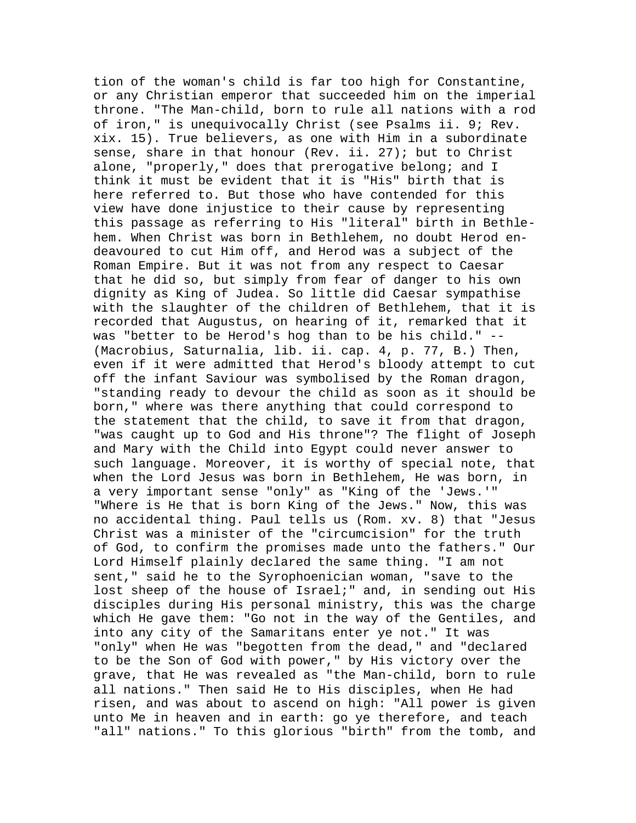tion of the woman's child is far too high for Constantine, or any Christian emperor that succeeded him on the imperial throne. "The Man-child, born to rule all nations with a rod of iron," is unequivocally Christ (see Psalms ii. 9; Rev. xix. 15). True believers, as one with Him in a subordinate sense, share in that honour (Rev. ii. 27); but to Christ alone, "properly," does that prerogative belong; and I think it must be evident that it is "His" birth that is here referred to. But those who have contended for this view have done injustice to their cause by representing this passage as referring to His "literal" birth in Bethlehem. When Christ was born in Bethlehem, no doubt Herod endeavoured to cut Him off, and Herod was a subject of the Roman Empire. But it was not from any respect to Caesar that he did so, but simply from fear of danger to his own dignity as King of Judea. So little did Caesar sympathise with the slaughter of the children of Bethlehem, that it is recorded that Augustus, on hearing of it, remarked that it was "better to be Herod's hog than to be his child." -- (Macrobius, Saturnalia, lib. ii. cap. 4, p. 77, B.) Then, even if it were admitted that Herod's bloody attempt to cut off the infant Saviour was symbolised by the Roman dragon, "standing ready to devour the child as soon as it should be born," where was there anything that could correspond to the statement that the child, to save it from that dragon, "was caught up to God and His throne"? The flight of Joseph and Mary with the Child into Egypt could never answer to such language. Moreover, it is worthy of special note, that when the Lord Jesus was born in Bethlehem, He was born, in a very important sense "only" as "King of the 'Jews.'" "Where is He that is born King of the Jews." Now, this was no accidental thing. Paul tells us (Rom. xv. 8) that "Jesus Christ was a minister of the "circumcision" for the truth of God, to confirm the promises made unto the fathers." Our Lord Himself plainly declared the same thing. "I am not sent," said he to the Syrophoenician woman, "save to the lost sheep of the house of Israel;" and, in sending out His disciples during His personal ministry, this was the charge which He gave them: "Go not in the way of the Gentiles, and into any city of the Samaritans enter ye not." It was "only" when He was "begotten from the dead," and "declared to be the Son of God with power," by His victory over the grave, that He was revealed as "the Man-child, born to rule all nations." Then said He to His disciples, when He had risen, and was about to ascend on high: "All power is given unto Me in heaven and in earth: go ye therefore, and teach "all" nations." To this glorious "birth" from the tomb, and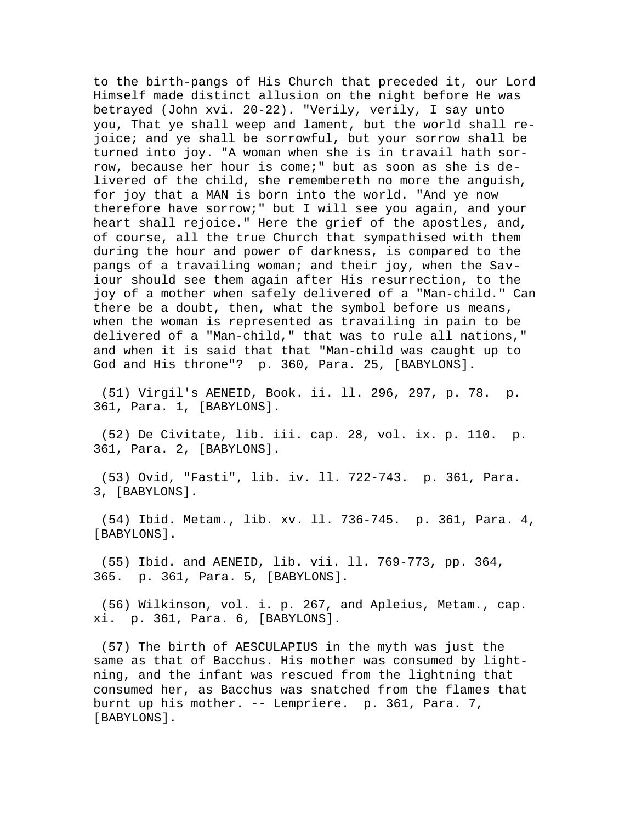to the birth-pangs of His Church that preceded it, our Lord Himself made distinct allusion on the night before He was betrayed (John xvi. 20-22). "Verily, verily, I say unto you, That ye shall weep and lament, but the world shall rejoice; and ye shall be sorrowful, but your sorrow shall be turned into joy. "A woman when she is in travail hath sorrow, because her hour is come;" but as soon as she is delivered of the child, she remembereth no more the anguish, for joy that a MAN is born into the world. "And ye now therefore have sorrow;" but I will see you again, and your heart shall rejoice." Here the grief of the apostles, and, of course, all the true Church that sympathised with them during the hour and power of darkness, is compared to the pangs of a travailing woman; and their joy, when the Saviour should see them again after His resurrection, to the joy of a mother when safely delivered of a "Man-child." Can there be a doubt, then, what the symbol before us means, when the woman is represented as travailing in pain to be delivered of a "Man-child," that was to rule all nations," and when it is said that that "Man-child was caught up to God and His throne"? p. 360, Para. 25, [BABYLONS].

 (51) Virgil's AENEID, Book. ii. ll. 296, 297, p. 78. p. 361, Para. 1, [BABYLONS].

 (52) De Civitate, lib. iii. cap. 28, vol. ix. p. 110. p. 361, Para. 2, [BABYLONS].

 (53) Ovid, "Fasti", lib. iv. ll. 722-743. p. 361, Para. 3, [BABYLONS].

 (54) Ibid. Metam., lib. xv. ll. 736-745. p. 361, Para. 4, [BABYLONS].

 (55) Ibid. and AENEID, lib. vii. ll. 769-773, pp. 364, 365. p. 361, Para. 5, [BABYLONS].

 (56) Wilkinson, vol. i. p. 267, and Apleius, Metam., cap. xi. p. 361, Para. 6, [BABYLONS].

 (57) The birth of AESCULAPIUS in the myth was just the same as that of Bacchus. His mother was consumed by lightning, and the infant was rescued from the lightning that consumed her, as Bacchus was snatched from the flames that burnt up his mother. -- Lempriere. p. 361, Para. 7, [BABYLONS].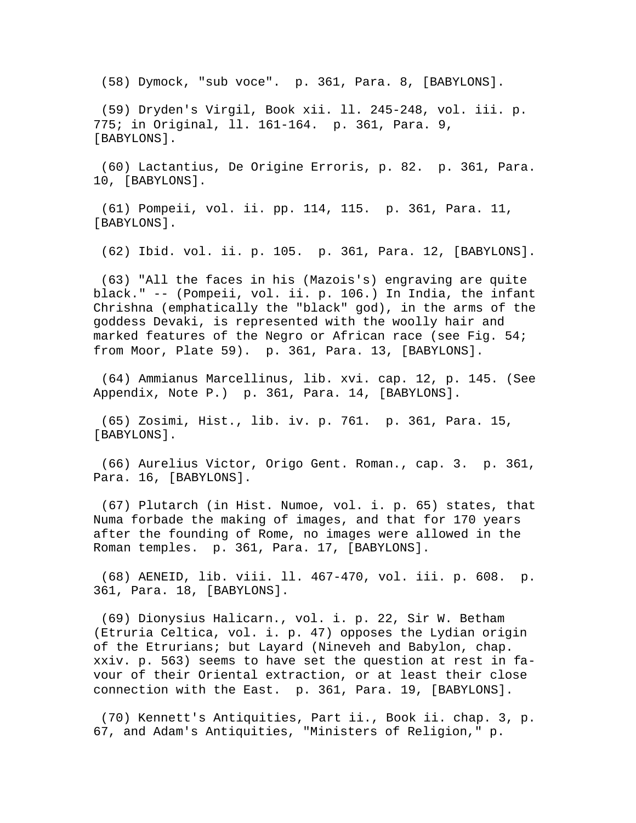(58) Dymock, "sub voce". p. 361, Para. 8, [BABYLONS].

 (59) Dryden's Virgil, Book xii. ll. 245-248, vol. iii. p. 775; in Original, ll. 161-164. p. 361, Para. 9, [BABYLONS].

 (60) Lactantius, De Origine Erroris, p. 82. p. 361, Para. 10, [BABYLONS].

 (61) Pompeii, vol. ii. pp. 114, 115. p. 361, Para. 11, [BABYLONS].

(62) Ibid. vol. ii. p. 105. p. 361, Para. 12, [BABYLONS].

 (63) "All the faces in his (Mazois's) engraving are quite black." -- (Pompeii, vol. ii. p. 106.) In India, the infant Chrishna (emphatically the "black" god), in the arms of the goddess Devaki, is represented with the woolly hair and marked features of the Negro or African race (see Fig. 54; from Moor, Plate 59). p. 361, Para. 13, [BABYLONS].

 (64) Ammianus Marcellinus, lib. xvi. cap. 12, p. 145. (See Appendix, Note P.) p. 361, Para. 14, [BABYLONS].

 (65) Zosimi, Hist., lib. iv. p. 761. p. 361, Para. 15, [BABYLONS].

 (66) Aurelius Victor, Origo Gent. Roman., cap. 3. p. 361, Para. 16, [BABYLONS].

 (67) Plutarch (in Hist. Numoe, vol. i. p. 65) states, that Numa forbade the making of images, and that for 170 years after the founding of Rome, no images were allowed in the Roman temples. p. 361, Para. 17, [BABYLONS].

 (68) AENEID, lib. viii. ll. 467-470, vol. iii. p. 608. p. 361, Para. 18, [BABYLONS].

 (69) Dionysius Halicarn., vol. i. p. 22, Sir W. Betham (Etruria Celtica, vol. i. p. 47) opposes the Lydian origin of the Etrurians; but Layard (Nineveh and Babylon, chap. xxiv. p. 563) seems to have set the question at rest in favour of their Oriental extraction, or at least their close connection with the East. p. 361, Para. 19, [BABYLONS].

 (70) Kennett's Antiquities, Part ii., Book ii. chap. 3, p. 67, and Adam's Antiquities, "Ministers of Religion," p.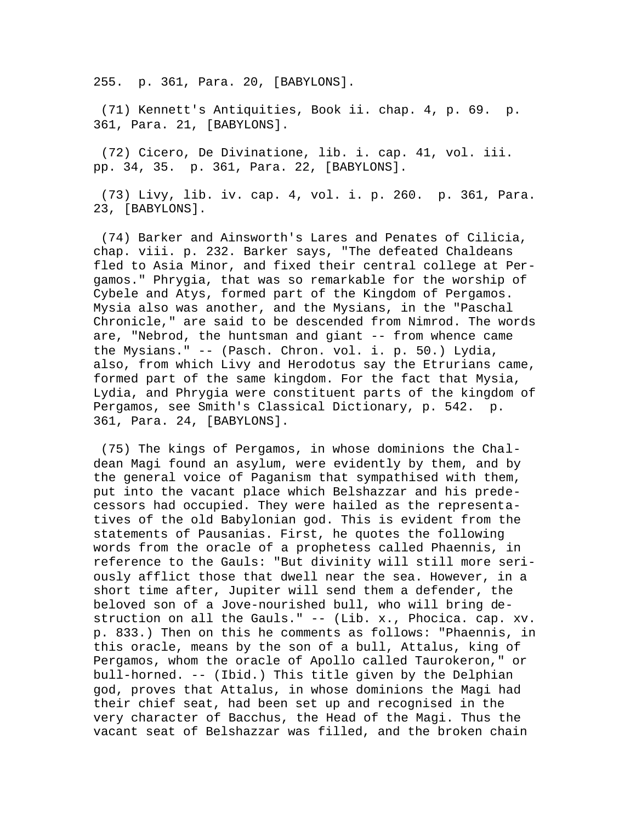255. p. 361, Para. 20, [BABYLONS].

 (71) Kennett's Antiquities, Book ii. chap. 4, p. 69. p. 361, Para. 21, [BABYLONS].

 (72) Cicero, De Divinatione, lib. i. cap. 41, vol. iii. pp. 34, 35. p. 361, Para. 22, [BABYLONS].

 (73) Livy, lib. iv. cap. 4, vol. i. p. 260. p. 361, Para. 23, [BABYLONS].

 (74) Barker and Ainsworth's Lares and Penates of Cilicia, chap. viii. p. 232. Barker says, "The defeated Chaldeans fled to Asia Minor, and fixed their central college at Pergamos." Phrygia, that was so remarkable for the worship of Cybele and Atys, formed part of the Kingdom of Pergamos. Mysia also was another, and the Mysians, in the "Paschal Chronicle," are said to be descended from Nimrod. The words are, "Nebrod, the huntsman and giant -- from whence came the Mysians." -- (Pasch. Chron. vol. i. p. 50.) Lydia, also, from which Livy and Herodotus say the Etrurians came, formed part of the same kingdom. For the fact that Mysia, Lydia, and Phrygia were constituent parts of the kingdom of Pergamos, see Smith's Classical Dictionary, p. 542. p. 361, Para. 24, [BABYLONS].

 (75) The kings of Pergamos, in whose dominions the Chaldean Magi found an asylum, were evidently by them, and by the general voice of Paganism that sympathised with them, put into the vacant place which Belshazzar and his predecessors had occupied. They were hailed as the representatives of the old Babylonian god. This is evident from the statements of Pausanias. First, he quotes the following words from the oracle of a prophetess called Phaennis, in reference to the Gauls: "But divinity will still more seriously afflict those that dwell near the sea. However, in a short time after, Jupiter will send them a defender, the beloved son of a Jove-nourished bull, who will bring destruction on all the Gauls." -- (Lib. x., Phocica. cap. xv. p. 833.) Then on this he comments as follows: "Phaennis, in this oracle, means by the son of a bull, Attalus, king of Pergamos, whom the oracle of Apollo called Taurokeron," or bull-horned. -- (Ibid.) This title given by the Delphian god, proves that Attalus, in whose dominions the Magi had their chief seat, had been set up and recognised in the very character of Bacchus, the Head of the Magi. Thus the vacant seat of Belshazzar was filled, and the broken chain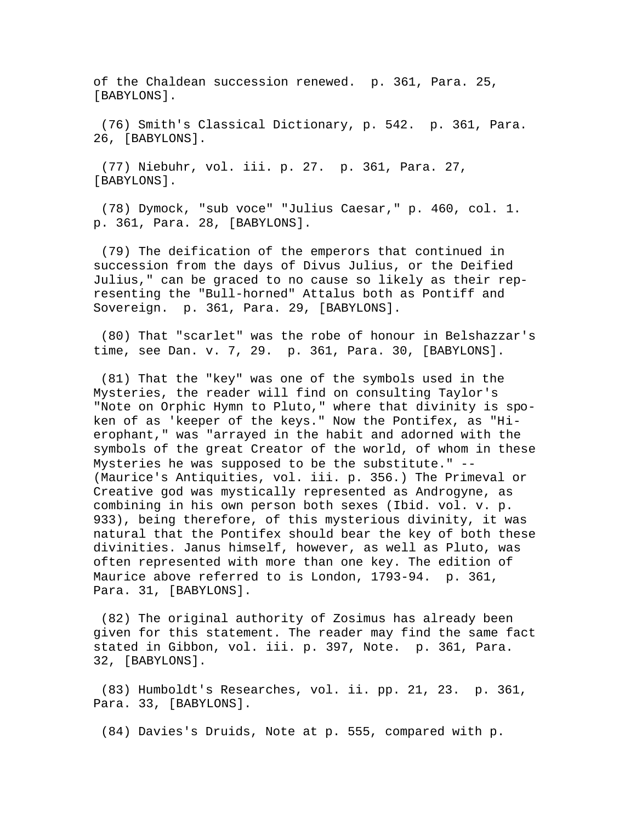of the Chaldean succession renewed. p. 361, Para. 25, [BABYLONS].

 (76) Smith's Classical Dictionary, p. 542. p. 361, Para. 26, [BABYLONS].

 (77) Niebuhr, vol. iii. p. 27. p. 361, Para. 27, [BABYLONS].

 (78) Dymock, "sub voce" "Julius Caesar," p. 460, col. 1. p. 361, Para. 28, [BABYLONS].

 (79) The deification of the emperors that continued in succession from the days of Divus Julius, or the Deified Julius," can be graced to no cause so likely as their representing the "Bull-horned" Attalus both as Pontiff and Sovereign. p. 361, Para. 29, [BABYLONS].

 (80) That "scarlet" was the robe of honour in Belshazzar's time, see Dan. v. 7, 29. p. 361, Para. 30, [BABYLONS].

 (81) That the "key" was one of the symbols used in the Mysteries, the reader will find on consulting Taylor's "Note on Orphic Hymn to Pluto," where that divinity is spoken of as 'keeper of the keys." Now the Pontifex, as "Hierophant," was "arrayed in the habit and adorned with the symbols of the great Creator of the world, of whom in these Mysteries he was supposed to be the substitute." -- (Maurice's Antiquities, vol. iii. p. 356.) The Primeval or Creative god was mystically represented as Androgyne, as combining in his own person both sexes (Ibid. vol. v. p. 933), being therefore, of this mysterious divinity, it was natural that the Pontifex should bear the key of both these divinities. Janus himself, however, as well as Pluto, was often represented with more than one key. The edition of Maurice above referred to is London, 1793-94. p. 361, Para. 31, [BABYLONS].

 (82) The original authority of Zosimus has already been given for this statement. The reader may find the same fact stated in Gibbon, vol. iii. p. 397, Note. p. 361, Para. 32, [BABYLONS].

 (83) Humboldt's Researches, vol. ii. pp. 21, 23. p. 361, Para. 33, [BABYLONS].

(84) Davies's Druids, Note at p. 555, compared with p.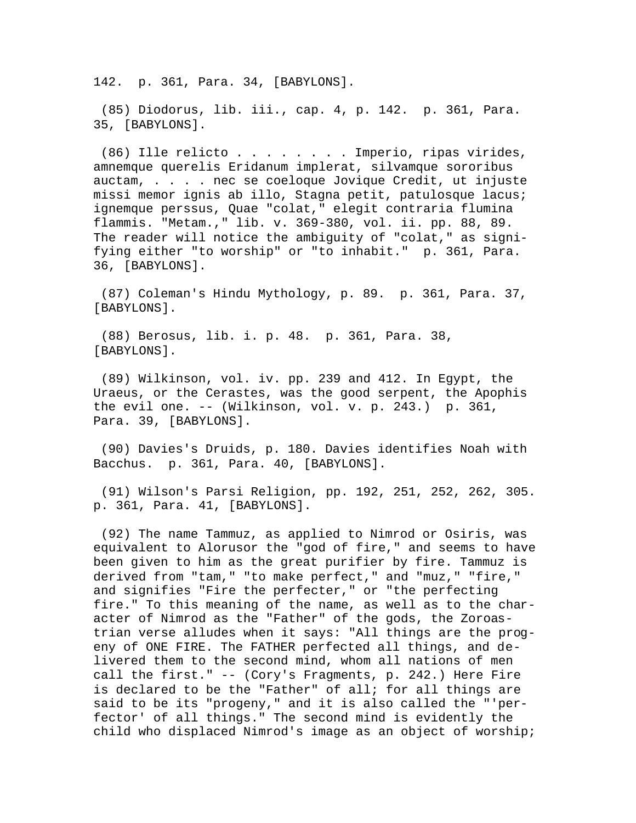142. p. 361, Para. 34, [BABYLONS].

 (85) Diodorus, lib. iii., cap. 4, p. 142. p. 361, Para. 35, [BABYLONS].

 (86) Ille relicto . . . . . . . . Imperio, ripas virides, amnemque querelis Eridanum implerat, silvamque sororibus auctam, . . . . nec se coeloque Jovique Credit, ut injuste missi memor ignis ab illo, Stagna petit, patulosque lacus; ignemque perssus, Quae "colat," elegit contraria flumina flammis. "Metam.," lib. v. 369-380, vol. ii. pp. 88, 89. The reader will notice the ambiguity of "colat," as signifying either "to worship" or "to inhabit." p. 361, Para. 36, [BABYLONS].

 (87) Coleman's Hindu Mythology, p. 89. p. 361, Para. 37, [BABYLONS].

 (88) Berosus, lib. i. p. 48. p. 361, Para. 38, [BABYLONS].

 (89) Wilkinson, vol. iv. pp. 239 and 412. In Egypt, the Uraeus, or the Cerastes, was the good serpent, the Apophis the evil one. -- (Wilkinson, vol. v. p. 243.) p. 361, Para. 39, [BABYLONS].

 (90) Davies's Druids, p. 180. Davies identifies Noah with Bacchus. p. 361, Para. 40, [BABYLONS].

 (91) Wilson's Parsi Religion, pp. 192, 251, 252, 262, 305. p. 361, Para. 41, [BABYLONS].

 (92) The name Tammuz, as applied to Nimrod or Osiris, was equivalent to Alorusor the "god of fire," and seems to have been given to him as the great purifier by fire. Tammuz is derived from "tam," "to make perfect," and "muz," "fire," and signifies "Fire the perfecter," or "the perfecting fire." To this meaning of the name, as well as to the character of Nimrod as the "Father" of the gods, the Zoroastrian verse alludes when it says: "All things are the progeny of ONE FIRE. The FATHER perfected all things, and delivered them to the second mind, whom all nations of men call the first." -- (Cory's Fragments, p. 242.) Here Fire is declared to be the "Father" of all; for all things are said to be its "progeny," and it is also called the "'perfector' of all things." The second mind is evidently the child who displaced Nimrod's image as an object of worship;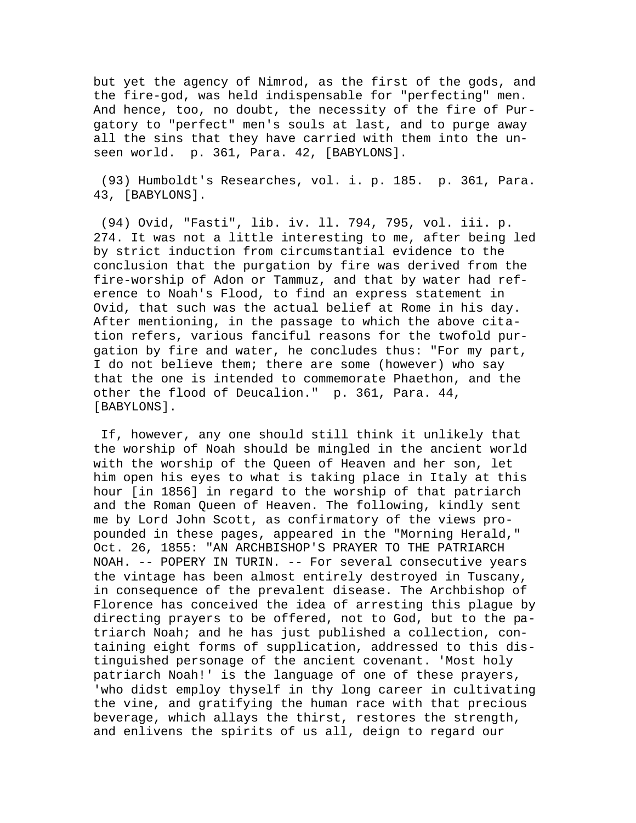but yet the agency of Nimrod, as the first of the gods, and the fire-god, was held indispensable for "perfecting" men. And hence, too, no doubt, the necessity of the fire of Purgatory to "perfect" men's souls at last, and to purge away all the sins that they have carried with them into the unseen world. p. 361, Para. 42, [BABYLONS].

 (93) Humboldt's Researches, vol. i. p. 185. p. 361, Para. 43, [BABYLONS].

 (94) Ovid, "Fasti", lib. iv. ll. 794, 795, vol. iii. p. 274. It was not a little interesting to me, after being led by strict induction from circumstantial evidence to the conclusion that the purgation by fire was derived from the fire-worship of Adon or Tammuz, and that by water had reference to Noah's Flood, to find an express statement in Ovid, that such was the actual belief at Rome in his day. After mentioning, in the passage to which the above citation refers, various fanciful reasons for the twofold purgation by fire and water, he concludes thus: "For my part, I do not believe them; there are some (however) who say that the one is intended to commemorate Phaethon, and the other the flood of Deucalion." p. 361, Para. 44, [BABYLONS].

 If, however, any one should still think it unlikely that the worship of Noah should be mingled in the ancient world with the worship of the Queen of Heaven and her son, let him open his eyes to what is taking place in Italy at this hour [in 1856] in regard to the worship of that patriarch and the Roman Queen of Heaven. The following, kindly sent me by Lord John Scott, as confirmatory of the views propounded in these pages, appeared in the "Morning Herald," Oct. 26, 1855: "AN ARCHBISHOP'S PRAYER TO THE PATRIARCH NOAH. -- POPERY IN TURIN. -- For several consecutive years the vintage has been almost entirely destroyed in Tuscany, in consequence of the prevalent disease. The Archbishop of Florence has conceived the idea of arresting this plague by directing prayers to be offered, not to God, but to the patriarch Noah; and he has just published a collection, containing eight forms of supplication, addressed to this distinguished personage of the ancient covenant. 'Most holy patriarch Noah!' is the language of one of these prayers, 'who didst employ thyself in thy long career in cultivating the vine, and gratifying the human race with that precious beverage, which allays the thirst, restores the strength, and enlivens the spirits of us all, deign to regard our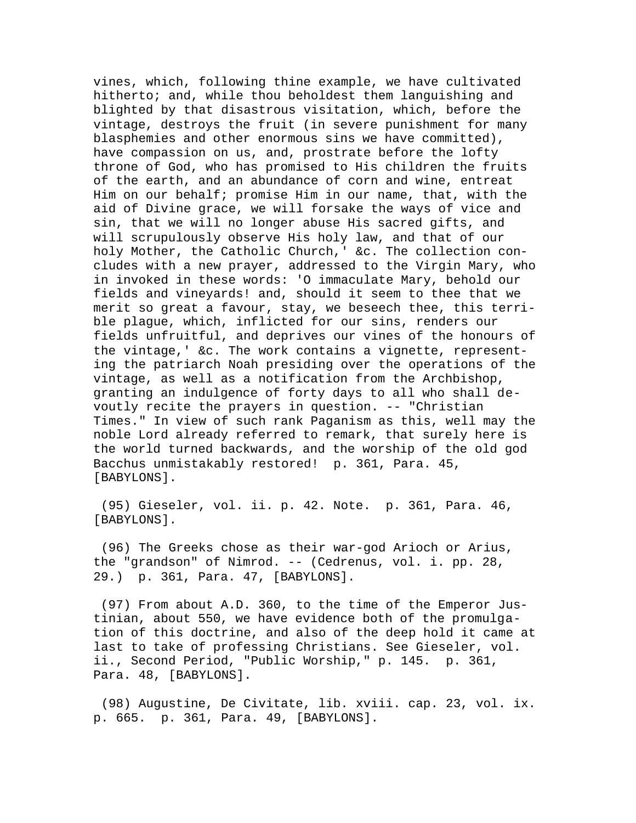vines, which, following thine example, we have cultivated hitherto; and, while thou beholdest them languishing and blighted by that disastrous visitation, which, before the vintage, destroys the fruit (in severe punishment for many blasphemies and other enormous sins we have committed), have compassion on us, and, prostrate before the lofty throne of God, who has promised to His children the fruits of the earth, and an abundance of corn and wine, entreat Him on our behalf; promise Him in our name, that, with the aid of Divine grace, we will forsake the ways of vice and sin, that we will no longer abuse His sacred gifts, and will scrupulously observe His holy law, and that of our holy Mother, the Catholic Church,' &c. The collection concludes with a new prayer, addressed to the Virgin Mary, who in invoked in these words: 'O immaculate Mary, behold our fields and vineyards! and, should it seem to thee that we merit so great a favour, stay, we beseech thee, this terrible plague, which, inflicted for our sins, renders our fields unfruitful, and deprives our vines of the honours of the vintage,' &c. The work contains a vignette, representing the patriarch Noah presiding over the operations of the vintage, as well as a notification from the Archbishop, granting an indulgence of forty days to all who shall devoutly recite the prayers in question. -- "Christian Times." In view of such rank Paganism as this, well may the noble Lord already referred to remark, that surely here is the world turned backwards, and the worship of the old god Bacchus unmistakably restored! p. 361, Para. 45, [BABYLONS].

 (95) Gieseler, vol. ii. p. 42. Note. p. 361, Para. 46, [BABYLONS].

 (96) The Greeks chose as their war-god Arioch or Arius, the "grandson" of Nimrod. -- (Cedrenus, vol. i. pp. 28, 29.) p. 361, Para. 47, [BABYLONS].

 (97) From about A.D. 360, to the time of the Emperor Justinian, about 550, we have evidence both of the promulgation of this doctrine, and also of the deep hold it came at last to take of professing Christians. See Gieseler, vol. ii., Second Period, "Public Worship," p. 145. p. 361, Para. 48, [BABYLONS].

 (98) Augustine, De Civitate, lib. xviii. cap. 23, vol. ix. p. 665. p. 361, Para. 49, [BABYLONS].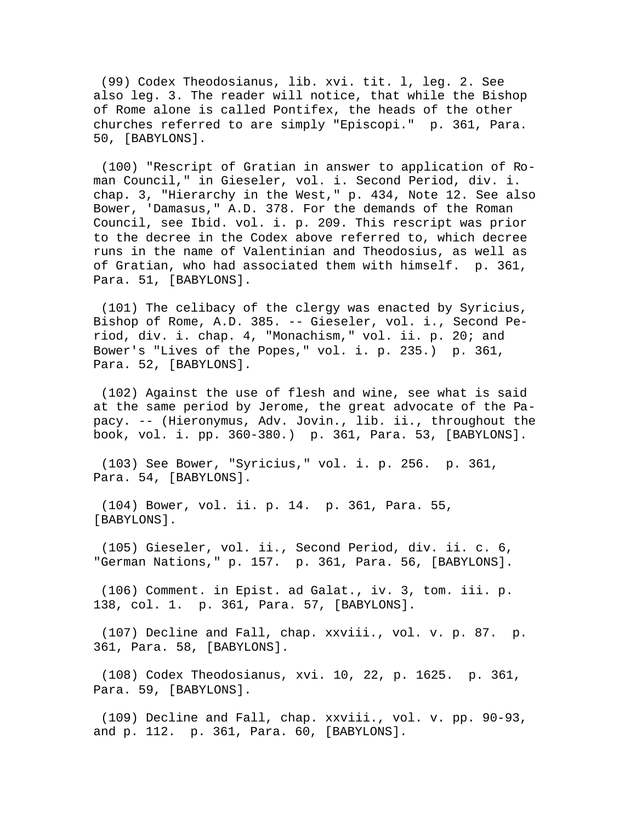(99) Codex Theodosianus, lib. xvi. tit. l, leg. 2. See also leg. 3. The reader will notice, that while the Bishop of Rome alone is called Pontifex, the heads of the other churches referred to are simply "Episcopi." p. 361, Para. 50, [BABYLONS].

 (100) "Rescript of Gratian in answer to application of Roman Council," in Gieseler, vol. i. Second Period, div. i. chap. 3, "Hierarchy in the West," p. 434, Note 12. See also Bower, 'Damasus," A.D. 378. For the demands of the Roman Council, see Ibid. vol. i. p. 209. This rescript was prior to the decree in the Codex above referred to, which decree runs in the name of Valentinian and Theodosius, as well as of Gratian, who had associated them with himself. p. 361, Para. 51, [BABYLONS].

 (101) The celibacy of the clergy was enacted by Syricius, Bishop of Rome, A.D. 385. -- Gieseler, vol. i., Second Period, div. i. chap. 4, "Monachism," vol. ii. p. 20; and Bower's "Lives of the Popes," vol. i. p. 235.) p. 361, Para. 52, [BABYLONS].

 (102) Against the use of flesh and wine, see what is said at the same period by Jerome, the great advocate of the Papacy. -- (Hieronymus, Adv. Jovin., lib. ii., throughout the book, vol. i. pp. 360-380.) p. 361, Para. 53, [BABYLONS].

 (103) See Bower, "Syricius," vol. i. p. 256. p. 361, Para. 54, [BABYLONS].

 (104) Bower, vol. ii. p. 14. p. 361, Para. 55, [BABYLONS].

 (105) Gieseler, vol. ii., Second Period, div. ii. c. 6, "German Nations," p. 157. p. 361, Para. 56, [BABYLONS].

 (106) Comment. in Epist. ad Galat., iv. 3, tom. iii. p. 138, col. 1. p. 361, Para. 57, [BABYLONS].

 (107) Decline and Fall, chap. xxviii., vol. v. p. 87. p. 361, Para. 58, [BABYLONS].

 (108) Codex Theodosianus, xvi. 10, 22, p. 1625. p. 361, Para. 59, [BABYLONS].

 (109) Decline and Fall, chap. xxviii., vol. v. pp. 90-93, and p. 112. p. 361, Para. 60, [BABYLONS].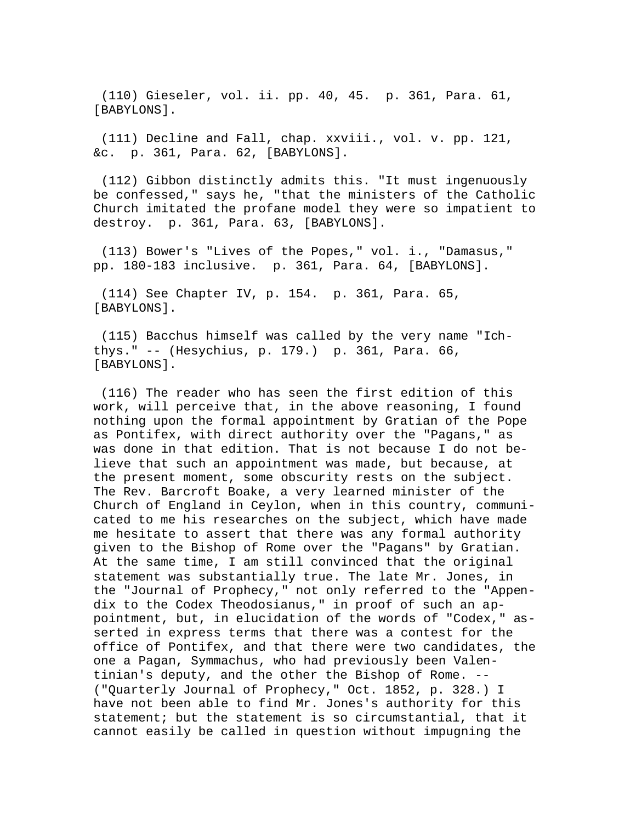(110) Gieseler, vol. ii. pp. 40, 45. p. 361, Para. 61, [BABYLONS].

 (111) Decline and Fall, chap. xxviii., vol. v. pp. 121, &c. p. 361, Para. 62, [BABYLONS].

 (112) Gibbon distinctly admits this. "It must ingenuously be confessed," says he, "that the ministers of the Catholic Church imitated the profane model they were so impatient to destroy. p. 361, Para. 63, [BABYLONS].

 (113) Bower's "Lives of the Popes," vol. i., "Damasus," pp. 180-183 inclusive. p. 361, Para. 64, [BABYLONS].

 (114) See Chapter IV, p. 154. p. 361, Para. 65, [BABYLONS].

 (115) Bacchus himself was called by the very name "Ichthys." -- (Hesychius, p. 179.) p. 361, Para. 66, [BABYLONS].

 (116) The reader who has seen the first edition of this work, will perceive that, in the above reasoning, I found nothing upon the formal appointment by Gratian of the Pope as Pontifex, with direct authority over the "Pagans," as was done in that edition. That is not because I do not believe that such an appointment was made, but because, at the present moment, some obscurity rests on the subject. The Rev. Barcroft Boake, a very learned minister of the Church of England in Ceylon, when in this country, communicated to me his researches on the subject, which have made me hesitate to assert that there was any formal authority given to the Bishop of Rome over the "Pagans" by Gratian. At the same time, I am still convinced that the original statement was substantially true. The late Mr. Jones, in the "Journal of Prophecy," not only referred to the "Appendix to the Codex Theodosianus," in proof of such an appointment, but, in elucidation of the words of "Codex," asserted in express terms that there was a contest for the office of Pontifex, and that there were two candidates, the one a Pagan, Symmachus, who had previously been Valentinian's deputy, and the other the Bishop of Rome. -- ("Quarterly Journal of Prophecy," Oct. 1852, p. 328.) I have not been able to find Mr. Jones's authority for this statement; but the statement is so circumstantial, that it cannot easily be called in question without impugning the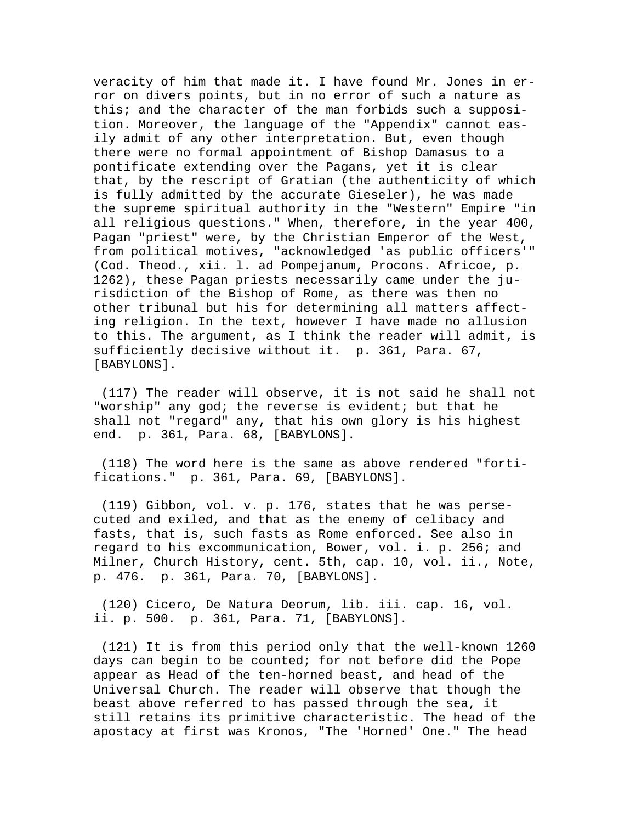veracity of him that made it. I have found Mr. Jones in error on divers points, but in no error of such a nature as this; and the character of the man forbids such a supposition. Moreover, the language of the "Appendix" cannot easily admit of any other interpretation. But, even though there were no formal appointment of Bishop Damasus to a pontificate extending over the Pagans, yet it is clear that, by the rescript of Gratian (the authenticity of which is fully admitted by the accurate Gieseler), he was made the supreme spiritual authority in the "Western" Empire "in all religious questions." When, therefore, in the year 400, Pagan "priest" were, by the Christian Emperor of the West, from political motives, "acknowledged 'as public officers'" (Cod. Theod., xii. l. ad Pompejanum, Procons. Africoe, p. 1262), these Pagan priests necessarily came under the jurisdiction of the Bishop of Rome, as there was then no other tribunal but his for determining all matters affecting religion. In the text, however I have made no allusion to this. The argument, as I think the reader will admit, is sufficiently decisive without it. p. 361, Para. 67, [BABYLONS].

 (117) The reader will observe, it is not said he shall not "worship" any god; the reverse is evident; but that he shall not "regard" any, that his own glory is his highest end. p. 361, Para. 68, [BABYLONS].

 (118) The word here is the same as above rendered "fortifications." p. 361, Para. 69, [BABYLONS].

 (119) Gibbon, vol. v. p. 176, states that he was persecuted and exiled, and that as the enemy of celibacy and fasts, that is, such fasts as Rome enforced. See also in regard to his excommunication, Bower, vol. i. p. 256; and Milner, Church History, cent. 5th, cap. 10, vol. ii., Note, p. 476. p. 361, Para. 70, [BABYLONS].

 (120) Cicero, De Natura Deorum, lib. iii. cap. 16, vol. ii. p. 500. p. 361, Para. 71, [BABYLONS].

 (121) It is from this period only that the well-known 1260 days can begin to be counted; for not before did the Pope appear as Head of the ten-horned beast, and head of the Universal Church. The reader will observe that though the beast above referred to has passed through the sea, it still retains its primitive characteristic. The head of the apostacy at first was Kronos, "The 'Horned' One." The head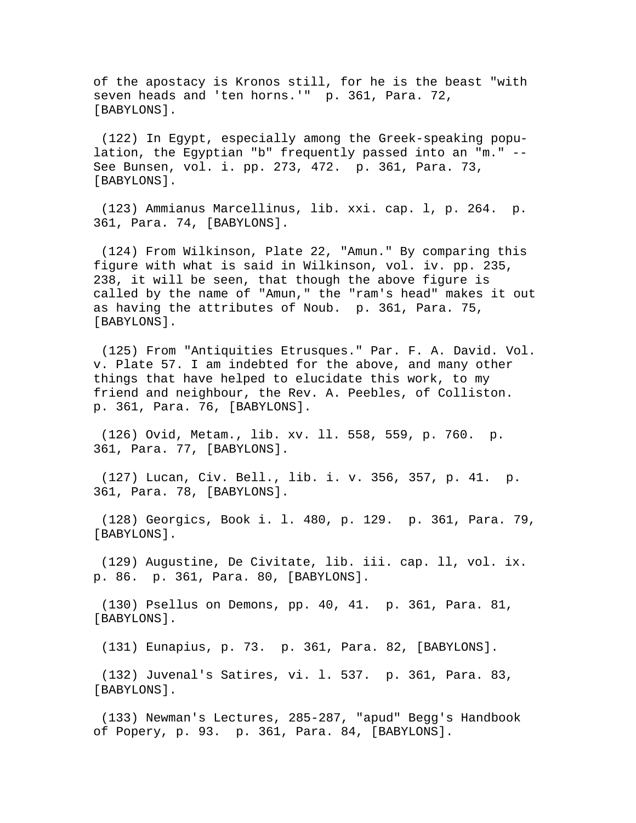of the apostacy is Kronos still, for he is the beast "with seven heads and 'ten horns.'" p. 361, Para. 72, [BABYLONS].

 (122) In Egypt, especially among the Greek-speaking population, the Egyptian "b" frequently passed into an "m." -- See Bunsen, vol. i. pp. 273, 472. p. 361, Para. 73, [BABYLONS].

 (123) Ammianus Marcellinus, lib. xxi. cap. l, p. 264. p. 361, Para. 74, [BABYLONS].

 (124) From Wilkinson, Plate 22, "Amun." By comparing this figure with what is said in Wilkinson, vol. iv. pp. 235, 238, it will be seen, that though the above figure is called by the name of "Amun," the "ram's head" makes it out as having the attributes of Noub. p. 361, Para. 75, [BABYLONS].

 (125) From "Antiquities Etrusques." Par. F. A. David. Vol. v. Plate 57. I am indebted for the above, and many other things that have helped to elucidate this work, to my friend and neighbour, the Rev. A. Peebles, of Colliston. p. 361, Para. 76, [BABYLONS].

 (126) Ovid, Metam., lib. xv. ll. 558, 559, p. 760. p. 361, Para. 77, [BABYLONS].

 (127) Lucan, Civ. Bell., lib. i. v. 356, 357, p. 41. p. 361, Para. 78, [BABYLONS].

 (128) Georgics, Book i. l. 480, p. 129. p. 361, Para. 79, [BABYLONS].

 (129) Augustine, De Civitate, lib. iii. cap. ll, vol. ix. p. 86. p. 361, Para. 80, [BABYLONS].

 (130) Psellus on Demons, pp. 40, 41. p. 361, Para. 81, [BABYLONS].

(131) Eunapius, p. 73. p. 361, Para. 82, [BABYLONS].

 (132) Juvenal's Satires, vi. l. 537. p. 361, Para. 83, [BABYLONS].

 (133) Newman's Lectures, 285-287, "apud" Begg's Handbook of Popery, p. 93. p. 361, Para. 84, [BABYLONS].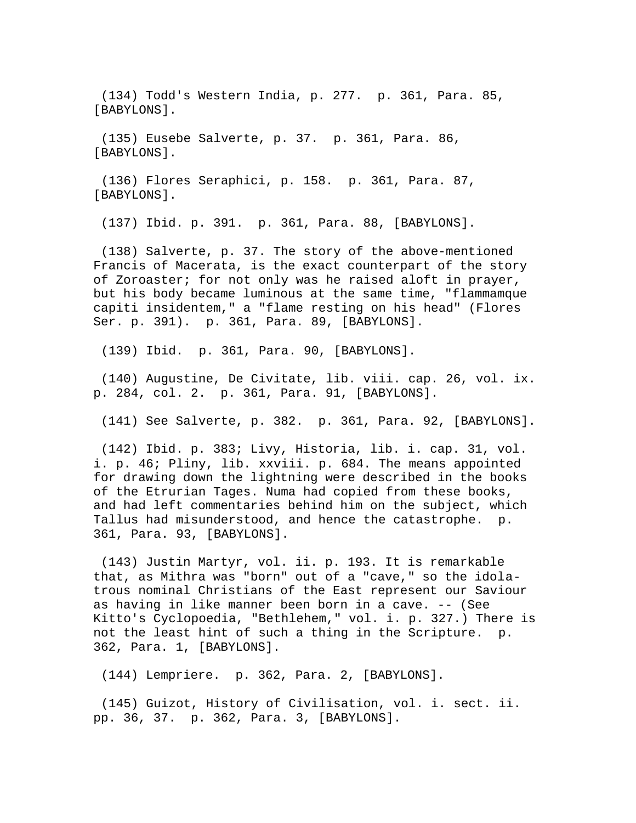(134) Todd's Western India, p. 277. p. 361, Para. 85, [BABYLONS].

 (135) Eusebe Salverte, p. 37. p. 361, Para. 86, [BABYLONS].

 (136) Flores Seraphici, p. 158. p. 361, Para. 87, [BABYLONS].

(137) Ibid. p. 391. p. 361, Para. 88, [BABYLONS].

 (138) Salverte, p. 37. The story of the above-mentioned Francis of Macerata, is the exact counterpart of the story of Zoroaster; for not only was he raised aloft in prayer, but his body became luminous at the same time, "flammamque capiti insidentem," a "flame resting on his head" (Flores Ser. p. 391). p. 361, Para. 89, [BABYLONS].

(139) Ibid. p. 361, Para. 90, [BABYLONS].

 (140) Augustine, De Civitate, lib. viii. cap. 26, vol. ix. p. 284, col. 2. p. 361, Para. 91, [BABYLONS].

(141) See Salverte, p. 382. p. 361, Para. 92, [BABYLONS].

 (142) Ibid. p. 383; Livy, Historia, lib. i. cap. 31, vol. i. p. 46; Pliny, lib. xxviii. p. 684. The means appointed for drawing down the lightning were described in the books of the Etrurian Tages. Numa had copied from these books, and had left commentaries behind him on the subject, which Tallus had misunderstood, and hence the catastrophe. p. 361, Para. 93, [BABYLONS].

 (143) Justin Martyr, vol. ii. p. 193. It is remarkable that, as Mithra was "born" out of a "cave," so the idolatrous nominal Christians of the East represent our Saviour as having in like manner been born in a cave. -- (See Kitto's Cyclopoedia, "Bethlehem," vol. i. p. 327.) There is not the least hint of such a thing in the Scripture. p. 362, Para. 1, [BABYLONS].

(144) Lempriere. p. 362, Para. 2, [BABYLONS].

 (145) Guizot, History of Civilisation, vol. i. sect. ii. pp. 36, 37. p. 362, Para. 3, [BABYLONS].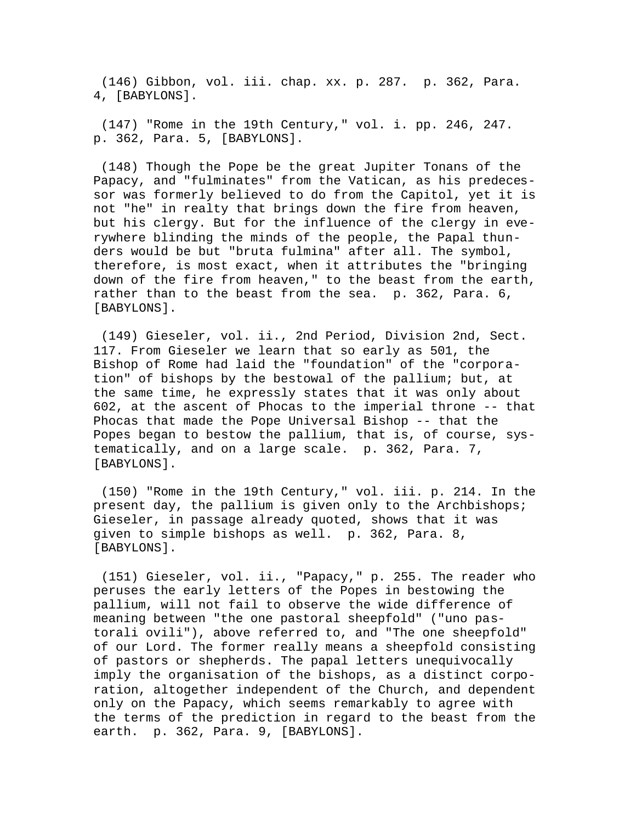(146) Gibbon, vol. iii. chap. xx. p. 287. p. 362, Para. 4, [BABYLONS].

 (147) "Rome in the 19th Century," vol. i. pp. 246, 247. p. 362, Para. 5, [BABYLONS].

 (148) Though the Pope be the great Jupiter Tonans of the Papacy, and "fulminates" from the Vatican, as his predecessor was formerly believed to do from the Capitol, yet it is not "he" in realty that brings down the fire from heaven, but his clergy. But for the influence of the clergy in everywhere blinding the minds of the people, the Papal thunders would be but "bruta fulmina" after all. The symbol, therefore, is most exact, when it attributes the "bringing down of the fire from heaven," to the beast from the earth, rather than to the beast from the sea. p. 362, Para. 6, [BABYLONS].

 (149) Gieseler, vol. ii., 2nd Period, Division 2nd, Sect. 117. From Gieseler we learn that so early as 501, the Bishop of Rome had laid the "foundation" of the "corporation" of bishops by the bestowal of the pallium; but, at the same time, he expressly states that it was only about 602, at the ascent of Phocas to the imperial throne -- that Phocas that made the Pope Universal Bishop -- that the Popes began to bestow the pallium, that is, of course, systematically, and on a large scale. p. 362, Para. 7, [BABYLONS].

 (150) "Rome in the 19th Century," vol. iii. p. 214. In the present day, the pallium is given only to the Archbishops; Gieseler, in passage already quoted, shows that it was given to simple bishops as well. p. 362, Para. 8, [BABYLONS].

 (151) Gieseler, vol. ii., "Papacy," p. 255. The reader who peruses the early letters of the Popes in bestowing the pallium, will not fail to observe the wide difference of meaning between "the one pastoral sheepfold" ("uno pastorali ovili"), above referred to, and "The one sheepfold" of our Lord. The former really means a sheepfold consisting of pastors or shepherds. The papal letters unequivocally imply the organisation of the bishops, as a distinct corporation, altogether independent of the Church, and dependent only on the Papacy, which seems remarkably to agree with the terms of the prediction in regard to the beast from the earth. p. 362, Para. 9, [BABYLONS].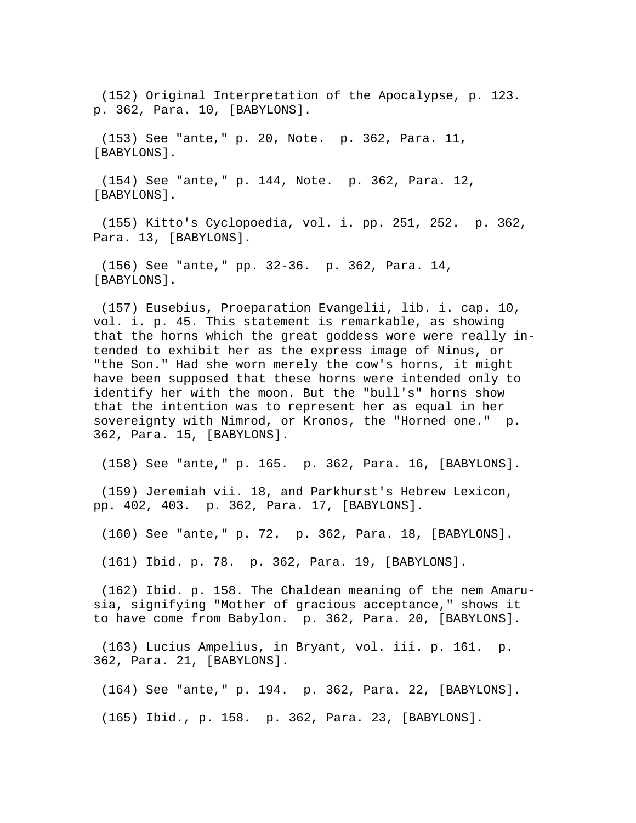(152) Original Interpretation of the Apocalypse, p. 123. p. 362, Para. 10, [BABYLONS].

 (153) See "ante," p. 20, Note. p. 362, Para. 11, [BABYLONS].

 (154) See "ante," p. 144, Note. p. 362, Para. 12, [BABYLONS].

 (155) Kitto's Cyclopoedia, vol. i. pp. 251, 252. p. 362, Para. 13, [BABYLONS].

 (156) See "ante," pp. 32-36. p. 362, Para. 14, [BABYLONS].

 (157) Eusebius, Proeparation Evangelii, lib. i. cap. 10, vol. i. p. 45. This statement is remarkable, as showing that the horns which the great goddess wore were really intended to exhibit her as the express image of Ninus, or "the Son." Had she worn merely the cow's horns, it might have been supposed that these horns were intended only to identify her with the moon. But the "bull's" horns show that the intention was to represent her as equal in her sovereignty with Nimrod, or Kronos, the "Horned one." p. 362, Para. 15, [BABYLONS].

(158) See "ante," p. 165. p. 362, Para. 16, [BABYLONS].

 (159) Jeremiah vii. 18, and Parkhurst's Hebrew Lexicon, pp. 402, 403. p. 362, Para. 17, [BABYLONS].

(160) See "ante," p. 72. p. 362, Para. 18, [BABYLONS].

(161) Ibid. p. 78. p. 362, Para. 19, [BABYLONS].

 (162) Ibid. p. 158. The Chaldean meaning of the nem Amarusia, signifying "Mother of gracious acceptance," shows it to have come from Babylon. p. 362, Para. 20, [BABYLONS].

 (163) Lucius Ampelius, in Bryant, vol. iii. p. 161. p. 362, Para. 21, [BABYLONS].

(164) See "ante," p. 194. p. 362, Para. 22, [BABYLONS].

(165) Ibid., p. 158. p. 362, Para. 23, [BABYLONS].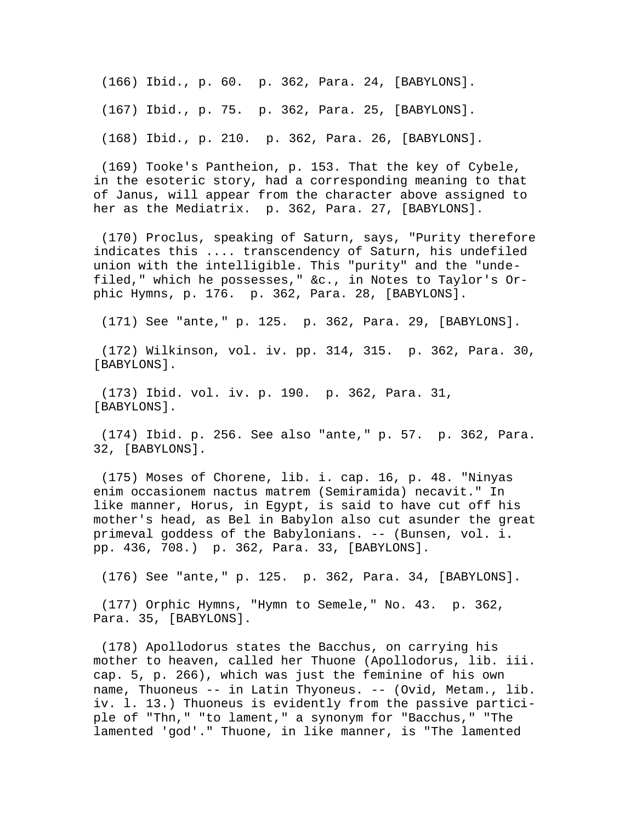(166) Ibid., p. 60. p. 362, Para. 24, [BABYLONS].

(167) Ibid., p. 75. p. 362, Para. 25, [BABYLONS].

(168) Ibid., p. 210. p. 362, Para. 26, [BABYLONS].

 (169) Tooke's Pantheion, p. 153. That the key of Cybele, in the esoteric story, had a corresponding meaning to that of Janus, will appear from the character above assigned to her as the Mediatrix. p. 362, Para. 27, [BABYLONS].

 (170) Proclus, speaking of Saturn, says, "Purity therefore indicates this .... transcendency of Saturn, his undefiled union with the intelligible. This "purity" and the "undefiled," which he possesses," &c., in Notes to Taylor's Orphic Hymns, p. 176. p. 362, Para. 28, [BABYLONS].

(171) See "ante," p. 125. p. 362, Para. 29, [BABYLONS].

 (172) Wilkinson, vol. iv. pp. 314, 315. p. 362, Para. 30, [BABYLONS].

 (173) Ibid. vol. iv. p. 190. p. 362, Para. 31, [BABYLONS].

 (174) Ibid. p. 256. See also "ante," p. 57. p. 362, Para. 32, [BABYLONS].

 (175) Moses of Chorene, lib. i. cap. 16, p. 48. "Ninyas enim occasionem nactus matrem (Semiramida) necavit." In like manner, Horus, in Egypt, is said to have cut off his mother's head, as Bel in Babylon also cut asunder the great primeval goddess of the Babylonians. -- (Bunsen, vol. i. pp. 436, 708.) p. 362, Para. 33, [BABYLONS].

(176) See "ante," p. 125. p. 362, Para. 34, [BABYLONS].

 (177) Orphic Hymns, "Hymn to Semele," No. 43. p. 362, Para. 35, [BABYLONS].

 (178) Apollodorus states the Bacchus, on carrying his mother to heaven, called her Thuone (Apollodorus, lib. iii. cap. 5, p. 266), which was just the feminine of his own name, Thuoneus -- in Latin Thyoneus. -- (Ovid, Metam., lib. iv. l. 13.) Thuoneus is evidently from the passive participle of "Thn," "to lament," a synonym for "Bacchus," "The lamented 'god'." Thuone, in like manner, is "The lamented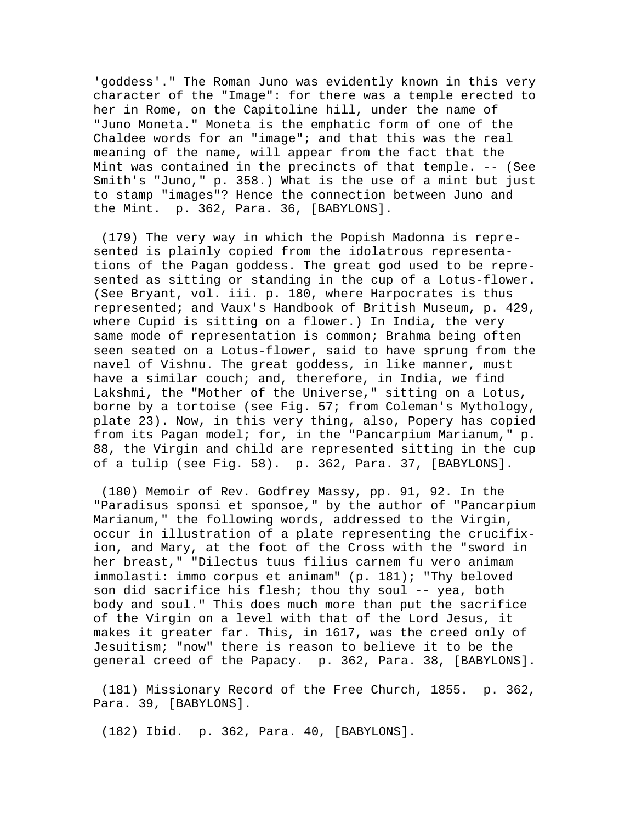'goddess'." The Roman Juno was evidently known in this very character of the "Image": for there was a temple erected to her in Rome, on the Capitoline hill, under the name of "Juno Moneta." Moneta is the emphatic form of one of the Chaldee words for an "image"; and that this was the real meaning of the name, will appear from the fact that the Mint was contained in the precincts of that temple. -- (See Smith's "Juno," p. 358.) What is the use of a mint but just to stamp "images"? Hence the connection between Juno and the Mint. p. 362, Para. 36, [BABYLONS].

 (179) The very way in which the Popish Madonna is represented is plainly copied from the idolatrous representations of the Pagan goddess. The great god used to be represented as sitting or standing in the cup of a Lotus-flower. (See Bryant, vol. iii. p. 180, where Harpocrates is thus represented; and Vaux's Handbook of British Museum, p. 429, where Cupid is sitting on a flower.) In India, the very same mode of representation is common; Brahma being often seen seated on a Lotus-flower, said to have sprung from the navel of Vishnu. The great goddess, in like manner, must have a similar couch; and, therefore, in India, we find Lakshmi, the "Mother of the Universe," sitting on a Lotus, borne by a tortoise (see Fig. 57; from Coleman's Mythology, plate 23). Now, in this very thing, also, Popery has copied from its Pagan model; for, in the "Pancarpium Marianum," p. 88, the Virgin and child are represented sitting in the cup of a tulip (see Fig. 58). p. 362, Para. 37, [BABYLONS].

 (180) Memoir of Rev. Godfrey Massy, pp. 91, 92. In the "Paradisus sponsi et sponsoe," by the author of "Pancarpium Marianum," the following words, addressed to the Virgin, occur in illustration of a plate representing the crucifixion, and Mary, at the foot of the Cross with the "sword in her breast," "Dilectus tuus filius carnem fu vero animam immolasti: immo corpus et animam" (p. 181); "Thy beloved son did sacrifice his flesh; thou thy soul -- yea, both body and soul." This does much more than put the sacrifice of the Virgin on a level with that of the Lord Jesus, it makes it greater far. This, in 1617, was the creed only of Jesuitism; "now" there is reason to believe it to be the general creed of the Papacy. p. 362, Para. 38, [BABYLONS].

 (181) Missionary Record of the Free Church, 1855. p. 362, Para. 39, [BABYLONS].

(182) Ibid. p. 362, Para. 40, [BABYLONS].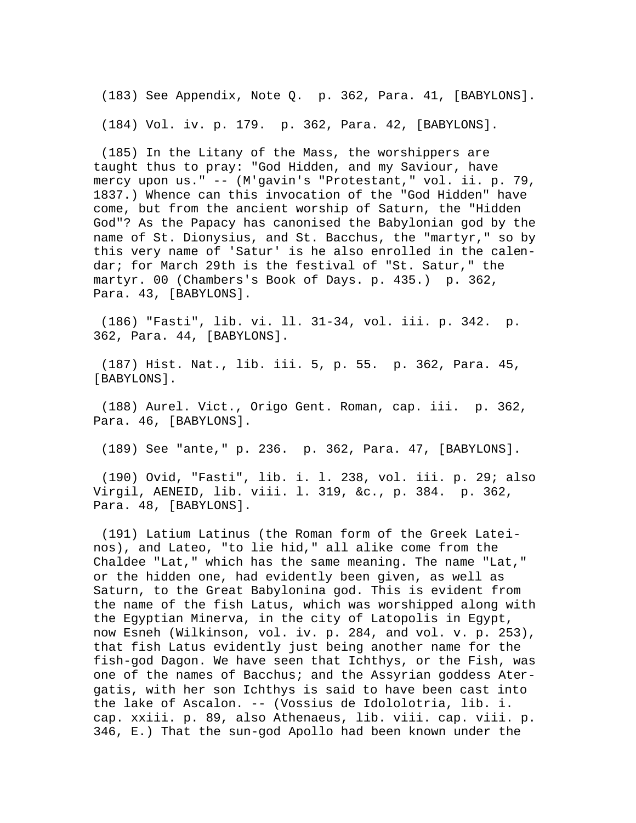(183) See Appendix, Note Q. p. 362, Para. 41, [BABYLONS]. (184) Vol. iv. p. 179. p. 362, Para. 42, [BABYLONS].

 (185) In the Litany of the Mass, the worshippers are taught thus to pray: "God Hidden, and my Saviour, have mercy upon us." -- (M'gavin's "Protestant," vol. ii. p. 79, 1837.) Whence can this invocation of the "God Hidden" have come, but from the ancient worship of Saturn, the "Hidden God"? As the Papacy has canonised the Babylonian god by the name of St. Dionysius, and St. Bacchus, the "martyr," so by this very name of 'Satur' is he also enrolled in the calendar; for March 29th is the festival of "St. Satur," the martyr. 00 (Chambers's Book of Days. p. 435.) p. 362, Para. 43, [BABYLONS].

 (186) "Fasti", lib. vi. ll. 31-34, vol. iii. p. 342. p. 362, Para. 44, [BABYLONS].

 (187) Hist. Nat., lib. iii. 5, p. 55. p. 362, Para. 45, [BABYLONS].

 (188) Aurel. Vict., Origo Gent. Roman, cap. iii. p. 362, Para. 46, [BABYLONS].

(189) See "ante," p. 236. p. 362, Para. 47, [BABYLONS].

 (190) Ovid, "Fasti", lib. i. l. 238, vol. iii. p. 29; also Virgil, AENEID, lib. viii. l. 319, &c., p. 384. p. 362, Para. 48, [BABYLONS].

 (191) Latium Latinus (the Roman form of the Greek Lateinos), and Lateo, "to lie hid," all alike come from the Chaldee "Lat," which has the same meaning. The name "Lat," or the hidden one, had evidently been given, as well as Saturn, to the Great Babylonina god. This is evident from the name of the fish Latus, which was worshipped along with the Egyptian Minerva, in the city of Latopolis in Egypt, now Esneh (Wilkinson, vol. iv. p. 284, and vol. v. p. 253), that fish Latus evidently just being another name for the fish-god Dagon. We have seen that Ichthys, or the Fish, was one of the names of Bacchus; and the Assyrian goddess Atergatis, with her son Ichthys is said to have been cast into the lake of Ascalon. -- (Vossius de Idololotria, lib. i. cap. xxiii. p. 89, also Athenaeus, lib. viii. cap. viii. p. 346, E.) That the sun-god Apollo had been known under the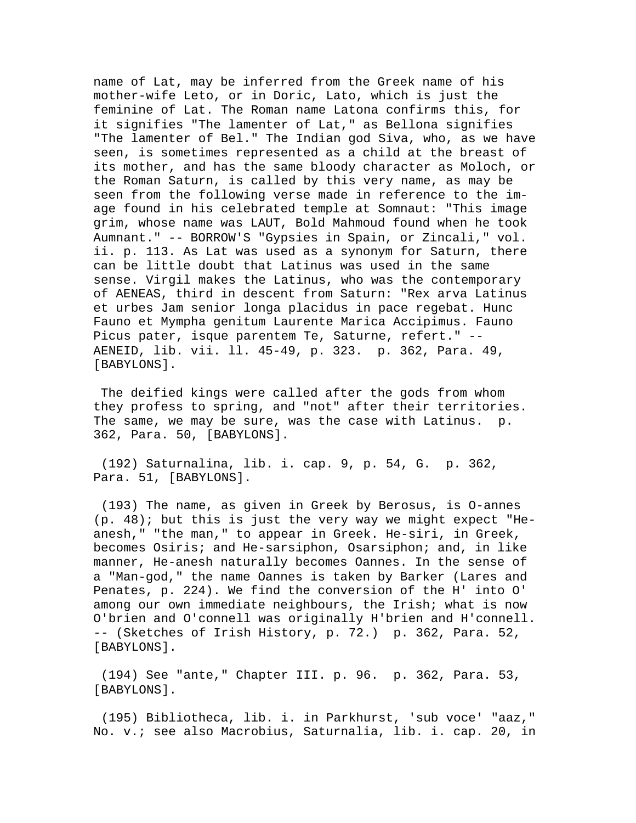name of Lat, may be inferred from the Greek name of his mother-wife Leto, or in Doric, Lato, which is just the feminine of Lat. The Roman name Latona confirms this, for it signifies "The lamenter of Lat," as Bellona signifies "The lamenter of Bel." The Indian god Siva, who, as we have seen, is sometimes represented as a child at the breast of its mother, and has the same bloody character as Moloch, or the Roman Saturn, is called by this very name, as may be seen from the following verse made in reference to the image found in his celebrated temple at Somnaut: "This image grim, whose name was LAUT, Bold Mahmoud found when he took Aumnant." -- BORROW'S "Gypsies in Spain, or Zincali," vol. ii. p. 113. As Lat was used as a synonym for Saturn, there can be little doubt that Latinus was used in the same sense. Virgil makes the Latinus, who was the contemporary of AENEAS, third in descent from Saturn: "Rex arva Latinus et urbes Jam senior longa placidus in pace regebat. Hunc Fauno et Mympha genitum Laurente Marica Accipimus. Fauno Picus pater, isque parentem Te, Saturne, refert." -- AENEID, lib. vii. ll. 45-49, p. 323. p. 362, Para. 49, [BABYLONS].

 The deified kings were called after the gods from whom they profess to spring, and "not" after their territories. The same, we may be sure, was the case with Latinus. p. 362, Para. 50, [BABYLONS].

 (192) Saturnalina, lib. i. cap. 9, p. 54, G. p. 362, Para. 51, [BABYLONS].

 (193) The name, as given in Greek by Berosus, is O-annes (p. 48); but this is just the very way we might expect "Heanesh," "the man," to appear in Greek. He-siri, in Greek, becomes Osiris; and He-sarsiphon, Osarsiphon; and, in like manner, He-anesh naturally becomes Oannes. In the sense of a "Man-god," the name Oannes is taken by Barker (Lares and Penates, p. 224). We find the conversion of the H' into O' among our own immediate neighbours, the Irish; what is now O'brien and O'connell was originally H'brien and H'connell. -- (Sketches of Irish History, p. 72.) p. 362, Para. 52, [BABYLONS].

 (194) See "ante," Chapter III. p. 96. p. 362, Para. 53, [BABYLONS].

 (195) Bibliotheca, lib. i. in Parkhurst, 'sub voce' "aaz," No. v.; see also Macrobius, Saturnalia, lib. i. cap. 20, in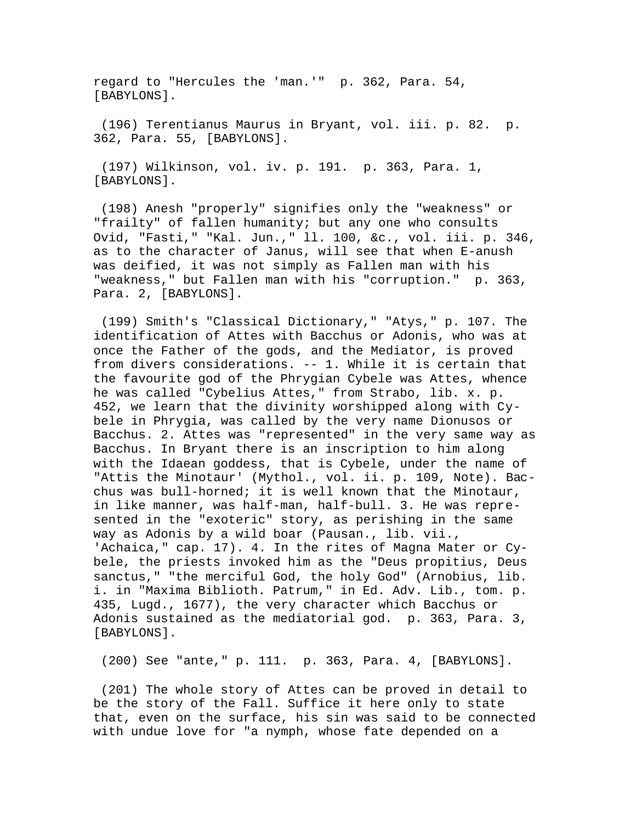regard to "Hercules the 'man.'" p. 362, Para. 54, [BABYLONS].

 (196) Terentianus Maurus in Bryant, vol. iii. p. 82. p. 362, Para. 55, [BABYLONS].

 (197) Wilkinson, vol. iv. p. 191. p. 363, Para. 1, [BABYLONS].

 (198) Anesh "properly" signifies only the "weakness" or "frailty" of fallen humanity; but any one who consults Ovid, "Fasti," "Kal. Jun.," ll. 100, &c., vol. iii. p. 346, as to the character of Janus, will see that when E-anush was deified, it was not simply as Fallen man with his "weakness," but Fallen man with his "corruption." p. 363, Para. 2, [BABYLONS].

 (199) Smith's "Classical Dictionary," "Atys," p. 107. The identification of Attes with Bacchus or Adonis, who was at once the Father of the gods, and the Mediator, is proved from divers considerations. -- 1. While it is certain that the favourite god of the Phrygian Cybele was Attes, whence he was called "Cybelius Attes," from Strabo, lib. x. p. 452, we learn that the divinity worshipped along with Cybele in Phrygia, was called by the very name Dionusos or Bacchus. 2. Attes was "represented" in the very same way as Bacchus. In Bryant there is an inscription to him along with the Idaean goddess, that is Cybele, under the name of "Attis the Minotaur' (Mythol., vol. ii. p. 109, Note). Bacchus was bull-horned; it is well known that the Minotaur, in like manner, was half-man, half-bull. 3. He was represented in the "exoteric" story, as perishing in the same way as Adonis by a wild boar (Pausan., lib. vii., 'Achaica," cap. 17). 4. In the rites of Magna Mater or Cybele, the priests invoked him as the "Deus propitius, Deus sanctus," "the merciful God, the holy God" (Arnobius, lib. i. in "Maxima Biblioth. Patrum," in Ed. Adv. Lib., tom. p. 435, Lugd., 1677), the very character which Bacchus or Adonis sustained as the mediatorial god. p. 363, Para. 3, [BABYLONS].

(200) See "ante," p. 111. p. 363, Para. 4, [BABYLONS].

 (201) The whole story of Attes can be proved in detail to be the story of the Fall. Suffice it here only to state that, even on the surface, his sin was said to be connected with undue love for "a nymph, whose fate depended on a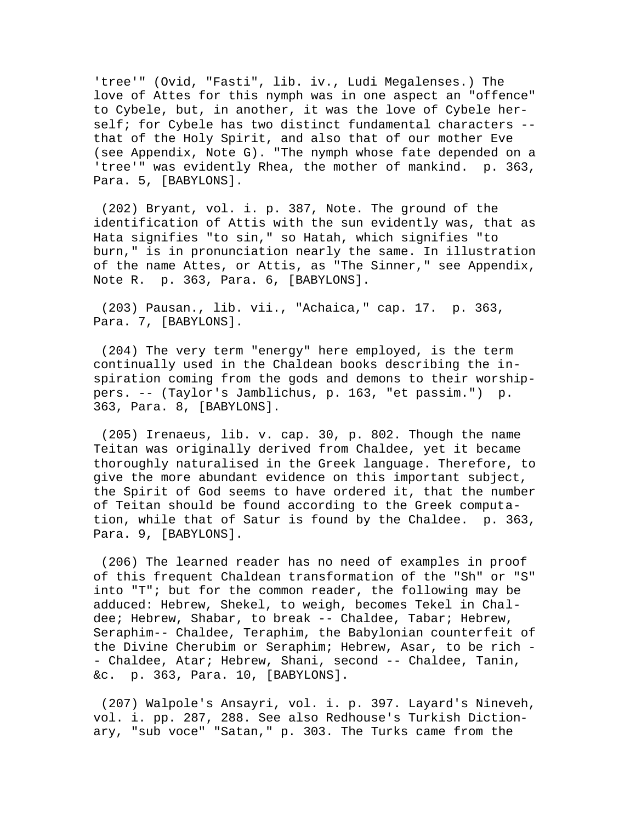'tree'" (Ovid, "Fasti", lib. iv., Ludi Megalenses.) The love of Attes for this nymph was in one aspect an "offence" to Cybele, but, in another, it was the love of Cybele herself; for Cybele has two distinct fundamental characters -that of the Holy Spirit, and also that of our mother Eve (see Appendix, Note G). "The nymph whose fate depended on a 'tree'" was evidently Rhea, the mother of mankind. p. 363, Para. 5, [BABYLONS].

 (202) Bryant, vol. i. p. 387, Note. The ground of the identification of Attis with the sun evidently was, that as Hata signifies "to sin," so Hatah, which signifies "to burn," is in pronunciation nearly the same. In illustration of the name Attes, or Attis, as "The Sinner," see Appendix, Note R. p. 363, Para. 6, [BABYLONS].

 (203) Pausan., lib. vii., "Achaica," cap. 17. p. 363, Para. 7, [BABYLONS].

 (204) The very term "energy" here employed, is the term continually used in the Chaldean books describing the inspiration coming from the gods and demons to their worshippers. -- (Taylor's Jamblichus, p. 163, "et passim.") p. 363, Para. 8, [BABYLONS].

 (205) Irenaeus, lib. v. cap. 30, p. 802. Though the name Teitan was originally derived from Chaldee, yet it became thoroughly naturalised in the Greek language. Therefore, to give the more abundant evidence on this important subject, the Spirit of God seems to have ordered it, that the number of Teitan should be found according to the Greek computation, while that of Satur is found by the Chaldee. p. 363, Para. 9, [BABYLONS].

 (206) The learned reader has no need of examples in proof of this frequent Chaldean transformation of the "Sh" or "S" into "T"; but for the common reader, the following may be adduced: Hebrew, Shekel, to weigh, becomes Tekel in Chaldee; Hebrew, Shabar, to break -- Chaldee, Tabar; Hebrew, Seraphim-- Chaldee, Teraphim, the Babylonian counterfeit of the Divine Cherubim or Seraphim; Hebrew, Asar, to be rich - - Chaldee, Atar; Hebrew, Shani, second -- Chaldee, Tanin, &c. p. 363, Para. 10, [BABYLONS].

 (207) Walpole's Ansayri, vol. i. p. 397. Layard's Nineveh, vol. i. pp. 287, 288. See also Redhouse's Turkish Dictionary, "sub voce" "Satan," p. 303. The Turks came from the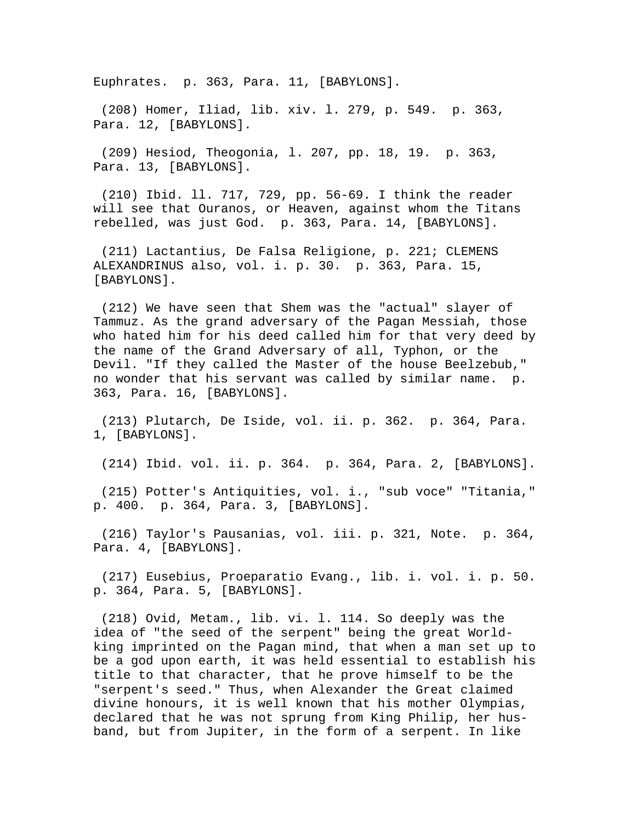Euphrates. p. 363, Para. 11, [BABYLONS].

 (208) Homer, Iliad, lib. xiv. l. 279, p. 549. p. 363, Para. 12, [BABYLONS].

 (209) Hesiod, Theogonia, l. 207, pp. 18, 19. p. 363, Para. 13, [BABYLONS].

 (210) Ibid. ll. 717, 729, pp. 56-69. I think the reader will see that Ouranos, or Heaven, against whom the Titans rebelled, was just God. p. 363, Para. 14, [BABYLONS].

 (211) Lactantius, De Falsa Religione, p. 221; CLEMENS ALEXANDRINUS also, vol. i. p. 30. p. 363, Para. 15, [BABYLONS].

 (212) We have seen that Shem was the "actual" slayer of Tammuz. As the grand adversary of the Pagan Messiah, those who hated him for his deed called him for that very deed by the name of the Grand Adversary of all, Typhon, or the Devil. "If they called the Master of the house Beelzebub," no wonder that his servant was called by similar name. p. 363, Para. 16, [BABYLONS].

 (213) Plutarch, De Iside, vol. ii. p. 362. p. 364, Para. 1, [BABYLONS].

(214) Ibid. vol. ii. p. 364. p. 364, Para. 2, [BABYLONS].

 (215) Potter's Antiquities, vol. i., "sub voce" "Titania," p. 400. p. 364, Para. 3, [BABYLONS].

 (216) Taylor's Pausanias, vol. iii. p. 321, Note. p. 364, Para. 4, [BABYLONS].

 (217) Eusebius, Proeparatio Evang., lib. i. vol. i. p. 50. p. 364, Para. 5, [BABYLONS].

 (218) Ovid, Metam., lib. vi. l. 114. So deeply was the idea of "the seed of the serpent" being the great Worldking imprinted on the Pagan mind, that when a man set up to be a god upon earth, it was held essential to establish his title to that character, that he prove himself to be the "serpent's seed." Thus, when Alexander the Great claimed divine honours, it is well known that his mother Olympias, declared that he was not sprung from King Philip, her husband, but from Jupiter, in the form of a serpent. In like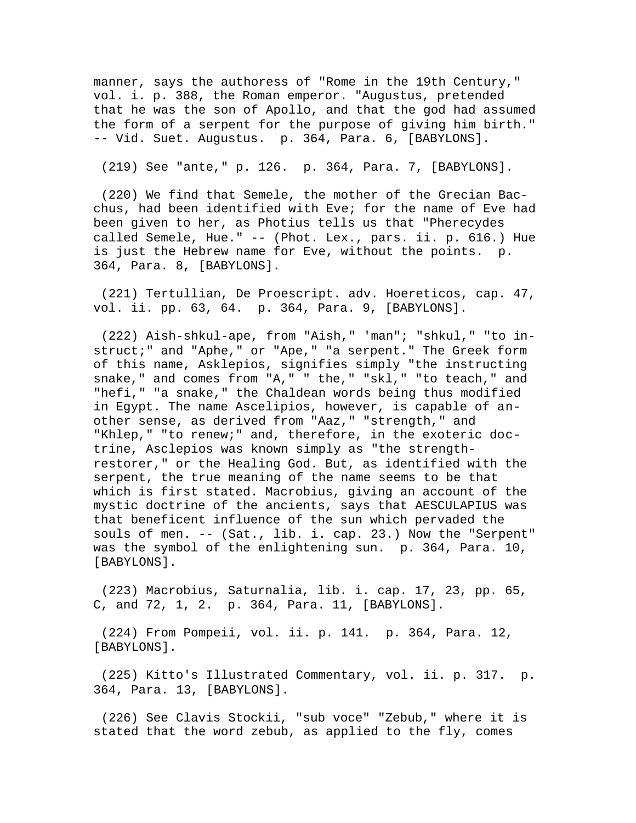manner, says the authoress of "Rome in the 19th Century," vol. i. p. 388, the Roman emperor. "Augustus, pretended that he was the son of Apollo, and that the god had assumed the form of a serpent for the purpose of giving him birth." -- Vid. Suet. Augustus. p. 364, Para. 6, [BABYLONS].

(219) See "ante," p. 126. p. 364, Para. 7, [BABYLONS].

 (220) We find that Semele, the mother of the Grecian Bacchus, had been identified with Eve; for the name of Eve had been given to her, as Photius tells us that "Pherecydes called Semele, Hue." -- (Phot. Lex., pars. ii. p. 616.) Hue is just the Hebrew name for Eve, without the points. p. 364, Para. 8, [BABYLONS].

 (221) Tertullian, De Proescript. adv. Hoereticos, cap. 47, vol. ii. pp. 63, 64. p. 364, Para. 9, [BABYLONS].

 (222) Aish-shkul-ape, from "Aish," 'man"; "shkul," "to instruct;" and "Aphe," or "Ape," "a serpent." The Greek form of this name, Asklepios, signifies simply "the instructing snake," and comes from "A," " the," "skl," "to teach," and "hefi," "a snake," the Chaldean words being thus modified in Egypt. The name Ascelipios, however, is capable of another sense, as derived from "Aaz," "strength," and "Khlep," "to renew;" and, therefore, in the exoteric doctrine, Asclepios was known simply as "the strengthrestorer," or the Healing God. But, as identified with the serpent, the true meaning of the name seems to be that which is first stated. Macrobius, giving an account of the mystic doctrine of the ancients, says that AESCULAPIUS was that beneficent influence of the sun which pervaded the souls of men. -- (Sat., lib. i. cap. 23.) Now the "Serpent" was the symbol of the enlightening sun. p. 364, Para. 10, [BABYLONS].

 (223) Macrobius, Saturnalia, lib. i. cap. 17, 23, pp. 65, C, and 72, 1, 2. p. 364, Para. 11, [BABYLONS].

 (224) From Pompeii, vol. ii. p. 141. p. 364, Para. 12, [BABYLONS].

 (225) Kitto's Illustrated Commentary, vol. ii. p. 317. p. 364, Para. 13, [BABYLONS].

 (226) See Clavis Stockii, "sub voce" "Zebub," where it is stated that the word zebub, as applied to the fly, comes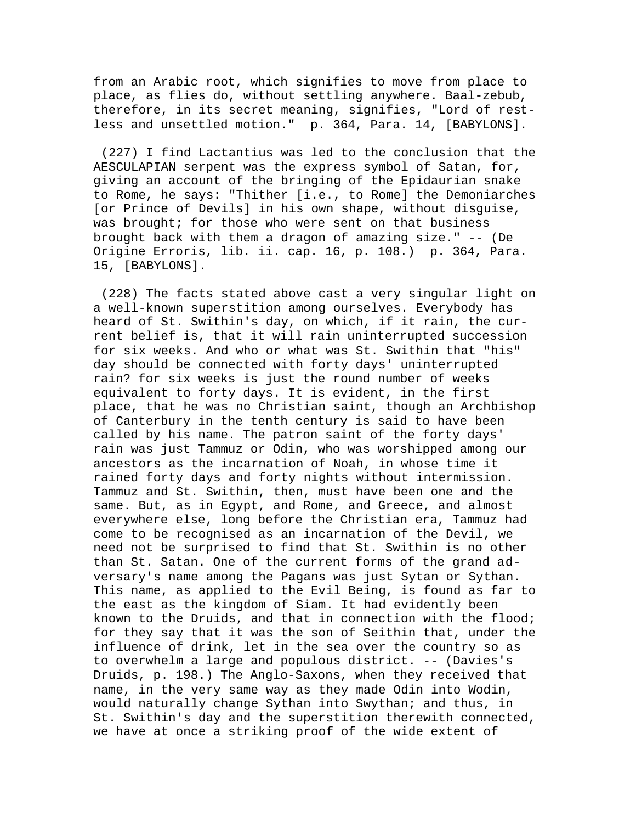from an Arabic root, which signifies to move from place to place, as flies do, without settling anywhere. Baal-zebub, therefore, in its secret meaning, signifies, "Lord of restless and unsettled motion." p. 364, Para. 14, [BABYLONS].

 (227) I find Lactantius was led to the conclusion that the AESCULAPIAN serpent was the express symbol of Satan, for, giving an account of the bringing of the Epidaurian snake to Rome, he says: "Thither [i.e., to Rome] the Demoniarches [or Prince of Devils] in his own shape, without disguise, was brought; for those who were sent on that business brought back with them a dragon of amazing size." -- (De Origine Erroris, lib. ii. cap. 16, p. 108.) p. 364, Para. 15, [BABYLONS].

 (228) The facts stated above cast a very singular light on a well-known superstition among ourselves. Everybody has heard of St. Swithin's day, on which, if it rain, the current belief is, that it will rain uninterrupted succession for six weeks. And who or what was St. Swithin that "his" day should be connected with forty days' uninterrupted rain? for six weeks is just the round number of weeks equivalent to forty days. It is evident, in the first place, that he was no Christian saint, though an Archbishop of Canterbury in the tenth century is said to have been called by his name. The patron saint of the forty days' rain was just Tammuz or Odin, who was worshipped among our ancestors as the incarnation of Noah, in whose time it rained forty days and forty nights without intermission. Tammuz and St. Swithin, then, must have been one and the same. But, as in Egypt, and Rome, and Greece, and almost everywhere else, long before the Christian era, Tammuz had come to be recognised as an incarnation of the Devil, we need not be surprised to find that St. Swithin is no other than St. Satan. One of the current forms of the grand adversary's name among the Pagans was just Sytan or Sythan. This name, as applied to the Evil Being, is found as far to the east as the kingdom of Siam. It had evidently been known to the Druids, and that in connection with the flood; for they say that it was the son of Seithin that, under the influence of drink, let in the sea over the country so as to overwhelm a large and populous district. -- (Davies's Druids, p. 198.) The Anglo-Saxons, when they received that name, in the very same way as they made Odin into Wodin, would naturally change Sythan into Swythan; and thus, in St. Swithin's day and the superstition therewith connected, we have at once a striking proof of the wide extent of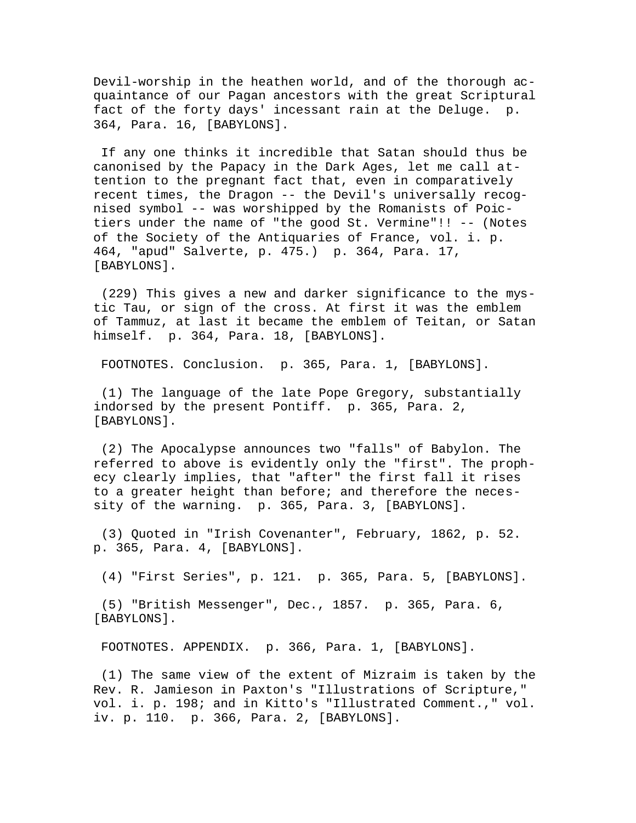Devil-worship in the heathen world, and of the thorough acquaintance of our Pagan ancestors with the great Scriptural fact of the forty days' incessant rain at the Deluge. p. 364, Para. 16, [BABYLONS].

 If any one thinks it incredible that Satan should thus be canonised by the Papacy in the Dark Ages, let me call attention to the pregnant fact that, even in comparatively recent times, the Dragon -- the Devil's universally recognised symbol -- was worshipped by the Romanists of Poictiers under the name of "the good St. Vermine"!! -- (Notes of the Society of the Antiquaries of France, vol. i. p. 464, "apud" Salverte, p. 475.) p. 364, Para. 17, [BABYLONS].

 (229) This gives a new and darker significance to the mystic Tau, or sign of the cross. At first it was the emblem of Tammuz, at last it became the emblem of Teitan, or Satan himself. p. 364, Para. 18, [BABYLONS].

FOOTNOTES. Conclusion. p. 365, Para. 1, [BABYLONS].

 (1) The language of the late Pope Gregory, substantially indorsed by the present Pontiff. p. 365, Para. 2, [BABYLONS].

 (2) The Apocalypse announces two "falls" of Babylon. The referred to above is evidently only the "first". The prophecy clearly implies, that "after" the first fall it rises to a greater height than before; and therefore the necessity of the warning. p. 365, Para. 3, [BABYLONS].

 (3) Quoted in "Irish Covenanter", February, 1862, p. 52. p. 365, Para. 4, [BABYLONS].

(4) "First Series", p. 121. p. 365, Para. 5, [BABYLONS].

 (5) "British Messenger", Dec., 1857. p. 365, Para. 6, [BABYLONS].

FOOTNOTES. APPENDIX. p. 366, Para. 1, [BABYLONS].

 (1) The same view of the extent of Mizraim is taken by the Rev. R. Jamieson in Paxton's "Illustrations of Scripture," vol. i. p. 198; and in Kitto's "Illustrated Comment.," vol. iv. p. 110. p. 366, Para. 2, [BABYLONS].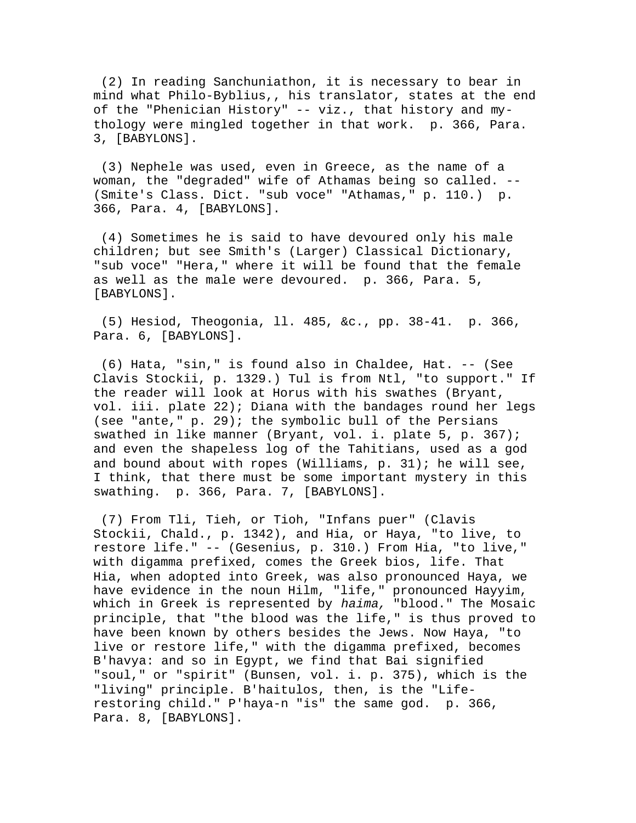(2) In reading Sanchuniathon, it is necessary to bear in mind what Philo-Byblius,, his translator, states at the end of the "Phenician History" -- viz., that history and mythology were mingled together in that work. p. 366, Para. 3, [BABYLONS].

 (3) Nephele was used, even in Greece, as the name of a woman, the "degraded" wife of Athamas being so called. -- (Smite's Class. Dict. "sub voce" "Athamas," p. 110.) p. 366, Para. 4, [BABYLONS].

 (4) Sometimes he is said to have devoured only his male children; but see Smith's (Larger) Classical Dictionary, "sub voce" "Hera," where it will be found that the female as well as the male were devoured. p. 366, Para. 5, [BABYLONS].

 (5) Hesiod, Theogonia, ll. 485, &c., pp. 38-41. p. 366, Para. 6, [BABYLONS].

 (6) Hata, "sin," is found also in Chaldee, Hat. -- (See Clavis Stockii, p. 1329.) Tul is from Ntl, "to support." If the reader will look at Horus with his swathes (Bryant, vol. iii. plate 22); Diana with the bandages round her legs (see "ante," p. 29); the symbolic bull of the Persians swathed in like manner (Bryant, vol. i. plate 5, p. 367); and even the shapeless log of the Tahitians, used as a god and bound about with ropes (Williams, p. 31); he will see, I think, that there must be some important mystery in this swathing. p. 366, Para. 7, [BABYLONS].

 (7) From Tli, Tieh, or Tioh, "Infans puer" (Clavis Stockii, Chald., p. 1342), and Hia, or Haya, "to live, to restore life." -- (Gesenius, p. 310.) From Hia, "to live," with digamma prefixed, comes the Greek bios, life. That Hia, when adopted into Greek, was also pronounced Haya, we have evidence in the noun Hilm, "life," pronounced Hayyim, which in Greek is represented by *haima,* "blood." The Mosaic principle, that "the blood was the life," is thus proved to have been known by others besides the Jews. Now Haya, "to live or restore life," with the digamma prefixed, becomes B'havya: and so in Egypt, we find that Bai signified "soul," or "spirit" (Bunsen, vol. i. p. 375), which is the "living" principle. B'haitulos, then, is the "Liferestoring child." P'haya-n "is" the same god. p. 366, Para. 8, [BABYLONS].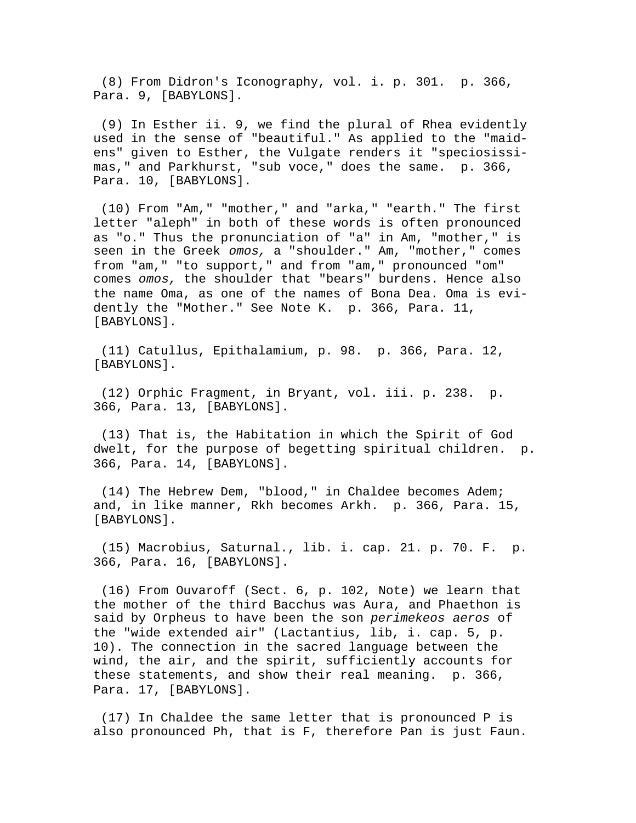(8) From Didron's Iconography, vol. i. p. 301. p. 366, Para. 9, [BABYLONS].

 (9) In Esther ii. 9, we find the plural of Rhea evidently used in the sense of "beautiful." As applied to the "maidens" given to Esther, the Vulgate renders it "speciosissimas," and Parkhurst, "sub voce," does the same. p. 366, Para. 10, [BABYLONS].

 (10) From "Am," "mother," and "arka," "earth." The first letter "aleph" in both of these words is often pronounced as "o." Thus the pronunciation of "a" in Am, "mother," is seen in the Greek *omos,* a "shoulder." Am, "mother," comes from "am," "to support," and from "am," pronounced "om" comes *omos,* the shoulder that "bears" burdens. Hence also the name Oma, as one of the names of Bona Dea. Oma is evidently the "Mother." See Note K. p. 366, Para. 11, [BABYLONS].

 (11) Catullus, Epithalamium, p. 98. p. 366, Para. 12, [BABYLONS].

 (12) Orphic Fragment, in Bryant, vol. iii. p. 238. p. 366, Para. 13, [BABYLONS].

 (13) That is, the Habitation in which the Spirit of God dwelt, for the purpose of begetting spiritual children. p. 366, Para. 14, [BABYLONS].

 (14) The Hebrew Dem, "blood," in Chaldee becomes Adem; and, in like manner, Rkh becomes Arkh. p. 366, Para. 15, [BABYLONS].

 (15) Macrobius, Saturnal., lib. i. cap. 21. p. 70. F. p. 366, Para. 16, [BABYLONS].

 (16) From Ouvaroff (Sect. 6, p. 102, Note) we learn that the mother of the third Bacchus was Aura, and Phaethon is said by Orpheus to have been the son *perimekeos aeros* of the "wide extended air" (Lactantius, lib, i. cap. 5, p. 10). The connection in the sacred language between the wind, the air, and the spirit, sufficiently accounts for these statements, and show their real meaning. p. 366, Para. 17, [BABYLONS].

 (17) In Chaldee the same letter that is pronounced P is also pronounced Ph, that is F, therefore Pan is just Faun.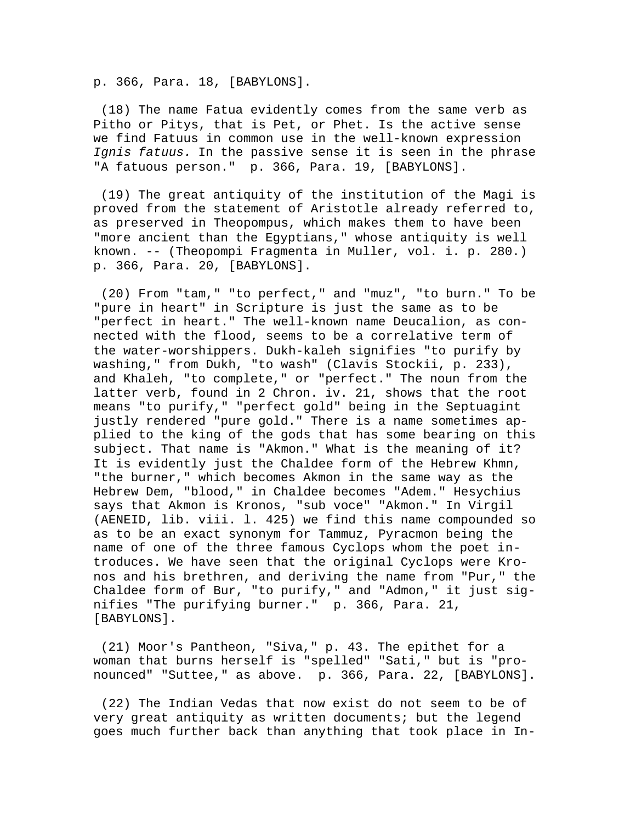p. 366, Para. 18, [BABYLONS].

 (18) The name Fatua evidently comes from the same verb as Pitho or Pitys, that is Pet, or Phet. Is the active sense we find Fatuus in common use in the well-known expression *Ignis fatuus.* In the passive sense it is seen in the phrase "A fatuous person." p. 366, Para. 19, [BABYLONS].

 (19) The great antiquity of the institution of the Magi is proved from the statement of Aristotle already referred to, as preserved in Theopompus, which makes them to have been "more ancient than the Egyptians," whose antiquity is well known. -- (Theopompi Fragmenta in Muller, vol. i. p. 280.) p. 366, Para. 20, [BABYLONS].

 (20) From "tam," "to perfect," and "muz", "to burn." To be "pure in heart" in Scripture is just the same as to be "perfect in heart." The well-known name Deucalion, as connected with the flood, seems to be a correlative term of the water-worshippers. Dukh-kaleh signifies "to purify by washing," from Dukh, "to wash" (Clavis Stockii, p. 233), and Khaleh, "to complete," or "perfect." The noun from the latter verb, found in 2 Chron. iv. 21, shows that the root means "to purify," "perfect gold" being in the Septuagint justly rendered "pure gold." There is a name sometimes applied to the king of the gods that has some bearing on this subject. That name is "Akmon." What is the meaning of it? It is evidently just the Chaldee form of the Hebrew Khmn, "the burner," which becomes Akmon in the same way as the Hebrew Dem, "blood," in Chaldee becomes "Adem." Hesychius says that Akmon is Kronos, "sub voce" "Akmon." In Virgil (AENEID, lib. viii. l. 425) we find this name compounded so as to be an exact synonym for Tammuz, Pyracmon being the name of one of the three famous Cyclops whom the poet introduces. We have seen that the original Cyclops were Kronos and his brethren, and deriving the name from "Pur," the Chaldee form of Bur, "to purify," and "Admon," it just signifies "The purifying burner." p. 366, Para. 21, [BABYLONS].

 (21) Moor's Pantheon, "Siva," p. 43. The epithet for a woman that burns herself is "spelled" "Sati," but is "pronounced" "Suttee," as above. p. 366, Para. 22, [BABYLONS].

 (22) The Indian Vedas that now exist do not seem to be of very great antiquity as written documents; but the legend goes much further back than anything that took place in In-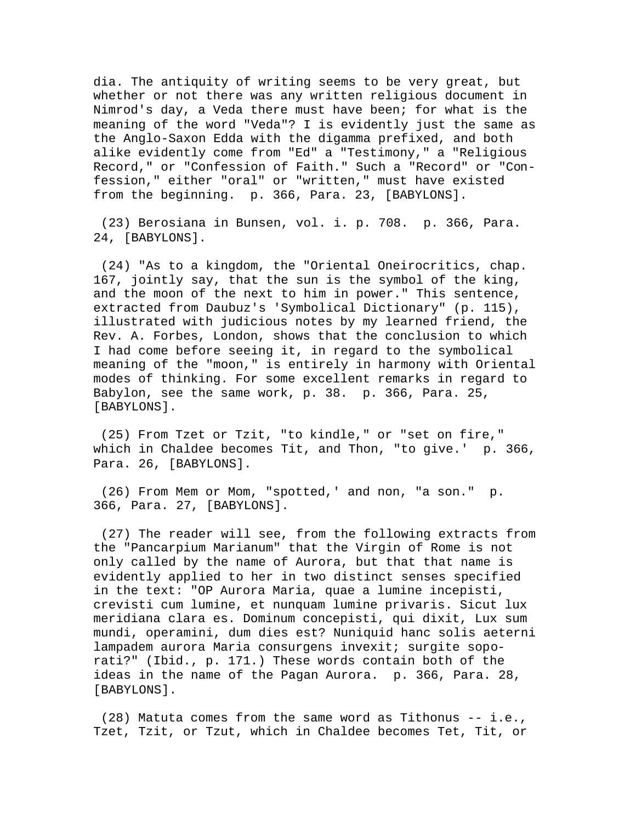dia. The antiquity of writing seems to be very great, but whether or not there was any written religious document in Nimrod's day, a Veda there must have been; for what is the meaning of the word "Veda"? I is evidently just the same as the Anglo-Saxon Edda with the digamma prefixed, and both alike evidently come from "Ed" a "Testimony," a "Religious Record," or "Confession of Faith." Such a "Record" or "Confession," either "oral" or "written," must have existed from the beginning. p. 366, Para. 23, [BABYLONS].

 (23) Berosiana in Bunsen, vol. i. p. 708. p. 366, Para. 24, [BABYLONS].

 (24) "As to a kingdom, the "Oriental Oneirocritics, chap. 167, jointly say, that the sun is the symbol of the king, and the moon of the next to him in power." This sentence, extracted from Daubuz's 'Symbolical Dictionary" (p. 115), illustrated with judicious notes by my learned friend, the Rev. A. Forbes, London, shows that the conclusion to which I had come before seeing it, in regard to the symbolical meaning of the "moon," is entirely in harmony with Oriental modes of thinking. For some excellent remarks in regard to Babylon, see the same work, p. 38. p. 366, Para. 25, [BABYLONS].

 (25) From Tzet or Tzit, "to kindle," or "set on fire," which in Chaldee becomes Tit, and Thon, "to give.' p. 366, Para. 26, [BABYLONS].

 (26) From Mem or Mom, "spotted,' and non, "a son." p. 366, Para. 27, [BABYLONS].

 (27) The reader will see, from the following extracts from the "Pancarpium Marianum" that the Virgin of Rome is not only called by the name of Aurora, but that that name is evidently applied to her in two distinct senses specified in the text: "OP Aurora Maria, quae a lumine incepisti, crevisti cum lumine, et nunquam lumine privaris. Sicut lux meridiana clara es. Dominum concepisti, qui dixit, Lux sum mundi, operamini, dum dies est? Nuniquid hanc solis aeterni lampadem aurora Maria consurgens invexit; surgite soporati?" (Ibid., p. 171.) These words contain both of the ideas in the name of the Pagan Aurora. p. 366, Para. 28, [BABYLONS].

 (28) Matuta comes from the same word as Tithonus -- i.e., Tzet, Tzit, or Tzut, which in Chaldee becomes Tet, Tit, or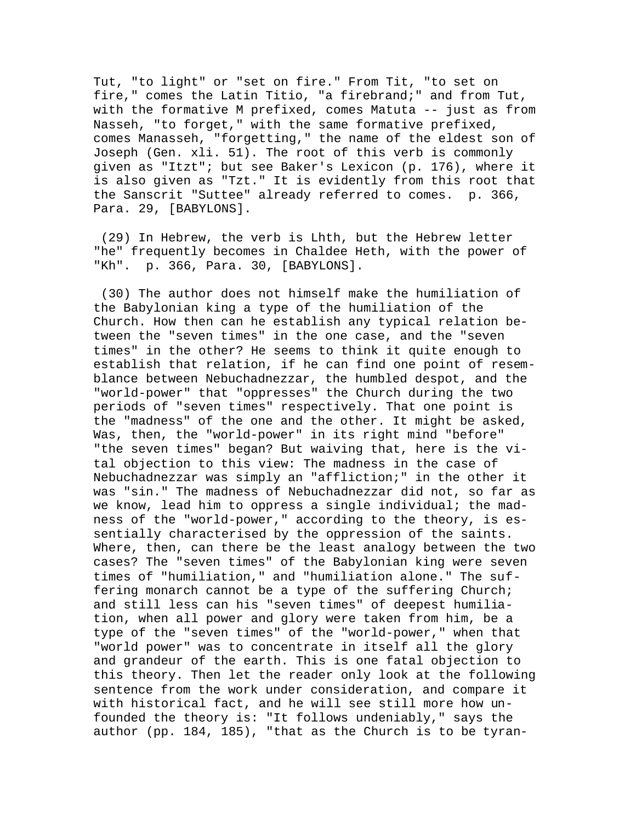Tut, "to light" or "set on fire." From Tit, "to set on fire," comes the Latin Titio, "a firebrand;" and from Tut, with the formative M prefixed, comes Matuta -- just as from Nasseh, "to forget," with the same formative prefixed, comes Manasseh, "forgetting," the name of the eldest son of Joseph (Gen. xli. 51). The root of this verb is commonly given as "Itzt"; but see Baker's Lexicon (p. 176), where it is also given as "Tzt." It is evidently from this root that the Sanscrit "Suttee" already referred to comes. p. 366, Para. 29, [BABYLONS].

 (29) In Hebrew, the verb is Lhth, but the Hebrew letter "he" frequently becomes in Chaldee Heth, with the power of "Kh". p. 366, Para. 30, [BABYLONS].

 (30) The author does not himself make the humiliation of the Babylonian king a type of the humiliation of the Church. How then can he establish any typical relation between the "seven times" in the one case, and the "seven times" in the other? He seems to think it quite enough to establish that relation, if he can find one point of resemblance between Nebuchadnezzar, the humbled despot, and the "world-power" that "oppresses" the Church during the two periods of "seven times" respectively. That one point is the "madness" of the one and the other. It might be asked, Was, then, the "world-power" in its right mind "before" "the seven times" began? But waiving that, here is the vital objection to this view: The madness in the case of Nebuchadnezzar was simply an "affliction;" in the other it was "sin." The madness of Nebuchadnezzar did not, so far as we know, lead him to oppress a single individual; the madness of the "world-power," according to the theory, is essentially characterised by the oppression of the saints. Where, then, can there be the least analogy between the two cases? The "seven times" of the Babylonian king were seven times of "humiliation," and "humiliation alone." The suffering monarch cannot be a type of the suffering Church; and still less can his "seven times" of deepest humiliation, when all power and glory were taken from him, be a type of the "seven times" of the "world-power," when that "world power" was to concentrate in itself all the glory and grandeur of the earth. This is one fatal objection to this theory. Then let the reader only look at the following sentence from the work under consideration, and compare it with historical fact, and he will see still more how unfounded the theory is: "It follows undeniably," says the author (pp. 184, 185), "that as the Church is to be tyran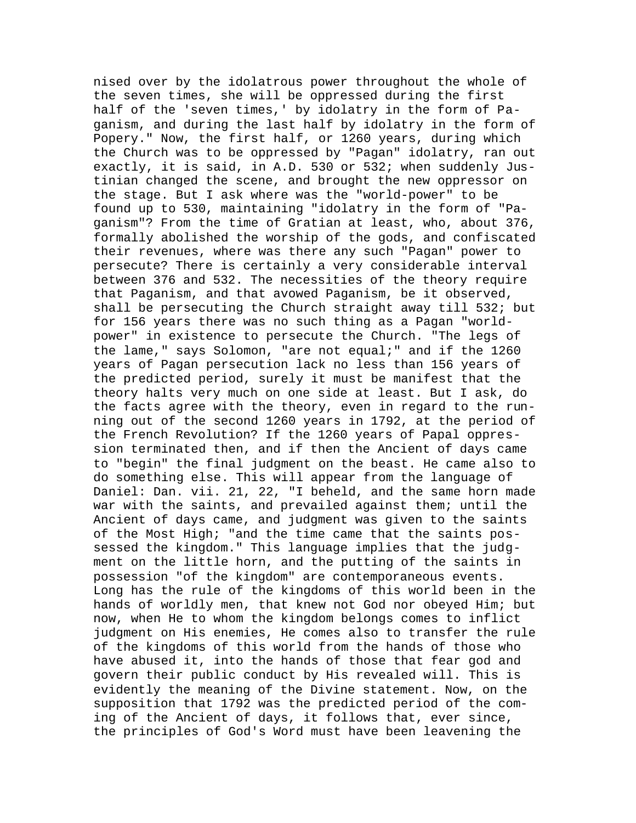nised over by the idolatrous power throughout the whole of the seven times, she will be oppressed during the first half of the 'seven times,' by idolatry in the form of Paganism, and during the last half by idolatry in the form of Popery." Now, the first half, or 1260 years, during which the Church was to be oppressed by "Pagan" idolatry, ran out exactly, it is said, in A.D. 530 or 532; when suddenly Justinian changed the scene, and brought the new oppressor on the stage. But I ask where was the "world-power" to be found up to 530, maintaining "idolatry in the form of "Paganism"? From the time of Gratian at least, who, about 376, formally abolished the worship of the gods, and confiscated their revenues, where was there any such "Pagan" power to persecute? There is certainly a very considerable interval between 376 and 532. The necessities of the theory require that Paganism, and that avowed Paganism, be it observed, shall be persecuting the Church straight away till 532; but for 156 years there was no such thing as a Pagan "worldpower" in existence to persecute the Church. "The legs of the lame," says Solomon, "are not equal;" and if the 1260 years of Pagan persecution lack no less than 156 years of the predicted period, surely it must be manifest that the theory halts very much on one side at least. But I ask, do the facts agree with the theory, even in regard to the running out of the second 1260 years in 1792, at the period of the French Revolution? If the 1260 years of Papal oppression terminated then, and if then the Ancient of days came to "begin" the final judgment on the beast. He came also to do something else. This will appear from the language of Daniel: Dan. vii. 21, 22, "I beheld, and the same horn made war with the saints, and prevailed against them; until the Ancient of days came, and judgment was given to the saints of the Most High; "and the time came that the saints possessed the kingdom." This language implies that the judgment on the little horn, and the putting of the saints in possession "of the kingdom" are contemporaneous events. Long has the rule of the kingdoms of this world been in the hands of worldly men, that knew not God nor obeyed Him; but now, when He to whom the kingdom belongs comes to inflict judgment on His enemies, He comes also to transfer the rule of the kingdoms of this world from the hands of those who have abused it, into the hands of those that fear god and govern their public conduct by His revealed will. This is evidently the meaning of the Divine statement. Now, on the supposition that 1792 was the predicted period of the coming of the Ancient of days, it follows that, ever since, the principles of God's Word must have been leavening the